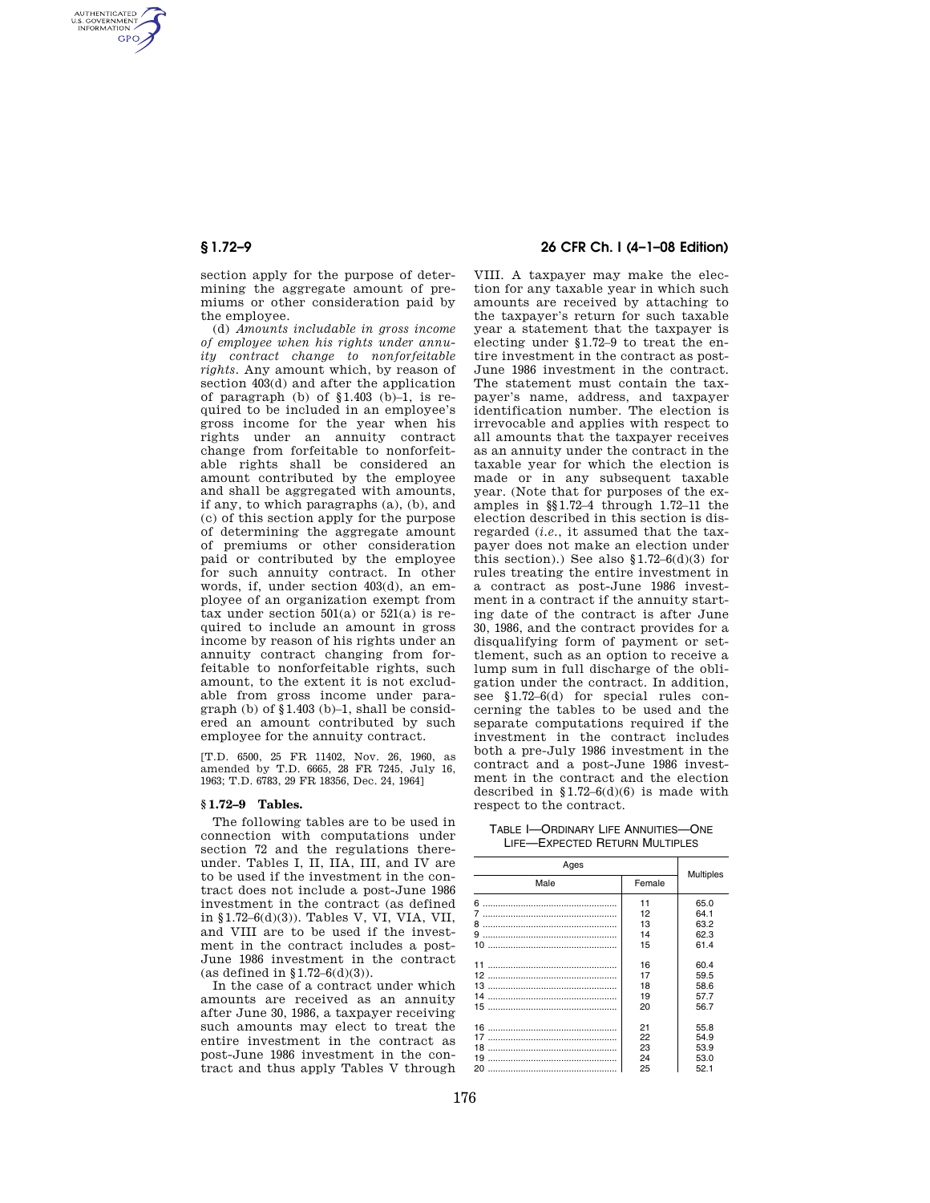AUTHENTICATED<br>U.S. GOVERNMENT<br>INFORMATION **GPO** 

> section apply for the purpose of determining the aggregate amount of premiums or other consideration paid by the employee.

(d) *Amounts includable in gross income of employee when his rights under annuity contract change to nonforfeitable rights.* Any amount which, by reason of section 403(d) and after the application of paragraph (b) of  $$1.403$  (b)-1, is required to be included in an employee's gross income for the year when his rights under an annuity contract change from forfeitable to nonforfeitable rights shall be considered an amount contributed by the employee and shall be aggregated with amounts, if any, to which paragraphs (a), (b), and (c) of this section apply for the purpose of determining the aggregate amount of premiums or other consideration paid or contributed by the employee for such annuity contract. In other words, if, under section 403(d), an employee of an organization exempt from tax under section  $501(a)$  or  $521(a)$  is required to include an amount in gross income by reason of his rights under an annuity contract changing from forfeitable to nonforfeitable rights, such amount, to the extent it is not excludable from gross income under paragraph (b) of  $$1.403$  (b)–1, shall be considered an amount contributed by such employee for the annuity contract.

[T.D. 6500, 25 FR 11402, Nov. 26, 1960, as amended by T.D. 6665, 28 FR 7245, July 16, 1963; T.D. 6783, 29 FR 18356, Dec. 24, 1964]

#### **§ 1.72–9 Tables.**

The following tables are to be used in connection with computations under section 72 and the regulations thereunder. Tables I, II, IIA, III, and IV are to be used if the investment in the contract does not include a post-June 1986 investment in the contract (as defined in §1.72–6(d)(3)). Tables V, VI, VIA, VII, and VIII are to be used if the investment in the contract includes a post-June 1986 investment in the contract (as defined in  $$1.72–6(d)(3)$ ).

In the case of a contract under which amounts are received as an annuity after June 30, 1986, a taxpayer receiving such amounts may elect to treat the entire investment in the contract as post-June 1986 investment in the contract and thus apply Tables V through

#### **§ 1.72–9 26 CFR Ch. I (4–1–08 Edition)**

VIII. A taxpayer may make the election for any taxable year in which such amounts are received by attaching to the taxpayer's return for such taxable year a statement that the taxpayer is electing under §1.72–9 to treat the entire investment in the contract as post-June 1986 investment in the contract. The statement must contain the taxpayer's name, address, and taxpayer identification number. The election is irrevocable and applies with respect to all amounts that the taxpayer receives as an annuity under the contract in the taxable year for which the election is made or in any subsequent taxable year. (Note that for purposes of the examples in §§1.72–4 through 1.72–11 the election described in this section is disregarded (*i.e.*, it assumed that the taxpayer does not make an election under this section).) See also  $$1.72-6(d)(3)$  for rules treating the entire investment in a contract as post-June 1986 investment in a contract if the annuity starting date of the contract is after June 30, 1986, and the contract provides for a disqualifying form of payment or settlement, such as an option to receive a lump sum in full discharge of the obligation under the contract. In addition, see §1.72–6(d) for special rules concerning the tables to be used and the separate computations required if the investment in the contract includes both a pre-July 1986 investment in the contract and a post-June 1986 investment in the contract and the election described in  $$1.72-6(d)(6)$  is made with respect to the contract.

TABLE I—ORDINARY LIFE ANNUITIES—ONE LIFE—EXPECTED RETURN MULTIPLES

| Ages |        | <b>Multiples</b> |
|------|--------|------------------|
| Male | Female |                  |
|      | 11     | 65.0             |
|      | 12     | 64.1             |
|      | 13     | 63.2             |
|      | 14     | 62.3             |
|      | 15     | 61.4             |
|      | 16     | 60.4             |
|      | 17     | 59.5             |
|      | 18     | 58.6             |
| 14   | 19     | 57.7             |
|      | 20     | 56.7             |
|      | 21     | 55.8             |
| 17   | 22     | 54.9             |
| 18   | 23     | 53.9             |
| 19   | 24     | 53.0             |
|      | 25     | 52.1             |
|      |        |                  |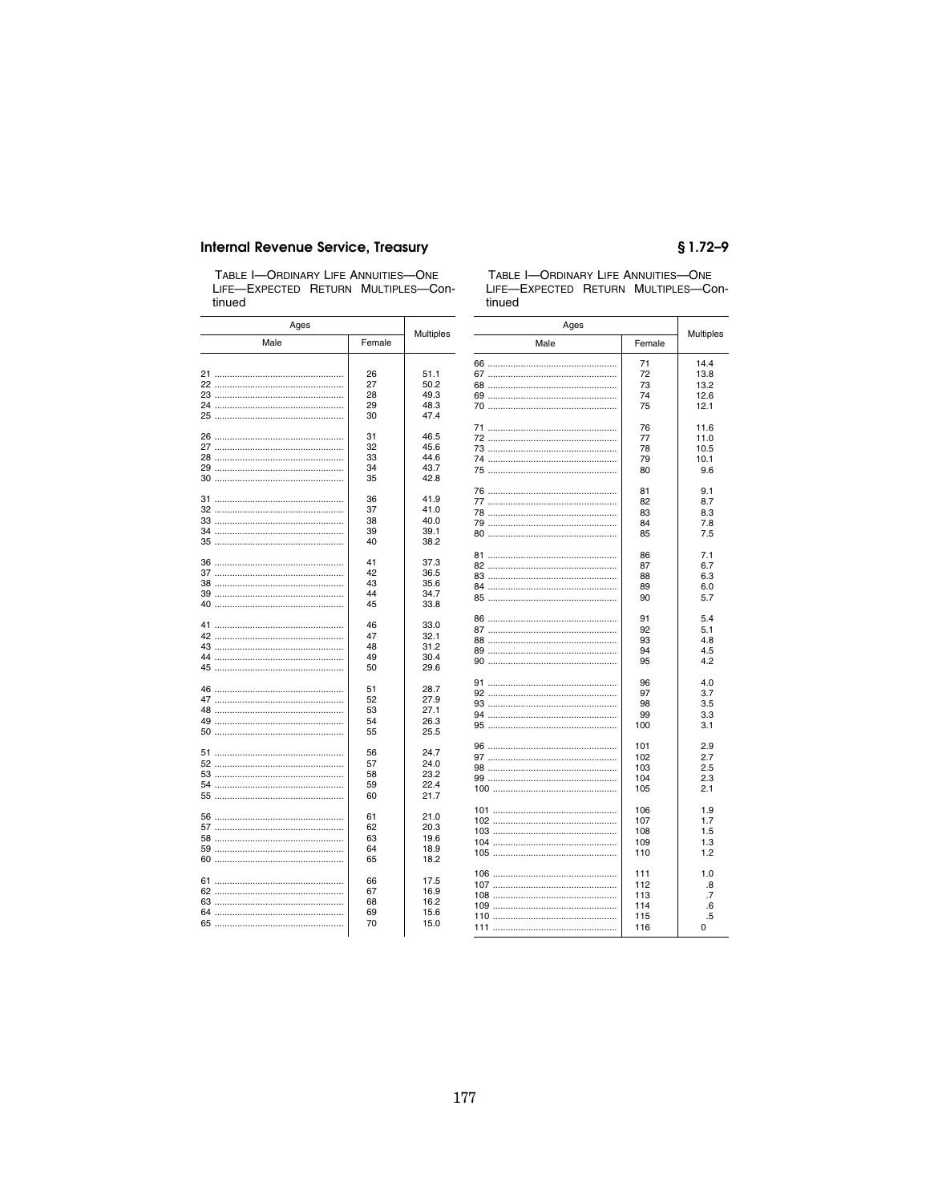#### **Internal Revenue Service, Treasury**

TABLE I-ORDINARY LIFE ANNUITIES-ONE<br>LIFE-EXPECTED RETURN MULTIPLES-Continued

| Ages |          | <b>Multiples</b> | Ages |        |
|------|----------|------------------|------|--------|
| Male | Female   |                  | Male | Female |
|      |          |                  |      | 71     |
|      | 26       | 51.1             |      | 72     |
|      | 27       | 50.2             |      |        |
|      |          |                  |      | 73     |
|      | 28       | 49.3             |      | 74     |
|      | 29       | 48.3             |      | 75     |
|      | 30       | 47.4             |      |        |
|      |          |                  |      | 76     |
|      | 31       | 46.5             |      | 77     |
|      | 32       | 45.6             |      | 78     |
|      | 33       | 44.6             |      | 79     |
|      | 34       | 43.7             |      | 80     |
|      | 35       | 42.8             |      |        |
|      |          |                  |      | 81     |
|      | 36       | 41.9             |      | 82     |
|      | 37       | 41.0             |      | 83     |
|      | 38       | 40.0             |      |        |
|      |          |                  |      | 84     |
|      | 39<br>40 | 39.1<br>38.2     |      | 85     |
|      |          |                  |      |        |
|      | 41       | 37.3             |      | 86     |
|      | 42       |                  |      | 87     |
|      |          | 36.5             |      | 88     |
|      | 43       | 35.6             |      | 89     |
|      | 44       | 34.7             |      | 90     |
|      | 45       | 33.8             |      |        |
|      |          |                  |      | 91     |
|      | 46       | 33.0             |      | 92     |
|      | 47       | 32.1             |      |        |
|      | 48       | 31.2             |      | 93     |
|      |          |                  |      | 94     |
|      | 49       | 30.4             |      | 95     |
|      | 50       | 29.6             |      |        |
|      |          |                  |      | 96     |
|      | 51       | 28.7             |      | 97     |
|      | 52       | 27.9             |      | 98     |
|      | 53       | 27.1             |      | 99     |
|      | 54       | 26.3             |      |        |
|      | 55       | 25.5             |      | 100    |
|      |          |                  |      | 101    |
|      | 56       | 24.7             |      | 102    |
|      | 57       | 24.0             |      |        |
|      | 58       | 23.2             |      | 103    |
|      |          |                  |      | 104    |
|      | 59<br>60 | 22.4<br>21.7     |      | 105    |
|      |          |                  |      |        |
|      | 61       | 21.0             |      | 106    |
|      |          |                  |      | 107    |
|      | 62       | 20.3             |      | 108    |
|      | 63       | 19.6             |      | 109    |
|      | 64       | 18.9             |      | 110    |
|      | 65       | 18.2             |      |        |
|      |          |                  |      | 111    |
|      | 66       | 17.5             |      | 112    |
|      | 67       | 16.9             |      | 113    |
|      | 68       | 16.2             |      |        |
|      |          |                  |      | 114    |
|      |          |                  |      |        |
|      | 69<br>70 | 15.6<br>15.0     |      | 115    |

#### TABLE I-ORDINARY LIFE ANNUITIES-ONE LIFE-EXPECTED RETURN MULTIPLES-Continued

 $$1.72-9$ 

Multiples

14.4<br>13.8<br>13.2<br>12.6<br>12.1

 $11.6$ <br>11.0  $\frac{10.5}{10.1}$ <br> $\frac{9.6}{ }$ 

> $\frac{9.1}{8.7}$  $8.3$ <br>7.8<br>7.5

> $7.1$ <br>6.7  $6.3$ <br> $6.0$ <br> $5.7$

> $5.4$ <br> $5.1$  $4.8$ <br> $4.5$ <br> $4.2$

> $4.0$ <br> $3.7$ <br> $3.5$ <br> $3.3$ <br> $3.1$

 $2.9$ <br> $2.7$ <br> $2.5$ <br> $2.3$ <br> $2.1$ 

 $1.9$ <br> $1.7$ <br> $1.5$ <br> $1.3$ <br> $1.2$ 

 $1.0$ <br> $.8$ <br> $.7$ <br> $.6$ <br> $.5$ <br>0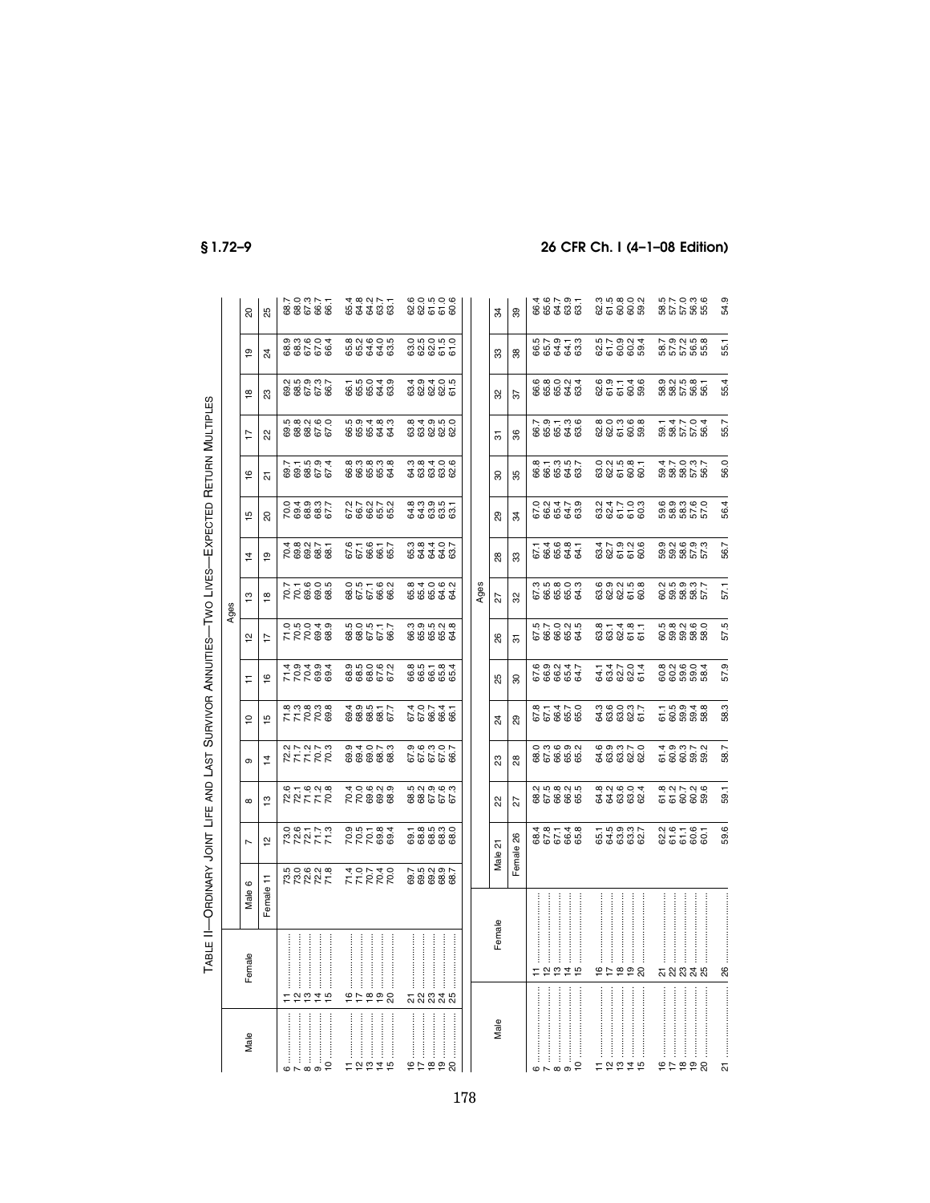|                                                                                                                                                                                                                                                                                                                                                                                                                                                                                                                                                                                    |                                              |                           |                              |                        |                       |                           |                                     |                                                     | Ages                       |                         |                        |                                           |                                                     |                               |                                       |                                         |
|------------------------------------------------------------------------------------------------------------------------------------------------------------------------------------------------------------------------------------------------------------------------------------------------------------------------------------------------------------------------------------------------------------------------------------------------------------------------------------------------------------------------------------------------------------------------------------|----------------------------------------------|---------------------------|------------------------------|------------------------|-----------------------|---------------------------|-------------------------------------|-----------------------------------------------------|----------------------------|-------------------------|------------------------|-------------------------------------------|-----------------------------------------------------|-------------------------------|---------------------------------------|-----------------------------------------|
| Male                                                                                                                                                                                                                                                                                                                                                                                                                                                                                                                                                                               | $\overline{\mathsf{C}}$<br>Fema              | O<br>Male <sub>t</sub>    | L                            | $^{\circ}$             | თ                     | ă                         | Ξ                                   | 으                                                   | ≌                          | $\vec{4}$               | ڡ                      | ڡ                                         | 7                                                   | $\frac{8}{1}$                 | <u>စု</u>                             | 20                                      |
|                                                                                                                                                                                                                                                                                                                                                                                                                                                                                                                                                                                    |                                              | Female 11                 | $\overline{\mathbf{C}}$      | 13                     | $\overline{4}$        | 51                        | $\overline{6}$                      | 7                                                   | $\overline{8}$             | $\overline{\mathbf{e}}$ | 8                      | ಸ                                         | Κ                                                   | ಔ                             | 24                                    | 85                                      |
|                                                                                                                                                                                                                                                                                                                                                                                                                                                                                                                                                                                    |                                              |                           |                              |                        |                       |                           |                                     |                                                     |                            |                         |                        |                                           |                                                     |                               |                                       |                                         |
| $\begin{minipage}{0.9\linewidth} \centering \begin{minipage}{0.9\linewidth} \centering \end{minipage} \begin{minipage}{0.9\linewidth} \centering \begin{minipage}{0.9\linewidth} \centering \end{minipage} \begin{minipage}{0.9\linewidth} \centering \end{minipage} \begin{minipage}{0.9\linewidth} \centering \end{minipage} \begin{minipage}{0.9\linewidth} \centering \end{minipage} \begin{minipage}{0.9\linewidth} \centering \end{minipage} \begin{minipage}{0.9\linewidth} \centering \end{minipage} \begin{minipage}{0.9\linewidth} \centering \end{minipage} \begin{min$ |                                              |                           |                              |                        |                       |                           |                                     |                                                     |                            |                         |                        |                                           |                                                     |                               |                                       |                                         |
|                                                                                                                                                                                                                                                                                                                                                                                                                                                                                                                                                                                    |                                              |                           |                              |                        | ということ<br>といいこと        | enang<br>KRRG<br>KRRG     | 7 2 2 3 9<br>4 9 4 9 4<br>4 9 4 9 4 | 0.004.00<br>700080<br>700080                        |                            | 78888<br>28888          | 200802<br>000802       | 5 1 1 1 9 1<br>6 1 1 9 1 1<br>7 1 9 1 9 1 |                                                     |                               |                                       |                                         |
|                                                                                                                                                                                                                                                                                                                                                                                                                                                                                                                                                                                    | $\ddot{4}$                                   |                           |                              |                        |                       |                           |                                     |                                                     |                            |                         |                        |                                           |                                                     |                               |                                       |                                         |
|                                                                                                                                                                                                                                                                                                                                                                                                                                                                                                                                                                                    |                                              |                           |                              | RKKK<br>61600<br>61600 |                       |                           |                                     |                                                     | 77605<br>2008<br>776       |                         |                        |                                           | 6<br>6 8 8 7 6<br>7 8 8 9 9                         | 250900<br>200909<br>2009      | 938604<br>93666                       | 88.7<br>880.7<br>880                    |
| $11$ , $1$ , $1$ , $1$ , $1$ , $1$ , $1$ , $1$ , $1$ , $1$ , $1$ , $1$ , $1$ , $1$ , $1$ , $1$ , $1$ , $1$ , $1$ , $1$ , $1$ , $1$ , $1$ , $1$ , $1$ , $1$ , $1$ , $1$ , $1$ , $1$ , $1$ , $1$ , $1$ , $1$ , $1$ , $1$ , $1$                                                                                                                                                                                                                                                                                                                                                       |                                              | RRRRK FFRRR<br>SANG TORTO | 222777 222888                |                        |                       |                           |                                     |                                                     |                            |                         |                        |                                           |                                                     |                               |                                       |                                         |
|                                                                                                                                                                                                                                                                                                                                                                                                                                                                                                                                                                                    | $\mathcal{U}$ and an analyzing $\mathcal{M}$ |                           |                              |                        |                       |                           |                                     |                                                     |                            |                         |                        |                                           |                                                     |                               |                                       |                                         |
|                                                                                                                                                                                                                                                                                                                                                                                                                                                                                                                                                                                    |                                              |                           |                              |                        |                       |                           |                                     |                                                     |                            |                         |                        |                                           |                                                     |                               |                                       |                                         |
|                                                                                                                                                                                                                                                                                                                                                                                                                                                                                                                                                                                    |                                              |                           |                              |                        |                       | 49517<br>888517<br>8886   | 88866<br>8886                       |                                                     |                            | 67.6<br>67.6<br>68.7    |                        | 833838<br>88888                           |                                                     | 65049<br>66549                |                                       |                                         |
| ما                                                                                                                                                                                                                                                                                                                                                                                                                                                                                                                                                                                 |                                              |                           |                              | R<br>66888<br>40699    |                       |                           |                                     | 58.5<br>68.5<br>68.5                                | 0.51169<br>0.5116<br>0.519 |                         | 27272<br>28272<br>2929 |                                           | 66664<br>66644                                      |                               | 82800<br>68488                        | 4 8 9 9 7 7<br>6 4 5 9 9 9<br>4 9 9 9 9 |
|                                                                                                                                                                                                                                                                                                                                                                                                                                                                                                                                                                                    |                                              | 7<br>000000<br>000000     |                              | no di o di o di        |                       |                           |                                     |                                                     |                            |                         |                        |                                           | 8<br>8<br>8<br>8<br>8<br>8<br>8<br>8<br>8<br>8<br>8 |                               |                                       | 605006<br>60550                         |
|                                                                                                                                                                                                                                                                                                                                                                                                                                                                                                                                                                                    |                                              |                           |                              |                        |                       |                           |                                     |                                                     |                            |                         |                        |                                           |                                                     |                               |                                       |                                         |
| $\frac{8}{1}$                                                                                                                                                                                                                                                                                                                                                                                                                                                                                                                                                                      |                                              |                           |                              |                        |                       |                           |                                     |                                                     |                            |                         |                        |                                           |                                                     |                               |                                       |                                         |
| <u>စု</u>                                                                                                                                                                                                                                                                                                                                                                                                                                                                                                                                                                          | 24                                           |                           | ា<br>ខិន្នី<br>ខិន្នី ខិន្នី | 99988                  | 87887<br>6789<br>6789 | $6074$<br>$6086$<br>$607$ | 865184<br>86658                     | $\omega$ $\omega$ $\omega$ $\omega$<br><b>88883</b> |                            |                         | 83355<br>88868         | 3<br>200909<br>200909                     |                                                     | 8<br>8 8 8 8 9 9<br>4 9 4 9 9 | 0 5 6 0 5 0<br>6 9 9 5 0<br>6 9 9 5 0 |                                         |
| 20                                                                                                                                                                                                                                                                                                                                                                                                                                                                                                                                                                                 | ని                                           |                           |                              |                        |                       |                           |                                     |                                                     |                            |                         |                        |                                           |                                                     |                               |                                       |                                         |
|                                                                                                                                                                                                                                                                                                                                                                                                                                                                                                                                                                                    |                                              |                           |                              |                        |                       |                           |                                     |                                                     |                            |                         |                        |                                           |                                                     |                               |                                       |                                         |
|                                                                                                                                                                                                                                                                                                                                                                                                                                                                                                                                                                                    |                                              |                           |                              |                        |                       |                           |                                     |                                                     | Ages                       |                         |                        |                                           |                                                     |                               |                                       |                                         |
| Male                                                                                                                                                                                                                                                                                                                                                                                                                                                                                                                                                                               | Female                                       |                           | 24<br>Male                   | ଖ                      | ಔ                     | 24                        | 55                                  | 26                                                  | 22                         | 28                      | 89                     | ౚ                                         | 5                                                   | ೫                             | ౢ                                     | 34                                      |
|                                                                                                                                                                                                                                                                                                                                                                                                                                                                                                                                                                                    |                                              |                           |                              |                        |                       |                           |                                     |                                                     |                            |                         |                        |                                           |                                                     |                               |                                       |                                         |

| Male                                                                                                                         | Female | Male 21        | ଧ୍ୟ                          | 23                                    | $\overline{2}$                                      | 25                                    | 88                          | 22                                    | 88                                      | 89                                    | 8                                     | 5                             | 32                                                                  | ౢ                              | 34                            |
|------------------------------------------------------------------------------------------------------------------------------|--------|----------------|------------------------------|---------------------------------------|-----------------------------------------------------|---------------------------------------|-----------------------------|---------------------------------------|-----------------------------------------|---------------------------------------|---------------------------------------|-------------------------------|---------------------------------------------------------------------|--------------------------------|-------------------------------|
|                                                                                                                              |        | Female 26      | 22                           | 88                                    | 89                                                  | 8                                     | 5                           | 32                                    | ౢ                                       | रु                                    | 35                                    | 36                            | 57                                                                  | 88                             | 39                            |
|                                                                                                                              |        |                |                              |                                       |                                                     |                                       |                             |                                       |                                         |                                       |                                       |                               |                                                                     |                                |                               |
|                                                                                                                              |        |                |                              |                                       |                                                     |                                       |                             |                                       |                                         |                                       |                                       |                               |                                                                     |                                |                               |
|                                                                                                                              |        | 86548<br>86748 | 2 5 6 6 6 6<br>0 7 6 7 8 7 9 | 0 0 0 0 0 0<br>8 0 0 0 0<br>8 0 0 0 0 | 811470<br>67470<br>67470                            | 6 9 9 9 4 7<br>6 9 9 9 9<br>6 9 9 9 9 |                             | 6<br>6 8 8 9 9<br>6 9 8 9 9           | 114681<br>68684                         | 0 3 4 5 9<br>0 9 4 7 9<br>0 9 9 9     | 8 1 3 1 5 1<br>8 8 8 8 9<br>8 8 9 8   | 7<br>865736<br>8658           | 6<br>6 6 6 7 4<br>6 6 6 7 9                                         | 5<br>65373<br>6536             | 86795<br>86789                |
|                                                                                                                              |        |                |                              |                                       |                                                     |                                       |                             |                                       |                                         |                                       |                                       |                               |                                                                     |                                |                               |
|                                                                                                                              |        |                |                              |                                       |                                                     |                                       |                             |                                       |                                         |                                       |                                       |                               |                                                                     |                                |                               |
| $11$ and an analyzed $\sim$                                                                                                  |        |                |                              |                                       |                                                     |                                       |                             |                                       |                                         |                                       |                                       |                               |                                                                     |                                |                               |
|                                                                                                                              |        |                |                              |                                       |                                                     |                                       |                             |                                       |                                         |                                       |                                       |                               |                                                                     |                                |                               |
| $\begin{array}{c c c c c} \hline 13 & \ldots & \ldots & \ldots \\ \hline 14 & \ldots & \ldots & \ldots & \ldots \end{array}$ |        | 55937<br>64888 | 8<br>8 9 9 9 9<br>8 9 8 9 9  | 6<br>6 8 8 9 9 9<br>6 8 9 9 9         | 3<br>8<br>8<br>8<br>8<br>8<br>8<br>8<br>8<br>8<br>8 | $7.4704$<br>$7.38804$                 | 811811<br>88855             | 6 9 9 9 5 8<br>6 9 9 5 6<br>6 9 9 5 6 | 827926<br>47926                         | 2 3 4 7 9 9<br>2 3 5 6 9<br>2 9 9 9   | 0 2 3 5 6 7<br>8 8 5 6 9<br>0 9 7 9 9 | 8<br>2010:00<br>8010:00       | $\begin{array}{c} 69 \\ 201 \\ 65 \\ 66 \\ 68 \\ 69 \\ \end{array}$ | 5<br>25<br>56<br>56<br>56<br>5 | និក្ខុ ខ្លួន<br>ដូច ក្លួន ប្ល |
|                                                                                                                              |        |                |                              |                                       |                                                     |                                       |                             |                                       |                                         |                                       |                                       |                               |                                                                     |                                |                               |
|                                                                                                                              |        |                |                              |                                       |                                                     |                                       |                             |                                       |                                         |                                       |                                       |                               |                                                                     |                                |                               |
|                                                                                                                              |        |                |                              |                                       |                                                     |                                       |                             |                                       |                                         |                                       |                                       |                               |                                                                     |                                |                               |
|                                                                                                                              |        |                |                              |                                       |                                                     |                                       |                             |                                       |                                         |                                       |                                       |                               |                                                                     |                                |                               |
|                                                                                                                              |        |                | 8<br>6 5 6 6 8<br>6 5 6 8 8  |                                       | ក<br>ភូមិ ១ ។ ១<br>ភូមិ ២ ១ ២                       | 8<br>8 8 8 8 8<br>8 8 8 8 8           | 5<br>ក្នុង 5<br>ក្នុង 5 5 5 | 8<br>8 8 8 8 7<br>8 8 8 8 7           | o ci co o ci<br>o o ci co<br>o ci co ci | 6 9 9 9 6 0<br>6 8 8 7 6<br>6 8 8 7 6 | 5<br>8 8 8 7 9<br>8 9 8 9 9           | 5<br>8 8 7 7 9 4<br>5 8 7 9 9 | 9 2 5 6 6<br>9 8 7 6 9 9<br>9 9 9 9 9                               | 5<br>8 5 5 9 9 9<br>5 5 9 9 9  | 870388<br>87588               |
|                                                                                                                              |        |                |                              |                                       |                                                     |                                       |                             |                                       |                                         |                                       |                                       |                               |                                                                     |                                |                               |
| $\overline{c}$                                                                                                               | 25     |                |                              |                                       |                                                     |                                       |                             |                                       |                                         |                                       |                                       |                               |                                                                     |                                |                               |
|                                                                                                                              |        | 59.6           | 59.1                         | 58.7                                  | 58.3                                                | 57.9                                  | 57.5                        | 57,1                                  | 56.7                                    | 56.4                                  | 56.0                                  | 55.7                          | 55.4                                                                | 55.1                           | 54.9                          |

TABLE II—ORDINARY JOINT LIFE AND LAST

SURVIVOR

TABLE II-ORDINARY JOINT LIFE AND LAST SURVIVOR ANNUITIES-TWO LIVES-EXPECTED RETURN MULTIPLES

ANNUITIES—TWO LIVES—EXPECTED

MULTIPLES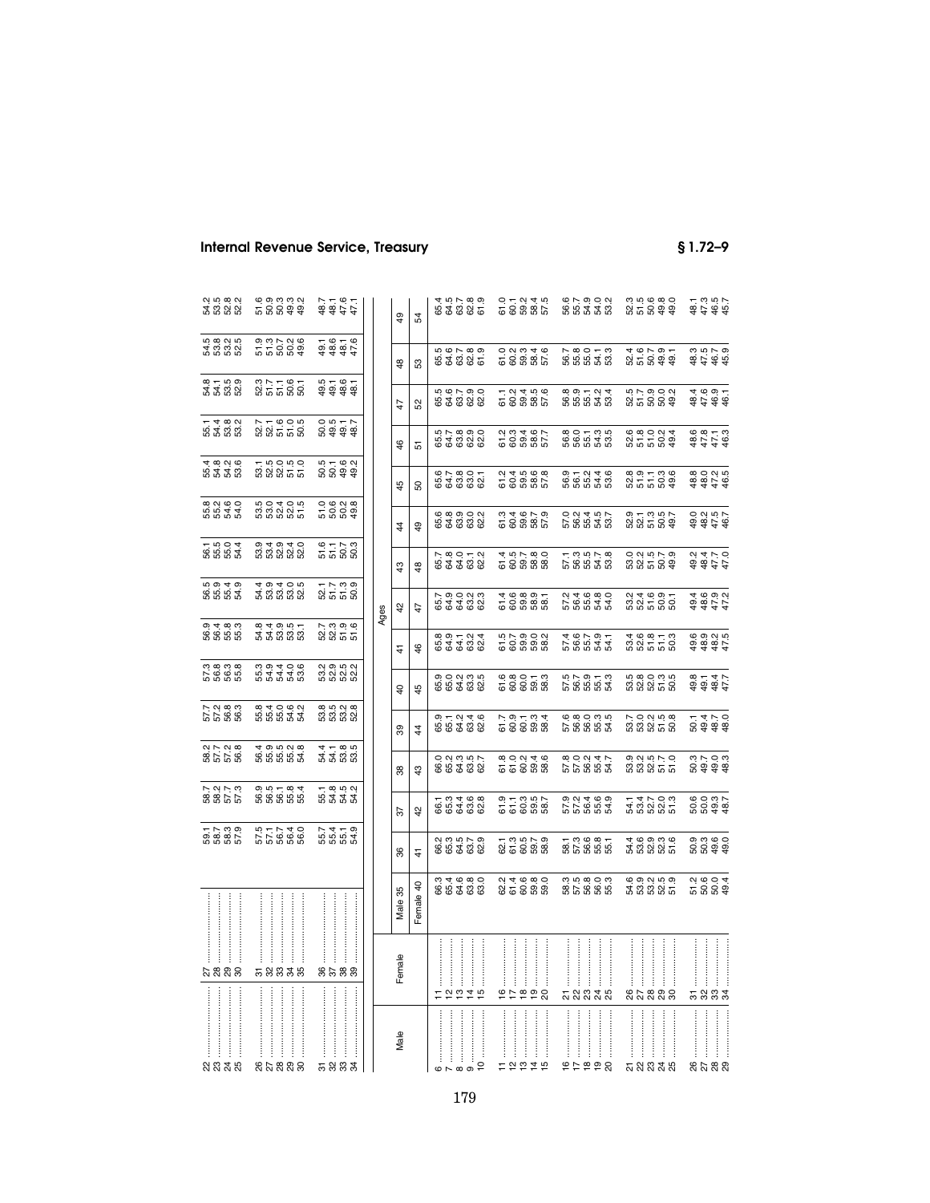|                                                                                       | ត្ត<br>កើត្តមូត<br>ចិន្ត្រី           | 22222<br>2222<br>2222            |      | \$             | 54            | 65.4                                                                        |
|---------------------------------------------------------------------------------------|---------------------------------------|----------------------------------|------|----------------|---------------|-----------------------------------------------------------------------------|
| 5<br>4 6 6 7 9<br>5 9 9 9                                                             | 9<br>5 5 9 9 9 9<br>9 9 9 9 9         | $7676$<br>$9876$<br>$9877$       |      | $\frac{8}{3}$  | S3            | 65.5                                                                        |
| 81188<br>81888                                                                        | 327167<br>35585                       | 5<br>9 9 9 9 9<br>9 9 9 9        |      | 47             | 52            | 65.5                                                                        |
|                                                                                       | ក ។ ១ ១ ២<br>និង ៤ ១ ១ ២              |                                  |      | 46             | 5             | 65.5                                                                        |
|                                                                                       | ក្នុង<br>និងនាំ<br>ក្នុង              | 5<br>00000<br>50000              |      | 45             | 50            | 65.6                                                                        |
| 8 8 8 8 9<br>8 8 9 9 9                                                                | 5<br>បើប្អូន ប្អូ<br>បើប្អូន ប្អូ     |                                  |      | 4              | \$            | 65.6                                                                        |
|                                                                                       | ១ ។ ១ ។ ೦<br>ពួ ពួ ពួ ពួ ពួ           | $5779$<br>$5799$                 |      | $\frac{3}{4}$  | $\frac{8}{2}$ | 65.7                                                                        |
| 66640<br>66640                                                                        | 5<br>2020<br>40200                    | ន្ល.<br>នគ. នី នី<br>នី ដី នី នី | Ages | $\overline{4}$ | 47            | 65.7                                                                        |
| 0<br>00 00 00<br>00 00 00                                                             | 84955<br>84886                        | ក្តុ<br>ស្តី ស្តី<br>ភូមិ ភូ     |      | 4              | \$            | 65.8                                                                        |
| 5<br>6<br>5<br>5<br>5<br>5<br>5<br>5<br>5<br>5<br>5<br>5<br>5<br>5<br>5<br>5<br>5<br> |                                       | ល ១ ហ ល<br>ប ល ល ល<br>ល ល ល ល    |      | $\overline{a}$ | 45            | 65.9                                                                        |
| 5 5 6 6 6<br>5 6 6 6<br>5 6 6 6                                                       |                                       | 8<br>8 8 8 8 8<br>8 8 8 9        |      | 39             | 4             | 65.9                                                                        |
| 85788<br>8578                                                                         | 5<br>8 5 5 6 7 9<br>4 9 5 9 9 9       | 4 4 6 6<br>4 4 6 6<br>4 4 6 6    |      | 38             | $\frac{3}{4}$ | 66.0                                                                        |
| ន ន ដ ដ<br>ន ន ដ ដ<br>ន ន ដ                                                           | 9 5 5 8 9 9<br>9 9 9 9 9 9            | ក ខុ ចុ ស្<br>ងើ ងី ងី           |      | 22             | 42            | .<br>66                                                                     |
| 5<br>6885<br>5885                                                                     | 5 5 5 6 6<br>6 7 7 7 4 0<br>5 6 8 6 9 | 5555<br>5555<br>555              |      | 36             | 4             | 66.2                                                                        |
|                                                                                       |                                       |                                  |      | Male 35        | Female 40     | 66.3                                                                        |
| $\stackrel{8}{\scriptstyle\sim}$ នឹង និ                                               | 58838                                 | 8588                             |      | Female         |               |                                                                             |
| <u>ន្ត ន្ត ន</u>                                                                      | នុក្ខន្តន                             | <b>5883</b>                      |      | Male           |               | $6$ and $11$ and $11$ and $11$ and $11$ and $11$ and $11$ and $11$ and $11$ |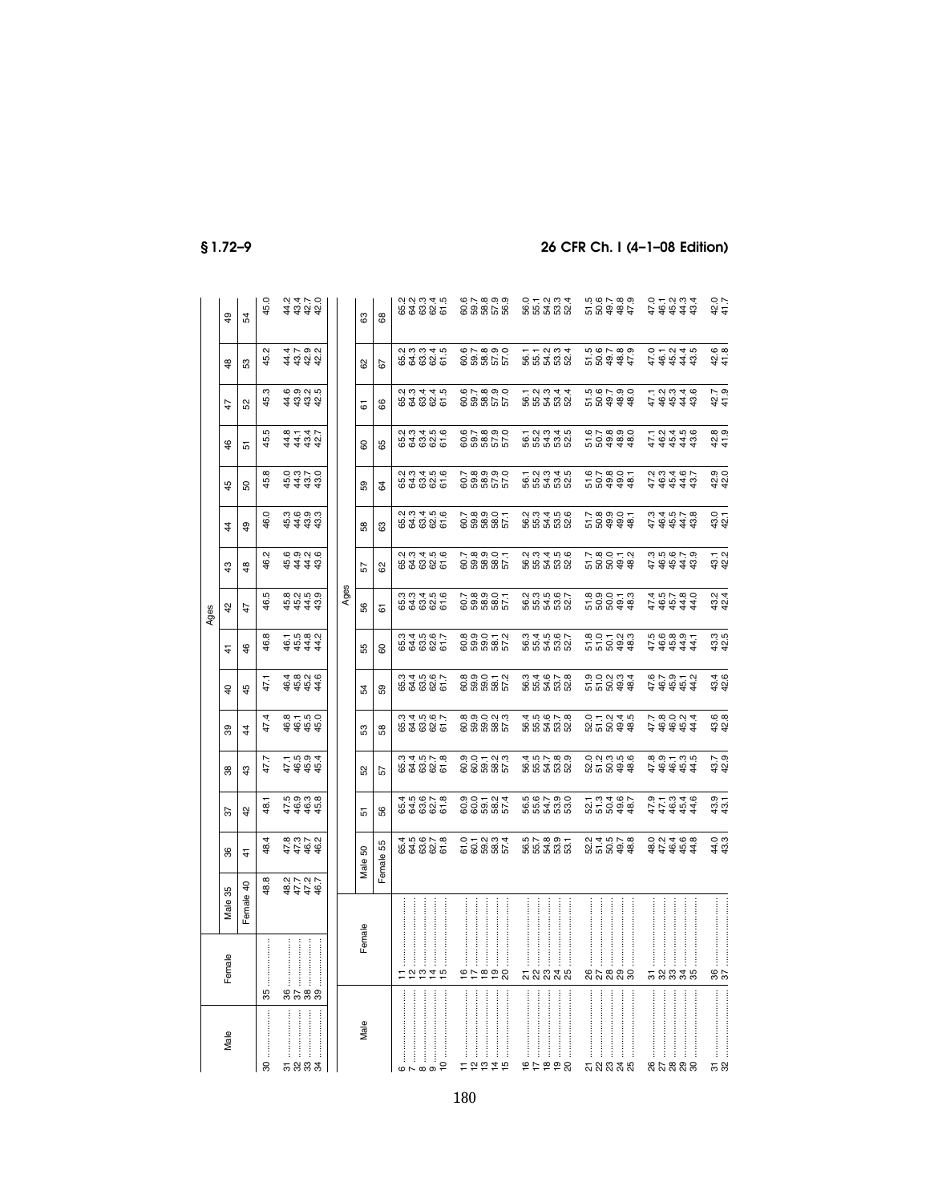|                                                                                                                                                                                                                                                                                                                                                                                                                                             |                                                                                                                                                                                                                                                                                                                                                                                                                                                                                                |                    |                                                             |                                                                                       |                                     |                                     |                                                     |                               | Ages                          |                                                |                                     |                                                                                                                                                                                                                                                                                                                        |                                                                                       |                               |                               |                                                                                       |
|---------------------------------------------------------------------------------------------------------------------------------------------------------------------------------------------------------------------------------------------------------------------------------------------------------------------------------------------------------------------------------------------------------------------------------------------|------------------------------------------------------------------------------------------------------------------------------------------------------------------------------------------------------------------------------------------------------------------------------------------------------------------------------------------------------------------------------------------------------------------------------------------------------------------------------------------------|--------------------|-------------------------------------------------------------|---------------------------------------------------------------------------------------|-------------------------------------|-------------------------------------|-----------------------------------------------------|-------------------------------|-------------------------------|------------------------------------------------|-------------------------------------|------------------------------------------------------------------------------------------------------------------------------------------------------------------------------------------------------------------------------------------------------------------------------------------------------------------------|---------------------------------------------------------------------------------------|-------------------------------|-------------------------------|---------------------------------------------------------------------------------------|
| Male                                                                                                                                                                                                                                                                                                                                                                                                                                        | Female                                                                                                                                                                                                                                                                                                                                                                                                                                                                                         | Male 35            | 36                                                          | 55                                                                                    | 88                                  | 89                                  | $\overline{a}$                                      | $\frac{4}{3}$                 | $\frac{5}{4}$                 | $\frac{3}{4}$                                  | $\frac{4}{3}$                       | 45                                                                                                                                                                                                                                                                                                                     | 46                                                                                    | 47                            | $\frac{8}{3}$                 | $\overline{49}$                                                                       |
|                                                                                                                                                                                                                                                                                                                                                                                                                                             |                                                                                                                                                                                                                                                                                                                                                                                                                                                                                                | Female 40          | $\frac{4}{1}$                                               | 42                                                                                    | $\frac{3}{4}$                       | 4                                   | 45                                                  | \$                            | 47                            | $\frac{8}{4}$                                  | \$                                  | 80                                                                                                                                                                                                                                                                                                                     | 5                                                                                     | 52                            | S3                            | 54                                                                                    |
| $\boldsymbol{\mathcal{S}}$                                                                                                                                                                                                                                                                                                                                                                                                                  | 35                                                                                                                                                                                                                                                                                                                                                                                                                                                                                             | 48.8               | \$                                                          | $\ddot{a}$                                                                            | 47.7                                | 47.4                                | 47.1                                                | 46.8                          | 46.5                          | Ņ<br>\$.                                       | $\circ$<br>46.                      | $\infty$<br>45.                                                                                                                                                                                                                                                                                                        | 45.5                                                                                  | 45.3                          | 45.2                          | 45.0                                                                                  |
|                                                                                                                                                                                                                                                                                                                                                                                                                                             |                                                                                                                                                                                                                                                                                                                                                                                                                                                                                                |                    |                                                             |                                                                                       |                                     |                                     |                                                     |                               |                               |                                                |                                     |                                                                                                                                                                                                                                                                                                                        |                                                                                       |                               |                               |                                                                                       |
| <b>5883</b>                                                                                                                                                                                                                                                                                                                                                                                                                                 | $[ \begin{array}{cccccccccccc} \multicolumn{3}{c}{} & \multicolumn{3}{c}{} & \multicolumn{3}{c}{} & \multicolumn{3}{c}{} & \multicolumn{3}{c}{} & \multicolumn{3}{c}{} & \multicolumn{3}{c}{} & \multicolumn{3}{c}{} & \multicolumn{3}{c}{} & \multicolumn{3}{c}{} & \multicolumn{3}{c}{} & \multicolumn{3}{c}{} & \multicolumn{3}{c}{} & \multicolumn{3}{c}{} & \multicolumn{3}{c}{} & \multicolumn{3}{c}{} & \multicolumn{3}{c}{} & \multicolumn{3}{c}{} & \multicolumn{3}{c}{} & \$<br>8588 | 3<br>37737<br>3778 | $77.8$<br>$77.7$<br>$77.7$<br>$49.2$                        |                                                                                       | 11694<br>4444                       | 4444                                | 4 4 4 4<br>4 5 6 7 6<br>4 6 7 6                     | 4 4 4 4<br>6 5 4 4<br>4 5 4 4 | 4444<br>6544                  | $\phi$ $\phi$ $\alpha$ $\phi$<br>री में में के | 4444<br>545                         | $\begin{array}{cccccc} 4 & 4 & 4 & 4 \\ 6 & 4 & 3 & 4 \\ 1 & 2 & 3 & 4 \\ 2 & 3 & 4 & 5 \\ 3 & 4 & 5 & 6 \\ 4 & 5 & 6 & 7 \\ 5 & 6 & 8 & 10 \\ 6 & 10 & 10 & 10 \\ 7 & 10 & 10 & 10 \\ 8 & 10 & 10 & 10 \\ 9 & 10 & 10 & 10 \\ 10 & 10 & 10 & 10 \\ 11 & 10 & 10 & 10 \\ 12 & 10 & 10 & 10 \\ 13 & 10 & 10 & 10 \\ 14$ | 4444<br>4445                                                                          | 4 4 4 4<br>4 4 4 4<br>6 9 9 9 | 4 4 4 4<br>4 4 4 4<br>4 4 4 4 | 4 4 4 4<br>4 4 4 4<br>4 4 4 4                                                         |
|                                                                                                                                                                                                                                                                                                                                                                                                                                             |                                                                                                                                                                                                                                                                                                                                                                                                                                                                                                |                    |                                                             |                                                                                       |                                     |                                     |                                                     |                               |                               |                                                |                                     |                                                                                                                                                                                                                                                                                                                        |                                                                                       |                               |                               |                                                                                       |
|                                                                                                                                                                                                                                                                                                                                                                                                                                             |                                                                                                                                                                                                                                                                                                                                                                                                                                                                                                |                    |                                                             |                                                                                       |                                     |                                     |                                                     |                               | Ages                          |                                                |                                     |                                                                                                                                                                                                                                                                                                                        |                                                                                       |                               |                               |                                                                                       |
| Male                                                                                                                                                                                                                                                                                                                                                                                                                                        | Female                                                                                                                                                                                                                                                                                                                                                                                                                                                                                         |                    | Male 50                                                     | 5                                                                                     | <u>ង</u>                            | S3                                  | 54                                                  | ЪЯ.                           | 99                            | 25                                             | 58                                  | 39                                                                                                                                                                                                                                                                                                                     | 80                                                                                    | 67                            | 8                             | යි                                                                                    |
|                                                                                                                                                                                                                                                                                                                                                                                                                                             |                                                                                                                                                                                                                                                                                                                                                                                                                                                                                                |                    | Female 55                                                   | 56                                                                                    | 57                                  | 58                                  | 59                                                  | 8                             | 67                            | ಜ                                              | සී                                  | \$                                                                                                                                                                                                                                                                                                                     | 65                                                                                    | 86                            | 29                            | 89                                                                                    |
| $\begin{array}{c} \begin{array}{c} \begin{array}{c} \ \ \end{array} \\ \begin{array}{c} \ \end{array} \\ \begin{array}{c} \ \end{array} \\ \begin{array}{c} \ \end{array} \\ \begin{array}{c} \ \end{array} \\ \begin{array}{c} \ \end{array} \\ \begin{array}{c} \ \end{array} \\ \begin{array}{c} \ \end{array} \\ \begin{array}{c} \ \end{array} \\ \begin{array}{c} \ \end{array} \end{array} \end{array}$                              | = 2275                                                                                                                                                                                                                                                                                                                                                                                                                                                                                         |                    | $\overline{4}$ in $\overline{6}$ if $\overline{6}$<br>63885 | 4 5 6 7 8<br>4 5 6 7 8<br>4 5 9 9                                                     | 8<br>84885<br>84885                 | 645665<br>64565                     | 845857<br>84587                                     | 645665<br>64565               | 0<br>6<br>8<br>8<br>8 8 8 8 9 | 000000<br>ಳೆ ತೆ ಇ ಇ ಪ                          | 8<br>8 4 8 8 9<br>8 9 8 9 9         | 000000<br>88885                                                                                                                                                                                                                                                                                                        | 8<br>8<br>8<br>8<br>8<br>8<br>8<br>8<br>8<br>8<br>8<br>8<br>8<br>8<br>8<br>8<br>8<br> | 8<br>84885<br>8788            | 8<br>8 3 3 3 4 5<br>8 3 8 9 6 | 8<br>8<br>8<br>8<br>8<br>8<br>8<br>8<br>8<br>8<br>8<br>8<br>8<br>8<br>8<br>8<br>8<br> |
|                                                                                                                                                                                                                                                                                                                                                                                                                                             |                                                                                                                                                                                                                                                                                                                                                                                                                                                                                                |                    |                                                             |                                                                                       |                                     |                                     |                                                     |                               |                               |                                                |                                     |                                                                                                                                                                                                                                                                                                                        |                                                                                       |                               |                               |                                                                                       |
|                                                                                                                                                                                                                                                                                                                                                                                                                                             |                                                                                                                                                                                                                                                                                                                                                                                                                                                                                                |                    |                                                             |                                                                                       |                                     |                                     |                                                     |                               |                               |                                                |                                     |                                                                                                                                                                                                                                                                                                                        |                                                                                       |                               |                               |                                                                                       |
|                                                                                                                                                                                                                                                                                                                                                                                                                                             |                                                                                                                                                                                                                                                                                                                                                                                                                                                                                                |                    |                                                             |                                                                                       |                                     |                                     |                                                     |                               |                               |                                                |                                     |                                                                                                                                                                                                                                                                                                                        |                                                                                       |                               |                               |                                                                                       |
|                                                                                                                                                                                                                                                                                                                                                                                                                                             |                                                                                                                                                                                                                                                                                                                                                                                                                                                                                                |                    |                                                             |                                                                                       |                                     |                                     |                                                     |                               |                               |                                                |                                     |                                                                                                                                                                                                                                                                                                                        |                                                                                       |                               |                               |                                                                                       |
|                                                                                                                                                                                                                                                                                                                                                                                                                                             | 95998                                                                                                                                                                                                                                                                                                                                                                                                                                                                                          |                    |                                                             |                                                                                       |                                     |                                     |                                                     |                               |                               |                                                |                                     |                                                                                                                                                                                                                                                                                                                        |                                                                                       |                               |                               |                                                                                       |
|                                                                                                                                                                                                                                                                                                                                                                                                                                             |                                                                                                                                                                                                                                                                                                                                                                                                                                                                                                |                    |                                                             |                                                                                       |                                     |                                     |                                                     |                               |                               |                                                |                                     |                                                                                                                                                                                                                                                                                                                        |                                                                                       |                               |                               |                                                                                       |
| $79949$                                                                                                                                                                                                                                                                                                                                                                                                                                     |                                                                                                                                                                                                                                                                                                                                                                                                                                                                                                |                    | 0 1 2 3 3 4<br>6 9 8 8 7<br>6 9 8 8 7                       | 90724<br>90885                                                                        | 901-23<br>90552                     | 8<br>8 8 8 8 8 7<br>8 8 8 8 7       | 8<br>8<br>8<br>8<br>8<br>8<br>8<br>8<br>8<br>8<br>8 | 8<br>8 8 8 8 7 9<br>8 8 8 8 7 |                               | ក<br>ខូនី<br>ខូនី ខ្លី                         |                                     | 0<br>000000<br>000000                                                                                                                                                                                                                                                                                                  | 0.0850<br>0.0850<br>0.09                                                              |                               | 85.855<br>85855               | 87899<br>88858                                                                        |
|                                                                                                                                                                                                                                                                                                                                                                                                                                             |                                                                                                                                                                                                                                                                                                                                                                                                                                                                                                |                    |                                                             |                                                                                       |                                     |                                     |                                                     |                               |                               |                                                |                                     |                                                                                                                                                                                                                                                                                                                        |                                                                                       |                               |                               |                                                                                       |
|                                                                                                                                                                                                                                                                                                                                                                                                                                             |                                                                                                                                                                                                                                                                                                                                                                                                                                                                                                |                    |                                                             |                                                                                       |                                     |                                     |                                                     |                               |                               |                                                |                                     |                                                                                                                                                                                                                                                                                                                        |                                                                                       |                               |                               |                                                                                       |
|                                                                                                                                                                                                                                                                                                                                                                                                                                             |                                                                                                                                                                                                                                                                                                                                                                                                                                                                                                |                    |                                                             |                                                                                       |                                     |                                     |                                                     |                               |                               |                                                |                                     |                                                                                                                                                                                                                                                                                                                        |                                                                                       |                               |                               |                                                                                       |
| $\begin{array}{c}\n16 \\ 17 \\ 18 \\  \\ 19 \\ 20\n\end{array}$                                                                                                                                                                                                                                                                                                                                                                             | ភ្លួននូង                                                                                                                                                                                                                                                                                                                                                                                                                                                                                       |                    | 55<br>555555<br>55555                                       | 5<br>6<br>5<br>5<br>5<br>5<br>5<br>5<br>5<br>5<br>5<br>5<br>5<br>5<br>5<br>5<br>5<br> | 555555<br>555555                    | 555558<br>555558                    | 555558<br>555558                                    | 555555<br>555555              | 2<br>8 5 4 5 6 7<br>8 5 7 8 9 | 0.01456<br>8.5388                              | 8 5 4 5 6<br>8 5 4 6 6<br>8 5 7 8 9 | ក 2 3 3 4 5<br>ឆ្លង ជូ 2 5<br>ឆ្លង ជូ 2 5                                                                                                                                                                                                                                                                              | ក្ដួល ១ ។<br>មើល ១ ។<br>ក្ដួល ១ ២                                                     | ក្ដួល។<br>មើលដំបូង<br>ក្ដី    | 5 5 3 3 3<br>មើលទី 3 3 3      | 0 + 0 0 4<br>9 5 4 5 9 9<br>9 5 9 9 9                                                 |
|                                                                                                                                                                                                                                                                                                                                                                                                                                             |                                                                                                                                                                                                                                                                                                                                                                                                                                                                                                |                    |                                                             |                                                                                       |                                     |                                     |                                                     |                               |                               |                                                |                                     |                                                                                                                                                                                                                                                                                                                        |                                                                                       |                               |                               |                                                                                       |
| $\begin{minipage}{0.9\linewidth} \begin{tabular}{ c c c } \hline & \multicolumn{3}{ c }{\textbf{r} & \textbf{r} & \textbf{r} & \textbf{r} & \textbf{r} & \textbf{r} & \textbf{r} \\ \hline \multicolumn{3}{ c }{\textbf{r} & \textbf{r} & \textbf{r} & \textbf{r} & \textbf{r} & \textbf{r} & \textbf{r} & \textbf{r} & \textbf{r} & \textbf{r} \\ \hline \multicolumn{3}{ c }{\textbf{r} & \textbf{r} & \textbf{r} & \textbf{r} & \textbf$ |                                                                                                                                                                                                                                                                                                                                                                                                                                                                                                |                    |                                                             |                                                                                       |                                     |                                     |                                                     |                               |                               |                                                |                                     |                                                                                                                                                                                                                                                                                                                        |                                                                                       |                               |                               |                                                                                       |
| <b>ភ</b> ង ឌ <del>ដ</del> ឆ                                                                                                                                                                                                                                                                                                                                                                                                                 | 85888                                                                                                                                                                                                                                                                                                                                                                                                                                                                                          |                    |                                                             |                                                                                       | 0 0 0 0 0<br>0 0 0 0 0<br>0 0 0 0 0 | 0 1 0 4 5<br>0 5 9 4 5<br>0 5 9 4 5 | 5<br>15 5 9 4<br>9 5 7 9 4                          | 8<br>5 5 6 9 8<br>5 5 9 9 8   | 5<br>2000 000<br>2000 000     | $-58999$<br>55599                              | $789907$<br>58998                   |                                                                                                                                                                                                                                                                                                                        | $50,890$<br>50988                                                                     | 5<br>5 9 9 9 9 9<br>5 9 9 9 9 | 5<br>5 9 9 9 9 9<br>5 9 9 9 9 | 5<br>5 9 9 9 9 9<br>5 9 9 9 9                                                         |
|                                                                                                                                                                                                                                                                                                                                                                                                                                             |                                                                                                                                                                                                                                                                                                                                                                                                                                                                                                |                    |                                                             |                                                                                       |                                     |                                     |                                                     |                               |                               |                                                |                                     |                                                                                                                                                                                                                                                                                                                        |                                                                                       |                               |                               |                                                                                       |
|                                                                                                                                                                                                                                                                                                                                                                                                                                             |                                                                                                                                                                                                                                                                                                                                                                                                                                                                                                |                    |                                                             |                                                                                       |                                     |                                     |                                                     |                               |                               |                                                |                                     |                                                                                                                                                                                                                                                                                                                        |                                                                                       |                               |                               |                                                                                       |
|                                                                                                                                                                                                                                                                                                                                                                                                                                             |                                                                                                                                                                                                                                                                                                                                                                                                                                                                                                |                    |                                                             |                                                                                       |                                     |                                     |                                                     |                               |                               |                                                |                                     |                                                                                                                                                                                                                                                                                                                        |                                                                                       |                               |                               |                                                                                       |
|                                                                                                                                                                                                                                                                                                                                                                                                                                             |                                                                                                                                                                                                                                                                                                                                                                                                                                                                                                |                    |                                                             |                                                                                       |                                     |                                     |                                                     |                               |                               |                                                |                                     |                                                                                                                                                                                                                                                                                                                        |                                                                                       |                               |                               |                                                                                       |
| នកននន                                                                                                                                                                                                                                                                                                                                                                                                                                       | :<br>:<br>:<br>:<br>:<br>58838                                                                                                                                                                                                                                                                                                                                                                                                                                                                 |                    |                                                             | $44444$<br>$2444$                                                                     | $44444$<br>$4444$                   | $44444$<br>$260044$                 | $44444$<br>$4444$                                   | $44444$<br>$2689$<br>$244$    | $748444$<br>$76190$           |                                                | $44444$<br>$2444$<br>$2444$         | 4 <del>4</del> 4 4 4<br>セキュロン                                                                                                                                                                                                                                                                                          | 4 4 4 4 4<br>とのはは<br>1 6 4 4 4                                                        | $74444$<br>$7444$             | わ<br>さんちょう<br>さんちょう           | 4 4 4 4 4<br>0 - 0 - 0 - 0<br>0 - 0 - 0 - 4                                           |
|                                                                                                                                                                                                                                                                                                                                                                                                                                             |                                                                                                                                                                                                                                                                                                                                                                                                                                                                                                |                    |                                                             |                                                                                       |                                     |                                     |                                                     |                               |                               |                                                |                                     |                                                                                                                                                                                                                                                                                                                        |                                                                                       |                               |                               |                                                                                       |
|                                                                                                                                                                                                                                                                                                                                                                                                                                             |                                                                                                                                                                                                                                                                                                                                                                                                                                                                                                |                    |                                                             |                                                                                       |                                     |                                     |                                                     |                               |                               |                                                |                                     |                                                                                                                                                                                                                                                                                                                        |                                                                                       |                               |                               |                                                                                       |
| $\begin{bmatrix} 31 & \dots & \dots & \dots & \dots \\ 32 & \dots & \dots & \dots & \dots \end{bmatrix}$                                                                                                                                                                                                                                                                                                                                    | <b>96</b>                                                                                                                                                                                                                                                                                                                                                                                                                                                                                      |                    | 443.3                                                       | 43.1<br>43.1                                                                          | 43.7<br>42.9                        | 43.8<br>42.8                        | 43.4<br>42.6                                        | 43.5<br>42.5                  | 43.4<br>42.4                  | 43.2<br>42.2                                   | 43.0<br>42.1                        | 42.0<br>42.0                                                                                                                                                                                                                                                                                                           | $47.9$<br>41.9                                                                        | 42.7<br>41.9                  | 42.6<br>41.8                  | 42.0<br>41.7                                                                          |
|                                                                                                                                                                                                                                                                                                                                                                                                                                             |                                                                                                                                                                                                                                                                                                                                                                                                                                                                                                |                    |                                                             |                                                                                       |                                     |                                     |                                                     |                               |                               |                                                |                                     |                                                                                                                                                                                                                                                                                                                        |                                                                                       |                               |                               |                                                                                       |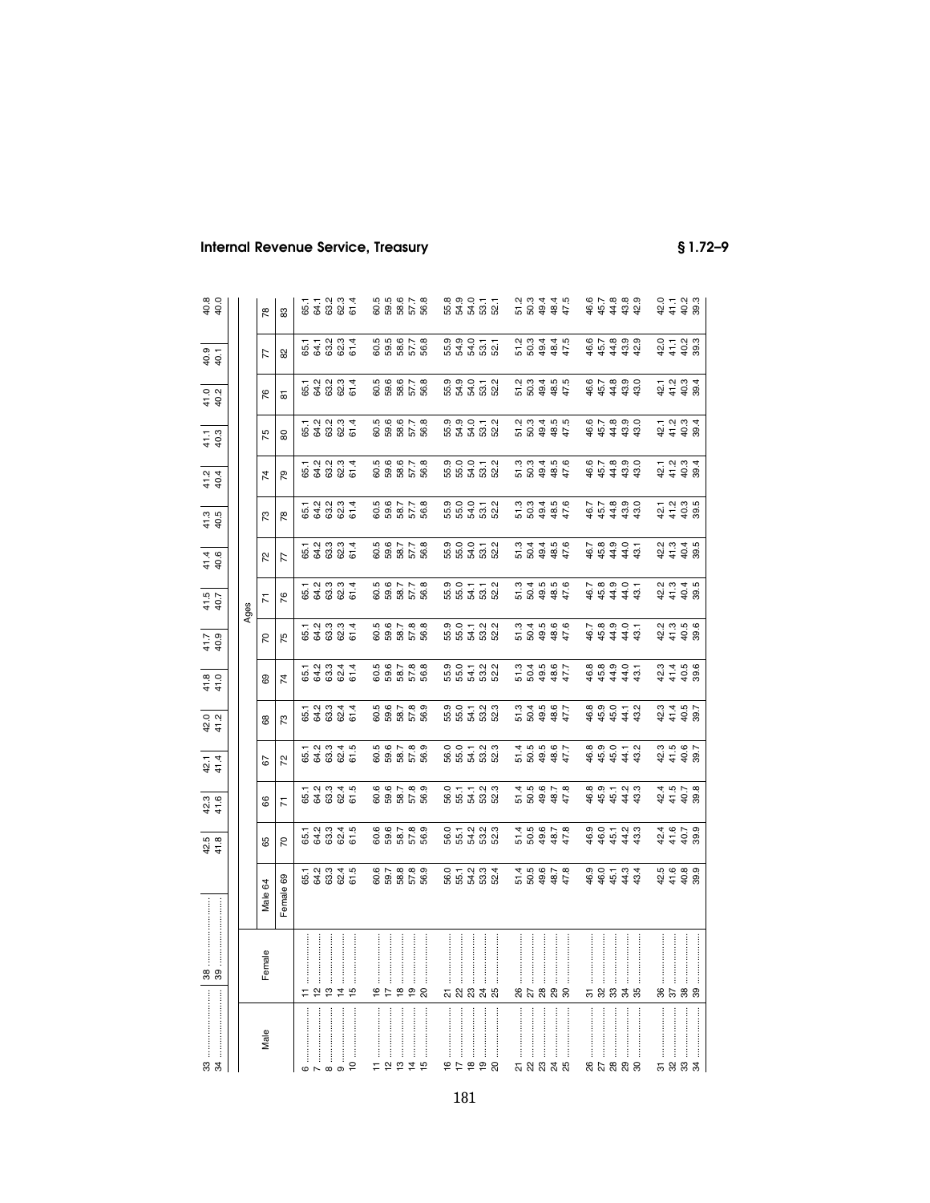|                                                                                                                                                      | $\label{eq:3} \begin{minipage}{0.9\linewidth} \begin{minipage}{0.9\linewidth} \begin{tabular}{ c c c } \hline & \multicolumn{3}{ c }{\textbf{r}} & \multicolumn{3}{ c }{\textbf{r}} & \multicolumn{3}{ c }{\textbf{r}} & \multicolumn{3}{ c }{\textbf{r}} & \multicolumn{3}{ c }{\textbf{r}} & \multicolumn{3}{ c }{\textbf{r}} & \multicolumn{3}{ c }{\textbf{r}} & \multicolumn{3}{ c }{\textbf{r}} & \multicolumn{3}{ c }{\textbf{r}} & \multicolumn{3}{$<br>జి జి |                                             | 42.8<br>4 4<br>4 4                      | 42.6<br>41.6                                                                                                                                                                                                               | 42.1<br>4 1<br>4 1                      | $\frac{20}{412}$                      | 41.8<br>41.0                        | $\frac{417}{40.9}$                      | 41.5<br>40.7                      | 41.4<br>40.6                            | $\frac{41.3}{40.5}$                                                          | 4<br>4<br>4<br>4<br>4                 | 41.1<br>40.3                                                           | $\frac{41.0}{40.2}$                                                    | 4<br>4 9<br>4 9                         | 40.0<br>40.0                                                                                                                                                                                                                                                                                                                    |
|------------------------------------------------------------------------------------------------------------------------------------------------------|-----------------------------------------------------------------------------------------------------------------------------------------------------------------------------------------------------------------------------------------------------------------------------------------------------------------------------------------------------------------------------------------------------------------------------------------------------------------------|---------------------------------------------|-----------------------------------------|----------------------------------------------------------------------------------------------------------------------------------------------------------------------------------------------------------------------------|-----------------------------------------|---------------------------------------|-------------------------------------|-----------------------------------------|-----------------------------------|-----------------------------------------|------------------------------------------------------------------------------|---------------------------------------|------------------------------------------------------------------------|------------------------------------------------------------------------|-----------------------------------------|---------------------------------------------------------------------------------------------------------------------------------------------------------------------------------------------------------------------------------------------------------------------------------------------------------------------------------|
|                                                                                                                                                      |                                                                                                                                                                                                                                                                                                                                                                                                                                                                       |                                             |                                         |                                                                                                                                                                                                                            |                                         |                                       |                                     |                                         |                                   |                                         |                                                                              |                                       |                                                                        |                                                                        |                                         |                                                                                                                                                                                                                                                                                                                                 |
|                                                                                                                                                      |                                                                                                                                                                                                                                                                                                                                                                                                                                                                       |                                             |                                         |                                                                                                                                                                                                                            |                                         |                                       |                                     |                                         | Ages                              |                                         |                                                                              |                                       |                                                                        |                                                                        |                                         |                                                                                                                                                                                                                                                                                                                                 |
| Male                                                                                                                                                 | Female                                                                                                                                                                                                                                                                                                                                                                                                                                                                | Male 64                                     | 65                                      | 8                                                                                                                                                                                                                          | 67                                      | 8                                     | 69                                  | 50                                      | π                                 | 25                                      | 73                                                                           | 74                                    | 75                                                                     | 76                                                                     | 77                                      | 78                                                                                                                                                                                                                                                                                                                              |
|                                                                                                                                                      |                                                                                                                                                                                                                                                                                                                                                                                                                                                                       | Female 69                                   | $\overline{70}$                         | κ                                                                                                                                                                                                                          | 52                                      | 73                                    | $\overline{7}$                      | 75                                      | 76                                | 77                                      | $\overline{78}$                                                              | 54                                    | 80                                                                     | 5                                                                      | 82                                      | 83                                                                                                                                                                                                                                                                                                                              |
| $\begin{array}{c c} \mathbf{6} & \cdots & \mathbf{6} \\ \hline \mathbf{7} & \cdots & \mathbf{7} \\ \mathbf{8} & \cdots & \mathbf{10} \\ \end{array}$ |                                                                                                                                                                                                                                                                                                                                                                                                                                                                       |                                             |                                         |                                                                                                                                                                                                                            |                                         |                                       |                                     |                                         |                                   |                                         |                                                                              |                                       |                                                                        |                                                                        |                                         |                                                                                                                                                                                                                                                                                                                                 |
|                                                                                                                                                      |                                                                                                                                                                                                                                                                                                                                                                                                                                                                       |                                             |                                         |                                                                                                                                                                                                                            |                                         |                                       |                                     |                                         |                                   |                                         |                                                                              |                                       |                                                                        |                                                                        |                                         |                                                                                                                                                                                                                                                                                                                                 |
|                                                                                                                                                      |                                                                                                                                                                                                                                                                                                                                                                                                                                                                       | 5 1 2 3 3 4 5<br>6 4 6 9 4 5<br>6 5 9 9 9   | 652345<br>643345                        | ក្ដួន<br>មិន្ទី ទី ទី<br>ក                                                                                                                                                                                                 | 5 3 3 3 4 5<br>5 4 5 4 5<br>5 5 6 7     | 5 2 3 3 4 4<br>6 4 5 6 7 4<br>6 5 6 6 | 5 3 3 3 4<br>5 4 5 9 5<br>5 5 9 9 9 | 5 2 3 3 3 4<br>6 4 5 9 9 7<br>5 9 9 9 9 | 61<br>64334<br>6586               | 5 2 3 3 3 4<br>6 4 5 9 9 7<br>5 9 9 9 9 | 5 3 3 3 4<br>5 4 5 9 5 7<br>5 5 9 9 9                                        | 5 2 3 3 3 4<br>5 4 5 9 5 7<br>5 5 9 5 | ្ម ភ្នំ<br>កំពុង<br>កំពុង ភ្នំ                                         | 5 3 3 3 4<br>6 4 5 9 6<br>5 6 7 9 9                                    | 5 1 2 3 3 4<br>6 4 5 9 6 7<br>5 6 9 6 7 | 5 1 1 2 3 3 4<br>5 4 5 9 5 5<br>5 5 9 5                                                                                                                                                                                                                                                                                         |
|                                                                                                                                                      |                                                                                                                                                                                                                                                                                                                                                                                                                                                                       |                                             |                                         |                                                                                                                                                                                                                            |                                         |                                       |                                     |                                         |                                   |                                         |                                                                              |                                       |                                                                        |                                                                        |                                         |                                                                                                                                                                                                                                                                                                                                 |
| $\tilde{c}$                                                                                                                                          |                                                                                                                                                                                                                                                                                                                                                                                                                                                                       |                                             |                                         |                                                                                                                                                                                                                            |                                         |                                       |                                     |                                         |                                   |                                         |                                                                              |                                       |                                                                        |                                                                        |                                         |                                                                                                                                                                                                                                                                                                                                 |
|                                                                                                                                                      |                                                                                                                                                                                                                                                                                                                                                                                                                                                                       |                                             |                                         |                                                                                                                                                                                                                            |                                         |                                       |                                     |                                         |                                   |                                         |                                                                              |                                       |                                                                        |                                                                        |                                         |                                                                                                                                                                                                                                                                                                                                 |
|                                                                                                                                                      |                                                                                                                                                                                                                                                                                                                                                                                                                                                                       |                                             |                                         |                                                                                                                                                                                                                            |                                         |                                       |                                     |                                         |                                   |                                         |                                                                              |                                       |                                                                        |                                                                        |                                         |                                                                                                                                                                                                                                                                                                                                 |
| $\begin{array}{ccc}\n\pm&\mathop{\mathcal{Q}}&\mathop{\mathcal{Q}}&\mathop{\mathcal{Z}}&\mathop{\mathcal{Q}}\\ \end{array}$                          | 9292                                                                                                                                                                                                                                                                                                                                                                                                                                                                  | 6<br>6 5 8 8 9<br>6 9 8 9 9                 | 6<br>6 8 7 8 9<br>6 9 8 9 9             | 6<br>6 6 7 8 9<br>6 8 8 9                                                                                                                                                                                                  | 6<br>6 8 7 8 9<br>6 9 8 9 9             | 6<br>6 8 7 8 9<br>6 9 8 9 9           | 8<br>8 8 8 7 8 8<br>8 8 8 9 8       |                                         | 8<br>0 3 4 5 6 9<br>0 9 9 9 9     | 8<br>0 3 4 5 6 9<br>0 9 9 9 9           | 8<br>8 3 4 5 6 9<br>8 9 8 9 9                                                | 8<br>0 9 9 8 9 9<br>0 9 9 9 9         |                                                                        | 5<br>6 5 6 6 7 8<br>6 5 8 6 9                                          | 5<br>5 5 5 6 5 6<br>5 5 5 6 6           |                                                                                                                                                                                                                                                                                                                                 |
|                                                                                                                                                      |                                                                                                                                                                                                                                                                                                                                                                                                                                                                       |                                             |                                         |                                                                                                                                                                                                                            |                                         |                                       |                                     |                                         |                                   |                                         |                                                                              |                                       |                                                                        |                                                                        |                                         |                                                                                                                                                                                                                                                                                                                                 |
|                                                                                                                                                      |                                                                                                                                                                                                                                                                                                                                                                                                                                                                       |                                             |                                         |                                                                                                                                                                                                                            |                                         |                                       |                                     |                                         |                                   |                                         |                                                                              |                                       |                                                                        |                                                                        |                                         |                                                                                                                                                                                                                                                                                                                                 |
|                                                                                                                                                      |                                                                                                                                                                                                                                                                                                                                                                                                                                                                       |                                             |                                         |                                                                                                                                                                                                                            |                                         |                                       |                                     |                                         |                                   |                                         |                                                                              |                                       |                                                                        |                                                                        |                                         |                                                                                                                                                                                                                                                                                                                                 |
| 99292                                                                                                                                                | <b>ភ</b> ន ឌ <del>ង</del> ន                                                                                                                                                                                                                                                                                                                                                                                                                                           | 0 + 0 0 4<br>9 5 4 6 9 4<br>9 5 4 6 9       | 0 1 2 3 3 3<br>6 5 4 5 6 7<br>6 5 7 8 9 | 0 <del>ក</del> ក្នុង<br>មើង ជី ជី ជី                                                                                                                                                                                       | 0 0 1 2 3 3<br>6 5 4 5 6 7<br>6 5 7 8 9 | 9 0 1 2 3 3<br>5 5 4 5 9 9            | 9 0 1 9 9<br>5 5 4 9 9<br>9 9 9 9   | 9 0 1 2 3<br>5 5 4 5 9 9<br>9 9 9 9     | 9 0 1 1 2<br>5 5 4 5 9<br>5 9 9 9 | 9 0 0 1 2<br>5 5 4 5 9 9<br>9 9 9 9     | 9 0 0 0 1 2<br>5 5 4 5 9 9<br>9 9 9 9                                        | 9 0 0 1 2<br>5 5 4 5 9 9<br>9 9 9 9   |                                                                        | 9<br>5 9 9 5 7 8<br>5 9 9 9 9                                          | ១១០ – –<br>5 3 5 5 6<br>5 5 6 5         |                                                                                                                                                                                                                                                                                                                                 |
|                                                                                                                                                      |                                                                                                                                                                                                                                                                                                                                                                                                                                                                       |                                             |                                         |                                                                                                                                                                                                                            |                                         |                                       |                                     |                                         |                                   |                                         |                                                                              |                                       |                                                                        |                                                                        |                                         |                                                                                                                                                                                                                                                                                                                                 |
|                                                                                                                                                      |                                                                                                                                                                                                                                                                                                                                                                                                                                                                       |                                             |                                         |                                                                                                                                                                                                                            |                                         |                                       |                                     |                                         |                                   |                                         |                                                                              |                                       |                                                                        |                                                                        |                                         |                                                                                                                                                                                                                                                                                                                                 |
|                                                                                                                                                      |                                                                                                                                                                                                                                                                                                                                                                                                                                                                       |                                             |                                         |                                                                                                                                                                                                                            |                                         |                                       |                                     |                                         |                                   |                                         |                                                                              |                                       |                                                                        |                                                                        |                                         |                                                                                                                                                                                                                                                                                                                                 |
|                                                                                                                                                      |                                                                                                                                                                                                                                                                                                                                                                                                                                                                       |                                             |                                         |                                                                                                                                                                                                                            |                                         |                                       |                                     |                                         |                                   |                                         |                                                                              |                                       |                                                                        |                                                                        |                                         |                                                                                                                                                                                                                                                                                                                                 |
|                                                                                                                                                      |                                                                                                                                                                                                                                                                                                                                                                                                                                                                       |                                             |                                         |                                                                                                                                                                                                                            |                                         |                                       |                                     |                                         |                                   |                                         |                                                                              |                                       |                                                                        |                                                                        |                                         |                                                                                                                                                                                                                                                                                                                                 |
| <b>ភ ន ន ន ន</b>                                                                                                                                     |                                                                                                                                                                                                                                                                                                                                                                                                                                                                       | 5 5 9 9 9 9 9<br>5 9 9 9 7 8<br>5 9 9 9 7 8 | $145678$<br>$155678$<br>$155678$        | 5 5 <del>8 8 7 8</del><br>2 8 9 8 7 8                                                                                                                                                                                      | 5<br>5 9 9 9 7<br>5 9 9 9 7             | 5<br>5 9 9 9 7<br>5 9 9 9 7           | 5<br>2008<br>2002<br>2002           | 5<br>5 9 9 9 9 9<br>5 9 9 9 9           | 5<br>5 9 9 9 7<br>5 9 9 9 7       | 5<br>5 9 9 9 9 9<br>5 9 9 9 9           | 5<br>5 9 9 9 5<br>5 9 9 9 5                                                  | 5<br>5 9 9 9 9 9<br>5 9 9 9 9         | 5 5 <del>4 5 4 7</del><br>7 5 <del>4 5 7</del><br>7 9 <del>4 7</del> 7 | 5 5 <del>4 5 5 7</del><br>7 5 <del>4 5 7</del><br>7 9 <del>4 7</del> 7 | 5<br>5 9 9 9 4 5<br>5 9 9 9 7           | 5<br>5 9 9 9 5<br>7 9 9 9 5                                                                                                                                                                                                                                                                                                     |
|                                                                                                                                                      |                                                                                                                                                                                                                                                                                                                                                                                                                                                                       |                                             |                                         |                                                                                                                                                                                                                            |                                         |                                       |                                     |                                         |                                   |                                         |                                                                              |                                       |                                                                        |                                                                        |                                         |                                                                                                                                                                                                                                                                                                                                 |
|                                                                                                                                                      |                                                                                                                                                                                                                                                                                                                                                                                                                                                                       |                                             |                                         |                                                                                                                                                                                                                            |                                         |                                       |                                     |                                         |                                   |                                         |                                                                              |                                       |                                                                        |                                                                        |                                         |                                                                                                                                                                                                                                                                                                                                 |
|                                                                                                                                                      |                                                                                                                                                                                                                                                                                                                                                                                                                                                                       |                                             |                                         |                                                                                                                                                                                                                            |                                         |                                       |                                     |                                         |                                   |                                         |                                                                              |                                       |                                                                        |                                                                        |                                         |                                                                                                                                                                                                                                                                                                                                 |
| j                                                                                                                                                    |                                                                                                                                                                                                                                                                                                                                                                                                                                                                       |                                             |                                         |                                                                                                                                                                                                                            |                                         |                                       |                                     |                                         |                                   |                                         |                                                                              |                                       |                                                                        |                                                                        |                                         |                                                                                                                                                                                                                                                                                                                                 |
| 85888                                                                                                                                                | 58338                                                                                                                                                                                                                                                                                                                                                                                                                                                                 | $484444$ $434$                              | $48444$ $3043$                          | $\begin{array}{cccccc} \hat{\alpha} & \hat{\alpha} & \hat{\alpha} & \hat{\alpha} \\ \hat{\alpha} & \hat{\alpha} & \hat{\alpha} & \hat{\alpha} \\ \hat{\alpha} & \hat{\alpha} & \hat{\alpha} & \hat{\alpha} \\ \end{array}$ | $44444$<br>$4444$<br>$444$              | $4890112$<br>$49443$                  | $44444$ $43$                        | $44444$<br>$4444$                       | $44444$<br>$64444$                | $44444$<br>$4444$                       | $44430$<br>$64430$                                                           | $444444$ $4434$                       | $444344$<br>$6.7890$ $0.000$                                           | $44430$<br>$45430$                                                     |                                         | $\begin{array}{cccccc} 4 & 4 & 4 & 3 & 3 \\ 6 & 6 & 4 & 3 & 3 \\ 7 & 8 & 6 & 3 & 3 \\ 8 & 9 & 1 & 3 & 3 \\ 9 & 1 & 3 & 3 & 3 \\ 1 & 1 & 3 & 3 & 3 \\ 1 & 1 & 3 & 3 & 3 \\ 1 & 1 & 3 & 3 & 3 \\ 1 & 1 & 3 & 3 & 3 \\ 1 & 1 & 3 & 3 & 3 \\ 1 & 1 & 3 & 3 & 3 \\ 1 & 1 & 3 & 3 & 3 \\ 1 & 1 & 3 & 3 & 3 \\ 1 & 1 & 3 & 3 & 3 \\ 1$ |
|                                                                                                                                                      |                                                                                                                                                                                                                                                                                                                                                                                                                                                                       |                                             |                                         |                                                                                                                                                                                                                            |                                         |                                       |                                     |                                         |                                   |                                         |                                                                              |                                       |                                                                        |                                                                        |                                         |                                                                                                                                                                                                                                                                                                                                 |
|                                                                                                                                                      |                                                                                                                                                                                                                                                                                                                                                                                                                                                                       |                                             |                                         |                                                                                                                                                                                                                            |                                         |                                       |                                     |                                         |                                   |                                         |                                                                              |                                       |                                                                        |                                                                        |                                         |                                                                                                                                                                                                                                                                                                                                 |
|                                                                                                                                                      |                                                                                                                                                                                                                                                                                                                                                                                                                                                                       |                                             |                                         |                                                                                                                                                                                                                            |                                         |                                       |                                     |                                         |                                   |                                         |                                                                              |                                       |                                                                        |                                                                        |                                         |                                                                                                                                                                                                                                                                                                                                 |
| $\ddot{\phantom{a}}$                                                                                                                                 |                                                                                                                                                                                                                                                                                                                                                                                                                                                                       |                                             |                                         |                                                                                                                                                                                                                            |                                         |                                       |                                     |                                         |                                   |                                         |                                                                              |                                       |                                                                        |                                                                        |                                         |                                                                                                                                                                                                                                                                                                                                 |
| <b>ត ន ន ន</b>                                                                                                                                       | 8588                                                                                                                                                                                                                                                                                                                                                                                                                                                                  |                                             | $4979$<br>$4799$<br>$4799$              | $4578$<br>$4578$<br>$458$                                                                                                                                                                                                  |                                         | $34 + 38$<br>$44 + 38$                |                                     |                                         | 2<br>2 3 4 5 9<br>2 4 5 9         |                                         | $21$<br>$21$<br>$21$<br>$21$<br>$21$<br>$21$<br>$21$<br>$21$<br>$21$<br>$21$ | 1<br>21 1 9 1<br>4 4 9 10             | $47.2884$<br>$47.384$                                                  | $21$<br>$21$<br>$23$<br>$25$<br>$25$<br>$25$                           | $24 + 28$<br>$24 + 28$<br>$25$          | 2 1 1 2 3<br>2 1 2 3 3<br>2 4 2 9                                                                                                                                                                                                                                                                                               |
|                                                                                                                                                      |                                                                                                                                                                                                                                                                                                                                                                                                                                                                       |                                             |                                         |                                                                                                                                                                                                                            |                                         |                                       |                                     |                                         |                                   |                                         |                                                                              |                                       |                                                                        |                                                                        |                                         |                                                                                                                                                                                                                                                                                                                                 |
|                                                                                                                                                      |                                                                                                                                                                                                                                                                                                                                                                                                                                                                       |                                             |                                         |                                                                                                                                                                                                                            |                                         |                                       |                                     |                                         |                                   |                                         |                                                                              |                                       |                                                                        |                                                                        |                                         |                                                                                                                                                                                                                                                                                                                                 |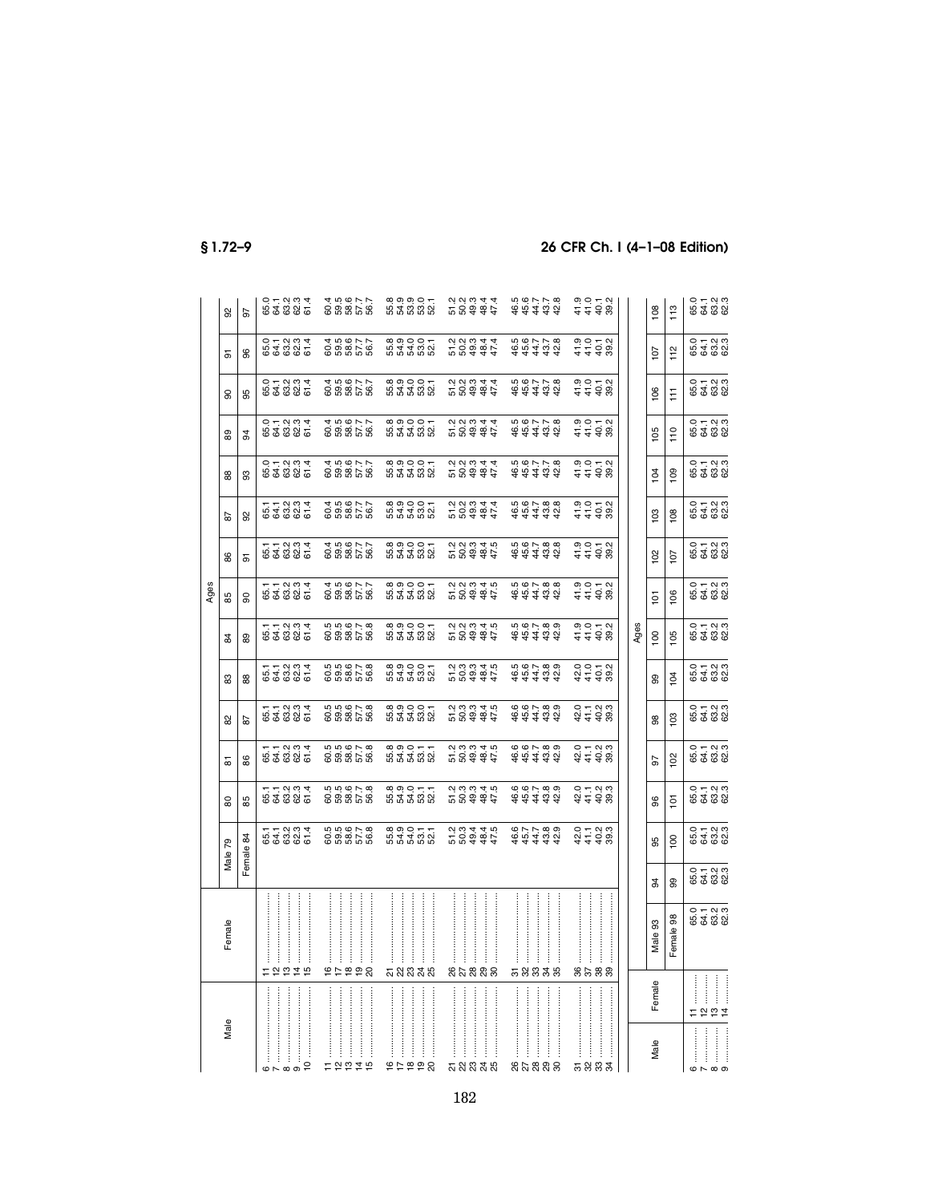|      | 95      | 56        | 0 1 2 3 3 4<br>6 4 6 6 7<br>0 7 9 9 9 |               |  |                |  |               | 59857<br>69857<br>6985                                                                |  |  | 8<br>8<br>8<br>8<br>8<br>8<br>8<br>8<br>8<br>8<br>8<br>8 |  |                                                               |  |  |                      | $44434$<br>$44434$                                            |  |                                                                                           |      | $\overline{8}$ | 113            |                               |  |
|------|---------|-----------|---------------------------------------|---------------|--|----------------|--|---------------|---------------------------------------------------------------------------------------|--|--|----------------------------------------------------------|--|---------------------------------------------------------------|--|--|----------------------|---------------------------------------------------------------|--|-------------------------------------------------------------------------------------------|------|----------------|----------------|-------------------------------|--|
|      | 5       | 96        | $0 + 2004$<br>$04004$                 |               |  |                |  |               | 605677<br>605677<br>60567                                                             |  |  |                                                          |  | 5<br>2004<br>2004<br>20                                       |  |  |                      | 44444<br>64444                                                |  | $3.052$<br>$4.48$<br>$3.052$                                                              |      | 107            | 112            | 0 + 0<br>6 4 6 6<br>6 4 6 8   |  |
|      | 8       | 95        | 011234<br>64685                       |               |  |                |  |               |                                                                                       |  |  |                                                          |  |                                                               |  |  |                      | $44434$<br>$4434$                                             |  | 9 9 5 9<br>5 5 9 9<br>9 9 9 9                                                             |      | 106            | Ħ              |                               |  |
|      | 8       | 34        | 011234<br>646845                      |               |  |                |  |               |                                                                                       |  |  |                                                          |  |                                                               |  |  |                      | $44434$<br>$4434$                                             |  | $30072$<br>$4498$                                                                         |      | 105            | 110            | 0 + 0 0<br>6 4 0 0<br>6 6 0 0 |  |
|      | 88      | 83        | $0.72824$<br>$0.72824$                |               |  |                |  |               |                                                                                       |  |  |                                                          |  | 5<br>2004<br>2004<br>20                                       |  |  |                      | $44444$<br>$4444$                                             |  | $30072$<br>$4498$                                                                         |      | 104            | 109            | 0<br>5 1 - 2 3<br>5 3 2 3     |  |
|      | 5       | 92        | $57.7994$<br>$54.8874$                |               |  |                |  |               |                                                                                       |  |  |                                                          |  | 5 8 <del>8 8 7</del><br>2 8 <del>8 8 7</del>                  |  |  |                      | $44434$<br>$4434$                                             |  | $7770$<br>$7770$<br>$7790$                                                                |      | 103            | 108            | 0 + 0 0<br>6 4 0 0<br>6 6 0 0 |  |
|      | 86      | 5         | ្អ<br>មេដូនទី<br>ក្នុង                |               |  |                |  |               | 4 5 6 7 7<br>6 8 8 6 7 7<br>6 8 8 9 9                                                 |  |  | ∞ ๑ ๐ ๐ <del>.</del><br>២ 3 3 3 3 3                      |  | 5<br>201014<br>201015                                         |  |  |                      | 44444<br>64444                                                |  |                                                                                           |      | 102            | 107            | 0 + 0 m<br>5 4 6 6<br>6 6 6 6 |  |
| Ages | 85      | 8         | $57.7994$<br>$54.885$                 |               |  |                |  |               |                                                                                       |  |  |                                                          |  | 5 5 <del>4 5 4 7</del><br>2 5 <del>6 4 7</del> 7<br>2 7 9 4 7 |  |  |                      | $44434$<br>$60788$ $6078$                                     |  |                                                                                           |      | $\overline{5}$ | 106            | 0 + 0 0<br>6 4 0 0<br>6 6 0 0 |  |
|      | 84      | 89        | 512334<br>54885                       |               |  |                |  |               | 5<br>6<br>6<br>6<br>6<br>6<br>6<br>5<br>6<br>6<br>6<br>6<br>6<br>6<br>6<br>6<br>      |  |  | 8<br>8<br>5<br>8<br>5<br>8<br>8<br>8<br>8<br>8           |  | 0.0040<br>58994                                               |  |  |                      | $560 - 500$<br>र्क से से से ले                                |  |                                                                                           | Ages | 100            | 105            | o – a a<br>មើង និង<br>២ ក្នុង |  |
|      | 83      | 88        | $51.7994$<br>$53.894$                 |               |  |                |  |               | 5<br>6<br>6<br>6<br>6<br>6<br>6<br>6<br>6<br>6<br>6<br>6<br>6<br>6<br>6<br>6<br>6<br> |  |  |                                                          |  |                                                               |  |  |                      | 44444<br>64444                                                |  | $\begin{array}{cccc}\n 0 & 0 & - & 0 \\  2 & 0 & - & 0 \\  3 & 0 & 0 & 0 \\  \end{array}$ |      | 8              | 104            | 0 + 0 0<br>6 4 0 0<br>6 6 0 0 |  |
|      | 8       | 29        | 512334<br>54885                       |               |  |                |  |               | 5<br>000078<br>00000                                                                  |  |  | 8<br>8<br>5<br>8<br>5<br>8<br>8<br>8<br>8<br>8           |  | 5<br>2004<br>2004<br>20                                       |  |  |                      | $44444$<br>$66180$                                            |  | $24 + 38$<br>$24 + 38$                                                                    |      | 86             | 103            | 0 + 0 m<br>5 4 m m<br>6 4 m m |  |
|      | 5       | 86        | $51.7994$<br>$53.7994$                |               |  |                |  |               | 5<br>000078<br>00000                                                                  |  |  | 8<br>8<br>8<br>8<br>8<br>8<br>8<br>8<br>8<br>8<br>8      |  |                                                               |  |  |                      | $44434$<br>$661439$                                           |  | $27.28$<br>$27.28$ $27.28$                                                                |      | 26             | 102            | 0<br>5 4 8 8<br>6 4 8 9       |  |
|      | 8       | 86        | $57 - 289$<br>556855                  |               |  |                |  |               | 5<br>6<br>6<br>6<br>6<br>6<br>6<br>6<br>6<br>6<br>6<br>6<br>6<br>6<br>6<br>6<br>      |  |  | ∞ុុុ−<br>ងង់ង់នង់                                        |  | 5<br>8 3 3 4 5<br>7 9 5 4 7                                   |  |  |                      | $\omega$ $\omega$ $\sim$ $\omega$ $\omega$<br>र्क से से से ले |  | 0 + 0 m<br>2 + 9 m<br>2 + 9 m                                                             |      | 8              | $\overline{5}$ | 0 + 0 m<br>8 \$ 8 8           |  |
|      | Male 79 | Female 84 | $57.7994$<br>$54.885$                 |               |  |                |  |               | 6<br>00007.8<br>00007                                                                 |  |  | 833555<br>83368                                          |  | 5 8 <del>4 4 4</del><br>2 8 <del>4 4 7</del><br>2 8 4 4 7     |  |  |                      | $44434$<br>$44434$                                            |  | $27.788$<br>$27.788$                                                                      |      | 95             | 100            | 0<br>5 4 5 9 9<br>6 4 5 9     |  |
|      |         |           |                                       |               |  |                |  |               |                                                                                       |  |  |                                                          |  |                                                               |  |  |                      |                                                               |  |                                                                                           |      | ¥.             | 8              | 0 + 0 m<br>6 4 m m<br>6 6 m   |  |
|      | Female  |           |                                       |               |  |                |  |               |                                                                                       |  |  |                                                          |  | j                                                             |  |  | $\ddot{\phantom{a}}$ |                                                               |  |                                                                                           |      | 93<br>Male :   | Female 98      |                               |  |
|      |         |           | 12219                                 |               |  |                |  |               | 65858                                                                                 |  |  | ភ្លួននូង                                                 |  | នុងនួនន                                                       |  |  |                      | 58838                                                         |  | 8588                                                                                      |      | Female         |                | E P P                         |  |
|      | Male    |           | $m \wedge m$                          | $\frac{1}{2}$ |  | $\overline{a}$ |  | $\frac{1}{2}$ | $E$ $29249$                                                                           |  |  | <br>9599                                                 |  | ភ្លួននាង                                                      |  |  | j                    | 85888                                                         |  | <b>ㅠ 있 었 ネ</b>                                                                            |      | Male           |                | $m \wedge m$                  |  |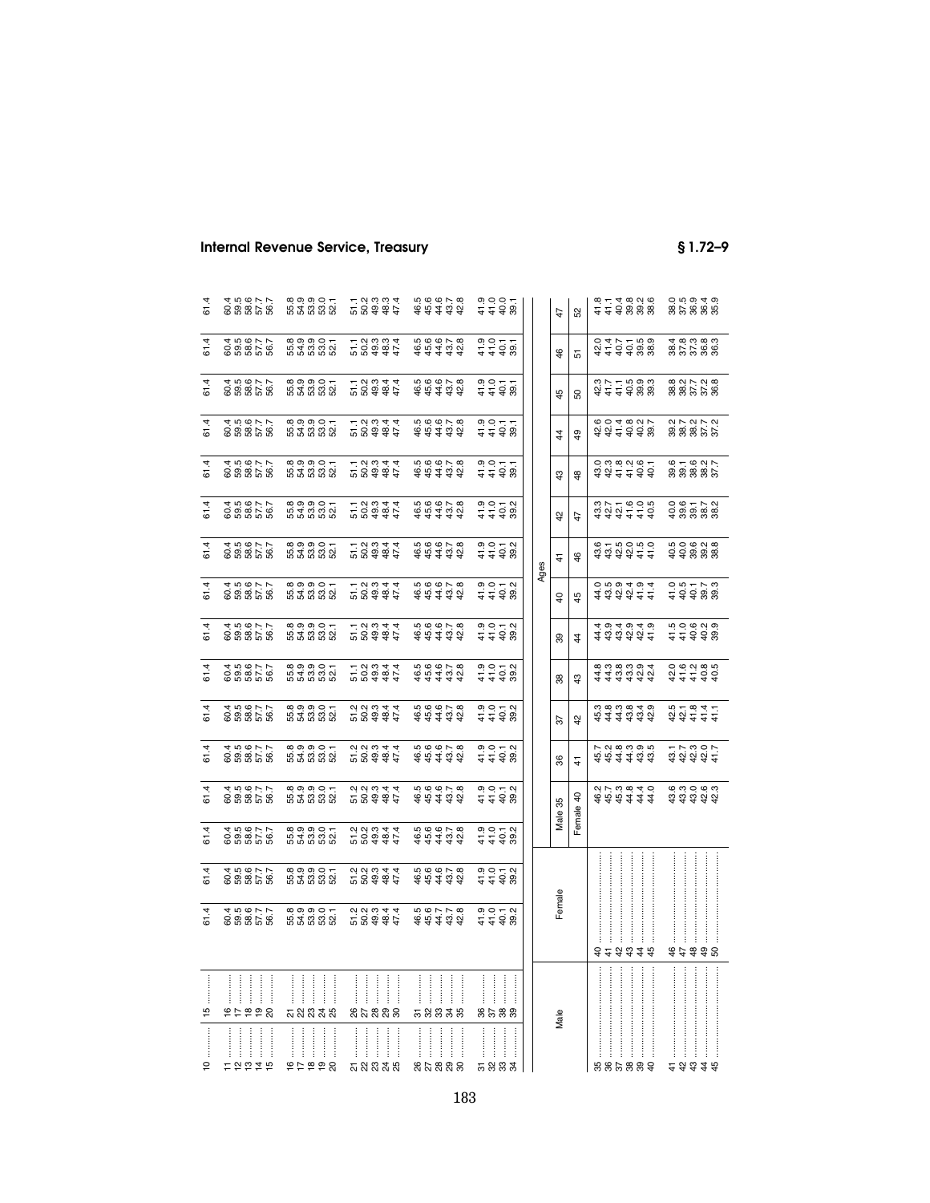| 61.4          | 258855<br>28855                                                              | 8<br>8<br>8<br>8<br>8<br>8<br>8<br>8<br>8              | 5 8 <del>8 8 7</del><br>5 8 <del>8 8 7</del>                         | $44434$<br>$4434$            | $3.585$<br>$4.488$                 | 52<br>47                       |   | e – 4 e o o e<br>4 4 9 9 9 9<br>9 9 9 9 9                                                                                                                                                                                                                                                                                                | 0 10 9 4 9<br>8 5 9 9 9<br>0 9 9 9 9                                                                                                                                                                                                                                                                                                                                                       |
|---------------|------------------------------------------------------------------------------|--------------------------------------------------------|----------------------------------------------------------------------|------------------------------|------------------------------------|--------------------------------|---|------------------------------------------------------------------------------------------------------------------------------------------------------------------------------------------------------------------------------------------------------------------------------------------------------------------------------------------|--------------------------------------------------------------------------------------------------------------------------------------------------------------------------------------------------------------------------------------------------------------------------------------------------------------------------------------------------------------------------------------------|
| 61.4          | 8<br>8<br>8<br>8<br>8<br>8<br>8<br>8<br>8<br>8<br>8<br>8<br>8<br>8           | 8<br>8<br>8<br>8<br>8<br>8<br>8<br>8<br>8              | 5 3 3 3 4<br>5 3 9 4 5<br>5 9 4 5 4                                  | $44444$<br>$4444$            | $30077$<br>$448$                   | $\frac{6}{5}$<br>5             |   | 0 4 1 5 9 9 9<br>0 4 1 5 9 9 9<br>0 4 7 5 9 9 9                                                                                                                                                                                                                                                                                          | 4 8 9 9 8<br>8 5 5 9 8 9<br>4 8 9 9 9                                                                                                                                                                                                                                                                                                                                                      |
| 61.4          | 3<br>8 8 8 7 7<br>8 8 8 9 9                                                  | 8<br>8<br>8<br>8<br>8<br>8<br>8<br>8<br>8              | 5 8 <del>8 8 7</del><br>5 8 9 8 7                                    | $44434$<br>$44434$           | .<br>이 이 드 드<br><del>그</del> 구 유 8 | 45<br><u>ន</u>                 |   | 3 4 4 4 9 9 9<br>3 4 4 5 9 9 9                                                                                                                                                                                                                                                                                                           | 8<br>885588<br>88568                                                                                                                                                                                                                                                                                                                                                                       |
| 61.4          | 000000<br>000000<br>00000                                                    | 8<br>8<br>8<br>8<br>8<br>8<br>8<br>8<br>8              | 5 8 <del>8 8 7</del><br>5 8 9 8 7                                    | $44434$<br>$4444$            | $3.555$<br>$3.555$                 | 4<br>$^{9}$                    |   |                                                                                                                                                                                                                                                                                                                                          |                                                                                                                                                                                                                                                                                                                                                                                            |
| 61.4          |                                                                              | $89990 -$                                              | 5 8 <del>8 8 7</del><br>5 8 <del>8 8 7</del>                         | $44434$<br>$4444$            | $3.057$<br>$4.48$                  | $\frac{3}{4}$<br>$\frac{8}{3}$ |   | $3342334$<br>$342236$                                                                                                                                                                                                                                                                                                                    | $6 - 6$ N<br>$6$ S S S S S<br>$6$ S S S S                                                                                                                                                                                                                                                                                                                                                  |
| 61.4          | 3<br>8<br>8<br>8<br>8<br>8<br>8<br>8<br>8<br>8<br>8<br>8<br>8<br>8<br>8<br>8 | នុក្ខ<br>មិន្ទី<br>ទី១១ មិ                             | 5 8 <del>8 8 7</del><br>5 8 9 8 7                                    | $44444$<br>$4444$<br>$444$   | $3.58$<br>$3.58$<br>$3.58$         | 5<br>$\overline{4}$            |   | 4 5 4 4 4 5 4<br>4 5 4 5 4 5 6 7                                                                                                                                                                                                                                                                                                         | 0 9 5 5 9<br>9 8 8 8 9<br>9 8 9 8 9                                                                                                                                                                                                                                                                                                                                                        |
| 61.4          | 3<br>8<br>8<br>8<br>8<br>8<br>8<br>8<br>8<br>8<br>8<br>8<br>8                | 8<br>8<br>8<br>8<br>8<br>8<br>8<br>8<br>8              | 5 8 <del>8 8 7</del><br>1 8 9 <del>8 7</del><br>1 9 9 4 7            | $44444$<br>$4444$            | $3.58$<br>$4.48$<br>$4.48$         | 46<br>$\frac{4}{3}$            |   |                                                                                                                                                                                                                                                                                                                                          |                                                                                                                                                                                                                                                                                                                                                                                            |
| 61.4          | 3<br>8<br>8<br>8<br>8<br>8<br>8<br>8<br>8<br>8<br>8<br>8<br>8<br>8<br>8<br>8 | 8<br>8<br>8<br>8<br>8<br>8<br>8<br>8<br>8              | 5 8 <del>8 8 7</del><br>5 8 9 8 7                                    | $44434$<br>$66678$<br>$6678$ | .<br>이 이 드 이<br><del>이</del> 이 드 어 | Ages<br>45<br>$\overline{6}$   |   | दिसंस्य स्<br>दर्भक्षयम्<br>दर्भक्षयम्                                                                                                                                                                                                                                                                                                   | 0 5 5 7 9 9<br>0 9 9 9 9 9                                                                                                                                                                                                                                                                                                                                                                 |
| 61.4          | 3<br>8<br>8<br>8<br>8<br>8<br>8<br>8<br>8<br>8<br>8<br>8<br>8                | 8<br>8<br>8<br>8<br>8<br>8<br>8<br>8                   | 5 8 <del>8 8 7</del><br>1 8 9 <del>8 7</del>                         | $44444$<br>$4444$            |                                    | 89<br>$\ddot{4}$               |   | 4 <del>4 4 4 4 4</del><br>4 4 4 4 4 4<br>4 9 4 9 4 9                                                                                                                                                                                                                                                                                     | scoco<br>110000<br>110000                                                                                                                                                                                                                                                                                                                                                                  |
| 61.4          |                                                                              | នុក្ខ<br>មិន្ទី<br>ទី១១ មិ                             | 5 8 <del>8 8 7</del><br>1 8 9 <del>8 7</del><br>1 9 9 4 7            | $44434$<br>$4434$            |                                    | 38<br>\$                       |   | दिविद्युक्त<br>संवर्धकेल<br>बंबंबंधक                                                                                                                                                                                                                                                                                                     | <del>3</del><br>5<br>6<br>6<br>6<br>6<br>6<br>6<br>6<br>6<br>6<br>6<br>6<br>6<br>6<br>6<br>                                                                                                                                                                                                                                                                                                |
| 61.4          | 3<br>8<br>8<br>8<br>8<br>8<br>8<br>8<br>8<br>8<br>8<br>8<br>8                | 8<br>8<br>8<br>8<br>8<br>8<br>8<br>8<br>8              | 5<br>8 9 9 9 7<br>7 9 9 9 7                                          | $44434$<br>$44434$           |                                    | 42<br>57                       |   | $\begin{array}{c} 4\ddot{4}\ddot{4}\ddot{5}\ddot{6}\ddot{9} \\ 6\ddot{1} \\ 6\ddot{1} \\ 6\ddot{1} \\ 6\ddot{1} \\ 6\ddot{1} \\ 6\ddot{1} \\ 6\ddot{1} \\ 6\ddot{1} \\ 6\ddot{1} \\ 6\ddot{1} \\ 6\ddot{1} \\ 6\ddot{1} \\ 6\ddot{1} \\ 6\ddot{1} \\ 6\ddot{1} \\ 6\ddot{1} \\ 6\ddot{1} \\ 6\ddot{1} \\ 6\ddot{1} \\ 6\ddot{1} \\ 6\dd$ | $224444$<br>$244444$                                                                                                                                                                                                                                                                                                                                                                       |
| 61.4          |                                                                              | 8<br>8<br>8<br>8<br>8<br>8<br>8<br>8<br>8<br>8         |                                                                      | $44434$<br>$4434$            |                                    | 36<br>$\ddot{+}$               |   |                                                                                                                                                                                                                                                                                                                                          |                                                                                                                                                                                                                                                                                                                                                                                            |
| 61.4          | 3<br>8 8 8 5 8<br>8 8 8 9                                                    | $\alpha$ $\alpha$ $\alpha$ $\alpha$ $\alpha$<br>ងន់នងន | 5 8 <del>8 8 2</del><br>2 8 <del>8 8 2</del>                         |                              | 9 이 - 이<br><del>1</del> 4 8 8      | Female 40<br>Male 35           |   |                                                                                                                                                                                                                                                                                                                                          | $\begin{array}{ccccccccc} \vec{a} & \vec{a} & \vec{a} & \vec{b} & \vec{c} & \vec{c} & \vec{c} & \vec{c} & \vec{c} & \vec{c} & \vec{c} & \vec{c} & \vec{c} & \vec{c} & \vec{c} & \vec{c} & \vec{c} & \vec{c} & \vec{c} & \vec{c} & \vec{c} & \vec{c} & \vec{c} & \vec{c} & \vec{c} & \vec{c} & \vec{c} & \vec{c} & \vec{c} & \vec{c} & \vec{c} & \vec{c} & \vec{c} & \vec{c} & \vec{c} & \$ |
| 61.4          |                                                                              | 8<br>8<br>8<br>8<br>8<br>8<br>8<br>8<br>8              | 5 8 <del>8 8 7</del><br>7 8 <del>8 8 7</del><br>7 9 8 <del>4</del> 7 | $44434$<br>$4434$            |                                    |                                |   |                                                                                                                                                                                                                                                                                                                                          |                                                                                                                                                                                                                                                                                                                                                                                            |
| 61.4          | 8<br>8<br>8<br>8<br>8<br>8<br>8<br>8<br>8<br>8<br>8<br>8<br>8<br>8           | 8<br>8<br>8<br>8<br>8<br>8<br>8<br>8<br>8<br>8         | r<br>200447<br>20044                                                 | $44434$<br>$66650$<br>$6678$ | $3.052$<br>$4.498$                 |                                |   |                                                                                                                                                                                                                                                                                                                                          |                                                                                                                                                                                                                                                                                                                                                                                            |
| 61.4          | 3<br>8 8 8 7 7<br>8 8 8 9 9                                                  | 8<br>8<br>8<br>8<br>8<br>8<br>8<br>8<br>8              | 5 8 <del>8 8 7</del><br>2 8 <del>8 8 7</del>                         | $44444$<br>$4444$            | .<br>이 이 드 이<br><del>이</del> 이 드 어 | Female                         |   | 323338                                                                                                                                                                                                                                                                                                                                   | \$7\$\$8                                                                                                                                                                                                                                                                                                                                                                                   |
| 15            | おけねやめ                                                                        | ÷<br><b>ភ</b> ន ន ន ន                                  | នកននាន                                                               | <br>Ť<br>ŧ<br>÷<br>58838     | 8533                               | Male                           |   |                                                                                                                                                                                                                                                                                                                                          |                                                                                                                                                                                                                                                                                                                                                                                            |
| $\frac{1}{2}$ | 12219                                                                        | 99929                                                  | <b>ភ</b> ន ន ន ន                                                     | នកននាន                       | <br><b>5883</b>                    |                                | Ì | 886889                                                                                                                                                                                                                                                                                                                                   | 23328                                                                                                                                                                                                                                                                                                                                                                                      |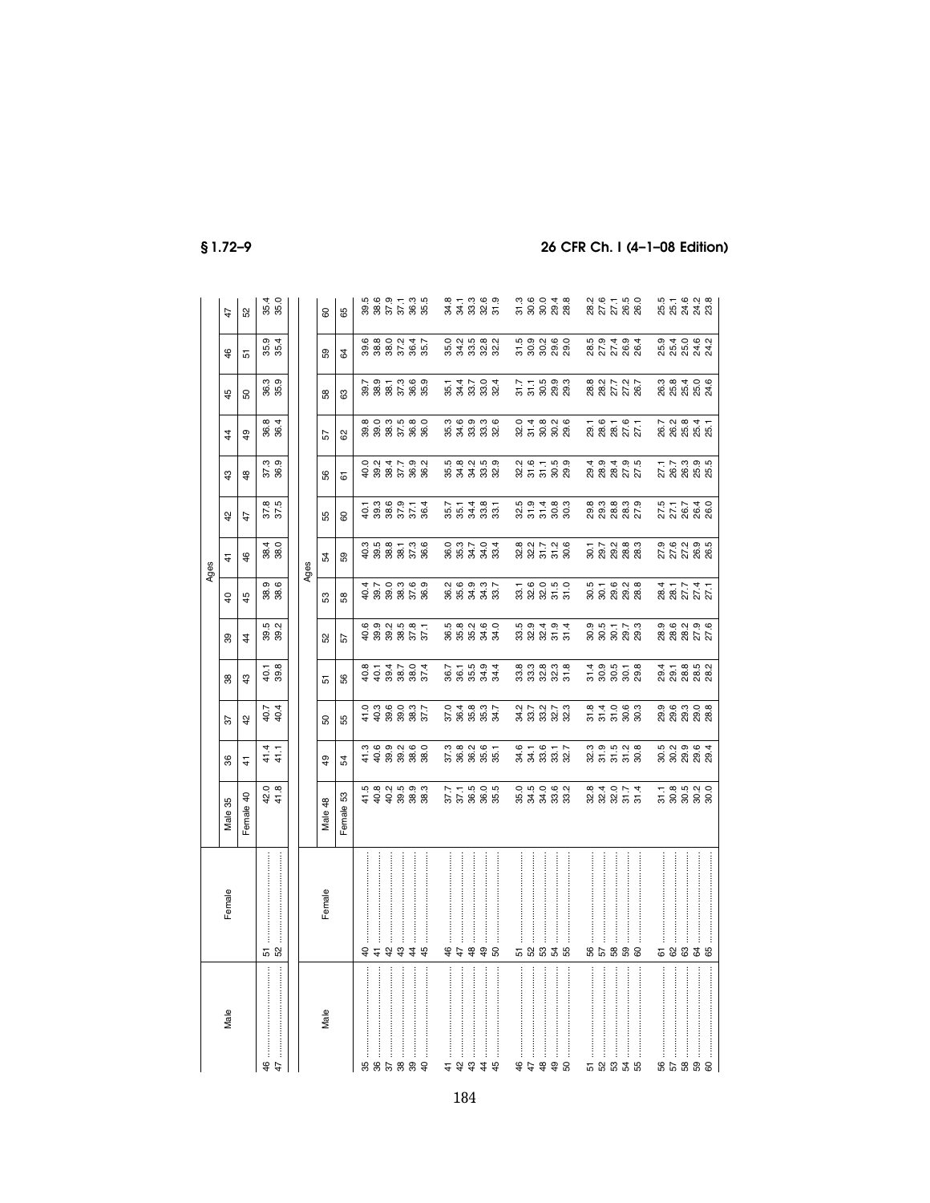|                                                                                                                                                                                                                                                                                                                                                                                                                                                            |                  |                                       |                               |                                        |                                           |                                                    |                                           | Ages                                                               |                                                    |                                             |                                                    |                                                                                                                                                                         |                                   |                               |
|------------------------------------------------------------------------------------------------------------------------------------------------------------------------------------------------------------------------------------------------------------------------------------------------------------------------------------------------------------------------------------------------------------------------------------------------------------|------------------|---------------------------------------|-------------------------------|----------------------------------------|-------------------------------------------|----------------------------------------------------|-------------------------------------------|--------------------------------------------------------------------|----------------------------------------------------|---------------------------------------------|----------------------------------------------------|-------------------------------------------------------------------------------------------------------------------------------------------------------------------------|-----------------------------------|-------------------------------|
| Male                                                                                                                                                                                                                                                                                                                                                                                                                                                       | Female           | Male 35                               | 36                            | 57                                     | 38                                        | 89                                                 | $\overline{a}$                            | 4                                                                  | $^{42}$                                            | 43                                          | $\frac{4}{4}$                                      | 45                                                                                                                                                                      | 46                                | 47                            |
|                                                                                                                                                                                                                                                                                                                                                                                                                                                            |                  | Female 40                             | $\frac{1}{4}$                 | $\frac{2}{3}$                          | $\frac{3}{4}$                             | $\frac{4}{3}$                                      | 45                                        | $\frac{6}{5}$                                                      | 47                                                 | 48                                          | $^{49}$                                            | SO.                                                                                                                                                                     | 5                                 | S                             |
| 49                                                                                                                                                                                                                                                                                                                                                                                                                                                         | 52               | 42.0<br>41.8                          | $41.4$<br>$41.1$              | 40.4<br>40.4                           | $40.1$<br>$39.8$                          | $39.2$<br>$39.2$                                   | 38.6<br>38.6                              | 4 O                                                                | 37.5<br>37.5                                       | 37.3<br>36.9                                | 36.4<br>36.4                                       | 36.3<br>35.9                                                                                                                                                            | 35.4<br>35.4                      | 35.4<br>35.0                  |
|                                                                                                                                                                                                                                                                                                                                                                                                                                                            |                  |                                       |                               |                                        |                                           |                                                    |                                           | Ages                                                               |                                                    |                                             |                                                    |                                                                                                                                                                         |                                   |                               |
| Male                                                                                                                                                                                                                                                                                                                                                                                                                                                       | Female           | Male 48                               | $^{49}$                       | 8                                      | 51                                        | 52                                                 | 53                                        | 54                                                                 | 55                                                 | 56                                          | 57                                                 | 58                                                                                                                                                                      | 59                                | 8                             |
|                                                                                                                                                                                                                                                                                                                                                                                                                                                            |                  | Female 53                             | 54                            | 55                                     | န္တ                                       | 57                                                 | 58                                        | 59                                                                 | 8                                                  | $\overline{\rm 6}$                          | 8                                                  | 63                                                                                                                                                                      | \$                                | 65                            |
|                                                                                                                                                                                                                                                                                                                                                                                                                                                            |                  |                                       |                               |                                        |                                           |                                                    |                                           |                                                                    |                                                    |                                             |                                                    |                                                                                                                                                                         |                                   |                               |
| ននិង                                                                                                                                                                                                                                                                                                                                                                                                                                                       | 44               |                                       |                               |                                        |                                           |                                                    |                                           |                                                                    |                                                    |                                             |                                                    |                                                                                                                                                                         |                                   |                               |
|                                                                                                                                                                                                                                                                                                                                                                                                                                                            | $\frac{5}{4}$    |                                       |                               |                                        |                                           |                                                    |                                           |                                                                    |                                                    |                                             |                                                    |                                                                                                                                                                         |                                   |                               |
| $38$                                                                                                                                                                                                                                                                                                                                                                                                                                                       | 43               | 5<br>10 8 9 9 9 9 9<br>10 9 9 9 9 9 9 |                               |                                        | 8 1 4 5 6 4<br>9 9 8 8 9 9<br>8 9 9 8 9   | 6<br>6 9 9 9 9 6 7<br>6 9 9 9 9 9 9                | 4 N O 0 9 0<br>9 9 9 9 0 9<br>4 9 9 9 9 9 | 0. 10. 10. 10. 10.<br>අ 60 10. 10. 10. 10.<br>අ 60 10. 10. 10. 10. | $-1899774$<br>$-388778$                            | 0 2 3 4 5 9 2<br>0 3 8 7 9 8<br>0 9 8 9 8 9 | 8<br>8 8 8 8 8 8<br>8 8 8 8 8 9                    |                                                                                                                                                                         | 9<br>9 8 9 9 9 9 9<br>9 9 9 9 9 9 |                               |
| $\frac{9}{6}$                                                                                                                                                                                                                                                                                                                                                                                                                                              | 44               |                                       |                               |                                        |                                           |                                                    |                                           |                                                                    |                                                    |                                             |                                                    |                                                                                                                                                                         |                                   |                               |
|                                                                                                                                                                                                                                                                                                                                                                                                                                                            |                  |                                       |                               |                                        |                                           |                                                    |                                           |                                                                    |                                                    |                                             |                                                    |                                                                                                                                                                         |                                   |                               |
| $\frac{4}{7}$                                                                                                                                                                                                                                                                                                                                                                                                                                              |                  |                                       |                               |                                        |                                           |                                                    |                                           |                                                                    |                                                    |                                             |                                                    |                                                                                                                                                                         |                                   |                               |
| 43                                                                                                                                                                                                                                                                                                                                                                                                                                                         | 47               |                                       |                               |                                        |                                           |                                                    |                                           |                                                                    |                                                    |                                             |                                                    |                                                                                                                                                                         |                                   |                               |
|                                                                                                                                                                                                                                                                                                                                                                                                                                                            | 490              | $37.78005$<br>$37.78885$              |                               | 0.4837.<br>5.8883                      | $5.7594$<br>$8.8533$                      | 5<br>8 5 5 5 7 5<br>5 9 5 7 5                      | 2<br>8 8 3 3 3 3<br>2 8 9 9 9 9           |                                                                    | $5.7487$<br>$5.7487$                               |                                             | 3<br>5 3 3 3 3 3<br>3 3 3 3 3                      | 5 4 5 9 4<br>5 4 5 9 9 4                                                                                                                                                | 0<br>50 30 30 30<br>90 30 30 30   | 8 1 3 8 9 9<br>3 3 8 9 9 9    |
| 44                                                                                                                                                                                                                                                                                                                                                                                                                                                         |                  |                                       |                               |                                        |                                           |                                                    |                                           |                                                                    |                                                    |                                             |                                                    |                                                                                                                                                                         |                                   |                               |
|                                                                                                                                                                                                                                                                                                                                                                                                                                                            |                  |                                       |                               |                                        |                                           |                                                    |                                           |                                                                    |                                                    |                                             |                                                    |                                                                                                                                                                         |                                   |                               |
|                                                                                                                                                                                                                                                                                                                                                                                                                                                            |                  |                                       |                               |                                        |                                           |                                                    |                                           |                                                                    |                                                    |                                             |                                                    |                                                                                                                                                                         |                                   |                               |
| 49                                                                                                                                                                                                                                                                                                                                                                                                                                                         |                  |                                       |                               |                                        |                                           |                                                    |                                           |                                                                    |                                                    |                                             |                                                    |                                                                                                                                                                         |                                   |                               |
| $\frac{48}{5}$                                                                                                                                                                                                                                                                                                                                                                                                                                             | <b>5</b> និនិងនិ | 0 5 9 9 9 9<br>8 8 8 9 9              | $87.87$<br>$87.88$            | 2 7 2 2 2<br>2 3 2 3 2 3<br>2 3 2 3 2  | 8 3 8 8 9 8<br>8 8 9 8 9 8                |                                                    | 1 6 0 1 0<br>3 3 3 5 5<br>3 9 9 5 5       | 8 2 5 5 9 6<br>8 8 7 5 8 9                                         | 5<br>25 5 5 9 9<br>25 5 9 9                        | $28.5559$<br>$25.593$                       | 0 4 8 9 9 9<br>8 5 9 9 9<br>0 9 9 9                | $\frac{7}{5}$ $\frac{1}{5}$ $\frac{1}{5}$ $\frac{5}{5}$ $\frac{3}{5}$ $\frac{3}{5}$ $\frac{3}{5}$ $\frac{3}{5}$ $\frac{3}{5}$ $\frac{3}{5}$ $\frac{3}{5}$ $\frac{3}{5}$ | 5<br>5 9 9 9 9<br>5 9 9 9 9       | 3<br>5 9 9 9 9 9<br>5 9 9 9 9 |
| $\overline{9}$                                                                                                                                                                                                                                                                                                                                                                                                                                             |                  |                                       |                               |                                        |                                           |                                                    |                                           |                                                                    |                                                    |                                             |                                                    |                                                                                                                                                                         |                                   |                               |
| 50                                                                                                                                                                                                                                                                                                                                                                                                                                                         |                  |                                       |                               |                                        |                                           |                                                    |                                           |                                                                    |                                                    |                                             |                                                    |                                                                                                                                                                         |                                   |                               |
|                                                                                                                                                                                                                                                                                                                                                                                                                                                            |                  |                                       |                               |                                        |                                           |                                                    |                                           |                                                                    |                                                    |                                             |                                                    |                                                                                                                                                                         |                                   |                               |
| ភ ន ឌ                                                                                                                                                                                                                                                                                                                                                                                                                                                      |                  |                                       |                               |                                        |                                           |                                                    |                                           |                                                                    |                                                    |                                             |                                                    |                                                                                                                                                                         |                                   |                               |
|                                                                                                                                                                                                                                                                                                                                                                                                                                                            | 88888            | 8<br>8 8 8 5 5<br>8 9 8 5 5           |                               |                                        | 1<br>5 9 9 9 9<br>5 9 9 9 2               | 9 5 7 7 9<br>9 9 9 9 9 9                           | 5<br>9 9 9 9 9 9<br>9 9 9 9 9             | ក ៤ ៧ <b>៙ ๓</b><br>೧೧ ១ ២ ២ ២<br>೧೧ ៧ ៧ ៧ ៧                       | 8, 8, 8, 8, 8,<br>8, 8, 8, 8, 7,<br>8, 8, 8, 8, 8, | 4 9 4 9 5<br>9 8 8 7 7<br>8 8 8 7 8         | 7.67.67<br>28.827.72<br>20.82                      | 8 2 2 7 2 8<br>8 8 7 7 8<br>8 8 7 8 9 8                                                                                                                                 | 5<br>8 7 7 8 8<br>8 7 7 8 8       | 287780<br>202288              |
| $\begin{minipage}{0.9\linewidth} \begin{tabular}{ c c c } \hline & \multicolumn{3}{ c }{\multicolumn{3}{ c }{\multicolumn{3}{ c }{\multicolumn{3}{ c }{\multicolumn{3}{ c }{\multicolumn{3}{ c }{\multicolumn{3}{ c }{\multicolumn{3}{ c }{\multicolumn{3}{ c }{\multicolumn{3}{ c }{\multicolumn{3}{ c }{\multicolumn{3}{ c }{\multicolumn{3}{ c }{\multicolumn{3}{ c }{\multicolumn{3}{ c }{\multicolumn{3}{ c }{\multicolumn{3}{ c }{\mult$<br>54<br>55 |                  |                                       |                               |                                        |                                           |                                                    |                                           |                                                                    |                                                    |                                             |                                                    |                                                                                                                                                                         |                                   |                               |
|                                                                                                                                                                                                                                                                                                                                                                                                                                                            |                  |                                       |                               |                                        |                                           |                                                    |                                           |                                                                    |                                                    |                                             |                                                    |                                                                                                                                                                         |                                   |                               |
|                                                                                                                                                                                                                                                                                                                                                                                                                                                            |                  |                                       |                               |                                        |                                           |                                                    |                                           |                                                                    |                                                    |                                             |                                                    |                                                                                                                                                                         |                                   |                               |
| ន ដូ ន                                                                                                                                                                                                                                                                                                                                                                                                                                                     | 58835            | ក ឌូ ¤ុ ¤ o<br>ភូ ទី ទី ទី ទី         | 5<br>6 9 9 9 9 9<br>5 9 9 9 9 | ด ๒ ๓ ๐ ๓<br>ดู ดู ดู ดู ดู<br>လ လ လ လ | 4 – 8 – 8 –<br>6 – 8 – 8 –<br>8 – 8 – 8 – | 0. 6. 0. 0. 6.<br>8. 8. 8. 7. 7.<br>8. 8. 8. 8. 8. | 2817747<br>2817752                        | 9. 6. 9. 9. 9.<br>27. 7. 9. 9. 9.<br>27. 7. 8. 9. 9.               | 5 7 7 7 4 0<br>2 7 8 9 9 9<br>5 9 9 9 9 9          | ក្ក<br>2 និង<br>2 និង                       | 7. 2. 8. 4. 7.<br>8. 8. 9. 9. 9.<br>8. 8. 9. 9. 9. | 3<br>8 8 9 4 0 6<br>8 8 8 8 8 9                                                                                                                                         | 9<br>5 5 9 9 9 9<br>9 9 9 9 9 9   | 5<br>5 5 4 5 9<br>5 9 7 9 9   |
|                                                                                                                                                                                                                                                                                                                                                                                                                                                            |                  |                                       |                               |                                        |                                           |                                                    |                                           |                                                                    |                                                    |                                             |                                                    |                                                                                                                                                                         |                                   |                               |
| 59                                                                                                                                                                                                                                                                                                                                                                                                                                                         |                  |                                       |                               |                                        |                                           |                                                    |                                           |                                                                    |                                                    |                                             |                                                    |                                                                                                                                                                         |                                   |                               |
|                                                                                                                                                                                                                                                                                                                                                                                                                                                            |                  |                                       |                               |                                        |                                           |                                                    |                                           |                                                                    |                                                    |                                             |                                                    |                                                                                                                                                                         |                                   |                               |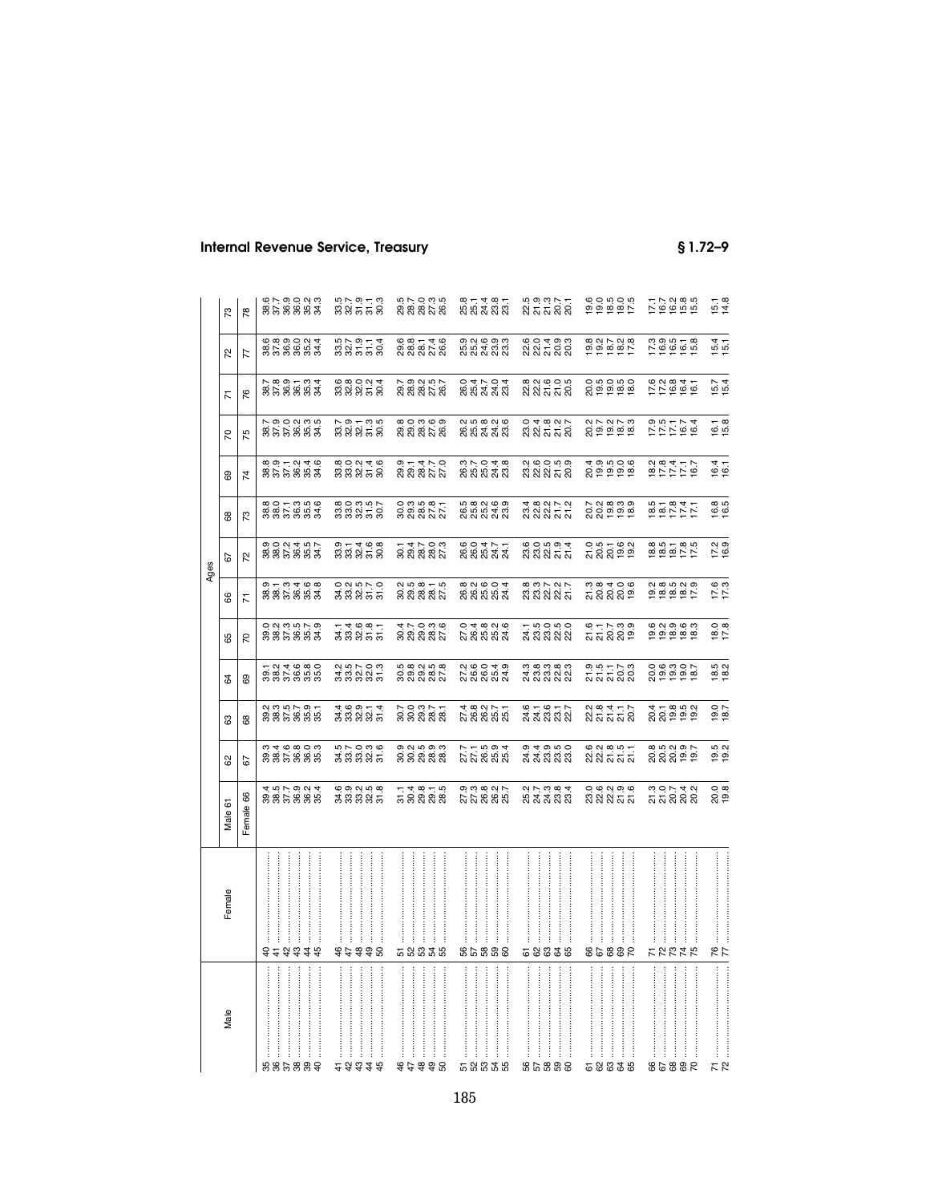| Internal Revenue Service, Treasury |  |  |  |  |
|------------------------------------|--|--|--|--|
|------------------------------------|--|--|--|--|

|               |                                                              |                                                     |                                         |                                             |                                                                                                                                 |                                              | Ages                               |                                               |                                     |                             |                                                             |                                                                                           |                                     |
|---------------|--------------------------------------------------------------|-----------------------------------------------------|-----------------------------------------|---------------------------------------------|---------------------------------------------------------------------------------------------------------------------------------|----------------------------------------------|------------------------------------|-----------------------------------------------|-------------------------------------|-----------------------------|-------------------------------------------------------------|-------------------------------------------------------------------------------------------|-------------------------------------|
| Female        | Male 61                                                      | 8                                                   | ස                                       | 3                                           | 85                                                                                                                              | 8                                            | 67                                 | 68                                            | 89                                  | $\mathcal{L}$               | 77                                                          | 52                                                                                        | 73                                  |
|               | Female 66                                                    | 57                                                  | 88                                      | 69                                          | 20                                                                                                                              | $\overline{K}$                               | $\overline{z}$                     | 73                                            | $\overline{z}$                      | 75                          | 76                                                          | 77                                                                                        | $\overline{78}$                     |
|               |                                                              |                                                     |                                         |                                             |                                                                                                                                 |                                              |                                    |                                               |                                     |                             |                                                             |                                                                                           |                                     |
|               |                                                              |                                                     |                                         |                                             |                                                                                                                                 |                                              |                                    |                                               |                                     |                             |                                                             |                                                                                           |                                     |
|               |                                                              |                                                     |                                         |                                             |                                                                                                                                 |                                              |                                    |                                               |                                     |                             |                                                             |                                                                                           |                                     |
|               |                                                              |                                                     |                                         |                                             |                                                                                                                                 |                                              |                                    |                                               |                                     |                             |                                                             |                                                                                           |                                     |
| 323338        | 457924<br>885888                                             | 8888888<br>888888                                   | 28.85888                                | ក ១ ។ ១ ១ ೦<br>ខា ខា ២ ខា ១<br>ភី ខា ២ ខា ២ | $O$ $N$ $O$ $N$ $O$<br>888888                                                                                                   | 9 1 9 4 9 9<br>9 9 9 9 9 9<br>9 9 9 9 9 9    | 9021457<br>885883                  | 8855888<br>885888                             | 891-246<br>855882                   | て<br>8558883<br>855883      | 7. 8. 9. 7. 9. 4.<br>8. 7. 8. 8. 9. 9.<br>7. 9. 9. 9. 9. 9. | $\ddot{\omega}$ $\ddot{\omega}$ $\ddot{\omega}$ $\ddot{\omega}$ $\ddot{\omega}$<br>858883 | 67. 90. 91.<br>87. 88. 93           |
|               |                                                              |                                                     |                                         |                                             |                                                                                                                                 |                                              |                                    |                                               |                                     |                             |                                                             |                                                                                           |                                     |
|               |                                                              |                                                     |                                         |                                             |                                                                                                                                 |                                              |                                    |                                               |                                     |                             |                                                             |                                                                                           |                                     |
|               |                                                              |                                                     |                                         |                                             |                                                                                                                                 |                                              |                                    |                                               |                                     |                             |                                                             |                                                                                           |                                     |
|               |                                                              |                                                     |                                         |                                             |                                                                                                                                 |                                              |                                    |                                               |                                     |                             |                                                             |                                                                                           |                                     |
| 47498         | $\omega$ $\omega$ $\omega$ $\omega$<br>ੜ ਲੰ ਲੰ ਲੇ ਨ          | s<br>2009<br>2009                                   | $400 - 4$<br>$88885$                    | 25703<br>おおおお                               | $-4.68 -$<br><b>38855</b>                                                                                                       | <b>១</b> ១ ១ ២ ២<br>ភ្លង ២ ២ ១<br>ភ្លង ២ ២ ២ | $\omega - 4 \omega$<br>88858       | 8<br>88855<br>88858                           | 800446<br>888558                    | 232536<br>23253             | 680044<br>888558                                            | 525 536<br>835 536                                                                        | 525 915<br>1925 92                  |
|               |                                                              |                                                     |                                         |                                             |                                                                                                                                 |                                              |                                    |                                               |                                     |                             |                                                             |                                                                                           |                                     |
| 58835         | ក្នុង ១ ក្នុង<br>ភូទី និង និ                                 | ១. ១. ១. ១. ១.<br>១. ១. ១. ១. ១.<br>១. ១. ១. ១. ១.  | 7,007.7<br>8,8888                       | 5<br>9 8 9 9 8 7<br>9 9 9 8 7               | 4 r o ๓ ๓<br>ดี ตี ตี ตี ผี<br>สี ผี ตี ผี                                                                                      | 2<br>2020-02<br>2020-02                      |                                    | 0.0.10.00.1<br>0.00.00.10<br>0.00.00.00       | 9 - 4 - 9<br>8 8 8 5 7<br>9 8 8 7 7 | 800309<br>808028<br>808028  | 7. 9. 9. 4. 7.<br>28. 28. 7. 29<br>28. 29. 20               | 6 8 7 4 6<br>8 8 8 7 8<br>8 8 8 9 8                                                       |                                     |
|               |                                                              |                                                     |                                         |                                             |                                                                                                                                 |                                              |                                    |                                               |                                     |                             |                                                             |                                                                                           | 5<br>888788<br>88878                |
| ļ             |                                                              |                                                     |                                         |                                             |                                                                                                                                 |                                              |                                    |                                               |                                     |                             |                                                             |                                                                                           |                                     |
|               |                                                              |                                                     |                                         |                                             |                                                                                                                                 |                                              |                                    |                                               |                                     |                             |                                                             |                                                                                           |                                     |
|               |                                                              |                                                     |                                         |                                             |                                                                                                                                 |                                              |                                    |                                               |                                     |                             |                                                             |                                                                                           |                                     |
|               |                                                              |                                                     |                                         |                                             |                                                                                                                                 |                                              |                                    |                                               |                                     |                             |                                                             |                                                                                           |                                     |
|               |                                                              |                                                     |                                         |                                             |                                                                                                                                 |                                              |                                    |                                               |                                     |                             |                                                             |                                                                                           |                                     |
|               |                                                              |                                                     |                                         |                                             |                                                                                                                                 |                                              |                                    |                                               |                                     |                             |                                                             |                                                                                           | 8 1 4 8 1<br>8 8 4 8 8<br>8 8 8 8 9 |
|               |                                                              |                                                     |                                         |                                             |                                                                                                                                 |                                              |                                    |                                               |                                     |                             |                                                             |                                                                                           |                                     |
| İ<br>88888    | $\circ$ $\circ$ $\circ$ $\circ$ $\circ$<br><u>ត្តត់ នាន់</u> | 7. 7. 19. 9. 4.<br>27. 28. 29. 29<br>27. 28. 29. 29 | 4 8 9 1 7 4<br>2 8 9 9 9 9<br>2 9 9 9 9 |                                             | 048046<br>76554<br>04804                                                                                                        | 8<br>8 8 8 8 7<br>8 8 8 8 8                  | 60477<br>88834                     | 5<br>6 5 5 4 5<br>5 5 5 7 6                   | 35048<br>85838                      | 2<br>8 5 4 5 6<br>2 8 7 7 8 | 0 4 1 0 4<br>8 8 4 4 8<br>8 8 8 8 8                         | ರಾ ನ್ಯ ರಂತ<br>ದಿ ದಿ ಸ ದ ದ<br>ದ ದ ನ ದ                                                      |                                     |
|               |                                                              |                                                     |                                         |                                             |                                                                                                                                 |                                              |                                    |                                               |                                     |                             |                                                             |                                                                                           |                                     |
|               |                                                              |                                                     |                                         |                                             |                                                                                                                                 |                                              |                                    |                                               |                                     |                             |                                                             |                                                                                           |                                     |
|               |                                                              |                                                     |                                         |                                             |                                                                                                                                 |                                              |                                    |                                               |                                     |                             |                                                             |                                                                                           |                                     |
|               |                                                              |                                                     |                                         |                                             |                                                                                                                                 |                                              |                                    |                                               |                                     |                             |                                                             |                                                                                           |                                     |
| $\frac{1}{2}$ |                                                              |                                                     |                                         |                                             |                                                                                                                                 |                                              |                                    |                                               |                                     |                             |                                                             |                                                                                           |                                     |
| 58838         | $\alpha \wedge \omega$ $\alpha$ 4<br>ಳ ಸ ಸ ಸ ಸ               | o, t, o, u, o,<br>ನ ನ ನ ನ ನ<br>ನ ನ ನ ನ ನ            | 61617<br>22382                          |                                             | ក 5 0 5 5 0<br>វី 3 3 3 3 3<br>2                                                                                                | 832727<br>832825                             | 605934<br>83855                    | 4 8 9 1 7 9<br>8 8 8 7 7<br>4                 | 2<br>ខ្លួន 2 5 6<br>2 8 2 5 2       |                             | 8 2 3 5 5 6<br>8 8 7 7 8<br>8                               | ១០ ។ ១ ១<br>ដូង ភូ និ                                                                     | 5<br>ខ្លុំ 5 5 5 5<br>ភ្លុំ 5 5 5 5 |
|               |                                                              |                                                     |                                         |                                             |                                                                                                                                 |                                              |                                    |                                               |                                     |                             |                                                             |                                                                                           |                                     |
|               |                                                              |                                                     |                                         |                                             |                                                                                                                                 |                                              |                                    |                                               |                                     |                             |                                                             |                                                                                           |                                     |
|               |                                                              |                                                     |                                         |                                             |                                                                                                                                 |                                              |                                    |                                               |                                     |                             |                                                             |                                                                                           |                                     |
| İ             |                                                              |                                                     |                                         |                                             |                                                                                                                                 |                                              |                                    |                                               |                                     |                             |                                                             |                                                                                           |                                     |
| 86882         | 0 0 0 0 0<br>នឹងនឹត្ត                                        | 6 2 8 5 5 7<br>2 2 5 7 7 7                          | 23417<br>25222                          | ១.១.ក្នុង<br>ភ្នំភ្នំពី                     | 6 1 1 2 3 9<br>2 2 3 9 9<br>6 9 9 9 1 1 2 9 9 1 1 2 9 9 1 1 2 9 9 1 2 9 9 1 2 9 9 1 2 9 9 9 1 2 9 9 9 1 2 9 9 9 1 2 9 9 9 0 9 1 | ្ម<br>ភូន <del>។</del> ១ ២<br>ភូន ន ១        | ០. ឆ <del>-</del> ច ល<br>ស ស ឆ ១ ១ | ក ។ ១ ១ ១<br><u>ទី</u> ១ ១ ១ ១<br>កំពុង ១ ១ ១ | 201006<br>201006                    | 201223<br>201223            |                                                             | 822728                                                                                    | 0.0505<br>0.05050                   |
|               |                                                              |                                                     |                                         |                                             |                                                                                                                                 |                                              |                                    |                                               |                                     |                             |                                                             |                                                                                           |                                     |
|               |                                                              |                                                     |                                         |                                             |                                                                                                                                 |                                              |                                    |                                               |                                     |                             |                                                             |                                                                                           |                                     |
|               |                                                              |                                                     |                                         |                                             |                                                                                                                                 |                                              |                                    |                                               |                                     |                             |                                                             |                                                                                           |                                     |
| <b>FREER</b>  | $\omega \circ \nu$ 4 $\omega$                                | 8.538.55<br>8.88.55                                 |                                         | 0.6 0.0<br>20.000<br>20.000                 | $\begin{array}{l} 6 & 0 & 0 & 0 & 0 \\ 0 & 0 & 0 & 0 & 0 \\ \Gamma & \Gamma & \Gamma & \Gamma \end{array}$                      |                                              | 885185<br>19851                    | <b>1858477</b><br>1959<br>1959                | 102417<br>102417                    | 111184<br>111184            | 0.21847<br>170.847                                          | 7.99578                                                                                   | 77285<br>79285                      |
|               |                                                              |                                                     |                                         |                                             |                                                                                                                                 |                                              |                                    |                                               |                                     |                             |                                                             |                                                                                           |                                     |
|               |                                                              |                                                     |                                         |                                             |                                                                                                                                 |                                              |                                    |                                               |                                     |                             |                                                             |                                                                                           |                                     |
| 76            | $\circ$ $\circ$<br><u>ຊ່ ອ</u> ່                             | $19.2$<br>$19.2$                                    | $19.0$<br>$18.7$                        | $18.2$<br>$18.2$                            | $\frac{18.0}{17.8}$                                                                                                             | $\frac{17.6}{17.3}$                          | $17.2$<br>16.9                     | $16.8$<br>16.5                                | $16.4$<br>16.1                      | $16.1$<br>$15.8$            | $15.7$<br>15.4                                              | 15.1                                                                                      | $15.1$<br>14.8                      |
|               |                                                              |                                                     |                                         |                                             |                                                                                                                                 |                                              |                                    |                                               |                                     |                             |                                                             |                                                                                           |                                     |

185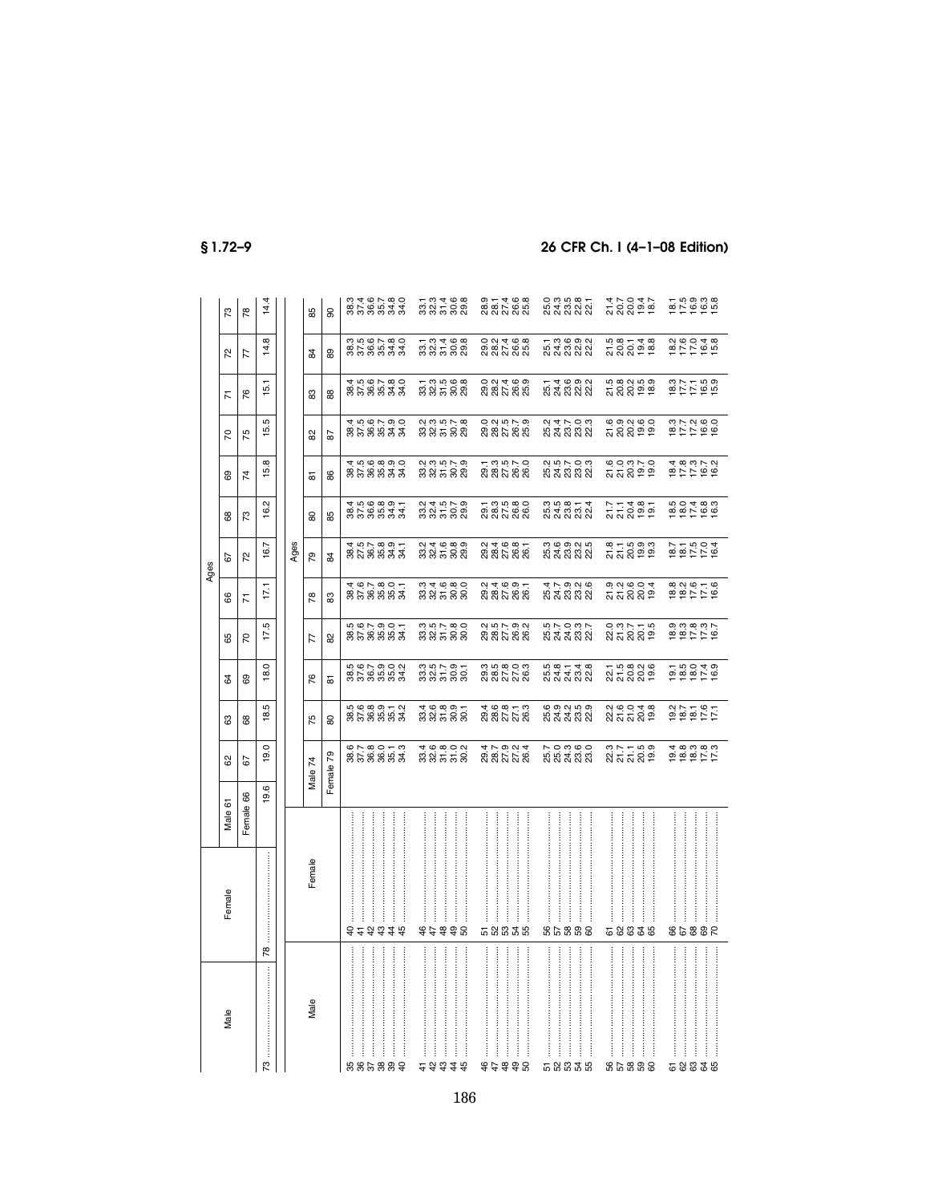|--|--|

|      | 73       | 78              | 14.4                |      | 85      | 8             | 0346780.<br>858833                                         |                                 |  |   | ក ១ ។ ១ <u>១</u><br>នានា ភូនី និ                    |   | 9 1 4 9 9<br>8 8 7 8 9<br>9 9 9 9 9                    |                  |                                       |             | 20025<br>12025                                          |                                     |   |             |
|------|----------|-----------------|---------------------|------|---------|---------------|------------------------------------------------------------|---------------------------------|--|---|-----------------------------------------------------|---|--------------------------------------------------------|------------------|---------------------------------------|-------------|---------------------------------------------------------|-------------------------------------|---|-------------|
|      | 52       | 77              | 14.8                |      | ¥.      | 8             | 358833<br>358833                                           |                                 |  |   | 1 3 4 6 8<br>3 3 5 8 9                              |   | 0 2 3 4 6 8<br>0 8 7 8 9<br>0 8 7 8 9                  |                  | ក្នុង<br>ក្នុង<br>ក្នុង ក្នុង         |             | 5<br>2005 ag<br>2005 ag                                 | 100048<br>100048                    |   |             |
|      | <b>Z</b> | 76              | 15.1                |      | జ       | 88            | 858833<br>456588                                           |                                 |  |   | 7 3 9 9 9 9<br>3 9 7 9 9 9                          |   | 0 2 3 4 6 9<br>0 8 5 6 9<br>0 8 9 9 9                  |                  | ក្នុង<br>ស្តី<br>ស្តី ស្តី ស្តី       |             | n a q n a<br>T Q Q a a<br>T Q Q a a                     | 877169<br>877169                    |   |             |
|      | 50       | 75              | rÙ.<br>5            |      | 8       | 28            | 888888<br>4566790<br>456790                                |                                 |  |   | 2<br>325582<br>23582                                |   |                                                        |                  | 2 4 7 9 8<br>2 4 8 8 9<br>2 9 9 9 9   |             | ឲ្យសូច្នុ<br>ភ្លូស្តូត្នុ<br>សូស្តូត្នុ                 |                                     |   |             |
|      | 8        | $\overline{z}$  | œ<br>ق!             |      | 듮       | 86            | 4.0.0.0.0.0<br>858833                                      |                                 |  |   | 2<br>22 25 26<br>23 26 28                           |   | ក ១.១.៤ ០<br>១.៩ ៦ ១.៥<br>ស ស ស                        |                  |                                       |             | e o a r o<br>ឯ ឯ ន គ គ<br>១                             |                                     |   |             |
|      | 88       | 73              | 16.2                |      | 80      | 85            | $8588887$<br>$4598997$                                     |                                 |  |   | 2 3 3 3 3 3<br>2 3 4 5 9 2                          |   | ក្នុង<br>ខ្លួន<br>ក្នុងក្នុង                           |                  | 3 5 9 9 1<br>3 4 3 3 3 3<br>3 4 3 3 3 |             | 7<br>2006<br>2005                                       | $0.0480$<br>$0.0480$<br>$0.0480$    |   |             |
| aabt | 29       | 22              | 16.7                | Ages | 54      | $\frac{4}{3}$ | 4 19 1- 19 19 1-<br>8 1 1 1 1 1 1 1 1<br>8 1 1 1 1 1 1 1 1 |                                 |  |   | $\alpha$ + $\alpha$ $\alpha$ $\alpha$<br>ន់ន់ដន់នាំ |   | 2<br>2020202<br>2020202                                |                  | ო დ თ ი სი<br>53533                   |             | នុក្នុង<br>ភ្លង់ គូម៉ូ                                  | 1004<br>1004<br>1004                |   |             |
|      | 8        | Σ               | 17,1                |      | P8      | တ္တ           | 3558553<br>467855                                          |                                 |  |   | 33588<br>33588                                      |   | 2<br>2020-00<br>2020-2020                              |                  | 47928<br>54332                        |             | ១. ១. ១. ១. ។<br>ភ្លុ ភ្លុ ភ្លុ ១.<br>ភ្លុ ភ្លុ ភ្លុ ១. | 828156<br>825156                    |   |             |
|      | 89       | $\overline{70}$ | 17.5                |      | 77      | 82            | 5<br>858883                                                |                                 |  |   | 33538<br>3358                                       |   | 2<br>2027-2028<br>2022-2022                            |                  | 570375<br>537532                      |             | o ๓ r т ๓<br>ឯ ភ ភ ភ ១                                  | 8<br>88887<br>88778                 |   |             |
|      | ಡ        | 89              | 18.0                |      | 76      | 忘             | 5<br>8785953<br>58785                                      |                                 |  |   | 335588<br>33588                                     |   | ភ<br>១. ១. ១. ០. ១<br>១. ១. ១. ១. ១.<br>១. ១. ១. ១. ១. |                  |                                       |             | ក ឆ្នួ ឆ្នួ ឆ្នួ<br>ស្តី ស្តី ស្តី ឆ្នួ                 | $7.50040$<br>$7.50040$<br>$7.50040$ |   |             |
|      | යි       | 89              | ъ<br>$\frac{3}{18}$ |      | 75      | 80            | بە — ئەنەنە<br><u>∾</u><br>858883                          |                                 |  |   | 4 9 8 9 5<br>8 8 5 8 8                              |   | 4 ७ ∞ <del>-</del> ०<br>८१ ४ ५ ४ ९                     |                  | <b>@</b> @ @ @ @<br>5 5 5 6 5         |             | a ৩ 0 <del>4</del> 8<br>ស៊ី ស៊ី ស៊ី <mark>១</mark>      |                                     |   |             |
|      | ಜ        | 52              | 19.0                |      | Male 74 | Female 79     | 678073<br>858883                                           |                                 |  |   | 323558<br>43558                                     |   |                                                        |                  | 7.03.90<br>8.83.83                    |             | នុក្ក<br>ឧត្តរ<br>ឧត្តរ                                 | 5 5 5 5 5<br>5 6 5 6 6<br>5 6 7 5   |   |             |
|      | Male 61  | Female 66       | 19.6                |      |         |               |                                                            |                                 |  |   |                                                     |   |                                                        |                  |                                       |             |                                                         |                                     |   |             |
|      | Female   |                 | $\frac{8}{2}$       |      | Female  |               | i<br>8256378                                               | :<br>:<br>:<br>:<br>:<br>:<br>: |  | İ | 8238                                                | İ | <b>តននន</b>                                            | :<br>:<br>:<br>: | <br>88851                             | :<br>:<br>: | 58838                                                   | 98853                               | İ | :<br>:<br>: |
|      | Male     |                 | ღ                   |      | Male    |               | .<br>5685888                                               |                                 |  |   | <br>こみおさお                                           | j | 92998                                                  |                  | <br>도업없고 18                           |             | 8.5888                                                  | <br>ភ្លង និងន                       |   |             |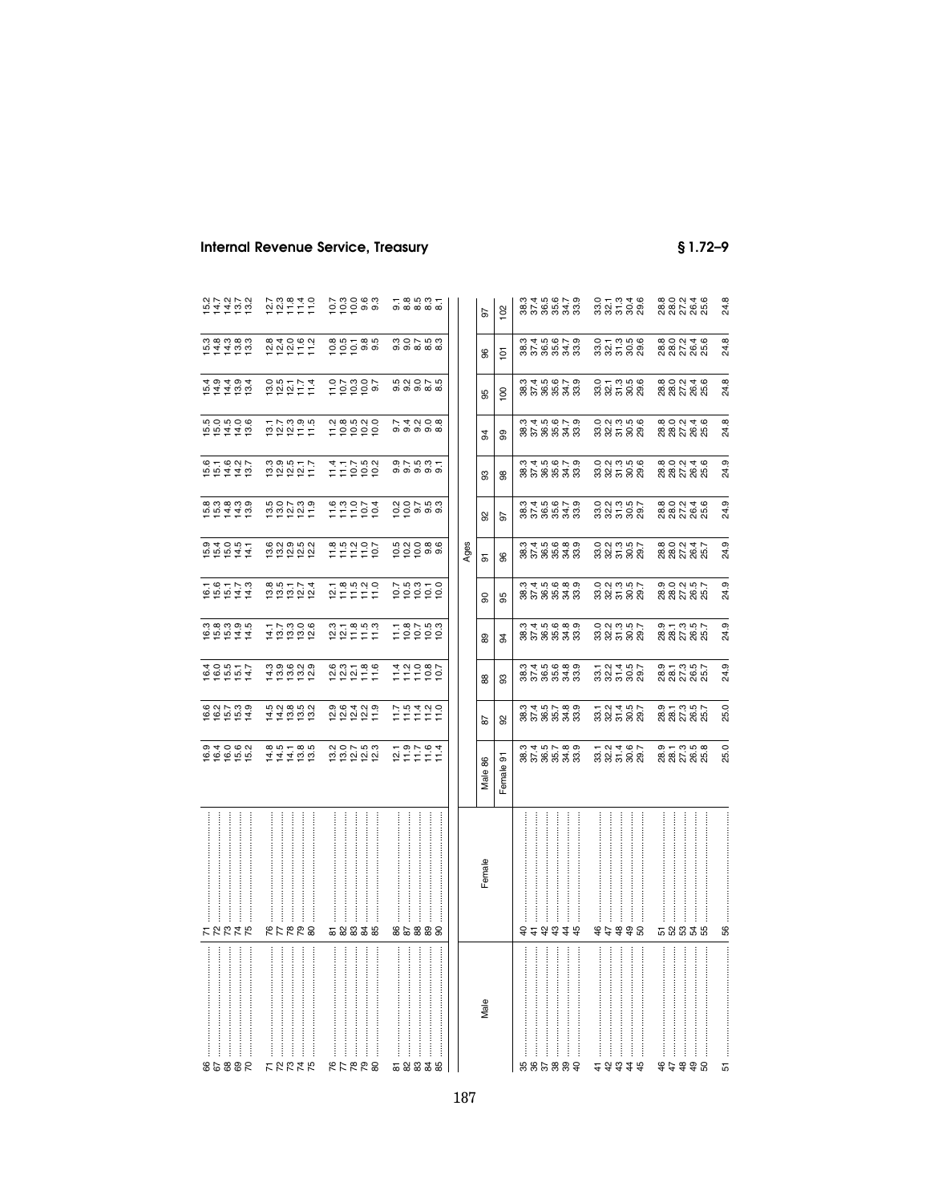| 98853            | カカカカ                      | $0.4001$<br>$0.4001$<br>$0.4001$ | 6<br>6 6 5 6 9<br>6 6 5 7       | 105517<br>105517                                                                                                                                                                                                                                                                                                             |                                       | 1617<br>1617<br>1614                          | $104007$<br>$104007$                 | 554455<br>65445                               | 151415<br>151515         | 5<br>5 5 4 4 5<br>5 5 4 4 5           | $104404$<br>$1044004$             | 5445555                                     |                                       |
|------------------|---------------------------|----------------------------------|---------------------------------|------------------------------------------------------------------------------------------------------------------------------------------------------------------------------------------------------------------------------------------------------------------------------------------------------------------------------|---------------------------------------|-----------------------------------------------|--------------------------------------|-----------------------------------------------|--------------------------|---------------------------------------|-----------------------------------|---------------------------------------------|---------------------------------------|
|                  |                           |                                  |                                 |                                                                                                                                                                                                                                                                                                                              |                                       |                                               |                                      |                                               |                          |                                       |                                   |                                             |                                       |
|                  |                           |                                  |                                 |                                                                                                                                                                                                                                                                                                                              |                                       |                                               |                                      |                                               |                          |                                       |                                   |                                             |                                       |
|                  | ļ                         |                                  |                                 |                                                                                                                                                                                                                                                                                                                              |                                       |                                               |                                      |                                               |                          |                                       |                                   |                                             |                                       |
|                  | ŧ                         |                                  |                                 |                                                                                                                                                                                                                                                                                                                              |                                       |                                               |                                      |                                               |                          |                                       |                                   |                                             |                                       |
| <b>22225</b>     | RFRR8                     | $77700$<br>$77700$<br>$77700$    | 1110000<br>111000               |                                                                                                                                                                                                                                                                                                                              | 117806<br>118906                      | 885774<br>285224                              | <b>1000000000000000000000</b>        | <b>100739</b><br>100739                       | $0.00077$<br>$0.00077$   | $777995$<br>$727995$                  | $0.05774$<br>$0.05774$            |                                             | $77.78940$<br>$22777$                 |
|                  | $\vdots$                  |                                  |                                 |                                                                                                                                                                                                                                                                                                                              |                                       |                                               |                                      |                                               |                          |                                       |                                   |                                             |                                       |
|                  |                           |                                  |                                 |                                                                                                                                                                                                                                                                                                                              |                                       |                                               |                                      |                                               |                          |                                       |                                   |                                             |                                       |
|                  |                           |                                  |                                 |                                                                                                                                                                                                                                                                                                                              |                                       |                                               |                                      |                                               |                          |                                       |                                   |                                             |                                       |
| <br><b>RARRE</b> | <br> <br> <br> <br>588358 | 202253                           |                                 | $\begin{array}{c} 6 & 0 & 0 \\ 2 & 0 & 0 \\ 1 & 2 & 0 \\ 2 & 3 & 0 \\ 3 & 4 & 0 \\ 4 & 5 & 0 \\ 5 & 6 & 0 \\ 6 & 0 & 0 \\ 7 & 1 & 0 \\ 8 & 1 & 0 \\ 9 & 1 & 0 \\ 10 & 1 & 0 \\ 11 & 10 & 0 \\ 12 & 10 & 0 \\ 13 & 10 & 0 \\ 14 & 10 & 0 \\ 15 & 10 & 0 \\ 16 & 10 & 0 \\ 17 & 10 & 0 \\ 18 & 10 & 0 \\ 19 & 10 & 0 \\ 19 & $ | $2279999$<br>$22777$                  | $278999$<br>$27777$                           | $77.8$<br>$77.8$<br>$77.7$<br>$77.7$ | 110014                                        | $777792$<br>$777292$     | 799990                                | 0.78007                           | e n<br>Dipinsion<br>Dipinsion               | 7.30883                               |
|                  |                           |                                  |                                 |                                                                                                                                                                                                                                                                                                                              |                                       |                                               |                                      |                                               |                          |                                       |                                   |                                             |                                       |
|                  | $\frac{1}{2}$             |                                  |                                 |                                                                                                                                                                                                                                                                                                                              |                                       |                                               |                                      |                                               |                          |                                       |                                   |                                             |                                       |
|                  |                           |                                  |                                 |                                                                                                                                                                                                                                                                                                                              |                                       |                                               |                                      |                                               |                          |                                       |                                   |                                             |                                       |
|                  |                           |                                  |                                 |                                                                                                                                                                                                                                                                                                                              |                                       |                                               |                                      |                                               |                          |                                       |                                   |                                             |                                       |
|                  |                           |                                  |                                 |                                                                                                                                                                                                                                                                                                                              |                                       |                                               |                                      |                                               |                          |                                       |                                   |                                             |                                       |
| 5883             |                           |                                  |                                 |                                                                                                                                                                                                                                                                                                                              |                                       |                                               |                                      |                                               |                          |                                       |                                   |                                             |                                       |
|                  | :<br>:<br>:               |                                  |                                 |                                                                                                                                                                                                                                                                                                                              |                                       |                                               |                                      |                                               |                          |                                       |                                   |                                             |                                       |
| 56               | 88888                     | $797974$<br>$797794$             | い<br>15 11 11 11<br>11 11 11 11 | $77997$<br>$77997$                                                                                                                                                                                                                                                                                                           | $1.78$<br>$1.829$<br>$1.59$<br>$1.59$ |                                               | nao a a<br>PPP a a                   | a o r n o<br>O O o o o                        |                          | 7.4998                                | n N O N IN<br>တစစ်စစ်             | co<br>co co co<br>co co co                  | $-8.000 - 0.000$                      |
|                  |                           |                                  |                                 |                                                                                                                                                                                                                                                                                                                              |                                       |                                               |                                      |                                               |                          |                                       |                                   |                                             |                                       |
|                  |                           |                                  |                                 |                                                                                                                                                                                                                                                                                                                              |                                       |                                               | Ages                                 |                                               |                          |                                       |                                   |                                             |                                       |
| Male             | Female                    | Male 86                          | 29                              | 88                                                                                                                                                                                                                                                                                                                           | 89                                    | g                                             | 5                                    | 95                                            | 8                        | 94                                    | 95                                | 96                                          | 5                                     |
|                  |                           | Female 91                        | 92                              | 93                                                                                                                                                                                                                                                                                                                           | 54                                    | 95                                            | 96                                   | 5                                             | 8                        | 99                                    | $\overline{8}$                    | $\overline{5}$                              | 102                                   |
|                  |                           |                                  |                                 |                                                                                                                                                                                                                                                                                                                              |                                       |                                               |                                      |                                               |                          |                                       |                                   |                                             |                                       |
|                  | $\vdots$<br>ŧ             |                                  |                                 |                                                                                                                                                                                                                                                                                                                              |                                       |                                               |                                      |                                               |                          |                                       |                                   |                                             |                                       |
| 666888           | 8 4 5 4 4 5               | 858838<br>858838                 |                                 | 0<br>8 5 8 9 9 9 9<br>0 9 9 9 9 9                                                                                                                                                                                                                                                                                            | 8<br>8 5 8 8 9 9 9<br>8 9 9 9 9 9     | 0<br>8 5 9 9 9 9 9<br>0 9 9 9 9 9             | 01406000<br>00560500                 | 3 3 4 5 6 7 9<br>3 7 8 9 9 9 9<br>3 9 9 9 9 9 |                          | 8588888<br>858888                     | 3 3 4 5 6 7 9<br>3 5 9 9 9 9 9    | 3 4 5 6 7 9<br>3 7 8 9 9 9 9<br>3 9 9 9 9 9 | 8258838<br>828848                     |
|                  | ŧ                         |                                  |                                 |                                                                                                                                                                                                                                                                                                                              |                                       |                                               |                                      |                                               |                          |                                       |                                   |                                             |                                       |
|                  | ł                         |                                  |                                 |                                                                                                                                                                                                                                                                                                                              |                                       |                                               |                                      |                                               |                          |                                       |                                   |                                             |                                       |
|                  |                           |                                  |                                 |                                                                                                                                                                                                                                                                                                                              |                                       |                                               |                                      |                                               |                          |                                       |                                   |                                             |                                       |
|                  | ŧ                         |                                  |                                 |                                                                                                                                                                                                                                                                                                                              |                                       |                                               |                                      |                                               |                          |                                       |                                   |                                             |                                       |
|                  | 8238                      |                                  |                                 |                                                                                                                                                                                                                                                                                                                              |                                       |                                               |                                      |                                               |                          |                                       |                                   |                                             |                                       |
|                  | ŧ                         |                                  |                                 |                                                                                                                                                                                                                                                                                                                              |                                       |                                               |                                      |                                               |                          |                                       |                                   |                                             |                                       |
|                  | :<br>:<br>:               |                                  |                                 |                                                                                                                                                                                                                                                                                                                              |                                       |                                               |                                      |                                               |                          |                                       |                                   |                                             |                                       |
| #####            | $\vdots$                  | 52467<br>33582                   | ក្ដួង ។<br>នាំង ក្ដួន នាំ       | 333588<br>23588                                                                                                                                                                                                                                                                                                              | 0 2 3 5 6 7<br>8 8 5 6 8              | 0 2 3 3 5 6 7<br>0 3 4 5 9 8<br>0 9 9 9 9     | 0 2 3 5 6 7<br>8 8 7 8 8 9           | 0 2 3 3 5 6<br>0 3 5 6 7<br>0 9 7 9 8         | 0 2 3 5 6 6<br>8 8 7 8 8 | 0 2 3 5 6 6<br>8 9 5 6 9<br>0 9 9 9 9 | 0 + 0 5 6<br>8 8 5 6 8<br>0 9 9 9 | 0 + 0 9 9<br>8 9 5 9 8<br>9 9 9 9           |                                       |
|                  |                           |                                  |                                 |                                                                                                                                                                                                                                                                                                                              |                                       |                                               |                                      |                                               |                          |                                       |                                   |                                             |                                       |
|                  |                           |                                  |                                 |                                                                                                                                                                                                                                                                                                                              |                                       |                                               |                                      |                                               |                          |                                       |                                   |                                             |                                       |
|                  | ļ                         |                                  |                                 |                                                                                                                                                                                                                                                                                                                              |                                       |                                               |                                      |                                               |                          |                                       |                                   |                                             |                                       |
| 77790            | <br><b>ត ន ន ន ន</b>      | 9<br>887858<br>88788             | 9 – 9 9 0<br>8 8 5 8 8<br>9     | 9<br>887367<br>88788                                                                                                                                                                                                                                                                                                         | 9 – 9 – 9<br>8 8 7 9 9 7<br>8 8 7 8 9 | 9,0,0,0,0,0<br>8,8,0,0,0,0,0<br>8,8,0,0,0,0,0 | 80047<br>88788                       | 8<br>8 8 7 8 8<br>8 8 7 8 8                   | 80046<br>88788           |                                       | 80046<br>88788                    | 8 0 0 1 4 6<br>8 8 7 8 8<br>8 8 7 8 8       | 8 0 0 1 4 6<br>8 8 7 8 8<br>8 8 7 8 8 |
|                  |                           |                                  |                                 |                                                                                                                                                                                                                                                                                                                              |                                       |                                               |                                      |                                               |                          | 8 0 0 1 4 6<br>8 8 7 8 8<br>8 8 7 8 8 |                                   |                                             |                                       |
|                  | SS                        | 25.0                             | 25.0                            | 24.9                                                                                                                                                                                                                                                                                                                         | 24.9                                  | 24.9                                          | 24.9                                 | 24.9                                          | 24.9                     | 24.8                                  | 24.8                              | 24.8                                        | 24.8                                  |
|                  |                           |                                  |                                 |                                                                                                                                                                                                                                                                                                                              |                                       |                                               |                                      |                                               |                          |                                       |                                   |                                             |                                       |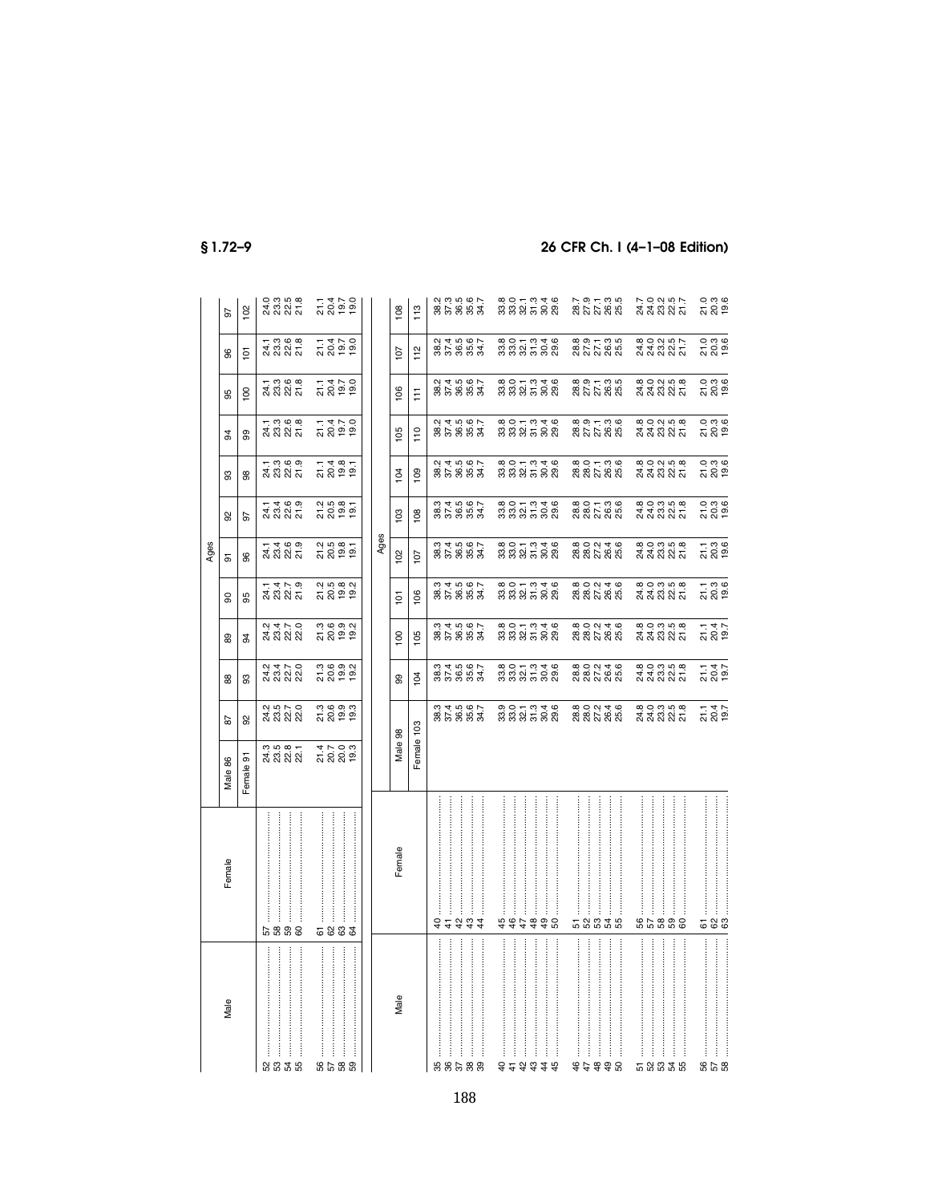|                                                                                                                                                                                                                                                                                                                                                                                                                                                                                                 |                                        |                             |                                    |                                       |                               |                                       | Ages                                                 |                                        |                              |                                                    |                                                    |                                                       |                                           |
|-------------------------------------------------------------------------------------------------------------------------------------------------------------------------------------------------------------------------------------------------------------------------------------------------------------------------------------------------------------------------------------------------------------------------------------------------------------------------------------------------|----------------------------------------|-----------------------------|------------------------------------|---------------------------------------|-------------------------------|---------------------------------------|------------------------------------------------------|----------------------------------------|------------------------------|----------------------------------------------------|----------------------------------------------------|-------------------------------------------------------|-------------------------------------------|
| Male                                                                                                                                                                                                                                                                                                                                                                                                                                                                                            | Female                                 | Male 86                     | 29                                 | 88                                    | 89                            | 8                                     | 5                                                    | 8                                      | 8                            | 34                                                 | 95                                                 | 96                                                    | 56                                        |
|                                                                                                                                                                                                                                                                                                                                                                                                                                                                                                 |                                        | Female 91                   | ്ക                                 | 3                                     | 3                             | 95                                    | 96                                                   | 5                                      | 8                            | 99                                                 | $\overline{6}$                                     | $\overline{5}$                                        | 102                                       |
| ននិងន                                                                                                                                                                                                                                                                                                                                                                                                                                                                                           | $\frac{1}{2}$<br>j<br>ន ន ន ជ          | 3<br>4 3 3 3 4<br>3 4 3 4 3 | 2<br>3 3 3 3<br>2 3 3 3            | 2<br>2 3 2 2 2<br>2 2 2 2 2           | 2<br>4 3 2 2<br>2 3 2 2       | 1 1 1 2<br>2 3 2 5<br>2 8 2 5         | 11469<br>2021<br>2022                                | <del>1</del> 1 9 9<br>2 3 3 5<br>2 3 5 | 1 ១ ២ ១<br>ង ១ ៧ ភូ          | 1 3 3 3 3<br>2 3 3 5<br>2 3 5 5                    | 13883<br>2385                                      | <del>1</del> ១ ១ ១<br>ឯ ១ ១ ១<br>ឯ ១ ៦ ភ              | 0: 0: 0: 0:<br>2: 0: 0: 0:<br>2: 0: 0: 0: |
| 6588                                                                                                                                                                                                                                                                                                                                                                                                                                                                                            | 5833                                   | 2009<br>1009<br>1009        | គុចគុត<br>ភូមិ<br>ភូមិ             | 3<br>2009<br>3009                     | 3<br>2009<br>2009             | 21582<br>2052<br>2052                 | 21581<br>20051                                       | 2<br>20081<br>2009                     | $7.487$<br>$7.487$<br>$7.59$ | 11110<br>2005<br>2005                              | 11170<br>2009<br>2009                              | 11110<br>10110<br>2012                                | 2012<br>1202<br>1202                      |
|                                                                                                                                                                                                                                                                                                                                                                                                                                                                                                 |                                        |                             |                                    |                                       |                               |                                       |                                                      |                                        |                              |                                                    |                                                    |                                                       |                                           |
|                                                                                                                                                                                                                                                                                                                                                                                                                                                                                                 |                                        |                             |                                    |                                       |                               |                                       | Ages                                                 |                                        |                              |                                                    |                                                    |                                                       |                                           |
| Male                                                                                                                                                                                                                                                                                                                                                                                                                                                                                            | Female                                 | Male 98                     |                                    | 8                                     | $\overline{100}$              | $\overline{5}$                        | 102                                                  | 103                                    | 104                          | 105                                                | 106                                                | 107                                                   | 108                                       |
|                                                                                                                                                                                                                                                                                                                                                                                                                                                                                                 |                                        | Female 103                  |                                    | 104                                   | 105                           | 106                                   | $\overline{10}$                                      | 108                                    | 109                          | $\frac{1}{2}$                                      | E                                                  | 112                                                   | 113                                       |
| $\begin{array}{cccccccccc} \multicolumn{2}{c}{} & \multicolumn{2}{c}{} & \multicolumn{2}{c}{} & \multicolumn{2}{c}{} & \multicolumn{2}{c}{} & \multicolumn{2}{c}{} & \multicolumn{2}{c}{} & \multicolumn{2}{c}{} & \multicolumn{2}{c}{} & \multicolumn{2}{c}{} & \multicolumn{2}{c}{} & \multicolumn{2}{c}{} & \multicolumn{2}{c}{} & \multicolumn{2}{c}{} & \multicolumn{2}{c}{} & \multicolumn{2}{c}{} & \multicolumn{2}{c}{} & \multicolumn{2}{c}{} & \multicolumn{2}{c}{} & \mult$<br>55588 | <br><b>A</b> <sup>4</sup> <i>A</i> 4 4 |                             | 858883<br>85888                    | 35333<br>35353                        | 85883<br>85883                | 35 35 35<br>35 36 37<br>35 36 37      | 353833<br>35833                                      | 35333<br>35353                         | 2<br>2014<br>2015<br>2015    | 85883<br>85883                                     | 2<br>2014<br>2015<br>2015                          | 2<br>2014<br>2015<br>2015                             | 2<br>8 2 3 8 9 2<br>2 9 9 2 2             |
| $\label{eq:3.1} \begin{array}{ll} \hspace{-0.1in} \textbf{if} & \hspace{-0.1in} \textbf{if} & \hspace{-0.1in} \textbf{if} & \hspace{-0.1in} \textbf{if} & \hspace{-0.1in} \textbf{if} & \hspace{-0.1in} \textbf{if} & \hspace{-0.1in} \textbf{if} & \hspace{-0.1in} \textbf{if} & \hspace{-0.1in} \textbf{if} & \hspace{-0.1in} \textbf{if} & \hspace{-0.1in} \textbf{if} & \hspace{-0.1in} \textbf{if} & \hspace{-0.1in} \textbf$<br>Ì                                                         | \$\$\$\$\$8                            |                             | 0,0 - 0,4 9<br>8,8 9 - 0,8 9       | 8 0 1 3 3 8<br>8 8 9 5 8 9            | 80003388<br>888588            | 8 9 5 7 8 8<br>8 8 8 7 8 9            | 8000308<br>888588                                    | 8 0 1 3 3 8<br>8 8 9 5 8 9             | 80003388<br>888588           | 8 9 5 7 8 8<br>8 8 8 7 8 9                         | 8 0 1 3 3 8<br>8 8 9 9 9 9                         | 8 0 1 3 3 8<br>8 8 9 5 8 9                            | 8 0 1 3 3 8<br>8 8 9 9 9 9                |
| $\frac{1}{2}$<br>\$\$\$\$8                                                                                                                                                                                                                                                                                                                                                                                                                                                                      | 58835                                  |                             | 800 24 6<br>880 26 80<br>880 28 80 | 8 0 0 1 4 6<br>8 8 7 8 8<br>8 8 7 8 8 | 800 246<br>88788              | 8 0 0 1 4 6<br>8 8 7 8 8<br>8 8 7 8 8 | 80046<br>88788                                       | 800136<br>887885                       | 800136<br>880285             | 8, 9, 7, 9, 9,<br>8, 2, 7, 8, 9,<br>8, 2, 8, 8, 9, | 8, 9, 7, 9, 9,<br>8, 2, 2, 8, 9,<br>8, 2, 2, 8, 9, | 8, 9, 7, 9, 9,<br>8, 8, 7, 8, 9, 9,<br>8, 8, 8, 8, 9, | 2871365<br>27785                          |
| ł<br>58835                                                                                                                                                                                                                                                                                                                                                                                                                                                                                      | <br>និននិង                             |                             | 800358<br>202325                   | 800358<br>212325                      | 8<br>3 3 3 8 8 7<br>8 8 8 8 7 |                                       | $\omega$ $\omega$ $\omega$ $\omega$<br>ಸೆ ಸೆ ಬಿ ಸಿ ಸ | 800358<br>848855                       |                              |                                                    | 800358<br>232355                                   | 800357<br>232357                                      | ァっこう<br>スムススム                             |
| :<br>:<br>85 0<br>96                                                                                                                                                                                                                                                                                                                                                                                                                                                                            | 583                                    |                             | 21.47<br>20.47                     | 21.4<br>2047<br>19.7                  | 21.1<br>20.4<br>19.7          | 21.3<br>20.3<br>20.5                  | 21.3<br>20.9<br>19.9                                 | 21.3<br>20.3<br>19.6                   | 21.0<br>20.3<br>19.6         | 21.3<br>20.3<br>19.6                               | 21.3<br>20.3<br>19.6                               | 21.3<br>20.3<br>19.6                                  | 21.3<br>20.3<br>19.6                      |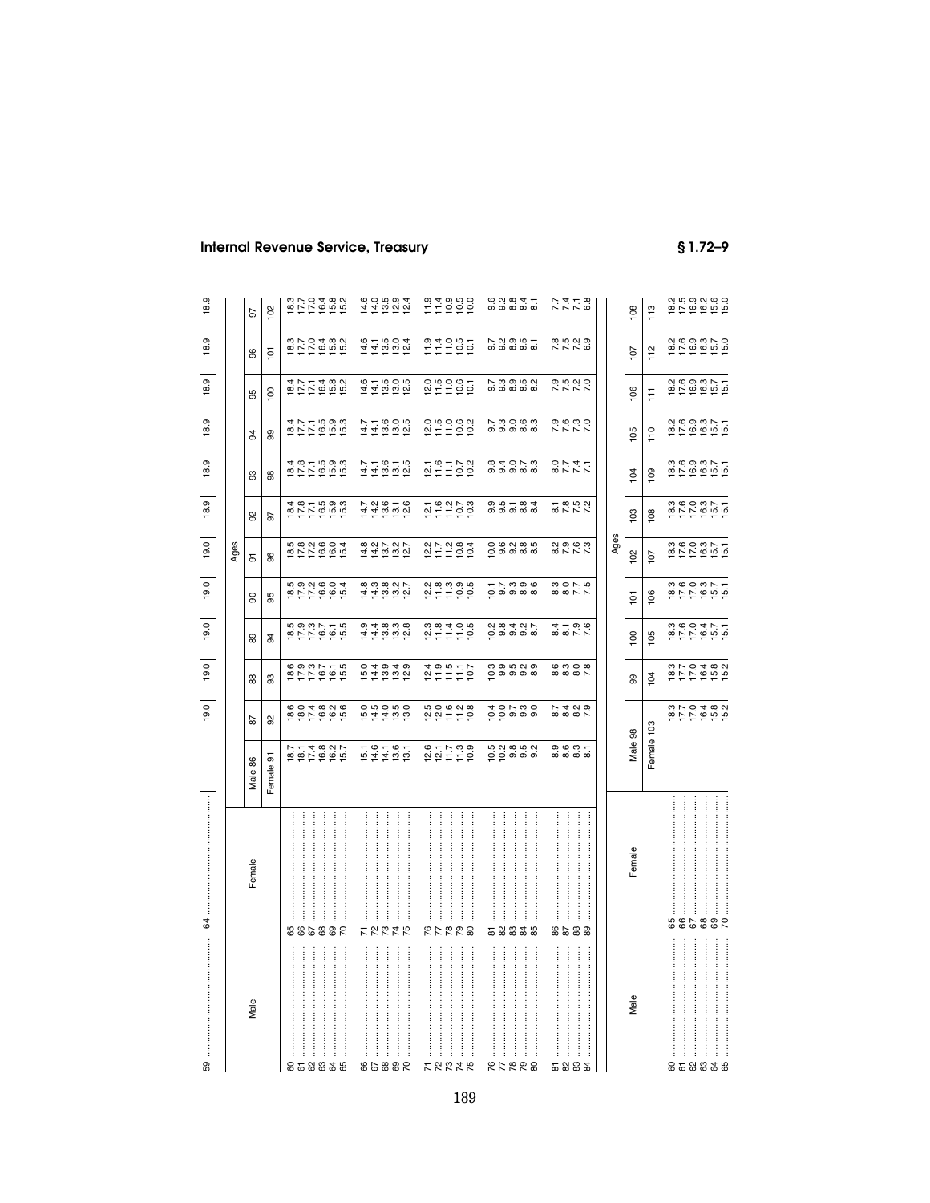| 59                    | 64                     |                       | 19.0                                                                                                                                                                                | 19.0                                                                                                                                                                                                                                                                                                | 19.0                    | 19.0                            | 19.0                                                                                           | 18.9                                      | တ<br>$\frac{8}{1}$   | 18.9                                                                       | 18.9                                                | 18.9                                                                       | 18.9                       |
|-----------------------|------------------------|-----------------------|-------------------------------------------------------------------------------------------------------------------------------------------------------------------------------------|-----------------------------------------------------------------------------------------------------------------------------------------------------------------------------------------------------------------------------------------------------------------------------------------------------|-------------------------|---------------------------------|------------------------------------------------------------------------------------------------|-------------------------------------------|----------------------|----------------------------------------------------------------------------|-----------------------------------------------------|----------------------------------------------------------------------------|----------------------------|
|                       |                        |                       |                                                                                                                                                                                     |                                                                                                                                                                                                                                                                                                     |                         |                                 | Ages                                                                                           |                                           |                      |                                                                            |                                                     |                                                                            |                            |
| Male                  | Female                 | Male 86               | 5                                                                                                                                                                                   | 88                                                                                                                                                                                                                                                                                                  | 89                      | ႙                               | 5                                                                                              | 92                                        | 33                   | 3                                                                          | 95                                                  | 86                                                                         | 5                          |
|                       |                        | Female 91             | 95                                                                                                                                                                                  | 3                                                                                                                                                                                                                                                                                                   | 94                      | 95                              | 96                                                                                             | 5                                         | 86                   | 8                                                                          | $\overline{8}$                                      | $\overline{6}$                                                             | 102                        |
| 858838                | 988538                 |                       | $\ddot{\rm o}$ $\dot{\rm o}$ $\dot{\rm d}$ $\ddot{\rm o}$ $\dot{\rm o}$ $\ddot{\rm o}$<br>$\overline{e}$ $\overline{e}$ $\overline{c}$ $\overline{e}$ $\overline{e}$ $\overline{e}$ | $\begin{array}{c} 0.017 \\ 0.017 \\ 0.017 \\ 0.017 \\ 0.017 \\ 0.017 \\ 0.017 \\ 0.017 \\ 0.017 \\ 0.017 \\ 0.017 \\ 0.017 \\ 0.017 \\ 0.017 \\ 0.017 \\ 0.017 \\ 0.017 \\ 0.017 \\ 0.017 \\ 0.017 \\ 0.017 \\ 0.017 \\ 0.017 \\ 0.017 \\ 0.017 \\ 0.017 \\ 0.017 \\ 0.017 \\ 0.017 \\ 0.017 \\ 0.$ | 10.03775<br>10.03775    | 5<br>1977 - 1979<br>1977 - 1979 | $\vec{w}$ $\vec{\omega}$ $\vec{\omega}$ $\vec{\omega}$ $\vec{\omega}$ $\vec{\omega}$<br>erreee | 1<br>8 1 1 1 1 1 1 1 1<br>8 1 1 1 1 1 1 1 | 18771933<br>19771933 |                                                                            | 10771852<br>1077185                                 | 877858<br>877858                                                           | 8778482<br>877858          |
| ŧ<br>ŧ                | ŧ                      |                       |                                                                                                                                                                                     |                                                                                                                                                                                                                                                                                                     |                         |                                 |                                                                                                |                                           |                      |                                                                            |                                                     |                                                                            |                            |
| $\ddot{\ddot{\cdot}}$ | ļ                      |                       |                                                                                                                                                                                     |                                                                                                                                                                                                                                                                                                     |                         |                                 |                                                                                                |                                           |                      |                                                                            |                                                     |                                                                            |                            |
| ļ                     | ŧ<br>ŧ                 |                       |                                                                                                                                                                                     |                                                                                                                                                                                                                                                                                                     |                         |                                 |                                                                                                |                                           |                      |                                                                            |                                                     |                                                                            |                            |
|                       |                        |                       |                                                                                                                                                                                     |                                                                                                                                                                                                                                                                                                     |                         |                                 |                                                                                                |                                           |                      |                                                                            |                                                     |                                                                            |                            |
| ŧ                     |                        |                       |                                                                                                                                                                                     |                                                                                                                                                                                                                                                                                                     |                         |                                 |                                                                                                |                                           |                      |                                                                            |                                                     |                                                                            |                            |
| 98853                 | ととななで                  |                       | 5<br>6 7 9 9 9<br>6 7 9 9 9                                                                                                                                                         |                                                                                                                                                                                                                                                                                                     | <b>111000</b><br>111000 | 11100017<br>1110017             | 111027<br>111027                                                                               | 110616<br>110616                          | $77.676$<br>$77.676$ | $77.78000$<br>$77.78000$                                                   | $1410000$<br>$140000$                               | $44004$<br>$44004$                                                         | 111221<br>1112121          |
| ŧ                     |                        |                       |                                                                                                                                                                                     |                                                                                                                                                                                                                                                                                                     |                         |                                 |                                                                                                |                                           |                      |                                                                            |                                                     |                                                                            |                            |
|                       |                        |                       |                                                                                                                                                                                     |                                                                                                                                                                                                                                                                                                     |                         |                                 |                                                                                                |                                           |                      |                                                                            |                                                     |                                                                            |                            |
|                       |                        |                       |                                                                                                                                                                                     |                                                                                                                                                                                                                                                                                                     |                         |                                 |                                                                                                |                                           |                      |                                                                            |                                                     |                                                                            |                            |
|                       |                        |                       |                                                                                                                                                                                     |                                                                                                                                                                                                                                                                                                     |                         |                                 |                                                                                                |                                           |                      |                                                                            |                                                     |                                                                            |                            |
| けなおはな                 | İ<br>ŧ<br><b>RFRR8</b> | $2077799$<br>$227799$ | なのほいる<br>ないはけい                                                                                                                                                                      | $249977$<br>$277977$                                                                                                                                                                                                                                                                                | $277700$<br>$277700$    | $2499999$ $277999$ $27799$      | 2 1 1 2 3 4<br>2 1 1 2 2 2                                                                     | $25922$<br>$2522$                         | $2502$<br>$2502$     | $25.0$<br>$25.0$<br>$25.0$<br>$25.0$                                       |                                                     | 777007                                                                     | $77990$<br>$77990$         |
|                       |                        |                       |                                                                                                                                                                                     |                                                                                                                                                                                                                                                                                                     |                         |                                 |                                                                                                |                                           |                      |                                                                            |                                                     |                                                                            |                            |
|                       |                        |                       |                                                                                                                                                                                     |                                                                                                                                                                                                                                                                                                     |                         |                                 |                                                                                                |                                           |                      |                                                                            |                                                     |                                                                            |                            |
|                       |                        |                       |                                                                                                                                                                                     |                                                                                                                                                                                                                                                                                                     |                         |                                 |                                                                                                |                                           |                      |                                                                            |                                                     |                                                                            |                            |
|                       |                        |                       |                                                                                                                                                                                     |                                                                                                                                                                                                                                                                                                     |                         |                                 |                                                                                                |                                           |                      |                                                                            |                                                     |                                                                            |                            |
| ŧ<br>882728           | ļ<br>58838             |                       | e o r m o<br>P p o o o                                                                                                                                                              | က္ တ ဟု လု တ<br>ဝ တ တ တ ထ                                                                                                                                                                                                                                                                           | $0.848$<br>$0.848$      | — ၂<br>ဝ ၁ ၁ ၁ ၁ ၀<br>၁ ၁ ၁ ၁ ၁ |                                                                                                | 0<br>0<br>0 0 0 0 0 0<br>0 0 0 0 0        |                      | $\begin{array}{c} 7.00000 \\ 0.000000 \end{array}$                         | $\begin{array}{c} 7.000000 \\ 0.000000 \end{array}$ | 7: 2: 9: 9: 9: 7<br>0: 0: 0: 0: 0:<br>0: 0: 0: 0: 0:                       | $6, 0, 0, 4, 7$<br>0000000 |
| ļ                     |                        |                       |                                                                                                                                                                                     |                                                                                                                                                                                                                                                                                                     |                         |                                 |                                                                                                |                                           |                      |                                                                            |                                                     |                                                                            |                            |
| ł                     |                        |                       |                                                                                                                                                                                     |                                                                                                                                                                                                                                                                                                     |                         |                                 |                                                                                                |                                           |                      |                                                                            |                                                     |                                                                            |                            |
|                       |                        |                       |                                                                                                                                                                                     |                                                                                                                                                                                                                                                                                                     |                         |                                 |                                                                                                |                                           |                      |                                                                            |                                                     |                                                                            |                            |
|                       |                        |                       |                                                                                                                                                                                     |                                                                                                                                                                                                                                                                                                     |                         |                                 |                                                                                                |                                           |                      |                                                                            |                                                     |                                                                            |                            |
| :<br>:<br>:<br>5833   | <br>8588               |                       |                                                                                                                                                                                     | $600000$<br>$60000$                                                                                                                                                                                                                                                                                 | 800770                  | 8<br>8 8 7 7<br>8 8 7 7         | 82777                                                                                          | 87<br>8772<br>877                         | <b>1778</b><br>0747  |                                                                            | 7.77.0<br>7.77                                      |                                                                            | <b>27478</b><br>774        |
|                       |                        |                       |                                                                                                                                                                                     |                                                                                                                                                                                                                                                                                                     |                         |                                 |                                                                                                |                                           |                      |                                                                            |                                                     |                                                                            |                            |
|                       |                        |                       |                                                                                                                                                                                     |                                                                                                                                                                                                                                                                                                     |                         |                                 | Ages                                                                                           |                                           |                      |                                                                            |                                                     |                                                                            |                            |
| Male                  | Female                 | Male 98               |                                                                                                                                                                                     | 99                                                                                                                                                                                                                                                                                                  | 100                     | 흐                               | 102                                                                                            | 103                                       | 104                  | 105                                                                        | 106                                                 | 107                                                                        | 108                        |
|                       |                        | Female 103            |                                                                                                                                                                                     | 104                                                                                                                                                                                                                                                                                                 | 105                     | 106                             | 107                                                                                            | 108                                       | 109                  | 110                                                                        | Ħ                                                   | 112                                                                        | 113                        |
|                       |                        |                       |                                                                                                                                                                                     |                                                                                                                                                                                                                                                                                                     |                         |                                 |                                                                                                |                                           |                      |                                                                            |                                                     |                                                                            |                            |
| ÷<br>858838           | j<br>88838             |                       | 10704802<br>10704802                                                                                                                                                                | 1070482<br>10704892                                                                                                                                                                                                                                                                                 | 1000471<br>1000471      | 1000317<br>1000317              | 1000371<br>1000371                                                                             | 1000317<br>1000317                        | 1000371<br>1000371   | $\begin{array}{c} 2400000 \\ 2500000 \\ 2500000 \\ 2500000 \\ \end{array}$ | 100337<br>100317                                    | $\begin{array}{l} 2400000 \\ 2500000 \\ 2500000 \\ 2500000 \\ \end{array}$ | 2<br>8783260<br>87885      |
| ÷                     | $\vdots$               |                       |                                                                                                                                                                                     |                                                                                                                                                                                                                                                                                                     |                         |                                 |                                                                                                |                                           |                      |                                                                            |                                                     |                                                                            |                            |
|                       | İ                      |                       |                                                                                                                                                                                     |                                                                                                                                                                                                                                                                                                     |                         |                                 |                                                                                                |                                           |                      |                                                                            |                                                     |                                                                            |                            |
|                       |                        |                       |                                                                                                                                                                                     |                                                                                                                                                                                                                                                                                                     |                         |                                 |                                                                                                |                                           |                      |                                                                            |                                                     |                                                                            |                            |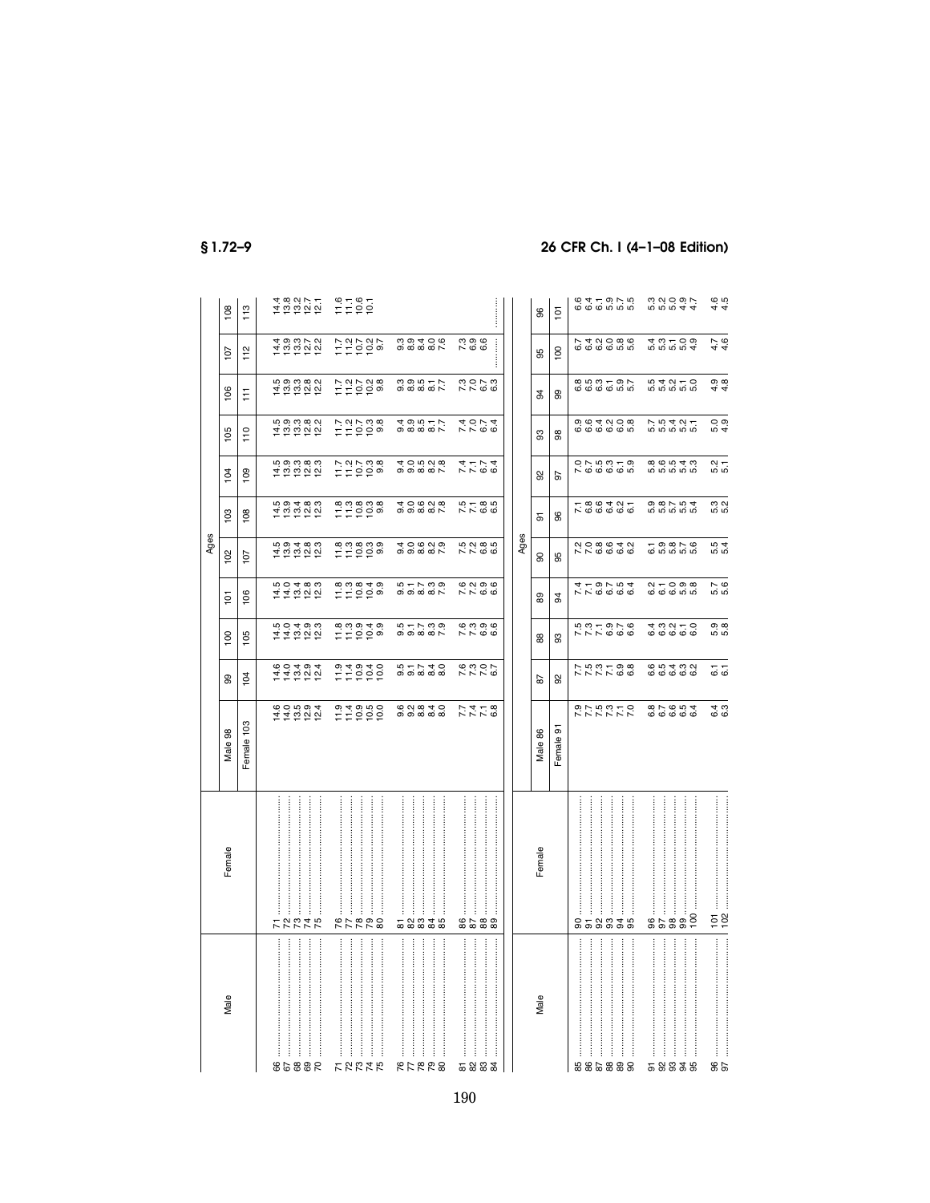|                                 |                             |                                                                                                |                         |                                                                                        |                                                                             | Ages                                                      |                                  |                                                          |                                      |                                                      |                                       |                           |
|---------------------------------|-----------------------------|------------------------------------------------------------------------------------------------|-------------------------|----------------------------------------------------------------------------------------|-----------------------------------------------------------------------------|-----------------------------------------------------------|----------------------------------|----------------------------------------------------------|--------------------------------------|------------------------------------------------------|---------------------------------------|---------------------------|
| Male                            | Female                      | 98<br>Male                                                                                     | 8                       | 100                                                                                    | 101                                                                         | 102                                                       | 103                              | 104                                                      | 105                                  | 106                                                  | 107                                   | 108                       |
|                                 |                             | Female 103                                                                                     | 104                     | 105                                                                                    | 106                                                                         | 107                                                       | 108                              | $\overline{5}$                                           | 110                                  | F                                                    | 112                                   | 113                       |
|                                 |                             |                                                                                                |                         |                                                                                        |                                                                             |                                                           |                                  |                                                          |                                      |                                                      |                                       |                           |
| .<br>ļ<br>8889                  | <br>ļ<br><b>22222</b>       | $\ddot{\rm o}$ $\dot{\rm o}$ $\ddot{\rm o}$ $\dot{\rm o}$ $\ddot{\rm o}$<br><u> 4 4 9 5 5 </u> | 111222<br>11122         | <b>00400</b><br>キキャマみ                                                                  | ははほぼには はない                                                                  | <b>59489</b><br>후학학학학                                     | rù o i 4 to to i<br>ភ្នំត្នាំង្វ | <b>სი</b> სადად<br>후학학학학                                 | 5<br>10000000<br>10000000            | 5<br>4 5 5 6 7 8<br>5 7 5 7 9                        | 4 9 9 1 2 2<br>4 9 9 2 2<br>4 9 9 1 2 |                           |
| ŧ                               | ŧ                           |                                                                                                |                         |                                                                                        |                                                                             |                                                           |                                  |                                                          |                                      |                                                      |                                       |                           |
| $\vdots$<br>÷                   | ŧ                           |                                                                                                |                         |                                                                                        |                                                                             |                                                           |                                  |                                                          |                                      |                                                      |                                       | 18222 1181<br>1922 1191   |
| j<br>ŧ                          | j<br>ŧ                      |                                                                                                |                         |                                                                                        |                                                                             |                                                           |                                  |                                                          |                                      |                                                      |                                       |                           |
| ŧ<br><b>FSE55</b>               | ŧ<br><b>822728</b>          |                                                                                                | 110100<br>11010         | $\omega$ $\omega$ $\omega$ $\Delta$ $\omega$<br>부부흥흥행                                  | 1100409<br>1100409                                                          |                                                           | $7799999$<br>$7799999$           | $P \times P \times Q$<br>드드드드히                           | 1121038<br>112103                    | $7.2028$<br>$7.2028$                                 | $7.20202$<br>$7.20202$                |                           |
|                                 | ŧ                           |                                                                                                |                         |                                                                                        |                                                                             |                                                           |                                  |                                                          |                                      |                                                      |                                       |                           |
| H<br><b>ELERS</b>               | ÷<br>58835                  | $\ddot{\circ}$ $\dot{\circ}$ $\ddot{\circ}$ $\dot{\circ}$<br>ை வைக்கை                          |                         | $\ddot{w} - \ddot{w} \ddot{\omega}$<br>$\circ$ $\circ$ $\circ$ $\circ$ $\circ$ $\circ$ | 5<br>5<br>5<br>5<br>5<br>5<br>5<br>5<br>5<br>7<br>5<br>2<br>5<br>2<br>2<br> | 400000<br>$\circ$ $\circ$ $\circ$ $\circ$ $\circ$ $\circ$ | 000000<br>000000                 | 40000<br>$\circ$ $\circ$ $\circ$ $\circ$ $\circ$ $\circ$ | 4 9 9 9 7 7<br>4 9 9 9 7 7           | 309577                                               | $0.0406$<br>$0.0406$                  |                           |
| ŧ                               | İ                           |                                                                                                |                         |                                                                                        |                                                                             |                                                           |                                  |                                                          |                                      |                                                      |                                       |                           |
|                                 |                             |                                                                                                |                         |                                                                                        |                                                                             |                                                           |                                  |                                                          |                                      |                                                      |                                       |                           |
| ļ<br>5233                       | ŧ<br>8238                   | 7716<br>7776                                                                                   | 522767                  | ဖ္ က တ ဖ<br>$R R$ $\sigma$                                                             | 62366<br>7766                                                               | 10 N @ 10<br>$R R$ $\sigma$                               | 5785<br>7785                     | 7.1<br>7.1<br>7.1<br>7.1                                 | $7.004$<br>4.074                     |                                                      | 7996                                  |                           |
| ļ                               |                             |                                                                                                |                         |                                                                                        |                                                                             |                                                           |                                  |                                                          |                                      |                                                      |                                       |                           |
|                                 | ŧ                           |                                                                                                |                         |                                                                                        |                                                                             |                                                           |                                  |                                                          |                                      |                                                      | $\frac{1}{2}$                         |                           |
|                                 |                             |                                                                                                |                         |                                                                                        |                                                                             |                                                           |                                  |                                                          |                                      |                                                      |                                       |                           |
|                                 |                             |                                                                                                |                         |                                                                                        |                                                                             | Ages                                                      |                                  |                                                          |                                      |                                                      |                                       |                           |
| Male                            | Female                      | Male 86                                                                                        | 5s                      | 88                                                                                     | 8                                                                           | 8                                                         | 5                                | 8                                                        | 3                                    | 34                                                   | 95                                    | 96                        |
|                                 |                             | Female 91                                                                                      | ္တ                      | 3                                                                                      | 3                                                                           | 95                                                        | 96                               | 5                                                        | 86                                   | 99                                                   | 100                                   | $\overline{5}$            |
| ŧ                               | ŧ                           |                                                                                                |                         |                                                                                        |                                                                             |                                                           |                                  |                                                          |                                      |                                                      |                                       |                           |
| .<br>.<br>.<br>.<br>.<br>882888 | ŧ<br>858838                 | o - r v v v v<br>0 - v v v v v v                                                               | 7.5.6.66<br>7.5.7.7.6.6 |                                                                                        | 779754<br>479754                                                            | QQQQQQQQ<br>$N \times 0 0 0 0$                            | 7.8.9427                         | $0 - 5 - 5$<br>$0 - 5 - 5$                               | 0<br>0<br>0<br>0 0 0 0 0 0<br>0<br>0 | $\infty$ to $\infty$ to $\sim$<br><b>@</b> @ @ @ @ @ | 0 0 0 0 0 0 0 0 0 0                   | $64 - 9 - 9$<br>$6660000$ |
| ŧ<br>ŧ                          | ŧ<br>ŧ                      |                                                                                                |                         |                                                                                        |                                                                             |                                                           |                                  |                                                          |                                      |                                                      |                                       |                           |
|                                 |                             |                                                                                                |                         |                                                                                        |                                                                             |                                                           |                                  |                                                          |                                      |                                                      |                                       |                           |
| ŧ                               | ŧ                           |                                                                                                |                         |                                                                                        |                                                                             |                                                           |                                  |                                                          |                                      |                                                      |                                       |                           |
| ļ                               | İ                           |                                                                                                |                         |                                                                                        |                                                                             |                                                           |                                  |                                                          |                                      |                                                      |                                       |                           |
| $\ddot{\phantom{a}}$            | ÷                           |                                                                                                |                         |                                                                                        |                                                                             |                                                           |                                  |                                                          |                                      |                                                      |                                       |                           |
| <br> <br> <br>58835             | 8588                        |                                                                                                | 65432<br>6666           | $4.09 - 0.09$                                                                          |                                                                             | $-$ 000 $-$ 00<br><u>ောက် ကံ ကံ</u> ကံ                    |                                  | <b>86548</b><br>ம் ம் ம் ம்                              | 55427<br>5555                        |                                                      | n<br>4 ω + 0 ω<br>4 ω + 0 ω           |                           |
| ŧ                               | 100                         | 000000000                                                                                      |                         | <b>ဖြစ်</b> ဖြစ်                                                                       | $Q_1 + Q_2 + Q_3$                                                           |                                                           |                                  |                                                          |                                      |                                                      |                                       |                           |
| $\frac{6}{9}$                   | $\frac{5}{2}$ $\frac{8}{2}$ | ⊄ ო<br>ဖ ဖ                                                                                     | $\frac{1}{6}$           | တ ထ<br>ທ່ທ່                                                                            | 5.7<br>5.6                                                                  | $-64$<br>ທ່ທ່                                             | 5.2<br>5.2                       | 5.1<br>5.1                                               | 5.9                                  | 4.8                                                  | $4.7$<br>$4.6$                        | 4.5                       |
|                                 |                             |                                                                                                |                         |                                                                                        |                                                                             |                                                           |                                  |                                                          |                                      |                                                      |                                       |                           |

 $$1.72-9$ 

# 26 CFR Ch. I (4-1-08 Edition)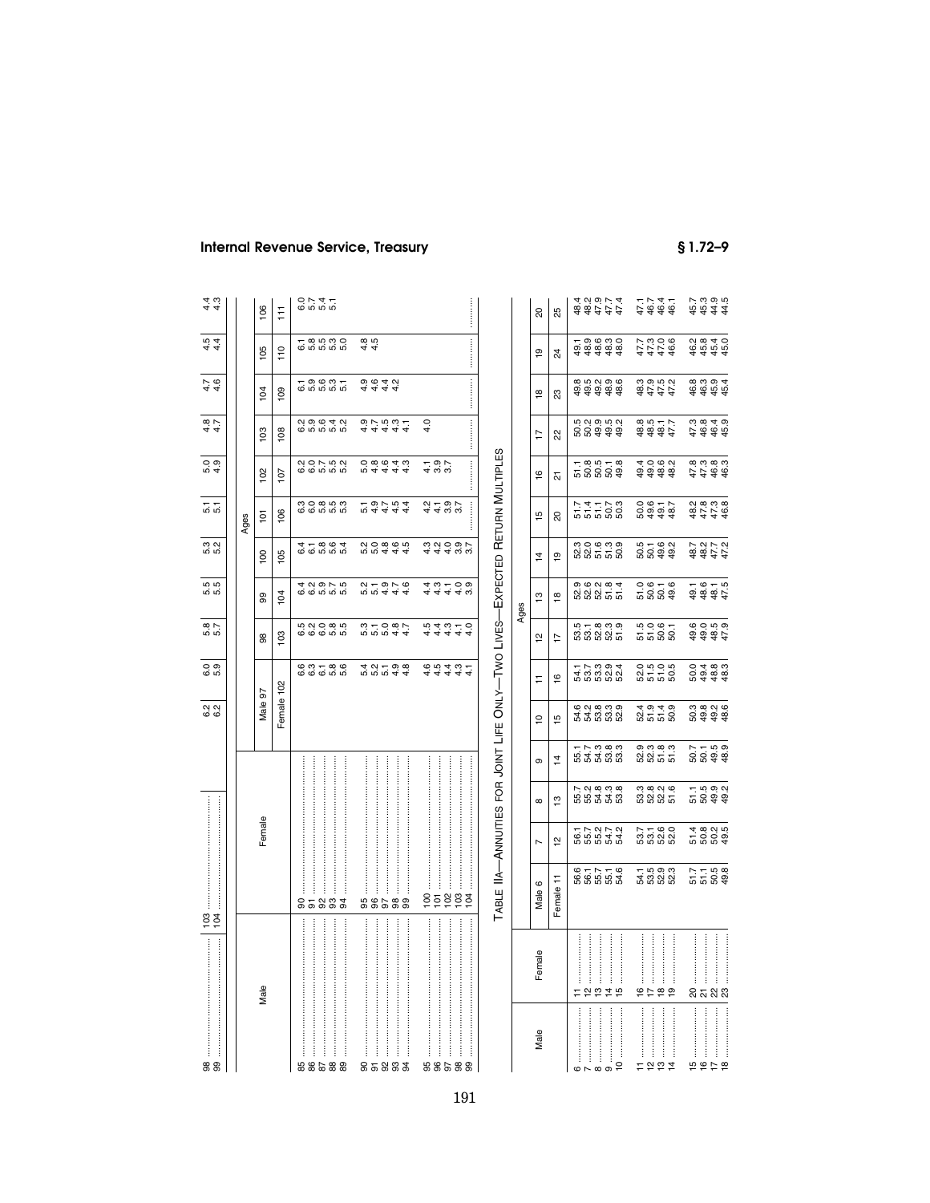|                                                                                                                                                                                                                                                                                                                                                                                                                                                                                                   |                                                                            | 0 0<br>0 0<br>ี<br>ดู ดู<br>© © | 6.<br>ທີ່ ທີ່                 | ເດີ<br>ເດີ<br>ເດີ                                                                | m<br>ភេល                      | 5.T<br>5.T                 | $rac{1}{6}$<br>5.9                        | $rac{1}{4}$<br>4.7                       | $\frac{1}{4}$<br>4.6          | $\frac{15}{44}$        | 4 d<br>4 d                  |
|---------------------------------------------------------------------------------------------------------------------------------------------------------------------------------------------------------------------------------------------------------------------------------------------------------------------------------------------------------------------------------------------------------------------------------------------------------------------------------------------------|----------------------------------------------------------------------------|---------------------------------|-------------------------------|----------------------------------------------------------------------------------|-------------------------------|----------------------------|-------------------------------------------|------------------------------------------|-------------------------------|------------------------|-----------------------------|
|                                                                                                                                                                                                                                                                                                                                                                                                                                                                                                   |                                                                            |                                 |                               |                                                                                  |                               |                            |                                           |                                          |                               |                        |                             |
|                                                                                                                                                                                                                                                                                                                                                                                                                                                                                                   |                                                                            |                                 |                               |                                                                                  |                               | Ages                       |                                           |                                          |                               |                        |                             |
| Male                                                                                                                                                                                                                                                                                                                                                                                                                                                                                              | Female                                                                     | Male 97                         | 8                             | 99                                                                               | $\frac{8}{100}$               | $\overline{5}$             | $\frac{2}{3}$                             | $\frac{2}{3}$                            | $\overline{a}$                | 105                    | 106                         |
|                                                                                                                                                                                                                                                                                                                                                                                                                                                                                                   |                                                                            | Female 102                      | $\frac{1}{2}$                 | 104                                                                              | 105                           | 106                        | $\overline{101}$                          | $\frac{8}{2}$                            | $\frac{8}{2}$                 | $\frac{0}{1}$          | Ħ                           |
|                                                                                                                                                                                                                                                                                                                                                                                                                                                                                                   | ႙                                                                          |                                 |                               |                                                                                  |                               |                            |                                           |                                          |                               |                        |                             |
|                                                                                                                                                                                                                                                                                                                                                                                                                                                                                                   |                                                                            | ၆ က <del>-</del><br>ဖ ဖ ဖ       | 5<br>6 6 6 5 6 5<br>6 6 6 5 6 | 6 6 6 16 16<br>4 6 16 17 18                                                      | 6 6 10 10 10<br>4 10 10 10 11 | co co co co<br>co co co co | 20752<br>20752                            | 0<br>0 0 0 <del>0 1</del> 0<br>0 0 0 0 0 | - ១.២.១ -<br>២.១.២ ២.១        | - 8 9 9 9<br>២ ២ ២ ២ ១ | 0 1 4 4<br>0 1 4 5<br>0 1 5 |
|                                                                                                                                                                                                                                                                                                                                                                                                                                                                                                   |                                                                            |                                 |                               |                                                                                  |                               |                            |                                           |                                          |                               |                        |                             |
|                                                                                                                                                                                                                                                                                                                                                                                                                                                                                                   |                                                                            | 5.6<br>5.6                      |                               |                                                                                  |                               |                            |                                           |                                          |                               |                        |                             |
|                                                                                                                                                                                                                                                                                                                                                                                                                                                                                                   | 94                                                                         |                                 |                               |                                                                                  |                               |                            |                                           |                                          |                               |                        |                             |
|                                                                                                                                                                                                                                                                                                                                                                                                                                                                                                   |                                                                            |                                 |                               |                                                                                  |                               |                            |                                           |                                          |                               |                        |                             |
|                                                                                                                                                                                                                                                                                                                                                                                                                                                                                                   |                                                                            |                                 |                               |                                                                                  |                               |                            |                                           |                                          |                               | $4.5$<br>$4.5$         |                             |
|                                                                                                                                                                                                                                                                                                                                                                                                                                                                                                   |                                                                            |                                 |                               |                                                                                  |                               |                            |                                           |                                          |                               |                        |                             |
|                                                                                                                                                                                                                                                                                                                                                                                                                                                                                                   |                                                                            |                                 |                               |                                                                                  |                               |                            |                                           |                                          | 4 4 4 4<br>0 6 4 6<br>0 6 4 6 |                        |                             |
|                                                                                                                                                                                                                                                                                                                                                                                                                                                                                                   |                                                                            | 5<br>4 5 4 5 6 7<br>4 7 7 9 8   | 5<br>5 5 6 9 7<br>5 5 9 7 9   | 5<br>5<br>5<br>5<br>5<br>5<br>5<br>5<br>5<br>5<br>5<br>5<br>5<br>5<br>5<br>5<br> | 5<br>2006 05<br>2006 05       | 54444<br>59754             | 0 8 9 4 4<br>0 4 4 4 4                    | 44444<br>0.1-10.0.1-                     |                               |                        |                             |
|                                                                                                                                                                                                                                                                                                                                                                                                                                                                                                   | 99                                                                         |                                 |                               |                                                                                  |                               |                            |                                           |                                          |                               |                        |                             |
|                                                                                                                                                                                                                                                                                                                                                                                                                                                                                                   |                                                                            |                                 |                               |                                                                                  |                               |                            |                                           | 4.0                                      |                               |                        |                             |
| $\begin{minipage}{0.9\linewidth} \bf{96} \end{minipage} \begin{minipage}{0.9\linewidth} \begin{minipage}{0.9\linewidth} \bf{97} \end{minipage} \begin{minipage}{0.9\linewidth} \begin{minipage}{0.9\linewidth} \bf{97} \end{minipage} \begin{minipage}{0.9\linewidth} \bf{98} \end{minipage} \begin{minipage}{0.9\linewidth} \bf{99} \end{minipage} \begin{minipage}{0.9\linewidth} \bf{99} \end{minipage} \begin{minipage}{0.9\linewidth} \bf{99} \end{minipage} \begin{minipage}{0.9\linewidth$ |                                                                            | $4.5$<br>$4.5$                  | ちょうしつ<br>セルタルカ                | 44448<br>44448                                                                   | d d d w w<br>c d d d w w      | 2<br>4 4 5 9 7<br>4 4 6 9  | $\frac{1}{4}$ $\frac{9}{0}$ $\frac{7}{0}$ |                                          |                               |                        |                             |
|                                                                                                                                                                                                                                                                                                                                                                                                                                                                                                   |                                                                            |                                 |                               |                                                                                  |                               |                            |                                           |                                          |                               |                        |                             |
|                                                                                                                                                                                                                                                                                                                                                                                                                                                                                                   |                                                                            | $49.7$<br>$49.7$                |                               |                                                                                  |                               |                            |                                           |                                          |                               |                        |                             |
| 99                                                                                                                                                                                                                                                                                                                                                                                                                                                                                                | 104                                                                        |                                 |                               |                                                                                  |                               |                            |                                           |                                          |                               |                        |                             |
|                                                                                                                                                                                                                                                                                                                                                                                                                                                                                                   | TABLE IIA—ANNUTIES FOR JOINT LIFE ONLY—TWO LIVES—EXPECTED RETURN MULTIPLES |                                 |                               |                                                                                  |                               |                            |                                           |                                          |                               |                        |                             |

# **MULTIPLES** MULTIPLES RETURN  $\frac{1}{11}$ ONLY—TWO LIVES—EXPECTED ₹, מ:<br>וו ╕  $\geq$ ⊺ 5 IJ TABLE IIA—ANNUITIES FOR JOINT LIFE Ē, ミうっ 5 ∫<br>⊒ 5 € ₹

|                                   |                     |                                     |                                   |                                                     |                               |                               |                                       |                                 | Ages                       |                                    |                                                         |                                               |                        |                                     |                                       |                                     |
|-----------------------------------|---------------------|-------------------------------------|-----------------------------------|-----------------------------------------------------|-------------------------------|-------------------------------|---------------------------------------|---------------------------------|----------------------------|------------------------------------|---------------------------------------------------------|-----------------------------------------------|------------------------|-------------------------------------|---------------------------------------|-------------------------------------|
| Male                              | Female              | Male 6                              | $\overline{ }$                    | $\infty$                                            | თ                             | ₽                             |                                       | 으                               | ≌                          | $\overline{4}$                     | 15                                                      | $\overline{6}$                                | 17                     | ₽                                   | <u>စု</u>                             | ສ                                   |
|                                   |                     | Female 11                           | $\overline{a}$                    | ë                                                   | $\overline{4}$                | مِ                            | $\frac{6}{1}$                         | 17                              | ≌                          | <u>စု</u>                          | ສ                                                       | 짒                                             | Κ                      | ಔ                                   | 24                                    | 25                                  |
|                                   |                     |                                     |                                   |                                                     |                               |                               |                                       |                                 |                            |                                    | 51.7                                                    |                                               |                        |                                     |                                       |                                     |
| $\ell$ and an analyzing $\ell$    |                     |                                     |                                   |                                                     |                               |                               |                                       |                                 |                            |                                    | 51.4                                                    |                                               |                        |                                     |                                       |                                     |
|                                   | <u>ក្</u> នុ        | 6 + 7 + 6<br>6 6 5 5 4<br>6 6 5 5 4 | ក ក ក ក<br>ទេ ក ក ក ក<br>ទេ ក ក ក | ក < ុ ុ ុ ុ ុ ុ<br>ភូ ភូ ភូ ភូ ភូ<br>ភូ ភូ ភូ ភូ ភូ | ក្ក<br>ឆ្លង ឆ្លង<br>ឆ្លង ឆ្លង | cocieco<br>ವೆನೆಬೆಬಿ<br>ದೆನೆಬಿ | ក ៤ ១ ១ ។<br>ជំនួន និង<br>ភូមិ និង និ | 5<br>1919 1919<br>1919 1919     | 0<br>2020 021<br>0020 0210 | ១០ ២ ១ ១<br>ល្អ ២ ២ ២<br>២ ២ ២ ២ ២ | $\frac{7}{5}$ $\frac{5}{5}$ $\frac{5}{5}$ $\frac{3}{5}$ | ក ខុ ចុ ក ខុ<br>ភូមិ ទី ភូមិ<br>ភូមិ ចូ ទី    | 5<br>ក្នុង<br>ក្នុង អូ | 8 8 8 8 8<br>8 8 8 8 8<br>8 9 8 8 9 | 4 4 4 4 4<br>1 9 6 9 9 9<br>1 9 9 9 9 | d d d d d<br>a d d d d<br>4 d o b d |
|                                   | <br>$\overline{4}$  |                                     |                                   |                                                     |                               |                               |                                       |                                 |                            |                                    |                                                         |                                               |                        |                                     |                                       |                                     |
|                                   | 15                  |                                     |                                   |                                                     |                               |                               |                                       |                                 |                            |                                    |                                                         |                                               |                        |                                     |                                       |                                     |
|                                   |                     |                                     |                                   |                                                     |                               |                               |                                       |                                 |                            |                                    |                                                         |                                               |                        |                                     |                                       |                                     |
|                                   | $\frac{6}{7}$       |                                     |                                   |                                                     |                               |                               |                                       |                                 |                            |                                    |                                                         |                                               |                        |                                     |                                       |                                     |
|                                   |                     |                                     |                                   |                                                     |                               |                               |                                       |                                 |                            |                                    |                                                         |                                               |                        |                                     |                                       |                                     |
|                                   | <br>$\frac{18}{10}$ | 1<br>4 3 3 3<br>5 5 9 9             | 7 1 6 0<br>3 3 3 3<br>5 8 9 9     | 0 8 9 9 9<br>0 9 9 9 9                              | ១ ១ ១ ១<br>និង ៤ ៤<br>២ ២ ៤ ៤ | 8558<br>4949                  |                                       | ត្ត<br>ភូមិ ឆ្នាំ<br>ភូមិ ឆ្នាំ | 0.61-6.61<br>5.859         | 5<br>6 6 9 9<br>5 9 9 9            | 0.957<br>0.958<br>0.958                                 | <del>0</del><br>0 0 0 0<br>0 0 0 0<br>4 0 0 0 | 44444                  | 8 5 5 5 5<br>8 5 5 5<br>8 5 5 7     | 4444<br>4444                          | 1744<br>7444<br>7444                |
|                                   |                     |                                     |                                   |                                                     |                               |                               |                                       |                                 |                            |                                    |                                                         |                                               |                        |                                     |                                       |                                     |
|                                   |                     |                                     |                                   |                                                     |                               |                               |                                       |                                 |                            |                                    |                                                         |                                               |                        |                                     |                                       |                                     |
|                                   |                     |                                     |                                   |                                                     |                               |                               |                                       |                                 |                            |                                    |                                                         |                                               |                        |                                     |                                       |                                     |
| $\begin{array}{c} 15 \end{array}$ | <br>ន ដ ន ន         | 5 ដូច ខ្ញុំ<br>5 ដូច ទុំ            | 5 8 8 9<br>4 8 9 9<br>4 9 9 9     | ក្នុង<br>ភូមិ ទី ទី                                 | 5<br>000000<br>20000          | 0<br>0 0 0 0 0<br>0 0 0 0 0   | 0<br>0 0 0 0<br>0 0 0 0<br>0 0 0 0    | 600509<br>90907<br>90907        | 16115<br>9887<br>9887      | 4 4 4 4<br>4 4 4 4<br>4 4 4 4      | 4 4 4 4<br>8 7 7 8<br>9 7 7 8                           | 8<br>0 0 0 0 0<br>4 4 4 4                     | 4444<br>7644           | 8 8 9 9 4<br>8 9 9 9 9<br>8 9 9 9   | 4 4 4 4<br>6 5 4 5 6<br>7 6 7 9       | 4 4 4 4<br>6 6 4 4<br>7 6 9 6       |
|                                   |                     |                                     |                                   |                                                     |                               |                               |                                       |                                 |                            |                                    |                                                         |                                               |                        |                                     |                                       |                                     |
|                                   |                     |                                     |                                   |                                                     |                               |                               |                                       |                                 |                            |                                    |                                                         |                                               |                        |                                     |                                       |                                     |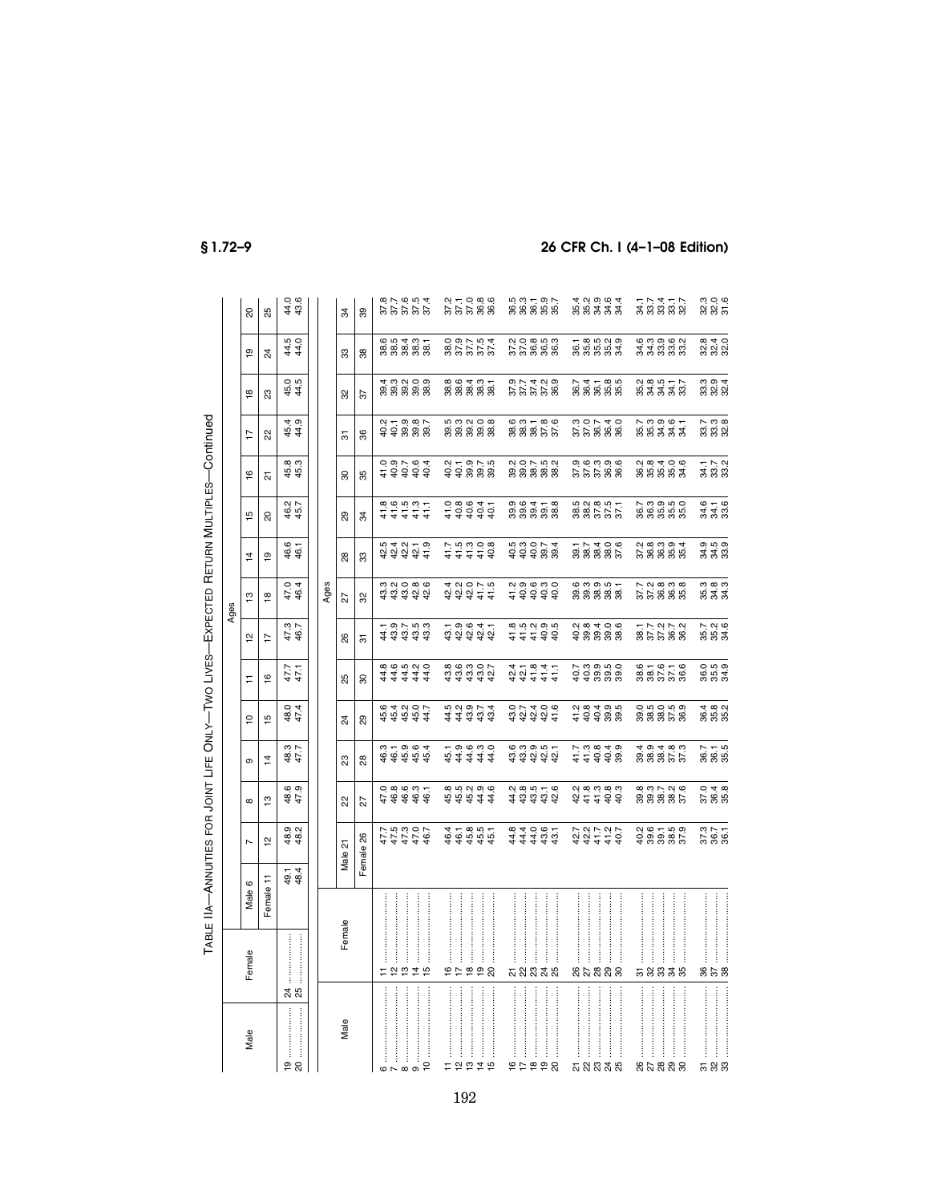| $\ddot{\phantom{a}}$       |
|----------------------------|
|                            |
| :<br> <br> <br> <br>J<br>i |
| )<br>.                     |
| ļ                          |
| )<br>!<br>!<br>l           |
|                            |
| ļ                          |
| - 1<br>- 1<br>- 1<br>-     |
|                            |
| <br> <br> <br>             |
|                            |
|                            |
|                            |
| l                          |

Ages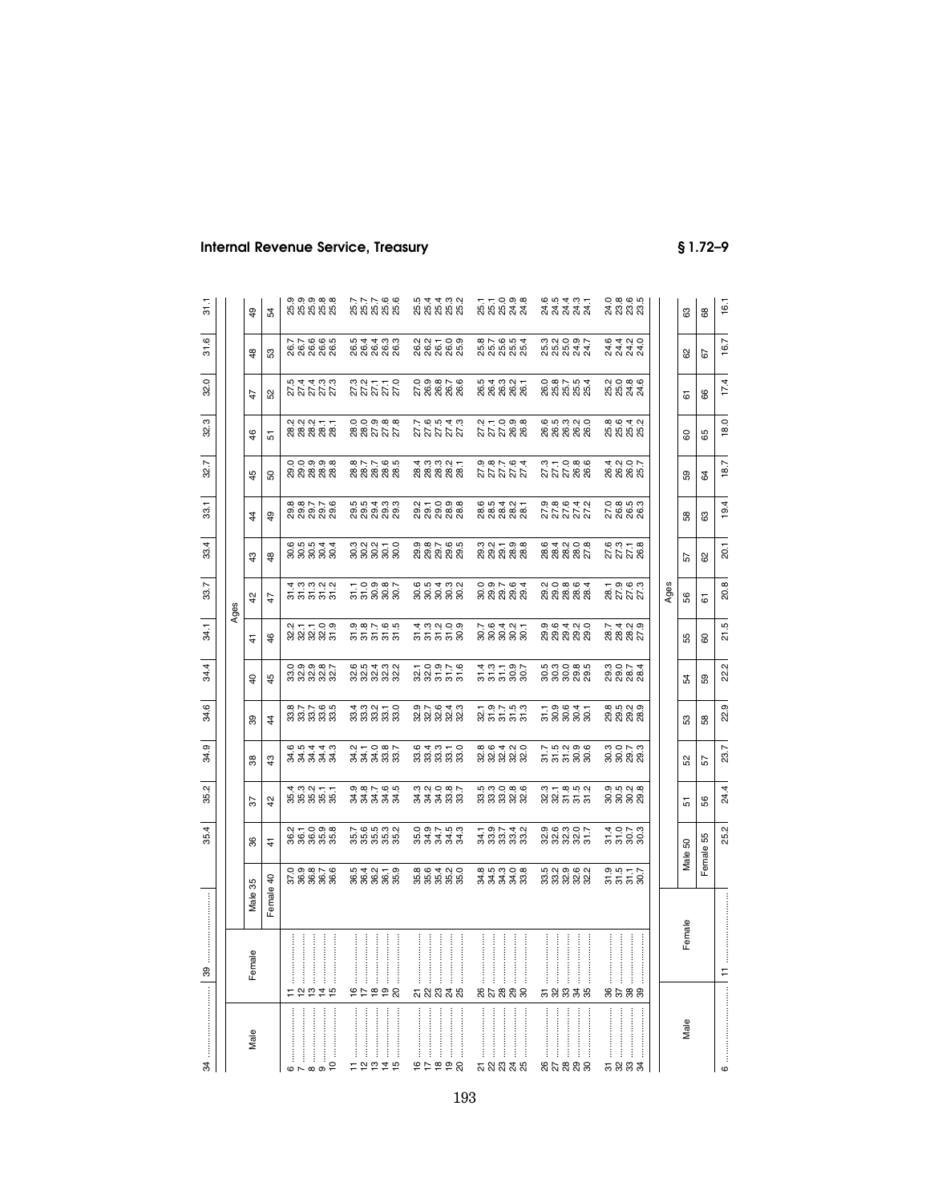| 34                                                                                                                  |          |                                     | 35.4                                                   | 35.2                            | 34.9                                   | 34.6                                              | 34.4                            | 34.1                                     | 33.7                                               | 33.4                                        | 33.1                                               | 32.7                             | 32.3                                      | 32.0                          | 31.6                                  | 31.1                                                      |
|---------------------------------------------------------------------------------------------------------------------|----------|-------------------------------------|--------------------------------------------------------|---------------------------------|----------------------------------------|---------------------------------------------------|---------------------------------|------------------------------------------|----------------------------------------------------|---------------------------------------------|----------------------------------------------------|----------------------------------|-------------------------------------------|-------------------------------|---------------------------------------|-----------------------------------------------------------|
|                                                                                                                     |          |                                     |                                                        |                                 |                                        |                                                   |                                 |                                          | Ages                                               |                                             |                                                    |                                  |                                           |                               |                                       |                                                           |
| Male                                                                                                                | Female   | Male 35                             | 96                                                     | 55                              | 38                                     | 99                                                | $\overline{a}$                  | 4                                        | $\frac{5}{4}$                                      | $\frac{3}{4}$                               | $\ddot{4}$                                         | 45                               | $\frac{6}{5}$                             | 47                            | $\frac{48}{5}$                        | \$                                                        |
|                                                                                                                     |          | Female 40                           | 4                                                      | ₽                               | $\frac{3}{4}$                          | $\ddot{4}$                                        | 45                              | 46                                       | 47                                                 | \$                                          | \$                                                 | SO.                              | 57                                        | 52                            | S3                                    | 54                                                        |
| $\circ$ $\sim$                                                                                                      |          |                                     |                                                        |                                 |                                        |                                                   |                                 |                                          |                                                    |                                             |                                                    |                                  |                                           |                               |                                       |                                                           |
|                                                                                                                     |          |                                     |                                                        |                                 |                                        |                                                   |                                 |                                          |                                                    |                                             |                                                    |                                  |                                           |                               |                                       |                                                           |
| $\begin{array}{c c} \hline \mathbf{8} & \cdots & \mathbf{8} \\ \hline \mathbf{9} & \cdots & \mathbf{9} \end{array}$ |          |                                     |                                                        |                                 |                                        |                                                   |                                 |                                          |                                                    |                                             |                                                    |                                  |                                           |                               |                                       |                                                           |
| $\frac{1}{2}$                                                                                                       | 12219    | 0 0 0 0 1<br>5 9 9 9 9<br>6 9 9 9 9 | 2<br>888888                                            | ង ដូច ដូច<br>អូង អូង អូ         | a a a a a<br>अर्थ अर्थ<br>के अर्थ अ    | $\omega \sim \omega$<br>នីនីនីនីនី                |                                 | 211109<br>232325                         | نه نه نه نه<br>តតតតត                               | 65544<br>នីនីនីនី                           | 8<br>8 8 8 8 8 8<br>8 8 8 8 8                      | 00000<br>88888                   | 2<br>8 8 8 8 8 8<br>2 8 8 8 8             | 222222<br>22222               | 7 7 8 9 9 5<br>8 8 8 8 8<br>8 8 8 8 8 | 0, 0, 0, 0, 0,<br>0, 0, 0, 0, 0,<br>0, 0, 0, 0, 0,        |
|                                                                                                                     |          |                                     |                                                        |                                 |                                        |                                                   |                                 |                                          |                                                    |                                             |                                                    |                                  |                                           |                               |                                       |                                                           |
| ļ<br>= 2275                                                                                                         | 9599     | 5<br>8 8 8 8 9 9<br>5 9 9 9 9       | 7. 6. 19. 19. 19<br>19. 19. 19. 19.<br>19. 19. 19. 19. | ०,००,०,०,०<br>ऊॅ ऊॅ ऊॅ ऊॅ       |                                        | ុ<br>ដូង ដូង ដូ<br>អូង ដូង ដូ                     | 8 8 9 9 9 9<br>8 9 9 9 9 9      | 0 0 1 0 0 0<br>5 5 5 5 5<br>9 9 9 9 9    | 10980<br>55888                                     | ិ<br>ទី ទី ទី ទី ទី<br>ដី                   | 5<br>6 5 6 7 6 7<br>5 7 8 7 9 7                    | 8<br>8 8 8 8 8 8<br>8 8 8 8 8 8  | 0,0,0,0,0,0<br>8,8,0,0,0,0<br>8,8,0,0,0,0 | 323222<br>22222               | 5<br>6 6 6 6 6<br>5 6 7 8 9           | 7, 7, 7, 9, 9,<br>8, 8, 8, 8, 8,<br>8, 8, 8, 8, 8,        |
|                                                                                                                     |          |                                     |                                                        |                                 |                                        |                                                   |                                 |                                          |                                                    |                                             |                                                    |                                  |                                           |                               |                                       |                                                           |
|                                                                                                                     |          |                                     |                                                        |                                 |                                        |                                                   |                                 |                                          |                                                    |                                             |                                                    |                                  |                                           |                               |                                       |                                                           |
|                                                                                                                     |          |                                     |                                                        |                                 |                                        |                                                   |                                 |                                          |                                                    |                                             |                                                    |                                  |                                           |                               |                                       |                                                           |
|                                                                                                                     |          |                                     |                                                        |                                 |                                        |                                                   |                                 |                                          |                                                    |                                             |                                                    |                                  |                                           |                               |                                       |                                                           |
|                                                                                                                     |          |                                     |                                                        |                                 |                                        |                                                   |                                 |                                          |                                                    |                                             |                                                    |                                  |                                           |                               |                                       |                                                           |
| ŧ                                                                                                                   |          |                                     |                                                        |                                 |                                        |                                                   |                                 |                                          |                                                    |                                             |                                                    |                                  |                                           |                               |                                       |                                                           |
|                                                                                                                     |          |                                     |                                                        |                                 |                                        |                                                   |                                 |                                          |                                                    |                                             |                                                    |                                  |                                           |                               |                                       |                                                           |
| 99292                                                                                                               | ភ្លួននូន | 8<br>8 8 8 8 9 9<br>8 9 9 9 9       | 0 9 1 9 9 9<br>9 9 9 9 9 9<br>9 9 9 9 9                | ិ<br>ភី ភី ភី ភី ភី<br>ភី       | 833333                                 | $\omega \vdash \omega \dashv \omega$<br>8 8 8 8 8 | $70979$<br>$887779$             | 3<br>55558                               | 88888<br>88888                                     | $\omega \circ \alpha$<br>ត្តត្តត្តត្ត       | <u>ューロ</u><br>이 이 이 이 이<br>이 이 이 이 이               |                                  | 27.654.67<br>27.77.72                     | 0.0.00<br>20.0000<br>20.00000 | 2 2 3 3 3<br>2 3 3 3 3 3<br>2 3 3 3 3 | 5<br>5 5 5 5 5 6<br>5 5 5 6 7                             |
|                                                                                                                     |          |                                     |                                                        |                                 |                                        |                                                   |                                 |                                          |                                                    |                                             |                                                    |                                  |                                           |                               |                                       |                                                           |
|                                                                                                                     |          |                                     |                                                        |                                 |                                        |                                                   |                                 |                                          |                                                    |                                             |                                                    |                                  |                                           |                               |                                       |                                                           |
| ŧ                                                                                                                   |          |                                     |                                                        |                                 |                                        |                                                   |                                 |                                          |                                                    |                                             |                                                    |                                  |                                           |                               |                                       |                                                           |
| ភ្លងនាង                                                                                                             | នួងនួនន  | 8 5 6 7 8 8<br>8 8 8 9 8            | 3<br>2007 300<br>2009 30                               | 5<br>5 5 5 5 6 7<br>5 5 5 7 8 9 | 8 8 9 4 9 9<br>8 8 8 9 8 9             | ក ១ ២ ២ ១<br>នាំ ភី ភី ភី ភី                      | 35588<br>35588                  | 7. 64. 91.<br>2008 00                    | ០ ១ r . ๒ <del>។</del><br>ទូ ១ ១ ១ ១<br>ទី ១ ១ ១ ១ | ಣ ಇ − ೨ ೩<br>ನ ನ ನ ನ ನ<br>ನ ನ ನ ನ ನ         | 65427<br>888888                                    | 222222<br>222222<br>22222        | 27.098<br>27.098                          | 5<br>6 6 6 6 6 7<br>5 8 7 8 7 | 87654<br>858888                       | 77098<br>88842                                            |
| ŧ                                                                                                                   |          |                                     |                                                        |                                 |                                        |                                                   |                                 |                                          |                                                    |                                             |                                                    |                                  |                                           |                               |                                       |                                                           |
|                                                                                                                     |          |                                     |                                                        |                                 |                                        |                                                   |                                 |                                          |                                                    |                                             |                                                    |                                  |                                           |                               |                                       |                                                           |
|                                                                                                                     |          |                                     |                                                        |                                 |                                        |                                                   |                                 |                                          |                                                    |                                             |                                                    |                                  |                                           |                               |                                       |                                                           |
| ŧ                                                                                                                   |          |                                     |                                                        |                                 |                                        |                                                   |                                 |                                          |                                                    |                                             |                                                    |                                  |                                           |                               |                                       |                                                           |
| ,,,,,,,,,,,,,,,,,,,,,,<br>នសននន                                                                                     | 58838    | 5<br>5 5 9 9 9 9<br>5 9 9 9 9       | 9.9.9.9.7<br>8.9.9.9.7                                 | 8 8 9 9 9 9<br>8 9 9 9 9 9      | 7 5 5 9 9 9<br>2 7 9 9 9 9             | - - 9 9 9 5<br>5 8 8 8 8<br>- 9 9 9 9             | 5<br>88888<br>8988              | ១. ២ ។ ៧ ೦<br>១. ១. ១. ១. ១.<br>ស ស ស ស  | 2<br>2 2 3 3 3 3 3<br>2 3 3 3 3 3                  | $\omega \neq \omega \circ \infty$<br>888882 | 9. 8. 9. 4. 9.<br>2. 2. 2. 2. 2.<br>9. 9. 9. 4. 9. | 37.08.09<br>27.09.09<br>27.09.09 | 655366<br>666666<br>66666                 |                               | 3<br>5 3 5 5 7<br>5 8 7 7 7           | e n <del>q</del> m <del>q</del><br>d d d d d<br>d d d d d |
| ŧ                                                                                                                   |          |                                     |                                                        |                                 |                                        |                                                   |                                 |                                          |                                                    |                                             |                                                    |                                  |                                           |                               |                                       |                                                           |
|                                                                                                                     |          |                                     |                                                        |                                 |                                        |                                                   |                                 |                                          |                                                    |                                             |                                                    |                                  |                                           |                               |                                       |                                                           |
|                                                                                                                     |          |                                     |                                                        |                                 |                                        |                                                   |                                 |                                          |                                                    |                                             |                                                    |                                  |                                           |                               |                                       |                                                           |
| j                                                                                                                   |          |                                     |                                                        |                                 |                                        |                                                   |                                 |                                          |                                                    |                                             |                                                    |                                  |                                           |                               |                                       |                                                           |
|                                                                                                                     |          |                                     |                                                        |                                 |                                        | <b>@</b> 10 N 0                                   |                                 |                                          |                                                    |                                             |                                                    | 4.005                            |                                           |                               |                                       |                                                           |
| ļ<br>ಕ ನಿ ಜಿ ತೆ                                                                                                     | 8588     | 9.957<br>5558                       | 5588<br>1588                                           | 0 10 0 00<br>8888               | ត្ត<br>ទី ទី ខ្លី ខ្លី<br>តូ ខ្លី ខ្លី | စ္လံ စွဲ စွဲ စွဲ                                  | 0<br>00 00 00 00<br>00 00 00 00 | 7. 4 0. 0.<br>8. 8. 8. 7.<br>7. 8. 8. 7. | 28.7.9.9<br>27.7.9<br>27.7.9                       | 6. 3. 7. 8.<br>2. 7. 7. 8.<br>2. 7. 7. 8.   | 0: 0: 0: 0:<br>2: 0: 0: 0:<br>2: 2: 0: 0:          | 8888                             | 8<br>8 8 8 8 8<br>8 8 8 8                 | 2<br>2023<br>2023             | 8 4 8 9<br>8 4 9 9<br>8 8 8 9         | 0.80.95<br>20.95.95<br>20.95.95                           |
|                                                                                                                     |          |                                     |                                                        |                                 |                                        |                                                   |                                 |                                          |                                                    |                                             |                                                    |                                  |                                           |                               |                                       |                                                           |
|                                                                                                                     |          |                                     |                                                        |                                 |                                        |                                                   |                                 |                                          | Ages                                               |                                             |                                                    |                                  |                                           |                               |                                       |                                                           |
| Male                                                                                                                | Female   |                                     | Male 50                                                | 5                               | 52                                     | SS.                                               | 54                              | 55                                       | 56                                                 | 57                                          | 58                                                 | 59                               | 8                                         | 61                            | 8                                     | යි                                                        |
|                                                                                                                     |          |                                     | Female 55                                              | 8                               | 57                                     | 58                                                | 59                              | 80                                       | 61                                                 | ಜ                                           | සි                                                 | 84                               | 8                                         | 66                            | 57                                    | $_{68}$                                                   |
| $\circ$                                                                                                             | Ξ        |                                     | 25.2                                                   | 4<br>$\overline{24}$            | 23.7                                   | 22.9                                              | 22.2                            | Б<br>Z                                   | 20.8                                               | 20.1                                        | 19.4                                               | 18.7                             | 18.0                                      | 17.4                          | 16.7                                  | 16.1                                                      |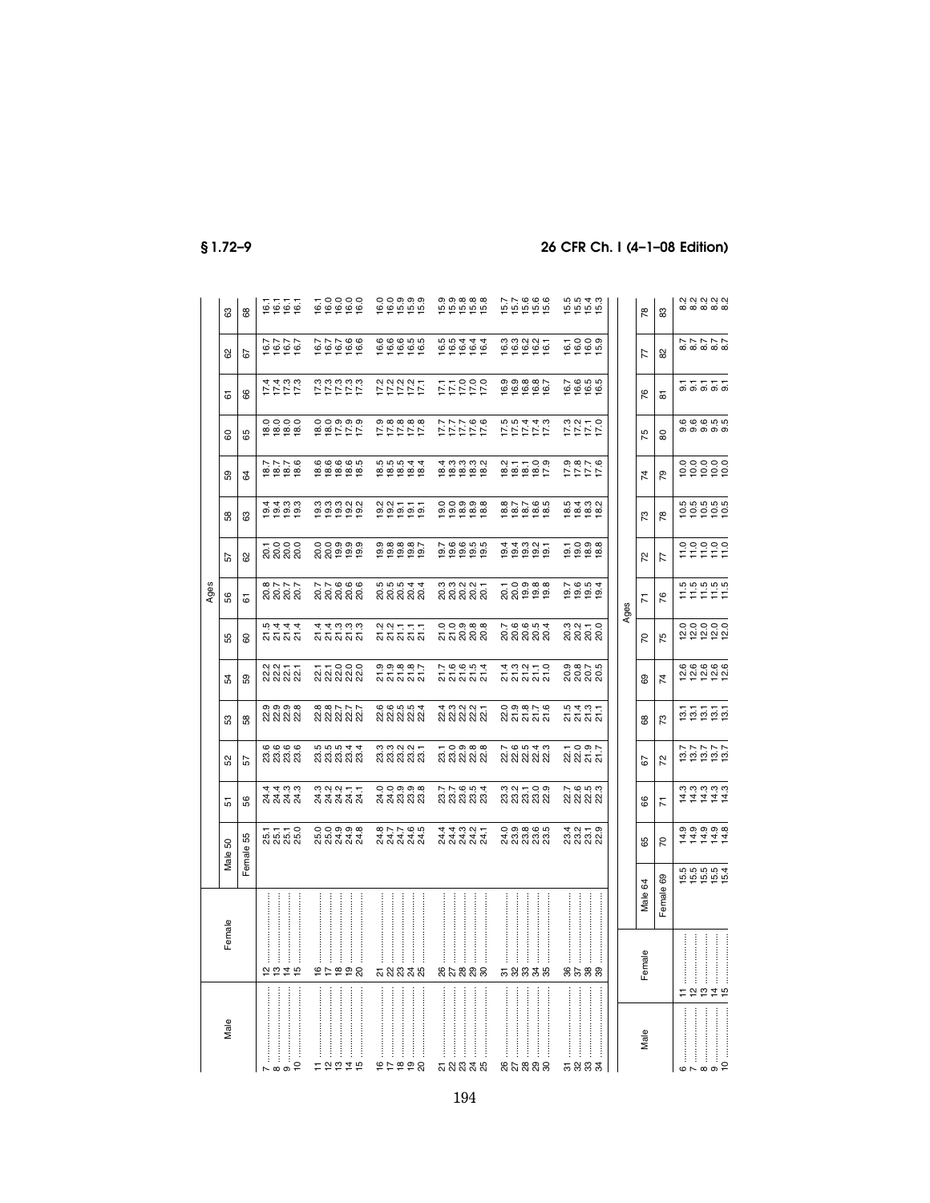|                                                                                                                                                                                                                                                                                                                                                                                                                                         |                                 |           |                                                                    |                                         |                                     |                                                        |                                                                                                     |                                     | Ages                              |                                   |                                                                                       |                                                  |                                        |                                   |                                                                          |                                 |
|-----------------------------------------------------------------------------------------------------------------------------------------------------------------------------------------------------------------------------------------------------------------------------------------------------------------------------------------------------------------------------------------------------------------------------------------|---------------------------------|-----------|--------------------------------------------------------------------|-----------------------------------------|-------------------------------------|--------------------------------------------------------|-----------------------------------------------------------------------------------------------------|-------------------------------------|-----------------------------------|-----------------------------------|---------------------------------------------------------------------------------------|--------------------------------------------------|----------------------------------------|-----------------------------------|--------------------------------------------------------------------------|---------------------------------|
| Male                                                                                                                                                                                                                                                                                                                                                                                                                                    | Female                          |           | S<br>Male !                                                        | 5                                       | S <sub>2</sub>                      | S3                                                     | 54                                                                                                  | 55                                  | 99                                | 57                                | 58                                                                                    | S9                                               | 8                                      | 67                                | 8                                                                        | ස                               |
|                                                                                                                                                                                                                                                                                                                                                                                                                                         |                                 |           | Female 55                                                          | 8                                       | 57                                  | 58                                                     | ဥ                                                                                                   | <u>င</u> ္က                         | 5                                 | 8                                 | යි                                                                                    | 54                                               | 89                                     | 8                                 | 57                                                                       | 89                              |
| $\overline{c}$<br>$\sim \infty$                                                                                                                                                                                                                                                                                                                                                                                                         | 2070                            |           | 55770<br>85888                                                     | न न ०,०,<br>सं सं सं सं<br>सं सं सं     | <b>७, ७, ७, ७</b><br>ମି ମି ମି ମି    | <b>၈၈၈</b><br>સં સં સં સં                              | .<br>있 있 있 있<br>2                                                                                   | 2222<br>2222                        | 82777<br>8888                     | ក ១ ១ ១<br>នាន់នាន់               | $\begin{array}{c} 4 & 4 & 0 & 0 \\ 0 & 0 & 0 & 0 \\ \hline 1 & 0 & 0 & 0 \end{array}$ | 7776<br>1810<br>1910                             | 00000<br>8888                          | けけけけ                              | 16.7<br>16.7<br>16.7                                                     | 67.76                           |
|                                                                                                                                                                                                                                                                                                                                                                                                                                         |                                 |           |                                                                    |                                         |                                     |                                                        |                                                                                                     |                                     |                                   |                                   |                                                                                       |                                                  |                                        |                                   |                                                                          |                                 |
| Ĵ<br>12215                                                                                                                                                                                                                                                                                                                                                                                                                              | 95998                           |           | oooooo<br>Kaada                                                    | naart<br>Raada                          | 5<br>3 3 3 3 3 3<br>5 3 4 5 4       | $\omega \omega \sim \omega \omega$<br><u>ଷ ଷ ଷ ଷ ଷ</u> | ភ្លុ<br>ស្តី ស្តី ស្តី ស្តី                                                                         | ង<br>មិនប្តាយ<br>អ្នក               | ក ក ច ច ច<br>ឧ ឧ ឧ ឧ ឧ<br>ស ឧ ឧ ឧ | ooooo<br>ឯកក្នុង                  | 0<br>0 0 0 0 0 0<br>0 0 0 0 0                                                         | <u>@@@@</u>                                      | $00000000$<br>$00000000$               | いいいじじょう こうじょう こうしょう               | $1077000$<br>$1090000$                                                   |                                 |
|                                                                                                                                                                                                                                                                                                                                                                                                                                         |                                 |           |                                                                    |                                         |                                     |                                                        |                                                                                                     |                                     |                                   |                                   |                                                                                       | <u>ဖ</u> ေဖေဖေက                                  |                                        |                                   |                                                                          |                                 |
| ŧ                                                                                                                                                                                                                                                                                                                                                                                                                                       |                                 |           |                                                                    |                                         |                                     |                                                        |                                                                                                     |                                     |                                   |                                   |                                                                                       |                                                  |                                        |                                   |                                                                          |                                 |
| $\begin{minipage}{0.9\linewidth} \begin{tabular}{l} \hline \textbf{1} & \textbf{1} & \textbf{1} & \textbf{1} & \textbf{1} & \textbf{1} & \textbf{1} & \textbf{1} & \textbf{1} & \textbf{1} & \textbf{1} & \textbf{1} & \textbf{1} & \textbf{1} & \textbf{1} & \textbf{1} & \textbf{1} & \textbf{1} & \textbf{1} & \textbf{1} & \textbf{1} & \textbf{1} & \textbf{1} & \textbf{1} & \textbf{1} & \textbf{1} & \textbf{1} & \textbf{1} &$ |                                 |           |                                                                    |                                         |                                     |                                                        |                                                                                                     |                                     |                                   |                                   |                                                                                       |                                                  |                                        |                                   |                                                                          |                                 |
| $\frac{1}{2}$<br>66854                                                                                                                                                                                                                                                                                                                                                                                                                  | ភ្លងនាង                         |           | 8, 7, 7, 9, 9,<br>4, 4, 4, 4, 4,<br>2, 2, 2, 2, 2,                 | ०००००<br>संसंशंशंश                      | 333333<br>333333                    | 6.6.0.0.4<br><u>ଷ ଷ ଷ ଷ ଷ</u>                          | ១១ <u>១</u><br>ភិភិភិភិ                                                                             | ្មួលក្នុក<br>ស៊ីស៊ីស៊ីស៊ី           | 5<br>88888<br>5988                | 000007<br>000000                  | 99577                                                                                 | 10<br>100044<br>100000                           | 8 10 10 10<br>2 1 1 1 1 1<br>2 1 1 1 1 | いけいけいけい                           | $\begin{array}{c} 6 & 6 & 6 & 6 & 6 \\ 6 & 6 & 6 & 6 & 6 \\ \end{array}$ | 000000<br>190900                |
|                                                                                                                                                                                                                                                                                                                                                                                                                                         |                                 |           |                                                                    |                                         |                                     |                                                        |                                                                                                     |                                     |                                   |                                   |                                                                                       |                                                  |                                        |                                   |                                                                          |                                 |
|                                                                                                                                                                                                                                                                                                                                                                                                                                         |                                 |           |                                                                    |                                         |                                     |                                                        |                                                                                                     |                                     |                                   |                                   |                                                                                       |                                                  |                                        |                                   |                                                                          |                                 |
| $\frac{1}{2}$                                                                                                                                                                                                                                                                                                                                                                                                                           |                                 |           |                                                                    |                                         |                                     |                                                        |                                                                                                     |                                     |                                   |                                   |                                                                                       |                                                  |                                        |                                   |                                                                          |                                 |
| <b>ភ</b> ង ឌ <del>ដ</del> ឆ                                                                                                                                                                                                                                                                                                                                                                                                             | នួងនួនន                         |           | 44321<br>44444<br>ひひひひ                                             | 7 7 9 9 4<br>8 8 8 8 8                  | ក 0 ១ <u>๓ ๓</u><br>ស៊ី ស៊ី ស៊ី ស៊ី | 4 9 9 9 4<br>2 2 3 2 3 2                               | $\overline{r}$ , $\overline{q}$ , $\overline{q}$ , $\overline{q}$ , $\overline{q}$<br><u>ភ</u> ភភភភ | ooong<br>ភិភីនិនិ                   | ន្ទន្ទ្ទង្គ<br>ន្លន្ត្ទន្ត្ត      |                                   | 000000<br>000000                                                                      | 4 ယံ ယံ ယံ ဟံ<br><u>si si si si si</u>           | 9777.6<br>27777                        | 0 0 0 1<br>2 1 1 1 1<br>2 1 1 1 1 | 66444<br>66444                                                           | 5<br>សូមិសូមី<br>សូមីសូមី       |
|                                                                                                                                                                                                                                                                                                                                                                                                                                         |                                 |           |                                                                    |                                         |                                     |                                                        |                                                                                                     |                                     |                                   |                                   |                                                                                       |                                                  |                                        |                                   |                                                                          |                                 |
|                                                                                                                                                                                                                                                                                                                                                                                                                                         |                                 |           |                                                                    |                                         |                                     |                                                        |                                                                                                     |                                     |                                   |                                   |                                                                                       |                                                  |                                        |                                   |                                                                          |                                 |
|                                                                                                                                                                                                                                                                                                                                                                                                                                         |                                 |           |                                                                    |                                         |                                     |                                                        |                                                                                                     |                                     |                                   |                                   |                                                                                       |                                                  |                                        |                                   |                                                                          |                                 |
| នកន្លួនន                                                                                                                                                                                                                                                                                                                                                                                                                                | 58838                           |           | 0, 0, 0, 0, 0,<br>4, 0, 0, 0, 0,<br>2, 0, 0, 0, 0,                 | ಲ ಸ – ೦ ೩<br>ಇ ಇ ಇ ಇ ಇ                  |                                     | o ๑ ๑ ๓ ๖ ๒<br>សតតត                                    | ង គុំ គុំ គ្ម<br>ភូមិ គ្មី គ្មី                                                                     | $P$ $0$ $0$ $0$ $4$<br>ន្តន្តន្តន្ត | ក ១ ១ ១ ១<br>ស្តី ១ ១ ១<br>ក      | <b>1</b><br>ពុក្កុ ពុក្ក<br>ពុក្ក |                                                                                       | $27 - 09$<br>$27 - 09$<br>$27 - 09$<br>$27 - 09$ | <b>いいいけい</b><br>こうムム い                 | $0.000007$<br>$0.000000$          | 0<br>100207<br>10020                                                     | 576666<br>55666                 |
|                                                                                                                                                                                                                                                                                                                                                                                                                                         |                                 |           |                                                                    |                                         |                                     |                                                        |                                                                                                     |                                     |                                   |                                   |                                                                                       |                                                  |                                        |                                   |                                                                          |                                 |
| <b>5883</b>                                                                                                                                                                                                                                                                                                                                                                                                                             | 8588                            |           | 4 2 4 5 9<br>8 8 9 9 2<br>4 9 9 9 2                                | $\sim$ $\omega$ $\omega$<br>ର୍ଷ କ୍ଷ କ୍ଷ | ក o ๑ r<br>ស៊ី ស៊ី ស៊ី              | ១ ។ ១ ។<br>សសស                                         | ១.<br>១.១.០.១<br>សិសិសិ                                                                             | និង 4<br>ដំនួង 2                    | 20031<br>20031<br>20031           | $-0.08$<br>$0.088$<br>$-0.088$    | 8<br>8<br>8<br>8<br>8<br>8<br>8<br>8<br>8<br>8                                        | 9.717.6<br>1717                                  | 5 7 7 7<br>7 7 7 7<br>7 7 7 7          | 7<br>9 9 9 9 9<br>7 7 9 9         | $10000$<br>$10000$                                                       | 5<br>15 15 15<br>15 15 16       |
|                                                                                                                                                                                                                                                                                                                                                                                                                                         |                                 |           |                                                                    |                                         |                                     |                                                        |                                                                                                     |                                     |                                   |                                   |                                                                                       |                                                  |                                        |                                   |                                                                          |                                 |
|                                                                                                                                                                                                                                                                                                                                                                                                                                         |                                 |           |                                                                    |                                         |                                     |                                                        |                                                                                                     |                                     | Ages                              |                                   |                                                                                       |                                                  |                                        |                                   |                                                                          |                                 |
| Male                                                                                                                                                                                                                                                                                                                                                                                                                                    | Female                          | Male 64   | 89                                                                 | 8                                       | 52                                  | 89                                                     | 89                                                                                                  | 50                                  | <b>Z</b>                          | 52                                | 73                                                                                    | $\overline{7}$                                   | 75                                     | 76                                | 77                                                                       | 78                              |
|                                                                                                                                                                                                                                                                                                                                                                                                                                         |                                 | Female 69 | 5                                                                  | κ                                       | 72                                  | 73                                                     | $\overline{7}$                                                                                      | 75                                  | $\frac{8}{2}$                     | 77                                | 78                                                                                    | 54                                               | 80                                     | 5                                 | 82                                                                       | 83                              |
|                                                                                                                                                                                                                                                                                                                                                                                                                                         |                                 |           |                                                                    |                                         |                                     |                                                        |                                                                                                     |                                     |                                   |                                   |                                                                                       |                                                  |                                        |                                   |                                                                          |                                 |
| $\omega \sim \omega$                                                                                                                                                                                                                                                                                                                                                                                                                    |                                 |           |                                                                    |                                         |                                     |                                                        |                                                                                                     |                                     |                                   |                                   |                                                                                       |                                                  |                                        |                                   |                                                                          |                                 |
| $\frac{1}{2}$                                                                                                                                                                                                                                                                                                                                                                                                                           | $F \ncong \ncong \ncong \ncong$ |           | 0.0.0.0.0<br>11111<br>15 15 15 15 16<br>16 16 16 16<br>11 11 11 11 | cia<br>111111<br>111111                 | 137777<br>137777                    | ត្តិក្នុងក្នុ                                          | 000000<br>000000                                                                                    | ០០០០០<br>ស្តី ភ្នំ ភ្នំ             |                                   | 00000<br>FFFFF                    |                                                                                       | 00000<br>000000<br>00000                         | cococo<br>oooooo                       | 55555                             | 77777<br>8 8 8 8 8 8 9                                                   | 2<br>8 2 3 2 3 2<br>8 3 3 3 3 3 |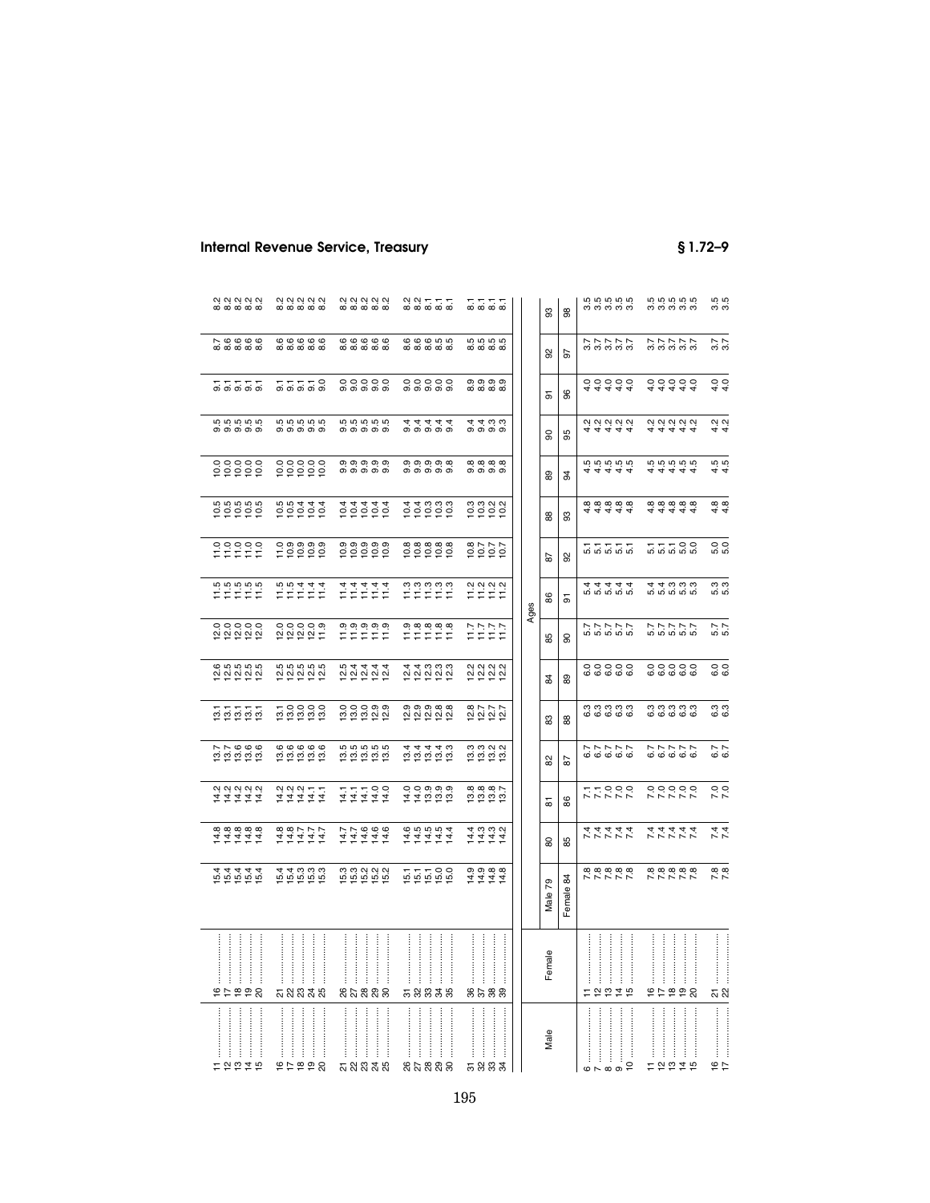|                                                                                               | 2<br>8 8 9 8 9 8 9<br>8 9 8 9 8 9 8                             | 2<br>8 2 3 2 3 2<br>8 3 3 3 3 3                                                                                                                                                                                                                                                                                                         | 2<br>8<br>8<br>8<br>8<br>8<br>8<br>8<br>8                                                                                                                                                                                                                                                                                                                                                                                                                                                                                                                                | ∞ ∞ ∞ ∞                                                                                                                                                                                                                                                                                                                                               | 3<br>86                      | co co co co<br>co co co co                                                        | concon<br>conconco                | 3.5<br>3.5              |
|-----------------------------------------------------------------------------------------------|-----------------------------------------------------------------|-----------------------------------------------------------------------------------------------------------------------------------------------------------------------------------------------------------------------------------------------------------------------------------------------------------------------------------------|--------------------------------------------------------------------------------------------------------------------------------------------------------------------------------------------------------------------------------------------------------------------------------------------------------------------------------------------------------------------------------------------------------------------------------------------------------------------------------------------------------------------------------------------------------------------------|-------------------------------------------------------------------------------------------------------------------------------------------------------------------------------------------------------------------------------------------------------------------------------------------------------------------------------------------------------|------------------------------|-----------------------------------------------------------------------------------|-----------------------------------|-------------------------|
| ∧ ဖ ဖ ဖ ဖ<br>ထ ထ ထ ထ ထ                                                                        | <b>ေ</b> ေ ေ ေ ေ<br>ေက်ော်ော်ော်ော်                             | <b>ေ</b><br>ထံထံထံထံထံ                                                                                                                                                                                                                                                                                                                  | 000000<br>ന്ന്ന്ന്                                                                                                                                                                                                                                                                                                                                                                                                                                                                                                                                                       | rù rù rù<br>ന്ന് ന്ന്                                                                                                                                                                                                                                                                                                                                 | 8<br>5                       | <b>NNNNN</b><br>000000                                                            | <b>トトトトト</b><br>おおおお              | $3.7$<br>$3.7$          |
| 은 은 은 은 은                                                                                     | 77770                                                           | 000000                                                                                                                                                                                                                                                                                                                                  | 000000                                                                                                                                                                                                                                                                                                                                                                                                                                                                                                                                                                   | တ္တာတ္<br>ထံထံထံထ                                                                                                                                                                                                                                                                                                                                     | 86<br>능                      | 44444<br>00000                                                                    | 44444<br>00000                    | $rac{0}{4}$ $rac{0}{4}$ |
| ng ng ng ng<br>mga mga m                                                                      | co co co co<br>co co co co                                      | co co co co<br>co co co co                                                                                                                                                                                                                                                                                                              | a a a a a<br>4 a a a a                                                                                                                                                                                                                                                                                                                                                                                                                                                                                                                                                   | $4400$<br>4 4 0 0 0                                                                                                                                                                                                                                                                                                                                   | 95<br>႙                      | 4 4 4 4 4<br>4 4 4 4 4                                                            | 4 4 4 4 4<br>4 4 4 4 4            | $4.2$<br>$4.4$          |
| $\begin{array}{c} 0 & 0 & 0 & 0 & 0 \\ 0 & 0 & 0 & 0 & 0 \\ 0 & 0 & 0 & 0 & 0 \\ \end{array}$ | $\begin{array}{c} 0.00000 \\ 0.00000 \\ 0.00000 \\ \end{array}$ | 0,0,0,0,0,<br>க்கக்கை                                                                                                                                                                                                                                                                                                                   | တ္ တ္ တ္ တ္ ထ<br>க்கக்கை                                                                                                                                                                                                                                                                                                                                                                                                                                                                                                                                                 | $\infty$ $\infty$ $\infty$<br>. തെ തെ                                                                                                                                                                                                                                                                                                                 | 89<br>2                      | rù rù rù rù<br>$\vec{r}$<br>न न न                                                 | rù rù rù rù<br><u>चिंचचं</u><br>4 | rù rù<br>44             |
|                                                                                               | $0.0444$<br>$0.0444$<br>$0.0444$                                | 000000                                                                                                                                                                                                                                                                                                                                  |                                                                                                                                                                                                                                                                                                                                                                                                                                                                                                                                                                          | o<br>ooooo                                                                                                                                                                                                                                                                                                                                            | 88<br>္တ                     | 44444<br>cocococo                                                                 | 44444<br>cocococo                 | $48$<br>$48$            |
| ooooo<br>FFFFF                                                                                | 000000<br>부흥흥흥                                                  | တ္ တ္ တ္ တ္ တ္<br>흥흥흥흥                                                                                                                                                                                                                                                                                                                  | <u>ထံထံထံထံထံ</u><br>흥흥흥흥                                                                                                                                                                                                                                                                                                                                                                                                                                                                                                                                                | $\alpha \vdash \vdash \vdash$<br>흥흥흥                                                                                                                                                                                                                                                                                                                  | 92<br>5                      | 57777                                                                             | 77700                             | 5.0<br>5.0              |
| rù rù rù rù<br>ಕಕಕಕಕ                                                                          | $11511$<br>$115111$                                             | はれはははは                                                                                                                                                                                                                                                                                                                                  | n n n n n<br>1 1 1 1 1                                                                                                                                                                                                                                                                                                                                                                                                                                                                                                                                                   | $\begin{array}{l} \mathcal{L} \\ \mathcal{L} \\ \mathcal{L} \end{array} \begin{array}{l} \mathcal{L} \\ \mathcal{L} \\ \mathcal{L} \end{array} \begin{array}{l} \mathcal{L} \\ \mathcal{L} \\ \mathcal{L} \end{array}$                                                                                                                                | 86<br>5<br>Ages              | 5<br>4 4 4 4 4<br>4 4 4 4 4                                                       | 5<br>4 4 6 6 6 6<br>4 4 6 6 6     | 5.3<br>5.3              |
| <b>១</b> ០០០០<br>ស្តូត្តស្តូ                                                                  | 00000<br>20201                                                  | $\begin{array}{c} 0.00000 \\ 0.00000 \\ \pm 0.0000 \\ \pm 0.0000 \\ \pm 0.0000 \\ \pm 0.0000 \\ \pm 0.0000 \\ \pm 0.0000 \\ \pm 0.0000 \\ \pm 0.0000 \\ \pm 0.0000 \\ \pm 0.0000 \\ \pm 0.0000 \\ \pm 0.0000 \\ \pm 0.0000 \\ \pm 0.0000 \\ \pm 0.0000 \\ \pm 0.0000 \\ \pm 0.0000 \\ \pm 0.0000 \\ \pm 0.0000 \\ \pm 0.$               | e a a a a<br>F F F F F                                                                                                                                                                                                                                                                                                                                                                                                                                                                                                                                                   | $\begin{array}{c} 7.7 \\ 7.7 \\ 7.7 \\ 1.7 \end{array}$                                                                                                                                                                                                                                                                                               | 90<br>85                     | ト ト ト ト ト<br>ロ ロ ロ ロ ロ                                                            | ト ト ト ト ト<br>ら ら ら ら ら            | 5.7<br>5.7              |
| <b>000000</b><br><u> 히 히 히 히 히</u>                                                            | rù rù rù rù<br><u> 일 일 일 일</u>                                  | 0<br>0 0 0 0 0 0<br>0 0 0 0 0                                                                                                                                                                                                                                                                                                           | 4 ოოო<br><u>ਕੁ ਕੁ ਕੁ ਕੁ ਕੁ</u>                                                                                                                                                                                                                                                                                                                                                                                                                                                                                                                                           | 2<br>2<br>2<br>2<br>2<br>2<br>2<br>2<br>2<br>2<br>2<br>2<br>2<br><br><u> ~ ~ ~ ~</u>                                                                                                                                                                                                                                                                  | 89<br>24                     | 000000                                                                            | 00000<br>00000                    | 6.0<br>6.0              |
| 5 5 5 5 5                                                                                     | 0000<br>គ្គីតុគុំគុ                                             | 00000<br><u>o o o o o o</u>                                                                                                                                                                                                                                                                                                             | თ თ თ თ თ<br><u> 일 일 일 일</u>                                                                                                                                                                                                                                                                                                                                                                                                                                                                                                                                             | $\infty \wedge \sim \wedge$<br>$\frac{\alpha}{2} \frac{\alpha}{2} \frac{\alpha}{2} \frac{\alpha}{2}$                                                                                                                                                                                                                                                  | 83<br>88                     | ოოოოო<br><b>ဖြစ်</b> ဖြစ်                                                         | ოოოოო<br><b>ဖြစ်</b> ဖြစ်         | 6.3<br>6.3              |
|                                                                                               |                                                                 | rù rù rù rù<br>គ្គីតុគុំគុំ                                                                                                                                                                                                                                                                                                             | 44440<br>000000<br>00000                                                                                                                                                                                                                                                                                                                                                                                                                                                                                                                                                 | 0<br>000202<br>000202                                                                                                                                                                                                                                                                                                                                 | 82<br>59                     | 577757                                                                            | 577757                            | 6.7<br>6.7              |
| <b>QQQQQ</b><br><u> मं में में म</u>                                                          | 22211<br>ははははは                                                  | <b>111100</b><br>111111                                                                                                                                                                                                                                                                                                                 | 00000<br>ははほほほ                                                                                                                                                                                                                                                                                                                                                                                                                                                                                                                                                           | $\infty$ $\infty$ $\infty$ $\sim$<br>ត្តត្តត្                                                                                                                                                                                                                                                                                                         | 88<br>ᇮ                      | <b>177000</b><br>77777                                                            | 00000<br>00000                    | 7.0                     |
| 111111<br>111111                                                                              | はれれれれ<br>などないだ                                                  | <b>111111</b><br>111111                                                                                                                                                                                                                                                                                                                 | $\begin{array}{ccccccccc}\n\dot{\alpha} & \dot{\alpha} & \dot{\alpha} & \dot{\alpha} & \dot{\alpha} & \dot{\alpha} & \dot{\alpha} & \dot{\alpha} & \dot{\alpha} & \dot{\alpha} & \dot{\alpha} & \dot{\alpha} & \dot{\alpha} & \dot{\alpha} & \dot{\alpha} & \dot{\alpha} & \dot{\alpha} & \dot{\alpha} & \dot{\alpha} & \dot{\alpha} & \dot{\alpha} & \dot{\alpha} & \dot{\alpha} & \dot{\alpha} & \dot{\alpha} & \dot{\alpha} & \dot{\alpha} & \dot{\alpha} & \dot{\alpha} & \dot{\alpha} & \dot{\alpha} & \dot{\alpha} & \dot{\alpha} & \dot{\alpha} & \dot{\alpha} &$ | ははははは                                                                                                                                                                                                                                                                                                                                                 | 85<br>80                     | スファファ                                                                             | スファファフ                            | 7.4                     |
| <u> ဟံ ဟံ ဟံ ဟံ</u>                                                                           | 4 ო ო ო<br>ក្ខក្ខក្ខ                                            | <b>3333</b><br>ក្ខក្ខក្ខ                                                                                                                                                                                                                                                                                                                | 55596                                                                                                                                                                                                                                                                                                                                                                                                                                                                                                                                                                    | <b>၈၈</b> ၀၀<br>ユユユユ                                                                                                                                                                                                                                                                                                                                  | 84<br>79<br>Female<br>Male 7 | <b>888888</b><br>77777                                                            | 2 2 2 2 3 4<br>2 3 4 7 7 7        | $7.\overline{8}$        |
| 2222                                                                                          | :::::<br>ភូននាងន                                                | :::::<br>ļ<br>នកននាន                                                                                                                                                                                                                                                                                                                    | <br><br>58838                                                                                                                                                                                                                                                                                                                                                                                                                                                                                                                                                            | នគនន                                                                                                                                                                                                                                                                                                                                                  | Female                       | 72279                                                                             | 666456                            | ភ $\frac{1}{2}$         |
| tatat                                                                                         | 95999                                                           | $\begin{bmatrix} 1 & 0 & 0 & 0 \\ 0 & 0 & 0 & 0 \\ 0 & 0 & 0 & 0 \\ 0 & 0 & 0 & 0 \\ 0 & 0 & 0 & 0 \\ 0 & 0 & 0 & 0 \\ 0 & 0 & 0 & 0 \\ 0 & 0 & 0 & 0 & 0 \\ 0 & 0 & 0 & 0 & 0 \\ 0 & 0 & 0 & 0 & 0 \\ 0 & 0 & 0 & 0 & 0 \\ 0 & 0 & 0 & 0 & 0 & 0 \\ 0 & 0 & 0 & 0 & 0 & 0 \\ 0 & 0 & 0 & 0 & 0 & 0 \\ 0 & 0 & 0 & 0 & 0 & $<br>ភូននាងន | ŧ<br>នុង នួន ន                                                                                                                                                                                                                                                                                                                                                                                                                                                                                                                                                           | $\begin{bmatrix} 1 & 0 & 0 & 0 \\ 0 & 0 & 0 & 0 \\ 0 & 0 & 0 & 0 \\ 0 & 0 & 0 & 0 \\ 0 & 0 & 0 & 0 \\ 0 & 0 & 0 & 0 \\ 0 & 0 & 0 & 0 \\ 0 & 0 & 0 & 0 & 0 \\ 0 & 0 & 0 & 0 & 0 \\ 0 & 0 & 0 & 0 & 0 \\ 0 & 0 & 0 & 0 & 0 \\ 0 & 0 & 0 & 0 & 0 & 0 \\ 0 & 0 & 0 & 0 & 0 & 0 \\ 0 & 0 & 0 & 0 & 0 & 0 \\ 0 & 0 & 0 & 0 & 0 & $<br>ļ<br>ŧ<br><u>តននន</u> | Male                         | $\begin{array}{c} \begin{array}{c} 1 \\ 1 \end{array} \end{array}$<br>$6 - 8 - 9$ | 12245                             | $\frac{6}{17}$          |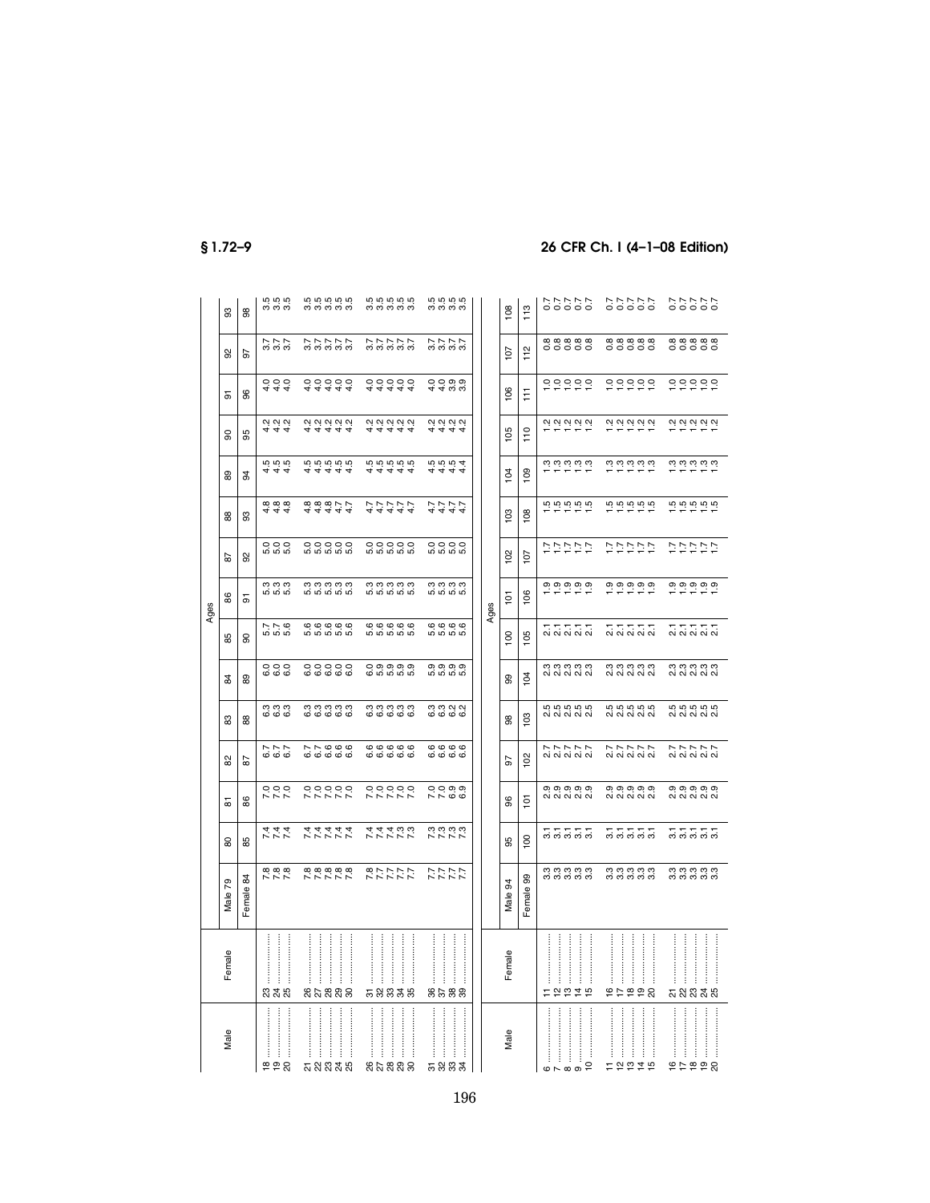|      | 33                      | 88           | <b>505</b><br>က်က်ကံ                 | <b>55555</b><br>က်က်က်က်က         | <b>59999</b><br>က်က်က်က်က      | <b>5555</b><br>က်က်က်က                   |      | 113<br>108                 | 11111<br>00000                                                 | 77777<br>00000                        | 77777<br>00000                            |
|------|-------------------------|--------------|--------------------------------------|-----------------------------------|--------------------------------|------------------------------------------|------|----------------------------|----------------------------------------------------------------|---------------------------------------|-------------------------------------------|
|      | 92                      | 57           | $777$<br>$0.77$                      | <b>アアアアア</b><br>おおおお              | <b>アアアアア</b><br>おおおお           | ファファフ                                    |      | 112<br>107                 | 88888<br>00000                                                 | 88888<br>00000                        | 88888<br>00000                            |
|      | 등                       | 8            | $\frac{4}{4}$ 4 4                    | 44444                             | 44444                          | QQQQQ<br>44 လေ့လ                         |      | $\overline{6}$<br>F        | 00000                                                          | $0.000000$                            | 99999                                     |
|      | 8                       | 95           | 444<br>444                           | 444444                            | 44444                          | 4444                                     |      | 105<br>110                 | 99999                                                          | 99999                                 | <b>QQQQQQ</b>                             |
|      | 89                      | 34           | 555<br>य य य                         | 65555<br><u>विववव</u>             | 66666<br><u>क्क्क्क्क्</u>     | <b>5554</b><br>य य य य                   |      | 109<br>104                 | ယ် ယံ ယံ ယံ ယံ<br>$\equiv$                                     | ယ် ယံ ယံ ယံ ယံ<br>نہ نہ               | ယံ ယံ ယံ ယံ ယံ<br>--                      |
|      | 88                      | 8            | <b>00 00 00</b><br>4<br>44           | $44444$<br>$690077$               | <b>144444</b>                  | 4444                                     |      | 103<br>108                 | rù rù rù rù                                                    | rù rù rù rù                           | rù rù rù rù                               |
|      | 55                      | 8            | 999<br>$\overline{m}$ $\overline{m}$ | 00000<br>ທ່ີທີ່ທີ່ທີ່             | 00000<br>ທ່ີທີ່ທີ່ທີ່          | Q Q Q Q Q Q<br><u>ທ່ທ່ທ່</u> ທ່          |      | 102<br>107                 | シンシング                                                          | レンシンド                                 | シンシング                                     |
| Ages | 86                      | 5            | က္ကက္<br>ဟံ ဟံ ဟံ                    | က္ က္ က္ က္ က<br><u>ທ່ທ່ທ່ທ່</u>  | ng ng ng ng<br><u>ທ່ທ່ທ່ທ່</u> | <b>က္ကက္က</b><br>ທ່ ທ່ ທ່ ທ່             | Ages | 106<br>$\frac{1}{2}$       |                                                                | <b>0,0,0,0,0,</b>                     | <b>0,0,0,0,0,</b>                         |
|      | 85                      | 8            | D <sub>N</sub><br>ທ່ທ່ທ່             | 00000<br>ம் ம் ம் ம்              | 00000<br>ம் ம் ம் ம்           | $\circ \circ \circ \circ$<br>ທ່ ທ່ ທ່ ທ່ |      | 100<br>105                 | ี่<br>ผี ผี ผี ผี ผี                                           | ភ <del>ភ</del> ភ ភ ភ<br>ស ស ស ស ស     | $\ddot{\sim}$ $\ddot{\sim}$ $\ddot{\sim}$ |
|      | $\frac{4}{3}$           | 89           | 0000                                 | 000000                            | O 0 0 0 0<br>O 10 10 10        | 0,0,0,0,0<br>ທີ່ທີ່ທີ່ທີ                 |      | 104<br>99                  | ตุตุตุตุตุ<br>ผู้ผู้ผู้ผู้                                     | conconco<br>Conconco                  | نه نه نه نه نه<br>ai ai ai ai ai          |
|      | 83                      | 88           | ოოო<br>ဖ ဖ ဖ                         | <b>accoco</b><br><b>ဖြစ်</b> ဖြစ် | ოოოოო<br><b>ဖြစ်</b> ဖြစ်      | mmnn<br>ဖ ဖ ဖ ဖ                          |      | 103<br>88                  | 65555<br>ai ai ai ai ai                                        | <b>5555</b><br>0 0 0 0 0 0 0 0        | <b>55555</b>                              |
|      | 82                      | 59           | 6.7<br>6.7<br>6.7                    | 776000                            | 0000000                        | <b>ဖွ</b> ိ ဖွံ့ ဖွံ့ ဖွ                 |      | 10 <sup>2</sup><br>5       | 27777                                                          | 2 2 2 2 2 2<br>2 3 3 3 3 3            | 27777                                     |
|      | ᇮ                       | 86           | 999<br>ドドド                           | 000000                            | 00000<br>トアレレレ                 | 0000<br>$\sim$ $\sim$ $\omega$           |      | $\overline{5}$<br>8        | თ თ თ თ თ                                                      | 0,0,0,0,0,<br>ai ai ai ai ai          | 0,0,0,0,0,<br>ai ai ai ai ai              |
|      | 8                       | 85           | トレト                                  | スファファ                             | スファファフ                         | <b>いこここう</b><br>こことこ                     |      | 100<br>95                  | 22222                                                          | <u>ក្ខុ ក្នុង</u> ក្នុ                | 22222                                     |
|      | 79<br>Male <sup>-</sup> | \$<br>Female | 7.88                                 | <b>88888</b><br>77777             | <b>477772</b><br>27777         | 111<br>111                               |      | 8<br>3<br>Female<br>Male ! | ოოოოო<br>ოოორ                                                  | ოოოოო<br>ოოორ                         | ოოოოო<br>ოოორ                             |
|      | Female                  |              | 235                                  | $\frac{1}{2}$<br>j<br>នកននាន      | ļ<br><b>ភ</b> ន ន ន ន          | 8588                                     |      | Female                     | ŧ<br>ŧ<br>ŧ                                                    | İ<br>ŧ<br>2222                        | ļ<br>ŧ<br><u>ភ</u> ្លង ដូង                |
|      | Male                    |              | j<br>222                             | <br>ŧ<br>ŧ<br>ភ្លួននូន            | ļ<br>ŧ<br>ļ<br>ļ<br>នុងនួនន    | $\vdots$<br>$\vdots$<br>ಸ ೫ ೫ ೫          |      | $\mathbf{Q}$<br><b>R</b> M | <br>Ť,<br>÷<br>$\overline{c}$<br>$\omega \sim \omega$ $\infty$ | $\vdots$<br>ŧ<br>ŧ<br>đ<br>ŧ<br>12219 | ŧ<br>ŧ<br>99929                           |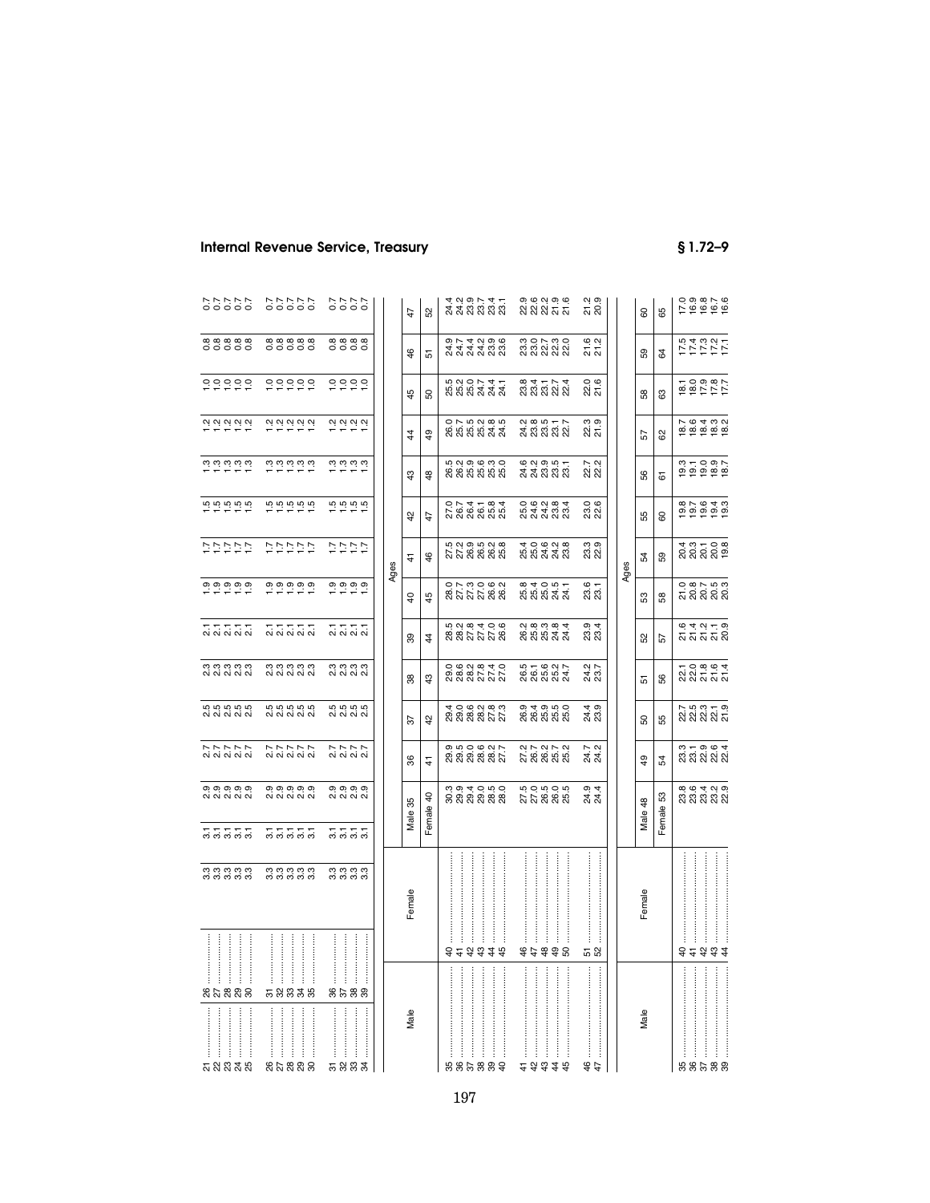| Internal Revenue Service, Treasury |  |  |
|------------------------------------|--|--|
|------------------------------------|--|--|

**Internal Revenue Service** Superior Service Superior Service Superior Service Superior Service Superior Service Superior Service Superior Service Superior Service Superior Service Superior Service Superior Service Superior

| 22222<br>2000                                                                                                                                                                                                             | 7.70000                                                    |      | 47             | 52             |           |   |  |                                                                                                                                                                                                                                                                                                                                                                                                                                                                                                                                                                  |   |  | ي بہ<br>ಸ ನೆ                                                                                                                                                                                                                                                                                                                                                                                                                                                                                               |    | 8      | 89      |           |   |   |                                                                                                                                                                                                                                                                                                                                                                                             |
|---------------------------------------------------------------------------------------------------------------------------------------------------------------------------------------------------------------------------|------------------------------------------------------------|------|----------------|----------------|-----------|---|--|------------------------------------------------------------------------------------------------------------------------------------------------------------------------------------------------------------------------------------------------------------------------------------------------------------------------------------------------------------------------------------------------------------------------------------------------------------------------------------------------------------------------------------------------------------------|---|--|------------------------------------------------------------------------------------------------------------------------------------------------------------------------------------------------------------------------------------------------------------------------------------------------------------------------------------------------------------------------------------------------------------------------------------------------------------------------------------------------------------|----|--------|---------|-----------|---|---|---------------------------------------------------------------------------------------------------------------------------------------------------------------------------------------------------------------------------------------------------------------------------------------------------------------------------------------------------------------------------------------------|
| 88888<br>00000                                                                                                                                                                                                            | 8888<br>0000                                               |      | 46             | 5              |           |   |  |                                                                                                                                                                                                                                                                                                                                                                                                                                                                                                                                                                  |   |  | بہ به<br>ស ស                                                                                                                                                                                                                                                                                                                                                                                                                                                                                               |    | 59     | 3       |           |   |   |                                                                                                                                                                                                                                                                                                                                                                                             |
| 000000                                                                                                                                                                                                                    | 00000                                                      |      | 45             | S <sub>O</sub> |           |   |  |                                                                                                                                                                                                                                                                                                                                                                                                                                                                                                                                                                  |   |  | 22.6<br>21.6                                                                                                                                                                                                                                                                                                                                                                                                                                                                                               |    | 58     | යි      |           |   |   |                                                                                                                                                                                                                                                                                                                                                                                             |
| 29.29.29.29                                                                                                                                                                                                               | 2922                                                       |      | $\frac{4}{4}$  | $\overline{6}$ |           |   |  |                                                                                                                                                                                                                                                                                                                                                                                                                                                                                                                                                                  |   |  | 22.3<br>21.9                                                                                                                                                                                                                                                                                                                                                                                                                                                                                               |    | 57     | 8       |           |   |   |                                                                                                                                                                                                                                                                                                                                                                                             |
| $\frac{1}{2}$ $\frac{1}{2}$ $\frac{1}{2}$ $\frac{1}{2}$ $\frac{1}{2}$ $\frac{1}{2}$ $\frac{1}{2}$ $\frac{1}{2}$ $\frac{1}{2}$                                                                                             | $\begin{array}{c}\n0.0000 \\ 0.0000 \\ 0.000\n\end{array}$ |      | $\frac{3}{4}$  | $\frac{8}{3}$  |           |   |  |                                                                                                                                                                                                                                                                                                                                                                                                                                                                                                                                                                  |   |  | 22.7<br>22.2                                                                                                                                                                                                                                                                                                                                                                                                                                                                                               |    | 56     | 61      |           |   |   |                                                                                                                                                                                                                                                                                                                                                                                             |
|                                                                                                                                                                                                                           | $\frac{1}{12}$ in $\frac{1}{12}$ in $\frac{1}{12}$         |      | 42             | 47             |           |   |  |                                                                                                                                                                                                                                                                                                                                                                                                                                                                                                                                                                  |   |  | 23.6<br>22.6                                                                                                                                                                                                                                                                                                                                                                                                                                                                                               |    | 55     | 8       |           |   |   |                                                                                                                                                                                                                                                                                                                                                                                             |
| ひけいひじ                                                                                                                                                                                                                     | 7777                                                       |      | 4              | $\frac{6}{5}$  |           |   |  |                                                                                                                                                                                                                                                                                                                                                                                                                                                                                                                                                                  |   |  | ო თ<br>ಣ ಜ                                                                                                                                                                                                                                                                                                                                                                                                                                                                                                 |    | 54     | 59      |           |   |   |                                                                                                                                                                                                                                                                                                                                                                                             |
|                                                                                                                                                                                                                           |                                                            |      | $\overline{6}$ | 45             |           |   |  |                                                                                                                                                                                                                                                                                                                                                                                                                                                                                                                                                                  |   |  | 23.6<br>23.1                                                                                                                                                                                                                                                                                                                                                                                                                                                                                               |    | 53     | 58      |           |   |   |                                                                                                                                                                                                                                                                                                                                                                                             |
| おいけい                                                                                                                                                                                                                      | 2122<br>2222                                               |      | 89             | $\overline{4}$ |           |   |  |                                                                                                                                                                                                                                                                                                                                                                                                                                                                                                                                                                  |   |  | 23.4<br>23.4                                                                                                                                                                                                                                                                                                                                                                                                                                                                                               |    | 52     | 57      |           |   |   |                                                                                                                                                                                                                                                                                                                                                                                             |
| ตุตุตุตุตุ<br>ผู้ผู้ผู้ผู้                                                                                                                                                                                                | n n n n<br>N N N N                                         |      | 88             | $\frac{3}{4}$  |           |   |  |                                                                                                                                                                                                                                                                                                                                                                                                                                                                                                                                                                  |   |  | 24.2<br>23.7                                                                                                                                                                                                                                                                                                                                                                                                                                                                                               |    | 5      | 99      |           |   |   |                                                                                                                                                                                                                                                                                                                                                                                             |
| 5<br>6 5 6 5 6 5<br>6 6 6 6 6 7                                                                                                                                                                                           | 5<br>6. 5. 6. 6.<br>5. 6. 6. 6.                            |      | 55             | $\frac{5}{4}$  |           |   |  |                                                                                                                                                                                                                                                                                                                                                                                                                                                                                                                                                                  |   |  | 24.4<br>23.9                                                                                                                                                                                                                                                                                                                                                                                                                                                                                               |    | 8      | 55      |           |   |   |                                                                                                                                                                                                                                                                                                                                                                                             |
| 27777<br>27777                                                                                                                                                                                                            | 2777<br>227                                                |      | 36             | $\ddot{+}$     |           |   |  |                                                                                                                                                                                                                                                                                                                                                                                                                                                                                                                                                                  |   |  | 24.7<br>24.2                                                                                                                                                                                                                                                                                                                                                                                                                                                                                               |    | \$     | 54      |           |   |   |                                                                                                                                                                                                                                                                                                                                                                                             |
| თ თ თ თ თ<br>N N N N N                                                                                                                                                                                                    | თ თ თ თ<br>ai ai ai ai                                     |      |                |                |           |   |  |                                                                                                                                                                                                                                                                                                                                                                                                                                                                                                                                                                  |   |  | $\omega$ 4<br>ನೆ ನ                                                                                                                                                                                                                                                                                                                                                                                                                                                                                         |    |        |         |           |   |   |                                                                                                                                                                                                                                                                                                                                                                                             |
| 22222                                                                                                                                                                                                                     | 2222                                                       |      |                |                |           |   |  |                                                                                                                                                                                                                                                                                                                                                                                                                                                                                                                                                                  |   |  |                                                                                                                                                                                                                                                                                                                                                                                                                                                                                                            |    |        |         |           |   |   |                                                                                                                                                                                                                                                                                                                                                                                             |
| ოოოოო<br>ოორი                                                                                                                                                                                                             | ოოოო<br>ოოო                                                |      | Female         |                |           |   |  |                                                                                                                                                                                                                                                                                                                                                                                                                                                                                                                                                                  |   |  |                                                                                                                                                                                                                                                                                                                                                                                                                                                                                                            |    | Female |         |           |   |   |                                                                                                                                                                                                                                                                                                                                                                                             |
|                                                                                                                                                                                                                           |                                                            |      |                |                |           |   |  |                                                                                                                                                                                                                                                                                                                                                                                                                                                                                                                                                                  |   |  | 52                                                                                                                                                                                                                                                                                                                                                                                                                                                                                                         |    |        |         | ŧ         |   |   |                                                                                                                                                                                                                                                                                                                                                                                             |
| 58838<br>$\begin{minipage}{0.9\linewidth} \begin{tabular}{ c c } \hline & \multicolumn{3}{ c }{\textbf{0.9\linewidth}} \end{tabular} \end{minipage} \caption{A system of the two different models.} \label{fig:ex1}$<br>I | 8588<br>ŧ                                                  |      | Male           |                | $\vdots$  | Ĵ |  |                                                                                                                                                                                                                                                                                                                                                                                                                                                                                                                                                                  | j |  |                                                                                                                                                                                                                                                                                                                                                                                                                                                                                                            |    | Male   |         |           | ŧ | ŧ |                                                                                                                                                                                                                                                                                                                                                                                             |
|                                                                                                                                                                                                                           | នកននន                                                      | 5883 | Ages           | Male 35        | Female 40 |   |  | 429741<br>443333<br>o, r, <del>q</del> , q, o, o,<br>तं तं तं तं हा हा<br>तं तं तं तं हा हा<br>520741<br>55544<br>5<br>១០១០១<br>១១១<br>0. 1. 4 1. 8. 4.<br>2. 8. 8. 8. 8. 8.<br>0. 8. 8. 8. 8. 8.<br><b>5000000</b><br>558888<br>0.7.9.0.9.9.<br>8.7.7.9.9.9<br>8.7.7.7.8.8<br>5<br>8 8 7 7 7 8<br>8 8 7 7 8 9<br>0. 6. 9. 9. 9. 9.<br>0. 8. 9. 9. 9. 9.<br>0. 9. 9. 9. 9. 9.<br>4 0 6 0 8 0 7<br>0 8 8 8 7 7<br>8 8 8 8 8 7<br>៰. ៲៱ ๐ ๒ ຎ Ⴡ<br>១ ១ ១ ២ ១ ២<br>ស ស ស ស ស<br><b>004000</b><br><u> ଛ ଅ ଅ ଅ ଅ</u><br><b>A 4 5 4 4 8</b><br>$\frac{1}{2}$<br>686889 |   |  | 9, 9, 9, 9, 9,<br>2, 2, 2, 2, 2,<br>2, 2, 2, 2, 2,<br>្លួ o r m o<br>ឌី ឌី ងី ងី ងី<br>834774<br>83822<br>2 8 5 5 7<br>2 8 8 9 2 2<br>2 8 9 2 2<br>e a o u <del>.</del><br>ನನನನನ<br>0. 6. 9. 9. 9.<br>8. 9. 9. 9. 9.<br>8. 9. 9. 9. 9.<br>4000 A 00<br><b>88338</b><br>8<br>5 5 5 5 4<br>8 5 5 7 7<br>2<br>8 5 6 9 9 4<br>9 8 9 9 9 9<br>5<br>8 6 5 9 9 7<br>8 8 8 8 7<br>9 4 9 5 9<br>8 8 8 8 9<br>9 9 9 9 9<br>2 7 2 2 2<br>2 3 2 3 2<br>2 3 2 3 2<br>monon<br><u>ត្តត់ នាន់</u> ន<br>\$\$\$\$8<br>23345 | 46 | Ages   | Male 48 | Female 53 |   | j | 10.987<br>10.987<br>10.99<br><b>171717</b><br>171717<br>1809<br>1909<br>1119<br>76432<br>888882<br>្ម<br>ឧី ឧី ឧី ឧី <u>១</u><br>ឧី ឧី ឧី ១<br>6<br>2 5 6 7 6<br>6 7 7 6 7<br>ក o a a <del>q</del><br>2 2 5 5 5<br>2 2 5 5 5<br>7 5 6 7 7 9<br>2 2 2 2 2 3<br>7 2 2 2 2 2<br>9 – 9 9 <del>4</del><br>8 9 9 9 9<br>9 9 9 9 9<br>०, ७, ५, ०, ०,<br>११, ११, ११, ११, ११<br>ŧ<br>3.2334<br>68688 |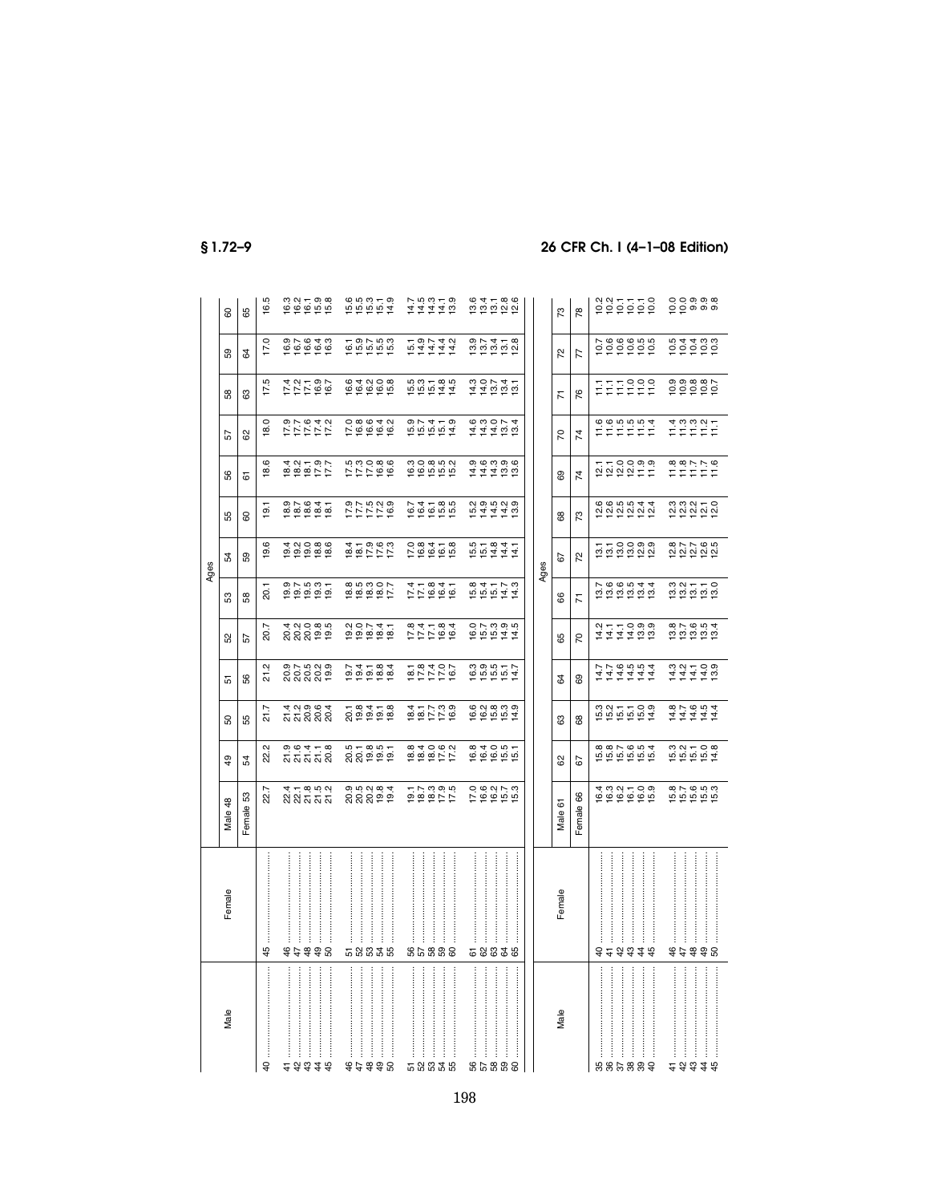|          |                         |                                                               |                                |                                         |                                                                              |                                  |                               | Ages                                |                                        |                        |                                                      |                                  |                                   |                                                                                    |
|----------|-------------------------|---------------------------------------------------------------|--------------------------------|-----------------------------------------|------------------------------------------------------------------------------|----------------------------------|-------------------------------|-------------------------------------|----------------------------------------|------------------------|------------------------------------------------------|----------------------------------|-----------------------------------|------------------------------------------------------------------------------------|
| Male     | Female                  | Male 48                                                       | \$                             | β,                                      | 5                                                                            | 8                                | S3                            | 54                                  | 55                                     | 99                     | 57                                                   | 38                               | 59                                | 80                                                                                 |
|          |                         | 53<br>Female                                                  | 54                             | 55                                      | 56                                                                           | 57                               | 58                            | 59                                  | 8                                      | 5                      | 8                                                    | යි                               | 54                                | 89                                                                                 |
|          | 45                      | 22.7                                                          | 22.2                           | 21.7                                    | Ņ<br>21                                                                      | 20.7                             | 20.1                          | 19.6                                | 19.1                                   | <u>ဖ</u><br><u>ا ھ</u> | 18.0                                                 | 17.5                             | 17.0                              | 16.5                                                                               |
|          | 44                      | 4 – 8 9 9 9<br>ស ស ភ                                          | ១.<br>១.ម. ។<br>ភូត្ត ភូន      | 4 2 9 0 4<br>ភ្លុំ 5 9 9<br>ភ្លុំ 5 9 9 | ១.ក. ចុក ១<br>កំពុង<br>មាន ២                                                 | ង ១០ ខេត្ត<br>ស្តីស្តី គូ គូ     | 0.5007                        | <b>10086</b><br>10086               | 82641<br>82684                         |                        | 5 7 7 7 7 7<br>2 7 7 7 7 7<br>9 7 7 9 4 9            | トレト 8 5<br>トレト 8 6<br>コトト 8 5    |                                   | $0.21 - 0.8$<br>$0.21 - 0.8$                                                       |
|          | 48                      |                                                               |                                |                                         |                                                                              |                                  |                               |                                     |                                        |                        |                                                      |                                  |                                   |                                                                                    |
|          | 96                      |                                                               |                                |                                         |                                                                              |                                  |                               |                                     |                                        |                        |                                                      |                                  |                                   |                                                                                    |
|          |                         |                                                               |                                |                                         |                                                                              |                                  |                               |                                     |                                        |                        |                                                      |                                  |                                   |                                                                                    |
|          |                         |                                                               |                                |                                         |                                                                              |                                  | 8<br>8888817<br>FFFFF         |                                     |                                        |                        |                                                      |                                  |                                   |                                                                                    |
|          | :<br>:<br>:             |                                                               |                                |                                         |                                                                              |                                  |                               |                                     |                                        |                        |                                                      |                                  |                                   |                                                                                    |
|          | 58838                   | ១.១.០.១ ។<br>ស៊ីស៊ី ១ ១                                       | 821851<br>88252                |                                         |                                                                              | $00747$<br>$0000000$<br>$00000$  |                               |                                     | 8 バ さ 2 6<br>ウ バ バ ご 8<br>ウ バ ブ ブ ヴ    | 577686<br>77766        | 0.800401<br>0.900401<br>0.900000                     | $0.4008$<br>$0.4008$<br>$0.4008$ |                                   | 10 10 10 10<br>10 10 10 11<br>10 10 11                                             |
|          |                         |                                                               |                                |                                         |                                                                              |                                  |                               |                                     |                                        |                        |                                                      |                                  |                                   |                                                                                    |
|          |                         |                                                               |                                |                                         |                                                                              |                                  |                               |                                     |                                        |                        |                                                      |                                  |                                   |                                                                                    |
|          | 86888                   | 0<br>10<br>10<br>10<br>10<br>10<br>10<br>10<br>10<br>10<br>10 | 8<br>884062<br>884062          |                                         |                                                                              |                                  |                               |                                     |                                        |                        |                                                      |                                  | t<br>セムムムム<br>セイスム                |                                                                                    |
|          |                         |                                                               |                                | $0.47780$<br>$0.47780$<br>$0.47780$     | 2010101<br>10110101<br>1011101                                               | 111184<br>111184                 | $77.84$<br>$77.84$<br>$77.84$ | 0 8 4 + 8<br>0 8 4 + 8<br>0 9 4 + 8 | $0.4$ $-8.5$<br>$0.4$ $-8.5$<br>$-8.5$ |                        |                                                      |                                  |                                   | $74440$<br>$44440$                                                                 |
|          |                         |                                                               |                                |                                         |                                                                              |                                  |                               |                                     |                                        |                        |                                                      |                                  |                                   |                                                                                    |
|          |                         |                                                               |                                |                                         |                                                                              |                                  |                               |                                     |                                        |                        |                                                      |                                  |                                   |                                                                                    |
|          | 58338                   | 0.627.3<br>12.645.91                                          | 84051<br>964051                |                                         | $1000077$<br>000077                                                          |                                  |                               | 101841<br>101444<br>101444          | ちょうじょう<br>おんちょう                        | 111100<br>111100       | $777700$<br>44400<br>44400                           | $110071$<br>$140000$             | 0<br>0<br>10 0 0 0 0<br>0 0 0 0 0 |                                                                                    |
|          |                         |                                                               |                                |                                         |                                                                              |                                  |                               |                                     |                                        |                        |                                                      |                                  |                                   |                                                                                    |
|          |                         |                                                               |                                |                                         |                                                                              |                                  |                               |                                     |                                        |                        |                                                      |                                  |                                   |                                                                                    |
|          |                         |                                                               |                                |                                         |                                                                              |                                  |                               | Ages                                |                                        |                        |                                                      |                                  |                                   |                                                                                    |
| Male     | Female                  | Male 61                                                       | ಜ                              | සි                                      | 3                                                                            | 89                               | 8                             | 52                                  | 8                                      | සි                     | 50                                                   | 77                               | 22                                | $\overline{73}$                                                                    |
|          |                         | 66<br>Female                                                  | 52                             | 88                                      | 69                                                                           | 5                                | $\overline{K}$                | 72                                  | 73                                     | 74                     | $\overline{7}$                                       | 76                               | $\overline{7}$                    | $\frac{8}{2}$                                                                      |
|          | $\overline{6}$<br>$\pm$ | 4 3 3 4 5 9 9<br>10 9 9 9 9 9                                 | 887654<br>665655               | $0.27709$<br>$0.27709$<br>$0.27709$     | 14.7<br>14.7                                                                 |                                  |                               | ti<br>tinoowe<br>tinoowe            |                                        | troogs<br>Spier        | $\begin{array}{c} 6666664 \\ 7777574 \\ \end{array}$ | 들골                               | 200605<br>200606                  |                                                                                    |
|          |                         |                                                               |                                |                                         |                                                                              |                                  |                               |                                     |                                        |                        |                                                      |                                  |                                   |                                                                                    |
|          |                         |                                                               |                                |                                         |                                                                              |                                  |                               |                                     |                                        |                        |                                                      |                                  |                                   |                                                                                    |
|          | 3348                    |                                                               |                                |                                         | $1444$<br>$1444$                                                             |                                  |                               |                                     |                                        |                        |                                                      | 7999                             |                                   |                                                                                    |
|          | 44                      |                                                               |                                |                                         |                                                                              |                                  |                               |                                     |                                        |                        |                                                      |                                  |                                   |                                                                                    |
|          |                         | 6<br>1956 1969<br>1959 1969                                   | $192708$<br>$192708$<br>$1947$ | 111111<br>411111                        | $\begin{array}{cccc}\n 0.01 & - & 0.01 \\  4.4 & 4.4 & 0.01 \\  \end{array}$ | $0.5004$<br>$0.0004$<br>$0.0004$ | <b>33558</b><br>2255          | 22765<br>22222                      | 23250<br>23252                         | $77770$<br>$777770$    | は<br>ここのマー<br>ここにこ                                   |                                  |                                   | $\begin{array}{l} 0 & 0 & 0 & 0 & \omega \\ 0 & 0 & 0 & 0 & \omega \\ \end{array}$ |
| $\vdots$ | \$\$8                   |                                                               |                                |                                         |                                                                              |                                  |                               |                                     |                                        |                        |                                                      |                                  |                                   |                                                                                    |
|          |                         |                                                               |                                |                                         |                                                                              |                                  |                               |                                     |                                        |                        |                                                      |                                  |                                   |                                                                                    |
|          |                         |                                                               |                                |                                         |                                                                              |                                  |                               |                                     |                                        |                        |                                                      |                                  |                                   |                                                                                    |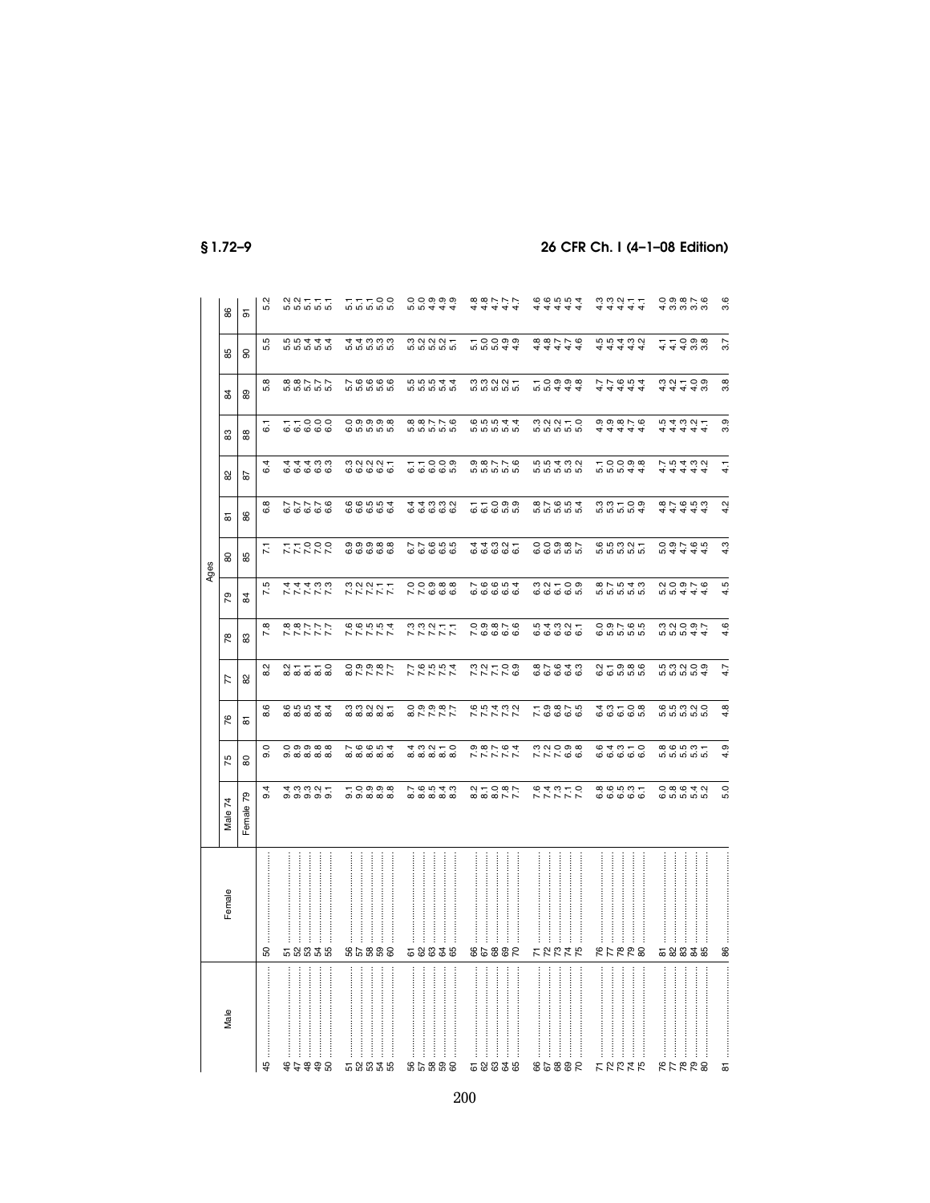|--|--|--|

# 26 CFR Ch. I (4-1-08 Edition)

| 75<br>$\overline{74}$<br>Male <sup>3</sup>                                                                             |
|------------------------------------------------------------------------------------------------------------------------|
| 80<br>79<br>Female                                                                                                     |
| Q<br>တ<br>9.4                                                                                                          |
| င္ တံုတံုထံုထံ<br>ത്ത്ത്ത്<br>$\ddot{\sigma}$ က က လ —<br>တ တ တ တ တ                                                     |
|                                                                                                                        |
|                                                                                                                        |
|                                                                                                                        |
|                                                                                                                        |
|                                                                                                                        |
|                                                                                                                        |
| $\sim$ $\sigma$ $\sigma$ $\sigma$ $\sim$<br><b>ထ</b> ံထံထံထံထ<br>$-$ 0 0 0 $\infty$<br>க்க்க்க்                        |
|                                                                                                                        |
|                                                                                                                        |
| $4.09 - 0.09$<br>76543                                                                                                 |
|                                                                                                                        |
|                                                                                                                        |
|                                                                                                                        |
|                                                                                                                        |
|                                                                                                                        |
| 5<br>0.87.64<br>0.87<br>210007<br>22000                                                                                |
|                                                                                                                        |
|                                                                                                                        |
|                                                                                                                        |
|                                                                                                                        |
|                                                                                                                        |
| 7 7 7 8 9<br>7 9 9 9 9<br><b>243122</b><br>242212                                                                      |
|                                                                                                                        |
|                                                                                                                        |
| 64310<br>6666<br>8<br>8<br>6<br>8<br>6<br>8<br>6<br>8<br>8                                                             |
|                                                                                                                        |
|                                                                                                                        |
|                                                                                                                        |
|                                                                                                                        |
|                                                                                                                        |
|                                                                                                                        |
|                                                                                                                        |
| 8<br>8<br>8<br>8<br>8<br>8<br>8<br>8<br>8<br>8<br>$0$ $\omega$ $\omega$ $\rightarrow$ $\alpha$<br><b>@</b> ທ່ ທ່ ທ່ ທ່ |
|                                                                                                                        |
| တ<br>4<br>$\circ$<br>ທ່                                                                                                |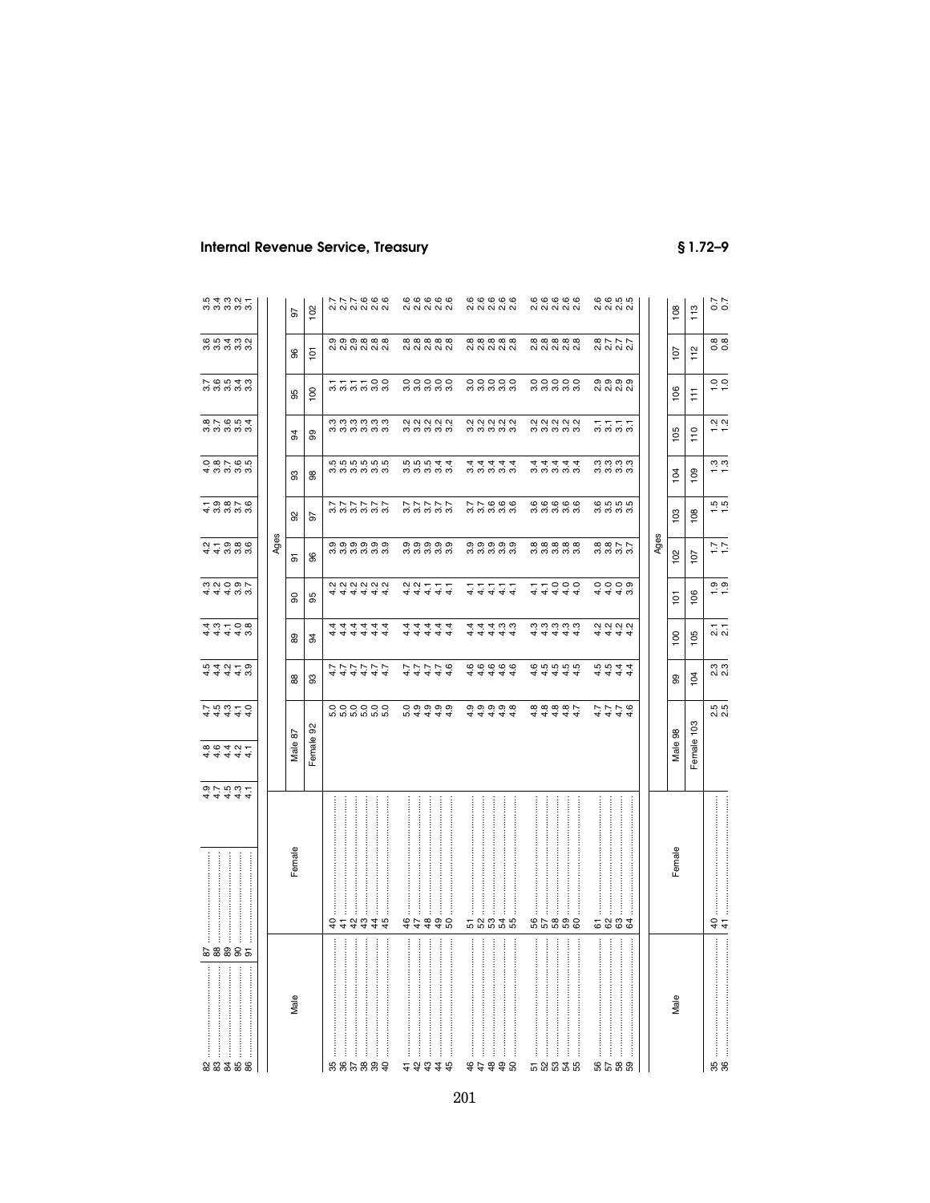|                                           |      | 56      | 102            |          |                               | ファフ 6 6 6<br>2 3 2 3 2 3 2             |   |         | 66666<br>60006                                                 |   |                |        |   |     | 66666<br>60006               |     |   |             |           | 66666<br>60006               | 6 6 5 5<br>0 6 7 6                |                                             |  |      | 108            | 113        | 7.000                                                                                                                                                                                                                                                                                                                                                                                                                                              |
|-------------------------------------------|------|---------|----------------|----------|-------------------------------|----------------------------------------|---|---------|----------------------------------------------------------------|---|----------------|--------|---|-----|------------------------------|-----|---|-------------|-----------|------------------------------|-----------------------------------|---------------------------------------------|--|------|----------------|------------|----------------------------------------------------------------------------------------------------------------------------------------------------------------------------------------------------------------------------------------------------------------------------------------------------------------------------------------------------------------------------------------------------------------------------------------------------|
| <b>65488</b><br>ത്ത്ത് ത്                 |      | 8       | ξ              |          |                               | o, o, o, o, o, o,<br>o, o, o, o, o, o, |   |         | <b>@@@@@</b>                                                   |   |                |        |   |     | 8 8 8 8 8 8<br>8 8 8 8 8 8 9 |     |   |             |           | <b>@@@@@</b>                 |                                   | 8777<br>2020                                |  |      | 107            | 112        | 0.8                                                                                                                                                                                                                                                                                                                                                                                                                                                |
| 7.6543<br>7.6543                          |      | 95      | $\overline{8}$ |          |                               | <b>222238</b>                          |   |         | 00000                                                          |   |                |        |   |     | 00000                        |     |   |             |           | 00000                        | တတတတ<br>လံလံလံလံ                  |                                             |  |      | 106            | F          | $\frac{0}{1}$ $\frac{0}{1}$                                                                                                                                                                                                                                                                                                                                                                                                                        |
| 87654<br>87654                            |      | 2       | 99             |          |                               | a a a a a a<br>a a a a a a             |   |         | 2<br>2 2 2 2 2 2<br>2 3 2 2 2                                  |   |                |        |   |     | cicio cicio<br>cicio cicio   |     |   |             |           | cicio cicio<br>cicio cicio   |                                   | 5555                                        |  |      | 105            | 110        | $\frac{2}{1}$ $\frac{2}{1}$                                                                                                                                                                                                                                                                                                                                                                                                                        |
| 0 8 1 9 0 1<br>4 0 0 1 0 1                |      | 3       | 8              |          |                               | ro ro ro ro ro<br>က်ကံကံကံကံ           |   |         | $\vec{w}$ $\vec{w}$ $\vec{w}$ $\vec{q}$ $\vec{q}$<br>က်က်ကံကံက |   |                |        |   |     | d d d d d<br>4 d d d d       |     |   |             |           | d d d d d<br>4 d d d d       |                                   | ယ်ယံယံယံ<br>ന്ന്ന്                          |  |      | 104            | 109        | $\frac{3}{1}$ $\frac{3}{1}$                                                                                                                                                                                                                                                                                                                                                                                                                        |
| 4 9 9 9 9 9<br>4 9 9 9 9 9                |      | 8       | 5              |          |                               | いいいじじじ                                 |   |         | 27777<br>27777                                                 |   |                |        |   |     | 77666<br>3333                |     |   |             |           | cococo<br>cocococo           |                                   | 6<br>6 6 6 6<br>6 6 7                       |  |      | 103            | 108        | $\frac{15}{10}$                                                                                                                                                                                                                                                                                                                                                                                                                                    |
| $\alpha - \sigma \otimes \sigma$<br>44000 | Ages | 5       | 96             |          |                               | 0,0,0,0,0,0,<br>က်ကံတံတံတံ             |   |         | 0,0,0,0,0,<br>က်ကံကံကံက                                        |   |                |        |   |     | တ္ တ္ တ္ တ္ တ္<br>က်ကံကံကံက  |     |   |             |           | <u>ထံထံထံထံ</u><br>က်ကံကံကံက |                                   | $\alpha$ $\alpha$ $\sim$ $\sim$<br>က်ကံကံကံ |  | Ages | 102            | 107        | $\frac{7}{1.7}$                                                                                                                                                                                                                                                                                                                                                                                                                                    |
| 4440.00<br>4440.00                        |      | ႙       | 95             |          |                               | 444444                                 |   |         | 2<br>4 4 4 4 4<br>4 4 4 4                                      |   |                |        |   |     | नियम<br>संस्कृत              |     |   |             |           | 44444<br>44444               |                                   | 4448                                        |  |      | $\frac{1}{2}$  | 106        | $\frac{0}{1}$ . $\frac{0}{1}$                                                                                                                                                                                                                                                                                                                                                                                                                      |
| 4310841 441                               |      | 8       | 3              | 4.       |                               | निन्नन<br>निननन                        | ↔ | 4.4     | यं यं यं<br>यं यं यं                                           |   |                | 4<br>4 |   |     | 440.<br>4444                 |     |   |             |           | ოოოოო<br><u>यं यं यं</u>     | 4.                                | 2222<br>य य य                               |  |      | $\overline{6}$ | 105        | $\frac{1}{2}$ $\frac{1}{2}$                                                                                                                                                                                                                                                                                                                                                                                                                        |
| ちょうしょう<br>さんとうじ                           |      | 88      | 3              |          |                               | トートアート<br>トートアート                       |   |         | <b>444444</b>                                                  |   |                |        |   |     | 44444<br>66666               |     | ≠ | ↽           |           | <b>@</b> m̀ m̀ m̀<br>ਚ ਚ ਚ   | 4 4 4 4<br>10 10 4 4<br>10 10 4 4 |                                             |  |      | 8              | 104        | ິດ<br>2. ລ                                                                                                                                                                                                                                                                                                                                                                                                                                         |
| $7.507 - 0$<br>$4.444$                    |      | Male 87 | Female 92      |          |                               | 000000<br>ம் ம் ம் ம் ம்               |   |         | $\circ$ $\circ$ $\circ$ $\circ$ $\circ$<br>n 4 4 4 4           |   |                | ÷      |   | 4 4 | თ თ თ თ თ                    | 4.4 |   |             |           | 44444<br>000000              |                                   | 4444<br>4444                                |  |      | Male 98        | Female 103 | 5<br>2.5                                                                                                                                                                                                                                                                                                                                                                                                                                           |
| 44444                                     |      |         |                |          |                               |                                        |   |         |                                                                |   |                |        |   |     |                              |     |   |             |           |                              |                                   |                                             |  |      |                |            |                                                                                                                                                                                                                                                                                                                                                                                                                                                    |
|                                           |      | Female  |                |          | İ                             | <br><br>3.233343                       |   | j<br>44 | <br>48                                                         | ļ | S <sub>0</sub> |        | j |     | ļ<br><b>58838</b>            |     |   | :<br>:<br>: |           | <br>86888                    |                                   | 5833                                        |  |      | Female         |            | $rac{4}{4}$                                                                                                                                                                                                                                                                                                                                                                                                                                        |
| ļ<br>58885<br>ŧ<br>ł                      |      | Male    |                | $\vdots$ | $\ddot{\ddot{\phantom{a}}}\,$ |                                        |   | ŧ       |                                                                | ŧ |                |        | ļ |     | ļ                            |     | İ | j           | :::::<br> | $\ddot{\phantom{a}}$         | $\ddot{}}$                        | :<br>:                                      |  |      | Male           |            | $\begin{minipage}{0.9\linewidth} \begin{tabular}{ c c c c c } \hline \multicolumn{1}{ c }{\textbf{r}} & \multicolumn{1}{ c }{\textbf{r}} & \multicolumn{1}{ c }{\textbf{r}} & \multicolumn{1}{ c }{\textbf{r}} & \multicolumn{1}{ c }{\textbf{r}} & \multicolumn{1}{ c }{\textbf{r}} & \multicolumn{1}{ c }{\textbf{r}} & \multicolumn{1}{ c }{\textbf{r}} & \multicolumn{1}{ c }{\textbf{r}} & \multicolumn{1}{ c }{\textbf{r}} & \multicolumn{1$ |
| 23388                                     |      |         |                |          |                               | 886889                                 |   |         | 23328                                                          |   |                |        |   |     | 77798                        |     |   |             |           | 58838                        |                                   | និង ១និ                                     |  |      |                |            | <b>95</b>                                                                                                                                                                                                                                                                                                                                                                                                                                          |

# **Internal Revenue Service, Treasury**

 $$1.72 - 9$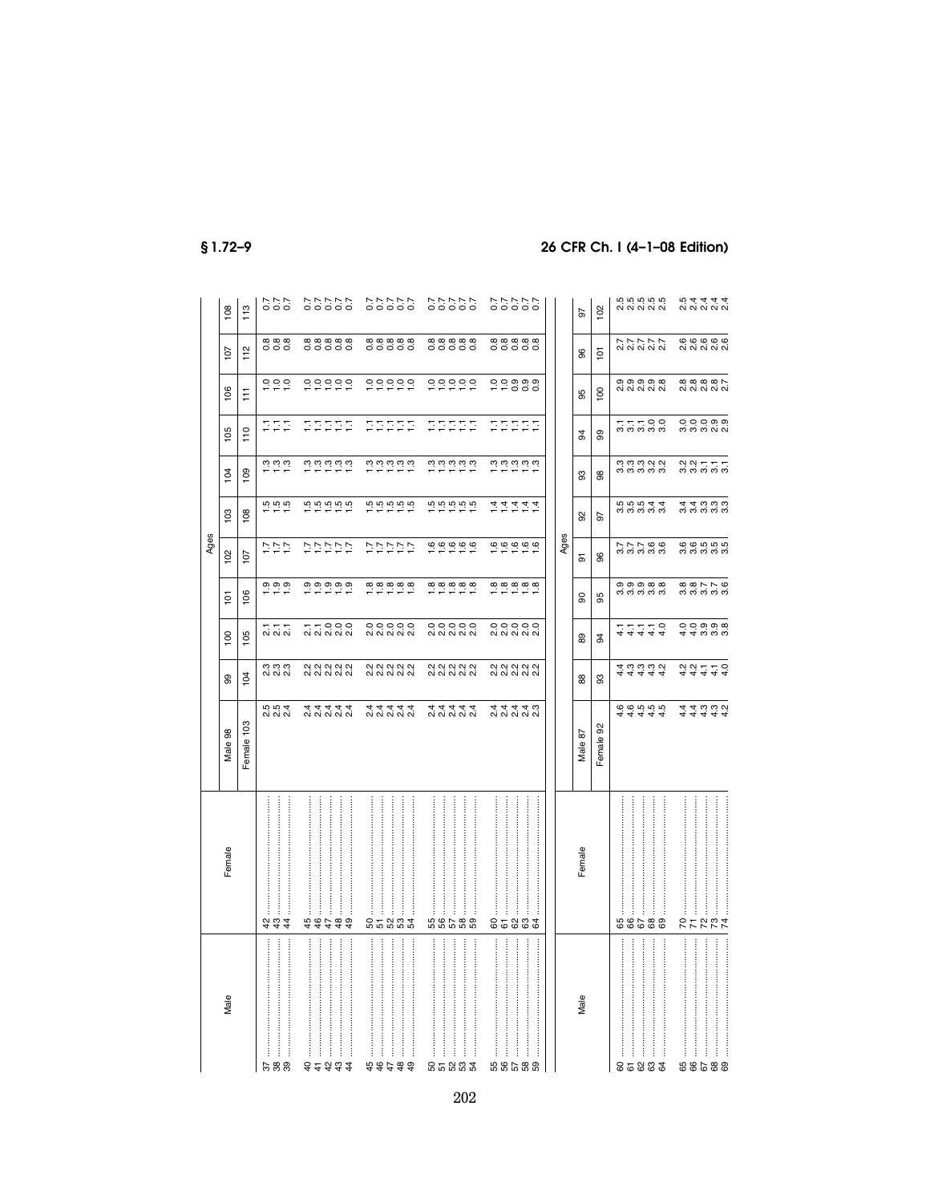|                                    |                                                                        |                                                                          |                                 |                                              |                                                                                                                                                                                                                                                                                                                     | Ages                                           |                                                                                                                               |                                                                                                                                             |                    |                        |                                                     |                                       |
|------------------------------------|------------------------------------------------------------------------|--------------------------------------------------------------------------|---------------------------------|----------------------------------------------|---------------------------------------------------------------------------------------------------------------------------------------------------------------------------------------------------------------------------------------------------------------------------------------------------------------------|------------------------------------------------|-------------------------------------------------------------------------------------------------------------------------------|---------------------------------------------------------------------------------------------------------------------------------------------|--------------------|------------------------|-----------------------------------------------------|---------------------------------------|
| Male                               | Female                                                                 | Male 98                                                                  | 8                               | 100                                          | 101                                                                                                                                                                                                                                                                                                                 | 102                                            | 103                                                                                                                           | 104                                                                                                                                         | 105                | 106                    | 107                                                 | 108                                   |
|                                    |                                                                        | Female 103                                                               | 104                             | 105                                          | 106                                                                                                                                                                                                                                                                                                                 | 107                                            | 108                                                                                                                           | 109                                                                                                                                         | $\frac{1}{10}$     | Ħ                      | 112                                                 | 113                                   |
| 57<br>88                           | <del>3</del> 4 4                                                       | $\ddot{w}$ $\ddot{w}$ $\ddot{q}$<br>0 0 0 0                              | n n n<br>N N N                  | $\frac{1}{20}$ $\frac{1}{20}$ $\frac{1}{20}$ | 0, 0, 0, 0,                                                                                                                                                                                                                                                                                                         | $\begin{array}{c}\n 1.7 \\  7.7\n \end{array}$ | $\frac{16}{10}$ in in                                                                                                         | $\frac{3}{2}$ $\frac{3}{2}$ $\frac{3}{2}$                                                                                                   | 도드드                | 200                    | 8888                                                | $7.7$<br>0.00                         |
| ::::::<br><br>79.34<br>$rac{4}{7}$ | .<br>44444                                                             | प्पपप्प                                                                  | 2<br>22 22 23 24<br>24 25 26 27 | $\circ \circ \circ$<br>ai ai ai ai ai        |                                                                                                                                                                                                                                                                                                                     | いいいいい                                          | $\frac{1}{2}$ $\frac{1}{2}$ $\frac{1}{2}$ $\frac{1}{2}$ $\frac{1}{2}$ $\frac{1}{2}$ $\frac{1}{2}$ $\frac{1}{2}$ $\frac{1}{2}$ |                                                                                                                                             | 55555              | 00000                  | 8<br>8<br>8<br>8<br>8<br>8<br>8<br>8<br>8<br>8<br>8 | 222220                                |
| $\vdots$<br>\$\$\$\$\$             | <br><br>និតនិនិង                                                       | पन्नन                                                                    | 2<br>22 23 24 25<br>24 26 27 28 | $\circ \circ \circ \circ \circ$              | $\frac{1}{2}$ $\frac{1}{2}$ $\frac{1}{2}$ $\frac{1}{2}$ $\frac{1}{2}$ $\frac{1}{2}$ $\frac{1}{2}$ $\frac{1}{2}$ $\frac{1}{2}$ $\frac{1}{2}$ $\frac{1}{2}$ $\frac{1}{2}$ $\frac{1}{2}$ $\frac{1}{2}$ $\frac{1}{2}$ $\frac{1}{2}$ $\frac{1}{2}$ $\frac{1}{2}$ $\frac{1}{2}$ $\frac{1}{2}$                             | ひいいいい                                          |                                                                                                                               |                                                                                                                                             | 22222              | 000000                 | 888888<br>00000                                     | 222222                                |
| <br>និតនិនិង                       | .<br><br>66588                                                         | प्पप्प                                                                   | 2<br>22 22 23 24<br>24 25 26 27 | $\circ \circ \circ \circ \circ$              | $\frac{1}{2}$ $\frac{1}{2}$ $\frac{1}{2}$ $\frac{1}{2}$ $\frac{1}{2}$ $\frac{1}{2}$ $\frac{1}{2}$ $\frac{1}{2}$ $\frac{1}{2}$ $\frac{1}{2}$ $\frac{1}{2}$ $\frac{1}{2}$ $\frac{1}{2}$ $\frac{1}{2}$ $\frac{1}{2}$ $\frac{1}{2}$ $\frac{1}{2}$ $\frac{1}{2}$ $\frac{1}{2}$ $\frac{1}{2}$ $\frac{1}{2}$ $\frac{1}{2}$ | 600000                                         |                                                                                                                               | $\frac{1}{2}$ $\frac{1}{2}$ $\frac{1}{2}$ $\frac{1}{2}$ $\frac{1}{2}$ $\frac{1}{2}$ $\frac{1}{2}$ $\frac{1}{2}$ $\frac{1}{2}$ $\frac{1}{2}$ | 프로프트프              | 000000                 | 888888<br>00000                                     | 222222                                |
| និងនិង<br>59                       | 85883                                                                  | 44440                                                                    | 2<br>22 23 24 25<br>24 25 26 27 | $\circ \circ \circ \circ \circ$              | $\frac{1}{2}$ $\frac{1}{2}$ $\frac{1}{2}$ $\frac{1}{2}$ $\frac{1}{2}$ $\frac{1}{2}$ $\frac{1}{2}$ $\frac{1}{2}$ $\frac{1}{2}$ $\frac{1}{2}$                                                                                                                                                                         | 6000000                                        | ははははは                                                                                                                         | $\frac{1}{2}$ $\frac{1}{2}$ $\frac{1}{2}$ $\frac{1}{2}$ $\frac{1}{2}$ $\frac{1}{2}$ $\frac{1}{2}$ $\frac{1}{2}$ $\frac{1}{2}$ $\frac{1}{2}$ | 플롤플롤롤              | 0.00000                | 88888<br>00000                                      | 22222<br>2000                         |
|                                    |                                                                        |                                                                          |                                 |                                              |                                                                                                                                                                                                                                                                                                                     | Ages                                           |                                                                                                                               |                                                                                                                                             |                    |                        |                                                     |                                       |
| Male                               | Female                                                                 | Male 87                                                                  | 88                              | 89                                           | ႙                                                                                                                                                                                                                                                                                                                   | 5                                              | 8                                                                                                                             | ဌ                                                                                                                                           | 34                 | 95                     | 96                                                  | 50                                    |
|                                    |                                                                        | Female 92                                                                | 3                               | $\overline{5}$                               | 95                                                                                                                                                                                                                                                                                                                  | 96                                             | 5                                                                                                                             | 88                                                                                                                                          | 8                  | 100                    | 101                                                 | 102                                   |
| $\vdots$<br>85883                  | :<br>:<br>:<br>:<br>:<br>:<br>:<br>:<br>:<br>:<br>:<br>:<br>:<br>88588 | $\ddot{\circ}$ $\ddot{\circ}$ $\ddot{\circ}$ $\ddot{\circ}$<br>य व व व व | 4 4 4 4 4<br>4 6 6 6 7 6        | 4 4 4 4 4<br>4 4 4 4 4                       | 0,0,0,0,0,0<br>0,0,0,0,0,0                                                                                                                                                                                                                                                                                          | P P P Q Q<br>က်က်က်က်က                         |                                                                                                                               | mmmnu<br>က်က်က်က်က                                                                                                                          | 55500<br>5559      | ၈ ၈ ၈ ၈ ၈<br>၀ ၀ ၀ ၀ ၀ | ファファフ<br>22                                         | 5<br>0. 5. 6. 6. 6.<br>0. 6. 6. 6. 6. |
| 88588                              | İ<br>:<br>:<br>:<br><b>RERRE</b>                                       | 440000<br>÷<br>4<br>4<br>4                                               | 444<br>$\frac{1}{4}$ - 0        | 00000<br>4<br>ு ஜென்                         | 8<br>8 8 7 7 8<br>8 8 8 8 8                                                                                                                                                                                                                                                                                         | 66555<br>က်က်က်က်က                             | 440000                                                                                                                        | $\sim \sim$ $-$<br>က်က်က်က်က                                                                                                                | 00000<br>က်ကံကံလံလ |                        | 6 6 6 6 6<br>6 6 7 6 7                              | らんしょう<br>ことうこう                        |

§1.72-9

# 26 CFR Ch. I (4-1-08 Edition)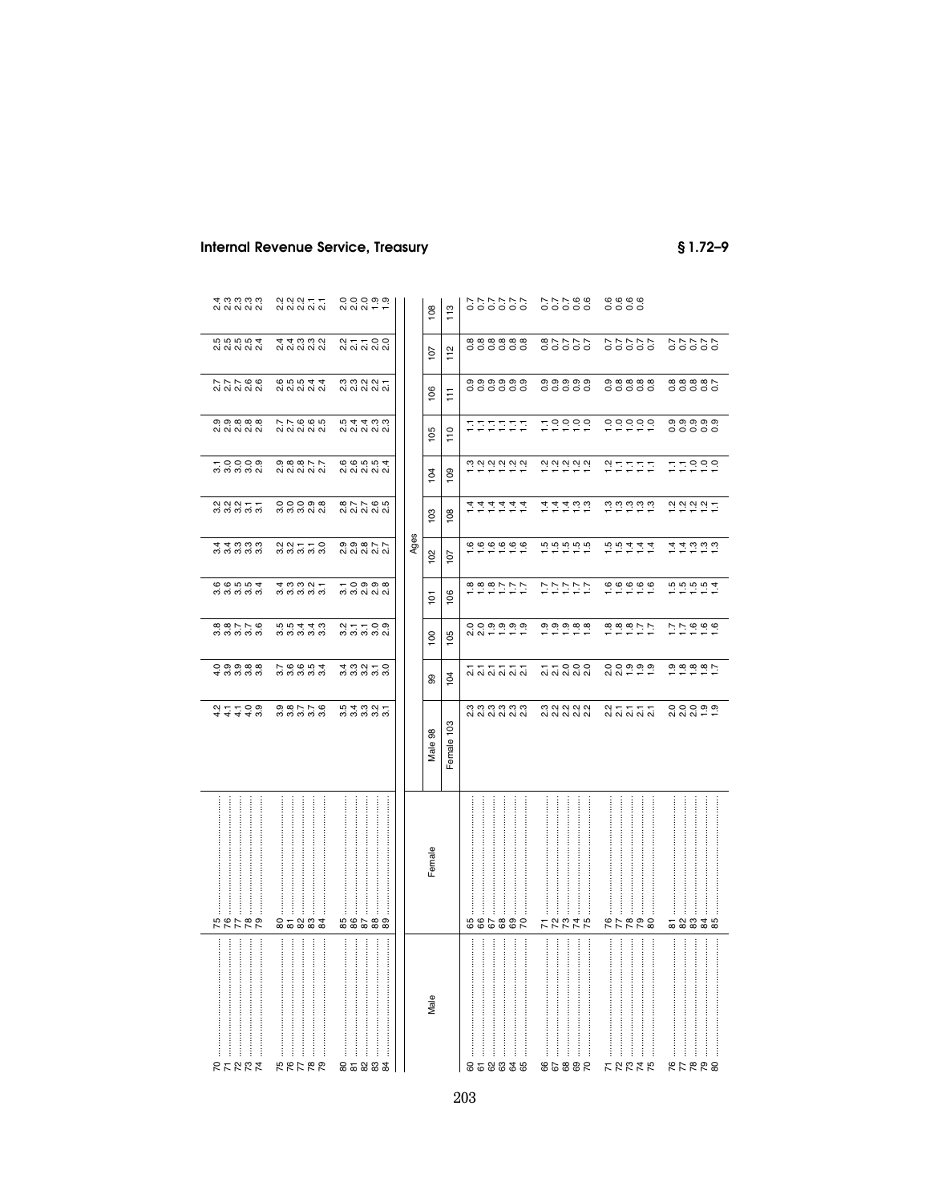# **Internal Revenue Service, Treasury**

 $$1.72 - 9$ 

| 4ကကကက                                      | 2<br>22221<br>2322                                                                                                 | $000000$<br>$000000$                                                                  |      | 108              | 113           | 88778<br>00000<br>66666                                                                                                                                         |  |
|--------------------------------------------|--------------------------------------------------------------------------------------------------------------------|---------------------------------------------------------------------------------------|------|------------------|---------------|-----------------------------------------------------------------------------------------------------------------------------------------------------------------|--|
|                                            | 44332<br>4433                                                                                                      | 2 1 1 2 0<br>2 2 2 2 2 2                                                              |      | 107              | 112           | 888888<br>222298<br>77777<br>00000<br>77777<br>00000                                                                                                            |  |
| N N Q Q<br>ai ai ai ai ai                  | <b>65544</b>                                                                                                       | $m \omega \omega -$<br>N N N N N                                                      |      | $\underline{8}$  | Ħ             | თ თ თ თ თ<br><b>၈ ေ ေ ေ ေ ေ</b><br>$\infty$ $\infty$ $\infty$ $\infty$ $\sim$<br>0000000<br>666666<br>66666<br>66666<br>66666                                   |  |
| တတထထထ<br>လံလံလံလံလံ                        | ファるのち<br>22ととこ                                                                                                     | 54433<br>222                                                                          |      | 105              | $\frac{0}{1}$ | 79999<br>000000<br>0,0,0,0,0,<br>0<br>0<br>0<br>0<br>0<br>0<br>0<br>222222                                                                                      |  |
| $-000$<br>ന് ന് ന് ന്                      | $\circ$ $\circ$ $\circ$ $\circ$ $\circ$                                                                            | 66554                                                                                 |      | 104              | 109           | $7.29$ $7.29$ $7.29$ $7.29$ $7.29$<br>29.29.29.29<br>77999<br>PHEEE                                                                                             |  |
|                                            | OOOOO<br>ຕິຕິຕິດໄ                                                                                                  | 87785<br>82123                                                                        |      | 103              | 108           | $\frac{1}{2}$ $\frac{1}{2}$ $\frac{1}{2}$ $\frac{1}{2}$ $\frac{1}{2}$ $\frac{1}{2}$ $\frac{1}{2}$ $\frac{1}{2}$ $\frac{1}{2}$ $\frac{1}{2}$<br>292927<br>ゖゖゖゖゖゖ |  |
| 44000<br>က်က်က်က်က                         | $\begin{array}{c} \alpha & \alpha & \tau & \tau & \circ \\ \sigma & \sigma & \sigma & \sigma & \sigma \end{array}$ | $\circ$ $\circ$ $\circ$ $\circ$ $\sim$ $\sim$                                         | Ages | 102              | 107           | 00000000<br>ははいいい                                                                                                                                               |  |
| 66554<br>66565                             | $\begin{array}{c} 4 & 0 & 0 & 0 & 0 \\ 0 & 0 & 0 & 0 & 0 \\ \end{array}$                                           | <b>O</b> တု တု ထု<br>700000<br>700000                                                 |      | $\frac{5}{2}$    | 106           | rù rù rù 4<br>はははほけい<br>バンジンド<br>699999                                                                                                                         |  |
| $\infty \wedge \wedge \infty$<br>က်က်က်က်က | <b>55440</b><br>က်က်က်က်က                                                                                          | $\begin{array}{c} \alpha + - \alpha & \delta \\ \alpha & \delta & \delta \end{array}$ |      | $\overline{100}$ | 105           | 00000000<br>0.88077<br>7.7666                                                                                                                                   |  |
|                                            | 7.0004<br>0.0000                                                                                                   | $4.09 - 0.09$                                                                         |      | 99               | 104           | 77000<br>2020<br>0000000<br>៷៑៷៷៷៷                                                                                                                              |  |
| $24440$<br>$4440$                          | $\begin{array}{c} 0 & \infty \uparrow \uparrow \infty \\ \sigma_1 & \sigma_2 & \sigma_3 & \sigma_4 \end{array}$    | 54997                                                                                 |      | Male 98          | Female 103    | cococococo<br>cicicicicici<br><b>000000</b><br>$000000$<br>$000000$<br>2 1 1 1 1<br>2 2 2 2 2 2                                                                 |  |
| :<br>:<br>:<br>İ<br>ŧ<br>52789             | l<br>ŧ<br>85883                                                                                                    | ŧ<br>88588                                                                            |      | Female           |               | <br>:<br>İ<br><br><br><br><br><br> <br> <br> <br> <br>j<br>ŧ<br>ŧ<br>ŧ<br>ŧ<br>ŧ<br>882882<br><b>72275</b><br>882528<br>52335                                   |  |
| ļ<br><b>27227</b>                          | :<br>:<br>:<br>$\vdots$<br>:<br>ļ<br>52788                                                                         | <br><br><br>İ<br>85883                                                                |      | Male             |               | $\ddot{}}$<br><br><br><br><br><br>:<br>:<br>:<br>:<br><br>$\frac{1}{2}$<br>İ<br>ļ<br>$\vdots$<br>858838<br>98858<br>けなおはな<br>882528                             |  |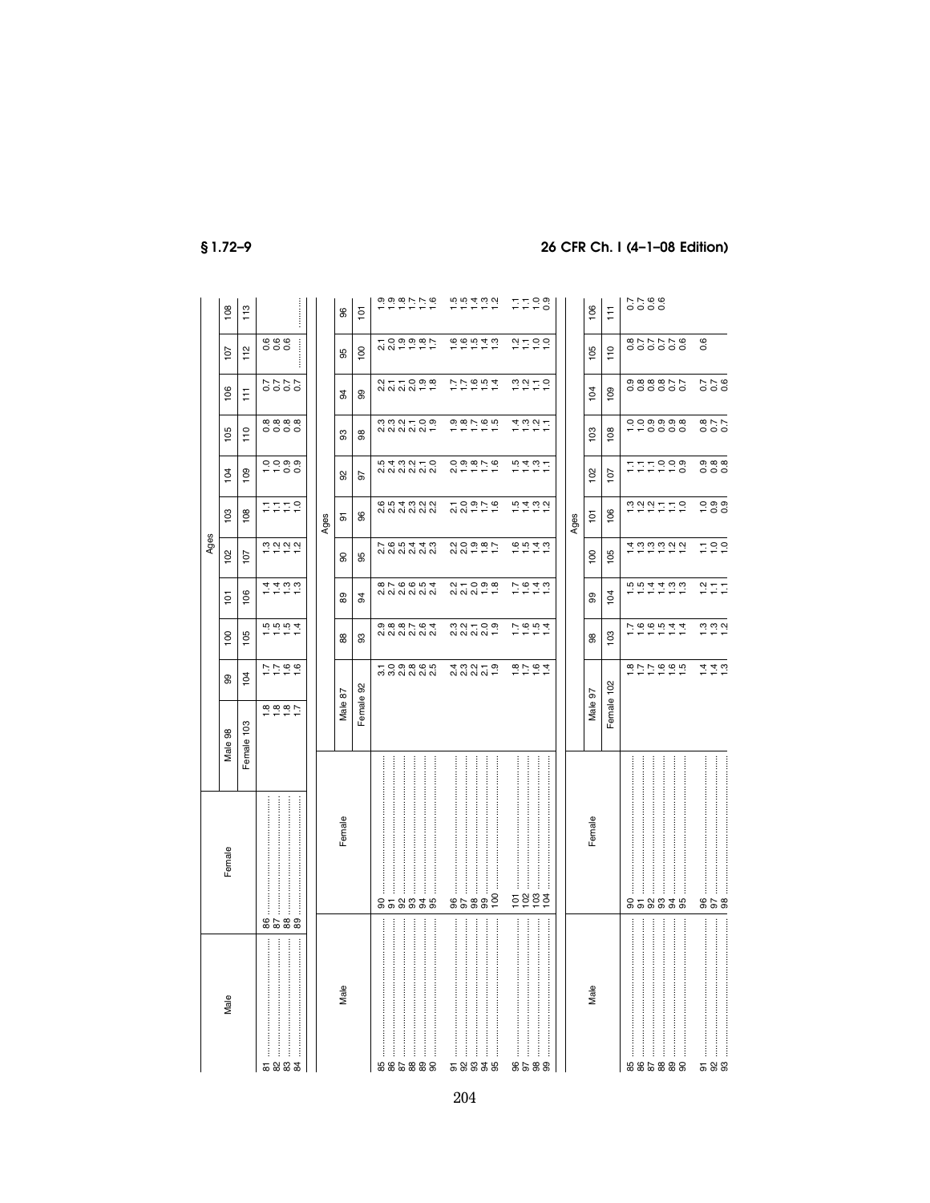|                         |                 |            |                                                                                     |                                                 |                          | Ages                                                                  |                   |               |                   |                                                 |                  |                  |
|-------------------------|-----------------|------------|-------------------------------------------------------------------------------------|-------------------------------------------------|--------------------------|-----------------------------------------------------------------------|-------------------|---------------|-------------------|-------------------------------------------------|------------------|------------------|
| Male                    | Female          | Male 98    | 99                                                                                  | 100                                             | $\overline{5}$           | 102                                                                   | 103               | 104           | 105               | 106                                             | 107              | 108              |
|                         |                 | Female 103 | 104                                                                                 | 105                                             | 106                      | 107                                                                   | 108               | 109           | 110               | Ħ                                               | 112              | 113              |
| 583<br>$\frac{4}{3}$    | 86<br><b>88</b> | 7.80007    | 7790                                                                                | 1.5004                                          | ははいい                     | $\frac{3}{2}$ $\frac{3}{2}$ $\frac{3}{2}$ $\frac{3}{2}$ $\frac{3}{2}$ | EEES              | 0.0000        | 88888             |                                                 | <b>999</b><br>   |                  |
|                         |                 |            |                                                                                     |                                                 |                          |                                                                       |                   |               |                   |                                                 |                  |                  |
|                         |                 |            |                                                                                     |                                                 |                          |                                                                       | Ages              |               |                   |                                                 |                  |                  |
| Male                    | Female          | Male 87    |                                                                                     | 88                                              | 89                       | 8                                                                     | 5                 | ္တ            | 8                 | 3                                               | 95               | 96               |
|                         |                 | Female 92  |                                                                                     | 3                                               | 34                       | 95                                                                    | 96                | 5             | 88                | 8                                               | 100              | $\overline{101}$ |
| :<br>:<br>:<br>:<br>885 | 8               |            | 1000000<br>បាល់ស្តា                                                                 |                                                 | 876654<br>820004         | て 6 5 4 4 3<br>2 2 2 2 2 2 2                                          | 654323<br>654323  | 5432105 2 1 3 |                   | $247 - 099$<br>$247 - 099$                      | 7000007          | 0.0.0077.00      |
|                         |                 |            |                                                                                     |                                                 |                          |                                                                       |                   |               |                   |                                                 |                  |                  |
| 88                      | İ<br>58835      |            |                                                                                     | $\circ$ $\circ$ $\circ$ $\circ$ $\circ$ $\circ$ |                          |                                                                       |                   |               |                   |                                                 |                  |                  |
|                         |                 |            |                                                                                     |                                                 |                          |                                                                       |                   |               |                   |                                                 |                  |                  |
| <b>88</b>               |                 |            |                                                                                     |                                                 |                          |                                                                       |                   |               |                   |                                                 |                  |                  |
|                         |                 |            |                                                                                     |                                                 |                          |                                                                       |                   |               |                   |                                                 |                  |                  |
|                         | 96              |            |                                                                                     |                                                 |                          |                                                                       |                   |               |                   |                                                 |                  |                  |
| 5833                    | 88              |            | 4 13 2 1<br>2 2 2 2 2 3 2                                                           |                                                 | $24 - 099$<br>$24 - 099$ | 20000007                                                              | 70959             |               |                   | 77994                                           | 0.000140         | 5.577            |
|                         |                 |            |                                                                                     |                                                 |                          |                                                                       |                   |               |                   |                                                 |                  |                  |
| 95                      | 100             |            |                                                                                     |                                                 |                          |                                                                       |                   |               |                   |                                                 |                  |                  |
| $\frac{26}{96}$         | $\overline{5}$  |            |                                                                                     |                                                 |                          |                                                                       |                   |               |                   |                                                 |                  |                  |
|                         | 102             |            |                                                                                     |                                                 |                          |                                                                       |                   |               |                   |                                                 |                  |                  |
| 88<br>99                | 103<br>104      |            | $\frac{1}{1}$ $\frac{1}{1}$ $\frac{1}{1}$ $\frac{1}{1}$ $\frac{1}{1}$ $\frac{1}{1}$ | 7.604                                           | 7.949                    | $6.949$<br>$-7.79$                                                    |                   | おはおけ          | はいごけ              | $\frac{20}{10}$ $\frac{21}{10}$ $\frac{10}{10}$ | 2720             | FF98             |
|                         |                 |            |                                                                                     |                                                 |                          |                                                                       |                   |               |                   |                                                 |                  |                  |
|                         |                 |            |                                                                                     |                                                 |                          |                                                                       | Ages              |               |                   |                                                 |                  |                  |
| Male                    | Female          | Male 97    |                                                                                     | 88                                              | 99                       | 100                                                                   | 101               | 102           | 103               | 104                                             | 105              | 106              |
|                         |                 | Female 102 |                                                                                     | 103                                             | 104                      | 105                                                                   | 106               | 107           | 108               | 109                                             | 110              | Ħ                |
| $\vdots$                |                 |            |                                                                                     |                                                 |                          |                                                                       |                   |               |                   |                                                 |                  |                  |
|                         |                 |            |                                                                                     |                                                 |                          |                                                                       |                   |               |                   |                                                 |                  |                  |
|                         |                 |            |                                                                                     |                                                 |                          |                                                                       |                   |               |                   |                                                 |                  | 5566<br>0000     |
|                         |                 |            |                                                                                     |                                                 |                          |                                                                       |                   |               |                   |                                                 |                  |                  |
| 885888                  | 858838          |            | 222999                                                                              | 7.660044                                        | ちちれれいい                   | はいいいこう                                                                | nantra            | FFFFF8        | 0000000<br>--0000 | 0.8.8.87.7<br>0.00000                           | 977778<br>000000 |                  |
|                         |                 |            |                                                                                     |                                                 |                          |                                                                       |                   |               |                   |                                                 |                  |                  |
| $\overline{5}$          |                 |            |                                                                                     |                                                 |                          |                                                                       |                   |               |                   |                                                 | 0.6              |                  |
| 88                      | 858             |            | $\frac{4}{4}$ $\frac{4}{4}$ $\frac{10}{4}$                                          | $\frac{3}{2}$ $\frac{3}{2}$ $\frac{3}{2}$       | $\frac{1}{2}$            | 799                                                                   | $0.99$<br>$-0.09$ | 0000<br>000   | 270<br>200        |                                                 |                  |                  |

# $$1.72-9$

# 26 CFR Ch. I (4-1-08 Edition)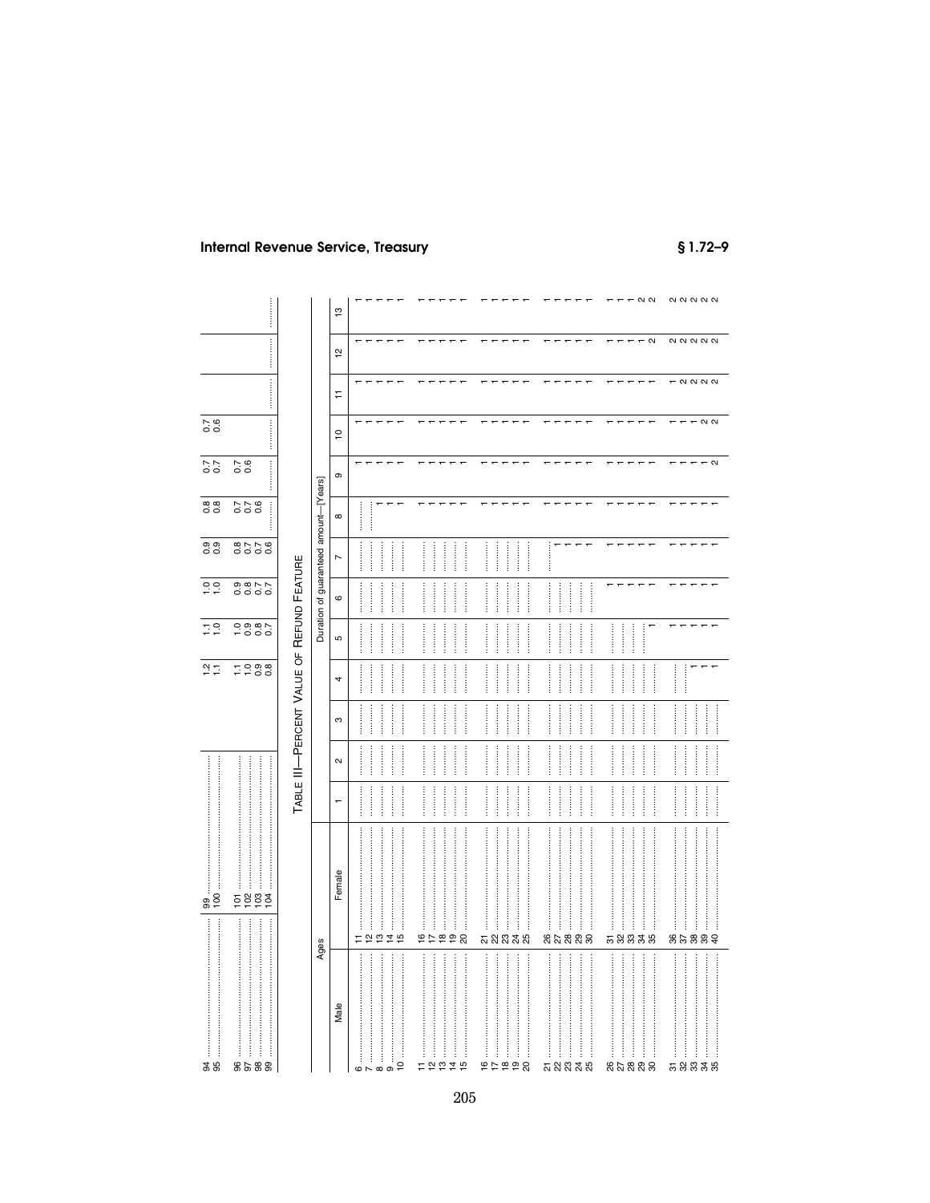$$1.72 - 9$ 

|                                                                                                                                                                                                                                                         |                                           | $\frac{1}{2}$  |                                      |                |                              |                  |                             | $ \alpha$ $\alpha$             | $\begin{array}{c} \mathbf{N} & \mathbf{N} & \mathbf{N} & \mathbf{N} \end{array}$                                                                                                                                                                                                                                                                                                                                                                                                                                                                   |
|---------------------------------------------------------------------------------------------------------------------------------------------------------------------------------------------------------------------------------------------------------|-------------------------------------------|----------------|--------------------------------------|----------------|------------------------------|------------------|-----------------------------|--------------------------------|----------------------------------------------------------------------------------------------------------------------------------------------------------------------------------------------------------------------------------------------------------------------------------------------------------------------------------------------------------------------------------------------------------------------------------------------------------------------------------------------------------------------------------------------------|
|                                                                                                                                                                                                                                                         |                                           |                |                                      |                |                              |                  |                             | $ \alpha$                      | <b>22222</b>                                                                                                                                                                                                                                                                                                                                                                                                                                                                                                                                       |
|                                                                                                                                                                                                                                                         |                                           | $\overline{2}$ |                                      |                |                              |                  |                             |                                |                                                                                                                                                                                                                                                                                                                                                                                                                                                                                                                                                    |
|                                                                                                                                                                                                                                                         |                                           | Ξ              |                                      |                |                              |                  |                             | $\leftarrow$<br>$\overline{ }$ | $ \alpha$ $\alpha$ $\alpha$                                                                                                                                                                                                                                                                                                                                                                                                                                                                                                                        |
| $\frac{7}{0.6}$                                                                                                                                                                                                                                         |                                           | $\tilde{c}$    |                                      |                |                              |                  |                             |                                | $ \alpha$ $\alpha$                                                                                                                                                                                                                                                                                                                                                                                                                                                                                                                                 |
| $\frac{25}{10}$<br>$\frac{7}{0.0}$<br>0.8<br><br>0.00<br>877.6<br>$\frac{0}{1}$ $\frac{0}{1}$<br>9877<br>0000<br>0000<br>-000<br>$\frac{1}{2}$ $\frac{1}{2}$<br>7900<br>$\frac{2}{1}$<br>100<br>103<br>$\frac{58}{102}$<br>104<br>99<br><br>3 S<br>8588 |                                           | თ              |                                      |                |                              |                  |                             |                                | $\sim$                                                                                                                                                                                                                                                                                                                                                                                                                                                                                                                                             |
|                                                                                                                                                                                                                                                         |                                           | $\infty$       | <br>                                 |                |                              |                  |                             |                                |                                                                                                                                                                                                                                                                                                                                                                                                                                                                                                                                                    |
|                                                                                                                                                                                                                                                         | Duration of guaranteed amount-[Years]     | $\overline{ }$ | <br><br><br>                         |                | <br><br><br>                 | <br><br><br><br> | İ                           |                                |                                                                                                                                                                                                                                                                                                                                                                                                                                                                                                                                                    |
|                                                                                                                                                                                                                                                         |                                           | $\circ$        | <br><br><br>                         |                | <br><br><br>:<br>:<br>:<br>: | <br><br><br>     | <br><br><br>                |                                |                                                                                                                                                                                                                                                                                                                                                                                                                                                                                                                                                    |
|                                                                                                                                                                                                                                                         |                                           | Б              | <br><br><br>                         |                | <br><br><br>.                | <br><br><br>     | <br><br><br>                | <br><br>                       |                                                                                                                                                                                                                                                                                                                                                                                                                                                                                                                                                    |
|                                                                                                                                                                                                                                                         |                                           | $\overline{a}$ | <br>                                 |                | <br><br><br>                 | <br>             | <br><br>                    | <br><br>                       | <br>$\overline{ }$                                                                                                                                                                                                                                                                                                                                                                                                                                                                                                                                 |
|                                                                                                                                                                                                                                                         | TABLE III-PERCENT VALUE OF REFUND FEATURE | S              | <br><br>                             |                | <br><br><br>                 | <br><br>         | <br><br>                    | <br><br>                       | <br><br><br>                                                                                                                                                                                                                                                                                                                                                                                                                                                                                                                                       |
|                                                                                                                                                                                                                                                         |                                           | $\sim$         | <br><br><br>                         |                | <br><br><br>                 | <br><br>         | <br><br>                    | <br><br>                       | <br><br><br>                                                                                                                                                                                                                                                                                                                                                                                                                                                                                                                                       |
|                                                                                                                                                                                                                                                         |                                           | $\overline{ }$ | <br><br><br>                         |                | <br><br><br><br>             | <br><br><br>     | <br><br><br><br>            | <br><br><br><br>               | <br><br><br>                                                                                                                                                                                                                                                                                                                                                                                                                                                                                                                                       |
|                                                                                                                                                                                                                                                         |                                           | Female         |                                      |                | .                            |                  |                             |                                | $\label{def:main} \begin{minipage}{0.9\linewidth} \begin{minipage}{0.9\linewidth} \begin{minipage}{0.9\linewidth} \end{minipage} \begin{minipage}{0.9\linewidth} \begin{minipage}{0.9\linewidth} \end{minipage} \begin{minipage}{0.9\linewidth} \end{minipage} \begin{minipage}{0.9\linewidth} \end{minipage} \begin{minipage}{0.9\linewidth} \begin{minipage}{0.9\linewidth} \end{minipage} \begin{minipage}{0.9\linewidth} \end{minipage} \begin{minipage}{0.9\linewidth} \end{minipage} \begin{minipage}{0.9\linewidth} \end{minipage} \$       |
|                                                                                                                                                                                                                                                         | Ages                                      |                | $\frac{1}{2}$<br>$\overline{4}$<br>Ξ | $\overline{5}$ | $\frac{6}{1}$<br>222         | <u>ភ</u> ្លង និង | នកន្លួនន                    | 53335                          | 82888                                                                                                                                                                                                                                                                                                                                                                                                                                                                                                                                              |
|                                                                                                                                                                                                                                                         |                                           | Male           |                                      | $\overline{a}$ | j<br>2927<br>Ξ               | 9599             | <b>ភ</b> ង ឌ <del>ដ</del> ឆ | <br>នកន្លួន ន                  | $\label{def:1} \begin{minipage}{0.9\linewidth} \begin{minipage}{0.9\linewidth} \begin{minipage}{0.9\linewidth} \begin{minipage}{0.9\linewidth} \end{minipage} \begin{minipage}{0.9\linewidth} \begin{minipage}{0.9\linewidth} \end{minipage} \end{minipage} \end{minipage} \begin{minipage}{0.9\linewidth} \begin{minipage}{0.9\linewidth} \begin{minipage}{0.9\linewidth} \end{minipage} \end{minipage} \end{minipage} \begin{minipage}{0.9\linewidth} \begin{minipage}{0.9\linewidth} \begin{minipage}{0.9\linewidth} \end{minipage} \$<br>58838 |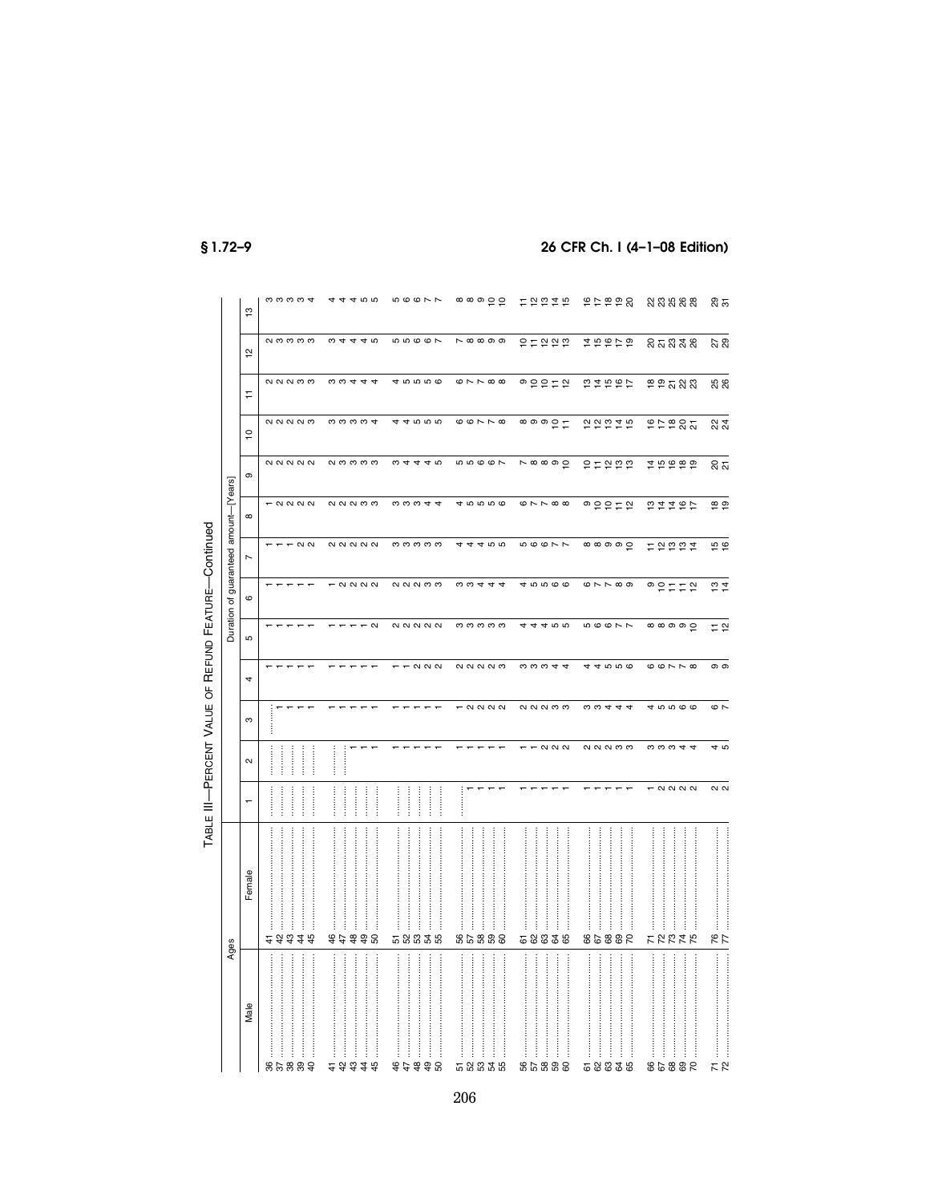|                                                     |                                       | $\frac{3}{2}$  | ოოოო <del>დ</del>                                                | 465<br>4<br>$\overline{a}$        | 56677                                                 | ၜၜၜၣႍၣ                                                      | 12224                                        | 66654                                             | <u>នួនឧន្តន</u>                       | ನಿ ಸ              |
|-----------------------------------------------------|---------------------------------------|----------------|------------------------------------------------------------------|-----------------------------------|-------------------------------------------------------|-------------------------------------------------------------|----------------------------------------------|---------------------------------------------------|---------------------------------------|-------------------|
|                                                     |                                       | $\frac{1}{2}$  | ი ოოოო                                                           | $\omega$ 4<br>440                 | 55667                                                 | <b>N</b> 00000                                              | 9799                                         | はちおけね                                             | <b>នគន</b> ងន                         | 27<br>29          |
|                                                     |                                       | Ξ              | QQQQ                                                             | 0.0444                            | 45556                                                 | $\circ \sim \sim \circ \circ$                               | ◎ 은 은 든 일                                    | 52567                                             | P P 7 88                              | <b>25</b><br>26   |
|                                                     |                                       | $\overline{c}$ | <b>QQQQQ</b>                                                     | mmmm <del>d</del>                 | 44555                                                 | $\circ$ $\circ$ $\sim$ $\sim$ $\circ$                       | $\circ \circ \circ \circ \vdash$             | 22225                                             | P P P R T                             | <u>ន</u> ្ត       |
|                                                     |                                       | $\circ$        | <b>22222</b>                                                     | <b>NOOOO</b>                      | $\omega$ 4<br>440                                     | <b>5667</b>                                                 | $\overline{\wedge}$ $\infty$ $\infty$ $\sup$ | 51555                                             |                                       | ន ភ               |
|                                                     |                                       | $\infty$       | $ \alpha$ $\alpha$ $\alpha$                                      | <b>QQQQ</b>                       | n w w 4 4                                             | 45556                                                       | $\circ \sim \sim \circ \circ$                | $\circ$ e e $\circ$                               | 22292                                 | $\frac{1}{6}$     |
|                                                     | Duration of guaranteed amount-[Years] | $\overline{ }$ | $ \alpha$ $\alpha$                                               | $\alpha$                          | ოოოოო                                                 | 455<br>4<br>$\overline{4}$                                  | 56677                                        | $\circ \circ \circ \circ \circ \circ$             | <b>든 알 ≌ ≌ 후</b>                      | $\frac{6}{5}$     |
|                                                     |                                       | $\circ$        |                                                                  | $ \alpha$ $\alpha$ $\alpha$       | QQQQQ                                                 | $\omega \omega 4 4$                                         | 45566                                        | $\circ \sim \sim \circ \circ$                     | ◎ 은 ㄷ ㄷ 은                             | $\frac{1}{2}$     |
|                                                     |                                       | Б              |                                                                  | $\sim$                            | <b>22222</b>                                          | ოოოოო                                                       | 455<br>4                                     | <b>56677</b>                                      | $\circ \circ \circ \circ \circ \circ$ | $=$ $\frac{1}{2}$ |
|                                                     |                                       | $\overline{ }$ |                                                                  |                                   | $ \alpha$ $\alpha$                                    | QQQQQQ                                                      | $\omega \omega \omega 4$                     | 4000<br>4                                         | $\omega \omega \wedge \omega$         | თ თ               |
|                                                     |                                       | ო              |                                                                  |                                   |                                                       | - 2222                                                      | <b>QQQQ</b>                                  | <b>b</b> c a 4                                    | 45566                                 | $\circ$ $\sim$    |
|                                                     |                                       | $\sim$         | <br><br><br>                                                     |                                   |                                                       |                                                             | $T$ $\alpha$ $\alpha$                        | QQQQ                                              | 0.0044                                | 4 ro              |
| TABLE III-PERCENT VALUE OF REFUND FEATURE-Continued |                                       | $\overline{ }$ | <br>                                                             | <br><br><br>.<br>.<br>.<br>.<br>. | <br><br>                                              |                                                             |                                              |                                                   | $ \alpha$ $\alpha$ $\alpha$           | $\sim$ $\sim$     |
|                                                     |                                       | Female         | :<br>:<br>:<br>ļ<br>$\frac{3}{4}$<br>42<br>$\ddot{4}$<br>45<br>4 | $48$<br>49<br>44                  | <br>l<br>$\frac{1}{2}$<br>58838                       | :<br>l<br>88828                                             | Î<br>82<br><b>85</b><br>61                   | :<br>:<br>:<br>$\ddot{\ddot{\cdot}}$<br>888<br>89 | j<br>İ<br><b>22225</b>                | 77                |
|                                                     | Ages                                  | Male           | <br>ļ<br>İ<br>38<br>889                                          | <br><br><br><br>さみるまお             | <br>l<br>$\vdots$<br><br>$\ddot{}}$<br>j<br>498<br>44 | <br>:<br>:<br>:<br>:<br>:<br>:<br>:<br>:<br>:<br>:<br>58835 | $\frac{1}{2}$<br><br>İ<br>88888              | <br><br><br>İ<br>58838                            | <br>İ<br>İ<br>28828                   | 72                |

§1.72-9

# 26 CFR Ch. I (4-1-08 Edition)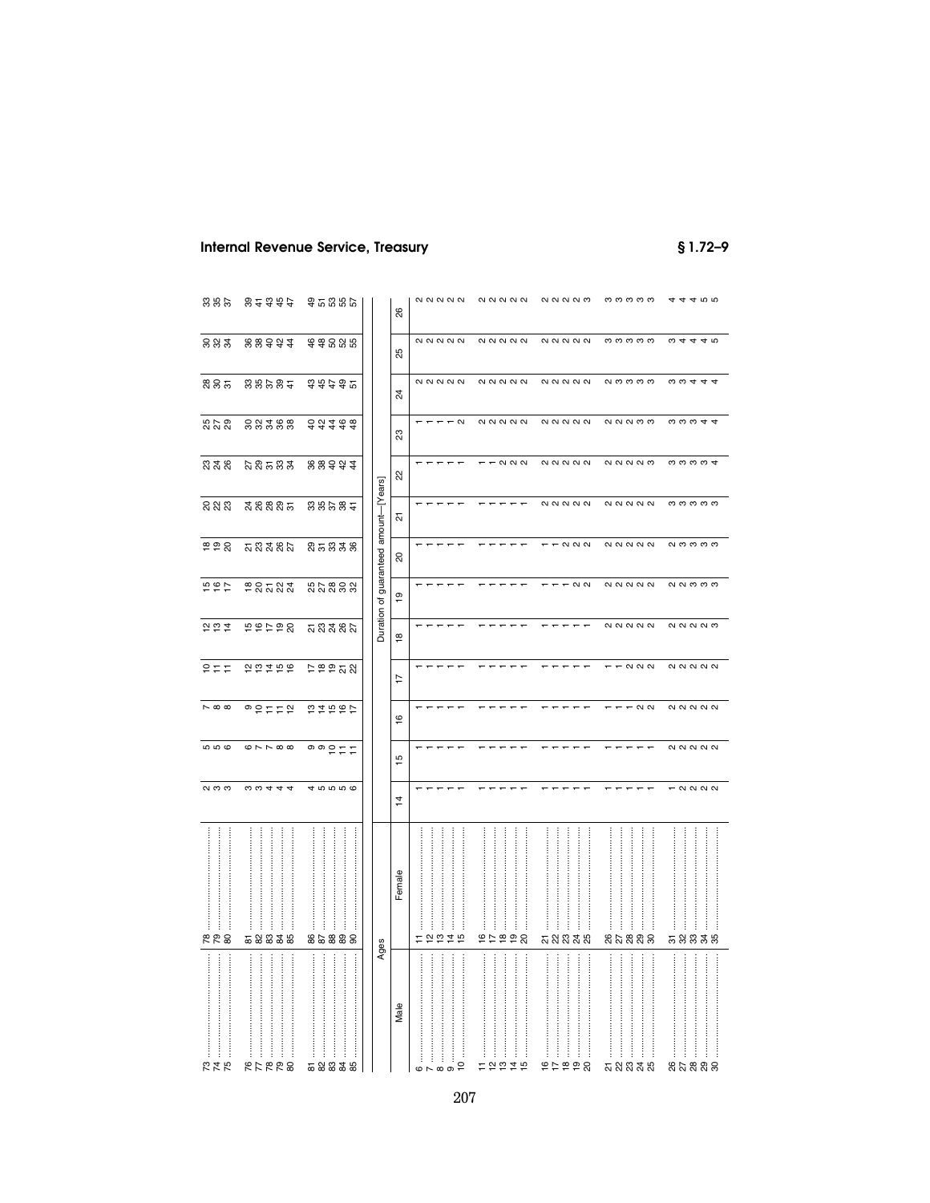# **Internal Revenue Service, Treasury**

 $$1.72 - 9$ 

| 885                           | 8437                                               | 35355                                   |                | 88             | $\alpha \alpha \alpha \alpha$                                                        | <b>222222</b>                                                                                                                                                                                                                                                                                                                                                                                                                                                                                                                                                                                     | <b>QQQQQ</b>                                                                                                                                                                                                                                                                             | ოოოოო                                                                            | 44400                                                                                   |
|-------------------------------|----------------------------------------------------|-----------------------------------------|----------------|----------------|--------------------------------------------------------------------------------------|---------------------------------------------------------------------------------------------------------------------------------------------------------------------------------------------------------------------------------------------------------------------------------------------------------------------------------------------------------------------------------------------------------------------------------------------------------------------------------------------------------------------------------------------------------------------------------------------------|------------------------------------------------------------------------------------------------------------------------------------------------------------------------------------------------------------------------------------------------------------------------------------------|----------------------------------------------------------------------------------|-----------------------------------------------------------------------------------------|
| 882                           | 223434                                             | \$\$885                                 |                | 25             | $\alpha$                                                                             | $\alpha$                                                                                                                                                                                                                                                                                                                                                                                                                                                                                                                                                                                          | <b>NNNNN</b>                                                                                                                                                                                                                                                                             | ოოოოო                                                                            | $\omega$ 4 4 4 $\omega$                                                                 |
| ೫೫ ಸ                          | 88985                                              | \$\$\$\$%                               |                | $\mathbb{Z}^4$ | $\begin{array}{c} \mathcal{N} & \mathcal{N} & \mathcal{N} & \mathcal{N} \end{array}$ | $\alpha$                                                                                                                                                                                                                                                                                                                                                                                                                                                                                                                                                                                          | <b>22222</b>                                                                                                                                                                                                                                                                             | <b>QOOOO</b>                                                                     | $\omega \omega 4 4$                                                                     |
| ನಿ ನಿ                         | ននងនួន                                             | 33438                                   |                | 23             | $- - - \alpha$                                                                       | $\alpha$                                                                                                                                                                                                                                                                                                                                                                                                                                                                                                                                                                                          | <b>NNNNN</b>                                                                                                                                                                                                                                                                             | <b>QQQQ</b>                                                                      | $\omega \omega \omega 4$                                                                |
| ಬಿ ಸೆ ನಿ                      | <b>ឯ</b> និង និង                                   | 223434                                  |                | 22             |                                                                                      | $  \alpha$ $\alpha$ $\alpha$                                                                                                                                                                                                                                                                                                                                                                                                                                                                                                                                                                      | $\begin{array}{c} \begin{array}{c} \text{Q} \\ \text{Q} \end{array} \begin{array}{c} \text{Q} \\ \text{Q} \end{array} \begin{array}{c} \text{Q} \\ \text{Q} \end{array} \begin{array}{c} \text{Q} \\ \text{Q} \end{array} \begin{array}{c} \text{Q} \\ \text{Q} \end{array} \end{array}$ | <b>QQQQQ</b>                                                                     | <b>cococo</b>                                                                           |
| នួនន                          | ನೆ ನಿನಿ ನಿ ಸ                                       | 88282                                   | amount-[Years] | 24             | $ -$                                                                                 | $- - -$                                                                                                                                                                                                                                                                                                                                                                                                                                                                                                                                                                                           | $\alpha$                                                                                                                                                                                                                                                                                 | $\begin{array}{c} \mathbf{N} & \mathbf{N} & \mathbf{N} & \mathbf{N} \end{array}$ | ოოოოო                                                                                   |
| <b>228</b>                    | <u>ភ</u> ្លូង នូង                                  | និគនិននិ                                | guaranteed     | 20             |                                                                                      |                                                                                                                                                                                                                                                                                                                                                                                                                                                                                                                                                                                                   | $  \alpha$ $\alpha$ $\alpha$                                                                                                                                                                                                                                                             |                                                                                  | <b>NOOOO</b>                                                                            |
| 494                           | ខន្តនន្ត                                           | 55888                                   |                | $\overline{e}$ |                                                                                      |                                                                                                                                                                                                                                                                                                                                                                                                                                                                                                                                                                                                   | $  \alpha$ $\alpha$                                                                                                                                                                                                                                                                      | $N$ $N$ $N$ $N$                                                                  | <b>NNMMM</b>                                                                            |
| 292                           | 56798                                              | <u>ភ</u> ្លូង នុង                       | Duration of    | $\frac{8}{1}$  |                                                                                      |                                                                                                                                                                                                                                                                                                                                                                                                                                                                                                                                                                                                   |                                                                                                                                                                                                                                                                                          | <b>22222</b>                                                                     | <b>QQQQQ</b>                                                                            |
| 유는도                           | 202798                                             | P P P T 8                               |                | 17             |                                                                                      |                                                                                                                                                                                                                                                                                                                                                                                                                                                                                                                                                                                                   | $ -$                                                                                                                                                                                                                                                                                     | $  \alpha$ $\alpha$ $\alpha$                                                     | $\begin{array}{c} \mathbf{N} & \mathbf{N} & \mathbf{N} & \mathbf{N} \end{array}$        |
| $\sim \infty$ $\infty$        | $^{\circ}$ $2572$                                  | 54567                                   |                | $\overline{6}$ |                                                                                      |                                                                                                                                                                                                                                                                                                                                                                                                                                                                                                                                                                                                   |                                                                                                                                                                                                                                                                                          | $- - - 0$                                                                        | $\begin{array}{c} \mathcal{N} & \mathcal{N} & \mathcal{N} & \mathcal{N} \end{array}$    |
| <b>5000</b>                   | $\circ \sim \sim \circ \circ$                      | $\circ$ $\circ$ $\circ$ $\circ$ $\circ$ |                | ءِ             |                                                                                      |                                                                                                                                                                                                                                                                                                                                                                                                                                                                                                                                                                                                   |                                                                                                                                                                                                                                                                                          | $- - -$                                                                          | <b>NNNNN</b>                                                                            |
| $\alpha$ $\sigma$             | $\omega \omega 4 4 4$                              | 45556                                   |                | 4              | $- - -$                                                                              | $\overline{\phantom{0}}$                                                                                                                                                                                                                                                                                                                                                                                                                                                                                                                                                                          | $\overline{\phantom{m}}$                                                                                                                                                                                                                                                                 | $- - -$                                                                          | $ \alpha$ $\alpha$ $\alpha$                                                             |
| <br> <br> <br> <br><b>RR8</b> | <br><br><br>İ<br>$\ddot{\phantom{a}}$<br><br>58838 | İ<br>İ<br>ļ<br>ŧ<br>86888               |                | Female         | :<br>:<br>:<br>ŧ<br>ŧ<br>$\frac{1}{2}$ $\frac{1}{2}$<br>$\frac{4}{7}$ in<br>Ξ        | $\frac{1}{2}$<br>67898                                                                                                                                                                                                                                                                                                                                                                                                                                                                                                                                                                            | ÷<br>ភ្លួននូន                                                                                                                                                                                                                                                                            | ļ<br>j<br>នួងនួនន                                                                | :<br>:<br>:<br>.<br>.<br>.<br>.<br>.<br>.<br>.<br>.<br>.<br>$\frac{1}{2}$<br>ŧ<br>58838 |
| ŧ<br>÷<br><b>245</b>          | ŧ<br>82272                                         | İ<br>÷<br>ŧ<br>Ŧ<br>ŧ<br>52335          | Ages           | Male           | j<br>÷<br>$\vdots$<br>$\overline{c}$<br>$\circ$<br>$\sigma$                          | $\ddot{}}$<br>$\label{eq:3.1} \begin{array}{ll} \hspace{-0.15cm} \textcolor{blue}{\begin{array}{l} \hbox{\scriptsize{}}\hbox{\scriptsize{}}\hbox{\scriptsize{}}\hbox{\scriptsize{}}\hbox{\scriptsize{}}\hbox{\scriptsize{}}\hbox{\scriptsize{}}\hbox{\scriptsize{}}\hbox{\scriptsize{}}\hbox{\scriptsize{}}\hbox{\scriptsize{}}\hbox{\scriptsize{}}\hbox{\scriptsize{}}\hbox{\scriptsize{}}\hbox{\scriptsize{}}\hbox{\scriptsize{}}\hbox{\scriptsize{}}\hbox{\scriptsize{}}\hbox{\scriptsize{}}\hbox{\scriptsize{}}\hbox{\scriptsize{}}\hbox{\scriptsize{}}\hbox{\script$<br>ł<br>ŧ<br>Ŧ<br>there | ŧ                                                                                                                                                                                                                                                                                        | $\vdots$<br><br>ŧ<br>Ĵ.<br><b>ភ</b> ង ឌ <del>ដ</del> ឆ                           | ļ<br>İ<br>ŧ<br>Ŧ<br>85888                                                               |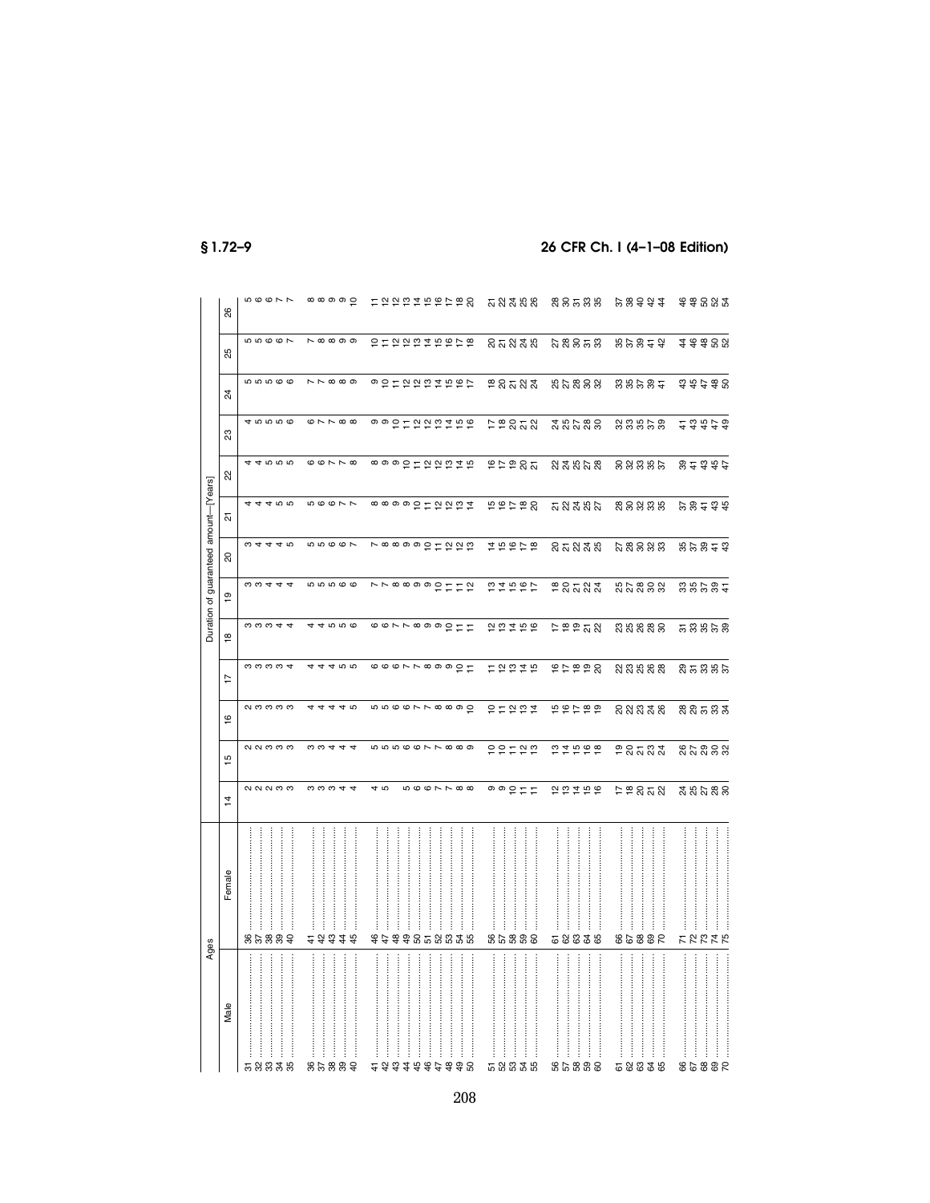§1.72-9

#### 26 CFR Ch. I (4-1-08 Edition)

|                                       | 88             | $\mathfrak{c}\circ\mathfrak{c}\circ\mathfrak{c}$ | $\circ \circ \circ \circ \circ \circ$ | けなわおねもおけるめ                                                                                                                                                                                                                                                                                                                                                                                                                                                                            | ភូនងីន័ន                          | នីទីកូនី                                 | 223434              | 498837          |
|---------------------------------------|----------------|--------------------------------------------------|---------------------------------------|---------------------------------------------------------------------------------------------------------------------------------------------------------------------------------------------------------------------------------------------------------------------------------------------------------------------------------------------------------------------------------------------------------------------------------------------------------------------------------------|-----------------------------------|------------------------------------------|---------------------|-----------------|
|                                       | Χĥ             | 56667                                            | $\sim \infty$ $\infty$ $\infty$       | 2022248868                                                                                                                                                                                                                                                                                                                                                                                                                                                                            | ន៑នងន                             | <b>ឯ</b> នីទី ខ្លួ                       | 89927               | 48888           |
|                                       | 24             | 99999                                            | $\sim$ $\sim$ $\infty$ $\infty$       | 9 2 1 2 2 2 2 4 5 6 7                                                                                                                                                                                                                                                                                                                                                                                                                                                                 | ខន្តនន្ត                          | 55888                                    | នួន្ទន្ទដ           | 74778           |
|                                       | 23             | 45556                                            | $\omega \sim \sim \infty$             | 990112222469 仔很232                                                                                                                                                                                                                                                                                                                                                                                                                                                                    |                                   | <b>ដ៏ដូ</b> ងឌីន                         | ននននន               | 23473           |
|                                       | 2              | 44000                                            | $\circ \circ \wedge \wedge \circ$     | <b>∞ ◎ ◎ º ㄷ 안 안 안 ヹ 변</b>                                                                                                                                                                                                                                                                                                                                                                                                                                                            |                                   | <b>ALAST STRSS</b>                       | ននននន               | 8437            |
|                                       | 군              | 44400                                            | 56677                                 | <b>∞∞ ∞ ∞ 으 ㄷ 으 으 뜨 보</b>                                                                                                                                                                                                                                                                                                                                                                                                                                                             | もおけねぬ                             |                                          | <b>สสสสล ละละร</b>  | 28434           |
| Duration of guaranteed amount-[Years] | ನಿ             | $\omega$ 4 4 4 $\omega$                          | 55667                                 | <b>N ∞ ∞ ∞ ∞ 으 ㄷ 으 으 ≌</b>                                                                                                                                                                                                                                                                                                                                                                                                                                                            | 29928                             | <b>នគនន</b> ន                            | <u>ដ</u> ូនីនន      | 88877           |
|                                       | $\frac{6}{1}$  | $\omega \omega 4 4 4$                            | <b>55566</b>                          | vr so so stra strat                                                                                                                                                                                                                                                                                                                                                                                                                                                                   |                                   | 28583                                    | <b>នួ</b> ក ឌួន ន   | 38535           |
|                                       | ≌              | $\omega \omega \omega 4$                         | 44000                                 | $\overline{\circ}$ $\overline{\circ}$ $\overline{\circ}$ $\overline{\circ}$ $\overline{\circ}$ $\overline{\circ}$ $\overline{\circ}$ $\overline{\circ}$ $\overline{\circ}$ $\overline{\circ}$ $\overline{\circ}$ $\overline{\circ}$ $\overline{\circ}$ $\overline{\circ}$ $\overline{\circ}$ $\overline{\circ}$ $\overline{\circ}$ $\overline{\circ}$ $\overline{\circ}$ $\overline{\circ}$ $\overline{\circ}$ $\overline{\circ}$ $\overline{\circ}$ $\overline{\circ}$ $\overline{\$ | 202799                            | P P P B                                  | នយន្តន              | 58858           |
|                                       | $\overline{1}$ | <b>cococo</b>                                    | 44455                                 |                                                                                                                                                                                                                                                                                                                                                                                                                                                                                       | ロセロはち                             | 22222                                    | <u>ន្ត ឌូ ឌូ ឌូ</u> | និគនិនិន        |
|                                       | $\frac{6}{1}$  | <b>QOOOO</b>                                     | 4444 10                               | n n o o r r o o o o o                                                                                                                                                                                                                                                                                                                                                                                                                                                                 | <b>오늘 앞 空 보</b>                   | 198789                                   | នួននិងន             | និន្ទនិន្ទ      |
|                                       | ۱b             | NN M M M                                         | $\omega \omega 4 4$                   | <b>566776999</b>                                                                                                                                                                                                                                                                                                                                                                                                                                                                      | 22522                             | 21998                                    | ខិនិតនិង            | នកន្លួនន        |
|                                       | $\ddot{4}$     | QQQQQQ                                           | 0.0044                                | 40<br>0007788                                                                                                                                                                                                                                                                                                                                                                                                                                                                         | $\circ \circ \circ \vdash \vdash$ | 22258                                    | 5883                | <b>ដួន</b> កូនន |
| Ages                                  | Female         | 889<br>38                                        | 48                                    | 44                                                                                                                                                                                                                                                                                                                                                                                                                                                                                    | <b>8588</b><br>8                  | 58338                                    | 98853               | <b>22225</b>    |
|                                       | Male           | 58838                                            | 85889                                 | j<br>23334945998                                                                                                                                                                                                                                                                                                                                                                                                                                                                      | $\vdots$<br>58838                 | $\ddot{\ddot{\theta}}$<br>52<br>58<br>58 | İ<br>58838          | 853<br>89       |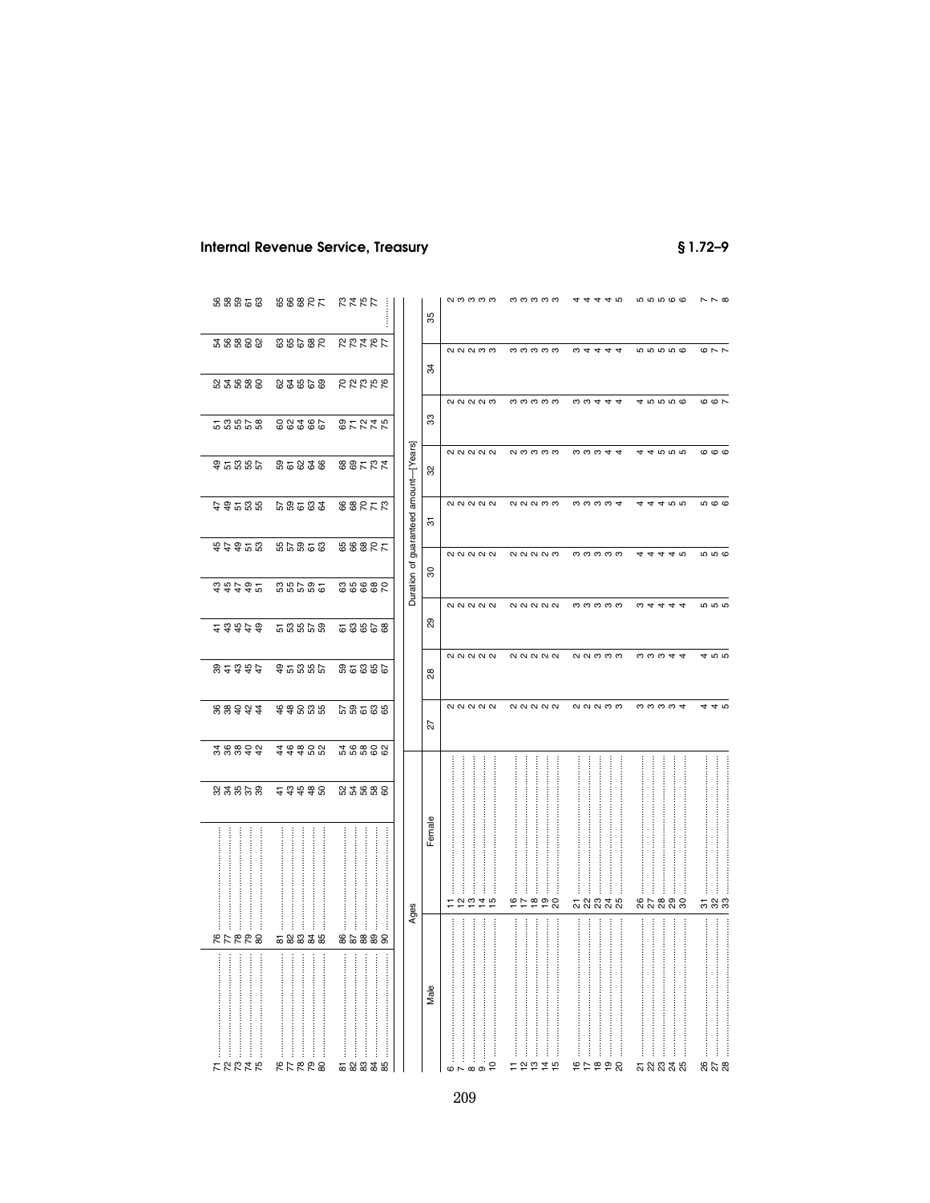# **Internal Revenue Service, Treasury**

 $$1.72 - 9$ 

| 88858                                                | 38885                                                           | ひょうじ                        |                                       | 85             | <b>NOOOO</b>                           | ოოოოო                                                                                                 | 4444 9                                 | <b>56566</b>                                                           | $\sim \sim \infty$      |
|------------------------------------------------------|-----------------------------------------------------------------|-----------------------------|---------------------------------------|----------------|----------------------------------------|-------------------------------------------------------------------------------------------------------|----------------------------------------|------------------------------------------------------------------------|-------------------------|
| 38888                                                | 28588                                                           | 22227                       |                                       |                | <b>NNNM</b>                            | ოოოოო                                                                                                 | 04444                                  | <b>10101010</b>                                                        | $Q \wedge R$            |
| 8588                                                 | 82222                                                           | <b>RRRRR</b>                |                                       | $\overline{3}$ | <b>QQQQQ</b>                           | ოოოოო                                                                                                 | <b>00444</b>                           | 45556                                                                  | $\circ$ $\circ$ $\circ$ |
| និងនិង                                               | 38285                                                           | <b>252258</b>               |                                       | 33             |                                        |                                                                                                       |                                        |                                                                        |                         |
| ទួតនួនទ                                              | 85838                                                           | 52588                       |                                       | 32             | $\alpha$                               | <b>NOOOO</b>                                                                                          | $\omega \omega \omega 4$               | 44555                                                                  | $\circ$ $\circ$         |
| 66566                                                | 58533                                                           | <b>88252</b>                |                                       | 5              |                                        | <b>NNNMM</b>                                                                                          | <b>00004</b>                           | 444 10 10                                                              | <b>500</b>              |
| \$\$\$28                                             | <b>85858</b>                                                    | 38887                       | Duration of guaranteed amount-[Years] | င္က            | <b>22222</b>                           | <b>QQQQQ</b>                                                                                          | ოოოოო                                  | $\overline{ }$<br>40                                                   | <b>სი</b> დ             |
| \$\$\$\$2                                            | 36565                                                           | 38888                       |                                       |                |                                        | <b>NNNNN</b>                                                                                          | ოოოოო                                  | $\omega$ 4<br>44<br>$\overline{ }$                                     | <b>101010</b>           |
| 23479                                                | និ <i>ង</i> និ និ                                               | 53855                       |                                       | ଅ              |                                        |                                                                                                       |                                        |                                                                        |                         |
| 84377                                                | ទួតនឹង                                                          | 38558                       |                                       | 8              | <b>22222</b>                           | $\begin{array}{c} \mathbf{N} & \mathbf{N} & \mathbf{N} & \mathbf{N} \end{array}$                      | <b>QQQQQ</b>                           | coco <del>qu</del>                                                     | 4 ro ro                 |
| 22544                                                | \$\$885                                                         | 68588                       |                                       | 27             | $\alpha$                               | $\begin{array}{c} \begin{array}{c} \text{N} & \text{N} & \text{N} & \text{N} \end{array} \end{array}$ | <b>NNNCO</b>                           | nnnn+                                                                  | 44 ro                   |
| *****                                                | 28888                                                           | 38888                       |                                       |                |                                        |                                                                                                       |                                        | :<br>:<br>                                                             |                         |
| 23.5852                                              | 23488                                                           | 8588                        |                                       |                |                                        |                                                                                                       |                                        |                                                                        |                         |
|                                                      |                                                                 |                             |                                       | Female         | $\frac{1}{2}$<br>$\frac{4}{4}$ is<br>Ξ | <br>j<br>ļ<br>222<br>$\frac{5}{4}$                                                                    | :<br>:<br>:<br>:<br>İ<br>j<br>ភ្លួននូង | <br>:<br>:<br>:<br>:<br>នសននន                                          | <br>ភ ន ន               |
| İ<br><b>RARRE</b>                                    | 58835                                                           | 85888                       | Ages                                  |                |                                        | <br>:<br>:                                                                                            | :<br>:<br>:<br>                        | <br>:<br>:<br>:                                                        |                         |
| :<br>:<br>:<br>:<br>:<br>:<br>:<br>ŧ<br><b>22225</b> | <br>:<br>:<br>:<br>:<br>.:<br>.:<br>İ<br>İ<br>ŧ<br><b>RFRR8</b> | <br><br><br>İ<br>ŧ<br>58838 |                                       | Male           | İ<br>$\overline{a}$<br>$\overline{c}$  | <br>ŧ<br>592<br>$\frac{1}{4}$ in                                                                      | <br><br>j<br>j<br>ŧ<br>95990           | <br>:<br>:<br>:<br>:<br>:<br>:<br>:<br>$\vdots$<br><u>ភ</u> ្លង និង និ | :<br>:<br>85 x 8        |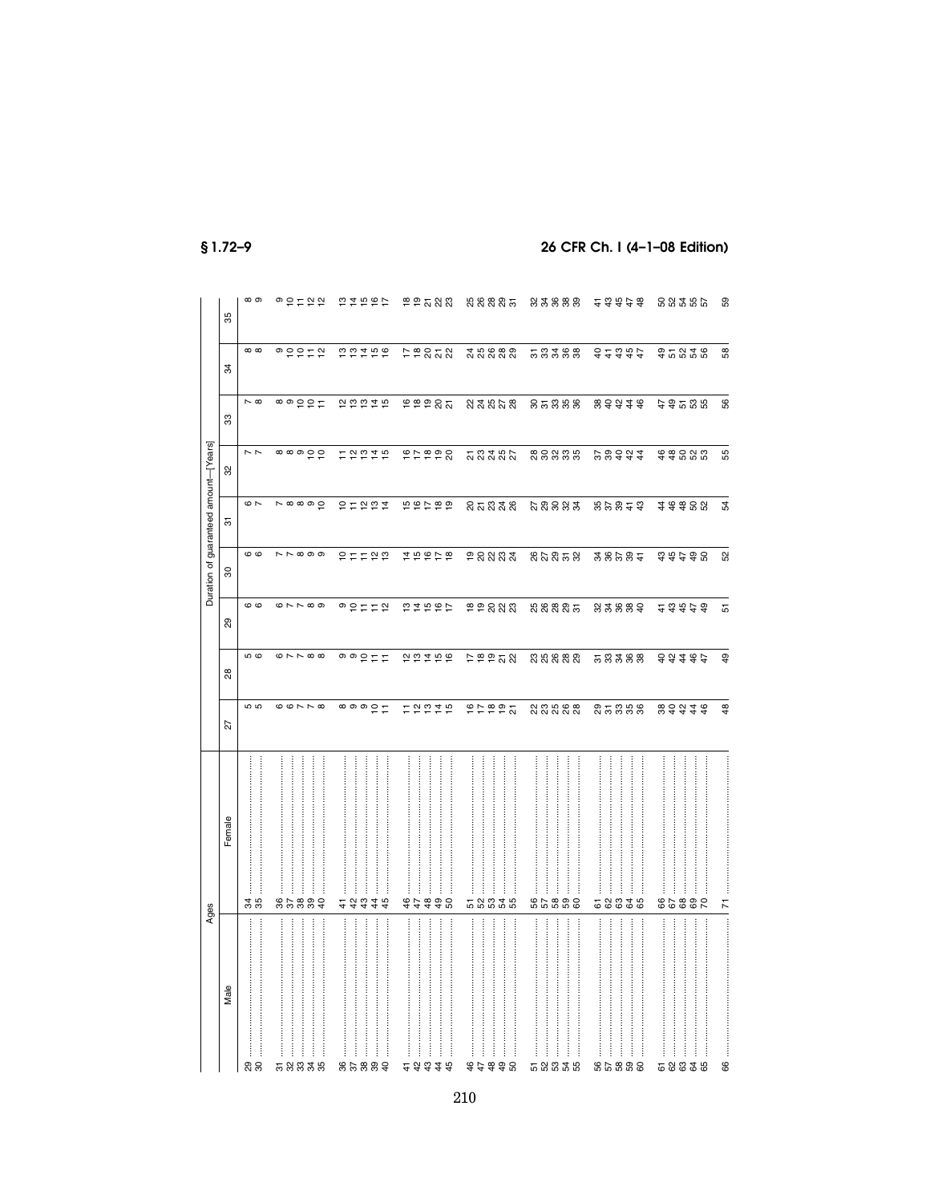|                                       | 85     | ထ တ                           | ◎ 은 ㄷ 얻 얻                         | 22597                                                                               | P P R R                              | ង ន ន ន ត                           | ន ន ន ន ន                                            |                                                         | 58285                                  | 59            |
|---------------------------------------|--------|-------------------------------|-----------------------------------|-------------------------------------------------------------------------------------|--------------------------------------|-------------------------------------|------------------------------------------------------|---------------------------------------------------------|----------------------------------------|---------------|
|                                       | 34     | $\infty$                      | $\circ \circ \circ \vdash \circ$  | 22199                                                                               | $P \ncong 252$                       | 35888                               | 53388                                                | 32322                                                   | \$2838                                 | 58            |
|                                       | 33     | $\sim \infty$                 | ᅇᅇᅌᆕᄃ                             | 22275                                                                               | egeat                                | 233008                              | នគននន                                                | 833138                                                  | 4 \$ 5 \$ \$                           | 56            |
|                                       | 32     | $\sim$ $\sim$                 | $\circ \circ \circ \circ \circ$   | $E \overset{\sim}{e} E \overset{\sim}{f} E$                                         | 65656                                |                                     | នទននន                                                | 22343                                                   | \$\$883                                | 55            |
| Duration of guaranteed amount-[Years] | 5      | $\sim$                        | $\sim \infty$ $\infty$ $\circ$    | 유도 안 연 호                                                                            | 56789                                | <b>នគនិង</b> ន                      | <b>ដួន</b> ននង                                       | 89823                                                   | ###88                                  | 54            |
|                                       | 8      | ဖ ဖ                           | $\sim$ $\sim$ $\infty$ $\infty$   | 27722                                                                               | 19928                                | ទី និង ឌី វី                        | និងនិងនិ                                             | 288932                                                  | 74778                                  | 52            |
|                                       | සි     | ဖဖ                            | $\circ \sim \sim \circ \circ$     | <b>o</b> S H H S                                                                    | 54567                                |                                     | ងនននិត                                               | 83889                                                   | 23979                                  | 51            |
|                                       | 88     | <b>ს</b> დ                    | $\circ \sim \sim \circ \circ$     | $\circ$ $\circ$ $\circ$ $\circ$ $\circ$                                             | 2222                                 | P P P R                             | 8888                                                 | 58388                                                   | 88488                                  | \$            |
|                                       | 22     | <b>i</b> က                    | $\circ \circ \wedge \wedge \circ$ | $\circ \circ \circ \circ \vdash$                                                    | 12224                                | P P P P R                           | <u>នួនឧន្ត</u>                                       | និងនិន្ទ                                                | 833778                                 | $\frac{8}{3}$ |
|                                       | Female | j                             | <br>j                             | :<br>:<br>:<br>:                                                                    | İ                                    |                                     | :<br>:<br>$\vdots$<br>$\vdots$<br>İ                  |                                                         |                                        |               |
| Ages                                  | Male   | 35<br>35<br>$\vdots$<br>ನಿ ನಿ | 85889<br><br>İ<br>58838           | 4<br>4<br>$\frac{3}{4}$<br>$\frac{4}{3}$<br>45<br><br>:<br>:<br>:<br>:<br>858<br>29 | 47<br>##8<br>###<br>45<br>$\ddot{4}$ | 58835<br>İ<br>$\vdots$<br>79<br>990 | និននិង<br>:<br>:<br>:<br>İ<br><u>ភេ 2 2 3</u><br>ပ္က | 58838<br>.:<br>::::::::::<br>İ<br>56<br>38<br><b>88</b> | 8589<br>S2<br>İ<br>5<br>85<br>ಜ ಜ<br>ಡ | 71<br>66      |

 $$1.72-9$ 

# 26 CFR Ch. I (4-1-08 Edition)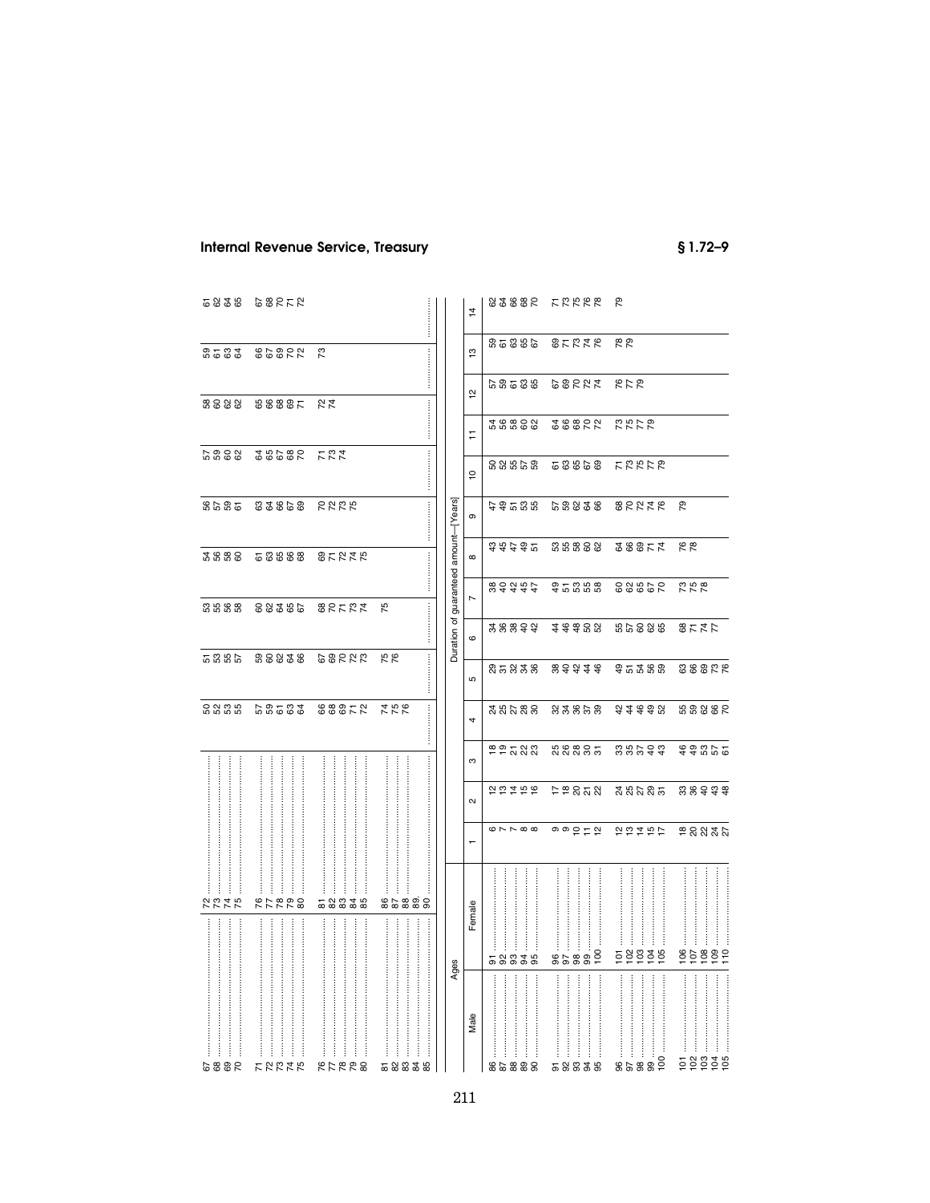# **Internal Revenue Service, Treasury**

 $$1.72 - 9$ 

| 5825               | とことのこ                          |            |                                                                                                                                                                                                                                                                                                                                                                                                                            |                                       | $\overline{4}$                 |                                                                                                                                                                                                                                | 82885 LLK66                                                                                                                                                                                                                                                                                                                                                                                                                                                    | ೭                         |               |
|--------------------|--------------------------------|------------|----------------------------------------------------------------------------------------------------------------------------------------------------------------------------------------------------------------------------------------------------------------------------------------------------------------------------------------------------------------------------------------------------------------------------|---------------------------------------|--------------------------------|--------------------------------------------------------------------------------------------------------------------------------------------------------------------------------------------------------------------------------|----------------------------------------------------------------------------------------------------------------------------------------------------------------------------------------------------------------------------------------------------------------------------------------------------------------------------------------------------------------------------------------------------------------------------------------------------------------|---------------------------|---------------|
|                    | 2 13838 5558                   |            |                                                                                                                                                                                                                                                                                                                                                                                                                            |                                       | $\overline{\mathbf{c}}$        |                                                                                                                                                                                                                                | 935886 85238                                                                                                                                                                                                                                                                                                                                                                                                                                                   | 78                        |               |
|                    |                                |            |                                                                                                                                                                                                                                                                                                                                                                                                                            |                                       | $\overline{\mathbf{c}}$        |                                                                                                                                                                                                                                | 979 5288 88588                                                                                                                                                                                                                                                                                                                                                                                                                                                 |                           |               |
|                    | 22 23 23 23 24 25 26 26 27     |            |                                                                                                                                                                                                                                                                                                                                                                                                                            |                                       | H                              |                                                                                                                                                                                                                                | 28888 288822 2278                                                                                                                                                                                                                                                                                                                                                                                                                                              |                           |               |
|                    | 523 58585 5885                 |            | $\begin{minipage}{0.9\linewidth} \begin{tabular}{l} \hline \textbf{1} & \textbf{2} & \textbf{3} & \textbf{4} & \textbf{5} & \textbf{6} & \textbf{7} & \textbf{8} & \textbf{9} & \textbf{10} & \textbf{10} & \textbf{10} & \textbf{10} & \textbf{10} & \textbf{10} & \textbf{10} & \textbf{10} & \textbf{10} & \textbf{10} & \textbf{10} & \textbf{10} & \textbf{10} & \textbf{10} & \textbf{10} & \textbf{10} & \textbf{1$ |                                       | $\overline{c}$                 | និងដូន                                                                                                                                                                                                                         | <b>68868 FRALP</b>                                                                                                                                                                                                                                                                                                                                                                                                                                             |                           |               |
|                    | 3222 83858 5848                |            |                                                                                                                                                                                                                                                                                                                                                                                                                            |                                       | თ                              | មិនដូនដុ                                                                                                                                                                                                                       |                                                                                                                                                                                                                                                                                                                                                                                                                                                                | <b>GESTE SERTE P</b>      |               |
|                    | 2828 28288 27278               |            |                                                                                                                                                                                                                                                                                                                                                                                                                            | Duration of guaranteed amount-[Years] | $\infty$                       | さきさき                                                                                                                                                                                                                           |                                                                                                                                                                                                                                                                                                                                                                                                                                                                | 55888 5885                | 78            |
|                    | 5568 88386 88582               |            | 75                                                                                                                                                                                                                                                                                                                                                                                                                         |                                       | $\overline{a}$                 | & さおおと                                                                                                                                                                                                                         |                                                                                                                                                                                                                                                                                                                                                                                                                                                                | 35888 88862 228           |               |
|                    |                                |            |                                                                                                                                                                                                                                                                                                                                                                                                                            |                                       | $\circ$                        |                                                                                                                                                                                                                                |                                                                                                                                                                                                                                                                                                                                                                                                                                                                | 38899 3998 86888 8575     |               |
|                    |                                |            |                                                                                                                                                                                                                                                                                                                                                                                                                            |                                       | ъ                              |                                                                                                                                                                                                                                |                                                                                                                                                                                                                                                                                                                                                                                                                                                                | 25338 39444 95365 88866   |               |
|                    | 6888 68583 88852 756           |            |                                                                                                                                                                                                                                                                                                                                                                                                                            |                                       | $\overline{a}$                 |                                                                                                                                                                                                                                |                                                                                                                                                                                                                                                                                                                                                                                                                                                                | <b>22223 23355 234492</b> | 538882        |
|                    |                                |            |                                                                                                                                                                                                                                                                                                                                                                                                                            |                                       | ო                              |                                                                                                                                                                                                                                |                                                                                                                                                                                                                                                                                                                                                                                                                                                                | PPZNA KRRZZ ZXAZQ         | 368855        |
|                    |                                |            |                                                                                                                                                                                                                                                                                                                                                                                                                            |                                       | $\boldsymbol{\mathsf{\alpha}}$ | 2 12 12 12                                                                                                                                                                                                                     |                                                                                                                                                                                                                                                                                                                                                                                                                                                                | 78222 25235               | 38998         |
|                    |                                |            |                                                                                                                                                                                                                                                                                                                                                                                                                            |                                       | ÷                              | $\omega \sim \sim \infty$                                                                                                                                                                                                      | ㅇㅇ 으 ㄷ 으                                                                                                                                                                                                                                                                                                                                                                                                                                                       | わおれおけ                     | 28837         |
| $\ddot{}}$<br>2245 | $\vdots$<br>İ<br><b>822728</b> | 58835      | 85888                                                                                                                                                                                                                                                                                                                                                                                                                      |                                       |                                |                                                                                                                                                                                                                                |                                                                                                                                                                                                                                                                                                                                                                                                                                                                |                           |               |
|                    |                                |            |                                                                                                                                                                                                                                                                                                                                                                                                                            |                                       | Female                         | 58838                                                                                                                                                                                                                          | $\begin{tabular}{ c c } \hline & 96 & \cdots & \cdots & \cdots & \cdots \\ \hline 97 & \cdots & \cdots & \cdots & \cdots & \cdots \\ 98 & \cdots & \cdots & \cdots & \cdots & \cdots \\ 100 & \cdots & \cdots & \cdots & \cdots & \cdots \\ \hline \end{tabular}$                                                                                                                                                                                              | <b>Eggggg</b>             |               |
|                    |                                |            |                                                                                                                                                                                                                                                                                                                                                                                                                            | Ages                                  |                                |                                                                                                                                                                                                                                |                                                                                                                                                                                                                                                                                                                                                                                                                                                                |                           |               |
|                    |                                |            |                                                                                                                                                                                                                                                                                                                                                                                                                            |                                       | Male                           | $[0.15,0.000,0.000,0.000,0.000,0.000,0.000,0.000,0.000,0.000,0.000,0.000,0.000,0.000,0.000,0.000,0.000,0.000,0.000,0.000,0.000,0.000,0.000,0.000,0.000,0.000,0.000,0.000,0.000,0.000,0.000,0.000,0.000,0.000,0.000,0.000,0.00$ | $\label{eq:main} \begin{minipage}{0.9\linewidth} \begin{minipage}{0.9\linewidth} \begin{tabular}{ c c c } \hline \multicolumn{3}{ c }{\textbf{m}} & \multicolumn{3}{ c }{\textbf{m}} & \multicolumn{3}{ c }{\textbf{m}} & \multicolumn{3}{ c }{\textbf{m}} & \multicolumn{3}{ c }{\textbf{m}} & \multicolumn{3}{ c }{\textbf{m}} & \multicolumn{3}{ c }{\textbf{m}} & \multicolumn{3}{ c }{\textbf{m}} & \multicolumn{3}{ c }{\textbf{m}} & \multicolumn{3}{ $ |                           |               |
| 2882               | ŧ<br><b>FEETE</b>              | İ<br>87788 | 523358                                                                                                                                                                                                                                                                                                                                                                                                                     |                                       |                                | 82888                                                                                                                                                                                                                          | 58835                                                                                                                                                                                                                                                                                                                                                                                                                                                          | 100<br>8588               | <b>Eggggg</b> |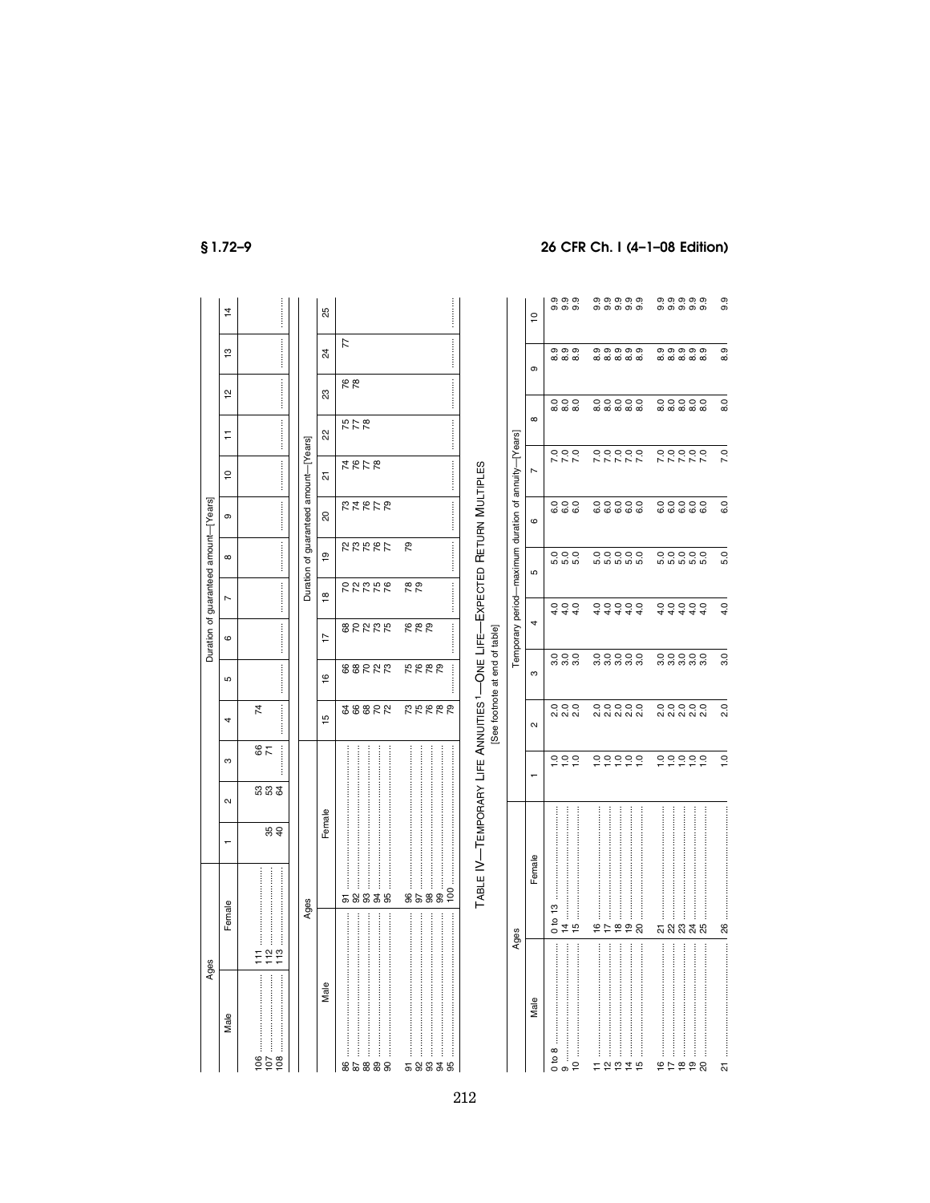|                                       | $\frac{4}{3}$     |                        |                                                                                                                     |                           | 25                      |                                                                     |                                    |                                                                                     |                                                      | $\overline{c}$    | တ္ တ္ တ္<br>တ် တံ တံ                                                              | တ္တ္တ္တ္တ္တ္<br>တ္တ္တ္တ္တ္                                                                                               | တ္တ္တ္တ္တ္<br>တ္တ္တ္တ္တ္                                                                              | 9.9              |               |
|---------------------------------------|-------------------|------------------------|---------------------------------------------------------------------------------------------------------------------|---------------------------|-------------------------|---------------------------------------------------------------------|------------------------------------|-------------------------------------------------------------------------------------|------------------------------------------------------|-------------------|-----------------------------------------------------------------------------------|--------------------------------------------------------------------------------------------------------------------------|-------------------------------------------------------------------------------------------------------|------------------|---------------|
|                                       | $\frac{1}{2}$     |                        | .                                                                                                                   |                           | $^{24}$                 | 77                                                                  |                                    |                                                                                     |                                                      | თ                 | တ္ တ္ တ္<br>ထံထံထံ                                                                | 0,0,0,0,0,<br>ထံထံထံထံထံ                                                                                                 | 0,0,0,0,0,<br>ထံထံထံထံထ                                                                               | Q,<br>∞          |               |
|                                       | $\frac{1}{2}$     |                        |                                                                                                                     |                           | $\mathbf{S}^2$          | 87                                                                  |                                    |                                                                                     |                                                      |                   | $\circ \circ \circ$<br><b>∞ ∞ ∞</b>                                               | 00000<br><b>ထံထံထံထံ</b> ထံ                                                                                              | $\circ \circ \circ \circ \circ$<br><b>ထံထံထံထံ</b> ထံ                                                 | $\overline{8.0}$ |               |
|                                       | Ξ                 |                        |                                                                                                                     |                           | 22                      | <b>275</b>                                                          |                                    |                                                                                     |                                                      | $^\infty$         |                                                                                   |                                                                                                                          |                                                                                                       |                  |               |
|                                       | ₽                 |                        |                                                                                                                     |                           | 짒                       | <b>4878</b>                                                         |                                    |                                                                                     |                                                      | $\overline{ }$    |                                                                                   | 00000<br>00000                                                                                                           | 00000<br>00000                                                                                        | 7.0              |               |
|                                       | თ                 |                        | .                                                                                                                   | guaranteed amount-[Years] | $\overline{\mathbf{S}}$ | <b>27272</b>                                                        |                                    |                                                                                     |                                                      | $\mathbf  \omega$ | 000<br>000                                                                        | 00000<br>cococo                                                                                                          | 00000<br>cococo                                                                                       | 6.0              |               |
| Duration of guaranteed amount-[Years] | $\infty$          |                        |                                                                                                                     |                           | $\overline{9}$          | 22287                                                               | <br>79                             |                                                                                     |                                                      | Ю                 | 000<br>000                                                                        | 00000<br>00000                                                                                                           | 00000<br>សល់សល់                                                                                       | 5.0              |               |
|                                       | $\overline{ }$    |                        |                                                                                                                     | Duration of               | $\frac{8}{1}$           | <b>RAGEE</b>                                                        | <br>78                             |                                                                                     |                                                      |                   | 444                                                                               | 44444<br>00000                                                                                                           | 44444<br>00000                                                                                        | 4.0              |               |
|                                       | $\circ$           |                        |                                                                                                                     |                           | $\overline{1}$          | 82222                                                               | 882                                |                                                                                     | Temporary period-maximum duration of annuity-[Years] | 4                 |                                                                                   |                                                                                                                          |                                                                                                       |                  |               |
|                                       | Б                 |                        |                                                                                                                     |                           | $\frac{6}{5}$           | 88222                                                               | 5685<br>i                          |                                                                                     |                                                      | S                 | 000<br>000                                                                        | 00000<br>ตู้ตู้ตู้ตู้ตู                                                                                                  | 00000                                                                                                 | 3.0              |               |
|                                       | 4                 | $\overline{7}$         | ļ                                                                                                                   |                           | ю                       | 28822                                                               | <b>22222</b>                       | See footnote at end of table]                                                       |                                                      | $\mathbf{\Omega}$ | 000<br>2022                                                                       | 00000<br>ผลผล                                                                                                            | 00000<br>ผลผล                                                                                         | 2.0              |               |
|                                       | ო                 | 87                     | i                                                                                                                   |                           |                         |                                                                     |                                    |                                                                                     |                                                      |                   | ↽                                                                                 | 222                                                                                                                      | 000000                                                                                                | 000000           | $\frac{0}{1}$ |
|                                       | $\mathbf{\alpha}$ | 333                    |                                                                                                                     |                           |                         |                                                                     |                                    |                                                                                     |                                                      |                   |                                                                                   |                                                                                                                          |                                                                                                       |                  |               |
|                                       | $\overline{ }$    | 89                     |                                                                                                                     |                           | Female                  |                                                                     |                                    |                                                                                     |                                                      |                   |                                                                                   |                                                                                                                          |                                                                                                       |                  |               |
|                                       | Female            |                        |                                                                                                                     | Ages                      |                         | $\ddot{}}$<br>$\ddot{\ddot{\cdot}}$<br>j<br>ŧ<br>34<br>95<br>8<br>5 | <br>j<br>$\frac{8}{3}$<br>99<br>86 | TABLE IV-TEMPORARY LIFE ANNUITIES <sup>1</sup> -ONE LIFE--EXPECTED RETURN MULTIPLES |                                                      | Female            | ဗ္                                                                                | <br><br>İ                                                                                                                | $\frac{1}{2}$<br>$\ddot{}}$<br>$\vdots$                                                               |                  |               |
|                                       |                   | Ħ                      |                                                                                                                     |                           |                         |                                                                     |                                    |                                                                                     | Ages                                                 |                   | $\frac{1}{2}$<br>$\ddot{4}$<br>$\frac{15}{2}$                                     | . జ ని<br>94<br>İ<br>$\begin{array}{c} \begin{array}{c} \bullet \\ \bullet \\ \bullet \end{array} \end{array}$<br>ĺ<br>İ | <b>5 8 8 3 8</b><br>$\begin{array}{c} \vdots \\ \vdots \\ \vdots \\ \vdots \end{array}$<br>$\ddot{}}$ | 88               |               |
| Ages                                  | Male              | $\frac{6}{100}$<br>107 | $\begin{array}{c}\n 2 \\  \uparrow 2 \\  \uparrow 3\n \end{array}$<br>Male<br>108<br>86<br>58888<br>52<br>5 2<br>95 |                           |                         |                                                                     |                                    |                                                                                     | Male                                                 | 9                 | $\frac{1}{2}$<br>ļ<br>$\frac{1}{2}$<br>얻<br>$\overline{4}$<br>$\frac{15}{2}$<br>Ξ | <br>$\frac{\infty}{2}$<br>$\frac{16}{7}$<br>20                                                                           | Z                                                                                                     |                  |               |

 $$1.72-9$ 

## 26 CFR Ch. I (4-1-08 Edition)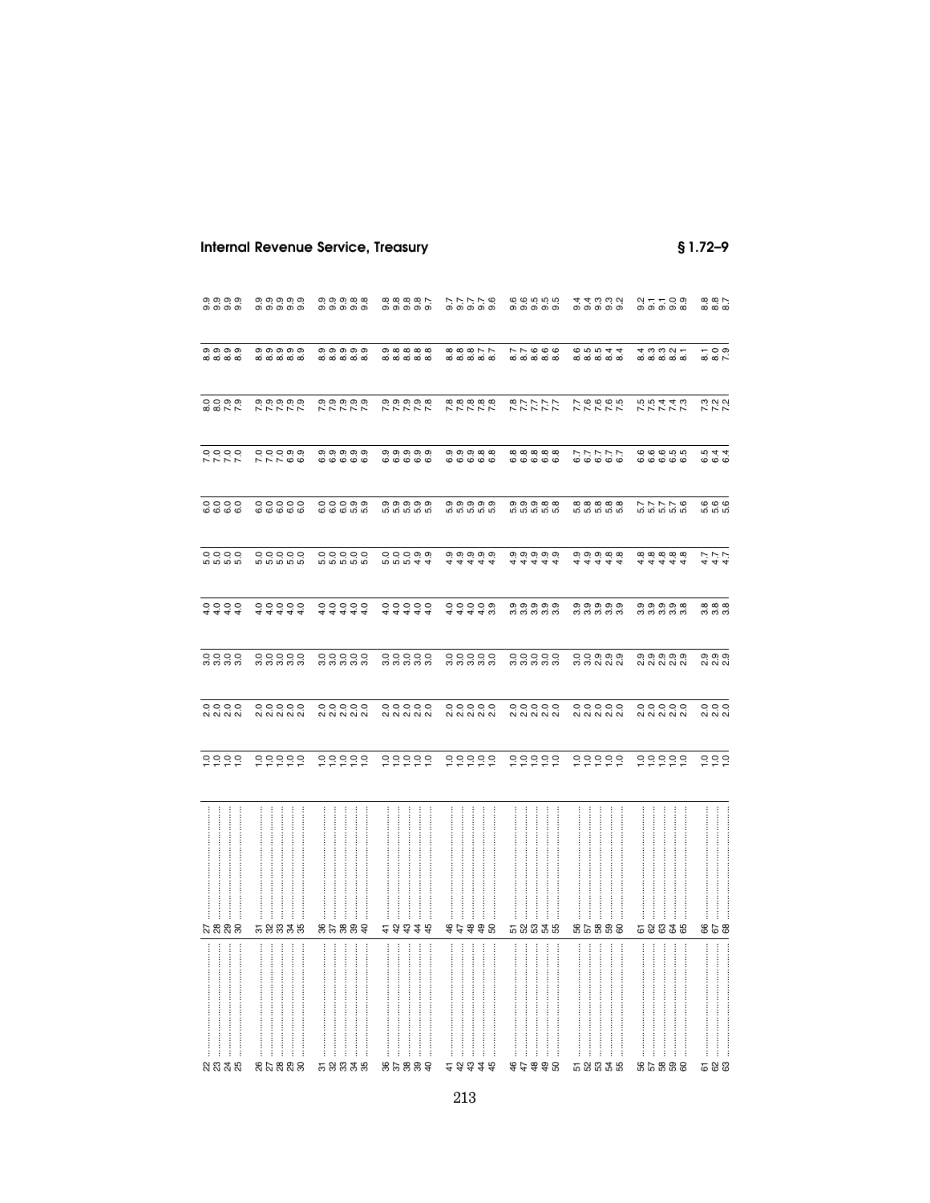**Internal Revenue Service, Treasury** 

 $$1.72-9$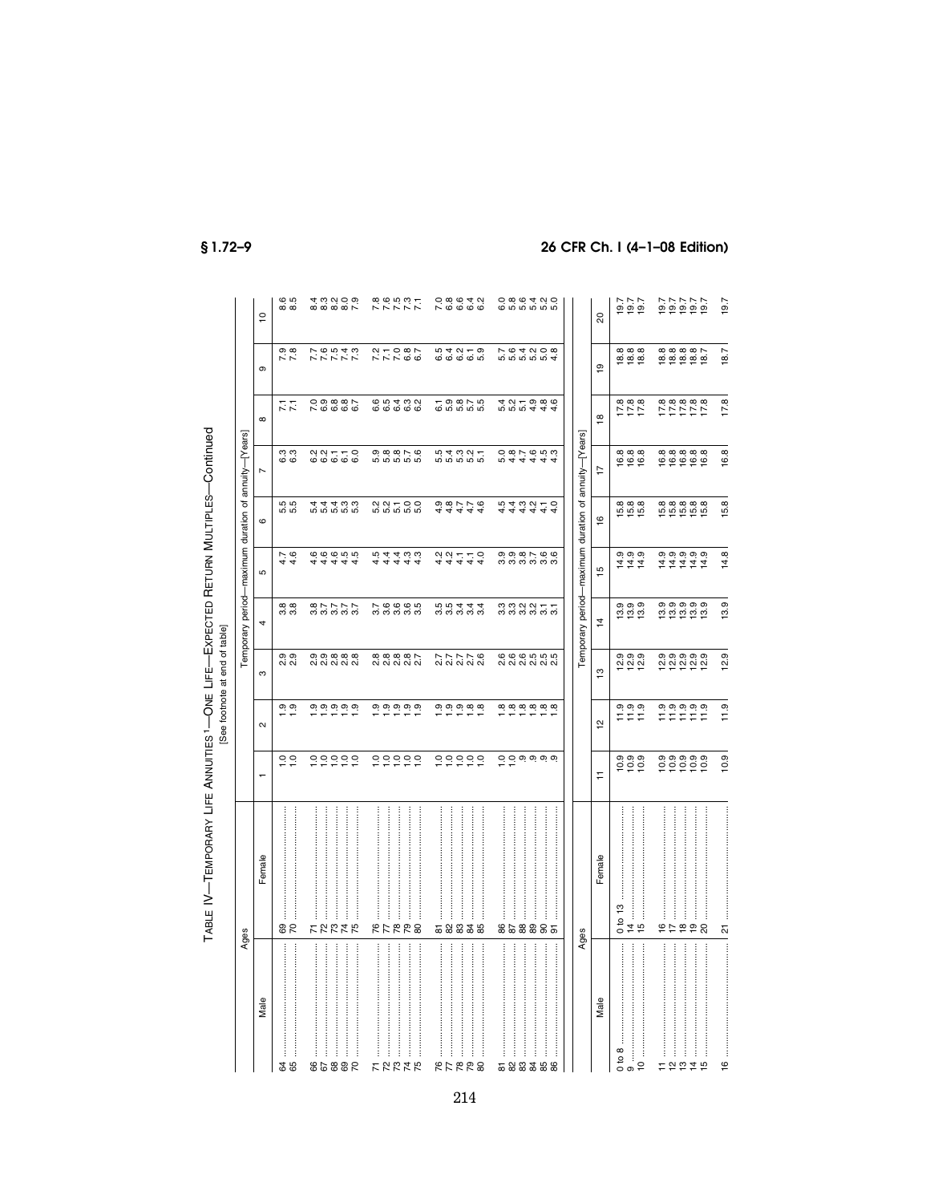|                                                                                              |                                                            |                                                     |                            | [See footnote at end of table]       |                                                                          |                                                                 |                             |                                                      |                               |                               |                        |
|----------------------------------------------------------------------------------------------|------------------------------------------------------------|-----------------------------------------------------|----------------------------|--------------------------------------|--------------------------------------------------------------------------|-----------------------------------------------------------------|-----------------------------|------------------------------------------------------|-------------------------------|-------------------------------|------------------------|
|                                                                                              | Ages                                                       |                                                     |                            |                                      |                                                                          |                                                                 |                             | Temporary period-maximum duration of annuity-[Years] |                               |                               |                        |
| Male                                                                                         | Female                                                     | ÷                                                   | $\sim$                     | ო                                    | 4                                                                        | Б                                                               | $\circ$                     | $\overline{ }$                                       | $\infty$                      | თ                             | $\overline{a}$         |
| <b>85</b>                                                                                    | 8 ಜ                                                        | $\frac{0}{10}$                                      | $\frac{0}{1}$ .            | တ္ တ<br>N.N                          | 88<br>88                                                                 | $4.7$<br>$4.6$                                                  | 55<br>ဟ် ဟဲ                 | က္ က္<br>ဖ ဖ                                         | 77                            | $7.\overline{8}$              | ro ro<br>ထဲ ထဲ         |
| 86888                                                                                        | $\vdots$<br>$\vdots$<br>いでななる                              | 00000                                               |                            | <u>တ္ တ္ ထ္ ထ္</u><br>ai ai ai ai ai | 87777<br>88888                                                           | 44444<br>666656                                                 | n n n n n<br>4 4 4 ω ω      | 0.0770                                               | 000001<br>700000              | <b>いいこんこく</b><br>インストス        | $4.09000$<br>$6.09000$ |
| :<br>:<br>:<br>:<br> <br> <br> <br> <br>ļ<br>けなおはな                                           | <br><br>:<br>:<br><b>RFRR8</b>                             | 000000                                              |                            | 8 8 8 8 8 7<br>8 8 8 8 8 9 8 9       | N 6 6 6 10<br>M M M M M                                                  | 44444<br>104400                                                 | 0<br>0 0 1 0 0<br>0 0 0 0 0 | 0000100<br>ທີ່ທີ່ທີ່ທີ່                              | 65432<br>6666                 | $77087$<br>$77087$            | 200537<br>2005         |
| :<br>::::::<br>$\vdots$<br><b>822728</b>                                                     | :<br>:<br>:<br>:<br>:<br>:<br>:<br>:<br>5 2 3 3 3 5        | 000000                                              |                            | 27778<br>27778                       | 00444<br>00000                                                           | $2427$<br>$447$<br>$\frac{1}{4}$ - 0                            | 44444<br>0.00776            |                                                      |                               | 5<br>6 5 6 5 6<br>6 6 6 6 6   |                        |
| <br>:<br>:<br>:<br>:<br><br>86<br>52335                                                      | <br>858885                                                 | $Q$ $Q$ $Q$ $Q$ $Q$ $Q$ $Q$ $Q$ $Q$ $Q$ $Q$ $Q$ $Q$ | <b>a</b> a a a a a a       | 0000000<br>ai ai ai ai ai            | $\begin{array}{c} 0 & 0 & 0 & 0 & - \\ 0 & 0 & 0 & 0 & 0 \\ \end{array}$ | $\begin{array}{c} \circ \\ \circ \\ \circ \\ \circ \end{array}$ | 444444<br>10400450          | 5<br>6 10 10 10 10<br>6 10 10 10 10                  | d d d d d d<br>4 d d d d d    | 5<br>5 6 4 6 6 8<br>5 7 8 9 9 |                        |
| Male                                                                                         | Female<br>Ages                                             | Ξ                                                   | $\overline{a}$             | $\frac{8}{2}$                        | Temporary period-maximum duration of<br>$\vec{4}$                        | 15                                                              | $\overline{6}$              | annuity-[Years]<br>17                                | $\frac{8}{10}$                | $\overline{9}$                | 8                      |
| $\begin{array}{c}\n 0 & \text{to} & 8 \\  \hline\n 9 & \dots\n \end{array}$<br>$\frac{1}{2}$ | <br>$\frac{3}{2}$<br>İ<br>g<br>$\frac{4}{7}$ is<br>$\circ$ | 0000<br>0000                                        | $77.9$<br>$77.9$<br>$77.9$ | တ္ တ္ တ္<br>흔 후 호                    | စစစစ<br>တိုက်ကို                                                         |                                                                 | 6<br>10:00<br>10:00         | <b>∞∞∞</b><br><u>ي ۾ په</u>                          | $7.8$<br>$7.8$<br>$7.8$       | 8<br>8 8 8 8<br>1 8 9 8       | 7.001<br>1910<br>1911  |
| ļ<br>けなおねお                                                                                   | <br>10 두 후 후 있                                             |                                                     |                            |                                      |                                                                          | 0.0.0.0.0.<br>0.0.0.0.0.<br>0.0.0.0.0.0                         | $0.888888$<br>$0.99988$     | ______<br>69999                                      | 8<br>8 8 8 8 8 9<br>7 7 7 7 7 | 888887<br>88888               | 222222<br>2022<br>2022 |
| $\frac{6}{1}$                                                                                |                                                            | 10.9                                                | 11.9                       | 12.9                                 | 13.9                                                                     | 14.8                                                            | 15.8                        | 16.8                                                 | 17.8                          | 18.7                          | 19.7                   |

 $$1.72-9$ 

TABLE IV-TEMPORARY LIFE ANNUITIES<sup>1</sup>-ONE LIFE-EXPECTED RETURN MULTIPLES-Continued

# 26 CFR Ch. I (4-1-08 Edition)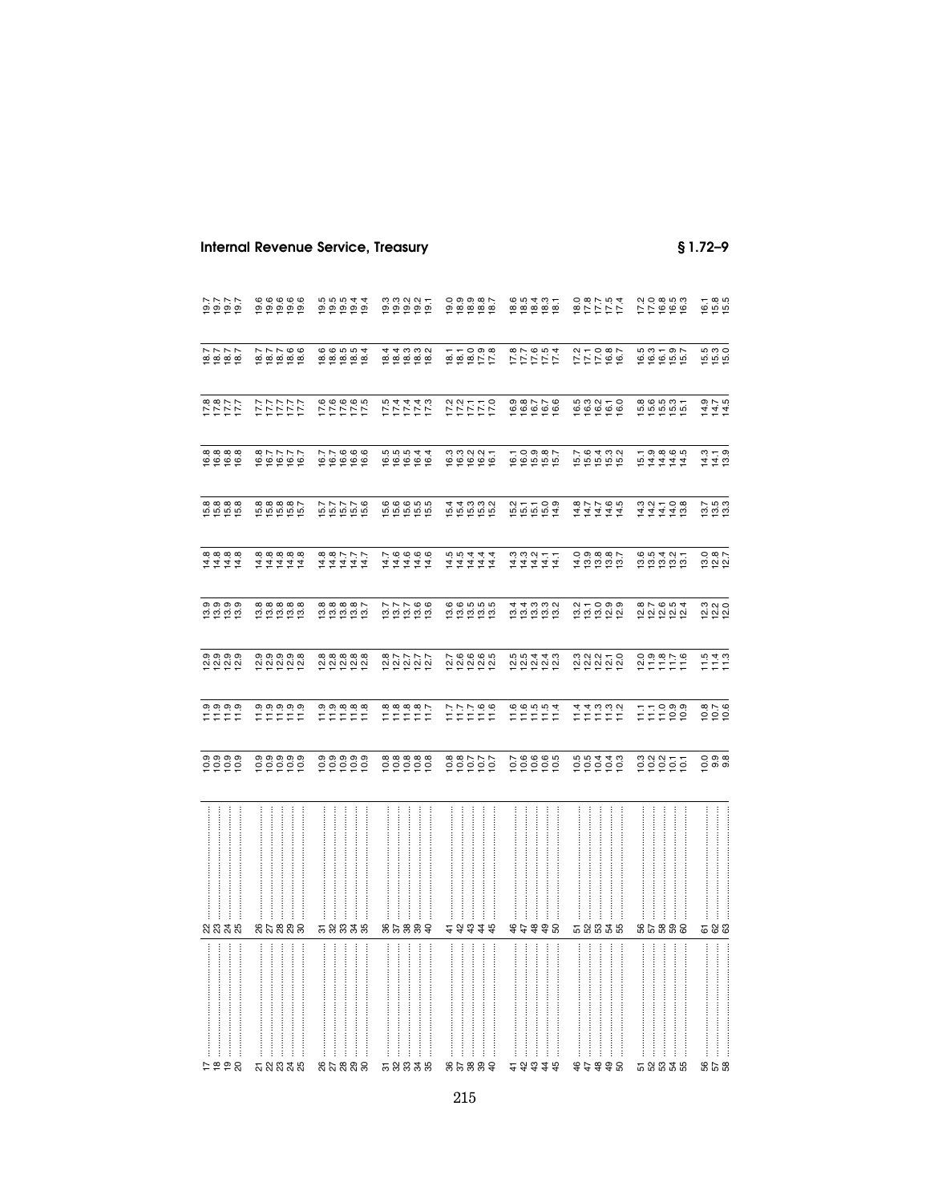| 7.615<br>2.615<br>2.615                                      | $\begin{array}{c} 6 & 6 & 6 & 6 \\ 9 & 9 & 9 & 9 \\ \hline 7 & 7 & 8 & 9 \\ \end{array}$ | $0.00044$<br>$0.00044$<br>$0.0044$ |                                     | $0.99800$<br>$0.99900$<br>$0.99900$ | 1851<br>1851<br>1851<br>1851      |                                               | $779899$<br>$779999$                   | $6785$<br>$695$                               |
|--------------------------------------------------------------|------------------------------------------------------------------------------------------|------------------------------------|-------------------------------------|-------------------------------------|-----------------------------------|-----------------------------------------------|----------------------------------------|-----------------------------------------------|
| 1877<br>1899<br>1991                                         | 77766<br>PRPER                                                                           |                                    | 1111000<br>1011010101<br>1011010101 | $657098$<br>$65927$                 | 577557<br>17777                   | 111087<br>111087                              | $0.370$<br>$0.370$<br>$0.50$<br>$0.57$ | ភ្នំ<br>ភ្នំ ភ្នំ ភ្នំ                        |
| 17.8<br>17.1<br>17.1                                         | 1777<br>1777<br>1777                                                                     | 575555                             | <b>フレフリント</b><br>マストリン              | $722770$<br>$72770$                 | 0<br>100776<br>10091              |                                               | 8<br>19 19 19 19 19<br>10 19 19 19     | 1415<br>1415<br>1415                          |
| 8<br>1988<br>1999                                            | 1677<br>1677<br>1678                                                                     |                                    | $0.0544$<br>$0.0544$<br>$0.044$     |                                     | 1000007                           | 76432<br>55555                                |                                        | $14.79$<br>$14.9$                             |
| 6<br>16 16 16 16<br>16 16 16                                 | 8<br>1988 87<br>1989 87                                                                  | 577756<br>557756                   | 000000<br>100000                    |                                     | $0.7709$<br>$0.7709$<br>$0.74$    | 111111<br>111111                              | 111108<br>111110                       | 7<br>1933<br>193                              |
| $44444$ $+444$                                               | 211111<br>211111                                                                         | $74444$<br>44444                   | $7700000$<br>$47474$                | ははれれれ<br>なだななな                      |                                   | 10.9887<br>10.9887                            | 001421<br>001421                       | 13.0<br>12.12                                 |
| စစစစ<br>ဗိုင်္ဗာ                                             | 888888<br>121212                                                                         | $88888$<br>$0.00000$               | 222566<br>22256                     | 00000000000                         | 111000<br>1111000                 | 011000<br>000100                              | 87654<br>22222                         | 2<br>2<br>2<br>2<br>2<br>2                    |
| 0,0,0,0,0<br>0,0,0,0,0,0<br>0,0,0,0,0,0,0                    | 8 8 8 8 8 8<br>연합 선 선 선 선                                                                | 8 8 8 8 8 8<br>2 8 8 8 8 8         | 227778                              | 7.00005<br>2.2.2.2.2                | 5<br>2 2 2 2 2 2<br>5 2 2 2 2     | 3 3 3 5 5<br>2 2 2 2 2                        |                                        | $\frac{15}{11}$ $\frac{4}{11}$ $\frac{3}{11}$ |
| $\begin{array}{c} 0.0000 \\ 0.0000 \\ 0.0000 \\ \end{array}$ | 7777777                                                                                  | $7779888$<br>$777777$              | $7788887$<br>$77777$                | $77700$<br>$777700$                 | $11000004$<br>$1110004$           | れれい i vi vi vi<br>コロコロロ                       | FFRRS                                  | $0.76$<br>$0.06$                              |
|                                                              |                                                                                          |                                    |                                     | 000777                              |                                   | 001110<br>000110                              | 0.2877                                 | 0000<br>0000                                  |
| <br>ន ន ន ន                                                  | ŧ<br>នសននន                                                                               | <br>İ<br>58838                     | <br>ន ៩ ន ន ទ                       | さみおまお                               | <br>$\vdots$<br>さま<br>\$\$8       | $\frac{1}{2}$<br>$\vdots$<br><b>ត ន ន ន ន</b> | <br>İ<br>ŧ<br>ន ន ន ส ส                | <b>588</b>                                    |
| <br>2998                                                     | <br><b>ភ</b> ន ន ន ន                                                                     | ļ<br>នួងនួនន                       | :<br>:<br>:<br>58838                | 85889                               | :<br>:<br>:<br><b>4 4 4</b><br>48 | <br><br>:<br>:<br>:<br>:<br>\$ # \$ \$ 8      | <br><b>ដ</b> ន ន ន ន                   | <b>8258</b>                                   |

## **Internal Revenue Service, Treasury**

 $$1.72-9$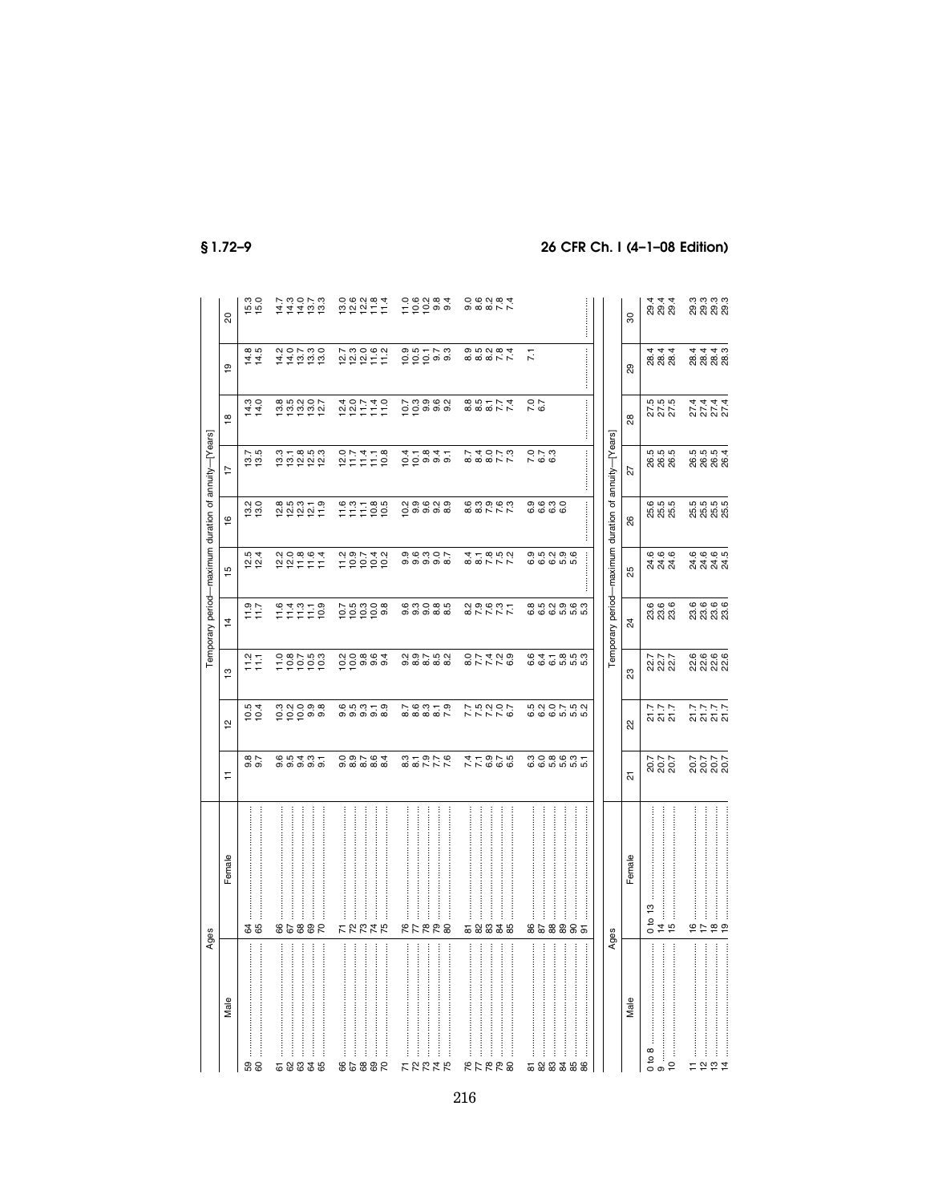|                                                               | Ages                                                    |                            |                                                                                       |                                 |                                         |                                                    | Temporary period-maximum duration of annuity-[Years]       |                                 |                                                                    |                               |                               |
|---------------------------------------------------------------|---------------------------------------------------------|----------------------------|---------------------------------------------------------------------------------------|---------------------------------|-----------------------------------------|----------------------------------------------------|------------------------------------------------------------|---------------------------------|--------------------------------------------------------------------|-------------------------------|-------------------------------|
| Male                                                          | Female                                                  | Ξ                          | $\overline{5}$                                                                        | $\frac{1}{2}$                   | $\overline{4}$                          | 10                                                 | $\frac{6}{1}$                                              | $\overline{1}$                  | $\frac{\infty}{2}$                                                 | $\overline{9}$                | 20                            |
| ļ<br>58                                                       | \$ \$                                                   | 0.860                      | $10.5$<br>$10.4$                                                                      | $\frac{2}{11}$                  | 71.7                                    | 12.4                                               | 13.0                                                       | 13.5                            | 14.3<br>14.0                                                       | $14.5$<br>14.5                | 15.0                          |
| :<br>:<br>:<br>:<br>$\ddot{}}$<br>ļ<br>ŧ<br>$\vdots$<br>58835 | ŧ<br>j<br>j<br>98853                                    |                            | n N O 0 0<br>O O O 0 0<br>C O O 0 0                                                   | $28790$<br>$19900$              | $77770$<br>$77770$                      |                                                    | 85<br>282217                                               | ង ដូ ដូ ដូ ដូ<br>ដូ ដូ ដូ ដូ ដូ |                                                                    | $110000$<br>$140000$          |                               |
| <br>ļ<br>ŧ<br>86882                                           | けでななあ                                                   |                            |                                                                                       | 000000                          | e pia pia<br>Cipina                     | 2<br>199742                                        | 177000                                                     | $27770$<br>$27770$              | $\begin{array}{c} 400740 \\ 20141 \\ -10140 \\ \hline \end{array}$ | $2000000$<br>$22200000$       | $0.68284$<br>$0.8277$         |
| :<br>:<br>:<br><b>FREER</b>                                   | ļ<br><b>RFRR8</b>                                       | $0 - 0 - 0$<br>$0 - 0 - 0$ | 2007-09<br>200902                                                                     | 2<br>0<br>0<br>0 0 0 0 0 0<br>0 | ဖက္ ၀ထ္ ဟု<br>တတတထထ                     | 0, 0, 0, 0, 1,<br>0, 0, 0, 0, 0,                   | လ္ပ္ပ္ဆယ္<br>လုပ္သက္လ                                      | 0.000000                        | )<br>ပြစ်စစ်<br>ပြစ်စစ်                                            | 0.05778                       | 0.00004<br>100004             |
| 82278                                                         | <br>568838                                              | スト 9 7 5<br>イト 9 7 5       | 7 7 7 7 9<br>7 7 7 7 9<br>7 7 7 7 9                                                   | 87778<br>8774                   | 877777                                  | 8<br>8 8 7 7 8<br>8 8 7 7 7                        | 6<br>6 6 9 6 6<br>6 6 7 7 7                                | 8<br>2 4 9 7 9<br>8 8 9 7 9     | 8<br>8<br>8<br>8<br>8<br>8<br>7<br>7<br>7<br>2<br>8                | 8<br>8 8 8 8 8 7<br>8 8 8 8 9 | 0.00004<br>0.000004           |
| :<br>:<br>:<br>:<br>ł<br>523358                               | İ<br>ŧ<br>858885                                        | comport<br>Comporti        | 5<br>6<br>6<br>6<br>6<br>6<br>6<br>5<br>6<br>5<br>6<br>6<br>6<br>6<br>2<br>6<br>2<br> | $64 - 859$<br>$6660000$         | <b>@</b> ທ္ လ္ @ @ က<br>ဖြစ် ဖြစ် ဟု ဟု | 0 : 0 : 0 : 0 : 0<br>0 : 0 : 0 : 0 : 0<br>$\vdots$ | 0<br>0<br>0<br>0<br>0<br>0<br>0<br>0<br>0                  | :<br>:<br>:<br>07.3<br>06.3     | $7.0$<br>6.7                                                       | Ξ                             |                               |
| Male                                                          | Female<br>Ages                                          | ಸ                          | ಜ                                                                                     | 23                              | 24                                      | 25                                                 | Temporary period-maximum duration of annuity-[Years]<br>88 | 22                              | 88                                                                 | 29                            | $\overline{30}$               |
| <br>$0$ to $8$<br>$\tilde{c}$<br>თ                            | <br>0 to 13<br>$\frac{4}{7}$ in                         | 20.7<br>20.7<br>20.7       | 7.7<br>2.7<br>2.7                                                                     | 227<br>227<br>227               | 6<br>೧೧ ೧<br>೧೧ ೧                       | 6<br>24.6<br>24.0                                  | 6555<br>8588                                               | 5<br>6 6 6<br>8 8 8             | 27.5<br>27.5<br>27.5                                               | 8<br>8<br>8<br>8<br>8<br>8    | न न न<br>81 81 81             |
| $\vdots$<br>$\frac{1}{2}$ $\frac{1}{2}$ $\frac{1}{4}$<br>Ξ    | $\frac{6}{5}$ $\frac{1}{5}$ $\frac{6}{5}$ $\frac{6}{5}$ | 7777<br>2002<br>2003       | といいに<br>といいに                                                                          | 66666<br>2020                   | ०,०,०,०,<br>सं सं सं सं                 | 6.6.6.5.<br>21<br>21 21 21                         | 5<br>5 5 5 5 5<br>5 5 5 5 5                                | 5<br>6 6 6 6 6<br>6 7 8 7       | 22222<br>22222<br>24444                                            | 22223<br>222323<br>222323     | ო ო ო ო<br>ღ ღ ღ ღ<br>ღ ღ ღ ღ |

 $$1.72 - 9$ 

## 26 CFR Ch. I (4-1-08 Edition)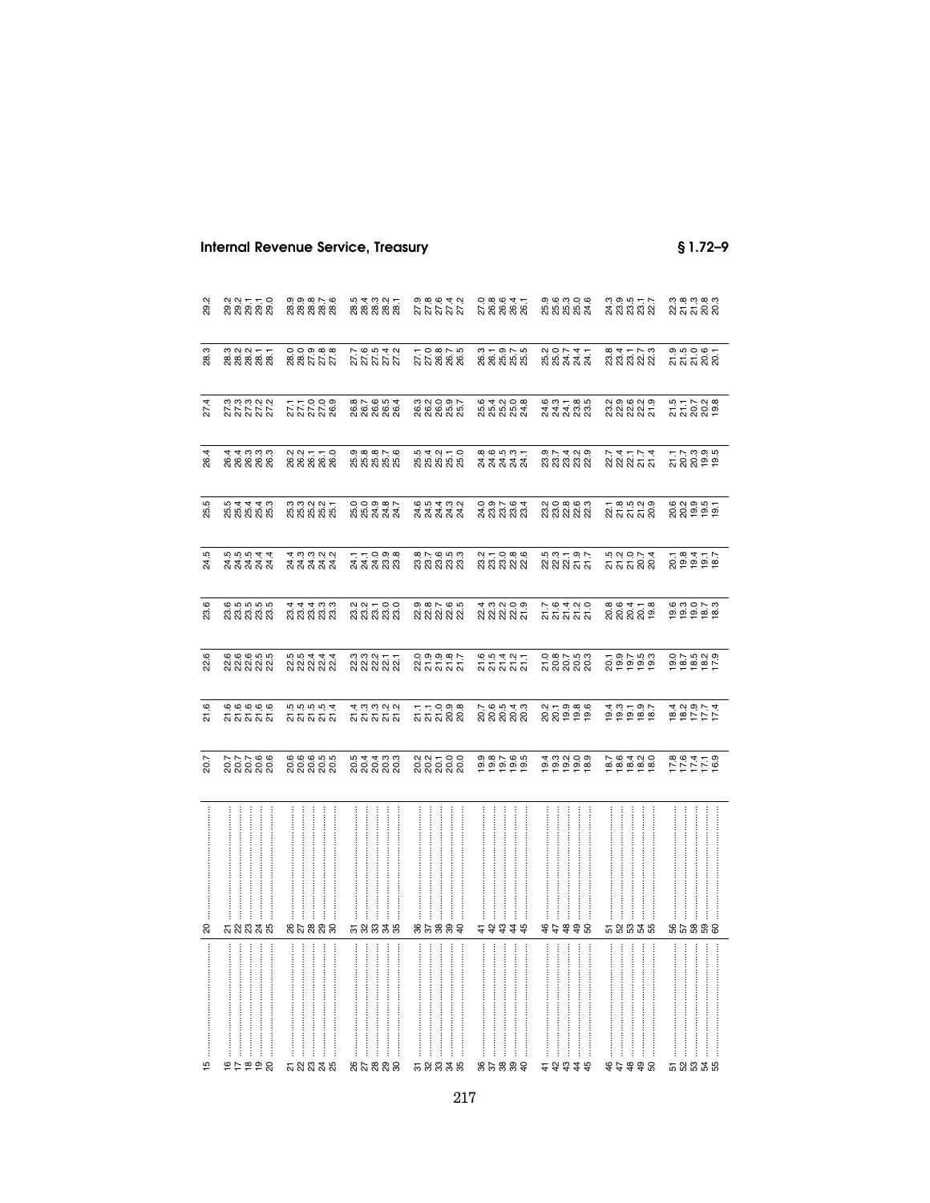| 29.2     | ្មួលក្នុក<br>ខ្លួន ខ្លួន                               | 0, 0, 0, 0, 0,<br>0, 0, 0, 0, 0,<br>೧, ೧, ೧, ೧, ೧, | 5<br>8 8 8 8 8 8<br>8 8 8 8 8              | 9.8.9.4.9.<br>27.27.27                         | 0.89647<br>200606<br>200606              | 9, 9, 9, 9, 9,<br>9, 9, 9, 9, 9,<br>8, 8, 8, 8, 8,                                            | 3 3 5 5 7<br>2 3 3 3 3 3<br>3 3 3 3 3                                                                                                                                                                                                                                                                                                                                                                                                                                                           | ិ<br>ខ្លួន ដឹង<br>និង                                                                                                                                                                                                                                                                                         |
|----------|--------------------------------------------------------|----------------------------------------------------|--------------------------------------------|------------------------------------------------|------------------------------------------|-----------------------------------------------------------------------------------------------|-------------------------------------------------------------------------------------------------------------------------------------------------------------------------------------------------------------------------------------------------------------------------------------------------------------------------------------------------------------------------------------------------------------------------------------------------------------------------------------------------|---------------------------------------------------------------------------------------------------------------------------------------------------------------------------------------------------------------------------------------------------------------------------------------------------------------|
| 28.3     | ន ១ ១ ១ <del>-</del><br>ខ្លួ ខ្លួ ខ្លួ ខ្លួ<br>ស ស ស ស | 0,0,0,0,0,<br>8,8,0,0,0,0<br>8,8,0,0,0,0           |                                            | 7,0,00,0,0<br>2,2,00,0,0<br>2,2,00,00          | 3 1 9 1 5<br>8 8 5 7 6<br>8 8 8 8 9      | 20741<br>55444                                                                                | 834778<br>83888                                                                                                                                                                                                                                                                                                                                                                                                                                                                                 | ១. ១. ១. ២. ។<br>ភាភាភាសិស                                                                                                                                                                                                                                                                                    |
| 27.4     | 3<br>273322<br>27322                                   | 777009<br>277009<br>27728                          | 8 7 8 5 4<br>8 6 6 6 7 8<br>8 8 8 8 8      | ១ ០ ០ ១ r<br>២ ២ ២ ២ ២<br>៧ ៧ ៧ ៧ ៧            | 6 4 0 0 8<br>6 5 6 6 7<br>6 7 8 7 9 7    | 6 0 1 - 8 5<br>4 4 4 6 6<br>2 2 2 2 2                                                         | 2 9 9 9 2 9<br>2 2 2 2 2 2<br>2 2 2 2 2                                                                                                                                                                                                                                                                                                                                                                                                                                                         | 5 1 1 2 3 8<br>ភ្នំ 5 3 8 9<br>ភ្នំ 5 9 9                                                                                                                                                                                                                                                                     |
| 26.4     | न न ल ल ल<br>६०६० ६०<br>स स स स स                      | 2 2 3 3 3 4<br>2 3 5 4 5 6<br>2 8 7 8 9            | 98876<br>88888                             | —<br>ភូមិ ភូមិ ភូមិ<br>កូមិ ភូមិ ភូមិ          | 8.6.5.7<br>A A A A A<br>A A A A A        | 9 1 7 4 9 9<br>8 8 9 9 9 9<br>9 9 9 9 9 9                                                     | 232574<br>23257                                                                                                                                                                                                                                                                                                                                                                                                                                                                                 | ក្នុង<br>ភ្លង់ ១ ១<br>ភ្លង់ ១ ១                                                                                                                                                                                                                                                                               |
| 25.5     | 5<br>5 5 5 5 5 6<br>5 5 6 5 6 7                        | 3 3 3 3 4 5<br>8 5 6 7 8 7<br>3 8 9 8 9            | 0,0,0,0,0,<br>5,0,0,0,0,0<br>5,0,0,0,0,0,0 | e n <del>a</del> n n<br>d d d d d<br>d d d d d | 0 9 1 9 4<br>4 8 8 8 9<br>0 9 9 9 9      | ល 0 ∞ ৩ ๓<br>ឌី ឌី ស៊ី ស៊ី ស៊ី<br>ស៊ី ស៊ី ស៊ី ស៊ី                                             | ក ೩ ១ ១ ១<br>ស៊ី ភី ភី ភី ស៊ី                                                                                                                                                                                                                                                                                                                                                                                                                                                                   | 6 2 9 5 5<br>ក្តី 5 9 5 5<br>ក្តី                                                                                                                                                                                                                                                                             |
| 24.5     | 5<br>4 4 4 4 4<br>2 4 4 4 5<br>5 7 8 7 8               | a ci ci ci ci<br>a di di di<br>a di di di          | 77098<br>संसंसंद्र 82                      | 8 1 - 8 5 6<br>8 8 8 8 9<br>8 9 8 9 8          | 211086<br>23232                          | 5 3 5 5 5 7<br>ក្តុង 5 5 5 7<br>ក្តុង 5 5 7                                                   | 5<br>ភូស្គូ<br>ភូស្គូស្គូ                                                                                                                                                                                                                                                                                                                                                                                                                                                                       | 28352<br>28552                                                                                                                                                                                                                                                                                                |
| 23.6     |                                                        | न च न ल ल<br>स स स स स                             | ្មួល − 0 0<br>នានានានា                     | ๑ ๓ r ๑ ๒<br>ଷ ଷ ଷ ଷ ଷ                         |                                          | ក ១ ។ ១ ១<br>ស៊ីស៊ីស៊ីស៊ី                                                                     | ०,०,५, <del>०</del> ,०,<br>२,२,२,०,                                                                                                                                                                                                                                                                                                                                                                                                                                                             | 0<br>000070<br>00000                                                                                                                                                                                                                                                                                          |
| 22.6     | 6 6 6 5 5 6<br>2 2 3 2 3 2                             | 5<br>2021<br>2022                                  | ន្ទ ន្ទ ន្ទ ក្នុ<br>ន្ទ ន្ទ ន្ទ ន្ទ        | ០១១១:<br>ដូតងូត<br>ស                           | ១១។ ១។<br>តតតង                           | ០. ឌុក ឆ្នួ<br>ភ្លឺ ខ្លួ ខ្លួ ខ្លួ                                                            | 2012<br>2012<br>2012                                                                                                                                                                                                                                                                                                                                                                                                                                                                            |                                                                                                                                                                                                                                                                                                               |
| 21.6     | <u>៙</u><br>ត្ត<br>ត្តត្ត                              | 5 5 5 5 5 7<br>5 5 5 5 7 7                         | ។ ១១១១<br>សិសិសិសិ                         | ក ក 9 ១ ឌ<br>ភ ភ ភ ន ខ                         | ಗ್ಗ ಅ. ರೈ ಕ್ಷ್ಮ<br>೧೦ ೧ ೧ ೧<br>೧ ೧ ೧ ೧ ೧ |                                                                                               |                                                                                                                                                                                                                                                                                                                                                                                                                                                                                                 | $\begin{array}{c} 24.78 \\ 4.79 \\ 4.79 \\ 4.79 \\ 4.79 \\ 4.79 \\ 4.79 \\ 4.79 \\ 4.79 \\ 4.79 \\ 4.79 \\ 4.79 \\ 4.79 \\ 4.79 \\ 4.79 \\ 4.79 \\ 4.79 \\ 4.79 \\ 4.79 \\ 4.79 \\ 4.79 \\ 4.79 \\ 4.79 \\ 4.79 \\ 4.79 \\ 4.79 \\ 4.79 \\ 4.79 \\ 4.79 \\ 4.79 \\ 4.79 \\ 4.79 \\ 4.79 \\ 4.79 \\ 4.79 \\ 4$ |
| 20.7     | 7 7 7 8 9<br>ឧទ្ទន្ទ និ                                | ឲ្យ<br>១៩៩៩១<br>សិសិសិ                             | 5 4 4 5 5<br>5 5 5 6 7<br>5 8 7 8 9        | ្តួន = 0.0<br>និងសន្លឹ                         | $0.87600$<br>$0.990000$                  | $\begin{array}{c}\n 4 & 0 & 0 & 0 \\  0 & 0 & 0 & 0 \\  \hline\n 1 & 0 & 0 & 0\n \end{array}$ | $0.6400$<br>$0.6400$<br>$0.660$                                                                                                                                                                                                                                                                                                                                                                                                                                                                 | 171718<br>171718                                                                                                                                                                                                                                                                                              |
|          | <br>                                                   | ļ                                                  |                                            |                                                |                                          | ļ                                                                                             |                                                                                                                                                                                                                                                                                                                                                                                                                                                                                                 | $\ddot{}}$<br>$\frac{1}{2}$                                                                                                                                                                                                                                                                                   |
| $\infty$ | <b>ភ ន ន ន ន</b><br>ŧ                                  | នសននន<br>$\vdots$                                  | 58838                                      | 85889                                          | 2 み 3 ま お<br>İ                           | 87388                                                                                         | 58838<br>$\begin{array}{cccccccccc} \multicolumn{2}{c}{} & \multicolumn{2}{c}{} & \multicolumn{2}{c}{} & \multicolumn{2}{c}{} & \multicolumn{2}{c}{} & \multicolumn{2}{c}{} & \multicolumn{2}{c}{} & \multicolumn{2}{c}{} & \multicolumn{2}{c}{} & \multicolumn{2}{c}{} & \multicolumn{2}{c}{} & \multicolumn{2}{c}{} & \multicolumn{2}{c}{} & \multicolumn{2}{c}{} & \multicolumn{2}{c}{} & \multicolumn{2}{c}{} & \multicolumn{2}{c}{} & \multicolumn{2}{c}{} & \multicolumn{2}{c}{} & \mult$ | ន ឌ ឌ ៨ ឌ<br>$\ddot{}}$                                                                                                                                                                                                                                                                                       |
| 15       |                                                        | <b>ភ</b> ន ន ន ន                                   | 85888                                      | 58838                                          | 85889                                    | 23345                                                                                         | \$\$\$\$8                                                                                                                                                                                                                                                                                                                                                                                                                                                                                       | 52335                                                                                                                                                                                                                                                                                                         |

## **Internal Revenue Service, Treasury**

 $$1.72-9$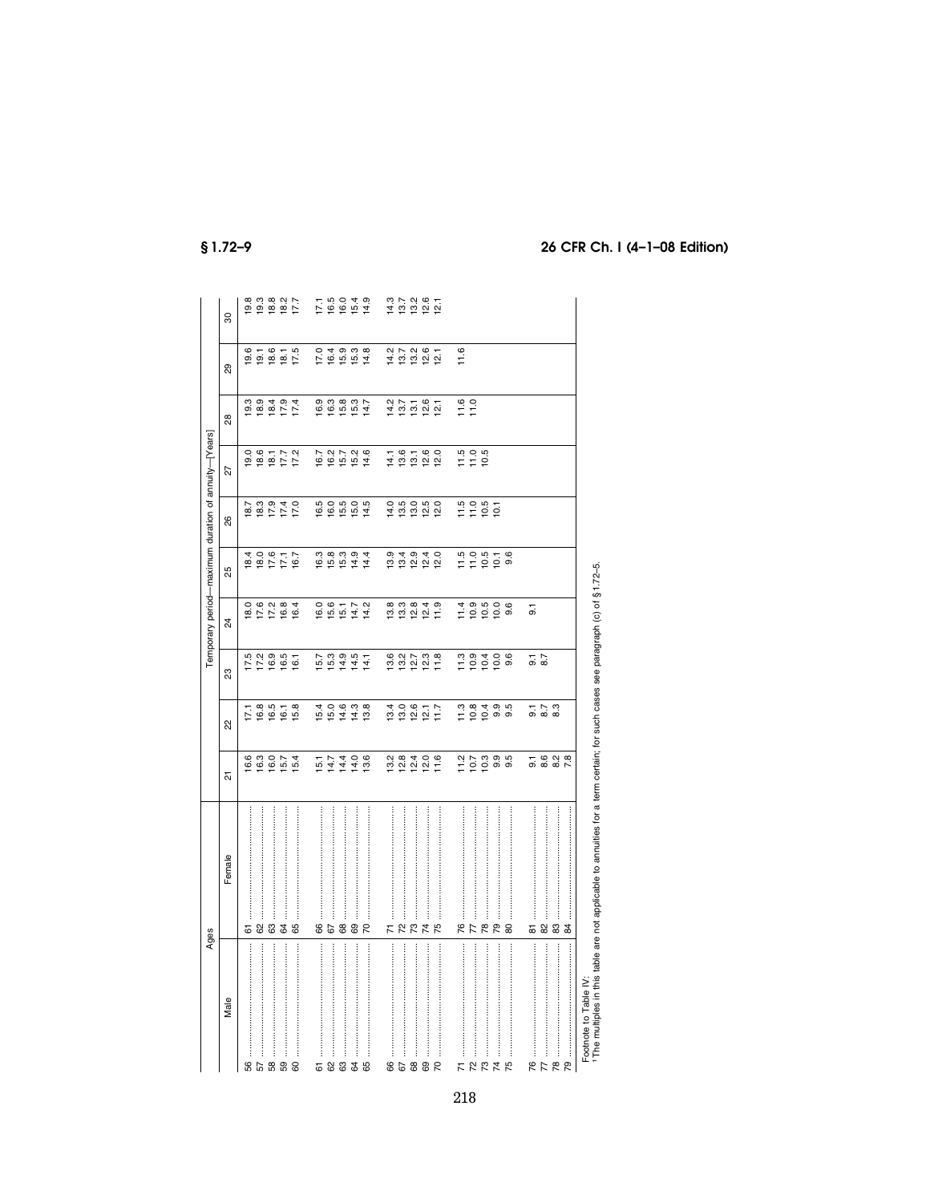|                               | Ages                                                                                                                                      |                            |                                                                                                      |                                    |                                          |                                           |                                           | Temporary period-maximum duration of annuity-[Years] |                                                    |                                              |                     |
|-------------------------------|-------------------------------------------------------------------------------------------------------------------------------------------|----------------------------|------------------------------------------------------------------------------------------------------|------------------------------------|------------------------------------------|-------------------------------------------|-------------------------------------------|------------------------------------------------------|----------------------------------------------------|----------------------------------------------|---------------------|
| Male                          | Female                                                                                                                                    | 짒                          | ಜ                                                                                                    | ಔ                                  | ¥,                                       | 25                                        | 88                                        | 22                                                   | 28                                                 | 8                                            | 8                   |
| 56                            | 61                                                                                                                                        | 16.6                       |                                                                                                      |                                    |                                          |                                           |                                           |                                                      |                                                    |                                              |                     |
| 57                            | 82                                                                                                                                        | 16.3                       | 17.1<br>19.19<br>19.19                                                                               | $17.5$<br>$17.2$                   | 10 6 7 6 9 4<br>10 7 7 8 9<br>10 7 9 9 9 | 1810<br>1810<br>1811<br>1811              |                                           | 0.6172<br>10.611<br>10.61                            | 10 10 11 12 13 14 15 16 17 17 18<br>19 19 19 17 17 | 0<br>0 0 1 0 1 0<br>0 0 0 0 1 0<br>1 0 0 0 1 | စ္ ၁ စ္က<br>စစ္က စ  |
|                               |                                                                                                                                           |                            |                                                                                                      | 16.9                               |                                          |                                           |                                           |                                                      |                                                    |                                              |                     |
|                               | \$                                                                                                                                        | $16.7$<br>$15.4$<br>$15.4$ |                                                                                                      | 16.5                               |                                          |                                           |                                           |                                                      |                                                    |                                              | $18.2$<br>17.7      |
| 60                            | 89                                                                                                                                        |                            | 15.8                                                                                                 | 16.1                               |                                          |                                           |                                           |                                                      |                                                    |                                              |                     |
| 5                             |                                                                                                                                           | 15.1                       |                                                                                                      |                                    |                                          |                                           |                                           |                                                      |                                                    | 17.0                                         |                     |
|                               | <b>88</b>                                                                                                                                 |                            | $15.4$<br>15.0                                                                                       | $15.7$<br>15.3                     | 16.6<br>15.6                             |                                           |                                           |                                                      | 16.9<br>16.3                                       | 16.4                                         | $\frac{17.1}{16.5}$ |
|                               | 8                                                                                                                                         |                            |                                                                                                      |                                    |                                          |                                           |                                           |                                                      |                                                    |                                              |                     |
| 64                            | 89                                                                                                                                        | 14406<br>14406<br>1440     | 14.6<br>14.3                                                                                         | $14.5$<br>$14.7$<br>$14.7$         | $15.7$<br>$14.2$                         | 10 10 10 11<br>10 10 11 11<br>10 10 11 11 | 160505<br>160504<br>16041                 |                                                      | $15.3$<br>$14.7$                                   | $15.3$<br>$15.3$<br>$14.8$                   | $16.0$<br>$15.4$    |
| 65                            | R                                                                                                                                         |                            | 13.8                                                                                                 |                                    |                                          |                                           |                                           |                                                      |                                                    |                                              | 14.9                |
|                               |                                                                                                                                           |                            |                                                                                                      |                                    |                                          |                                           |                                           |                                                      |                                                    |                                              |                     |
| 66                            | $\overline{z}$                                                                                                                            |                            |                                                                                                      |                                    |                                          |                                           |                                           | 14.1                                                 |                                                    |                                              |                     |
|                               | 72                                                                                                                                        |                            |                                                                                                      |                                    |                                          |                                           |                                           |                                                      |                                                    |                                              |                     |
| 68                            | 52                                                                                                                                        |                            |                                                                                                      |                                    |                                          |                                           |                                           |                                                      |                                                    |                                              |                     |
| 69                            |                                                                                                                                           |                            |                                                                                                      |                                    |                                          |                                           |                                           |                                                      |                                                    |                                              |                     |
| $\overline{2}$                | 74                                                                                                                                        | 2<br>222225<br>22225       | 13 12 12 13 13 14 15 16 17 17 17 17 17 17 17 17 18 18 19 17 17 18 18 18 18 18 18 18 18 18 18 18 18 1 | 0<br>10 10 11 11 11<br>11 11 11 11 |                                          | 0<br>10 10 11 01<br>10 11 01 01           | 1<br>1 1 1 1 1 1<br>1 1 1 1 1             | $19.760$<br>$19.760$                                 | 1<br>វត្ត 2<br>វត្ត 2                              | 2 7 2 3 6 7<br>2 3 2 2 2<br>2 3 2 2 2        | ははほぼには              |
|                               |                                                                                                                                           |                            |                                                                                                      |                                    |                                          |                                           |                                           |                                                      |                                                    | 11.6                                         |                     |
| $\overline{r}$ $\overline{r}$ | 92                                                                                                                                        |                            |                                                                                                      |                                    |                                          |                                           |                                           | $1.5$<br>$1.0$<br>$1.5$                              | $11.0$<br>$11.0$                                   |                                              |                     |
|                               | 77                                                                                                                                        |                            |                                                                                                      |                                    |                                          |                                           |                                           |                                                      |                                                    |                                              |                     |
| 73                            |                                                                                                                                           |                            | $\begin{array}{c} 1.3 \\ 1.08 \\ 1.04 \end{array}$                                                   |                                    |                                          |                                           | $1.5$<br>$1.9$<br>$1.5$<br>$1.5$<br>$1.5$ |                                                      |                                                    |                                              |                     |
| 74                            | <b>18</b>                                                                                                                                 |                            | 9.5<br>9.9                                                                                           | $7.940$<br>$7.940$                 | $1.900$<br>$1.900$                       |                                           |                                           |                                                      |                                                    |                                              |                     |
| 75                            | 8                                                                                                                                         |                            |                                                                                                      | 9.6                                | 9.6                                      |                                           |                                           |                                                      |                                                    |                                              |                     |
| 76                            | 5                                                                                                                                         |                            |                                                                                                      |                                    | $\overline{9}$ .                         |                                           |                                           |                                                      |                                                    |                                              |                     |
|                               |                                                                                                                                           |                            | 5. 15. 13<br>9. 13. 13                                                                               | $\frac{7}{8}$ $\frac{7}{8}$        |                                          |                                           |                                           |                                                      |                                                    |                                              |                     |
|                               | <b>&amp; &amp;</b>                                                                                                                        | 1628<br>0.0007             |                                                                                                      |                                    |                                          |                                           |                                           |                                                      |                                                    |                                              |                     |
| 79                            | æ                                                                                                                                         |                            |                                                                                                      |                                    |                                          |                                           |                                           |                                                      |                                                    |                                              |                     |
| Footnote to Table IV:         | <sup>1</sup> The multiples in this table are not applicable to annuities for a term certain; for such cases see paragraph (c) of §1.72-5. |                            |                                                                                                      |                                    |                                          |                                           |                                           |                                                      |                                                    |                                              |                     |
|                               |                                                                                                                                           |                            |                                                                                                      |                                    |                                          |                                           |                                           |                                                      |                                                    |                                              |                     |

 $$1.72-9$ 

# 26 CFR Ch. I (4-1-08 Edition)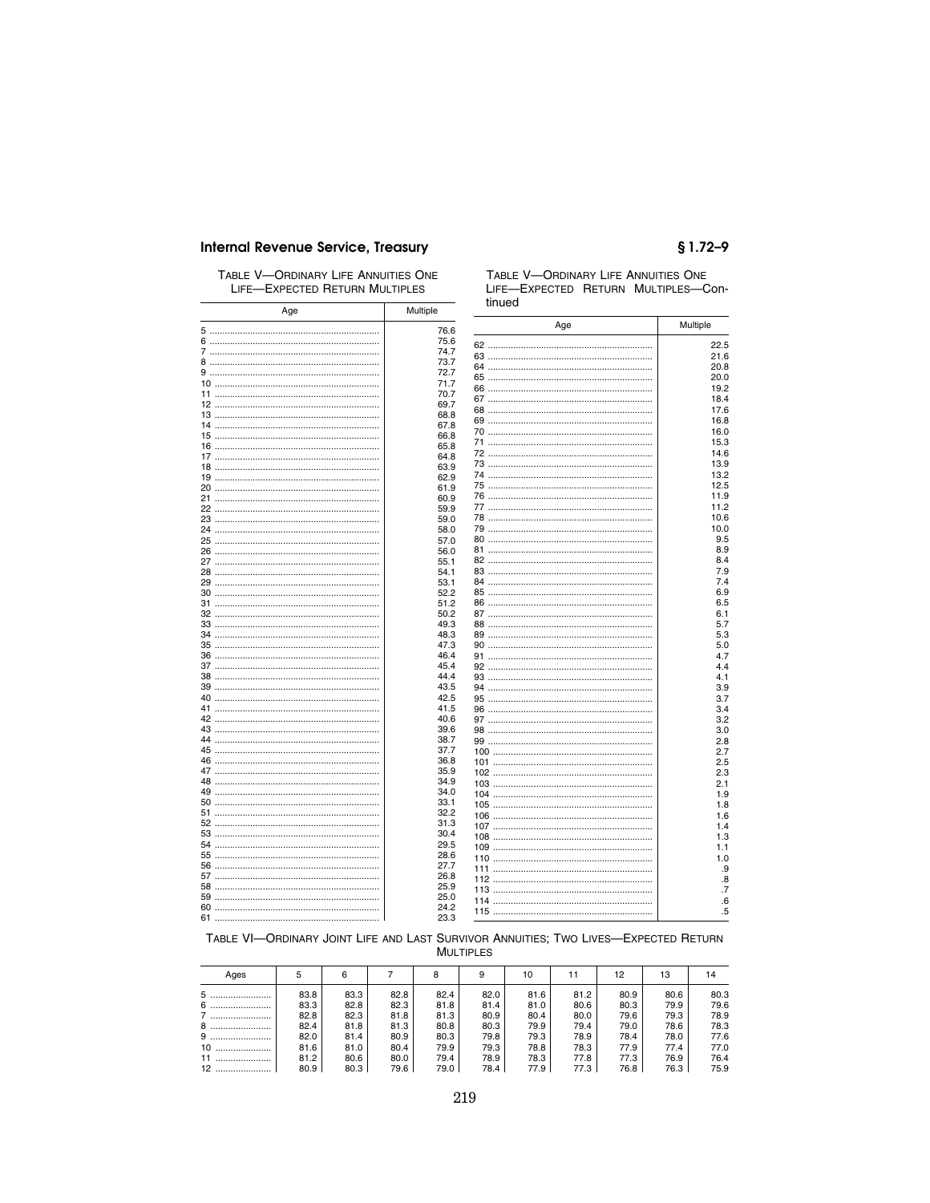### **Internal Revenue Service, Treasury**

### TABLE V-ORDINARY LIFE ANNUITIES ONE LIFE-EXPECTED RETURN MULTIPLES

| Age | Multiple | tinued |          |
|-----|----------|--------|----------|
|     | 76.6     | Age    | Multiple |
|     | 75.6     |        |          |
|     | 74.7     |        | 22.5     |
|     | 73.7     |        | 21.6     |
|     | 72.7     |        | 20.8     |
|     | 71.7     |        | 20.0     |
|     | 70.7     |        | 19.2     |
|     | 69.7     |        | 18.4     |
|     |          |        | 17.6     |
|     | 68.8     |        | 16.8     |
|     | 67.8     |        | 16.0     |
|     | 66.8     |        | 15.3     |
|     | 65.8     |        | 14.6     |
|     | 64.8     |        | 13.9     |
|     | 63.9     |        | 13.2     |
|     | 62.9     |        |          |
|     | 61.9     |        | 12.5     |
|     | 60.9     |        | 11.9     |
|     | 59.9     |        | 11.2     |
|     | 59.0     |        | 10.6     |
|     | 58.0     |        | 10.0     |
|     | 57.0     |        | 9.5      |
|     | 56.0     |        | 8.9      |
|     | 55.1     |        | 8.4      |
|     | 54.1     |        | 7.9      |
|     | 53.1     |        | 7.4      |
|     | 52.2     |        | 6.9      |
|     | 51.2     |        | 6.5      |
|     | 50.2     |        | 6.1      |
|     | 49.3     |        | 5.7      |
|     | 48.3     |        | 5.3      |
|     |          |        |          |
|     | 47.3     |        | 5.0      |
|     | 46.4     |        | 4.7      |
|     | 45.4     |        | 4.4      |
|     | 44.4     |        | 4.1      |
|     | 43.5     |        | 3.9      |
|     | 42.5     |        | 3.7      |
|     | 41.5     |        | 3.4      |
|     | 40.6     |        | 3.2      |
|     | 39.6     |        | 3.0      |
|     | 38.7     |        | 2.8      |
|     | 37.7     |        | 2.7      |
|     | 36.8     |        | 2.5      |
|     | 35.9     |        | 2.3      |
|     | 34.9     |        | 2.1      |
|     | 34.0     |        | 1.9      |
|     | 33.1     |        | 1.8      |
|     | 32.2     |        |          |
|     | 31.3     |        | 1.6      |
|     | 30.4     |        | 1.4      |
|     | 29.5     |        | 1.3      |
|     | 28.6     |        | 1.1      |
|     | 27.7     |        | 1.0      |
|     |          |        | .9       |
|     | 26.8     |        | .8       |
|     | 25.9     |        | .7       |
|     | 25.0     |        | .6       |
|     | 24.2     |        | .5       |
|     | 23.3     |        |          |

## $$1.72 - 9$

TABLE V-ORDINARY LIFE ANNUITIES ONE LIFE-EXPECTED RETURN MULTIPLES-Con-

### TABLE VI-ORDINARY JOINT LIFE AND LAST SURVIVOR ANNUITIES; TWO LIVES-EXPECTED RETURN **MULTIPLES**

| Ages   | 5    | 6    |      | 8    | 9    | 10   |      | 12   | 13   | 14   |
|--------|------|------|------|------|------|------|------|------|------|------|
|        | 83.8 | 83.3 | 82.8 | 82.4 | 82.0 | 81.6 | 81.2 | 80.9 | 80.6 | 80.3 |
|        | 83.3 | 82.8 | 82.3 | 81.8 | 81.4 | 81.0 | 80.6 | 80.3 | 79.9 | 79.6 |
| 7      | 82.8 | 82.3 | 81.8 | 81.3 | 80.9 | 80.4 | 80.0 | 79.6 | 79.3 | 78.9 |
| 8<br>  | 82.4 | 81.8 | 81.3 | 80.8 | 80.3 | 79.9 | 79.4 | 79.0 | 78.6 | 78.3 |
| 9      | 82.0 | 81.4 | 80.9 | 80.3 | 79.8 | 79.3 | 78.9 | 78.4 | 78.0 | 77.6 |
| 10<br> | 81.6 | 81.0 | 80.4 | 79.9 | 79.3 | 78.8 | 78.3 | 77.9 | 77.4 | 77.0 |
| 11<br> | 81.2 | 80.6 | 80.0 | 79.4 | 78.9 | 78.3 | 77.8 | 77.3 | 76.9 | 76.4 |
| 12<br> | 80.9 | 80.3 | 79.6 | 79.0 | 78.4 | 77.9 | 77.3 | 76.8 | 76.3 | 75.9 |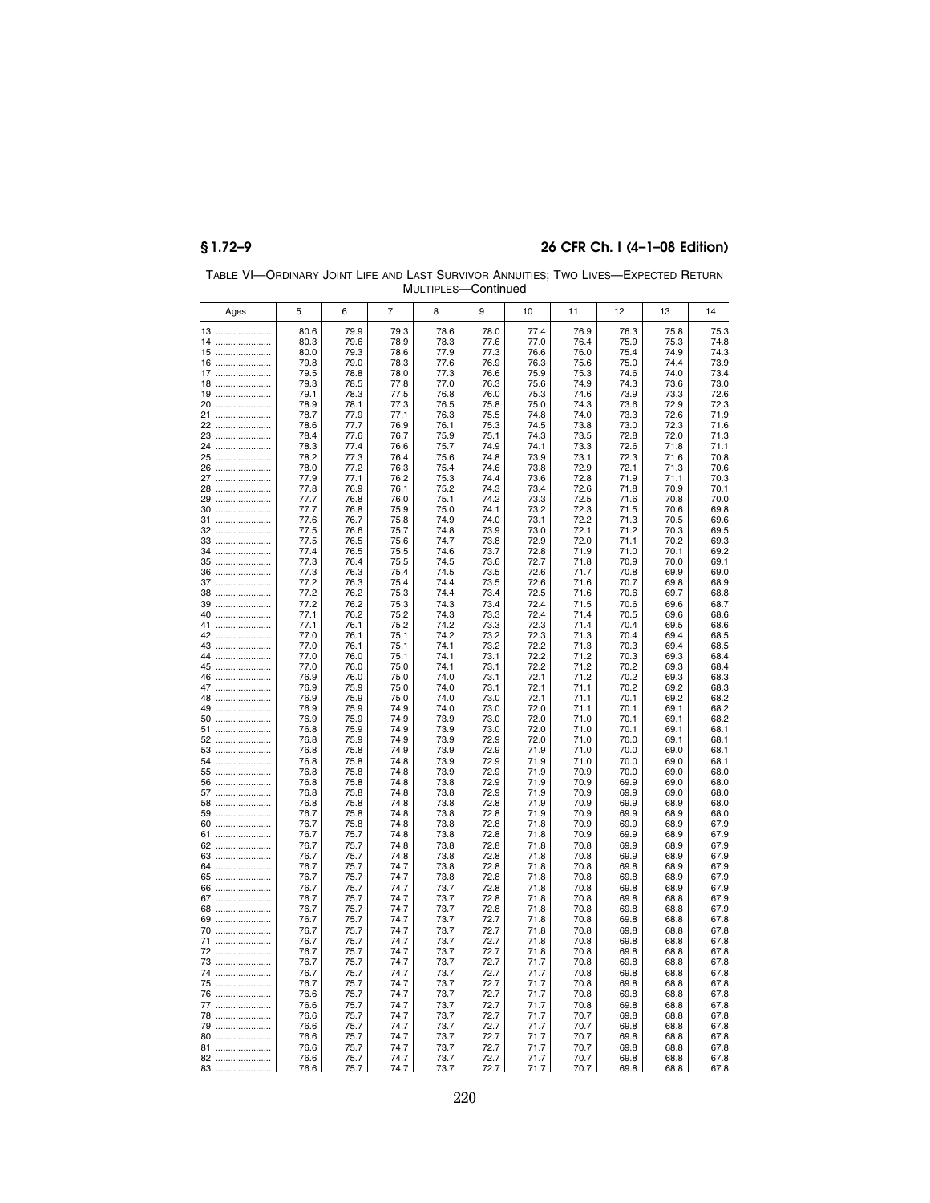|          |              |              |                | <b>IVIUL LIPLES</b> | ∿omunue      |              |              |              |              |              |
|----------|--------------|--------------|----------------|---------------------|--------------|--------------|--------------|--------------|--------------|--------------|
| Ages     | 5            | 6            | $\overline{7}$ | 8                   | 9            | 10           | 11           | 12           | 13           | 14           |
| 13       | 80.6         | 79.9         | 79.3           | 78.6                | 78.0         | 77.4         | 76.9         | 76.3         | 75.8         | 75.3         |
| 14       | 80.3         | 79.6         | 78.9           | 78.3                | 77.6         | 77.0         | 76.4         | 75.9         | 75.3         | 74.8         |
| 15       | 80.0         | 79.3         | 78.6           | 77.9                | 77.3         | 76.6         | 76.0         | 75.4         | 74.9         | 74.3         |
| 16       | 79.8<br>79.5 | 79.0<br>78.8 | 78.3<br>78.0   | 77.6<br>77.3        | 76.9<br>76.6 | 76.3<br>75.9 | 75.6<br>75.3 | 75.0<br>74.6 | 74.4<br>74.0 | 73.9<br>73.4 |
| 17<br>18 | 79.3         | 78.5         | 77.8           | 77.0                | 76.3         | 75.6         | 74.9         | 74.3         | 73.6         | 73.0         |
| 19       | 79.1         | 78.3         | 77.5           | 76.8                | 76.0         | 75.3         | 74.6         | 73.9         | 73.3         | 72.6         |
| 20       | 78.9         | 78.1         | 77.3           | 76.5                | 75.8         | 75.0         | 74.3         | 73.6         | 72.9         | 72.3         |
| 21       | 78.7         | 77.9         | 77.1           | 76.3                | 75.5         | 74.8         | 74.0         | 73.3         | 72.6         | 71.9         |
| 22       | 78.6         | 77.7         | 76.9           | 76.1                | 75.3         | 74.5         | 73.8         | 73.0         | 72.3         | 71.6         |
| 23       | 78.4         | 77.6         | 76.7           | 75.9                | 75.1         | 74.3         | 73.5         | 72.8         | 72.0         | 71.3         |
| 24       | 78.3         | 77.4         | 76.6           | 75.7                | 74.9         | 74.1         | 73.3         | 72.6         | 71.8         | 71.1         |
| 25       | 78.2         | 77.3         | 76.4           | 75.6                | 74.8         | 73.9         | 73.1         | 72.3         | 71.6         | 70.8         |
| 26       | 78.0         | 77.2         | 76.3           | 75.4                | 74.6         | 73.8         | 72.9         | 72.1         | 71.3         | 70.6         |
| 27       | 77.9<br>77.8 | 77.1<br>76.9 | 76.2<br>76.1   | 75.3<br>75.2        | 74.4<br>74.3 | 73.6<br>73.4 | 72.8<br>72.6 | 71.9<br>71.8 | 71.1<br>70.9 | 70.3<br>70.1 |
| 28<br>29 | 77.7         | 76.8         | 76.0           | 75.1                | 74.2         | 73.3         | 72.5         | 71.6         | 70.8         | 70.0         |
| $30$     | 77.7         | 76.8         | 75.9           | 75.0                | 74.1         | 73.2         | 72.3         | 71.5         | 70.6         | 69.8         |
| 31       | 77.6         | 76.7         | 75.8           | 74.9                | 74.0         | 73.1         | 72.2         | 71.3         | 70.5         | 69.6         |
| 32       | 77.5         | 76.6         | 75.7           | 74.8                | 73.9         | 73.0         | 72.1         | 71.2         | 70.3         | 69.5         |
| 33       | 77.5         | 76.5         | 75.6           | 74.7                | 73.8         | 72.9         | 72.0         | 71.1         | 70.2         | 69.3         |
| 34       | 77.4         | 76.5         | 75.5           | 74.6                | 73.7         | 72.8         | 71.9         | 71.0         | 70.1         | 69.2         |
| 35       | 77.3         | 76.4         | 75.5           | 74.5                | 73.6         | 72.7         | 71.8         | 70.9         | 70.0         | 69.1         |
| 36       | 77.3         | 76.3         | 75.4           | 74.5                | 73.5         | 72.6         | 71.7         | 70.8         | 69.9         | 69.0         |
| 37       | 77.2         | 76.3         | 75.4           | 74.4                | 73.5         | 72.6         | 71.6         | 70.7         | 69.8         | 68.9         |
| $38$     | 77.2         | 76.2         | 75.3           | 74.4                | 73.4         | 72.5         | 71.6<br>71.5 | 70.6<br>70.6 | 69.7         | 68.8<br>68.7 |
| 40       | 77.2<br>77.1 | 76.2<br>76.2 | 75.3<br>75.2   | 74.3<br>74.3        | 73.4<br>73.3 | 72.4<br>72.4 | 71.4         | 70.5         | 69.6<br>69.6 | 68.6         |
| 41       | 77.1         | 76.1         | 75.2           | 74.2                | 73.3         | 72.3         | 71.4         | 70.4         | 69.5         | 68.6         |
| 42       | 77.0         | 76.1         | 75.1           | 74.2                | 73.2         | 72.3         | 71.3         | 70.4         | 69.4         | 68.5         |
| 43       | 77.0         | 76.1         | 75.1           | 74.1                | 73.2         | 72.2         | 71.3         | 70.3         | 69.4         | 68.5         |
| 44       | 77.0         | 76.0         | 75.1           | 74.1                | 73.1         | 72.2         | 71.2         | 70.3         | 69.3         | 68.4         |
| 45       | 77.0         | 76.0         | 75.0           | 74.1                | 73.1         | 72.2         | 71.2         | 70.2         | 69.3         | 68.4         |
| 46       | 76.9         | 76.0         | 75.0           | 74.0                | 73.1         | 72.1         | 71.2         | 70.2         | 69.3         | 68.3         |
| 47       | 76.9         | 75.9         | 75.0           | 74.0                | 73.1         | 72.1         | 71.1         | 70.2         | 69.2         | 68.3         |
| 48       | 76.9         | 75.9         | 75.0           | 74.0                | 73.0         | 72.1         | 71.1         | 70.1         | 69.2         | 68.2         |
| 49       | 76.9         | 75.9         | 74.9           | 74.0                | 73.0         | 72.0         | 71.1         | 70.1         | 69.1         | 68.2         |
| $50$     | 76.9<br>76.8 | 75.9         | 74.9<br>74.9   | 73.9<br>73.9        | 73.0<br>73.0 | 72.0<br>72.0 | 71.0<br>71.0 | 70.1<br>70.1 | 69.1<br>69.1 | 68.2<br>68.1 |
| 51<br>52 | 76.8         | 75.9<br>75.9 | 74.9           | 73.9                | 72.9         | 72.0         | 71.0         | 70.0         | 69.1         | 68.1         |
| 53       | 76.8         | 75.8         | 74.9           | 73.9                | 72.9         | 71.9         | 71.0         | 70.0         | 69.0         | 68.1         |
| 54       | 76.8         | 75.8         | 74.8           | 73.9                | 72.9         | 71.9         | 71.0         | 70.0         | 69.0         | 68.1         |
| 55       | 76.8         | 75.8         | 74.8           | 73.9                | 72.9         | 71.9         | 70.9         | 70.0         | 69.0         | 68.0         |
| 56       | 76.8         | 75.8         | 74.8           | 73.8                | 72.9         | 71.9         | 70.9         | 69.9         | 69.0         | 68.0         |
| 57       | 76.8         | 75.8         | 74.8           | 73.8                | 72.9         | 71.9         | 70.9         | 69.9         | 69.0         | 68.0         |
| 58       | 76.8         | 75.8         | 74.8           | 73.8                | 72.8         | 71.9         | 70.9         | 69.9         | 68.9         | 68.0         |
| 59       | 76.7         | 75.8         | 74.8           | 73.8                | 72.8         | 71.9         | 70.9         | 69.9         | 68.9         | 68.0         |
| 60       | 76.7         | 75.8         | 74.8           | 73.8                | 72.8         | 71.8         | 70.9         | 69.9         | 68.9         | 67.9         |
| 61<br>62 | 76.7<br>76.7 | 75.7<br>75.7 | 74.8<br>74.8   | 73.8<br>73.8        | 72.8<br>72.8 | 71.8<br>71.8 | 70.9<br>70.8 | 69.9<br>69.9 | 68.9<br>68.9 | 67.9<br>67.9 |
| 63       | 76.7         | 75.7         | 74.8           | 73.8                | 72.8         | 71.8         | 70.8         | 69.9         | 68.9         | 67.9         |
| 64       | 76.7         | 75.7         | 74.7           | 73.8                | 72.8         | 71.8         | 70.8         | 69.8         | 68.9         | 67.9         |
| 65       | 76.7         | 75.7         | 74.7           | 73.8                | 72.8         | 71.8         | 70.8         | 69.8         | 68.9         | 67.9         |
| 66       | 76.7         | 75.7         | 74.7           | 73.7                | 72.8         | 71.8         | 70.8         | 69.8         | 68.9         | 67.9         |
| 67       | 76.7         | 75.7         | 74.7           | 73.7                | 72.8         | 71.8         | 70.8         | 69.8         | 68.8         | 67.9         |
| 68       | 76.7         | 75.7         | 74.7           | 73.7                | 72.8         | 71.8         | 70.8         | 69.8         | 68.8         | 67.9         |
| 69       | 76.7         | 75.7         | 74.7           | 73.7                | 72.7         | 71.8         | 70.8         | 69.8         | 68.8         | 67.8         |
| 70       | 76.7         | 75.7         | 74.7           | 73.7                | 72.7         | 71.8         | 70.8         | 69.8         | 68.8         | 67.8         |
| 71       | 76.7         | 75.7         | 74.7           | 73.7                | 72.7         | 71.8         | 70.8         | 69.8         | 68.8         | 67.8         |
| 72       | 76.7         | 75.7         | 74.7           | 73.7                | 72.7         | 71.8         | 70.8         | 69.8         | 68.8         | 67.8         |
| 73       | 76.7         | 75.7         | 74.7           | 73.7                | 72.7         | 71.7         | 70.8         | 69.8         | 68.8         | 67.8         |
| 74       | 76.7         | 75.7         | 74.7           | 73.7                | 72.7         | 71.7         | 70.8         | 69.8         | 68.8         | 67.8         |
| 75       | 76.7         | 75.7         | 74.7           | 73.7                | 72.7         | 71.7         | 70.8         | 69.8         | 68.8         | 67.8         |
| 76<br>77 | 76.6<br>76.6 | 75.7<br>75.7 | 74.7<br>74.7   | 73.7<br>73.7        | 72.7<br>72.7 | 71.7<br>71.7 | 70.8<br>70.8 | 69.8<br>69.8 | 68.8<br>68.8 | 67.8<br>67.8 |
| 78       | 76.6         | 75.7         | 74.7           | 73.7                | 72.7         | 71.7         | 70.7         | 69.8         | 68.8         | 67.8         |
| 79       | 76.6         | 75.7         | 74.7           | 73.7                | 72.7         | 71.7         | 70.7         | 69.8         | 68.8         | 67.8         |
| 80       | 76.6         | 75.7         | 74.7           | 73.7                | 72.7         | 71.7         | 70.7         | 69.8         | 68.8         | 67.8         |
| 81       | 76.6         | 75.7         | 74.7           | 73.7                | 72.7         | 71.7         | 70.7         | 69.8         | 68.8         | 67.8         |
| 82       | 76.6         | 75.7         | 74.7           | 73.7                | 72.7         | 71.7         | 70.7         | 69.8         | 68.8         | 67.8         |
| 83       | 76.6         | 75.7         | 74.7           | 73.7                | 72.7         | 71.7         | 70.7         | 69.8         | 68.8         | 67.8         |

TABLE VI—ORDINARY JOINT LIFE AND LAST SURVIVOR ANNUITIES; TWO LIVES—EXPECTED RETURN MULTIPLES—Continued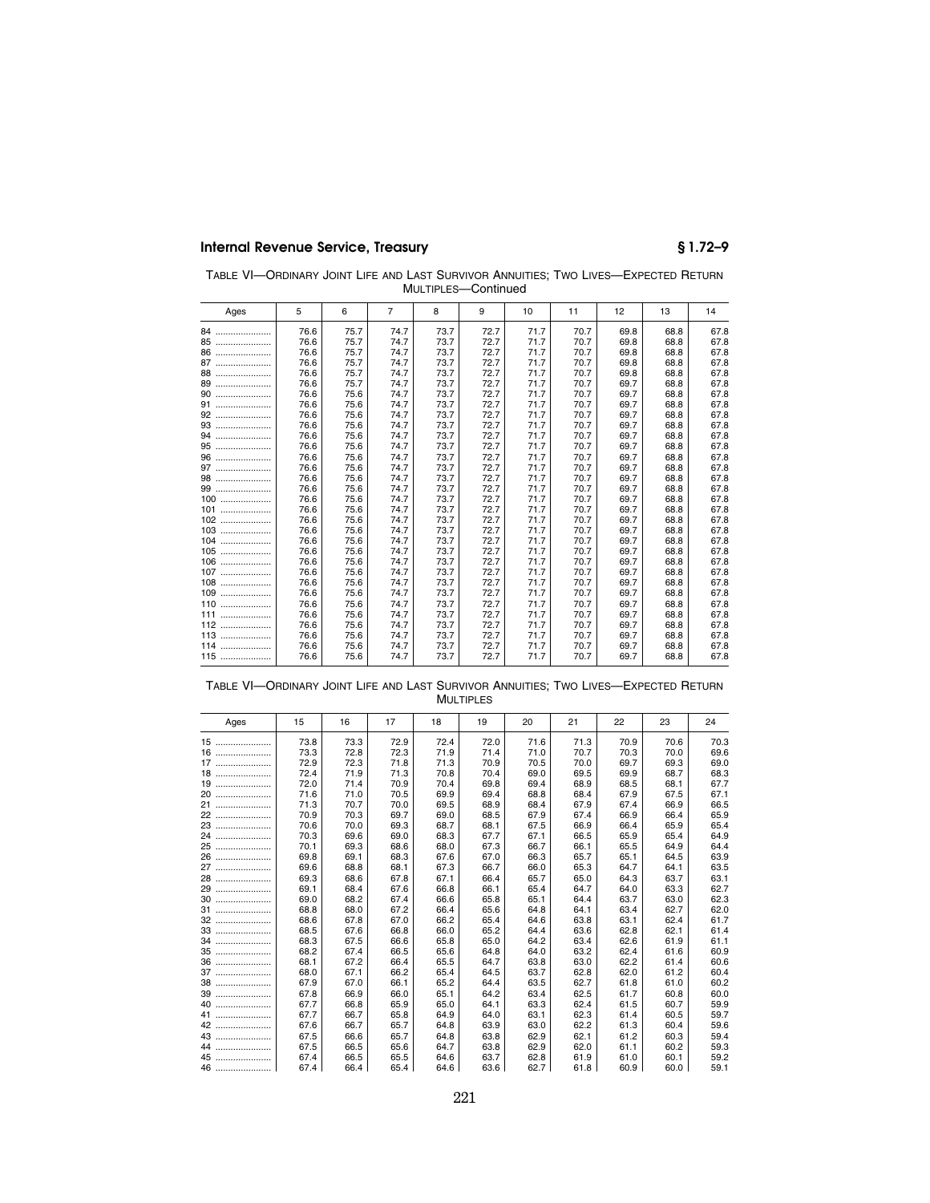| TABLE VI-ORDINARY JOINT LIFE AND LAST SURVIVOR ANNUITIES: TWO LIVES-EXPECTED RETURN |
|-------------------------------------------------------------------------------------|
| MULTIPLES-Continued                                                                 |

| Ages    | 5    | 6    | 7    | 8    | 9    | 10   | 11   | 12   | 13   | 14   |
|---------|------|------|------|------|------|------|------|------|------|------|
| 84      | 76.6 | 75.7 | 74.7 | 73.7 | 72.7 | 71.7 | 70.7 | 69.8 | 68.8 | 67.8 |
| 85      | 76.6 | 75.7 | 74.7 | 73.7 | 72.7 | 71.7 | 70.7 | 69.8 | 68.8 | 67.8 |
| 86      | 76.6 | 75.7 | 74.7 | 73.7 | 72.7 | 71.7 | 70.7 | 69.8 | 68.8 | 67.8 |
| 87      | 76.6 | 75.7 | 74.7 | 73.7 | 72.7 | 71.7 | 70.7 | 69.8 | 68.8 | 67.8 |
| 88      | 76.6 | 75.7 | 74.7 | 73.7 | 72.7 | 71.7 | 70.7 | 69.8 | 68.8 | 67.8 |
| 89<br>  | 76.6 | 75.7 | 74.7 | 73.7 | 72.7 | 71.7 | 70.7 | 69.7 | 68.8 | 67.8 |
| 90      | 76.6 | 75.6 | 74.7 | 73.7 | 72.7 | 71.7 | 70.7 | 69.7 | 68.8 | 67.8 |
| 91      | 76.6 | 75.6 | 74.7 | 73.7 | 72.7 | 71.7 | 70.7 | 69.7 | 68.8 | 67.8 |
| 92      | 76.6 | 75.6 | 74.7 | 73.7 | 72.7 | 71.7 | 70.7 | 69.7 | 68.8 | 67.8 |
| 93      | 76.6 | 75.6 | 74.7 | 73.7 | 72.7 | 71.7 | 70.7 | 69.7 | 68.8 | 67.8 |
| 94      | 76.6 | 75.6 | 74.7 | 73.7 | 72.7 | 71.7 | 70.7 | 69.7 | 68.8 | 67.8 |
| 95      | 76.6 | 75.6 | 74.7 | 73.7 | 72.7 | 71.7 | 70.7 | 69.7 | 68.8 | 67.8 |
| 96      | 76.6 | 75.6 | 74.7 | 73.7 | 72.7 | 71.7 | 70.7 | 69.7 | 68.8 | 67.8 |
| 97      | 76.6 | 75.6 | 74.7 | 73.7 | 72.7 | 71.7 | 70.7 | 69.7 | 68.8 | 67.8 |
| 98      | 76.6 | 75.6 | 74.7 | 73.7 | 72.7 | 71.7 | 70.7 | 69.7 | 68.8 | 67.8 |
| 99      | 76.6 | 75.6 | 74.7 | 73.7 | 72.7 | 71.7 | 70.7 | 69.7 | 68.8 | 67.8 |
| $100$   | 76.6 | 75.6 | 74.7 | 73.7 | 72.7 | 71.7 | 70.7 | 69.7 | 68.8 | 67.8 |
| 101     | 76.6 | 75.6 | 74.7 | 73.7 | 72.7 | 71.7 | 70.7 | 69.7 | 68.8 | 67.8 |
| 102<br> | 76.6 | 75.6 | 74.7 | 73.7 | 72.7 | 71.7 | 70.7 | 69.7 | 68.8 | 67.8 |
| 103<br> | 76.6 | 75.6 | 74.7 | 73.7 | 72.7 | 71.7 | 70.7 | 69.7 | 68.8 | 67.8 |
| 104     | 76.6 | 75.6 | 74.7 | 73.7 | 72.7 | 71.7 | 70.7 | 69.7 | 68.8 | 67.8 |
| 105     | 76.6 | 75.6 | 74.7 | 73.7 | 72.7 | 71.7 | 70.7 | 69.7 | 68.8 | 67.8 |
| $106$   | 76.6 | 75.6 | 74.7 | 73.7 | 72.7 | 71.7 | 70.7 | 69.7 | 68.8 | 67.8 |
| 107     | 76.6 | 75.6 | 74.7 | 73.7 | 72.7 | 71.7 | 70.7 | 69.7 | 68.8 | 67.8 |
| 108     | 76.6 | 75.6 | 74.7 | 73.7 | 72.7 | 71.7 | 70.7 | 69.7 | 68.8 | 67.8 |
| 109     | 76.6 | 75.6 | 74.7 | 73.7 | 72.7 | 71.7 | 70.7 | 69.7 | 68.8 | 67.8 |
| 110     | 76.6 | 75.6 | 74.7 | 73.7 | 72.7 | 71.7 | 70.7 | 69.7 | 68.8 | 67.8 |
| 111     | 76.6 | 75.6 | 74.7 | 73.7 | 72.7 | 71.7 | 70.7 | 69.7 | 68.8 | 67.8 |
| 112     | 76.6 | 75.6 | 74.7 | 73.7 | 72.7 | 71.7 | 70.7 | 69.7 | 68.8 | 67.8 |
| 113     | 76.6 | 75.6 | 74.7 | 73.7 | 72.7 | 71.7 | 70.7 | 69.7 | 68.8 | 67.8 |
| 114     | 76.6 | 75.6 | 74.7 | 73.7 | 72.7 | 71.7 | 70.7 | 69.7 | 68.8 | 67.8 |
| 115     | 76.6 | 75.6 | 74.7 | 73.7 | 72.7 | 71.7 | 70.7 | 69.7 | 68.8 | 67.8 |
|         |      |      |      |      |      |      |      |      |      |      |

| Table VI—Ordinary Joint Life and Last Survivor Annuities: Two Lives—Expected Return |  |                  |  |  |
|-------------------------------------------------------------------------------------|--|------------------|--|--|
|                                                                                     |  | <b>MULTIPLES</b> |  |  |

| Ages   | 15   | 16   | 17   | 18   | 19   | 20   | 21   | 22   | 23   | 24   |
|--------|------|------|------|------|------|------|------|------|------|------|
| 15     | 73.8 | 73.3 | 72.9 | 72.4 | 72.0 | 71.6 | 71.3 | 70.9 | 70.6 | 70.3 |
| 16     | 73.3 | 72.8 | 72.3 | 71.9 | 71.4 | 71.0 | 70.7 | 70.3 | 70.0 | 69.6 |
| 17     | 72.9 | 72.3 | 71.8 | 71.3 | 70.9 | 70.5 | 70.0 | 69.7 | 69.3 | 69.0 |
| 18     | 72.4 | 71.9 | 71.3 | 70.8 | 70.4 | 69.0 | 69.5 | 69.9 | 68.7 | 68.3 |
| 19     | 72.0 | 71.4 | 70.9 | 70.4 | 69.8 | 69.4 | 68.9 | 68.5 | 68.1 | 67.7 |
| 20     | 71.6 | 71.0 | 70.5 | 69.9 | 69.4 | 68.8 | 68.4 | 67.9 | 67.5 | 67.1 |
| 21     | 71.3 | 70.7 | 70.0 | 69.5 | 68.9 | 68.4 | 67.9 | 67.4 | 66.9 | 66.5 |
| 22     | 70.9 | 70.3 | 69.7 | 69.0 | 68.5 | 67.9 | 67.4 | 66.9 | 66.4 | 65.9 |
| 23     | 70.6 | 70.0 | 69.3 | 68.7 | 68.1 | 67.5 | 66.9 | 66.4 | 65.9 | 65.4 |
| 24     | 70.3 | 69.6 | 69.0 | 68.3 | 67.7 | 67.1 | 66.5 | 65.9 | 65.4 | 64.9 |
| 25<br> | 70.1 | 69.3 | 68.6 | 68.0 | 67.3 | 66.7 | 66.1 | 65.5 | 64.9 | 64.4 |
| 26<br> | 69.8 | 69.1 | 68.3 | 67.6 | 67.0 | 66.3 | 65.7 | 65.1 | 64.5 | 63.9 |
| 27     | 69.6 | 68.8 | 68.1 | 67.3 | 66.7 | 66.0 | 65.3 | 64.7 | 64.1 | 63.5 |
| 28     | 69.3 | 68.6 | 67.8 | 67.1 | 66.4 | 65.7 | 65.0 | 64.3 | 63.7 | 63.1 |
| 29<br> | 69.1 | 68.4 | 67.6 | 66.8 | 66.1 | 65.4 | 64.7 | 64.0 | 63.3 | 62.7 |
| 30     | 69.0 | 68.2 | 67.4 | 66.6 | 65.8 | 65.1 | 64.4 | 63.7 | 63.0 | 62.3 |
| 31     | 68.8 | 68.0 | 67.2 | 66.4 | 65.6 | 64.8 | 64.1 | 63.4 | 62.7 | 62.0 |
| 32     | 68.6 | 67.8 | 67.0 | 66.2 | 65.4 | 64.6 | 63.8 | 63.1 | 62.4 | 61.7 |
| 33     | 68.5 | 67.6 | 66.8 | 66.0 | 65.2 | 64.4 | 63.6 | 62.8 | 62.1 | 61.4 |
|        | 68.3 | 67.5 | 66.6 | 65.8 | 65.0 | 64.2 | 63.4 | 62.6 | 61.9 | 61.1 |
| 35     | 68.2 | 67.4 | 66.5 | 65.6 | 64.8 | 64.0 | 63.2 | 62.4 | 61.6 | 60.9 |
| 36     | 68.1 | 67.2 | 66.4 | 65.5 | 64.7 | 63.8 | 63.0 | 62.2 | 61.4 | 60.6 |
| 37     | 68.0 | 67.1 | 66.2 | 65.4 | 64.5 | 63.7 | 62.8 | 62.0 | 61.2 | 60.4 |
|        | 67.9 | 67.0 | 66.1 | 65.2 | 64.4 | 63.5 | 62.7 | 61.8 | 61.0 | 60.2 |
| 39     | 67.8 | 66.9 | 66.0 | 65.1 | 64.2 | 63.4 | 62.5 | 61.7 | 60.8 | 60.0 |
| 40     | 67.7 | 66.8 | 65.9 | 65.0 | 64.1 | 63.3 | 62.4 | 61.5 | 60.7 | 59.9 |
| 41     | 67.7 | 66.7 | 65.8 | 64.9 | 64.0 | 63.1 | 62.3 | 61.4 | 60.5 | 59.7 |
| 42     | 67.6 | 66.7 | 65.7 | 64.8 | 63.9 | 63.0 | 62.2 | 61.3 | 60.4 | 59.6 |
| 43     | 67.5 | 66.6 | 65.7 | 64.8 | 63.8 | 62.9 | 62.1 | 61.2 | 60.3 | 59.4 |
| 44     | 67.5 | 66.5 | 65.6 | 64.7 | 63.8 | 62.9 | 62.0 | 61.1 | 60.2 | 59.3 |
| 45<br> | 67.4 | 66.5 | 65.5 | 64.6 | 63.7 | 62.8 | 61.9 | 61.0 | 60.1 | 59.2 |
| 46     | 67.4 | 66.4 | 65.4 | 64.6 | 63.6 | 62.7 | 61.8 | 60.9 | 60.0 | 59.1 |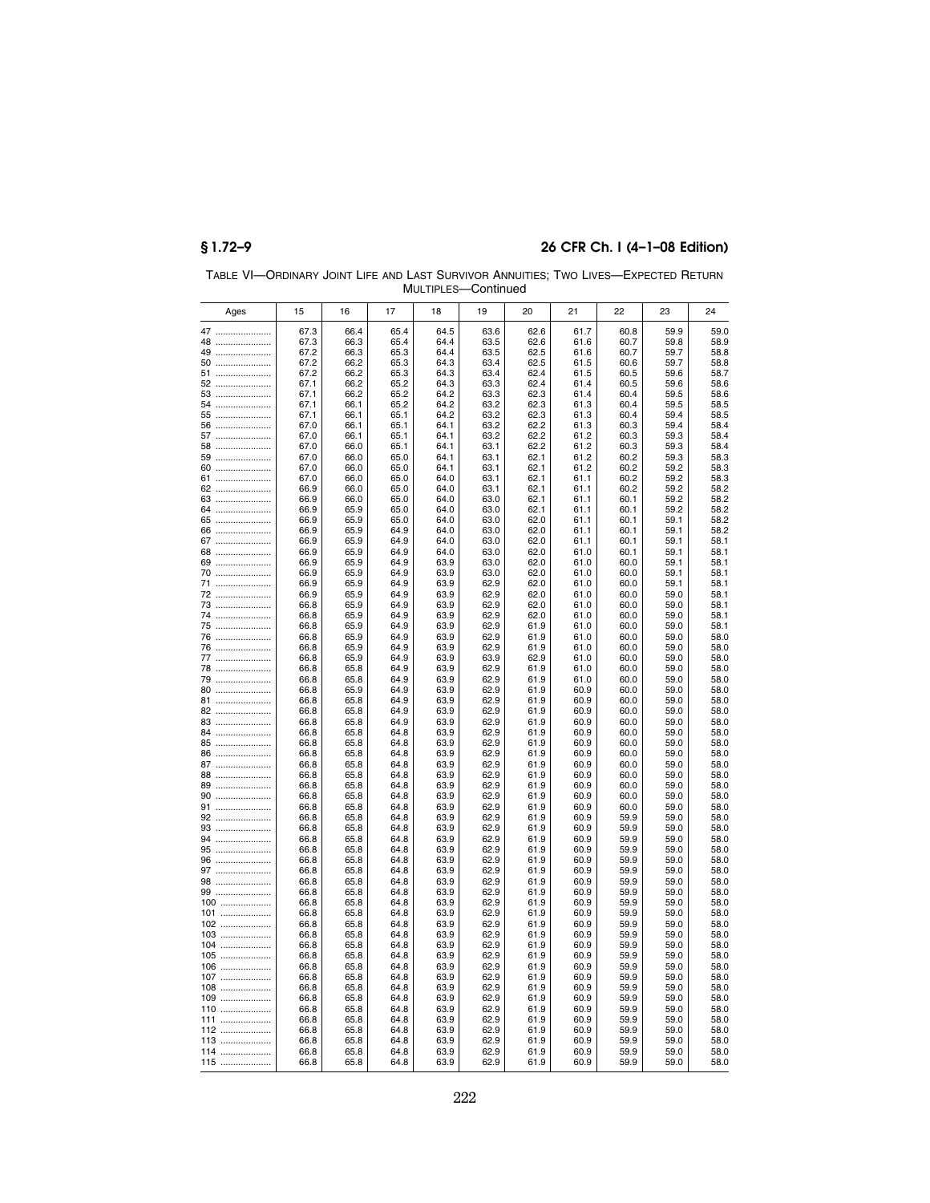|              |              |              |              | 171 J L I II | oununuu      |              |              |              |              |              |
|--------------|--------------|--------------|--------------|--------------|--------------|--------------|--------------|--------------|--------------|--------------|
| Ages         | 15           | 16           | 17           | 18           | 19           | 20           | 21           | 22           | 23           | 24           |
| 47           | 67.3         | 66.4         | 65.4         | 64.5         | 63.6         | 62.6         | 61.7         | 60.8         | 59.9         | 59.0         |
| 48           | 67.3         | 66.3         | 65.4         | 64.4         | 63.5         | 62.6         | 61.6         | 60.7         | 59.8         | 58.9         |
| 49           | 67.2         | 66.3         | 65.3         | 64.4         | 63.5         | 62.5         | 61.6         | 60.7         | 59.7         | 58.8         |
| 50<br>51     | 67.2<br>67.2 | 66.2<br>66.2 | 65.3<br>65.3 | 64.3<br>64.3 | 63.4<br>63.4 | 62.5<br>62.4 | 61.5<br>61.5 | 60.6<br>60.5 | 59.7<br>59.6 | 58.8<br>58.7 |
| 52           | 67.1         | 66.2         | 65.2         | 64.3         | 63.3         | 62.4         | 61.4         | 60.5         | 59.6         | 58.6         |
| 53           | 67.1         | 66.2         | 65.2         | 64.2         | 63.3         | 62.3         | 61.4         | 60.4         | 59.5         | 58.6         |
| 54           | 67.1         | 66.1         | 65.2         | 64.2         | 63.2         | 62.3         | 61.3         | 60.4         | 59.5         | 58.5         |
| 55           | 67.1         | 66.1         | 65.1         | 64.2         | 63.2         | 62.3         | 61.3         | 60.4         | 59.4         | 58.5         |
| 56           | 67.0         | 66.1         | 65.1         | 64.1         | 63.2         | 62.2         | 61.3         | 60.3         | 59.4         | 58.4         |
| 57<br>58     | 67.0<br>67.0 | 66.1<br>66.0 | 65.1<br>65.1 | 64.1<br>64.1 | 63.2<br>63.1 | 62.2<br>62.2 | 61.2<br>61.2 | 60.3<br>60.3 | 59.3<br>59.3 | 58.4<br>58.4 |
| 59           | 67.0         | 66.0         | 65.0         | 64.1         | 63.1         | 62.1         | 61.2         | 60.2         | 59.3         | 58.3         |
| 60           | 67.0         | 66.0         | 65.0         | 64.1         | 63.1         | 62.1         | 61.2         | 60.2         | 59.2         | 58.3         |
| 61           | 67.0         | 66.0         | 65.0         | 64.0         | 63.1         | 62.1         | 61.1         | 60.2         | 59.2         | 58.3         |
| 62           | 66.9         | 66.0         | 65.0         | 64.0         | 63.1         | 62.1         | 61.1         | 60.2         | 59.2         | 58.2         |
| 63<br>64     | 66.9<br>66.9 | 66.0<br>65.9 | 65.0<br>65.0 | 64.0<br>64.0 | 63.0<br>63.0 | 62.1<br>62.1 | 61.1<br>61.1 | 60.1<br>60.1 | 59.2<br>59.2 | 58.2<br>58.2 |
| 65           | 66.9         | 65.9         | 65.0         | 64.0         | 63.0         | 62.0         | 61.1         | 60.1         | 59.1         | 58.2         |
| 66           | 66.9         | 65.9         | 64.9         | 64.0         | 63.0         | 62.0         | 61.1         | 60.1         | 59.1         | 58.2         |
| 67           | 66.9         | 65.9         | 64.9         | 64.0         | 63.0         | 62.0         | 61.1         | 60.1         | 59.1         | 58.1         |
| 68           | 66.9         | 65.9         | 64.9         | 64.0         | 63.0         | 62.0         | 61.0         | 60.1         | 59.1         | 58.1         |
| 69           | 66.9         | 65.9         | 64.9         | 63.9         | 63.0         | 62.0         | 61.0         | 60.0         | 59.1         | 58.1         |
| 70<br>71     | 66.9<br>66.9 | 65.9<br>65.9 | 64.9<br>64.9 | 63.9<br>63.9 | 63.0<br>62.9 | 62.0<br>62.0 | 61.0<br>61.0 | 60.0<br>60.0 | 59.1<br>59.1 | 58.1<br>58.1 |
| 72           | 66.9         | 65.9         | 64.9         | 63.9         | 62.9         | 62.0         | 61.0         | 60.0         | 59.0         | 58.1         |
| 73           | 66.8         | 65.9         | 64.9         | 63.9         | 62.9         | 62.0         | 61.0         | 60.0         | 59.0         | 58.1         |
| 74           | 66.8         | 65.9         | 64.9         | 63.9         | 62.9         | 62.0         | 61.0         | 60.0         | 59.0         | 58.1         |
| 75           | 66.8         | 65.9         | 64.9         | 63.9         | 62.9         | 61.9         | 61.0         | 60.0         | 59.0         | 58.1         |
| 76           | 66.8         | 65.9         | 64.9         | 63.9         | 62.9<br>62.9 | 61.9         | 61.0         | 60.0         | 59.0         | 58.0         |
| 76<br>77     | 66.8<br>66.8 | 65.9<br>65.9 | 64.9<br>64.9 | 63.9<br>63.9 | 63.9         | 61.9<br>62.9 | 61.0<br>61.0 | 60.0<br>60.0 | 59.0<br>59.0 | 58.0<br>58.0 |
| 78           | 66.8         | 65.8         | 64.9         | 63.9         | 62.9         | 61.9         | 61.0         | 60.0         | 59.0         | 58.0         |
| 79           | 66.8         | 65.8         | 64.9         | 63.9         | 62.9         | 61.9         | 61.0         | 60.0         | 59.0         | 58.0         |
| 80           | 66.8         | 65.9         | 64.9         | 63.9         | 62.9         | 61.9         | 60.9         | 60.0         | 59.0         | 58.0         |
| 81           | 66.8         | 65.8         | 64.9         | 63.9         | 62.9         | 61.9         | 60.9         | 60.0         | 59.0         | 58.0         |
| 82           | 66.8         | 65.8         | 64.9<br>64.9 | 63.9         | 62.9         | 61.9         | 60.9<br>60.9 | 60.0         | 59.0         | 58.0         |
| 83<br>84     | 66.8<br>66.8 | 65.8<br>65.8 | 64.8         | 63.9<br>63.9 | 62.9<br>62.9 | 61.9<br>61.9 | 60.9         | 60.0<br>60.0 | 59.0<br>59.0 | 58.0<br>58.0 |
| 85           | 66.8         | 65.8         | 64.8         | 63.9         | 62.9         | 61.9         | 60.9         | 60.0         | 59.0         | 58.0         |
| 86           | 66.8         | 65.8         | 64.8         | 63.9         | 62.9         | 61.9         | 60.9         | 60.0         | 59.0         | 58.0         |
| 87           | 66.8         | 65.8         | 64.8         | 63.9         | 62.9         | 61.9         | 60.9         | 60.0         | 59.0         | 58.0         |
| 88           | 66.8         | 65.8         | 64.8         | 63.9         | 62.9         | 61.9         | 60.9         | 60.0         | 59.0         | 58.0         |
| 89<br>90     | 66.8<br>66.8 | 65.8<br>65.8 | 64.8<br>64.8 | 63.9<br>63.9 | 62.9<br>62.9 | 61.9<br>61.9 | 60.9<br>60.9 | 60.0<br>60.0 | 59.0<br>59.0 | 58.0<br>58.0 |
| 91           | 66.8         | 65.8         | 64.8         | 63.9         | 62.9         | 61.9         | 60.9         | 60.0         | 59.0         | 58.0         |
| 92           | 66.8         | 65.8         | 64.8         | 63.9         | 62.9         | 61.9         | 60.9         | 59.9         | 59.0         | 58.0         |
| 93           | 66.8         | 65.8         | 64.8         | 63.9         | 62.9         | 61.9         | 60.9         | 59.9         | 59.0         | 58.0         |
| 94           | 66.8         | 65.8         | 64.8         | 63.9         | 62.9         | 61.9         | 60.9         | 59.9         | 59.0         | 58.0         |
| 95           | 66.8<br>66.8 | 65.8<br>65.8 | 64.8<br>64.8 | 63.9<br>63.9 | 62.9<br>62.9 | 61.9<br>61.9 | 60.9<br>60.9 | 59.9<br>59.9 | 59.0<br>59.0 | 58.0<br>58.0 |
| 96<br>97     | 66.8         | 65.8         | 64.8         | 63.9         | 62.9         | 61.9         | 60.9         | 59.9         | 59.0         | 58.0         |
| 98           | 66.8         | 65.8         | 64.8         | 63.9         | 62.9         | 61.9         | 60.9         | 59.9         | 59.0         | 58.0         |
| 99           | 66.8         | 65.8         | 64.8         | 63.9         | 62.9         | 61.9         | 60.9         | 59.9         | 59.0         | 58.0         |
| 100          | 66.8         | 65.8         | 64.8         | 63.9         | 62.9         | 61.9         | 60.9         | 59.9         | 59.0         | 58.0         |
| 101          | 66.8         | 65.8         | 64.8         | 63.9         | 62.9         | 61.9         | 60.9         | 59.9         | 59.0         | 58.0         |
| 102<br>$103$ | 66.8<br>66.8 | 65.8<br>65.8 | 64.8<br>64.8 | 63.9<br>63.9 | 62.9<br>62.9 | 61.9<br>61.9 | 60.9<br>60.9 | 59.9<br>59.9 | 59.0<br>59.0 | 58.0<br>58.0 |
| 104          | 66.8         | 65.8         | 64.8         | 63.9         | 62.9         | 61.9         | 60.9         | 59.9         | 59.0         | 58.0         |
| 105          | 66.8         | 65.8         | 64.8         | 63.9         | 62.9         | 61.9         | 60.9         | 59.9         | 59.0         | 58.0         |
| 106          | 66.8         | 65.8         | 64.8         | 63.9         | 62.9         | 61.9         | 60.9         | 59.9         | 59.0         | 58.0         |
| 107          | 66.8         | 65.8         | 64.8         | 63.9         | 62.9         | 61.9         | 60.9         | 59.9         | 59.0         | 58.0         |
| 108          | 66.8         | 65.8         | 64.8         | 63.9         | 62.9         | 61.9         | 60.9         | 59.9         | 59.0         | 58.0         |
| 109<br>110   | 66.8<br>66.8 | 65.8<br>65.8 | 64.8<br>64.8 | 63.9<br>63.9 | 62.9<br>62.9 | 61.9<br>61.9 | 60.9<br>60.9 | 59.9<br>59.9 | 59.0<br>59.0 | 58.0<br>58.0 |
| 111          | 66.8         | 65.8         | 64.8         | 63.9         | 62.9         | 61.9         | 60.9         | 59.9         | 59.0         | 58.0         |
| 112          | 66.8         | 65.8         | 64.8         | 63.9         | 62.9         | 61.9         | 60.9         | 59.9         | 59.0         | 58.0         |
| 113          | 66.8         | 65.8         | 64.8         | 63.9         | 62.9         | 61.9         | 60.9         | 59.9         | 59.0         | 58.0         |
| 114          | 66.8         | 65.8         | 64.8         | 63.9         | 62.9         | 61.9         | 60.9         | 59.9         | 59.0         | 58.0         |
| 115          | 66.8         | 65.8         | 64.8         | 63.9         | 62.9         | 61.9         | 60.9         | 59.9         | 59.0         | 58.0         |

TABLE VI—ORDINARY JOINT LIFE AND LAST SURVIVOR ANNUITIES; TWO LIVES—EXPECTED RETURN MULTIPLES—Continued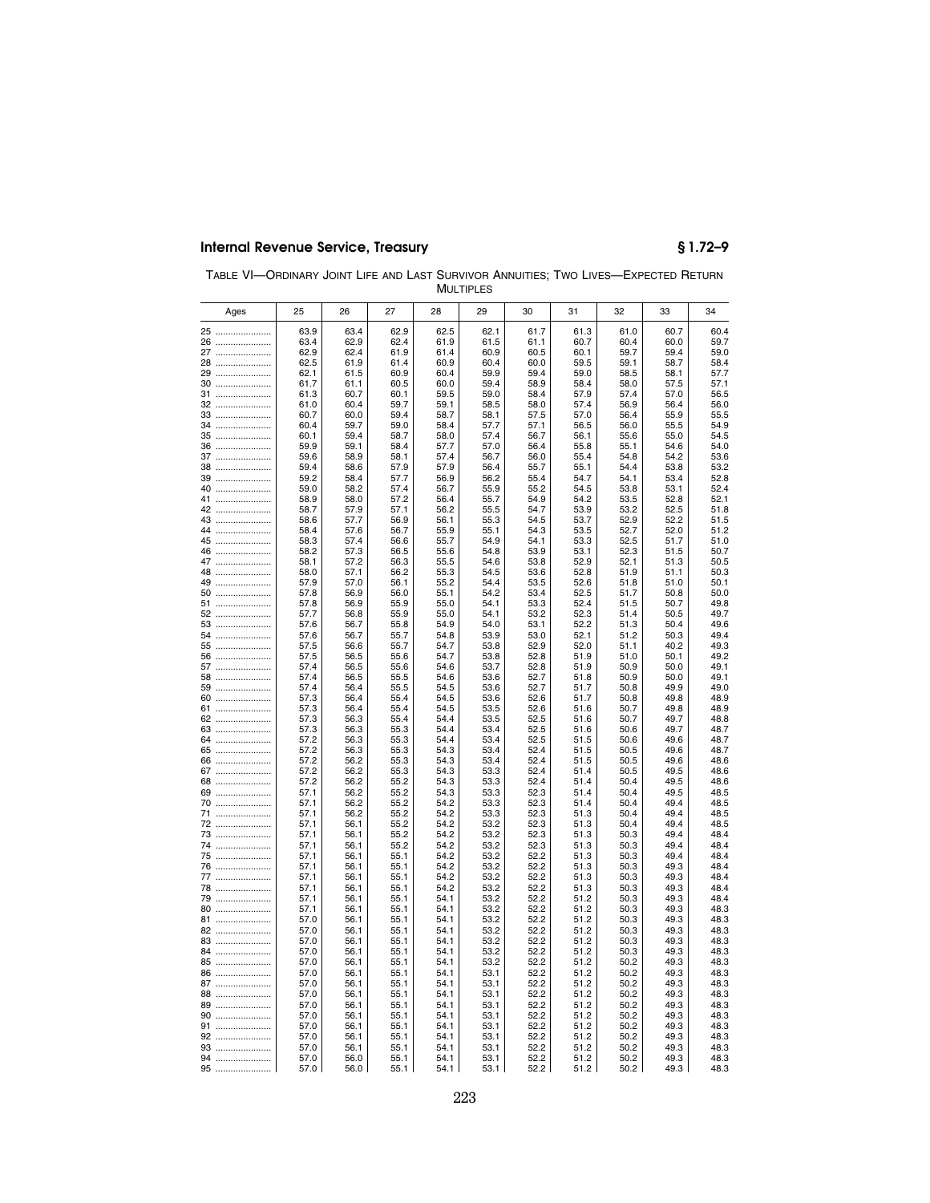| TABLE VI-ORDINARY JOINT LIFE AND LAST SURVIVOR ANNUITIES: TWO LIVES-EXPECTED RETURN |                  |  |  |
|-------------------------------------------------------------------------------------|------------------|--|--|
|                                                                                     | <b>MULTIPLES</b> |  |  |

| Ages         | 25           | 26           | 27           | 28           | 29           | 30           | 31           | 32           | 33           | 34           |
|--------------|--------------|--------------|--------------|--------------|--------------|--------------|--------------|--------------|--------------|--------------|
| 25           | 63.9         | 63.4         | 62.9         | 62.5         | 62.1         | 61.7         | 61.3         | 61.0         | 60.7         | 60.4         |
| 26           | 63.4         | 62.9         | 62.4         | 61.9         | 61.5         | 61.1         | 60.7         | 60.4         | 60.0         | 59.7         |
| 27           | 62.9         | 62.4         | 61.9         | 61.4         | 60.9         | 60.5         | 60.1         | 59.7         | 59.4         | 59.0         |
| 28           | 62.5         | 61.9         | 61.4         | 60.9         | 60.4         | 60.0         | 59.5         | 59.1         | 58.7         | 58.4         |
| 29           | 62.1         | 61.5         | 60.9         | 60.4         | 59.9         | 59.4         | 59.0         | 58.5         | 58.1         | 57.7         |
| 30           | 61.7         | 61.1         | 60.5         | 60.0         | 59.4         | 58.9         | 58.4         | 58.0         | 57.5         | 57.1         |
| 31           | 61.3         | 60.7         | 60.1         | 59.5         | 59.0         | 58.4         | 57.9         | 57.4         | 57.0         | 56.5         |
| 32           | 61.0         | 60.4         | 59.7         | 59.1         | 58.5         | 58.0         | 57.4         | 56.9         | 56.4         | 56.0         |
| 33           | 60.7         | 60.0         | 59.4         | 58.7         | 58.1         | 57.5         | 57.0         | 56.4         | 55.9         | 55.5         |
| 34           | 60.4         | 59.7         | 59.0         | 58.4         | 57.7         | 57.1         | 56.5         | 56.0         | 55.5         | 54.9         |
| 35           | 60.1         | 59.4         | 58.7         | 58.0         | 57.4         | 56.7         | 56.1         | 55.6         | 55.0         | 54.5         |
| 36           | 59.9         | 59.1         | 58.4         | 57.7<br>57.4 | 57.0         | 56.4         | 55.8         | 55.1         | 54.6         | 54.0         |
| 37<br>38     | 59.6<br>59.4 | 58.9<br>58.6 | 58.1<br>57.9 | 57.9         | 56.7<br>56.4 | 56.0<br>55.7 | 55.4<br>55.1 | 54.8<br>54.4 | 54.2<br>53.8 | 53.6<br>53.2 |
| 39           | 59.2         | 58.4         | 57.7         | 56.9         | 56.2         | 55.4         | 54.7         | 54.1         | 53.4         | 52.8         |
| 40           | 59.0         | 58.2         | 57.4         | 56.7         | 55.9         | 55.2         | 54.5         | 53.8         | 53.1         | 52.4         |
| 41           | 58.9         | 58.0         | 57.2         | 56.4         | 55.7         | 54.9         | 54.2         | 53.5         | 52.8         | 52.1         |
| 42           | 58.7         | 57.9         | 57.1         | 56.2         | 55.5         | 54.7         | 53.9         | 53.2         | 52.5         | 51.8         |
| 43           | 58.6         | 57.7         | 56.9         | 56.1         | 55.3         | 54.5         | 53.7         | 52.9         | 52.2         | 51.5         |
| 44           | 58.4         | 57.6         | 56.7         | 55.9         | 55.1         | 54.3         | 53.5         | 52.7         | 52.0         | 51.2         |
| 45           | 58.3         | 57.4         | 56.6         | 55.7         | 54.9         | 54.1         | 53.3         | 52.5         | 51.7         | 51.0         |
| 46           | 58.2         | 57.3         | 56.5         | 55.6         | 54.8         | 53.9         | 53.1         | 52.3         | 51.5         | 50.7         |
| 47           | 58.1         | 57.2         | 56.3         | 55.5         | 54.6         | 53.8         | 52.9         | 52.1         | 51.3         | 50.5         |
| 48           | 58.0         | 57.1         | 56.2         | 55.3         | 54.5         | 53.6         | 52.8         | 51.9         | 51.1         | 50.3         |
| 49<br>50     | 57.9<br>57.8 | 57.0<br>56.9 | 56.1<br>56.0 | 55.2<br>55.1 | 54.4<br>54.2 | 53.5<br>53.4 | 52.6<br>52.5 | 51.8<br>51.7 | 51.0<br>50.8 | 50.1<br>50.0 |
| 51           | 57.8         | 56.9         | 55.9         | 55.0         | 54.1         | 53.3         | 52.4         | 51.5         | 50.7         | 49.8         |
| 52           | 57.7         | 56.8         | 55.9         | 55.0         | 54.1         | 53.2         | 52.3         | 51.4         | 50.5         | 49.7         |
| 53           | 57.6         | 56.7         | 55.8         | 54.9         | 54.0         | 53.1         | 52.2         | 51.3         | 50.4         | 49.6         |
| 54           | 57.6         | 56.7         | 55.7         | 54.8         | 53.9         | 53.0         | 52.1         | 51.2         | 50.3         | 49.4         |
| 55           | 57.5         | 56.6         | 55.7         | 54.7         | 53.8         | 52.9         | 52.0         | 51.1         | 40.2         | 49.3         |
| 56           | 57.5         | 56.5         | 55.6         | 54.7         | 53.8         | 52.8         | 51.9         | 51.0         | 50.1         | 49.2         |
| 57           | 57.4         | 56.5         | 55.6         | 54.6<br>54.6 | 53.7         | 52.8         | 51.9         | 50.9         | 50.0         | 49.1         |
| 58           | 57.4<br>57.4 | 56.5<br>56.4 | 55.5<br>55.5 | 54.5         | 53.6<br>53.6 | 52.7<br>52.7 | 51.8<br>51.7 | 50.9<br>50.8 | 50.0<br>49.9 | 49.1<br>49.0 |
| 59<br>60     | 57.3         | 56.4         | 55.4         | 54.5         | 53.6         | 52.6         | 51.7         | 50.8         | 49.8         | 48.9         |
| 61           | 57.3         | 56.4         | 55.4         | 54.5         | 53.5         | 52.6         | 51.6         | 50.7         | 49.8         | 48.9         |
| 62           | 57.3         | 56.3         | 55.4         | 54.4         | 53.5         | 52.5         | 51.6         | 50.7         | 49.7         | 48.8         |
| 63           | 57.3         | 56.3         | 55.3         | 54.4         | 53.4         | 52.5         | 51.6         | 50.6         | 49.7         | 48.7         |
| 64           | 57.2         | 56.3         | 55.3         | 54.4         | 53.4         | 52.5         | 51.5         | 50.6         | 49.6         | 48.7         |
| 65           | 57.2         | 56.3         | 55.3         | 54.3         | 53.4         | 52.4         | 51.5         | 50.5         | 49.6         | 48.7         |
| 66<br>       | 57.2         | 56.2         | 55.3         | 54.3         | 53.4         | 52.4         | 51.5         | 50.5         | 49.6         | 48.6         |
| 67<br>68<br> | 57.2<br>57.2 | 56.2<br>56.2 | 55.3<br>55.2 | 54.3<br>54.3 | 53.3<br>53.3 | 52.4<br>52.4 | 51.4<br>51.4 | 50.5<br>50.4 | 49.5<br>49.5 | 48.6<br>48.6 |
| 69           | 57.1         | 56.2         | 55.2         | 54.3         | 53.3         | 52.3         | 51.4         | 50.4         | 49.5         | 48.5         |
| 70           | 57.1         | 56.2         | 55.2         | 54.2         | 53.3         | 52.3         | 51.4         | 50.4         | 49.4         | 48.5         |
| 71           | 57.1         | 56.2         | 55.2         | 54.2         | 53.3         | 52.3         | 51.3         | 50.4         | 49.4         | 48.5         |
| 72           | 57.1         | 56.1         | 55.2         | 54.2         | 53.2         | 52.3         | 51.3         | 50.4         | 49.4         | 48.5         |
| 73           | 57.1         | 56.1         | 55.2         | 54.2         | 53.2         | 52.3         | 51.3         | 50.3         | 49.4         | 48.4         |
| 74           | 57.1         | 56.1         | 55.2         | 54.2         | 53.2         | 52.3         | 51.3         | 50.3         | 49.4         | 48.4         |
| 75           | 57.1         | 56.1         | 55.1         | 54.2         | 53.2         | 52.2         | 51.3         | 50.3         | 49.4         | 48.4         |
| 76           | 57.1<br>57.1 | 56.1<br>56.1 | 55.1<br>55.1 | 54.2<br>54.2 | 53.2<br>53.2 | 52.2<br>52.2 | 51.3<br>51.3 | 50.3<br>50.3 | 49.3<br>49.3 | 48.4<br>48.4 |
| 77<br>78     | 57.1         | 56.1         | 55.1         | 54.2         | 53.2         | 52.2         | 51.3         | 50.3         | 49.3         | 48.4         |
| 79           | 57.1         | 56.1         | 55.1         | 54.1         | 53.2         | 52.2         | 51.2         | 50.3         | 49.3         | 48.4         |
| 80           | 57.1         | 56.1         | 55.1         | 54.1         | 53.2         | 52.2         | 51.2         | 50.3         | 49.3         | 48.3         |
| 81           | 57.0         | 56.1         | 55.1         | 54.1         | 53.2         | 52.2         | 51.2         | 50.3         | 49.3         | 48.3         |
| 82           | 57.0         | 56.1         | 55.1         | 54.1         | 53.2         | 52.2         | 51.2         | 50.3         | 49.3         | 48.3         |
| 83           | 57.0         | 56.1         | 55.1         | 54.1         | 53.2         | 52.2         | 51.2         | 50.3         | 49.3         | 48.3         |
| 84           | 57.0         | 56.1         | 55.1         | 54.1         | 53.2         | 52.2         | 51.2         | 50.3         | 49.3         | 48.3         |
| 85           | 57.0         | 56.1         | 55.1         | 54.1         | 53.2         | 52.2         | 51.2         | 50.2         | 49.3         | 48.3         |
| 86           | 57.0         | 56.1         | 55.1         | 54.1         | 53.1         | 52.2         | 51.2         | 50.2         | 49.3         | 48.3         |
| 87           | 57.0<br>57.0 | 56.1<br>56.1 | 55.1<br>55.1 | 54.1<br>54.1 | 53.1<br>53.1 | 52.2<br>52.2 | 51.2<br>51.2 | 50.2<br>50.2 | 49.3<br>49.3 | 48.3<br>48.3 |
| 88<br>89     | 57.0         | 56.1         | 55.1         | 54.1         | 53.1         | 52.2         | 51.2         | 50.2         | 49.3         | 48.3         |
| 90           | 57.0         | 56.1         | 55.1         | 54.1         | 53.1         | 52.2         | 51.2         | 50.2         | 49.3         | 48.3         |
| 91           | 57.0         | 56.1         | 55.1         | 54.1         | 53.1         | 52.2         | 51.2         | 50.2         | 49.3         | 48.3         |
| 92           | 57.0         | 56.1         | 55.1         | 54.1         | 53.1         | 52.2         | 51.2         | 50.2         | 49.3         | 48.3         |
| 93           | 57.0         | 56.1         | 55.1         | 54.1         | 53.1         | 52.2         | 51.2         | 50.2         | 49.3         | 48.3         |
| 94           | 57.0         | 56.0         | 55.1         | 54.1         | 53.1         | 52.2         | 51.2         | 50.2         | 49.3         | 48.3         |
| 95           | 57.0         | 56.0         | 55.1         | 54.1         | 53.1         | 52.2         | 51.2         | 50.2         | 49.3         | 48.3         |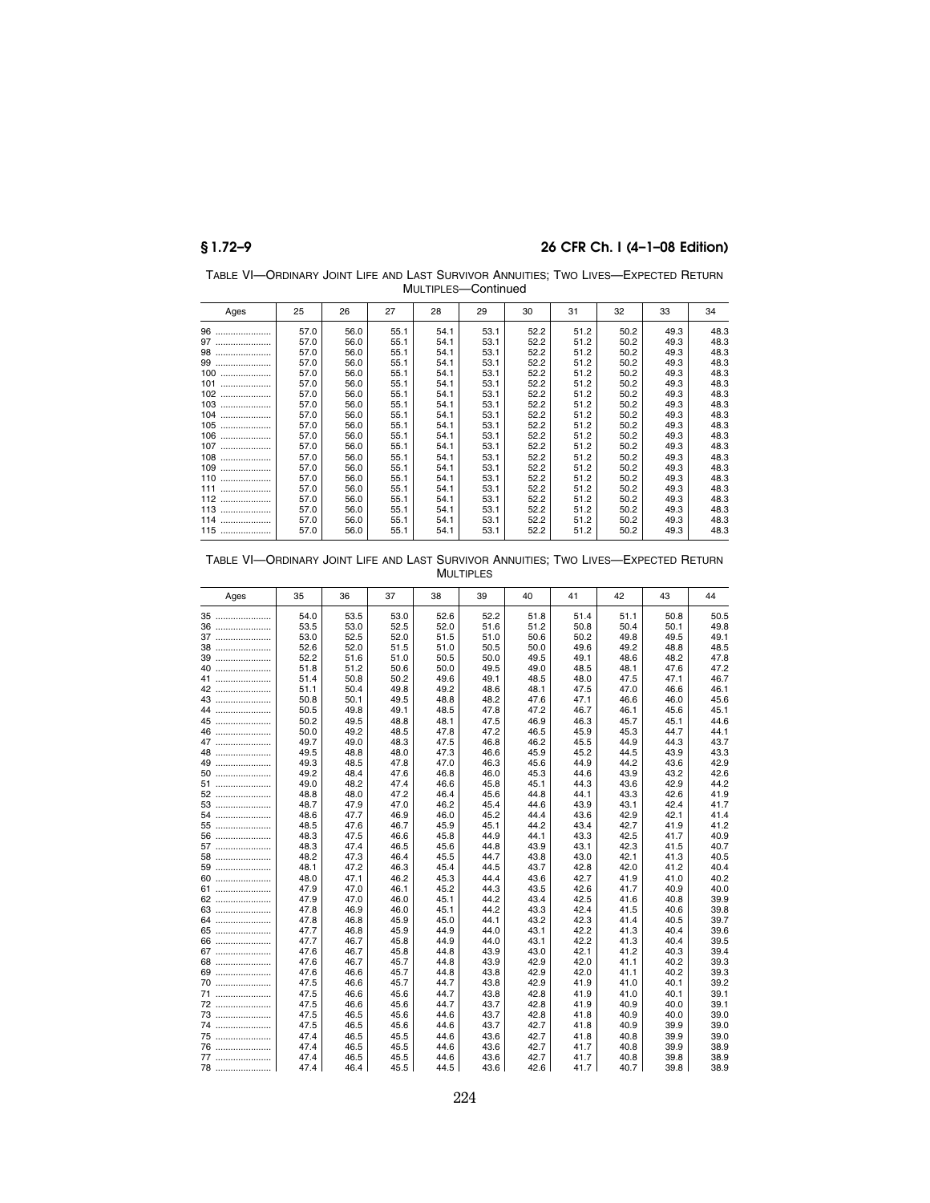TABLE VI—ORDINARY JOINT LIFE AND LAST SURVIVOR ANNUITIES; TWO LIVES—EXPECTED RETURN MULTIPLES—Continued

| Ages     | 25   | 26   | 27   | 28   | 29   | 30   | 31   | 32   | 33   | 34   |
|----------|------|------|------|------|------|------|------|------|------|------|
| 96<br>   | 57.0 | 56.0 | 55.1 | 54.1 | 53.1 | 52.2 | 51.2 | 50.2 | 49.3 | 48.3 |
| 97       | 57.0 | 56.0 | 55.1 | 54.1 | 53.1 | 52.2 | 51.2 | 50.2 | 49.3 | 48.3 |
| 98       | 57.0 | 56.0 | 55.1 | 54.1 | 53.1 | 52.2 | 51.2 | 50.2 | 49.3 | 48.3 |
| 99       | 57.0 | 56.0 | 55.1 | 54.1 | 53.1 | 52.2 | 51.2 | 50.2 | 49.3 | 48.3 |
| 100<br>. | 57.0 | 56.0 | 55.1 | 54.1 | 53.1 | 52.2 | 51.2 | 50.2 | 49.3 | 48.3 |
| 101<br>  | 57.0 | 56.0 | 55.1 | 54.1 | 53.1 | 52.2 | 51.2 | 50.2 | 49.3 | 48.3 |
| 102      | 57.0 | 56.0 | 55.1 | 54.1 | 53.1 | 52.2 | 51.2 | 50.2 | 49.3 | 48.3 |
| 103      | 57.0 | 56.0 | 55.1 | 54.1 | 53.1 | 52.2 | 51.2 | 50.2 | 49.3 | 48.3 |
| 104      | 57.0 | 56.0 | 55.1 | 54.1 | 53.1 | 52.2 | 51.2 | 50.2 | 49.3 | 48.3 |
| $105$    | 57.0 | 56.0 | 55.1 | 54.1 | 53.1 | 52.2 | 51.2 | 50.2 | 49.3 | 48.3 |
| 106<br>. | 57.0 | 56.0 | 55.1 | 54.1 | 53.1 | 52.2 | 51.2 | 50.2 | 49.3 | 48.3 |
| 107      | 57.0 | 56.0 | 55.1 | 54.1 | 53.1 | 52.2 | 51.2 | 50.2 | 49.3 | 48.3 |
| $108$    | 57.0 | 56.0 | 55.1 | 54.1 | 53.1 | 52.2 | 51.2 | 50.2 | 49.3 | 48.3 |
| 109      | 57.0 | 56.0 | 55.1 | 54.1 | 53.1 | 52.2 | 51.2 | 50.2 | 49.3 | 48.3 |
| 110<br>. | 57.0 | 56.0 | 55.1 | 54.1 | 53.1 | 52.2 | 51.2 | 50.2 | 49.3 | 48.3 |
| 111<br>. | 57.0 | 56.0 | 55.1 | 54.1 | 53.1 | 52.2 | 51.2 | 50.2 | 49.3 | 48.3 |
| 112      | 57.0 | 56.0 | 55.1 | 54.1 | 53.1 | 52.2 | 51.2 | 50.2 | 49.3 | 48.3 |
| 113      | 57.0 | 56.0 | 55.1 | 54.1 | 53.1 | 52.2 | 51.2 | 50.2 | 49.3 | 48.3 |
| 114<br>. | 57.0 | 56.0 | 55.1 | 54.1 | 53.1 | 52.2 | 51.2 | 50.2 | 49.3 | 48.3 |
| 115      | 57.0 | 56.0 | 55.1 | 54.1 | 53.1 | 52.2 | 51.2 | 50.2 | 49.3 | 48.3 |

TABLE VI—ORDINARY JOINT LIFE AND LAST SURVIVOR ANNUITIES; TWO LIVES—EXPECTED RETURN MULTIPLES

| Ages | 35   | 36   | 37   | 38   | 39   | 40   | 41   | 42   | 43   | 44   |
|------|------|------|------|------|------|------|------|------|------|------|
| 35   | 54.0 | 53.5 | 53.0 | 52.6 | 52.2 | 51.8 | 51.4 | 51.1 | 50.8 | 50.5 |
| 36   | 53.5 | 53.0 | 52.5 | 52.0 | 51.6 | 51.2 | 50.8 | 50.4 | 50.1 | 49.8 |
| 37   | 53.0 | 52.5 | 52.0 | 51.5 | 51.0 | 50.6 | 50.2 | 49.8 | 49.5 | 49.1 |
| 38   | 52.6 | 52.0 | 51.5 | 51.0 | 50.5 | 50.0 | 49.6 | 49.2 | 48.8 | 48.5 |
| 39   | 52.2 | 51.6 | 51.0 | 50.5 | 50.0 | 49.5 | 49.1 | 48.6 | 48.2 | 47.8 |
| 40   | 51.8 | 51.2 | 50.6 | 50.0 | 49.5 | 49.0 | 48.5 | 48.1 | 47.6 | 47.2 |
| 41   | 51.4 | 50.8 | 50.2 | 49.6 | 49.1 | 48.5 | 48.0 | 47.5 | 47.1 | 46.7 |
| 42   | 51.1 | 50.4 | 49.8 | 49.2 | 48.6 | 48.1 | 47.5 | 47.0 | 46.6 | 46.1 |
| 43   | 50.8 | 50.1 | 49.5 | 48.8 | 48.2 | 47.6 | 47.1 | 46.6 | 46.0 | 45.6 |
| 44   | 50.5 | 49.8 | 49.1 | 48.5 | 47.8 | 47.2 | 46.7 | 46.1 | 45.6 | 45.1 |
| 45   | 50.2 | 49.5 | 48.8 | 48.1 | 47.5 | 46.9 | 46.3 | 45.7 | 45.1 | 44.6 |
| 46   | 50.0 | 49.2 | 48.5 | 47.8 | 47.2 | 46.5 | 45.9 | 45.3 | 44.7 | 44.1 |
| 47   | 49.7 | 49.0 | 48.3 | 47.5 | 46.8 | 46.2 | 45.5 | 44.9 | 44.3 | 43.7 |
| 48   | 49.5 | 48.8 | 48.0 | 47.3 | 46.6 | 45.9 | 45.2 | 44.5 | 43.9 | 43.3 |
| 49   | 49.3 | 48.5 | 47.8 | 47.0 | 46.3 | 45.6 | 44.9 | 44.2 | 43.6 | 42.9 |
| 50   | 49.2 | 48.4 | 47.6 | 46.8 | 46.0 | 45.3 | 44.6 | 43.9 | 43.2 | 42.6 |
| 51   | 49.0 | 48.2 | 47.4 | 46.6 | 45.8 | 45.1 | 44.3 | 43.6 | 42.9 | 44.2 |
| 52   | 48.8 | 48.0 | 47.2 | 46.4 | 45.6 | 44.8 | 44.1 | 43.3 | 42.6 | 41.9 |
| 53   | 48.7 | 47.9 | 47.0 | 46.2 | 45.4 | 44.6 | 43.9 | 43.1 | 42.4 | 41.7 |
| 54   | 48.6 | 47.7 | 46.9 | 46.0 | 45.2 | 44.4 | 43.6 | 42.9 | 42.1 | 41.4 |
| 55   | 48.5 | 47.6 | 46.7 | 45.9 | 45.1 | 44.2 | 43.4 | 42.7 | 41.9 | 41.2 |
| 56   | 48.3 | 47.5 | 46.6 | 45.8 | 44.9 | 44.1 | 43.3 | 42.5 | 41.7 | 40.9 |
| 57   | 48.3 | 47.4 | 46.5 | 45.6 | 44.8 | 43.9 | 43.1 | 42.3 | 41.5 | 40.7 |
| 58   | 48.2 | 47.3 | 46.4 | 45.5 | 44.7 | 43.8 | 43.0 | 42.1 | 41.3 | 40.5 |
| 59   | 48.1 | 47.2 | 46.3 | 45.4 | 44.5 | 43.7 | 42.8 | 42.0 | 41.2 | 40.4 |
| 60   | 48.0 | 47.1 | 46.2 | 45.3 | 44.4 | 43.6 | 42.7 | 41.9 | 41.0 | 40.2 |
| 61   | 47.9 | 47.0 | 46.1 | 45.2 | 44.3 | 43.5 | 42.6 | 41.7 | 40.9 | 40.0 |
| 62   | 47.9 | 47.0 | 46.0 | 45.1 | 44.2 | 43.4 | 42.5 | 41.6 | 40.8 | 39.9 |
| 63   | 47.8 | 46.9 | 46.0 | 45.1 | 44.2 | 43.3 | 42.4 | 41.5 | 40.6 | 39.8 |
| 64   | 47.8 | 46.8 | 45.9 | 45.0 | 44.1 | 43.2 | 42.3 | 41.4 | 40.5 | 39.7 |
| 65   | 47.7 | 46.8 | 45.9 | 44.9 | 44.0 | 43.1 | 42.2 | 41.3 | 40.4 | 39.6 |
| 66   | 47.7 | 46.7 | 45.8 | 44.9 | 44.0 | 43.1 | 42.2 | 41.3 | 40.4 | 39.5 |
| 67   | 47.6 | 46.7 | 45.8 | 44.8 | 43.9 | 43.0 | 42.1 | 41.2 | 40.3 | 39.4 |
| 68   | 47.6 | 46.7 | 45.7 | 44.8 | 43.9 | 42.9 | 42.0 | 41.1 | 40.2 | 39.3 |
| 69   | 47.6 | 46.6 | 45.7 | 44.8 | 43.8 | 42.9 | 42.0 | 41.1 | 40.2 | 39.3 |
| 70   | 47.5 | 46.6 | 45.7 | 44.7 | 43.8 | 42.9 | 41.9 | 41.0 | 40.1 | 39.2 |
| 71   | 47.5 | 46.6 | 45.6 | 44.7 | 43.8 | 42.8 | 41.9 | 41.0 | 40.1 | 39.1 |
| 72   | 47.5 | 46.6 | 45.6 | 44.7 | 43.7 | 42.8 | 41.9 | 40.9 | 40.0 | 39.1 |
| 73   | 47.5 | 46.5 | 45.6 | 44.6 | 43.7 | 42.8 | 41.8 | 40.9 | 40.0 | 39.0 |
| 74   | 47.5 | 46.5 | 45.6 | 44.6 | 43.7 | 42.7 | 41.8 | 40.9 | 39.9 | 39.0 |
| 75   | 47.4 | 46.5 | 45.5 | 44.6 | 43.6 | 42.7 | 41.8 | 40.8 | 39.9 | 39.0 |
| 76   | 47.4 | 46.5 | 45.5 | 44.6 | 43.6 | 42.7 | 41.7 | 40.8 | 39.9 | 38.9 |
| 77   | 47.4 | 46.5 | 45.5 | 44.6 | 43.6 | 42.7 | 41.7 | 40.8 | 39.8 | 38.9 |
| 78   | 47.4 | 46.4 | 45.5 | 44.5 | 43.6 | 42.6 | 41.7 | 40.7 | 39.8 | 38.9 |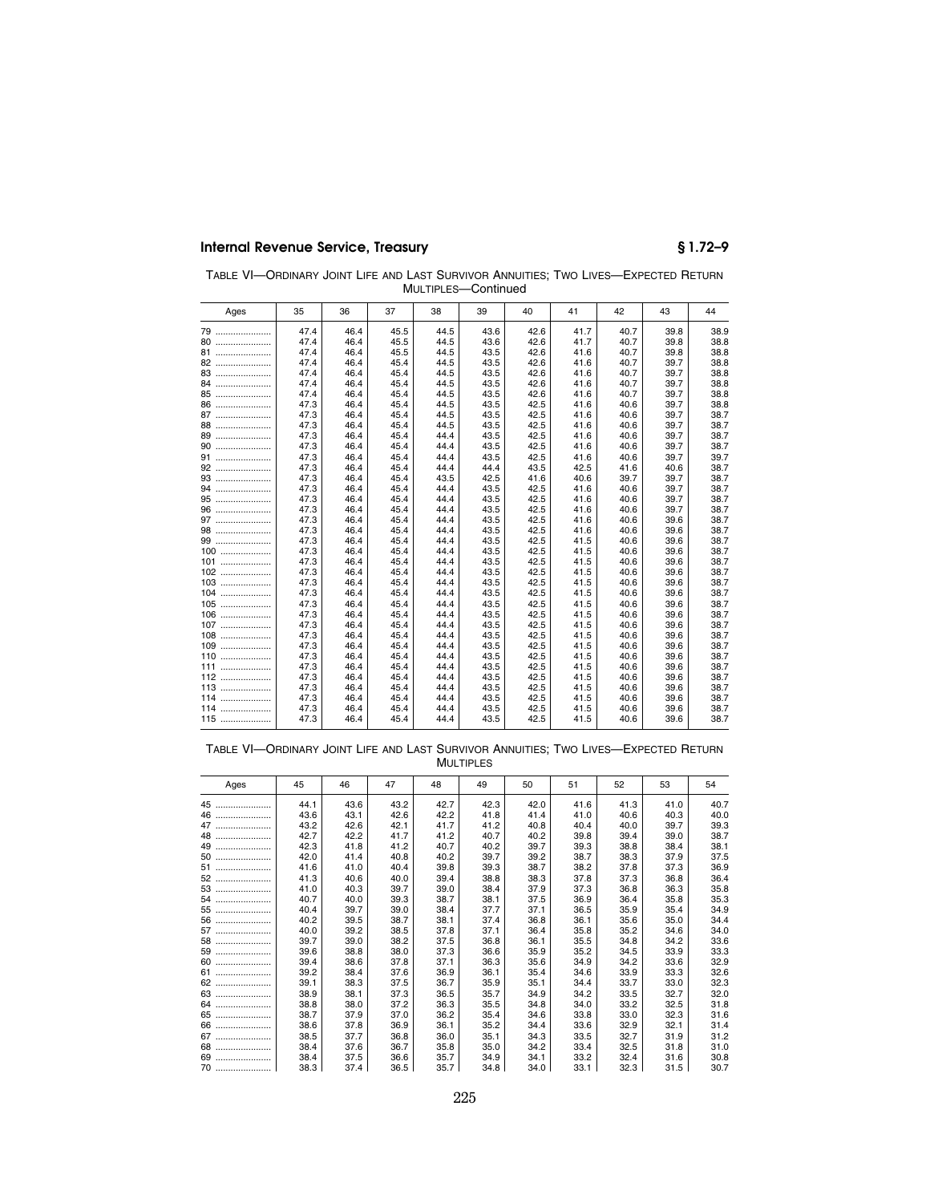| TABLE VI-ORDINARY JOINT LIFE AND LAST SURVIVOR ANNUITIES: TWO LIVES-EXPECTED RETURN |  |                     |  |  |
|-------------------------------------------------------------------------------------|--|---------------------|--|--|
|                                                                                     |  | MULTIPLES-Continued |  |  |

| Ages | 35   | 36   | 37   | 38   | 39   | 40   | 41   | 42   | 43   | 44   |
|------|------|------|------|------|------|------|------|------|------|------|
| 79   | 47.4 | 46.4 | 45.5 | 44.5 | 43.6 | 42.6 | 41.7 | 40.7 | 39.8 | 38.9 |
| 80   | 47.4 | 46.4 | 45.5 | 44.5 | 43.6 | 42.6 | 41.7 | 40.7 | 39.8 | 38.8 |
| 81   | 47.4 | 46.4 | 45.5 | 44.5 | 43.5 | 42.6 | 41.6 | 40.7 | 39.8 | 38.8 |
| 82   | 47.4 | 46.4 | 45.4 | 44.5 | 43.5 | 42.6 | 41.6 | 40.7 | 39.7 | 38.8 |
| 83   | 47.4 | 46.4 | 45.4 | 44.5 | 43.5 | 42.6 | 41.6 | 40.7 | 39.7 | 38.8 |
| 84   | 47.4 | 46.4 | 45.4 | 44.5 | 43.5 | 42.6 | 41.6 | 40.7 | 39.7 | 38.8 |
| 85   | 47.4 | 46.4 | 45.4 | 44.5 | 43.5 | 42.6 | 41.6 | 40.7 | 39.7 | 38.8 |
| 86   | 47.3 | 46.4 | 45.4 | 44.5 | 43.5 | 42.5 | 41.6 | 40.6 | 39.7 | 38.8 |
| 87   | 47.3 | 46.4 | 45.4 | 44.5 | 43.5 | 42.5 | 41.6 | 40.6 | 39.7 | 38.7 |
| 88   | 47.3 | 46.4 | 45.4 | 44.5 | 43.5 | 42.5 | 41.6 | 40.6 | 39.7 | 38.7 |
| 89   | 47.3 | 46.4 | 45.4 | 44.4 | 43.5 | 42.5 | 41.6 | 40.6 | 39.7 | 38.7 |
| 90   | 47.3 | 46.4 | 45.4 | 44.4 | 43.5 | 42.5 | 41.6 | 40.6 | 39.7 | 38.7 |
| 91   | 47.3 | 46.4 | 45.4 | 44.4 | 43.5 | 42.5 | 41.6 | 40.6 | 39.7 | 39.7 |
| 92   | 47.3 | 46.4 | 45.4 | 44.4 | 44.4 | 43.5 | 42.5 | 41.6 | 40.6 | 38.7 |
| 93   | 47.3 | 46.4 | 45.4 | 43.5 | 42.5 | 41.6 | 40.6 | 39.7 | 39.7 | 38.7 |
|      | 47.3 | 46.4 | 45.4 | 44.4 | 43.5 | 42.5 | 41.6 | 40.6 | 39.7 | 38.7 |
| 95   | 47.3 | 46.4 | 45.4 | 44.4 | 43.5 | 42.5 | 41.6 | 40.6 | 39.7 | 38.7 |
| 96   | 47.3 | 46.4 | 45.4 | 44.4 | 43.5 | 42.5 | 41.6 | 40.6 | 39.7 | 38.7 |
| 97   | 47.3 | 46.4 | 45.4 | 44.4 | 43.5 | 42.5 | 41.6 | 40.6 | 39.6 | 38.7 |
| 98   | 47.3 | 46.4 | 45.4 | 44.4 | 43.5 | 42.5 | 41.6 | 40.6 | 39.6 | 38.7 |
| 99   | 47.3 | 46.4 | 45.4 | 44.4 | 43.5 | 42.5 | 41.5 | 40.6 | 39.6 | 38.7 |
| 100  | 47.3 | 46.4 | 45.4 | 44.4 | 43.5 | 42.5 | 41.5 | 40.6 | 39.6 | 38.7 |
| 101  | 47.3 | 46.4 | 45.4 | 44.4 | 43.5 | 42.5 | 41.5 | 40.6 | 39.6 | 38.7 |
| 102  | 47.3 | 46.4 | 45.4 | 44.4 | 43.5 | 42.5 | 41.5 | 40.6 | 39.6 | 38.7 |
| 103  | 47.3 | 46.4 | 45.4 | 44.4 | 43.5 | 42.5 | 41.5 | 40.6 | 39.6 | 38.7 |
| 104  | 47.3 | 46.4 | 45.4 | 44.4 | 43.5 | 42.5 | 41.5 | 40.6 | 39.6 | 38.7 |
| 105  | 47.3 | 46.4 | 45.4 | 44.4 | 43.5 | 42.5 | 41.5 | 40.6 | 39.6 | 38.7 |
| 106  | 47.3 | 46.4 | 45.4 | 44.4 | 43.5 | 42.5 | 41.5 | 40.6 | 39.6 | 38.7 |
| 107  | 47.3 | 46.4 | 45.4 | 44.4 | 43.5 | 42.5 | 41.5 | 40.6 | 39.6 | 38.7 |
| 108  | 47.3 | 46.4 | 45.4 | 44.4 | 43.5 | 42.5 | 41.5 | 40.6 | 39.6 | 38.7 |
| 109  | 47.3 | 46.4 | 45.4 | 44.4 | 43.5 | 42.5 | 41.5 | 40.6 | 39.6 | 38.7 |
| 110  | 47.3 | 46.4 | 45.4 | 44.4 | 43.5 | 42.5 | 41.5 | 40.6 | 39.6 | 38.7 |
| 111  | 47.3 | 46.4 | 45.4 | 44.4 | 43.5 | 42.5 | 41.5 | 40.6 | 39.6 | 38.7 |
| 112  | 47.3 | 46.4 | 45.4 | 44.4 | 43.5 | 42.5 | 41.5 | 40.6 | 39.6 | 38.7 |
| 113  | 47.3 | 46.4 | 45.4 | 44.4 | 43.5 | 42.5 | 41.5 | 40.6 | 39.6 | 38.7 |
| 114  | 47.3 | 46.4 | 45.4 | 44.4 | 43.5 | 42.5 | 41.5 | 40.6 | 39.6 | 38.7 |
| 114  | 47.3 | 46.4 | 45.4 | 44.4 | 43.5 | 42.5 | 41.5 | 40.6 | 39.6 | 38.7 |
| 115  | 47.3 | 46.4 | 45.4 | 44.4 | 43.5 | 42.5 | 41.5 | 40.6 | 39.6 | 38.7 |

TABLE VI—ORDINARY JOINT LIFE AND LAST SURVIVOR ANNUITIES; TWO LIVES—EXPECTED RETURN MULTIPLES

| Ages   | 45   | 46   | 47   | 48   | 49   | 50   | 51   | 52   | 53   | 54   |
|--------|------|------|------|------|------|------|------|------|------|------|
| 45     | 44.1 | 43.6 | 43.2 | 42.7 | 42.3 | 42.0 | 41.6 | 41.3 | 41.0 | 40.7 |
| 46<br> | 43.6 | 43.1 | 42.6 | 42.2 | 41.8 | 41.4 | 41.0 | 40.6 | 40.3 | 40.0 |
| 47     | 43.2 | 42.6 | 42.1 | 41.7 | 41.2 | 40.8 | 40.4 | 40.0 | 39.7 | 39.3 |
| 48     | 42.7 | 42.2 | 41.7 | 41.2 | 40.7 | 40.2 | 39.8 | 39.4 | 39.0 | 38.7 |
| 49     | 42.3 | 41.8 | 41.2 | 40.7 | 40.2 | 39.7 | 39.3 | 38.8 | 38.4 | 38.1 |
| 50     | 42.0 | 41.4 | 40.8 | 40.2 | 39.7 | 39.2 | 38.7 | 38.3 | 37.9 | 37.5 |
| 51     | 41.6 | 41.0 | 40.4 | 39.8 | 39.3 | 38.7 | 38.2 | 37.8 | 37.3 | 36.9 |
| 52     | 41.3 | 40.6 | 40.0 | 39.4 | 38.8 | 38.3 | 37.8 | 37.3 | 36.8 | 36.4 |
| 53     | 41.0 | 40.3 | 39.7 | 39.0 | 38.4 | 37.9 | 37.3 | 36.8 | 36.3 | 35.8 |
|        | 40.7 | 40.0 | 39.3 | 38.7 | 38.1 | 37.5 | 36.9 | 36.4 | 35.8 | 35.3 |
| 55     | 40.4 | 39.7 | 39.0 | 38.4 | 37.7 | 37.1 | 36.5 | 35.9 | 35.4 | 34.9 |
| 56     | 40.2 | 39.5 | 38.7 | 38.1 | 37.4 | 36.8 | 36.1 | 35.6 | 35.0 | 34.4 |
| 57     | 40.0 | 39.2 | 38.5 | 37.8 | 37.1 | 36.4 | 35.8 | 35.2 | 34.6 | 34.0 |
| 58     | 39.7 | 39.0 | 38.2 | 37.5 | 36.8 | 36.1 | 35.5 | 34.8 | 34.2 | 33.6 |
| 59     | 39.6 | 38.8 | 38.0 | 37.3 | 36.6 | 35.9 | 35.2 | 34.5 | 33.9 | 33.3 |
| 60     | 39.4 | 38.6 | 37.8 | 37.1 | 36.3 | 35.6 | 34.9 | 34.2 | 33.6 | 32.9 |
| 61     | 39.2 | 38.4 | 37.6 | 36.9 | 36.1 | 35.4 | 34.6 | 33.9 | 33.3 | 32.6 |
| 62     | 39.1 | 38.3 | 37.5 | 36.7 | 35.9 | 35.1 | 34.4 | 33.7 | 33.0 | 32.3 |
| 63     | 38.9 | 38.1 | 37.3 | 36.5 | 35.7 | 34.9 | 34.2 | 33.5 | 32.7 | 32.0 |
| 64     | 38.8 | 38.0 | 37.2 | 36.3 | 35.5 | 34.8 | 34.0 | 33.2 | 32.5 | 31.8 |
| 65     | 38.7 | 37.9 | 37.0 | 36.2 | 35.4 | 34.6 | 33.8 | 33.0 | 32.3 | 31.6 |
| 66     | 38.6 | 37.8 | 36.9 | 36.1 | 35.2 | 34.4 | 33.6 | 32.9 | 32.1 | 31.4 |
| 67     | 38.5 | 37.7 | 36.8 | 36.0 | 35.1 | 34.3 | 33.5 | 32.7 | 31.9 | 31.2 |
| 68     | 38.4 | 37.6 | 36.7 | 35.8 | 35.0 | 34.2 | 33.4 | 32.5 | 31.8 | 31.0 |
| 69     | 38.4 | 37.5 | 36.6 | 35.7 | 34.9 | 34.1 | 33.2 | 32.4 | 31.6 | 30.8 |
| 70     | 38.3 | 37.4 | 36.5 | 35.7 | 34.8 | 34.0 | 33.1 | 32.3 | 31.5 | 30.7 |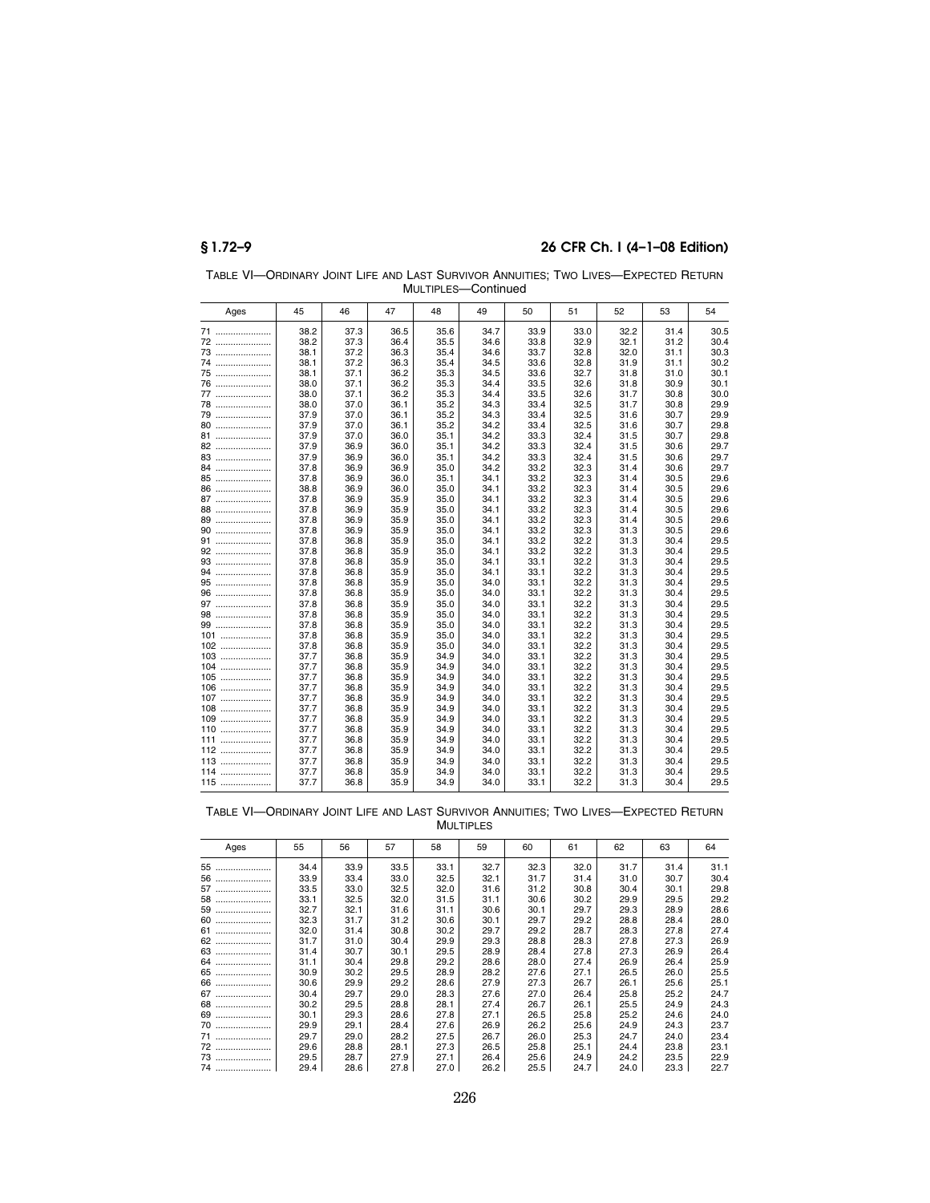| Ages     | 45   | 46   | 47   | 48   | 49   | 50   | 51   | 52   | 53   | 54   |
|----------|------|------|------|------|------|------|------|------|------|------|
| 71       | 38.2 | 37.3 | 36.5 | 35.6 | 34.7 | 33.9 | 33.0 | 32.2 | 31.4 | 30.5 |
| 72       | 38.2 | 37.3 | 36.4 | 35.5 | 34.6 | 33.8 | 32.9 | 32.1 | 31.2 | 30.4 |
| 73       | 38.1 | 37.2 | 36.3 | 35.4 | 34.6 | 33.7 | 32.8 | 32.0 | 31.1 | 30.3 |
| 74       | 38.1 | 37.2 | 36.3 | 35.4 | 34.5 | 33.6 | 32.8 | 31.9 | 31.1 | 30.2 |
| 75       | 38.1 | 37.1 | 36.2 | 35.3 | 34.5 | 33.6 | 32.7 | 31.8 | 31.0 | 30.1 |
| 76       | 38.0 | 37.1 | 36.2 | 35.3 | 34.4 | 33.5 | 32.6 | 31.8 | 30.9 | 30.1 |
| 77       | 38.0 | 37.1 | 36.2 | 35.3 | 34.4 | 33.5 | 32.6 | 31.7 | 30.8 | 30.0 |
| 78       | 38.0 | 37.0 | 36.1 | 35.2 | 34.3 | 33.4 | 32.5 | 31.7 | 30.8 | 29.9 |
| 79       | 37.9 | 37.0 | 36.1 | 35.2 | 34.3 | 33.4 | 32.5 | 31.6 | 30.7 | 29.9 |
| 80       | 37.9 | 37.0 | 36.1 | 35.2 | 34.2 | 33.4 | 32.5 | 31.6 | 30.7 | 29.8 |
| 81       | 37.9 | 37.0 | 36.0 | 35.1 | 34.2 | 33.3 | 32.4 | 31.5 | 30.7 | 29.8 |
| 82       | 37.9 | 36.9 | 36.0 | 35.1 | 34.2 | 33.3 | 32.4 | 31.5 | 30.6 | 29.7 |
| 83       | 37.9 | 36.9 | 36.0 | 35.1 | 34.2 | 33.3 | 32.4 | 31.5 | 30.6 | 29.7 |
| 84       | 37.8 | 36.9 | 36.9 | 35.0 | 34.2 | 33.2 | 32.3 | 31.4 | 30.6 | 29.7 |
| 85       | 37.8 | 36.9 | 36.0 | 35.1 | 34.1 | 33.2 | 32.3 | 31.4 | 30.5 | 29.6 |
| 86       | 38.8 | 36.9 | 36.0 | 35.0 | 34.1 | 33.2 | 32.3 | 31.4 | 30.5 | 29.6 |
| 87       | 37.8 | 36.9 | 35.9 | 35.0 | 34.1 | 33.2 | 32.3 | 31.4 | 30.5 | 29.6 |
| 88       | 37.8 | 36.9 | 35.9 | 35.0 | 34.1 | 33.2 | 32.3 | 31.4 | 30.5 | 29.6 |
| 89       | 37.8 | 36.9 | 35.9 | 35.0 | 34.1 | 33.2 | 32.3 | 31.4 | 30.5 | 29.6 |
| 90       | 37.8 | 36.9 | 35.9 | 35.0 | 34.1 | 33.2 | 32.3 | 31.3 | 30.5 | 29.6 |
| 91       | 37.8 | 36.8 | 35.9 | 35.0 | 34.1 | 33.2 | 32.2 | 31.3 | 30.4 | 29.5 |
| 92       | 37.8 | 36.8 | 35.9 | 35.0 | 34.1 | 33.2 | 32.2 | 31.3 | 30.4 | 29.5 |
| 93       | 37.8 | 36.8 | 35.9 | 35.0 | 34.1 | 33.1 | 32.2 | 31.3 | 30.4 | 29.5 |
| 94       | 37.8 | 36.8 | 35.9 | 35.0 | 34.1 | 33.1 | 32.2 | 31.3 | 30.4 | 29.5 |
| 95       | 37.8 | 36.8 | 35.9 | 35.0 | 34.0 | 33.1 | 32.2 | 31.3 | 30.4 | 29.5 |
| 96       | 37.8 | 36.8 | 35.9 | 35.0 | 34.0 | 33.1 | 32.2 | 31.3 | 30.4 | 29.5 |
| 97       | 37.8 | 36.8 | 35.9 | 35.0 | 34.0 | 33.1 | 32.2 | 31.3 | 30.4 | 29.5 |
| 98       | 37.8 | 36.8 | 35.9 | 35.0 | 34.0 | 33.1 | 32.2 | 31.3 | 30.4 | 29.5 |
| 99       | 37.8 | 36.8 | 35.9 | 35.0 | 34.0 | 33.1 | 32.2 | 31.3 | 30.4 | 29.5 |
| .<br>101 | 37.8 | 36.8 | 35.9 | 35.0 | 34.0 | 33.1 | 32.2 | 31.3 | 30.4 | 29.5 |
| 102      | 37.8 | 36.8 | 35.9 | 35.0 | 34.0 | 33.1 | 32.2 | 31.3 | 30.4 | 29.5 |
| $103$    | 37.7 | 36.8 | 35.9 | 34.9 | 34.0 | 33.1 | 32.2 | 31.3 | 30.4 | 29.5 |
| 104<br>  | 37.7 | 36.8 | 35.9 | 34.9 | 34.0 | 33.1 | 32.2 | 31.3 | 30.4 | 29.5 |
| $105$    | 37.7 | 36.8 | 35.9 | 34.9 | 34.0 | 33.1 | 32.2 | 31.3 | 30.4 | 29.5 |
| 106<br>. | 37.7 | 36.8 | 35.9 | 34.9 | 34.0 | 33.1 | 32.2 | 31.3 | 30.4 | 29.5 |
| 107      | 37.7 | 36.8 | 35.9 | 34.9 | 34.0 | 33.1 | 32.2 | 31.3 | 30.4 | 29.5 |
| 108      | 37.7 | 36.8 | 35.9 | 34.9 | 34.0 | 33.1 | 32.2 | 31.3 | 30.4 | 29.5 |
| 109      | 37.7 | 36.8 | 35.9 | 34.9 | 34.0 | 33.1 | 32.2 | 31.3 | 30.4 | 29.5 |
| $110$    | 37.7 | 36.8 | 35.9 | 34.9 | 34.0 | 33.1 | 32.2 | 31.3 | 30.4 | 29.5 |
| 111      | 37.7 | 36.8 | 35.9 | 34.9 | 34.0 | 33.1 | 32.2 | 31.3 | 30.4 | 29.5 |
| 112      | 37.7 | 36.8 | 35.9 | 34.9 | 34.0 | 33.1 | 32.2 | 31.3 | 30.4 | 29.5 |
| $113$    | 37.7 | 36.8 | 35.9 | 34.9 | 34.0 | 33.1 | 32.2 | 31.3 | 30.4 | 29.5 |
| 114      | 37.7 | 36.8 | 35.9 | 34.9 | 34.0 | 33.1 | 32.2 | 31.3 | 30.4 | 29.5 |
| $115$    | 37.7 | 36.8 | 35.9 | 34.9 | 34.0 | 33.1 | 32.2 | 31.3 | 30.4 | 29.5 |

TABLE VI—ORDINARY JOINT LIFE AND LAST SURVIVOR ANNUITIES; TWO LIVES—EXPECTED RETURN MULTIPLES—Continued

TABLE VI—ORDINARY JOINT LIFE AND LAST SURVIVOR ANNUITIES; TWO LIVES—EXPECTED RETURN MULTIPLES

| Ages   | 55   | 56   | 57   | 58   | 59   | 60   | 61   | 62   | 63   | 64   |
|--------|------|------|------|------|------|------|------|------|------|------|
| 55<br> | 34.4 | 33.9 | 33.5 | 33.1 | 32.7 | 32.3 | 32.0 | 31.7 | 31.4 | 31.1 |
| 56     | 33.9 | 33.4 | 33.0 | 32.5 | 32.1 | 31.7 | 31.4 | 31.0 | 30.7 | 30.4 |
| 57     | 33.5 | 33.0 | 32.5 | 32.0 | 31.6 | 31.2 | 30.8 | 30.4 | 30.1 | 29.8 |
| 58     | 33.1 | 32.5 | 32.0 | 31.5 | 31.1 | 30.6 | 30.2 | 29.9 | 29.5 | 29.2 |
| 59     | 32.7 | 32.1 | 31.6 | 31.1 | 30.6 | 30.1 | 29.7 | 29.3 | 28.9 | 28.6 |
| 60     | 32.3 | 31.7 | 31.2 | 30.6 | 30.1 | 29.7 | 29.2 | 28.8 | 28.4 | 28.0 |
| 61     | 32.0 | 31.4 | 30.8 | 30.2 | 29.7 | 29.2 | 28.7 | 28.3 | 27.8 | 27.4 |
| 62     | 31.7 | 31.0 | 30.4 | 29.9 | 29.3 | 28.8 | 28.3 | 27.8 | 27.3 | 26.9 |
| 63     | 31.4 | 30.7 | 30.1 | 29.5 | 28.9 | 28.4 | 27.8 | 27.3 | 26.9 | 26.4 |
| 64     | 31.1 | 30.4 | 29.8 | 29.2 | 28.6 | 28.0 | 27.4 | 26.9 | 26.4 | 25.9 |
| 65     | 30.9 | 30.2 | 29.5 | 28.9 | 28.2 | 27.6 | 27.1 | 26.5 | 26.0 | 25.5 |
| 66     | 30.6 | 29.9 | 29.2 | 28.6 | 27.9 | 27.3 | 26.7 | 26.1 | 25.6 | 25.1 |
| 67     | 30.4 | 29.7 | 29.0 | 28.3 | 27.6 | 27.0 | 26.4 | 25.8 | 25.2 | 24.7 |
| 68     | 30.2 | 29.5 | 28.8 | 28.1 | 27.4 | 26.7 | 26.1 | 25.5 | 24.9 | 24.3 |
| 69     | 30.1 | 29.3 | 28.6 | 27.8 | 27.1 | 26.5 | 25.8 | 25.2 | 24.6 | 24.0 |
| 70     | 29.9 | 29.1 | 28.4 | 27.6 | 26.9 | 26.2 | 25.6 | 24.9 | 24.3 | 23.7 |
| 71     | 29.7 | 29.0 | 28.2 | 27.5 | 26.7 | 26.0 | 25.3 | 24.7 | 24.0 | 23.4 |
| 72     | 29.6 | 28.8 | 28.1 | 27.3 | 26.5 | 25.8 | 25.1 | 24.4 | 23.8 | 23.1 |
| 73     | 29.5 | 28.7 | 27.9 | 27.1 | 26.4 | 25.6 | 24.9 | 24.2 | 23.5 | 22.9 |
| 74     | 29.4 | 28.6 | 27.8 | 27.0 | 26.2 | 25.5 | 24.7 | 24.0 | 23.3 | 22.7 |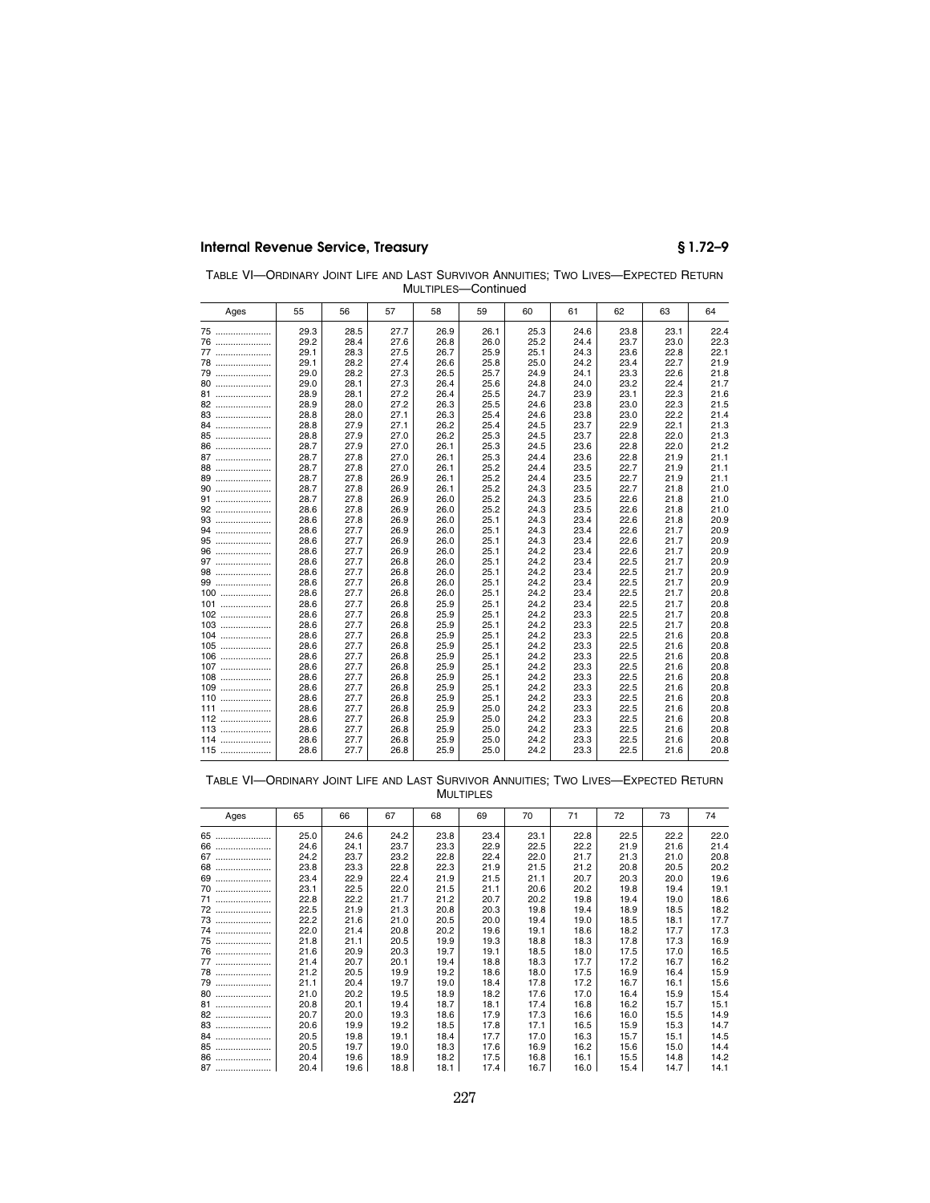| TABLE VI-ORDINARY JOINT LIFE AND LAST SURVIVOR ANNUITIES: TWO LIVES-EXPECTED RETURN |  |                     |  |  |
|-------------------------------------------------------------------------------------|--|---------------------|--|--|
|                                                                                     |  | MULTIPLES-Continued |  |  |

| Ages     | 55   | 56   | 57   | 58   | 59   | 60   | 61   | 62   | 63   | 64   |
|----------|------|------|------|------|------|------|------|------|------|------|
| 75       | 29.3 | 28.5 | 27.7 | 26.9 | 26.1 | 25.3 | 24.6 | 23.8 | 23.1 | 22.4 |
| 76       | 29.2 | 28.4 | 27.6 | 26.8 | 26.0 | 25.2 | 24.4 | 23.7 | 23.0 | 22.3 |
| 77       | 29.1 | 28.3 | 27.5 | 26.7 | 25.9 | 25.1 | 24.3 | 23.6 | 22.8 | 22.1 |
| 78       | 29.1 | 28.2 | 27.4 | 26.6 | 25.8 | 25.0 | 24.2 | 23.4 | 22.7 | 21.9 |
| 79       | 29.0 | 28.2 | 27.3 | 26.5 | 25.7 | 24.9 | 24.1 | 23.3 | 22.6 | 21.8 |
| 80       | 29.0 | 28.1 | 27.3 | 26.4 | 25.6 | 24.8 | 24.0 | 23.2 | 22.4 | 21.7 |
| 81       | 28.9 | 28.1 | 27.2 | 26.4 | 25.5 | 24.7 | 23.9 | 23.1 | 22.3 | 21.6 |
| 82       | 28.9 | 28.0 | 27.2 | 26.3 | 25.5 | 24.6 | 23.8 | 23.0 | 22.3 | 21.5 |
| 83       | 28.8 | 28.0 | 27.1 | 26.3 | 25.4 | 24.6 | 23.8 | 23.0 | 22.2 | 21.4 |
| 84       | 28.8 | 27.9 | 27.1 | 26.2 | 25.4 | 24.5 | 23.7 | 22.9 | 22.1 | 21.3 |
| 85       | 28.8 | 27.9 | 27.0 | 26.2 | 25.3 | 24.5 | 23.7 | 22.8 | 22.0 | 21.3 |
| 86       | 28.7 | 27.9 | 27.0 | 26.1 | 25.3 | 24.5 | 23.6 | 22.8 | 22.0 | 21.2 |
| 87       | 28.7 | 27.8 | 27.0 | 26.1 | 25.3 | 24.4 | 23.6 | 22.8 | 21.9 | 21.1 |
| 88       | 28.7 | 27.8 | 27.0 | 26.1 | 25.2 | 24.4 | 23.5 | 22.7 | 21.9 | 21.1 |
| 89       | 28.7 | 27.8 | 26.9 | 26.1 | 25.2 | 24.4 | 23.5 | 22.7 | 21.9 | 21.1 |
| 90       | 28.7 | 27.8 | 26.9 | 26.1 | 25.2 | 24.3 | 23.5 | 22.7 | 21.8 | 21.0 |
| 91       | 28.7 | 27.8 | 26.9 | 26.0 | 25.2 | 24.3 | 23.5 | 22.6 | 21.8 | 21.0 |
| 92       | 28.6 | 27.8 | 26.9 | 26.0 | 25.2 | 24.3 | 23.5 | 22.6 | 21.8 | 21.0 |
| 93       | 28.6 | 27.8 | 26.9 | 26.0 | 25.1 | 24.3 | 23.4 | 22.6 | 21.8 | 20.9 |
| 94       | 28.6 | 27.7 | 26.9 | 26.0 | 25.1 | 24.3 | 23.4 | 22.6 | 21.7 | 20.9 |
| 95       | 28.6 | 27.7 | 26.9 | 26.0 | 25.1 | 24.3 | 23.4 | 22.6 | 21.7 | 20.9 |
| 96       | 28.6 | 27.7 | 26.9 | 26.0 | 25.1 | 24.2 | 23.4 | 22.6 | 21.7 | 20.9 |
| 97       | 28.6 | 27.7 | 26.8 | 26.0 | 25.1 | 24.2 | 23.4 | 22.5 | 21.7 | 20.9 |
| 98       | 28.6 | 27.7 | 26.8 | 26.0 | 25.1 | 24.2 | 23.4 | 22.5 | 21.7 | 20.9 |
| 99       | 28.6 | 27.7 | 26.8 | 26.0 | 25.1 | 24.2 | 23.4 | 22.5 | 21.7 | 20.9 |
| 100      | 28.6 | 27.7 | 26.8 | 26.0 | 25.1 | 24.2 | 23.4 | 22.5 | 21.7 | 20.8 |
| 101      | 28.6 | 27.7 | 26.8 | 25.9 | 25.1 | 24.2 | 23.4 | 22.5 | 21.7 | 20.8 |
| 102      | 28.6 | 27.7 | 26.8 | 25.9 | 25.1 | 24.2 | 23.3 | 22.5 | 21.7 | 20.8 |
| 103      | 28.6 | 27.7 | 26.8 | 25.9 | 25.1 | 24.2 | 23.3 | 22.5 | 21.7 | 20.8 |
| 104      | 28.6 | 27.7 | 26.8 | 25.9 | 25.1 | 24.2 | 23.3 | 22.5 | 21.6 | 20.8 |
| 105      | 28.6 | 27.7 | 26.8 | 25.9 | 25.1 | 24.2 | 23.3 | 22.5 | 21.6 | 20.8 |
| 106      | 28.6 | 27.7 | 26.8 | 25.9 | 25.1 | 24.2 | 23.3 | 22.5 | 21.6 | 20.8 |
| 107      | 28.6 | 27.7 | 26.8 | 25.9 | 25.1 | 24.2 | 23.3 | 22.5 | 21.6 | 20.8 |
| 108      | 28.6 | 27.7 | 26.8 | 25.9 | 25.1 | 24.2 | 23.3 | 22.5 | 21.6 | 20.8 |
| 109      | 28.6 | 27.7 | 26.8 | 25.9 | 25.1 | 24.2 | 23.3 | 22.5 | 21.6 | 20.8 |
| 110      | 28.6 | 27.7 | 26.8 | 25.9 | 25.1 | 24.2 | 23.3 | 22.5 | 21.6 | 20.8 |
| 111      | 28.6 | 27.7 | 26.8 | 25.9 | 25.0 | 24.2 | 23.3 | 22.5 | 21.6 | 20.8 |
| 112      | 28.6 | 27.7 | 26.8 | 25.9 | 25.0 | 24.2 | 23.3 | 22.5 | 21.6 | 20.8 |
| 113      | 28.6 | 27.7 | 26.8 | 25.9 | 25.0 | 24.2 | 23.3 | 22.5 | 21.6 | 20.8 |
| 114<br>. | 28.6 | 27.7 | 26.8 | 25.9 | 25.0 | 24.2 | 23.3 | 22.5 | 21.6 | 20.8 |
| $115$    | 28.6 | 27.7 | 26.8 | 25.9 | 25.0 | 24.2 | 23.3 | 22.5 | 21.6 | 20.8 |

TABLE VI—ORDINARY JOINT LIFE AND LAST SURVIVOR ANNUITIES; TWO LIVES—EXPECTED RETURN MULTIPLES

| Ages   | 65   | 66   | 67   | 68   | 69   | 70   | 71   | 72   | 73   | 74   |
|--------|------|------|------|------|------|------|------|------|------|------|
| 65<br> | 25.0 | 24.6 | 24.2 | 23.8 | 23.4 | 23.1 | 22.8 | 22.5 | 22.2 | 22.0 |
| 66<br> | 24.6 | 24.1 | 23.7 | 23.3 | 22.9 | 22.5 | 22.2 | 21.9 | 21.6 | 21.4 |
| 67     | 24.2 | 23.7 | 23.2 | 22.8 | 22.4 | 22.0 | 21.7 | 21.3 | 21.0 | 20.8 |
| 68     | 23.8 | 23.3 | 22.8 | 22.3 | 21.9 | 21.5 | 21.2 | 20.8 | 20.5 | 20.2 |
| 69     | 23.4 | 22.9 | 22.4 | 21.9 | 21.5 | 21.1 | 20.7 | 20.3 | 20.0 | 19.6 |
| 70     | 23.1 | 22.5 | 22.0 | 21.5 | 21.1 | 20.6 | 20.2 | 19.8 | 19.4 | 19.1 |
| 71     | 22.8 | 22.2 | 21.7 | 21.2 | 20.7 | 20.2 | 19.8 | 19.4 | 19.0 | 18.6 |
| 72     | 22.5 | 21.9 | 21.3 | 20.8 | 20.3 | 19.8 | 19.4 | 18.9 | 18.5 | 18.2 |
| 73     | 22.2 | 21.6 | 21.0 | 20.5 | 20.0 | 19.4 | 19.0 | 18.5 | 18.1 | 17.7 |
| 74     | 22.0 | 21.4 | 20.8 | 20.2 | 19.6 | 19.1 | 18.6 | 18.2 | 17.7 | 17.3 |
| 75     | 21.8 | 21.1 | 20.5 | 19.9 | 19.3 | 18.8 | 18.3 | 17.8 | 17.3 | 16.9 |
| 76     | 21.6 | 20.9 | 20.3 | 19.7 | 19.1 | 18.5 | 18.0 | 17.5 | 17.0 | 16.5 |
| 77     | 21.4 | 20.7 | 20.1 | 19.4 | 18.8 | 18.3 | 17.7 | 17.2 | 16.7 | 16.2 |
| 78     | 21.2 | 20.5 | 19.9 | 19.2 | 18.6 | 18.0 | 17.5 | 16.9 | 16.4 | 15.9 |
| 79     | 21.1 | 20.4 | 19.7 | 19.0 | 18.4 | 17.8 | 17.2 | 16.7 | 16.1 | 15.6 |
| 80<br> | 21.0 | 20.2 | 19.5 | 18.9 | 18.2 | 17.6 | 17.0 | 16.4 | 15.9 | 15.4 |
| 81     | 20.8 | 20.1 | 19.4 | 18.7 | 18.1 | 17.4 | 16.8 | 16.2 | 15.7 | 15.1 |
| 82     | 20.7 | 20.0 | 19.3 | 18.6 | 17.9 | 17.3 | 16.6 | 16.0 | 15.5 | 14.9 |
| 83     | 20.6 | 19.9 | 19.2 | 18.5 | 17.8 | 17.1 | 16.5 | 15.9 | 15.3 | 14.7 |
| 84     | 20.5 | 19.8 | 19.1 | 18.4 | 17.7 | 17.0 | 16.3 | 15.7 | 15.1 | 14.5 |
| 85     | 20.5 | 19.7 | 19.0 | 18.3 | 17.6 | 16.9 | 16.2 | 15.6 | 15.0 | 14.4 |
| 86<br> | 20.4 | 19.6 | 18.9 | 18.2 | 17.5 | 16.8 | 16.1 | 15.5 | 14.8 | 14.2 |
| 87     | 20.4 | 19.6 | 18.8 | 18.1 | 17.4 | 16.7 | 16.0 | 15.4 | 14.7 | 14.1 |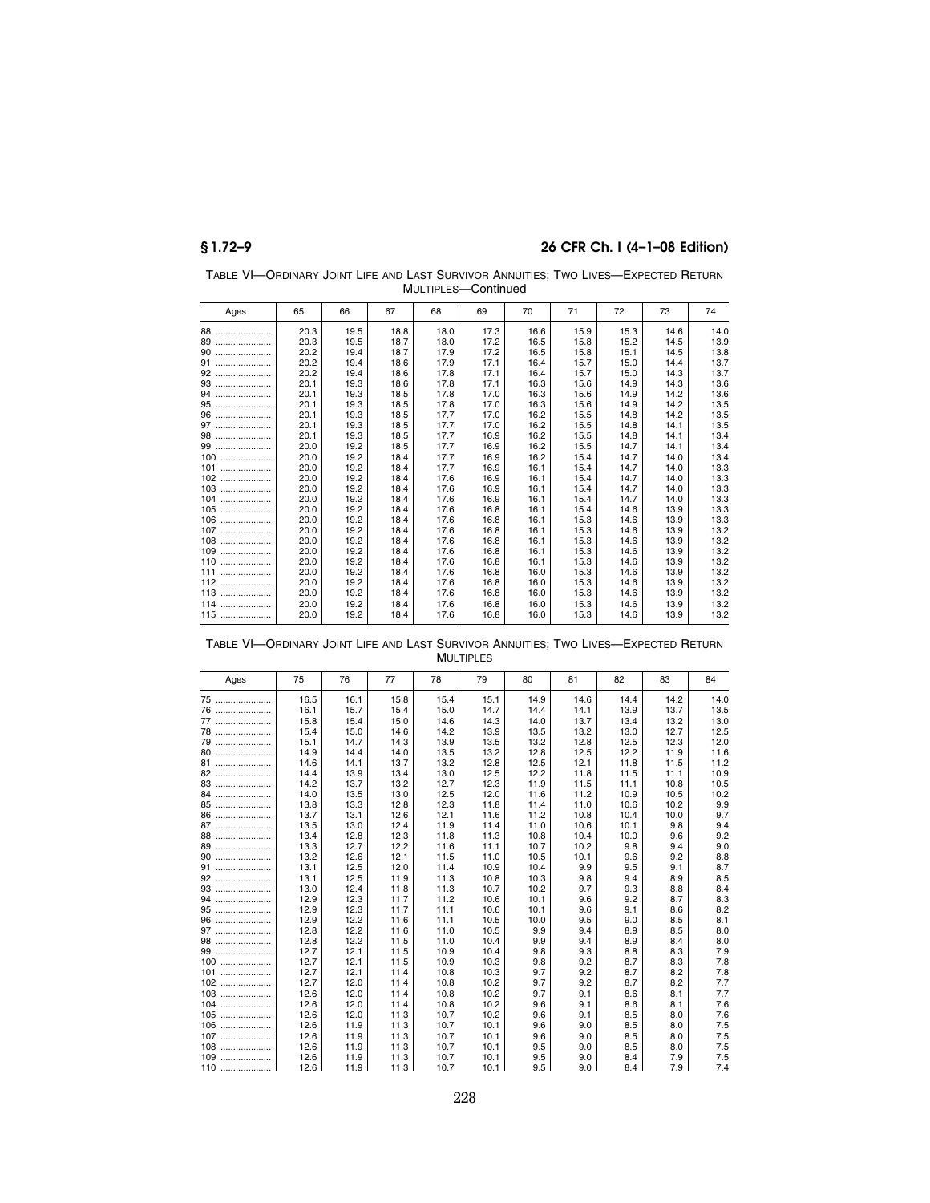| TABLE VI-ORDINARY JOINT LIFE AND LAST SURVIVOR ANNUITIES: TWO LIVES-EXPECTED RETURN |
|-------------------------------------------------------------------------------------|
| MULTIPLES—Continued                                                                 |

| Ages                                                  | 65   | 66   | 67   | 68   | 69   | 70   | 71   | 72   | 73   | 74   |
|-------------------------------------------------------|------|------|------|------|------|------|------|------|------|------|
| 88                                                    | 20.3 | 19.5 | 18.8 | 18.0 | 17.3 | 16.6 | 15.9 | 15.3 | 14.6 | 14.0 |
| 89                                                    | 20.3 | 19.5 | 18.7 | 18.0 | 17.2 | 16.5 | 15.8 | 15.2 | 14.5 | 13.9 |
| 90<br>                                                | 20.2 | 19.4 | 18.7 | 17.9 | 17.2 | 16.5 | 15.8 | 15.1 | 14.5 | 13.8 |
| 91                                                    | 20.2 | 19.4 | 18.6 | 17.9 | 17.1 | 16.4 | 15.7 | 15.0 | 14.4 | 13.7 |
| 92                                                    | 20.2 | 19.4 | 18.6 | 17.8 | 17.1 | 16.4 | 15.7 | 15.0 | 14.3 | 13.7 |
|                                                       | 20.1 | 19.3 | 18.6 | 17.8 | 17.1 | 16.3 | 15.6 | 14.9 | 14.3 | 13.6 |
| 94                                                    | 20.1 | 19.3 | 18.5 | 17.8 | 17.0 | 16.3 | 15.6 | 14.9 | 14.2 | 13.6 |
| 95<br>                                                | 20.1 | 19.3 | 18.5 | 17.8 | 17.0 | 16.3 | 15.6 | 14.9 | 14.2 | 13.5 |
| 96                                                    | 20.1 | 19.3 | 18.5 | 17.7 | 17.0 | 16.2 | 15.5 | 14.8 | 14.2 | 13.5 |
| 97                                                    | 20.1 | 19.3 | 18.5 | 17.7 | 17.0 | 16.2 | 15.5 | 14.8 | 14.1 | 13.5 |
| $98\ \dots\!\dots\!\dots\!\dots\!\dots\!\dots\!\dots$ | 20.1 | 19.3 | 18.5 | 17.7 | 16.9 | 16.2 | 15.5 | 14.8 | 14.1 | 13.4 |
| 99                                                    | 20.0 | 19.2 | 18.5 | 17.7 | 16.9 | 16.2 | 15.5 | 14.7 | 14.1 | 13.4 |
| 100                                                   | 20.0 | 19.2 | 18.4 | 17.7 | 16.9 | 16.2 | 15.4 | 14.7 | 14.0 | 13.4 |
| 101<br>.                                              | 20.0 | 19.2 | 18.4 | 17.7 | 16.9 | 16.1 | 15.4 | 14.7 | 14.0 | 13.3 |
| 102                                                   | 20.0 | 19.2 | 18.4 | 17.6 | 16.9 | 16.1 | 15.4 | 14.7 | 14.0 | 13.3 |
| $103$                                                 | 20.0 | 19.2 | 18.4 | 17.6 | 16.9 | 16.1 | 15.4 | 14.7 | 14.0 | 13.3 |
| 104                                                   | 20.0 | 19.2 | 18.4 | 17.6 | 16.9 | 16.1 | 15.4 | 14.7 | 14.0 | 13.3 |
| 105<br>                                               | 20.0 | 19.2 | 18.4 | 17.6 | 16.8 | 16.1 | 15.4 | 14.6 | 13.9 | 13.3 |
| 106                                                   | 20.0 | 19.2 | 18.4 | 17.6 | 16.8 | 16.1 | 15.3 | 14.6 | 13.9 | 13.3 |
| 107<br>                                               | 20.0 | 19.2 | 18.4 | 17.6 | 16.8 | 16.1 | 15.3 | 14.6 | 13.9 | 13.2 |
| 108<br>                                               | 20.0 | 19.2 | 18.4 | 17.6 | 16.8 | 16.1 | 15.3 | 14.6 | 13.9 | 13.2 |
| 109<br>                                               | 20.0 | 19.2 | 18.4 | 17.6 | 16.8 | 16.1 | 15.3 | 14.6 | 13.9 | 13.2 |
| 110<br>                                               | 20.0 | 19.2 | 18.4 | 17.6 | 16.8 | 16.1 | 15.3 | 14.6 | 13.9 | 13.2 |
| 111                                                   | 20.0 | 19.2 | 18.4 | 17.6 | 16.8 | 16.0 | 15.3 | 14.6 | 13.9 | 13.2 |
| $112$                                                 | 20.0 | 19.2 | 18.4 | 17.6 | 16.8 | 16.0 | 15.3 | 14.6 | 13.9 | 13.2 |
| 113                                                   | 20.0 | 19.2 | 18.4 | 17.6 | 16.8 | 16.0 | 15.3 | 14.6 | 13.9 | 13.2 |
| 114                                                   | 20.0 | 19.2 | 18.4 | 17.6 | 16.8 | 16.0 | 15.3 | 14.6 | 13.9 | 13.2 |
| 115                                                   | 20.0 | 19.2 | 18.4 | 17.6 | 16.8 | 16.0 | 15.3 | 14.6 | 13.9 | 13.2 |

TABLE VI—ORDINARY JOINT LIFE AND LAST SURVIVOR ANNUITIES; TWO LIVES—EXPECTED RETURN MULTIPLES

| Ages   | 75   | 76   | 77   | 78   | 79   | 80   | 81   | 82   | 83   | 84   |
|--------|------|------|------|------|------|------|------|------|------|------|
|        |      |      |      |      |      |      |      |      |      |      |
| 75     | 16.5 | 16.1 | 15.8 | 15.4 | 15.1 | 14.9 | 14.6 | 14.4 | 14.2 | 14.0 |
| 76     | 16.1 | 15.7 | 15.4 | 15.0 | 14.7 | 14.4 | 14.1 | 13.9 | 13.7 | 13.5 |
| 77     | 15.8 | 15.4 | 15.0 | 14.6 | 14.3 | 14.0 | 13.7 | 13.4 | 13.2 | 13.0 |
| 78     | 15.4 | 15.0 | 14.6 | 14.2 | 13.9 | 13.5 | 13.2 | 13.0 | 12.7 | 12.5 |
| 79     | 15.1 | 14.7 | 14.3 | 13.9 | 13.5 | 13.2 | 12.8 | 12.5 | 12.3 | 12.0 |
| 80     | 14.9 | 14.4 | 14.0 | 13.5 | 13.2 | 12.8 | 12.5 | 12.2 | 11.9 | 11.6 |
| 81     | 14.6 | 14.1 | 13.7 | 13.2 | 12.8 | 12.5 | 12.1 | 11.8 | 11.5 | 11.2 |
| 82     | 14.4 | 13.9 | 13.4 | 13.0 | 12.5 | 12.2 | 11.8 | 11.5 | 11.1 | 10.9 |
| 83     | 14.2 | 13.7 | 13.2 | 12.7 | 12.3 | 11.9 | 11.5 | 11.1 | 10.8 | 10.5 |
| 84     | 14.0 | 13.5 | 13.0 | 12.5 | 12.0 | 11.6 | 11.2 | 10.9 | 10.5 | 10.2 |
| 85     | 13.8 | 13.3 | 12.8 | 12.3 | 11.8 | 11.4 | 11.0 | 10.6 | 10.2 | 9.9  |
|        | 13.7 | 13.1 | 12.6 | 12.1 | 11.6 | 11.2 | 10.8 | 10.4 | 10.0 | 9.7  |
| 87     | 13.5 | 13.0 | 12.4 | 11.9 | 11.4 | 11.0 | 10.6 | 10.1 | 9.8  | 9.4  |
| 88     | 13.4 | 12.8 | 12.3 | 11.8 | 11.3 | 10.8 | 10.4 | 10.0 | 9.6  | 9.2  |
| 89     | 13.3 | 12.7 | 12.2 | 11.6 | 11.1 | 10.7 | 10.2 | 9.8  | 9.4  | 9.0  |
| 90     | 13.2 | 12.6 | 12.1 | 11.5 | 11.0 | 10.5 | 10.1 | 9.6  | 9.2  | 8.8  |
| 91<br> | 13.1 | 12.5 | 12.0 | 11.4 | 10.9 | 10.4 | 9.9  | 9.5  | 9.1  | 8.7  |
|        | 13.1 | 12.5 | 11.9 | 11.3 | 10.8 | 10.3 | 9.8  | 9.4  | 8.9  | 8.5  |
| 93     | 13.0 | 12.4 | 11.8 | 11.3 | 10.7 | 10.2 | 9.7  | 9.3  | 8.8  | 8.4  |
| 94<br> | 12.9 | 12.3 | 11.7 | 11.2 | 10.6 | 10.1 | 9.6  | 9.2  | 8.7  | 8.3  |
| 95     | 12.9 | 12.3 | 11.7 | 11.1 | 10.6 | 10.1 | 9.6  | 9.1  | 8.6  | 8.2  |
| 96     | 12.9 | 12.2 | 11.6 | 11.1 | 10.5 | 10.0 | 9.5  | 9.0  | 8.5  | 8.1  |
| 97     | 12.8 | 12.2 | 11.6 | 11.0 | 10.5 | 9.9  | 9.4  | 8.9  | 8.5  | 8.0  |
| 98     | 12.8 | 12.2 | 11.5 | 11.0 | 10.4 | 9.9  | 9.4  | 8.9  | 8.4  | 8.0  |
| 99     | 12.7 | 12.1 | 11.5 | 10.9 | 10.4 | 9.8  | 9.3  | 8.8  | 8.3  | 7.9  |
| 100    | 12.7 | 12.1 | 11.5 | 10.9 | 10.3 | 9.8  | 9.2  | 8.7  | 8.3  | 7.8  |
| 101    | 12.7 | 12.1 | 11.4 | 10.8 | 10.3 | 9.7  | 9.2  | 8.7  | 8.2  | 7.8  |
| 102    | 12.7 | 12.0 | 11.4 | 10.8 | 10.2 | 9.7  | 9.2  | 8.7  | 8.2  | 7.7  |
| $103$  | 12.6 | 12.0 | 11.4 | 10.8 | 10.2 | 9.7  | 9.1  | 8.6  | 8.1  | 7.7  |
| 104    | 12.6 | 12.0 | 11.4 | 10.8 | 10.2 | 9.6  | 9.1  | 8.6  | 8.1  | 7.6  |
| $105$  | 12.6 | 12.0 | 11.3 | 10.7 | 10.2 | 9.6  | 9.1  | 8.5  | 8.0  | 7.6  |
| 106    | 12.6 | 11.9 | 11.3 | 10.7 | 10.1 | 9.6  | 9.0  | 8.5  | 8.0  | 7.5  |
| 107    | 12.6 | 11.9 | 11.3 | 10.7 | 10.1 | 9.6  | 9.0  | 8.5  | 8.0  | 7.5  |
| $108$  | 12.6 | 11.9 | 11.3 | 10.7 | 10.1 | 9.5  | 9.0  | 8.5  | 8.0  | 7.5  |
| 109    | 12.6 | 11.9 | 11.3 | 10.7 | 10.1 | 9.5  | 9.0  | 8.4  | 7.9  | 7.5  |
| 110    | 12.6 | 11.9 | 11.3 | 10.7 | 10.1 | 9.5  | 9.0  | 8.4  | 7.9  | 7.4  |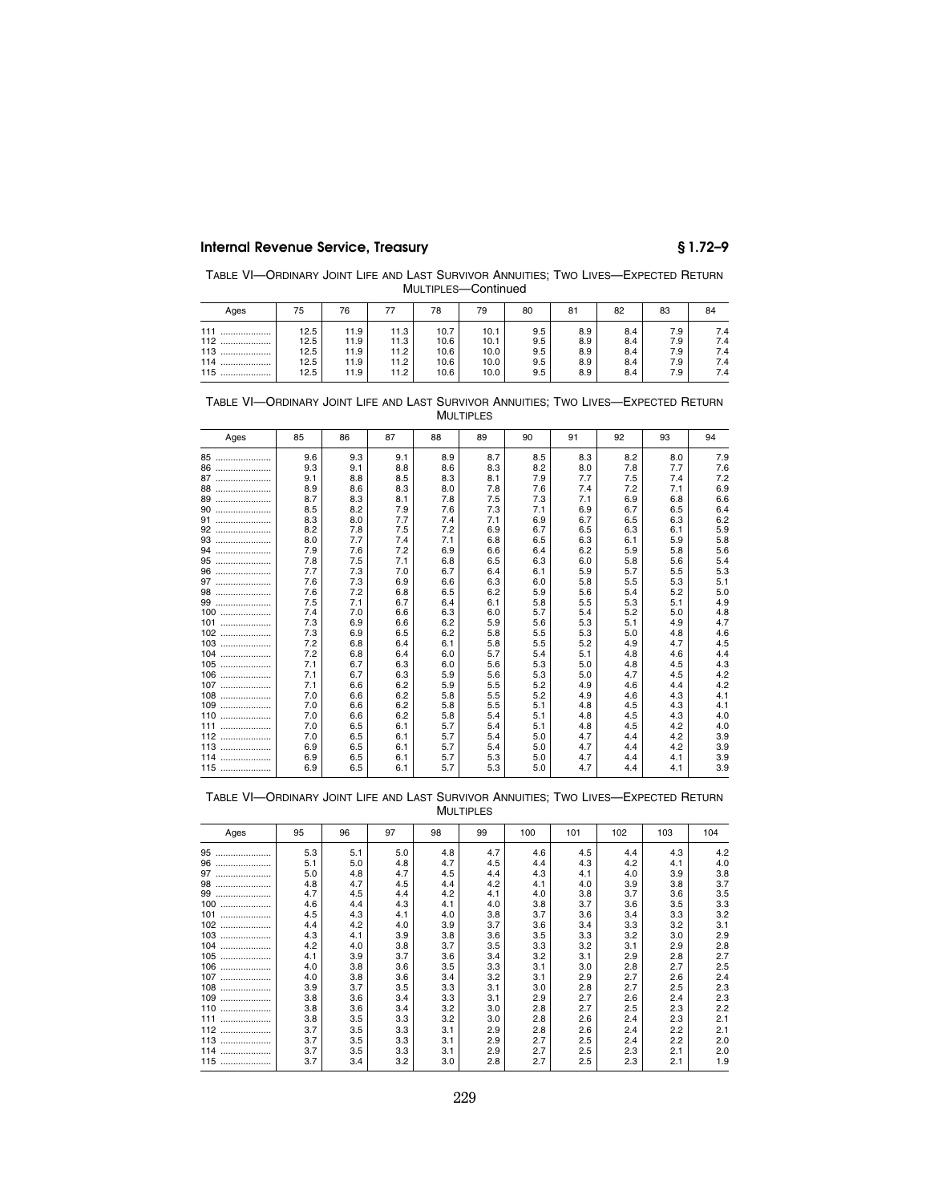TABLE VI—ORDINARY JOINT LIFE AND LAST SURVIVOR ANNUITIES; TWO LIVES—EXPECTED RETURN MULTIPLES—Continued

| Ages                                            | 75                                   | 76                                   |                                      | 78                                   | 79                                   | 80                              | 81                              | 82                              | 83                              | 84                              |
|-------------------------------------------------|--------------------------------------|--------------------------------------|--------------------------------------|--------------------------------------|--------------------------------------|---------------------------------|---------------------------------|---------------------------------|---------------------------------|---------------------------------|
| 111<br><br>112<br><br>$113$<br>$114$<br>115<br> | 12.5<br>12.5<br>12.5<br>12.5<br>12.5 | 11.9<br>11.9<br>11.9<br>11.9<br>11.9 | 11.3<br>11.3<br>11.2<br>11.2<br>11.2 | 10.7<br>10.6<br>10.6<br>10.6<br>10.6 | 10.1<br>10.1<br>10.0<br>10.0<br>10.0 | 9.5<br>9.5<br>9.5<br>9.5<br>9.5 | 8.9<br>8.9<br>8.9<br>8.9<br>8.9 | 8.4<br>8.4<br>8.4<br>8.4<br>8.4 | 7.9<br>7.9<br>7.9<br>7.9<br>7.9 | 7.4<br>7.4<br>7.4<br>7.4<br>7.4 |

| TABLE VI-ORDINARY JOINT LIFE AND LAST SURVIVOR ANNUITIES: TWO LIVES-EXPECTED RETURN |  |                  |  |  |  |
|-------------------------------------------------------------------------------------|--|------------------|--|--|--|
|                                                                                     |  | <b>MULTIPLES</b> |  |  |  |

| Ages    | 85  | 86  | 87  | 88  | 89  | 90  | 91  | 92  | 93  | 94  |
|---------|-----|-----|-----|-----|-----|-----|-----|-----|-----|-----|
| 85<br>  | 9.6 | 9.3 | 9.1 | 8.9 | 8.7 | 8.5 | 8.3 | 8.2 | 8.0 | 7.9 |
| 86<br>  | 9.3 | 9.1 | 8.8 | 8.6 | 8.3 | 8.2 | 8.0 | 7.8 | 7.7 | 7.6 |
| 87<br>  | 9.1 | 8.8 | 8.5 | 8.3 | 8.1 | 7.9 | 7.7 | 7.5 | 7.4 | 7.2 |
| 88<br>  | 8.9 | 8.6 | 8.3 | 8.0 | 7.8 | 7.6 | 7.4 | 7.2 | 7.1 | 6.9 |
| 89<br>  | 8.7 | 8.3 | 8.1 | 7.8 | 7.5 | 7.3 | 7.1 | 6.9 | 6.8 | 6.6 |
| 90<br>  | 8.5 | 8.2 | 7.9 | 7.6 | 7.3 | 7.1 | 6.9 | 6.7 | 6.5 | 6.4 |
| 91      | 8.3 | 8.0 | 7.7 | 7.4 | 7.1 | 6.9 | 6.7 | 6.5 | 6.3 | 6.2 |
| 92      | 8.2 | 7.8 | 7.5 | 7.2 | 6.9 | 6.7 | 6.5 | 6.3 | 6.1 | 5.9 |
| 93      | 8.0 | 7.7 | 7.4 | 7.1 | 6.8 | 6.5 | 6.3 | 6.1 | 5.9 | 5.8 |
| 94<br>  | 7.9 | 7.6 | 7.2 | 6.9 | 6.6 | 6.4 | 6.2 | 5.9 | 5.8 | 5.6 |
| 95      | 7.8 | 7.5 | 7.1 | 6.8 | 6.5 | 6.3 | 6.0 | 5.8 | 5.6 | 5.4 |
| 96      | 7.7 | 7.3 | 7.0 | 6.7 | 6.4 | 6.1 | 5.9 | 5.7 | 5.5 | 5.3 |
| 97<br>  | 7.6 | 7.3 | 6.9 | 6.6 | 6.3 | 6.0 | 5.8 | 5.5 | 5.3 | 5.1 |
| 98      | 7.6 | 7.2 | 6.8 | 6.5 | 6.2 | 5.9 | 5.6 | 5.4 | 5.2 | 5.0 |
| 99<br>  | 7.5 | 7.1 | 6.7 | 6.4 | 6.1 | 5.8 | 5.5 | 5.3 | 5.1 | 4.9 |
| 100<br> | 7.4 | 7.0 | 6.6 | 6.3 | 6.0 | 5.7 | 5.4 | 5.2 | 5.0 | 4.8 |
| 101<br> | 7.3 | 6.9 | 6.6 | 6.2 | 5.9 | 5.6 | 5.3 | 5.1 | 4.9 | 4.7 |
| 102<br> | 7.3 | 6.9 | 6.5 | 6.2 | 5.8 | 5.5 | 5.3 | 5.0 | 4.8 | 4.6 |
| 103<br> | 7.2 | 6.8 | 6.4 | 6.1 | 5.8 | 5.5 | 5.2 | 4.9 | 4.7 | 4.5 |
| 104<br> | 7.2 | 6.8 | 6.4 | 6.0 | 5.7 | 5.4 | 5.1 | 4.8 | 4.6 | 4.4 |
| 105<br> | 7.1 | 6.7 | 6.3 | 6.0 | 5.6 | 5.3 | 5.0 | 4.8 | 4.5 | 4.3 |
| 106<br> | 7.1 | 6.7 | 6.3 | 5.9 | 5.6 | 5.3 | 5.0 | 4.7 | 4.5 | 4.2 |
| 107<br> | 7.1 | 6.6 | 6.2 | 5.9 | 5.5 | 5.2 | 4.9 | 4.6 | 4.4 | 4.2 |
| 108<br> | 7.0 | 6.6 | 6.2 | 5.8 | 5.5 | 5.2 | 4.9 | 4.6 | 4.3 | 4.1 |
| 109<br> | 7.0 | 6.6 | 6.2 | 5.8 | 5.5 | 5.1 | 4.8 | 4.5 | 4.3 | 4.1 |
| 110<br> | 7.0 | 6.6 | 6.2 | 5.8 | 5.4 | 5.1 | 4.8 | 4.5 | 4.3 | 4.0 |
| 111<br> | 7.0 | 6.5 | 6.1 | 5.7 | 5.4 | 5.1 | 4.8 | 4.5 | 4.2 | 4.0 |
| 112<br> | 7.0 | 6.5 | 6.1 | 5.7 | 5.4 | 5.0 | 4.7 | 4.4 | 4.2 | 3.9 |
| 113<br> | 6.9 | 6.5 | 6.1 | 5.7 | 5.4 | 5.0 | 4.7 | 4.4 | 4.2 | 3.9 |
| 114<br> | 6.9 | 6.5 | 6.1 | 5.7 | 5.3 | 5.0 | 4.7 | 4.4 | 4.1 | 3.9 |
| $115$   | 6.9 | 6.5 | 6.1 | 5.7 | 5.3 | 5.0 | 4.7 | 4.4 | 4.1 | 3.9 |

TABLE VI—ORDINARY JOINT LIFE AND LAST SURVIVOR ANNUITIES; TWO LIVES—EXPECTED RETURN **MULTIPLES** 

| Ages    | 95  | 96  | 97  | 98  | 99  | 100 | 101 | 102 | 103 | 104 |
|---------|-----|-----|-----|-----|-----|-----|-----|-----|-----|-----|
| 95<br>  | 5.3 | 5.1 | 5.0 | 4.8 | 4.7 | 4.6 | 4.5 | 4.4 | 4.3 | 4.2 |
| 96<br>  | 5.1 | 5.0 | 4.8 | 4.7 | 4.5 | 4.4 | 4.3 | 4.2 | 4.1 | 4.0 |
| 97      | 5.0 | 4.8 | 4.7 | 4.5 | 4.4 | 4.3 | 4.1 | 4.0 | 3.9 | 3.8 |
| 98      | 4.8 | 4.7 | 4.5 | 4.4 | 4.2 | 4.1 | 4.0 | 3.9 | 3.8 | 3.7 |
| 99      | 4.7 | 4.5 | 4.4 | 4.2 | 4.1 | 4.0 | 3.8 | 3.7 | 3.6 | 3.5 |
| 100<br> | 4.6 | 4.4 | 4.3 | 4.1 | 4.0 | 3.8 | 3.7 | 3.6 | 3.5 | 3.3 |
| 101<br> | 4.5 | 4.3 | 4.1 | 4.0 | 3.8 | 3.7 | 3.6 | 3.4 | 3.3 | 3.2 |
| 102     | 4.4 | 4.2 | 4.0 | 3.9 | 3.7 | 3.6 | 3.4 | 3.3 | 3.2 | 3.1 |
| 103<br> | 4.3 | 4.1 | 3.9 | 3.8 | 3.6 | 3.5 | 3.3 | 3.2 | 3.0 | 2.9 |
| 104     | 4.2 | 4.0 | 3.8 | 3.7 | 3.5 | 3.3 | 3.2 | 3.1 | 2.9 | 2.8 |
| 105<br> | 4.1 | 3.9 | 3.7 | 3.6 | 3.4 | 3.2 | 3.1 | 2.9 | 2.8 | 2.7 |
| 106<br> | 4.0 | 3.8 | 3.6 | 3.5 | 3.3 | 3.1 | 3.0 | 2.8 | 2.7 | 2.5 |
| 107     | 4.0 | 3.8 | 3.6 | 3.4 | 3.2 | 3.1 | 2.9 | 2.7 | 2.6 | 2.4 |
| 108<br> | 3.9 | 3.7 | 3.5 | 3.3 | 3.1 | 3.0 | 2.8 | 2.7 | 2.5 | 2.3 |
| 109     | 3.8 | 3.6 | 3.4 | 3.3 | 3.1 | 2.9 | 2.7 | 2.6 | 2.4 | 2.3 |
| 110<br> | 3.8 | 3.6 | 3.4 | 3.2 | 3.0 | 2.8 | 2.7 | 2.5 | 2.3 | 2.2 |
| 111     | 3.8 | 3.5 | 3.3 | 3.2 | 3.0 | 2.8 | 2.6 | 2.4 | 2.3 | 2.1 |
| 112     | 3.7 | 3.5 | 3.3 | 3.1 | 2.9 | 2.8 | 2.6 | 2.4 | 2.2 | 2.1 |
| 113     | 3.7 | 3.5 | 3.3 | 3.1 | 2.9 | 2.7 | 2.5 | 2.4 | 2.2 | 2.0 |
| 114     | 3.7 | 3.5 | 3.3 | 3.1 | 2.9 | 2.7 | 2.5 | 2.3 | 2.1 | 2.0 |
| 115<br> | 3.7 | 3.4 | 3.2 | 3.0 | 2.8 | 2.7 | 2.5 | 2.3 | 2.1 | 1.9 |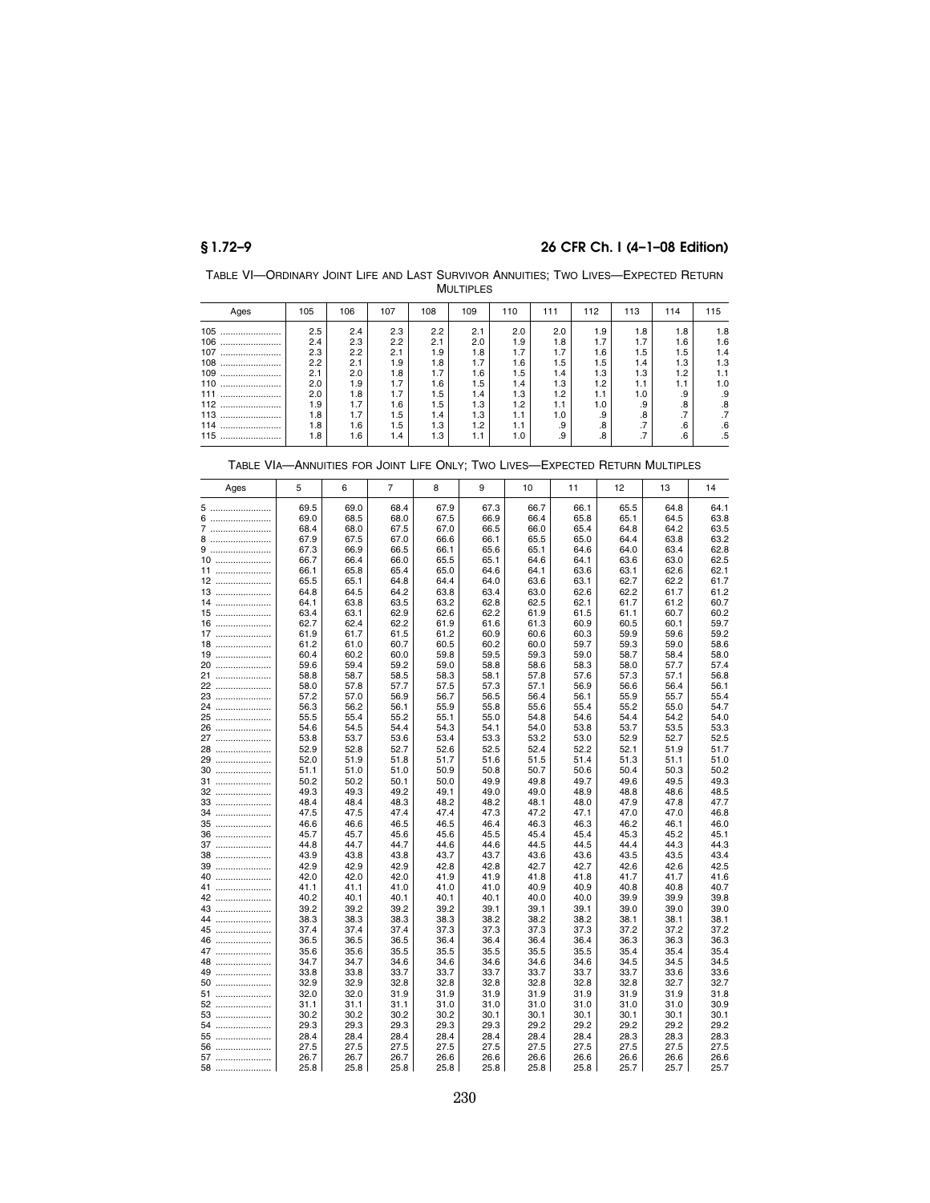TABLE VI—ORDINARY JOINT LIFE AND LAST SURVIVOR ANNUITIES; TWO LIVES—EXPECTED RETURN MULTIPLES

| Ages    | 105 | 106 | 107 | 108 | 109 | 110 | 111 | 112 | 113          | 114          | 115 |
|---------|-----|-----|-----|-----|-----|-----|-----|-----|--------------|--------------|-----|
| 105<br> | 2.5 | 2.4 | 2.3 | 2.2 | 2.1 | 2.0 | 2.0 | 1.9 | 1.8          | 1.8          | 1.8 |
| 106<br> | 2.4 | 2.3 | 2.2 | 2.1 | 2.0 | 1.9 | 1.8 | 1.7 | 1.7          | 1.6          | 1.6 |
| 107<br> | 2.3 | 2.2 | 2.1 | 1.9 | 1.8 | 1.7 | 1.7 | 1.6 | 1.5          | 1.5          | 1.4 |
| 108<br> | 2.2 | 2.1 | 1.9 | 1.8 | 1.7 | 1.6 | 1.5 | 1.5 | 1.4          | 1.3          | 1.3 |
| 109<br> | 2.1 | 2.0 | 1.8 | 1.7 | 1.6 | 1.5 | 1.4 | 1.3 | 1.3          | 1.2          | 1.1 |
| 110<br> | 2.0 | 1.9 | 1.7 | 1.6 | 1.5 | 1.4 | 1.3 | 1.2 | 1.1          | 1.1          | 1.0 |
| 111<br> | 2.0 | 1.8 | 1.7 | 1.5 | 1.4 | 1.3 | 1.2 | 1.1 | 1.0          | .9           | .9  |
| 112<br> | 1.9 | 1.7 | 1.6 | 1.5 | 1.3 | 1.2 | 1.1 | 1.0 | .9           | .8           | .8  |
| 113<br> | 1.8 | 1.7 | 1.5 | 1.4 | 1.3 | 1.1 | 1.0 | .9  | .8           | ⇁<br>$\cdot$ | .7  |
| 114<br> | 1.8 | 1.6 | 1.5 | 1.3 | 1.2 | 1.1 | .9  | .8  | ⇁<br>$\cdot$ | .6           | .6  |
| 115<br> | 1.8 | 1.6 | 1.4 | 1.3 | 1.1 | 1.0 | .9  | 8.  | ⇁<br>. 1     | .6           | .5  |

| Ages     | 5            | 6            | 7            | 8            | 9            | 10           | 11           | 12           | 13           | 14           |
|----------|--------------|--------------|--------------|--------------|--------------|--------------|--------------|--------------|--------------|--------------|
| 5        | 69.5         | 69.0         | 68.4         | 67.9         | 67.3         | 66.7         | 66.1         | 65.5         | 64.8         | 64.1         |
| 6        | 69.0         | 68.5         | 68.0         | 67.5         | 66.9         | 66.4         | 65.8         | 65.1         | 64.5         | 63.8         |
| 7        | 68.4         | 68.0         | 67.5         | 67.0         | 66.5         | 66.0         | 65.4         | 64.8         | 64.2         | 63.5         |
| 8        | 67.9         | 67.5         | 67.0         | 66.6         | 66.1         | 65.5         | 65.0         | 64.4         | 63.8         | 63.2         |
| 9        | 67.3         | 66.9         | 66.5         | 66.1         | 65.6         | 65.1         | 64.6         | 64.0         | 63.4         | 62.8         |
| $10$     | 66.7         | 66.4         | 66.0         | 65.5         | 65.1         | 64.6         | 64.1         | 63.6         | 63.0         | 62.5         |
| 11       | 66.1         | 65.8         | 65.4         | 65.0         | 64.6         | 64.1         | 63.6         | 63.1         | 62.6         | 62.1         |
| 12       | 65.5         | 65.1         | 64.8         | 64.4         | 64.0         | 63.6         | 63.1         | 62.7         | 62.2         | 61.7         |
| 13       | 64.8         | 64.5         | 64.2         | 63.8         | 63.4         | 63.0         | 62.6         | 62.2         | 61.7         | 61.2         |
| 14       | 64.1         | 63.8         | 63.5         | 63.2         | 62.8         | 62.5         | 62.1         | 61.7         | 61.2         | 60.7         |
| $15$     | 63.4         | 63.1         | 62.9         | 62.6         | 62.2         | 61.9         | 61.5         | 61.1         | 60.7         | 60.2         |
| 16<br>17 | 62.7<br>61.9 | 62.4<br>61.7 | 62.2<br>61.5 | 61.9<br>61.2 | 61.6<br>60.9 | 61.3<br>60.6 | 60.9<br>60.3 | 60.5<br>59.9 | 60.1<br>59.6 | 59.7<br>59.2 |
| $18$     | 61.2         | 61.0         | 60.7         | 60.5         | 60.2         | 60.0         | 59.7         | 59.3         | 59.0         | 58.6         |
| 19       | 60.4         | 60.2         | 60.0         | 59.8         | 59.5         | 59.3         | 59.0         | 58.7         | 58.4         | 58.0         |
| 20       | 59.6         | 59.4         | 59.2         | 59.0         | 58.8         | 58.6         | 58.3         | 58.0         | 57.7         | 57.4         |
| 21       | 58.8         | 58.7         | 58.5         | 58.3         | 58.1         | 57.8         | 57.6         | 57.3         | 57.1         | 56.8         |
| 22       | 58.0         | 57.8         | 57.7         | 57.5         | 57.3         | 57.1         | 56.9         | 56.6         | 56.4         | 56.1         |
| 23       | 57.2         | 57.0         | 56.9         | 56.7         | 56.5         | 56.4         | 56.1         | 55.9         | 55.7         | 55.4         |
| 24       | 56.3         | 56.2         | 56.1         | 55.9         | 55.8         | 55.6         | 55.4         | 55.2         | 55.0         | 54.7         |
| 25       | 55.5         | 55.4         | 55.2         | 55.1         | 55.0         | 54.8         | 54.6         | 54.4         | 54.2         | 54.0         |
| 26       | 54.6         | 54.5         | 54.4         | 54.3         | 54.1         | 54.0         | 53.8         | 53.7         | 53.5         | 53.3         |
| 27       | 53.8         | 53.7         | 53.6         | 53.4         | 53.3         | 53.2         | 53.0         | 52.9         | 52.7         | 52.5         |
| 28       | 52.9         | 52.8         | 52.7         | 52.6         | 52.5         | 52.4         | 52.2         | 52.1         | 51.9         | 51.7         |
| 29       | 52.0         | 51.9         | 51.8         | 51.7         | 51.6         | 51.5         | 51.4         | 51.3         | 51.1         | 51.0         |
| 30       | 51.1         | 51.0         | 51.0         | 50.9         | 50.8         | 50.7         | 50.6         | 50.4         | 50.3         | 50.2         |
| 31       | 50.2         | 50.2         | 50.1         | 50.0         | 49.9         | 49.8         | 49.7         | 49.6         | 49.5         | 49.3         |
| 32       | 49.3         | 49.3         | 49.2         | 49.1         | 49.0         | 49.0         | 48.9         | 48.8         | 48.6         | 48.5         |
| 33       | 48.4         | 48.4         | 48.3         | 48.2         | 48.2         | 48.1         | 48.0         | 47.9         | 47.8         | 47.7         |
| 34       | 47.5         | 47.5         | 47.4         | 47.4         | 47.3         | 47.2         | 47.1         | 47.0         | 47.0         | 46.8         |
| 35       | 46.6         | 46.6         | 46.5         | 46.5         | 46.4         | 46.3         | 46.3         | 46.2         | 46.1         | 46.0         |
| 36       | 45.7         | 45.7         | 45.6         | 45.6         | 45.5         | 45.4         | 45.4         | 45.3         | 45.2         | 45.1         |
| 37       | 44.8         | 44.7         | 44.7         | 44.6         | 44.6         | 44.5         | 44.5         | 44.4         | 44.3         | 44.3         |
| 38       | 43.9         | 43.8         | 43.8         | 43.7         | 43.7         | 43.6         | 43.6         | 43.5         | 43.5         | 43.4         |
| 39       | 42.9         | 42.9         | 42.9         | 42.8         | 42.8         | 42.7         | 42.7         | 42.6         | 42.6         | 42.5         |
| 40       | 42.0         | 42.0         | 42.0         | 41.9         | 41.9         | 41.8         | 41.8         | 41.7         | 41.7         | 41.6         |
| 41       | 41.1         | 41.1         | 41.0         | 41.0         | 41.0         | 40.9         | 40.9         | 40.8         | 40.8         | 40.7         |
| 42<br>43 | 40.2<br>39.2 | 40.1         | 40.1         | 40.1         | 40.1         | 40.0         | 40.0         | 39.9         | 39.9         | 39.8         |
| 44       | 38.3         | 39.2<br>38.3 | 39.2<br>38.3 | 39.2<br>38.3 | 39.1<br>38.2 | 39.1<br>38.2 | 39.1<br>38.2 | 39.0<br>38.1 | 39.0<br>38.1 | 39.0<br>38.1 |
| 45       | 37.4         | 37.4         | 37.4         | 37.3         | 37.3         | 37.3         | 37.3         | 37.2         | 37.2         | 37.2         |
| 46       | 36.5         | 36.5         | 36.5         | 36.4         | 36.4         | 36.4         | 36.4         | 36.3         | 36.3         | 36.3         |
| 47       | 35.6         | 35.6         | 35.5         | 35.5         | 35.5         | 35.5         | 35.5         | 35.4         | 35.4         | 35.4         |
| 48       | 34.7         | 34.7         | 34.6         | 34.6         | 34.6         | 34.6         | 34.6         | 34.5         | 34.5         | 34.5         |
| 49       | 33.8         | 33.8         | 33.7         | 33.7         | 33.7         | 33.7         | 33.7         | 33.7         | 33.6         | 33.6         |
| 50       | 32.9         | 32.9         | 32.8         | 32.8         | 32.8         | 32.8         | 32.8         | 32.8         | 32.7         | 32.7         |
| 51       | 32.0         | 32.0         | 31.9         | 31.9         | 31.9         | 31.9         | 31.9         | 31.9         | 31.9         | 31.8         |
| 52       | 31.1         | 31.1         | 31.1         | 31.0         | 31.0         | 31.0         | 31.0         | 31.0         | 31.0         | 30.9         |
| 53       | 30.2         | 30.2         | 30.2         | 30.2         | 30.1         | 30.1         | 30.1         | 30.1         | 30.1         | 30.1         |
| 54       | 29.3         | 29.3         | 29.3         | 29.3         | 29.3         | 29.2         | 29.2         | 29.2         | 29.2         | 29.2         |
| 55       | 28.4         | 28.4         | 28.4         | 28.4         | 28.4         | 28.4         | 28.4         | 28.3         | 28.3         | 28.3         |
| 56       | 27.5         | 27.5         | 27.5         | 27.5         | 27.5         | 27.5         | 27.5         | 27.5         | 27.5         | 27.5         |
| 57       | 26.7         | 26.7         | 26.7         | 26.6         | 26.6         | 26.6         | 26.6         | 26.6         | 26.6         | 26.6         |
| 58       | 25.8         | 25.8         | 25.8         | 25.8         | 25.8         | 25.8         | 25.8         | 25.7         | 25.7 l       | 25.7         |

| TABLE VIA-ANNUITIES FOR JOINT LIFE ONLY; TWO LIVES-EXPECTED RETURN MULTIPLES |  |  |  |
|------------------------------------------------------------------------------|--|--|--|
|------------------------------------------------------------------------------|--|--|--|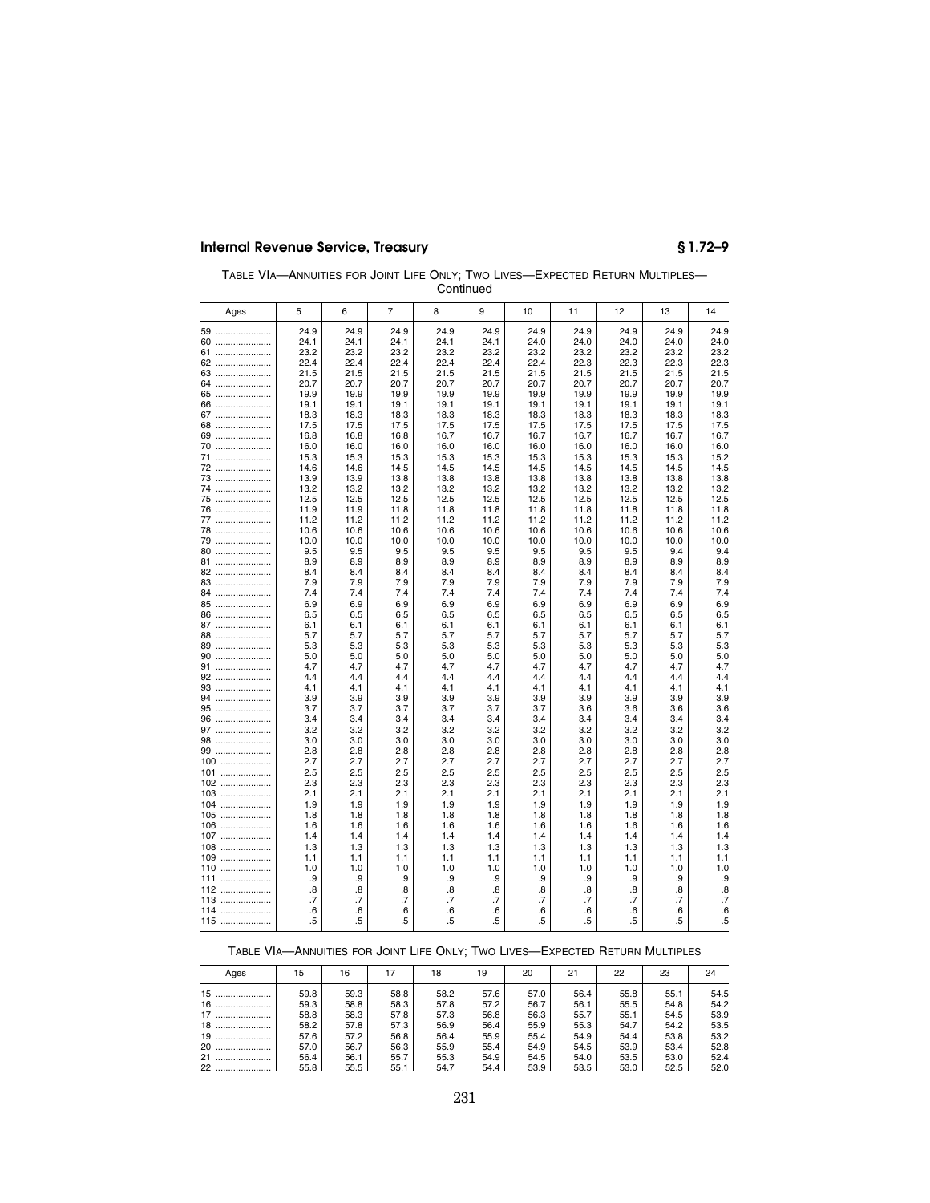| TABLE VIA-ANNUITIES FOR JOINT LIFE ONLY: TWO LIVES-EXPECTED RETURN MULTIPLES- |
|-------------------------------------------------------------------------------|
| Continued                                                                     |

| Ages     | 5            | 6            | $\overline{7}$ | 8            | 9            | 10              | 11           | 12           | 13           | 14           |
|----------|--------------|--------------|----------------|--------------|--------------|-----------------|--------------|--------------|--------------|--------------|
| 59       | 24.9         | 24.9         | 24.9           | 24.9         | 24.9         | 24.9            | 24.9         | 24.9         | 24.9         | 24.9         |
| 60       | 24.1         | 24.1         | 24.1           | 24.1         | 24.1         | 24.0            | 24.0         | 24.0         | 24.0         | 24.0         |
| 61       | 23.2         | 23.2         | 23.2           | 23.2         | 23.2         | 23.2            | 23.2         | 23.2         | 23.2         | 23.2         |
| 62       | 22.4         | 22.4         | 22.4           | 22.4         | 22.4         | 22.4            | 22.3         | 22.3         | 22.3         | 22.3         |
| 63       | 21.5         | 21.5         | 21.5           | 21.5         | 21.5         | 21.5            | 21.5         | 21.5         | 21.5         | 21.5         |
| 64       | 20.7         | 20.7         | 20.7           | 20.7         | 20.7         | 20.7            | 20.7         | 20.7         | 20.7         | 20.7         |
| 65       | 19.9         | 19.9         | 19.9           | 19.9         | 19.9         | 19.9            | 19.9         | 19.9         | 19.9         | 19.9         |
| 66       | 19.1         | 19.1         | 19.1           | 19.1         | 19.1         | 19.1            | 19.1         | 19.1         | 19.1         | 19.1         |
| 67       | 18.3         | 18.3         | 18.3           | 18.3         | 18.3         | 18.3            | 18.3         | 18.3         | 18.3         | 18.3         |
| 68       | 17.5         | 17.5         | 17.5           | 17.5         | 17.5         | 17.5            | 17.5         | 17.5         | 17.5         | 17.5         |
| 69       | 16.8         | 16.8         | 16.8           | 16.7         | 16.7         | 16.7            | 16.7         | 16.7         | 16.7         | 16.7         |
| 70       | 16.0         | 16.0         | 16.0           | 16.0         | 16.0         | 16.0            | 16.0         | 16.0         | 16.0         | 16.0         |
| 71       | 15.3         | 15.3         | 15.3           | 15.3         | 15.3         | 15.3            | 15.3         | 15.3         | 15.3         | 15.2         |
| 72       | 14.6         | 14.6         | 14.5           | 14.5         | 14.5         | 14.5            | 14.5         | 14.5         | 14.5         | 14.5         |
| 73<br>74 | 13.9<br>13.2 | 13.9<br>13.2 | 13.8<br>13.2   | 13.8<br>13.2 | 13.8<br>13.2 | 13.8<br>13.2    | 13.8<br>13.2 | 13.8<br>13.2 | 13.8<br>13.2 | 13.8<br>13.2 |
| 75       | 12.5         | 12.5         | 12.5           | 12.5         | 12.5         | 12.5            | 12.5         | 12.5         | 12.5         | 12.5         |
| 76       | 11.9         | 11.9         | 11.8           | 11.8         | 11.8         | 11.8            | 11.8         | 11.8         | 11.8         | 11.8         |
| 77       | 11.2         | 11.2         | 11.2           | 11.2         | 11.2         | 11.2            | 11.2         | 11.2         | 11.2         | 11.2         |
| 78       | 10.6         | 10.6         | 10.6           | 10.6         | 10.6         | 10.6            | 10.6         | 10.6         | 10.6         | 10.6         |
| 79       | 10.0         | 10.0         | 10.0           | 10.0         | 10.0         | 10.0            | 10.0         | 10.0         | 10.0         | 10.0         |
| 80       | 9.5          | 9.5          | 9.5            | 9.5          | 9.5          | 9.5             | 9.5          | 9.5          | 9.4          | 9.4          |
| 81       | 8.9          | 8.9          | 8.9            | 8.9          | 8.9          | 8.9             | 8.9          | 8.9          | 8.9          | 8.9          |
| 82       | 8.4          | 8.4          | 8.4            | 8.4          | 8.4          | 8.4             | 8.4          | 8.4          | 8.4          | 8.4          |
| 83       | 7.9          | 7.9          | 7.9            | 7.9          | 7.9          | 7.9             | 7.9          | 7.9          | 7.9          | 7.9          |
| 84       | 7.4          | 7.4          | 7.4            | 7.4          | 7.4          | 7.4             | 7.4          | 7.4          | 7.4          | 7.4          |
| 85       | 6.9          | 6.9          | 6.9            | 6.9          | 6.9          | 6.9             | 6.9          | 6.9          | 6.9          | 6.9          |
| 86       | 6.5          | 6.5          | 6.5            | 6.5          | 6.5          | 6.5             | 6.5          | 6.5          | 6.5          | 6.5          |
| 87       | 6.1          | 6.1          | 6.1            | 6.1          | 6.1          | 6.1             | 6.1          | 6.1          | 6.1          | 6.1          |
| 88       | 5.7          | 5.7          | 5.7            | 5.7          | 5.7          | 5.7             | 5.7          | 5.7          | 5.7          | 5.7          |
| 89       | 5.3          | 5.3          | 5.3            | 5.3          | 5.3          | 5.3             | 5.3          | 5.3          | 5.3          | 5.3          |
| 90       | 5.0          | 5.0          | 5.0            | 5.0          | 5.0          | 5.0             | 5.0          | 5.0          | 5.0          | 5.0          |
| 91       | 4.7          | 4.7          | 4.7            | 4.7          | 4.7          | 4.7             | 4.7          | 4.7          | 4.7          | 4.7          |
| 92       | 4.4          | 4.4          | 4.4            | 4.4          | 4.4          | 4.4             | 4.4          | 4.4          | 4.4          | 4.4          |
| 93       | 4.1          | 4.1          | 4.1            | 4.1          | 4.1          | 4.1             | 4.1          | 4.1          | 4.1          | 4.1          |
| 94       | 3.9          | 3.9          | 3.9            | 3.9          | 3.9          | 3.9             | 3.9          | 3.9          | 3.9          | 3.9          |
| 95<br>96 | 3.7<br>3.4   | 3.7<br>3.4   | 3.7<br>3.4     | 3.7<br>3.4   | 3.7<br>3.4   | 3.7<br>3.4      | 3.6<br>3.4   | 3.6<br>3.4   | 3.6<br>3.4   | 3.6<br>3.4   |
| 97       | 3.2          | 3.2          | 3.2            | 3.2          | 3.2          | 3.2             | 3.2          | 3.2          | 3.2          | 3.2          |
| 98       | 3.0          | 3.0          | 3.0            | 3.0          | 3.0          | 3.0             | 3.0          | 3.0          | 3.0          | 3.0          |
| 99       | 2.8          | 2.8          | 2.8            | 2.8          | 2.8          | 2.8             | 2.8          | 2.8          | 2.8          | 2.8          |
| 100      | 2.7          | 2.7          | 2.7            | 2.7          | 2.7          | 2.7             | 2.7          | 2.7          | 2.7          | 2.7          |
| 101      | 2.5          | 2.5          | 2.5            | 2.5          | 2.5          | 2.5             | 2.5          | 2.5          | 2.5          | 2.5          |
| 102      | 2.3          | 2.3          | 2.3            | 2.3          | 2.3          | 2.3             | 2.3          | 2.3          | 2.3          | 2.3          |
| 103      | 2.1          | 2.1          | 2.1            | 2.1          | 2.1          | 2.1             | 2.1          | 2.1          | 2.1          | 2.1          |
| 104      | 1.9          | 1.9          | 1.9            | 1.9          | 1.9          | 1.9             | 1.9          | 1.9          | 1.9          | 1.9          |
| 105      | 1.8          | 1.8          | 1.8            | 1.8          | 1.8          | 1.8             | 1.8          | 1.8          | 1.8          | 1.8          |
| 106      | 1.6          | 1.6          | 1.6            | 1.6          | 1.6          | 1.6             | 1.6          | 1.6          | 1.6          | 1.6          |
| 107      | 1.4          | 1.4          | 1.4            | 1.4          | 1.4          | 1.4             | 1.4          | 1.4          | 1.4          | 1.4          |
| 108      | 1.3          | 1.3          | 1.3            | 1.3          | 1.3          | 1.3             | 1.3          | 1.3          | 1.3          | 1.3          |
| 109      | 1.1          | 1.1          | 1.1            | 1.1          | 1.1          | 1.1             | 1.1          | 1.1          | 1.1          | 1.1          |
| 110      | 1.0          | 1.0          | 1.0            | 1.0          | 1.0          | 1.0             | 1.0          | 1.0          | 1.0          | 1.0          |
| 111      | .9           | .9           | .9             | .9           | .9           | .9              | .9           | .9           | .9           | .9           |
| 112      | .8           | .8           | .8             | .8           | .8           | .8              | .8           | .8           | .8           | .8           |
| 113      | .7           | .7           | .7             | .7           | .7           | $\overline{.7}$ | .7           | .7           | .7           | $\cdot$ 7    |
| 114      | .6           | .6           | .6             | .6           | .6           | .6              | .6           | .6           | .6           | .6           |
| 115      | .5           | .5           | .5             | $.5\,$       | .5           | .5              | .5           | .5           | .5           | .5           |

## TABLE VIA—ANNUITIES FOR JOINT LIFE ONLY; TWO LIVES—EXPECTED RETURN MULTIPLES

| Ages   | 15   | 16   |      | 18   | 19   | 20   | 21   | 22   | 23   | 24   |
|--------|------|------|------|------|------|------|------|------|------|------|
| 15     | 59.8 | 59.3 | 58.8 | 58.2 | 57.6 | 57.0 | 56.4 | 55.8 | 55.1 | 54.5 |
| 16     | 59.3 | 58.8 | 58.3 | 57.8 | 57.2 | 56.7 | 56.1 | 55.5 | 54.8 | 54.2 |
| 17     | 58.8 | 58.3 | 57.8 | 57.3 | 56.8 | 56.3 | 55.7 | 55.1 | 54.5 | 53.9 |
| $18$   | 58.2 | 57.8 | 57.3 | 56.9 | 56.4 | 55.9 | 55.3 | 54.7 | 54.2 | 53.5 |
| 19     | 57.6 | 57.2 | 56.8 | 56.4 | 55.9 | 55.4 | 54.9 | 54.4 | 53.8 | 53.2 |
| 20<br> | 57.0 | 56.7 | 56.3 | 55.9 | 55.4 | 54.9 | 54.5 | 53.9 | 53.4 | 52.8 |
| 21<br> | 56.4 | 56.1 | 55.7 | 55.3 | 54.9 | 54.5 | 54.0 | 53.5 | 53.0 | 52.4 |
| 22     | 55.8 | 55.5 | 55.1 | 54.7 | 54.4 | 53.9 | 53.5 | 53.0 | 52.5 | 52.0 |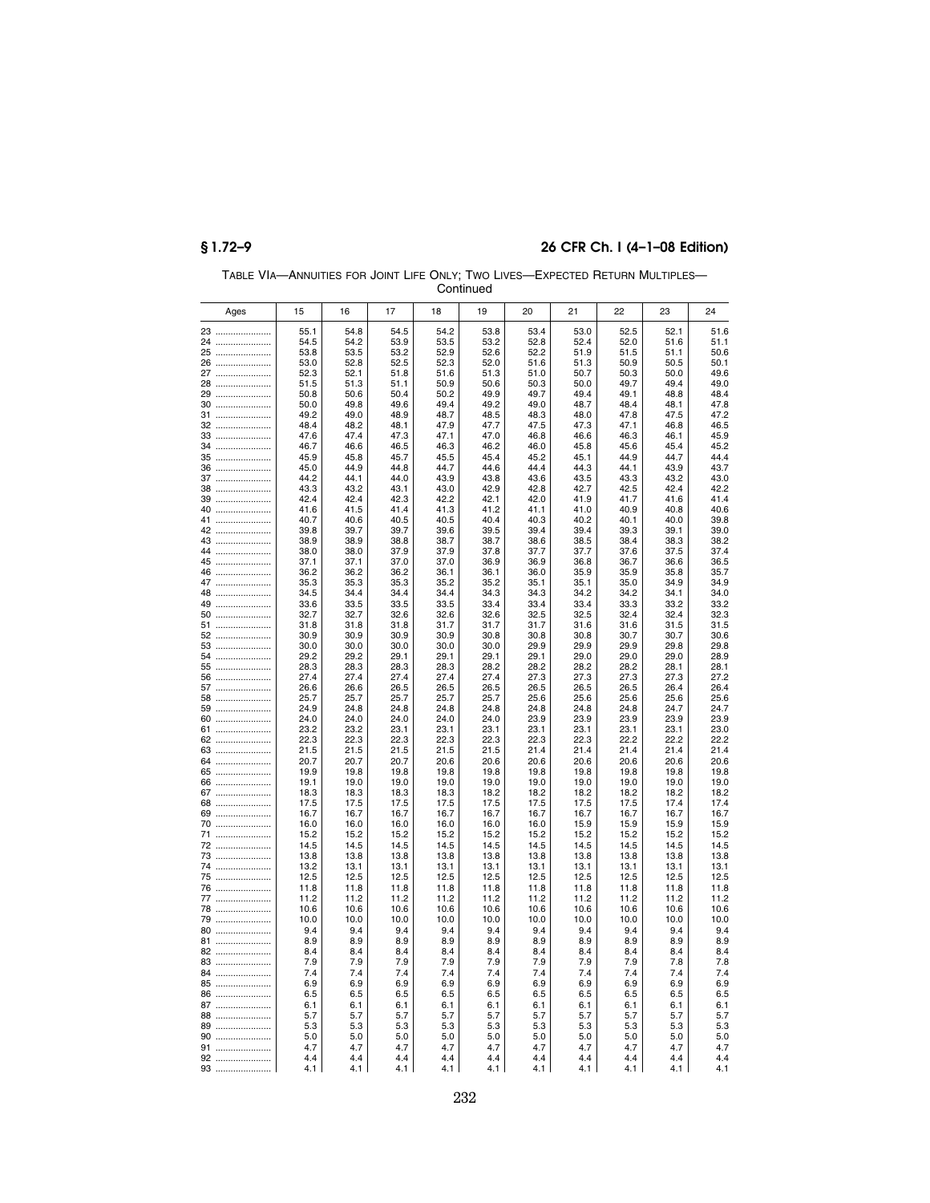|          | Continued |              |              |              |              |              |              |              |              |              |              |
|----------|-----------|--------------|--------------|--------------|--------------|--------------|--------------|--------------|--------------|--------------|--------------|
|          | Ages      | 15           | 16           | 17           | 18           | 19           | 20           | 21           | 22           | 23           | 24           |
|          | 23        | 55.1         | 54.8         | 54.5         | 54.2         | 53.8         | 53.4         | 53.0         | 52.5         | 52.1         | 51.6         |
|          | 24        | 54.5         | 54.2         | 53.9         | 53.5         | 53.2         | 52.8         | 52.4         | 52.0         | 51.6         | 51.1         |
|          | 25        | 53.8         | 53.5         | 53.2         | 52.9         | 52.6         | 52.2         | 51.9         | 51.5         | 51.1         | 50.6         |
|          | 26        | 53.0         | 52.8         | 52.5         | 52.3         | 52.0         | 51.6         | 51.3         | 50.9         | 50.5         | 50.1         |
|          | 27        | 52.3<br>51.5 | 52.1<br>51.3 | 51.8<br>51.1 | 51.6<br>50.9 | 51.3<br>50.6 | 51.0<br>50.3 | 50.7<br>50.0 | 50.3<br>49.7 | 50.0<br>49.4 | 49.6<br>49.0 |
|          | 28<br>29  | 50.8         | 50.6         | 50.4         | 50.2         | 49.9         | 49.7         | 49.4         | 49.1         | 48.8         | 48.4         |
|          | 30        | 50.0         | 49.8         | 49.6         | 49.4         | 49.2         | 49.0         | 48.7         | 48.4         | 48.1         | 47.8         |
|          | 31        | 49.2         | 49.0         | 48.9         | 48.7         | 48.5         | 48.3         | 48.0         | 47.8         | 47.5         | 47.2         |
| 32       |           | 48.4         | 48.2         | 48.1         | 47.9         | 47.7         | 47.5         | 47.3         | 47.1         | 46.8         | 46.5         |
|          | 33        | 47.6         | 47.4         | 47.3         | 47.1         | 47.0         | 46.8         | 46.6         | 46.3         | 46.1         | 45.9         |
| 34       |           | 46.7         | 46.6         | 46.5         | 46.3         | 46.2         | 46.0         | 45.8         | 45.6         | 45.4         | 45.2         |
|          | 35        | 45.9         | 45.8         | 45.7         | 45.5         | 45.4         | 45.2         | 45.1         | 44.9         | 44.7         | 44.4         |
|          | 36        | 45.0<br>44.2 | 44.9         | 44.8<br>44.0 | 44.7         | 44.6         | 44.4         | 44.3         | 44.1         | 43.9         | 43.7         |
|          | 37<br>38  | 43.3         | 44.1<br>43.2 | 43.1         | 43.9<br>43.0 | 43.8<br>42.9 | 43.6<br>42.8 | 43.5<br>42.7 | 43.3<br>42.5 | 43.2<br>42.4 | 43.0<br>42.2 |
|          | 39        | 42.4         | 42.4         | 42.3         | 42.2         | 42.1         | 42.0         | 41.9         | 41.7         | 41.6         | 41.4         |
|          | 40        | 41.6         | 41.5         | 41.4         | 41.3         | 41.2         | 41.1         | 41.0         | 40.9         | 40.8         | 40.6         |
|          | 41        | 40.7         | 40.6         | 40.5         | 40.5         | 40.4         | 40.3         | 40.2         | 40.1         | 40.0         | 39.8         |
| 42       |           | 39.8         | 39.7         | 39.7         | 39.6         | 39.5         | 39.4         | 39.4         | 39.3         | 39.1         | 39.0         |
|          | 43        | 38.9         | 38.9         | 38.8         | 38.7         | 38.7         | 38.6         | 38.5         | 38.4         | 38.3         | 38.2         |
|          | 44        | 38.0         | 38.0         | 37.9         | 37.9         | 37.8         | 37.7         | 37.7         | 37.6         | 37.5         | 37.4         |
|          | 45        | 37.1         | 37.1         | 37.0         | 37.0         | 36.9         | 36.9         | 36.8         | 36.7         | 36.6         | 36.5         |
| 46<br>47 |           | 36.2<br>35.3 | 36.2<br>35.3 | 36.2<br>35.3 | 36.1<br>35.2 | 36.1<br>35.2 | 36.0<br>35.1 | 35.9<br>35.1 | 35.9<br>35.0 | 35.8<br>34.9 | 35.7<br>34.9 |
| 48       |           | 34.5         | 34.4         | 34.4         | 34.4         | 34.3         | 34.3         | 34.2         | 34.2         | 34.1         | 34.0         |
|          | 49        | 33.6         | 33.5         | 33.5         | 33.5         | 33.4         | 33.4         | 33.4         | 33.3         | 33.2         | 33.2         |
|          | 50        | 32.7         | 32.7         | 32.6         | 32.6         | 32.6         | 32.5         | 32.5         | 32.4         | 32.4         | 32.3         |
|          | 51        | 31.8         | 31.8         | 31.8         | 31.7         | 31.7         | 31.7         | 31.6         | 31.6         | 31.5         | 31.5         |
|          | 52        | 30.9         | 30.9         | 30.9         | 30.9         | 30.8         | 30.8         | 30.8         | 30.7         | 30.7         | 30.6         |
|          | 53        | 30.0         | 30.0         | 30.0         | 30.0         | 30.0         | 29.9         | 29.9         | 29.9         | 29.8         | 29.8         |
|          | 54        | 29.2<br>28.3 | 29.2         | 29.1<br>28.3 | 29.1<br>28.3 | 29.1<br>28.2 | 29.1<br>28.2 | 29.0<br>28.2 | 29.0<br>28.2 | 29.0<br>28.1 | 28.9<br>28.1 |
|          | 55<br>56  | 27.4         | 28.3<br>27.4 | 27.4         | 27.4         | 27.4         | 27.3         | 27.3         | 27.3         | 27.3         | 27.2         |
|          | 57        | 26.6         | 26.6         | 26.5         | 26.5         | 26.5         | 26.5         | 26.5         | 26.5         | 26.4         | 26.4         |
|          | 58        | 25.7         | 25.7         | 25.7         | 25.7         | 25.7         | 25.6         | 25.6         | 25.6         | 25.6         | 25.6         |
|          | 59        | 24.9         | 24.8         | 24.8         | 24.8         | 24.8         | 24.8         | 24.8         | 24.8         | 24.7         | 24.7         |
|          | 60        | 24.0         | 24.0         | 24.0         | 24.0         | 24.0         | 23.9         | 23.9         | 23.9         | 23.9         | 23.9         |
|          | 61        | 23.2         | 23.2         | 23.1         | 23.1         | 23.1         | 23.1         | 23.1         | 23.1         | 23.1         | 23.0         |
|          | 62        | 22.3         | 22.3         | 22.3         | 22.3         | 22.3         | 22.3         | 22.3         | 22.2         | 22.2         | 22.2         |
|          | 63<br>64  | 21.5<br>20.7 | 21.5<br>20.7 | 21.5<br>20.7 | 21.5<br>20.6 | 21.5<br>20.6 | 21.4<br>20.6 | 21.4<br>20.6 | 21.4<br>20.6 | 21.4<br>20.6 | 21.4<br>20.6 |
|          | 65        | 19.9         | 19.8         | 19.8         | 19.8         | 19.8         | 19.8         | 19.8         | 19.8         | 19.8         | 19.8         |
|          | 66        | 19.1         | 19.0         | 19.0         | 19.0         | 19.0         | 19.0         | 19.0         | 19.0         | 19.0         | 19.0         |
|          | 67        | 18.3         | 18.3         | 18.3         | 18.3         | 18.2         | 18.2         | 18.2         | 18.2         | 18.2         | 18.2         |
|          | 68        | 17.5         | 17.5         | 17.5         | 17.5         | 17.5         | 17.5         | 17.5         | 17.5         | 17.4         | 17.4         |
|          | 69        | 16.7         | 16.7         | 16.7         | 16.7         | 16.7         | 16.7         | 16.7         | 16.7         | 16.7         | 16.7         |
|          | 70        | 16.0         | 16.0         | 16.0         | 16.0         | 16.0         | 16.0         | 15.9         | 15.9         | 15.9         | 15.9         |
|          | 71        | 15.2<br>14.5 | 15.2<br>14.5 | 15.2         | 15.2<br>14.5 | 15.2<br>14.5 | 15.2<br>14.5 | 15.2<br>14.5 | 15.2<br>14.5 | 15.2<br>14.5 | 15.2<br>14.5 |
|          | 72<br>73  | 13.8         | 13.8         | 14.5<br>13.8 | 13.8         | 13.8         | 13.8         | 13.8         | 13.8         | 13.8         | 13.8         |
|          | 74        | 13.2         | 13.1         | 13.1         | 13.1         | 13.1         | 13.1         | 13.1         | 13.1         | 13.1         | 13.1         |
|          | 75        | 12.5         | 12.5         | 12.5         | 12.5         | 12.5         | 12.5         | 12.5         | 12.5         | 12.5         | 12.5         |
|          | 76        | 11.8         | 11.8         | 11.8         | 11.8         | 11.8         | 11.8         | 11.8         | 11.8         | 11.8         | 11.8         |
|          | 77        | 11.2         | 11.2         | 11.2         | 11.2         | 11.2         | 11.2         | 11.2         | 11.2         | 11.2         | 11.2         |
|          | 78        | 10.6         | 10.6         | 10.6         | 10.6         | 10.6         | 10.6         | 10.6         | 10.6         | 10.6         | 10.6         |
|          | 79        | 10.0         | 10.0         | 10.0         | 10.0         | 10.0         | 10.0         | 10.0         | 10.0         | 10.0         | 10.0         |
|          | 80        | 9.4          | 9.4          | 9.4          | 9.4          | 9.4          | 9.4          | 9.4          | 9.4          | 9.4          | 9.4          |
|          | 81        | 8.9          | 8.9          | 8.9          | 8.9          | 8.9          | 8.9          | 8.9          | 8.9          | 8.9          | 8.9          |
|          | 82<br>83  | 8.4<br>7.9   | 8.4<br>7.9   | 8.4<br>7.9   | 8.4<br>7.9   | 8.4<br>7.9   | 8.4<br>7.9   | 8.4<br>7.9   | 8.4<br>7.9   | 8.4<br>7.8   | 8.4<br>7.8   |
|          | 84        | 7.4          | 7.4          | 7.4          | 7.4          | 7.4          | 7.4          | 7.4          | 7.4          | 7.4          | 7.4          |
|          | 85        | 6.9          | 6.9          | 6.9          | 6.9          | 6.9          | 6.9          | 6.9          | 6.9          | 6.9          | 6.9          |
|          | 86        | 6.5          | 6.5          | 6.5          | 6.5          | 6.5          | 6.5          | 6.5          | 6.5          | 6.5          | 6.5          |
|          | 87        | 6.1          | 6.1          | 6.1          | 6.1          | 6.1          | 6.1          | 6.1          | 6.1          | 6.1          | 6.1          |
|          | 88        | 5.7          | 5.7          | 5.7          | 5.7          | 5.7          | 5.7          | 5.7          | 5.7          | 5.7          | 5.7          |
|          | 89        | 5.3          | 5.3          | 5.3          | 5.3          | 5.3          | 5.3          | 5.3          | 5.3          | 5.3          | 5.3          |
|          | 90        | 5.0          | 5.0          | 5.0          | 5.0          | 5.0          | 5.0          | 5.0          | 5.0          | 5.0          | 5.0          |
|          | 91        | 4.7          | 4.7          | 4.7          | 4.7          | 4.7          | 4.7          | 4.7          | 4.7          | 4.7          | 4.7          |
| 93       | 92        | 4.4<br>4.1   | 4.4<br>4.1   | 4.4<br>4.1   | 4.4<br>4.1   | 4.4<br>4.1   | 4.4<br>4.1   | 4.4<br>4.1   | 4.4<br>4.1   | 4.4<br>4.1   | 4.4<br>4.1   |
|          |           |              |              |              |              |              |              |              |              |              |              |

TABLE VIA—ANNUITIES FOR JOINT LIFE ONLY; TWO LIVES—EXPECTED RETURN MULTIPLES—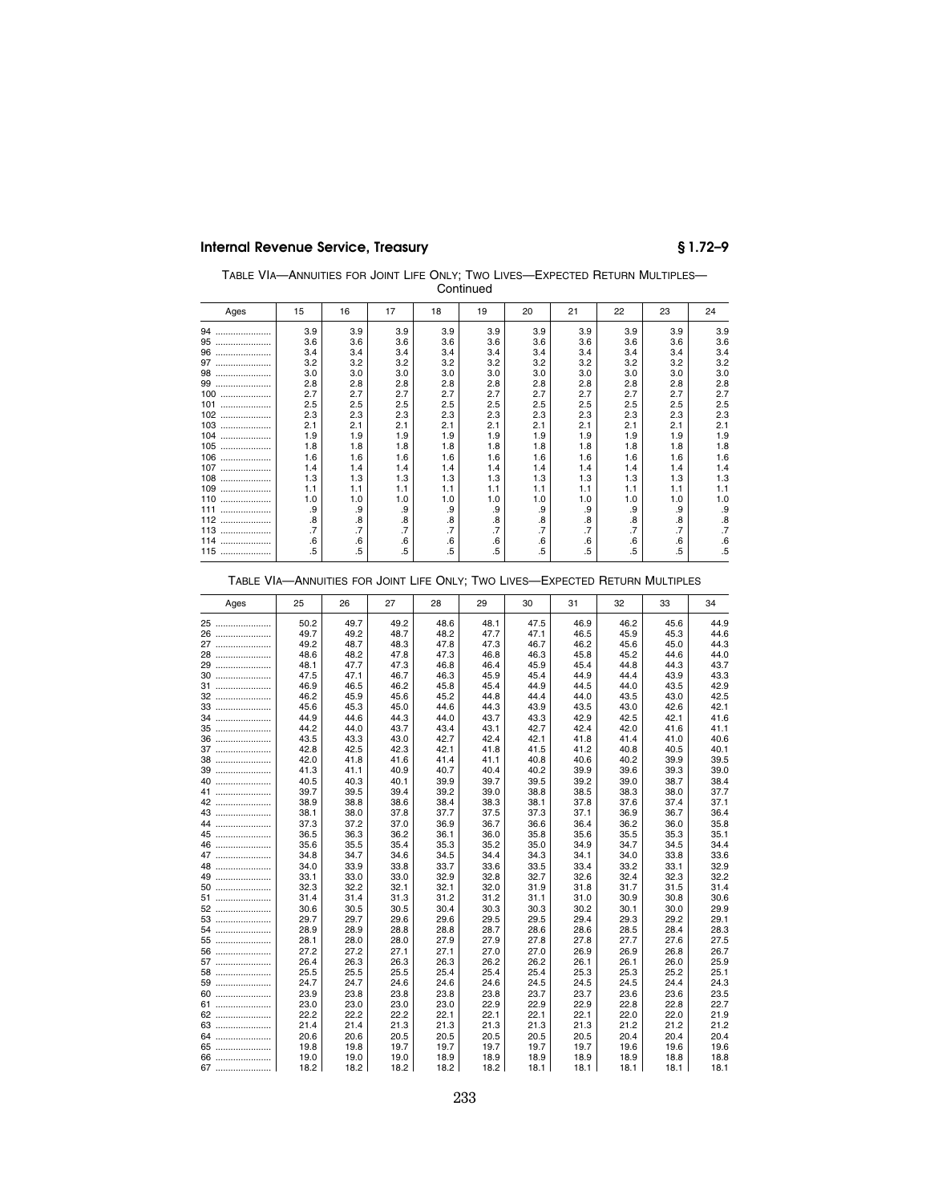| TABLE VIA-ANNUITIES FOR JOINT LIFE ONLY; TWO LIVES-EXPECTED RETURN MULTIPLES- |
|-------------------------------------------------------------------------------|
| Continued                                                                     |

| Ages    | 15              | 16  | 17  | 18     | 19  | 20        | 21        | 22              | 23              | 24              |
|---------|-----------------|-----|-----|--------|-----|-----------|-----------|-----------------|-----------------|-----------------|
| 94<br>  | 3.9             | 3.9 | 3.9 | 3.9    | 3.9 | 3.9       | 3.9       | 3.9             | 3.9             | 3.9             |
| 95<br>  | 3.6             | 3.6 | 3.6 | 3.6    | 3.6 | 3.6       | 3.6       | 3.6             | 3.6             | 3.6             |
| 96<br>  | 3.4             | 3.4 | 3.4 | 3.4    | 3.4 | 3.4       | 3.4       | 3.4             | 3.4             | 3.4             |
| 97<br>  | 3.2             | 3.2 | 3.2 | 3.2    | 3.2 | 3.2       | 3.2       | 3.2             | 3.2             | 3.2             |
| 98<br>  | 3.0             | 3.0 | 3.0 | 3.0    | 3.0 | 3.0       | 3.0       | 3.0             | 3.0             | 3.0             |
| 99<br>  | 2.8             | 2.8 | 2.8 | 2.8    | 2.8 | 2.8       | 2.8       | 2.8             | 2.8             | 2.8             |
| 100<br> | 2.7             | 2.7 | 2.7 | 2.7    | 2.7 | 2.7       | 2.7       | 2.7             | 2.7             | 2.7             |
| 101<br> | 2.5             | 2.5 | 2.5 | 2.5    | 2.5 | 2.5       | 2.5       | 2.5             | 2.5             | 2.5             |
| 102<br> | 2.3             | 2.3 | 2.3 | 2.3    | 2.3 | 2.3       | 2.3       | 2.3             | 2.3             | 2.3             |
| 103<br> | 2.1             | 2.1 | 2.1 | 2.1    | 2.1 | 2.1       | 2.1       | 2.1             | 2.1             | 2.1             |
| 104<br> | 1.9             | 1.9 | 1.9 | 1.9    | 1.9 | 1.9       | 1.9       | 1.9             | 1.9             | 1.9             |
| 105<br> | 1.8             | 1.8 | 1.8 | 1.8    | 1.8 | 1.8       | 1.8       | 1.8             | 1.8             | 1.8             |
| 106<br> | 1.6             | 1.6 | 1.6 | 1.6    | 1.6 | 1.6       | 1.6       | 1.6             | 1.6             | 1.6             |
| 107<br> | 1.4             | 1.4 | 1.4 | 1.4    | 1.4 | 1.4       | 1.4       | 1.4             | 1.4             | 1.4             |
| 108<br> | 1.3             | 1.3 | 1.3 | 1.3    | 1.3 | 1.3       | 1.3       | 1.3             | 1.3             | 1.3             |
| 109<br> | 1.1             | 1.1 | 1.1 | 1.1    | 1.1 | 1.1       | 1.1       | 1.1             | 1.1             | 1.1             |
| 110<br> | 1.0             | 1.0 | 1.0 | 1.0    | 1.0 | 1.0       | 1.0       | 1.0             | 1.0             | 1.0             |
| 111<br> | .9              | .9  | .9  | .9     | .9  | .9        | .9        | .9              | .9              | .9              |
| 112<br> | .8              | .8  | .8  | .8     | .8  | .8        | .8        | .8              | .8              | .8              |
| 113<br> | $\overline{.7}$ | .7  | .7  | .7     | .7  | $\cdot$ 7 | $\cdot$ 7 | $\overline{.7}$ | $\overline{.7}$ | $\overline{.7}$ |
| 114<br> | .6              | .6  | .6  | .6     | .6  | .6        | .6        | .6              | .6              | .6              |
| 115<br> | .5              | .5  | .5  | $.5\,$ | .5  | .5        | .5        | .5              | .5              | .5              |

### TABLE VIA—ANNUITIES FOR JOINT LIFE ONLY; TWO LIVES—EXPECTED RETURN MULTIPLES

| Ages | 25   | 26   | 27   | 28   | 29   | 30   | 31   | 32   | 33   | 34   |
|------|------|------|------|------|------|------|------|------|------|------|
| 25   | 50.2 | 49.7 | 49.2 | 48.6 | 48.1 | 47.5 | 46.9 | 46.2 | 45.6 | 44.9 |
| 26   | 49.7 | 49.2 | 48.7 | 48.2 | 47.7 | 47.1 | 46.5 | 45.9 | 45.3 | 44.6 |
| 27   | 49.2 | 48.7 | 48.3 | 47.8 | 47.3 | 46.7 | 46.2 | 45.6 | 45.0 | 44.3 |
| 28   | 48.6 | 48.2 | 47.8 | 47.3 | 46.8 | 46.3 | 45.8 | 45.2 | 44.6 | 44.0 |
| 29   | 48.1 | 47.7 | 47.3 | 46.8 | 46.4 | 45.9 | 45.4 | 44.8 | 44.3 | 43.7 |
| 30   | 47.5 | 47.1 | 46.7 | 46.3 | 45.9 | 45.4 | 44.9 | 44.4 | 43.9 | 43.3 |
| 31   | 46.9 | 46.5 | 46.2 | 45.8 | 45.4 | 44.9 | 44.5 | 44.0 | 43.5 | 42.9 |
| 32   | 46.2 | 45.9 | 45.6 | 45.2 | 44.8 | 44.4 | 44.0 | 43.5 | 43.0 | 42.5 |
| 33   | 45.6 | 45.3 | 45.0 | 44.6 | 44.3 | 43.9 | 43.5 | 43.0 | 42.6 | 42.1 |
| 34   | 44.9 | 44.6 | 44.3 | 44.0 | 43.7 | 43.3 | 42.9 | 42.5 | 42.1 | 41.6 |
| 35   | 44.2 | 44.0 | 43.7 | 43.4 | 43.1 | 42.7 | 42.4 | 42.0 | 41.6 | 41.1 |
| 36   | 43.5 | 43.3 | 43.0 | 42.7 | 42.4 | 42.1 | 41.8 | 41.4 | 41.0 | 40.6 |
| 37   | 42.8 | 42.5 | 42.3 | 42.1 | 41.8 | 41.5 | 41.2 | 40.8 | 40.5 | 40.1 |
| 38   | 42.0 | 41.8 | 41.6 | 41.4 | 41.1 | 40.8 | 40.6 | 40.2 | 39.9 | 39.5 |
| 39   | 41.3 | 41.1 | 40.9 | 40.7 | 40.4 | 40.2 | 39.9 | 39.6 | 39.3 | 39.0 |
| 40   | 40.5 | 40.3 | 40.1 | 39.9 | 39.7 | 39.5 | 39.2 | 39.0 | 38.7 | 38.4 |
| 41   | 39.7 | 39.5 | 39.4 | 39.2 | 39.0 | 38.8 | 38.5 | 38.3 | 38.0 | 37.7 |
| 42   | 38.9 | 38.8 | 38.6 | 38.4 | 38.3 | 38.1 | 37.8 | 37.6 | 37.4 | 37.1 |
| 43   | 38.1 | 38.0 | 37.8 | 37.7 | 37.5 | 37.3 | 37.1 | 36.9 | 36.7 | 36.4 |
| 44   | 37.3 | 37.2 | 37.0 | 36.9 | 36.7 | 36.6 | 36.4 | 36.2 | 36.0 | 35.8 |
| 45   | 36.5 | 36.3 | 36.2 | 36.1 | 36.0 | 35.8 | 35.6 | 35.5 | 35.3 | 35.1 |
| 46   | 35.6 | 35.5 | 35.4 | 35.3 | 35.2 | 35.0 | 34.9 | 34.7 | 34.5 | 34.4 |
| 47   | 34.8 | 34.7 | 34.6 | 34.5 | 34.4 | 34.3 | 34.1 | 34.0 | 33.8 | 33.6 |
| 48   | 34.0 | 33.9 | 33.8 | 33.7 | 33.6 | 33.5 | 33.4 | 33.2 | 33.1 | 32.9 |
| 49   | 33.1 | 33.0 | 33.0 | 32.9 | 32.8 | 32.7 | 32.6 | 32.4 | 32.3 | 32.2 |
| 50   | 32.3 | 32.2 | 32.1 | 32.1 | 32.0 | 31.9 | 31.8 | 31.7 | 31.5 | 31.4 |
| 51   | 31.4 | 31.4 | 31.3 | 31.2 | 31.2 | 31.1 | 31.0 | 30.9 | 30.8 | 30.6 |
| 52   | 30.6 | 30.5 | 30.5 | 30.4 | 30.3 | 30.3 | 30.2 | 30.1 | 30.0 | 29.9 |
| 53   | 29.7 | 29.7 | 29.6 | 29.6 | 29.5 | 29.5 | 29.4 | 29.3 | 29.2 | 29.1 |
| 54   | 28.9 | 28.9 | 28.8 | 28.8 | 28.7 | 28.6 | 28.6 | 28.5 | 28.4 | 28.3 |
| 55   | 28.1 | 28.0 | 28.0 | 27.9 | 27.9 | 27.8 | 27.8 | 27.7 | 27.6 | 27.5 |
| 56   | 27.2 | 27.2 | 27.1 | 27.1 | 27.0 | 27.0 | 26.9 | 26.9 | 26.8 | 26.7 |
| 57   | 26.4 | 26.3 | 26.3 | 26.3 | 26.2 | 26.2 | 26.1 | 26.1 | 26.0 | 25.9 |
| 58   | 25.5 | 25.5 | 25.5 | 25.4 | 25.4 | 25.4 | 25.3 | 25.3 | 25.2 | 25.1 |
| 59   | 24.7 | 24.7 | 24.6 | 24.6 | 24.6 | 24.5 | 24.5 | 24.5 | 24.4 | 24.3 |
| 60   | 23.9 | 23.8 | 23.8 | 23.8 | 23.8 | 23.7 | 23.7 | 23.6 | 23.6 | 23.5 |
| 61   | 23.0 | 23.0 | 23.0 | 23.0 | 22.9 | 22.9 | 22.9 | 22.8 | 22.8 | 22.7 |
| 62   | 22.2 | 22.2 | 22.2 | 22.1 | 22.1 | 22.1 | 22.1 | 22.0 | 22.0 | 21.9 |
| 63   | 21.4 | 21.4 | 21.3 | 21.3 | 21.3 | 21.3 | 21.3 | 21.2 | 21.2 | 21.2 |
| 64   | 20.6 | 20.6 | 20.5 | 20.5 | 20.5 | 20.5 | 20.5 | 20.4 | 20.4 | 20.4 |
| 65   | 19.8 | 19.8 | 19.7 | 19.7 | 19.7 | 19.7 | 19.7 | 19.6 | 19.6 | 19.6 |
| 66   | 19.0 | 19.0 | 19.0 | 18.9 | 18.9 | 18.9 | 18.9 | 18.9 | 18.8 | 18.8 |
| 67   | 18.2 | 18.2 | 18.2 | 18.2 | 18.2 | 18.1 | 18.1 | 18.1 | 18.1 | 18.1 |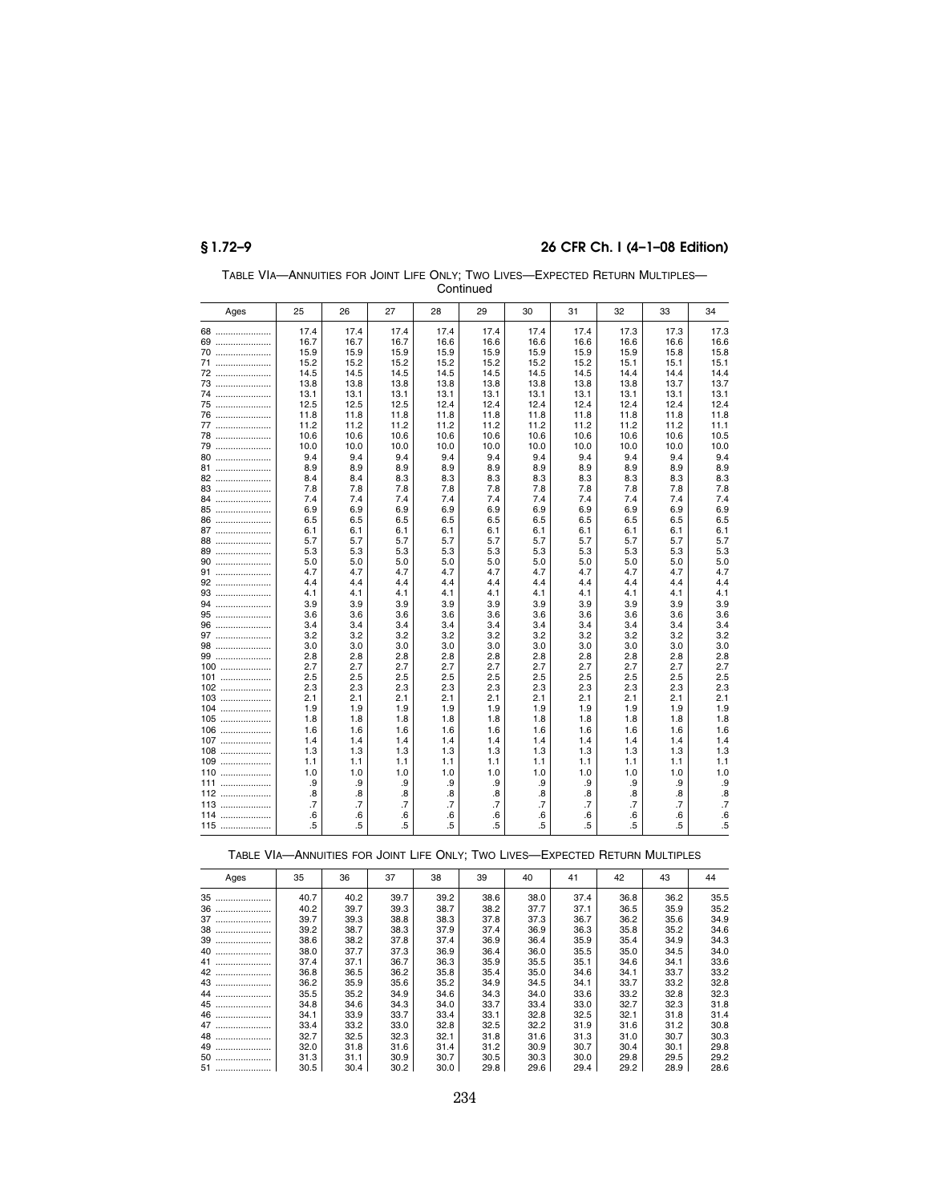|              |                 |            |            |            | <b>CUTTURE</b> U |            |            |            |            |            |
|--------------|-----------------|------------|------------|------------|------------------|------------|------------|------------|------------|------------|
| Ages         | 25              | 26         | 27         | 28         | 29               | 30         | 31         | 32         | 33         | 34         |
| 68           | 17.4            | 17.4       | 17.4       | 17.4       | 17.4             | 17.4       | 17.4       | 17.3       | 17.3       | 17.3       |
| 69           | 16.7            | 16.7       | 16.7       | 16.6       | 16.6             | 16.6       | 16.6       | 16.6       | 16.6       | 16.6       |
| 70           | 15.9            | 15.9       | 15.9       | 15.9       | 15.9             | 15.9       | 15.9       | 15.9       | 15.8       | 15.8       |
| 71           | 15.2            | 15.2       | 15.2       | 15.2       | 15.2             | 15.2       | 15.2       | 15.1       | 15.1       | 15.1       |
| 72           | 14.5            | 14.5       | 14.5       | 14.5       | 14.5             | 14.5       | 14.5       | 14.4       | 14.4       | 14.4       |
| 73           | 13.8            | 13.8       | 13.8       | 13.8       | 13.8             | 13.8       | 13.8       | 13.8       | 13.7       | 13.7       |
| 74           | 13.1            | 13.1       | 13.1       | 13.1       | 13.1             | 13.1       | 13.1       | 13.1       | 13.1       | 13.1       |
| 75           | 12.5            | 12.5       | 12.5       | 12.4       | 12.4             | 12.4       | 12.4       | 12.4       | 12.4       | 12.4       |
| 76           | 11.8            | 11.8       | 11.8       | 11.8       | 11.8             | 11.8       | 11.8       | 11.8       | 11.8       | 11.8       |
| 77           | 11.2            | 11.2       | 11.2       | 11.2       | 11.2             | 11.2       | 11.2       | 11.2       | 11.2       | 11.1       |
| 78           | 10.6            | 10.6       | 10.6       | 10.6       | 10.6             | 10.6       | 10.6       | 10.6       | 10.6       | 10.5       |
| 79           | 10.0            | 10.0       | 10.0       | 10.0       | 10.0             | 10.0       | 10.0       | 10.0       | 10.0       | 10.0       |
| 80           | 9.4             | 9.4        | 9.4        | 9.4        | 9.4              | 9.4        | 9.4        | 9.4        | 9.4        | 9.4        |
| 81           | 8.9             | 8.9        | 8.9        | 8.9        | 8.9              | 8.9        | 8.9        | 8.9        | 8.9        | 8.9        |
| 82<br>83     | 8.4<br>7.8      | 8.4<br>7.8 | 8.3<br>7.8 | 8.3<br>7.8 | 8.3<br>7.8       | 8.3<br>7.8 | 8.3<br>7.8 | 8.3<br>7.8 | 8.3<br>7.8 | 8.3<br>7.8 |
| 84           | 7.4             | 7.4        | 7.4        | 7.4        | 7.4              | 7.4        | 7.4        | 7.4        | 7.4        | 7.4        |
| 85           | 6.9             | 6.9        | 6.9        | 6.9        | 6.9              | 6.9        | 6.9        | 6.9        | 6.9        | 6.9        |
| 86           | 6.5             | 6.5        | 6.5        | 6.5        | 6.5              | 6.5        | 6.5        | 6.5        | 6.5        | 6.5        |
| 87           | 6.1             | 6.1        | 6.1        | 6.1        | 6.1              | 6.1        | 6.1        | 6.1        | 6.1        | 6.1        |
| 88           | 5.7             | 5.7        | 5.7        | 5.7        | 5.7              | 5.7        | 5.7        | 5.7        | 5.7        | 5.7        |
| 89           | 5.3             | 5.3        | 5.3        | 5.3        | 5.3              | 5.3        | 5.3        | 5.3        | 5.3        | 5.3        |
| 90           | 5.0             | 5.0        | 5.0        | 5.0        | 5.0              | 5.0        | 5.0        | 5.0        | 5.0        | 5.0        |
| 91           | 4.7             | 4.7        | 4.7        | 4.7        | 4.7              | 4.7        | 4.7        | 4.7        | 4.7        | 4.7        |
| 92           | 4.4             | 4.4        | 4.4        | 4.4        | 4.4              | 4.4        | 4.4        | 4.4        | 4.4        | 4.4        |
| 93           | 4.1             | 4.1        | 4.1        | 4.1        | 4.1              | 4.1        | 4.1        | 4.1        | 4.1        | 4.1        |
| 94           | 3.9             | 3.9        | 3.9        | 3.9        | 3.9              | 3.9        | 3.9        | 3.9        | 3.9        | 3.9        |
| 95           | 3.6             | 3.6        | 3.6        | 3.6        | 3.6              | 3.6        | 3.6        | 3.6        | 3.6        | 3.6        |
| 96           | 3.4             | 3.4        | 3.4        | 3.4        | 3.4              | 3.4        | 3.4        | 3.4        | 3.4        | 3.4        |
| 97           | 3.2             | 3.2        | 3.2        | 3.2        | 3.2              | 3.2        | 3.2        | 3.2        | 3.2        | 3.2        |
| 98           | 3.0             | 3.0        | 3.0        | 3.0        | 3.0              | 3.0        | 3.0        | 3.0        | 3.0        | 3.0        |
| 99           | 2.8             | 2.8        | 2.8        | 2.8        | 2.8              | 2.8        | 2.8        | 2.8        | 2.8        | 2.8        |
| $100$        | 2.7             | 2.7        | 2.7        | 2.7        | 2.7              | 2.7        | 2.7        | 2.7        | 2.7        | 2.7        |
| $101$        | 2.5             | 2.5        | 2.5        | 2.5        | 2.5              | 2.5        | 2.5        | 2.5        | 2.5        | 2.5        |
| $102$        | 2.3<br>2.1      | 2.3<br>2.1 | 2.3<br>2.1 | 2.3<br>2.1 | 2.3              | 2.3<br>2.1 | 2.3<br>2.1 | 2.3<br>2.1 | 2.3<br>2.1 | 2.3<br>2.1 |
| 103<br>$104$ | 1.9             | 1.9        | 1.9        |            | 2.1<br>1.9       | 1.9        | 1.9        | 1.9        | 1.9        | 1.9        |
| $105$        | 1.8             | 1.8        |            | 1.9        | 1.8              | 1.8        | 1.8        |            | 1.8        | 1.8        |
| $106$        | 1.6             | 1.6        | 1.8<br>1.6 | 1.8<br>1.6 | 1.6              | 1.6        | 1.6        | 1.8<br>1.6 | 1.6        | 1.6        |
| $107$        | 1.4             | 1.4        | 1.4        | 1.4        | 1.4              | 1.4        | 1.4        | 1.4        | 1.4        | 1.4        |
| .<br>108     | 1.3             | 1.3        | 1.3        | 1.3        | 1.3              | 1.3        | 1.3        | 1.3        | 1.3        | 1.3        |
| 109<br>.     | 1.1             | 1.1        | 1.1        | 1.1        | 1.1              | 1.1        | 1.1        | 1.1        | 1.1        | 1.1        |
| <br>110      | 1.0             | 1.0        | 1.0        | 1.0        | 1.0              | 1.0        | 1.0        | 1.0        | 1.0        | 1.0        |
| 111          | .9              | .9         | .9         | .9         | .9               | .9         | .9         | .9         | .9         | .9         |
| 112          | .8              | .8         | .8         | 8.         | 8.               | .8         | 8.         | .8         | .8         | .8         |
| 113          | $\overline{.7}$ | .7         | $\cdot$ 7  | .7         | .7               | .7         | .7         | .7         | .7         | $\cdot$ 7  |
| 114          | .6              | .6         | .6         | .6         | 6.6              | .6         | .6         | .6         | .6         | .6         |
| 115          | .5              | .5         | .5         | .5         | .5               | .5         | .5         | .5         | .5         | .5         |

TABLE VIA—ANNUITIES FOR JOINT LIFE ONLY; TWO LIVES—EXPECTED RETURN MULTIPLES— Continued

TABLE VIA—ANNUITIES FOR JOINT LIFE ONLY; TWO LIVES—EXPECTED RETURN MULTIPLES

| Ages   | 35   | 36   | 37   | 38   | 39   | 40   | 41   | 42   | 43   | 44   |
|--------|------|------|------|------|------|------|------|------|------|------|
| 35<br> | 40.7 | 40.2 | 39.7 | 39.2 | 38.6 | 38.0 | 37.4 | 36.8 | 36.2 | 35.5 |
| 36<br> | 40.2 | 39.7 | 39.3 | 38.7 | 38.2 | 37.7 | 37.1 | 36.5 | 35.9 | 35.2 |
| 37     | 39.7 | 39.3 | 38.8 | 38.3 | 37.8 | 37.3 | 36.7 | 36.2 | 35.6 | 34.9 |
| 38<br> | 39.2 | 38.7 | 38.3 | 37.9 | 37.4 | 36.9 | 36.3 | 35.8 | 35.2 | 34.6 |
| 39     | 38.6 | 38.2 | 37.8 | 37.4 | 36.9 | 36.4 | 35.9 | 35.4 | 34.9 | 34.3 |
| 40<br> | 38.0 | 37.7 | 37.3 | 36.9 | 36.4 | 36.0 | 35.5 | 35.0 | 34.5 | 34.0 |
| 41     | 37.4 | 37.1 | 36.7 | 36.3 | 35.9 | 35.5 | 35.1 | 34.6 | 34.1 | 33.6 |
| 42     | 36.8 | 36.5 | 36.2 | 35.8 | 35.4 | 35.0 | 34.6 | 34.1 | 33.7 | 33.2 |
| 43     | 36.2 | 35.9 | 35.6 | 35.2 | 34.9 | 34.5 | 34.1 | 33.7 | 33.2 | 32.8 |
| 44     | 35.5 | 35.2 | 34.9 | 34.6 | 34.3 | 34.0 | 33.6 | 33.2 | 32.8 | 32.3 |
| 45     | 34.8 | 34.6 | 34.3 | 34.0 | 33.7 | 33.4 | 33.0 | 32.7 | 32.3 | 31.8 |
| 46     | 34.1 | 33.9 | 33.7 | 33.4 | 33.1 | 32.8 | 32.5 | 32.1 | 31.8 | 31.4 |
| 47     | 33.4 | 33.2 | 33.0 | 32.8 | 32.5 | 32.2 | 31.9 | 31.6 | 31.2 | 30.8 |
| 48<br> | 32.7 | 32.5 | 32.3 | 32.1 | 31.8 | 31.6 | 31.3 | 31.0 | 30.7 | 30.3 |
| 49<br> | 32.0 | 31.8 | 31.6 | 31.4 | 31.2 | 30.9 | 30.7 | 30.4 | 30.1 | 29.8 |
| 50<br> | 31.3 | 31.1 | 30.9 | 30.7 | 30.5 | 30.3 | 30.0 | 29.8 | 29.5 | 29.2 |
| 51     | 30.5 | 30.4 | 30.2 | 30.0 | 29.8 | 29.6 | 29.4 | 29.2 | 28.9 | 28.6 |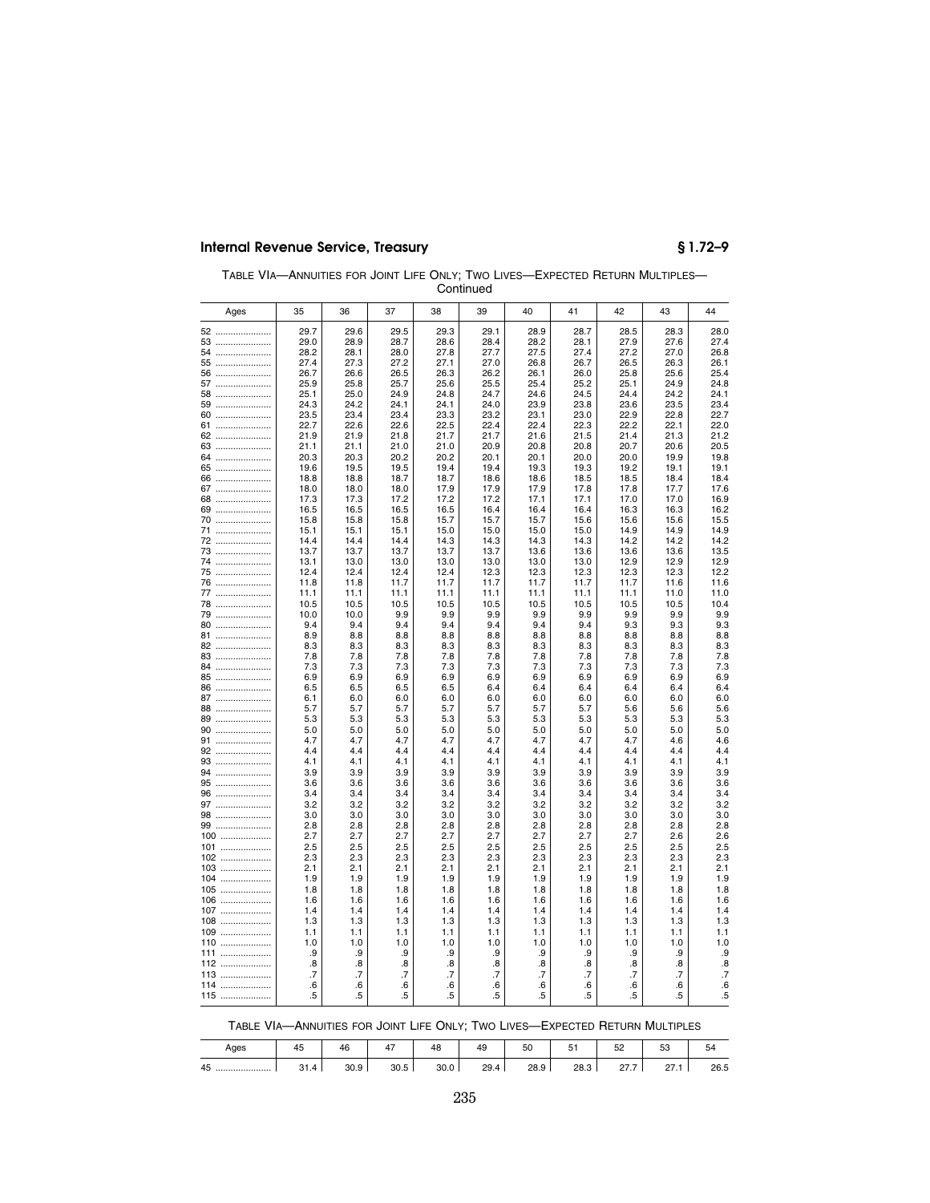| TABLE VIA-ANNUITIES FOR JOINT LIFE ONLY: TWO LIVES-EXPECTED RETURN MULTIPLES- |
|-------------------------------------------------------------------------------|
| Continued                                                                     |

| Ages       | 35           | 36           | 37           | 38           | 39           | 40           | 41           | 42           | 43           | 44           |
|------------|--------------|--------------|--------------|--------------|--------------|--------------|--------------|--------------|--------------|--------------|
| 52         | 29.7         | 29.6         | 29.5         | 29.3         | 29.1         | 28.9         | 28.7         | 28.5         | 28.3         | 28.0         |
| 53         | 29.0         | 28.9         | 28.7         | 28.6         | 28.4         | 28.2         | 28.1         | 27.9         | 27.6         | 27.4         |
| 54         | 28.2         | 28.1         | 28.0         | 27.8         | 27.7         | 27.5         | 27.4         | 27.2         | 27.0         | 26.8         |
| 55         | 27.4         | 27.3         | 27.2         | 27.1         | 27.0         | 26.8         | 26.7         | 26.5         | 26.3         | 26.1         |
| 56         | 26.7         | 26.6         | 26.5         | 26.3         | 26.2         | 26.1         | 26.0         | 25.8         | 25.6         | 25.4         |
| 57         | 25.9         | 25.8         | 25.7         | 25.6         | 25.5         | 25.4         | 25.2         | 25.1         | 24.9         | 24.8         |
| 58         | 25.1         | 25.0         | 24.9         | 24.8         | 24.7         | 24.6         | 24.5         | 24.4         | 24.2         | 24.1         |
| 59         | 24.3         | 24.2         | 24.1         | 24.1         | 24.0         | 23.9         | 23.8         | 23.6         | 23.5         | 23.4         |
| 60         | 23.5         | 23.4         | 23.4         | 23.3         | 23.2         | 23.1         | 23.0         | 22.9         | 22.8         | 22.7         |
| 61         | 22.7         | 22.6         | 22.6         | 22.5         | 22.4         | 22.4         | 22.3         | 22.2         | 22.1         | 22.0         |
| 62<br>63   | 21.9<br>21.1 | 21.9<br>21.1 | 21.8<br>21.0 | 21.7<br>21.0 | 21.7<br>20.9 | 21.6<br>20.8 | 21.5<br>20.8 | 21.4<br>20.7 | 21.3<br>20.6 | 21.2<br>20.5 |
| 64         | 20.3         | 20.3         | 20.2         | 20.2         | 20.1         | 20.1         | 20.0         | 20.0         | 19.9         | 19.8         |
| 65         | 19.6         | 19.5         | 19.5         | 19.4         | 19.4         | 19.3         | 19.3         | 19.2         | 19.1         | 19.1         |
| 66         | 18.8         | 18.8         | 18.7         | 18.7         | 18.6         | 18.6         | 18.5         | 18.5         | 18.4         | 18.4         |
| 67         | 18.0         | 18.0         | 18.0         | 17.9         | 17.9         | 17.9         | 17.8         | 17.8         | 17.7         | 17.6         |
| 68         | 17.3         | 17.3         | 17.2         | 17.2         | 17.2         | 17.1         | 17.1         | 17.0         | 17.0         | 16.9         |
| 69         | 16.5         | 16.5         | 16.5         | 16.5         | 16.4         | 16.4         | 16.4         | 16.3         | 16.3         | 16.2         |
| 70         | 15.8         | 15.8         | 15.8         | 15.7         | 15.7         | 15.7         | 15.6         | 15.6         | 15.6         | 15.5         |
| 71         | 15.1         | 15.1         | 15.1         | 15.0         | 15.0         | 15.0         | 15.0         | 14.9         | 14.9         | 14.9         |
| 72         | 14.4         | 14.4         | 14.4         | 14.3         | 14.3         | 14.3         | 14.3         | 14.2         | 14.2         | 14.2         |
| 73<br>74   | 13.7<br>13.1 | 13.7<br>13.0 | 13.7<br>13.0 | 13.7<br>13.0 | 13.7<br>13.0 | 13.6<br>13.0 | 13.6<br>13.0 | 13.6<br>12.9 | 13.6<br>12.9 | 13.5<br>12.9 |
| 75         | 12.4         | 12.4         | 12.4         | 12.4         | 12.3         | 12.3         | 12.3         | 12.3         | 12.3         | 12.2         |
| 76         | 11.8         | 11.8         | 11.7         | 11.7         | 11.7         | 11.7         | 11.7         | 11.7         | 11.6         | 11.6         |
| 77         | 11.1         | 11.1         | 11.1         | 11.1         | 11.1         | 11.1         | 11.1         | 11.1         | 11.0         | 11.0         |
| 78         | 10.5         | 10.5         | 10.5         | 10.5         | 10.5         | 10.5         | 10.5         | 10.5         | 10.5         | 10.4         |
| 79         | 10.0         | 10.0         | 9.9          | 9.9          | 9.9          | 9.9          | 9.9          | 9.9          | 9.9          | 9.9          |
| 80         | 9.4          | 9.4          | 9.4          | 9.4          | 9.4          | 9.4          | 9.4          | 9.3          | 9.3          | 9.3          |
| 81         | 8.9          | 8.8          | 8.8          | 8.8          | 8.8          | 8.8          | 8.8          | 8.8          | 8.8          | 8.8          |
| 82         | 8.3          | 8.3          | 8.3          | 8.3          | 8.3          | 8.3          | 8.3          | 8.3          | 8.3          | 8.3          |
| 83         | 7.8          | 7.8          | 7.8          | 7.8          | 7.8          | 7.8          | 7.8          | 7.8          | 7.8          | 7.8          |
| 84         | 7.3          | 7.3          | 7.3          | 7.3          | 7.3          | 7.3          | 7.3          | 7.3          | 7.3          | 7.3          |
| 85<br>86   | 6.9<br>6.5   | 6.9<br>6.5   | 6.9<br>6.5   | 6.9<br>6.5   | 6.9<br>6.4   | 6.9<br>6.4   | 6.9<br>6.4   | 6.9<br>6.4   | 6.9<br>6.4   | 6.9<br>6.4   |
| 87         | 6.1          | 6.0          | 6.0          | 6.0          | 6.0          | 6.0          | 6.0          | 6.0          | 6.0          | 6.0          |
| 88         | 5.7          | 5.7          | 5.7          | 5.7          | 5.7          | 5.7          | 5.7          | 5.6          | 5.6          | 5.6          |
| 89         | 5.3          | 5.3          | 5.3          | 5.3          | 5.3          | 5.3          | 5.3          | 5.3          | 5.3          | 5.3          |
| 90         | 5.0          | 5.0          | 5.0          | 5.0          | 5.0          | 5.0          | 5.0          | 5.0          | 5.0          | 5.0          |
| 91         | 4.7          | 4.7          | 4.7          | 4.7          | 4.7          | 4.7          | 4.7          | 4.7          | 4.6          | 4.6          |
| 92         | 4.4          | 4.4          | 4.4          | 4.4          | 4.4          | 4.4          | 4.4          | 4.4          | 4.4          | 4.4          |
| 93         | 4.1          | 4.1          | 4.1          | 4.1          | 4.1          | 4.1          | 4.1          | 4.1          | 4.1          | 4.1          |
| 94         | 3.9          | 3.9          | 3.9          | 3.9          | 3.9          | 3.9          | 3.9          | 3.9          | 3.9          | 3.9          |
| 95         | 3.6          | 3.6          | 3.6          | 3.6          | 3.6          | 3.6          | 3.6          | 3.6          | 3.6          | 3.6          |
| 96         | 3.4          | 3.4          | 3.4          | 3.4          | 3.4          | 3.4          | 3.4          | 3.4          | 3.4          | 3.4          |
| 97         | 3.2<br>3.0   | 3.2          | 3.2<br>3.0   | 3.2          | 3.2          | 3.2          | 3.2          | 3.2<br>3.0   | 3.2          | 3.2          |
| 98<br>99   | 2.8          | 3.0<br>2.8   | 2.8          | 3.0<br>2.8   | 3.0<br>2.8   | 3.0<br>2.8   | 3.0<br>2.8   | 2.8          | 3.0<br>2.8   | 3.0<br>2.8   |
| 100        | 2.7          | 2.7          | 2.7          | 2.7          | 2.7          | 2.7          | 2.7          | 2.7          | 2.6          | 2.6          |
| 101        | 2.5          | 2.5          | 2.5          | 2.5          | 2.5          | 2.5          | 2.5          | 2.5          | 2.5          | 2.5          |
| 102        | 2.3          | 2.3          | 2.3          | 2.3          | 2.3          | 2.3          | 2.3          | 2.3          | 2.3          | 2.3          |
| 103        | 2.1          | 2.1          | 2.1          | 2.1          | 2.1          | 2.1          | 2.1          | 2.1          | 2.1          | 2.1          |
| 104        | 1.9          | 1.9          | 1.9          | 1.9          | 1.9          | 1.9          | 1.9          | 1.9          | 1.9          | 1.9          |
| 105        | 1.8          | 1.8          | 1.8          | 1.8          | 1.8          | 1.8          | 1.8          | 1.8          | 1.8          | 1.8          |
| 106        | 1.6          | 1.6          | 1.6          | 1.6          | 1.6          | 1.6          | 1.6          | 1.6          | 1.6          | 1.6          |
| 107        | 1.4          | 1.4          | 1.4          | 1.4          | 1.4          | 1.4          | 1.4          | 1.4          | 1.4          | 1.4          |
| 108        | 1.3          | 1.3          | 1.3          | 1.3          | 1.3          | 1.3          | 1.3          | 1.3          | 1.3          | 1.3          |
| 109        | 1.1          | 1.1          | 1.1          | 1.1          | 1.1          | 1.1          | 1.1          | 1.1          | 1.1          | 1.1          |
| 110        | 1.0          | 1.0          | 1.0          | 1.0          | 1.0          | 1.0          | 1.0          | 1.0          | 1.0          | 1.0          |
| 111        | .9           | .9           | .9           | .9           | .9           | .9           | .9           | .9           | .9           | .9           |
| 112<br>113 | .8<br>.7     | .8<br>.7     | .8<br>.7     | .8<br>.7     | .8<br>.7     | .8<br>.7     | .8<br>.7     | .8<br>.7     | .8<br>.7     | .8<br>.7     |
| 114        | .6           | .6           | 6.6          | .6           | .6           | .6           | .6           | .6           | .6           | .6           |
| 115        | .5           | .5           | .5           | .5           | .5           | .5           | .5           | .5           | .5           | .5           |
|            |              |              |              |              |              |              |              |              |              |              |

TABLE VIA—ANNUITIES FOR JOINT LIFE ONLY; TWO LIVES—EXPECTED RETURN MULTIPLES

| Ages   | 45         | 46   | $\overline{\phantom{0}}$<br>4, | 48   | 49   | 50   | ັ    | $\mathbf{r}$<br>ےر | --<br>ხა | - -<br>54 |
|--------|------------|------|--------------------------------|------|------|------|------|--------------------|----------|-----------|
| 45<br> | 21<br>31.4 | 30.9 | 30.5                           | 30.0 | 29.4 | 28.9 | 28.3 | 077                | $\sim$   | 26.5      |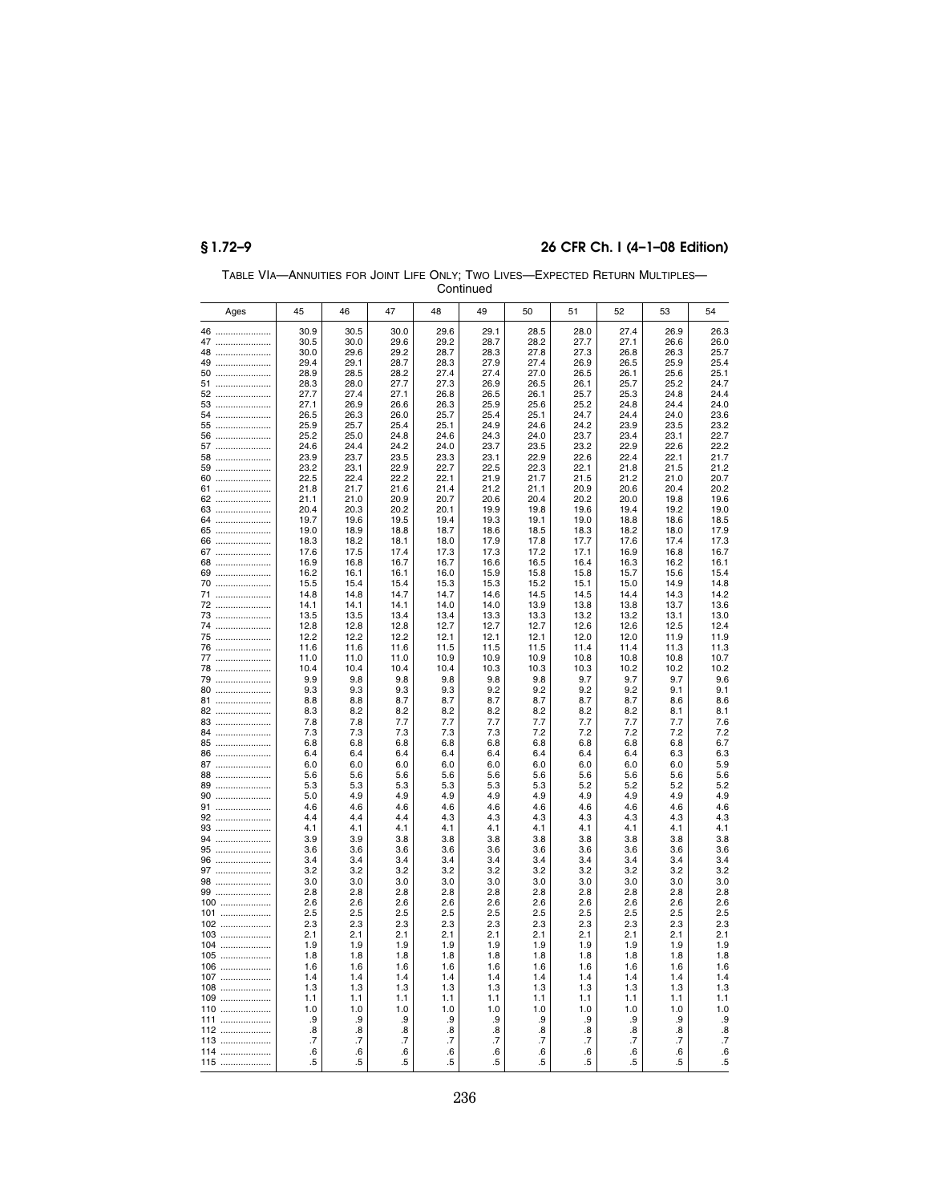| Continued  |              |              |              |              |              |              |              |              |              |              |  |
|------------|--------------|--------------|--------------|--------------|--------------|--------------|--------------|--------------|--------------|--------------|--|
| Ages       | 45           | 46           | 47           | 48           | 49           | 50           | 51           | 52           | 53           | 54           |  |
| 46         | 30.9         | 30.5         | 30.0         | 29.6         | 29.1         | 28.5         | 28.0         | 27.4         | 26.9         | 26.3         |  |
| 47         | 30.5         | 30.0         | 29.6         | 29.2         | 28.7         | 28.2         | 27.7         | 27.1         | 26.6         | 26.0         |  |
| 48         | 30.0         | 29.6         | 29.2         | 28.7         | 28.3         | 27.8         | 27.3         | 26.8         | 26.3         | 25.7         |  |
| 49         | 29.4         | 29.1         | 28.7         | 28.3         | 27.9         | 27.4         | 26.9         | 26.5         | 25.9         | 25.4         |  |
| 50         | 28.9<br>28.3 | 28.5<br>28.0 | 28.2<br>27.7 | 27.4<br>27.3 | 27.4<br>26.9 | 27.0<br>26.5 | 26.5<br>26.1 | 26.1<br>25.7 | 25.6<br>25.2 | 25.1<br>24.7 |  |
| 51<br>52   | 27.7         | 27.4         | 27.1         | 26.8         | 26.5         | 26.1         | 25.7         | 25.3         | 24.8         | 24.4         |  |
| 53         | 27.1         | 26.9         | 26.6         | 26.3         | 25.9         | 25.6         | 25.2         | 24.8         | 24.4         | 24.0         |  |
| 54         | 26.5         | 26.3         | 26.0         | 25.7         | 25.4         | 25.1         | 24.7         | 24.4         | 24.0         | 23.6         |  |
| 55         | 25.9         | 25.7         | 25.4         | 25.1         | 24.9         | 24.6         | 24.2         | 23.9         | 23.5         | 23.2         |  |
| 56         | 25.2         | 25.0         | 24.8         | 24.6         | 24.3         | 24.0         | 23.7         | 23.4         | 23.1         | 22.7         |  |
| 57         | 24.6         | 24.4         | 24.2         | 24.0         | 23.7         | 23.5         | 23.2         | 22.9         | 22.6         | 22.2         |  |
| 58         | 23.9         | 23.7         | 23.5         | 23.3         | 23.1<br>22.5 | 22.9         | 22.6         | 22.4         | 22.1<br>21.5 | 21.7         |  |
| 59<br>60   | 23.2<br>22.5 | 23.1<br>22.4 | 22.9<br>22.2 | 22.7<br>22.1 | 21.9         | 22.3<br>21.7 | 22.1<br>21.5 | 21.8<br>21.2 | 21.0         | 21.2<br>20.7 |  |
| 61         | 21.8         | 21.7         | 21.6         | 21.4         | 21.2         | 21.1         | 20.9         | 20.6         | 20.4         | 20.2         |  |
| 62         | 21.1         | 21.0         | 20.9         | 20.7         | 20.6         | 20.4         | 20.2         | 20.0         | 19.8         | 19.6         |  |
| 63         | 20.4         | 20.3         | 20.2         | 20.1         | 19.9         | 19.8         | 19.6         | 19.4         | 19.2         | 19.0         |  |
| 64         | 19.7         | 19.6         | 19.5         | 19.4         | 19.3         | 19.1         | 19.0         | 18.8         | 18.6         | 18.5         |  |
| 65         | 19.0         | 18.9         | 18.8         | 18.7         | 18.6         | 18.5         | 18.3         | 18.2         | 18.0         | 17.9         |  |
| 66         | 18.3         | 18.2         | 18.1         | 18.0         | 17.9         | 17.8         | 17.7         | 17.6         | 17.4         | 17.3         |  |
| 67         | 17.6         | 17.5         | 17.4         | 17.3         | 17.3         | 17.2         | 17.1         | 16.9         | 16.8         | 16.7         |  |
| 68         | 16.9<br>16.2 | 16.8<br>16.1 | 16.7<br>16.1 | 16.7<br>16.0 | 16.6<br>15.9 | 16.5<br>15.8 | 16.4<br>15.8 | 16.3<br>15.7 | 16.2<br>15.6 | 16.1<br>15.4 |  |
| 69<br>70   | 15.5         | 15.4         | 15.4         | 15.3         | 15.3         | 15.2         | 15.1         | 15.0         | 14.9         | 14.8         |  |
| 71         | 14.8         | 14.8         | 14.7         | 14.7         | 14.6         | 14.5         | 14.5         | 14.4         | 14.3         | 14.2         |  |
| 72         | 14.1         | 14.1         | 14.1         | 14.0         | 14.0         | 13.9         | 13.8         | 13.8         | 13.7         | 13.6         |  |
| 73         | 13.5         | 13.5         | 13.4         | 13.4         | 13.3         | 13.3         | 13.2         | 13.2         | 13.1         | 13.0         |  |
| 74         | 12.8         | 12.8         | 12.8         | 12.7         | 12.7         | 12.7         | 12.6         | 12.6         | 12.5         | 12.4         |  |
| 75         | 12.2         | 12.2         | 12.2         | 12.1         | 12.1         | 12.1         | 12.0         | 12.0         | 11.9         | 11.9         |  |
| 76         | 11.6         | 11.6         | 11.6         | 11.5         | 11.5         | 11.5         | 11.4         | 11.4         | 11.3         | 11.3         |  |
| 77<br>78   | 11.0         | 11.0         | 11.0         | 10.9         | 10.9         | 10.9         | 10.8         | 10.8         | 10.8         | 10.7         |  |
| <br>79     | 10.4<br>9.9  | 10.4<br>9.8  | 10.4<br>9.8  | 10.4<br>9.8  | 10.3<br>9.8  | 10.3<br>9.8  | 10.3<br>9.7  | 10.2<br>9.7  | 10.2<br>9.7  | 10.2<br>9.6  |  |
| 80         | 9.3          | 9.3          | 9.3          | 9.3          | 9.2          | 9.2          | 9.2          | 9.2          | 9.1          | 9.1          |  |
| 81         | 8.8          | 8.8          | 8.7          | 8.7          | 8.7          | 8.7          | 8.7          | 8.7          | 8.6          | 8.6          |  |
| 82         | 8.3          | 8.2          | 8.2          | 8.2          | 8.2          | 8.2          | 8.2          | 8.2          | 8.1          | 8.1          |  |
| 83         | 7.8          | 7.8          | 7.7          | 7.7          | 7.7          | 7.7          | 7.7          | 7.7          | 7.7          | 7.6          |  |
| 84         | 7.3          | 7.3          | 7.3          | 7.3          | 7.3          | 7.2          | 7.2          | 7.2          | 7.2          | 7.2          |  |
| 85         | 6.8          | 6.8          | 6.8          | 6.8          | 6.8          | 6.8          | 6.8          | 6.8          | 6.8          | 6.7          |  |
| 86         | 6.4          | 6.4          | 6.4          | 6.4          | 6.4          | 6.4          | 6.4          | 6.4          | 6.3          | 6.3          |  |
| 87         | 6.0<br>5.6   | 6.0<br>5.6   | 6.0<br>5.6   | 6.0<br>5.6   | 6.0<br>5.6   | 6.0<br>5.6   | 6.0<br>5.6   | 6.0<br>5.6   | 6.0<br>5.6   | 5.9<br>5.6   |  |
| 88<br>89   | 5.3          | 5.3          | 5.3          | 5.3          | 5.3          | 5.3          | 5.2          | 5.2          | 5.2          | 5.2          |  |
| 90         | 5.0          | 4.9          | 4.9          | 4.9          | 4.9          | 4.9          | 4.9          | 4.9          | 4.9          | 4.9          |  |
| 91         | 4.6          | 4.6          | 4.6          | 4.6          | 4.6          | 4.6          | 4.6          | 4.6          | 4.6          | 4.6          |  |
| 92         | 4.4          | 4.4          | 4.4          | 4.3          | 4.3          | 4.3          | 4.3          | 4.3          | 4.3          | 4.3          |  |
| 93         | 4.1          | 4.1          | 4.1          | 4.1          | 4.1          | 4.1          | 4.1          | 4.1          | 4.1          | 4.1          |  |
| 94         | 3.9          | 3.9          | 3.8          | 3.8          | 3.8          | 3.8          | 3.8          | 3.8          | 3.8          | 3.8          |  |
| 95         | 3.6          | 3.6          | 3.6          | 3.6          | 3.6          | 3.6          | 3.6          | 3.6          | 3.6          | 3.6          |  |
| 96<br>97   | 3.4<br>3.2   | 3.4<br>3.2   | 3.4<br>3.2   | 3.4<br>3.2   | 3.4<br>3.2   | 3.4<br>3.2   | 3.4<br>3.2   | 3.4<br>3.2   | 3.4<br>3.2   | 3.4<br>3.2   |  |
| 98         | 3.0          | 3.0          | 3.0          | 3.0          | 3.0          | 3.0          | 3.0          | 3.0          | 3.0          | 3.0          |  |
| 99         | 2.8          | 2.8          | 2.8          | 2.8          | 2.8          | 2.8          | 2.8          | 2.8          | 2.8          | 2.8          |  |
| 100        | 2.6          | 2.6          | 2.6          | 2.6          | 2.6          | 2.6          | 2.6          | 2.6          | 2.6          | 2.6          |  |
| 101        | 2.5          | 2.5          | 2.5          | 2.5          | 2.5          | 2.5          | 2.5          | 2.5          | 2.5          | 2.5          |  |
| $102$      | 2.3          | 2.3          | 2.3          | 2.3          | 2.3          | 2.3          | 2.3          | 2.3          | 2.3          | 2.3          |  |
| $103$      | 2.1          | 2.1          | 2.1          | 2.1          | 2.1          | 2.1          | 2.1          | 2.1          | 2.1          | 2.1          |  |
| 104        | 19           | 1.9          | 1.9          | 1.9          | 1.9          | 1.9          | 19           | 19           | 19           | 1.9          |  |
| $105$      | 1.8<br>1.6   | 1.8<br>1.6   | 1.8<br>1.6   | 1.8<br>1.6   | 1.8<br>1.6   | 1.8<br>1.6   | 1.8<br>1.6   | 1.8<br>1.6   | 1.8<br>1.6   | 1.8<br>1.6   |  |
| 106<br>107 | 1.4          | 1.4          | 1.4          | 1.4          | 1.4          | 1.4          | 1.4          | 1.4          | 1.4          | 1.4          |  |
| $108$      | 1.3          | 1.3          | 1.3          | 1.3          | 1.3          | 1.3          | 1.3          | 1.3          | 1.3          | 1.3          |  |
| 109        | 1.1          | 1.1          | 1.1          | 1.1          | 1.1          | 1.1          | 1.1          | 1.1          | 1.1          | 1.1          |  |
| 110        | 1.0          | 1.0          | 1.0          | 1.0          | 1.0          | 1.0          | 1.0          | 1.0          | 1.0          | 1.0          |  |
| 111        | .9           | .9           | .9           | .9           | .9           | .9           | .9           | .9           | .9           | .9           |  |
| 112        | .8           | .8           | .8           | .8           | 8.           | .8           | .8           | .8           | .8           | .8           |  |
| 113        | .7           | .7           | .7           | $\cdot$ 7    | .7           | .7           | .7           | .7           | .7           | $\cdot$ 7    |  |
| 114        | .6           | .6           | 6.6          | .6           | .6           | 6.6          | 6.5          | .6           | .6           | .6           |  |
| 115        | .5           | .5           | .5           | .5           | .5           | .5           | .5           | .5           | .5           | .5           |  |

TABLE VIA—ANNUITIES FOR JOINT LIFE ONLY; TWO LIVES—EXPECTED RETURN MULTIPLES—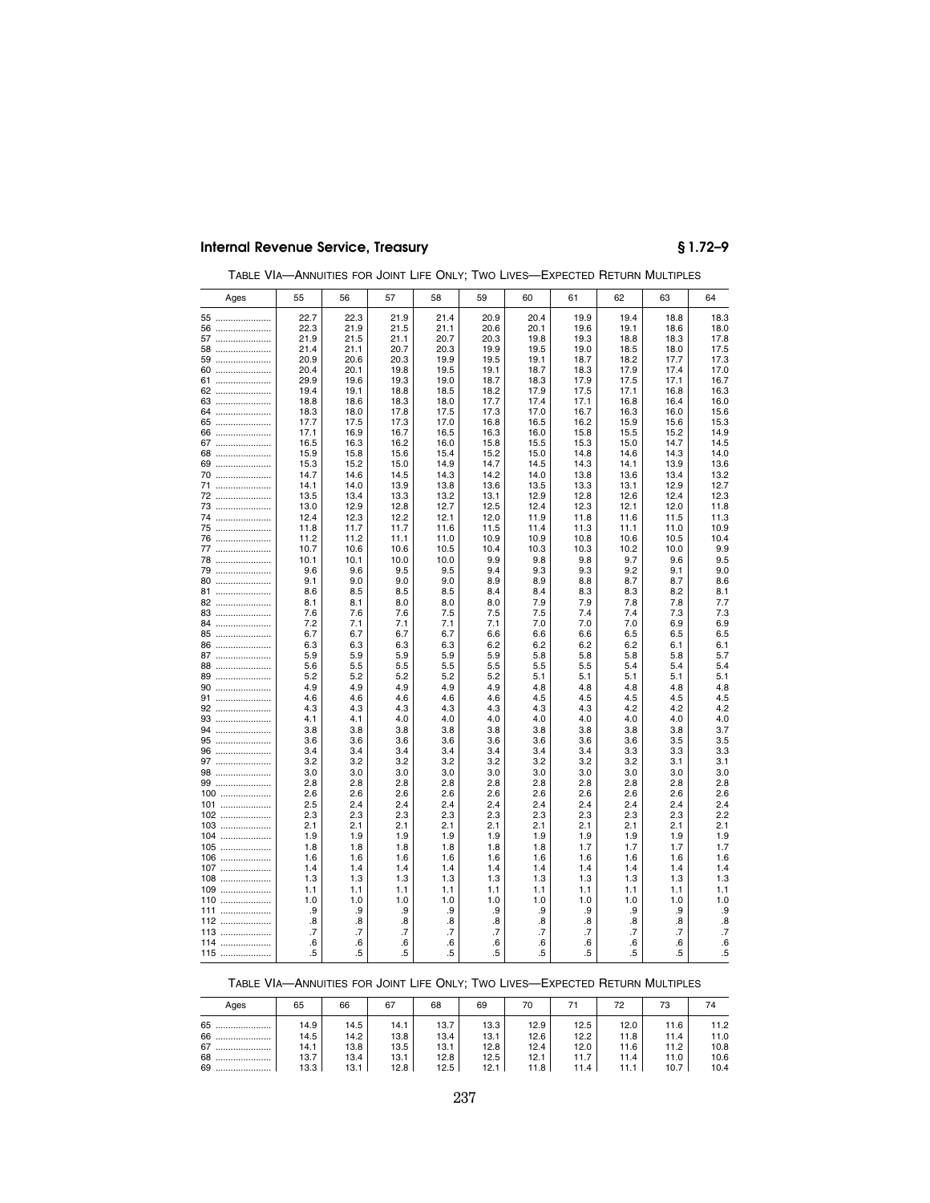| Ages     | 55         | 56         | 57         | 58         | 59         | 60         | 61         | 62         | 63         | 64                |
|----------|------------|------------|------------|------------|------------|------------|------------|------------|------------|-------------------|
| 55       | 22.7       | 22.3       | 21.9       | 21.4       | 20.9       | 20.4       | 19.9       | 19.4       | 18.8       | 18.3              |
| 56       | 22.3       | 21.9       | 21.5       | 21.1       | 20.6       | 20.1       | 19.6       | 19.1       | 18.6       | 18.0              |
| 57       | 21.9       | 21.5       | 21.1       | 20.7       | 20.3       | 19.8       | 19.3       | 18.8       | 18.3       | 17.8              |
| 58       | 21.4       | 21.1       | 20.7       | 20.3       | 19.9       | 19.5       | 19.0       | 18.5       | 18.0       | 17.5              |
| 59       | 20.9       | 20.6       | 20.3       | 19.9       | 19.5       | 19.1       | 18.7       | 18.2       | 17.7       | 17.3              |
| 60       | 20.4       | 20.1       | 19.8       | 19.5       | 19.1       | 18.7       | 18.3       | 17.9       | 17.4       | 17.0              |
| 61       | 29.9       | 19.6       | 19.3       | 19.0       | 18.7       | 18.3       | 17.9       | 17.5       | 17.1       | 16.7              |
| 62       | 19.4       | 19.1       | 18.8       | 18.5       | 18.2       | 17.9       | 17.5       | 17.1       | 16.8       | 16.3              |
| 63       | 18.8       | 18.6       | 18.3       | 18.0       | 17.7       | 17.4       | 17.1       | 16.8       | 16.4       | 16.0              |
| 64       | 18.3       | 18.0       | 17.8       | 17.5       | 17.3       | 17.0       | 16.7       | 16.3       | 16.0       | 15.6              |
| 65       | 17.7       | 17.5       | 17.3       | 17.0       | 16.8       | 16.5       | 16.2       | 15.9       | 15.6       | 15.3              |
| 66       | 17.1       | 16.9       | 16.7       | 16.5       | 16.3       | 16.0       | 15.8       | 15.5       | 15.2       | 14.9              |
| 67       | 16.5       | 16.3       | 16.2       | 16.0       | 15.8       | 15.5       | 15.3       | 15.0       | 14.7       | 14.5              |
| 68       | 15.9       | 15.8       | 15.6       | 15.4       | 15.2       | 15.0       | 14.8       | 14.6       | 14.3       | 14.0              |
| 69       | 15.3       | 15.2       | 15.0       | 14.9       | 14.7       | 14.5       | 14.3       | 14.1       | 13.9       | 13.6              |
| 70       | 14.7       | 14.6       | 14.5       | 14.3       | 14.2       | 14.0       | 13.8       | 13.6       | 13.4       | 13.2              |
| 71       | 14.1       | 14.0       | 13.9       | 13.8       | 13.6       | 13.5       | 13.3       | 13.1       | 12.9       | 12.7              |
| 72       | 13.5       | 13.4       | 13.3       | 13.2       | 13.1       | 12.9       | 12.8       | 12.6       | 12.4       | 12.3              |
| 73       | 13.0       | 12.9       | 12.8       | 12.7       | 12.5       | 12.4       | 12.3       | 12.1       | 12.0       | 11.8              |
| 74       | 12.4       | 12.3       | 12.2       | 12.1       | 12.0       | 11.9       | 11.8       | 11.6       | 11.5       | 11.3              |
| 75       | 11.8       | 11.7       | 11.7       | 11.6       | 11.5       | 11.4       | 11.3       | 11.1       | 11.0       | 10.9              |
| 76       | 11.2       | 11.2       | 11.1       | 11.0       | 10.9       | 10.9       | 10.8       | 10.6       | 10.5       | 10.4              |
| 77       | 10.7       | 10.6       | 10.6       | 10.5       | 10.4       | 10.3       | 10.3       | 10.2       | 10.0       | 9.9               |
| 78       | 10.1       | 10.1       | 10.0       | 10.0       | 9.9        | 9.8        | 9.8        | 9.7        | 9.6        | 9.5               |
| 79       | 9.6        | 9.6        | 9.5        | 9.5        | 9.4        | 9.3        | 9.3        | 9.2        | 9.1        | 9.0               |
| 80       | 9.1        | 9.0        | 9.0        | 9.0        | 8.9        | 8.9        | 8.8        | 8.7        | 8.7        | 8.6               |
| 81       | 8.6        | 8.5        | 8.5        | 8.5        | 8.4        | 8.4        | 8.3        | 8.3        | 8.2        | 8.1               |
| 82       | 8.1        | 8.1        | 8.0        | 8.0        | 8.0        | 7.9        | 7.9        | 7.8        | 7.8        | 7.7               |
| 83       | 7.6        | 7.6        | 7.6        | 7.5        | 7.5        | 7.5        | 7.4        | 7.4        | 7.3        | 7.3               |
| 84       | 7.2        | 7.1        | 7.1        | 7.1        | 7.1        | 7.0        | 7.0        | 7.0        | 6.9        | 6.9               |
| 85       | 6.7        | 6.7        | 6.7        | 6.7        | 6.6        | 6.6        | 6.6        | 6.5        | 6.5        | 6.5               |
| 86       | 6.3        | 6.3        | 6.3        | 6.3        | 6.2        | 6.2        | 6.2        | 6.2        | 6.1        | 6.1               |
| 87       | 5.9        | 5.9        | 5.9        | 5.9        | 5.9        | 5.8        | 5.8        | 5.8        | 5.8        | 5.7               |
| 88       | 5.6        | 5.5        | 5.5        | 5.5        | 5.5        | 5.5        | 5.5        | 5.4        | 5.4        | 5.4               |
| 89       | 5.2        | 5.2        | 5.2        | 5.2        | 5.2        | 5.1        | 5.1        | 5.1        | 5.1        | 5.1               |
| 90       | 4.9        | 4.9        | 4.9        | 4.9        | 4.9        | 4.8        | 4.8        | 4.8        | 4.8        | 4.8               |
| 91       | 4.6        | 4.6        | 4.6        | 4.6        | 4.6        | 4.5        | 4.5        | 4.5        | 4.5        | 4.5               |
| 92       | 4.3        | 4.3        | 4.3        | 4.3        | 4.3        | 4.3        | 4.3        | 4.2        | 4.2        | 4.2               |
| 93       | 4.1        | 4.1        | 4.0        | 4.0        | 4.0        | 4.0        | 4.0        | 4.0        | 4.0        | 4.0               |
| 94       | 3.8        | 3.8        | 3.8        | 3.8        | 3.8        | 3.8        | 3.8        | 3.8        | 3.8        | 3.7               |
| 95       | 3.6        | 3.6        | 3.6        | 3.6        | 3.6        | 3.6        | 3.6        | 3.6        | 3.5        | 3.5               |
| 96<br>97 | 3.4<br>3.2 | 3.4<br>3.2 | 3.4<br>3.2 | 3.4<br>3.2 | 3.4<br>3.2 | 3.4<br>3.2 | 3.4<br>3.2 | 3.3<br>3.2 | 3.3<br>3.1 | 3.3<br>3.1        |
|          |            |            |            |            |            |            |            |            |            |                   |
| 98<br>99 | 3.0<br>2.8 | 3.0<br>2.8 | 3.0<br>2.8 | 3.0<br>2.8 | 3.0<br>2.8 | 3.0<br>2.8 | 3.0<br>2.8 | 3.0<br>2.8 | 3.0<br>2.8 | 3.0<br>2.8        |
| 100      | 2.6        | 2.6        | 2.6        | 2.6        | 2.6        | 2.6        | 2.6        | 2.6        | 2.6        | 2.6               |
| 101      | 2.5        | 2.4        | 2.4        | 2.4        | 2.4        | 2.4        | 2.4        | 2.4        | 2.4        | 2.4               |
| 102      | 2.3        | 2.3        | 2.3        | 2.3        | 2.3        | 2.3        | 2.3        | 2.3        | 2.3        | 2.2               |
| 103      | 2.1        | 2.1        | 2.1        | 2.1        | 2.1        | 2.1        | 2.1        | 2.1        | 2.1        | 2.1               |
| 104      | 1.9        | 1.9        | 1.9        | 1.9        | 1.9        | 1.9        | 1.9        | 1.9        | 1.9        | 1.9               |
| 105      | 1.8        | 1.8        | 1.8        | 1.8        | 1.8        | 1.8        | 1.7        | 1.7        | 1.7        | 1.7               |
| 106      | 1.6        | 1.6        | 1.6        | 1.6        | 1.6        | 1.6        | 1.6        | 1.6        | 1.6        | 1.6               |
| 107      | 1.4        | 1.4        | 1.4        | 1.4        | 1.4        | 1.4        | 1.4        | 1.4        | 1.4        | 1.4               |
| 108      | 1.3        | 1.3        | 1.3        | 1.3        | 1.3        | 1.3        | 1.3        | 1.3        | 1.3        | 1.3               |
| 109      | 1.1        | 1.1        | 1.1        | 1.1        | 1.1        | 1.1        | 1.1        | 1.1        | 1.1        | 1.1               |
| 110      | 1.0        | 1.0        | 1.0        | 1.0        | 1.0        | 1.0        | 1.0        | 1.0        | 1.0        | 1.0               |
| 111      | .9         | .9         | .9         | .9         | .9         | .9         | .9         | .9         | .9         | .9                |
| 112      | .8         | .8         | .8         | .8         | .8         | .8         | 8.         | .8         | .8         | $\boldsymbol{.8}$ |
| 113      | .7         | .7         | .7         | .7         | .7         | .7         | .7         | .7         | .7         | $\overline{.7}$   |
| 114      | .6         | .6         | .6         | .6         | 6.6        | .6         | .6         | .6         | .6         | .6                |
| 115      | .5         | .5         | .5         | .5         | .5         | .5         | .5         | .5         | .5         | .5                |
|          |            |            |            |            |            |            |            |            |            |                   |

TABLE VIA—ANNUITIES FOR JOINT LIFE ONLY; TWO LIVES—EXPECTED RETURN MULTIPLES

TABLE VIA—ANNUITIES FOR JOINT LIFE ONLY; TWO LIVES—EXPECTED RETURN MULTIPLES

| Ages | 65       | 66   | 67   | 68   | 69   | 70   |      | 72   | 73   | 74   |
|------|----------|------|------|------|------|------|------|------|------|------|
| 65   | 14.9     | 14.5 | 14.1 | 13.7 | 13.3 | 12.9 | 12.5 | 12.0 | 11.6 | 11.2 |
| 66   | $14.5 +$ | 14.2 | 13.8 | 13.4 | 13.1 | 12.6 | 12.2 | 11.8 | 11.4 | 11.0 |
| 67   | 14.1     | 13.8 | 13.5 | 13.1 | 12.8 | 12.4 | 12.0 | 11.6 | 11.2 | 10.8 |
| 68   | 13.7     | 13.4 | 13.1 | 12.8 | 12.5 | 12.1 | 11.7 | 11.4 | 11.0 | 10.6 |
| 69   | 13.3     | 13.1 | 12.8 | 12.5 | 12.1 | 11.8 | 11.4 | 11.1 | 10.7 | 10.4 |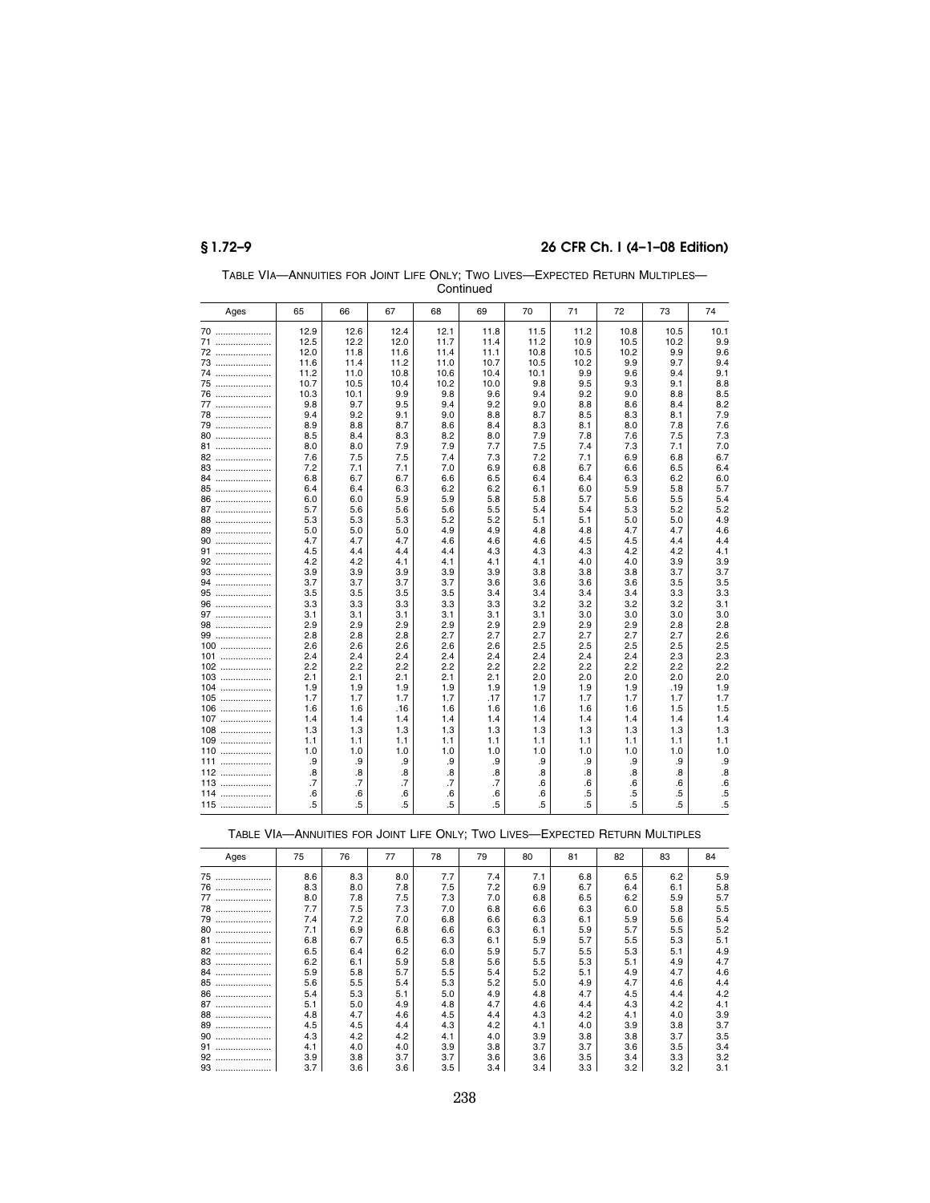| Ages     | 65         | 66         | 67              | 68         | 69         | 70             | 71         | 72         | 73         | 74             |  |
|----------|------------|------------|-----------------|------------|------------|----------------|------------|------------|------------|----------------|--|
| 70       | 12.9       | 12.6       | 12.4            | 12.1       | 11.8       | 11.5           | 11.2       | 10.8       | 10.5       | 10.1           |  |
| 71       | 12.5       | 12.2       | 12.0            | 11.7       | 11.4       | 11.2           | 10.9       | 10.5       | 10.2       | 9.9            |  |
| 72       | 12.0       | 11.8       | 11.6            | 11.4       | 11.1       | 10.8           | 10.5       | 10.2       | 9.9        | 9.6            |  |
| 73       | 11.6       | 11.4       | 11.2            | 11.0       | 10.7       | 10.5           | 10.2       | 9.9        | 9.7        | 9.4            |  |
| 74       | 11.2       | 11.0       | 10.8            | 10.6       | 10.4       | 10.1           | 9.9        | 9.6        | 9.4        | 9.1            |  |
| 75       | 10.7       | 10.5       | 10.4            | 10.2       | 10.0       | 9.8            | 9.5        | 9.3        | 9.1        | 8.8            |  |
| 76       | 10.3       | 10.1       | 9.9             | 9.8        | 9.6        | 9.4            | 9.2        | 9.0        | 8.8        | 8.5            |  |
| 77       | 9.8        | 9.7        | 9.5             | 9.4        | 9.2        | 9.0            | 8.8        | 8.6        | 8.4        | 8.2            |  |
| 78       | 9.4        | 9.2        | 9.1             | 9.0        | 8.8        | 8.7            | 8.5        | 8.3        | 8.1        | 7.9            |  |
| 79       | 8.9        | 8.8        | 8.7             | 8.6        | 8.4        | 8.3            | 8.1        | 8.0        | 7.8        | 7.6            |  |
| 80       | 8.5        | 8.4        | 8.3             | 8.2        | 8.0        | 7.9            | 7.8        | 7.6        | 7.5        | 7.3            |  |
| 81       | 8.0        | 8.0        | 7.9             | 7.9        | 7.7        | 7.5            | 7.4        | 7.3        | 7.1        | 7.0            |  |
| 82       | 7.6        | 7.5        | 7.5             | 7.4        | 7.3        | 7.2            | 7.1        | 6.9        | 6.8        | 6.7            |  |
| 83       | 7.2        | 7.1        | 7.1             | 7.0        | 6.9        | 6.8            | 6.7        | 6.6        | 6.5        | 6.4            |  |
| 84       | 6.8        | 6.7        | 6.7             | 6.6        | 6.5        | 6.4            | 6.4        | 6.3        | 6.2        | 6.0            |  |
| 85       | 6.4        | 6.4        | 6.3             | 6.2        | 6.2        | 6.1            | 6.0        | 5.9        | 5.8        | 5.7            |  |
| 86       | 6.0        | 6.0        | 5.9             | 5.9        | 5.8        | 5.8            | 5.7        | 5.6        | 5.5        | 5.4            |  |
| 87       | 5.7        | 5.6        | 5.6             | 5.6        | 5.5        | 5.4            | 5.4        | 5.3        | 5.2        | 5.2            |  |
| 88       | 5.3        | 5.3        | 5.3             | 5.2        | 5.2        | 5.1            | 5.1        | 5.0        | 5.0        | 4.9            |  |
| 89       | 5.0        | 5.0        | 5.0             | 4.9        | 4.9        | 4.8            | 4.8        | 4.7        | 4.7        | 4.6            |  |
| 90       | 4.7        | 4.7        | 4.7             | 4.6        | 4.6        | 4.6            | 4.5        | 4.5        | 4.4        | 4.4            |  |
| 91       | 4.5        | 4.4        | 4.4             | 4.4        | 4.3        | 4.3            | 4.3        | 4.2        | 4.2        | 4.1            |  |
| 92       | 4.2        | 4.2        | 4.1             | 4.1        | 4.1        | 4.1            | 4.0        | 4.0        | 3.9        | 3.9            |  |
| 93       | 3.9        | 3.9        | 3.9             | 3.9        | 3.9        | 3.8            | 3.8        | 3.8        | 3.7        | 3.7            |  |
| 94       | 3.7        | 3.7        | 3.7             | 3.7        | 3.6        | 3.6            | 3.6        | 3.6        | 3.5        | 3.5            |  |
| 95       | 3.5        | 3.5        | 3.5             | 3.5        | 3.4        | 3.4            | 3.4        | 3.4        | 3.3        | 3.3            |  |
| 96       | 3.3        | 3.3        | 3.3             | 3.3        | 3.3        | 3.2            | 3.2        | 3.2        | 3.2        | 3.1            |  |
| 97       | 3.1        | 3.1        | 3.1             | 3.1        | 3.1        | 3.1            | 3.0        | 3.0        | 3.0        | 3.0            |  |
| 98<br>99 | 2.9<br>2.8 | 2.9<br>2.8 | 2.9<br>2.8      | 2.9<br>2.7 | 2.9<br>2.7 | 2.9<br>2.7     | 2.9<br>2.7 | 2.9<br>2.7 | 2.8<br>2.7 | 2.8<br>2.6     |  |
| $100$    | 2.6        | 2.6        | 2.6             | 2.6        | 2.6        | 2.5            | 2.5        | 2.5        | 2.5        | 2.5            |  |
| $101$    | 2.4        | 2.4        | 2.4             | 2.4        | 2.4        | 2.4            | 2.4        | 2.4        | 2.3        | 2.3            |  |
| $102$    | 2.2        | 2.2        | 2.2             | 2.2        | 2.2        | 2.2            | 2.2        | 2.2        | 2.2        | 2.2            |  |
| 103      | 2.1        | 2.1        | 2.1             | 2.1        | 2.1        | 2.0            | 2.0        | 2.0        | 2.0        | 2.0            |  |
| 104      | 1.9        | 1.9        | 1.9             | 1.9        | 1.9        | 1.9            | 1.9        | 1.9        | .19        | 1.9            |  |
| 105      | 1.7        | 1.7        | 1.7             | 1.7        | .17        | 1.7            | 1.7        | 1.7        | 1.7        | 1.7            |  |
| $106$    | 1.6        | 1.6        | .16             | 1.6        | 1.6        | 1.6            | 1.6        | 1.6        | 1.5        | 1.5            |  |
| 107      | 1.4        | 1.4        | 1.4             | 1.4        | 1.4        | 1.4            | 1.4        | 1.4        | 1.4        | 1.4            |  |
| $108$    | 1.3        | 1.3        | 1.3             | 1.3        | 1.3        | 1.3            | 1.3        | 1.3        | 1.3        | 1.3            |  |
| 109      | 1.1        | 1.1        | 1.1             | 1.1        | 1.1        | 1.1            | 1.1        | 1.1        | 1.1        | 1.1            |  |
| .<br>110 | 1.0        | 1.0        | 1.0             | 1.0        | 1.0        | 1.0            | 1.0        | 1.0        | 1.0        | 1.0            |  |
| 111      | .9         | .9         | .9              | .9         | .9         | .9             | .9         | .9         | .9         | .9             |  |
| 112      | .8         | .8         | .8              | 8.         | .8         | .8             | .8         | .8         | .8         | .8             |  |
| 113      | .7         | .7         | $\overline{.7}$ | .7         | .7         | .6             | .6         | .6         | .6         | .6             |  |
| 114      | .6         | .6         | .6              | .6         | .6         | .6             | .5         | .5         | .5         | .5             |  |
| $115$    | .5         | $.5\,$     | .5              | .5         | 5          | $\overline{5}$ | .5         | .5         | .5         | $\overline{5}$ |  |

TABLE VIA—ANNUITIES FOR JOINT LIFE ONLY; TWO LIVES—EXPECTED RETURN MULTIPLES— Continued

| Ages   | 75  | 76  | 77  | 78  | 79  | 80  | 81  | 82  | 83  | 84  |
|--------|-----|-----|-----|-----|-----|-----|-----|-----|-----|-----|
| 75<br> | 8.6 | 8.3 | 8.0 | 7.7 | 7.4 | 7.1 | 6.8 | 6.5 | 6.2 | 5.9 |
| 76     | 8.3 | 8.0 | 7.8 | 7.5 | 7.2 | 6.9 | 6.7 | 6.4 | 6.1 | 5.8 |
| 77     | 8.0 | 7.8 | 7.5 | 7.3 | 7.0 | 6.8 | 6.5 | 6.2 | 5.9 | 5.7 |
| 78     | 7.7 | 7.5 | 7.3 | 7.0 | 6.8 | 6.6 | 6.3 | 6.0 | 5.8 | 5.5 |
| 79     | 7.4 | 7.2 | 7.0 | 6.8 | 6.6 | 6.3 | 6.1 | 5.9 | 5.6 | 5.4 |
| 80<br> | 7.1 | 6.9 | 6.8 | 6.6 | 6.3 | 6.1 | 5.9 | 5.7 | 5.5 | 5.2 |
| 81<br> | 6.8 | 6.7 | 6.5 | 6.3 | 6.1 | 5.9 | 5.7 | 5.5 | 5.3 | 5.1 |
| 82     | 6.5 | 6.4 | 6.2 | 6.0 | 5.9 | 5.7 | 5.5 | 5.3 | 5.1 | 4.9 |
| 83<br> | 6.2 | 6.1 | 5.9 | 5.8 | 5.6 | 5.5 | 5.3 | 5.1 | 4.9 | 4.7 |
| 84<br> | 5.9 | 5.8 | 5.7 | 5.5 | 5.4 | 5.2 | 5.1 | 4.9 | 4.7 | 4.6 |
| 85     | 5.6 | 5.5 | 5.4 | 5.3 | 5.2 | 5.0 | 4.9 | 4.7 | 4.6 | 4.4 |
| 86<br> | 5.4 | 5.3 | 5.1 | 5.0 | 4.9 | 4.8 | 4.7 | 4.5 | 4.4 | 4.2 |
| 87     | 5.1 | 5.0 | 4.9 | 4.8 | 4.7 | 4.6 | 4.4 | 4.3 | 4.2 | 4.1 |
| 88<br> | 4.8 | 4.7 | 4.6 | 4.5 | 4.4 | 4.3 | 4.2 | 4.1 | 4.0 | 3.9 |
| 89     | 4.5 | 4.5 | 4.4 | 4.3 | 4.2 | 4.1 | 4.0 | 3.9 | 3.8 | 3.7 |
| 90<br> | 4.3 | 4.2 | 4.2 | 4.1 | 4.0 | 3.9 | 3.8 | 3.8 | 3.7 | 3.5 |
| 91<br> | 4.1 | 4.0 | 4.0 | 3.9 | 3.8 | 3.7 | 3.7 | 3.6 | 3.5 | 3.4 |
| 92<br> | 3.9 | 3.8 | 3.7 | 3.7 | 3.6 | 3.6 | 3.5 | 3.4 | 3.3 | 3.2 |
| 93     | 3.7 | 3.6 | 3.6 | 3.5 | 3.4 | 3.4 | 3.3 | 3.2 | 3.2 | 3.1 |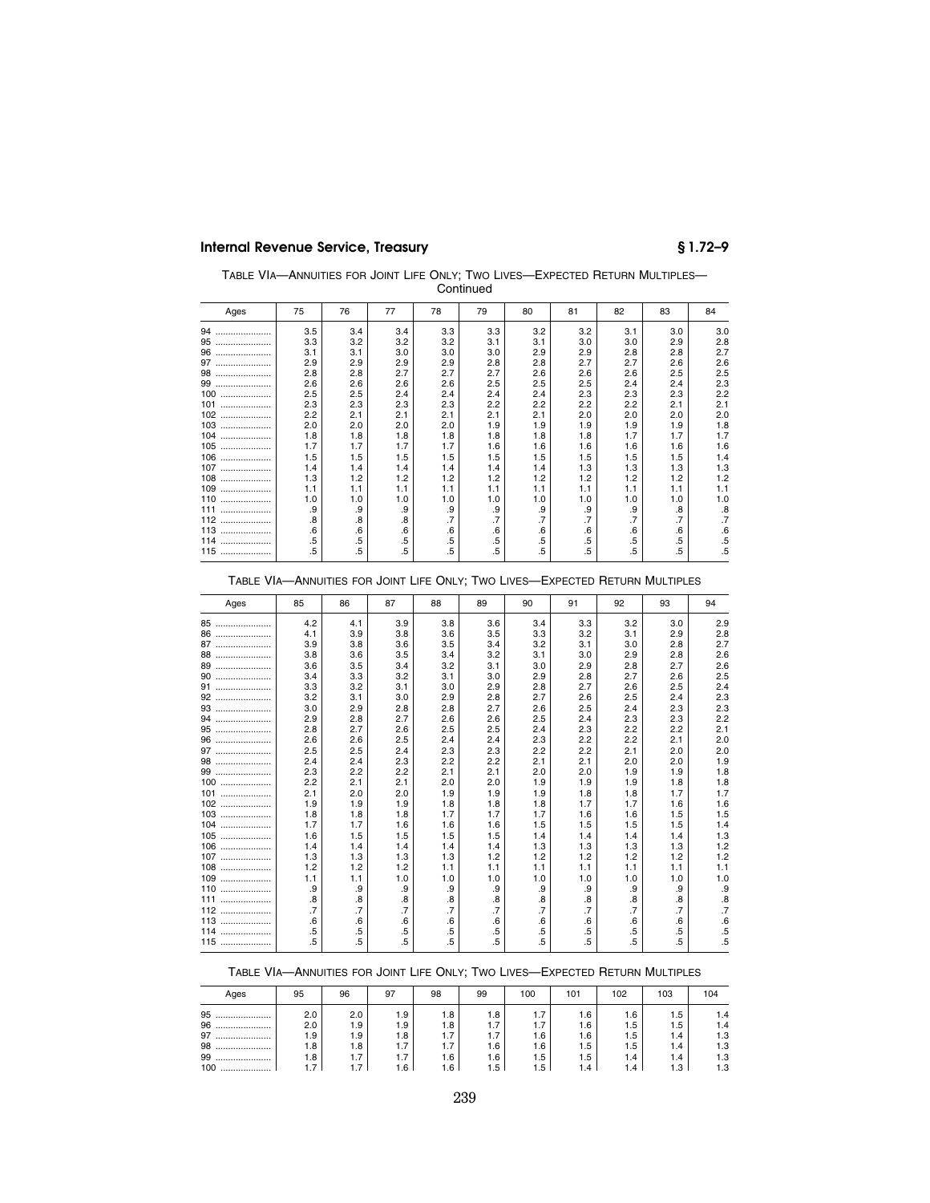| TABLE VIA-ANNUITIES FOR JOINT LIFE ONLY; TWO LIVES-EXPECTED RETURN MULTIPLES- |
|-------------------------------------------------------------------------------|
| Continued                                                                     |

| Ages    | 75  | 76     | 77  | 78        | 79        | 80     | 81  | 82  | 83  | 84                |
|---------|-----|--------|-----|-----------|-----------|--------|-----|-----|-----|-------------------|
| 94<br>. | 3.5 | 3.4    | 3.4 | 3.3       | 3.3       | 3.2    | 3.2 | 3.1 | 3.0 | 3.0               |
| 95<br>  | 3.3 | 3.2    | 3.2 | 3.2       | 3.1       | 3.1    | 3.0 | 3.0 | 2.9 | 2.8               |
| 96<br>  | 3.1 | 3.1    | 3.0 | 3.0       | 3.0       | 2.9    | 2.9 | 2.8 | 2.8 | 2.7               |
| 97<br>  | 2.9 | 2.9    | 2.9 | 2.9       | 2.8       | 2.8    | 2.7 | 2.7 | 2.6 | 2.6               |
| 98<br>  | 2.8 | 2.8    | 2.7 | 2.7       | 2.7       | 2.6    | 2.6 | 2.6 | 2.5 | 2.5               |
| 99<br>  | 2.6 | 2.6    | 2.6 | 2.6       | 2.5       | 2.5    | 2.5 | 2.4 | 2.4 | 2.3               |
| 100<br> | 2.5 | 2.5    | 2.4 | 2.4       | 2.4       | 2.4    | 2.3 | 2.3 | 2.3 | 2.2               |
| 101<br> | 2.3 | 2.3    | 2.3 | 2.3       | 2.2       | 2.2    | 2.2 | 2.2 | 2.1 | 2.1               |
| 102<br> | 2.2 | 2.1    | 2.1 | 2.1       | 2.1       | 2.1    | 2.0 | 2.0 | 2.0 | 2.0               |
| 103<br> | 2.0 | 2.0    | 2.0 | 2.0       | 1.9       | 1.9    | 1.9 | 1.9 | 1.9 | 1.8               |
| 104<br> | 1.8 | 1.8    | 1.8 | 1.8       | 1.8       | 1.8    | 1.8 | 1.7 | 1.7 | 1.7               |
| 105<br> | 1.7 | 1.7    | 1.7 | 1.7       | 1.6       | 1.6    | 1.6 | 1.6 | 1.6 | 1.6               |
| 106<br> | 1.5 | 1.5    | 1.5 | 1.5       | 1.5       | 1.5    | 1.5 | 1.5 | 1.5 | 1.4               |
| 107<br> | 1.4 | 1.4    | 1.4 | 1.4       | 1.4       | 1.4    | 1.3 | 1.3 | 1.3 | 1.3               |
| 108<br> | 1.3 | 1.2    | 1.2 | 1.2       | 1.2       | 1.2    | 1.2 | 1.2 | 1.2 | 1.2               |
| 109<br> | 1.1 | 1.1    | 1.1 | 1.1       | 1.1       | 1.1    | 1.1 | 1.1 | 1.1 | 1.1               |
| 110<br> | 1.0 | 1.0    | 1.0 | 1.0       | 1.0       | 1.0    | 1.0 | 1.0 | 1.0 | 1.0               |
| 111<br> | .9  | .9     | .9  | .9        | .9        | .9     | .9  | .9  | .8  | $\boldsymbol{.8}$ |
| 112<br> | .8  | .8     | .8  | $\cdot$ 7 | $\cdot$ 7 | .7     | .7  | .7  | .7  | .7                |
| 113<br> | .6  | .6     | .6  | $.6\,$    | .6        | .6     | .6  | .6  | .6  | .6                |
| 114<br> | .5  | $.5\,$ | .5  | $.5\,$    | .5        | $.5\,$ | .5  | .5  | .5  | .5                |
| 115<br> | .5  | $.5\,$ | .5  | .5        | .5        | $.5\,$ | .5  | .5  | .5  | .5                |

### TABLE VIA—ANNUITIES FOR JOINT LIFE ONLY; TWO LIVES—EXPECTED RETURN MULTIPLES

| Ages    | 85              | 86  | 87     | 88  | 89  | 90                | 91  | 92  | 93              | 94              |
|---------|-----------------|-----|--------|-----|-----|-------------------|-----|-----|-----------------|-----------------|
| 85      | 4.2             | 4.1 | 3.9    | 3.8 | 3.6 | 3.4               | 3.3 | 3.2 | 3.0             | 2.9             |
| 86      | 4.1             | 3.9 | 3.8    | 3.6 | 3.5 | 3.3               | 3.2 | 3.1 | 2.9             | 2.8             |
| 87      | 3.9             | 3.8 | 3.6    | 3.5 | 3.4 | 3.2               | 3.1 | 3.0 | 2.8             | 2.7             |
| 88<br>  | 3.8             | 3.6 | 3.5    | 3.4 | 3.2 | 3.1               | 3.0 | 2.9 | 2.8             | 2.6             |
| 89      | 3.6             | 3.5 | 3.4    | 3.2 | 3.1 | 3.0               | 2.9 | 2.8 | 2.7             | 2.6             |
|         | 3.4             | 3.3 | 3.2    | 3.1 | 3.0 | 2.9               | 2.8 | 2.7 | 2.6             | 2.5             |
| 91      | 3.3             | 3.2 | 3.1    | 3.0 | 2.9 | 2.8               | 2.7 | 2.6 | 2.5             | 2.4             |
| 92      | 3.2             | 3.1 | 3.0    | 2.9 | 2.8 | 2.7               | 2.6 | 2.5 | 2.4             | 2.3             |
| 93      | 3.0             | 2.9 | 2.8    | 2.8 | 2.7 | 2.6               | 2.5 | 2.4 | 2.3             | 2.3             |
| 94<br>  | 2.9             | 2.8 | 2.7    | 2.6 | 2.6 | 2.5               | 2.4 | 2.3 | 2.3             | 2.2             |
| 95<br>  | 2.8             | 2.7 | 2.6    | 2.5 | 2.5 | 2.4               | 2.3 | 2.2 | 2.2             | 2.1             |
| 96      | 2.6             | 2.6 | 2.5    | 2.4 | 2.4 | 2.3               | 2.2 | 2.2 | 2.1             | 2.0             |
| 97      | 2.5             | 2.5 | 2.4    | 2.3 | 2.3 | 2.2               | 2.2 | 2.1 | 2.0             | 2.0             |
| 98<br>  | 2.4             | 2.4 | 2.3    | 2.2 | 2.2 | 2.1               | 2.1 | 2.0 | 2.0             | 1.9             |
| 99      | 2.3             | 2.2 | 2.2    | 2.1 | 2.1 | 2.0               | 2.0 | 1.9 | 1.9             | 1.8             |
| 100<br> | 2.2             | 2.1 | 2.1    | 2.0 | 2.0 | 1.9               | 1.9 | 1.9 | 1.8             | 1.8             |
| 101<br> | 2.1             | 2.0 | 2.0    | 1.9 | 1.9 | 1.9               | 1.8 | 1.8 | 1.7             | 1.7             |
| 102     | 1.9             | 1.9 | 1.9    | 1.8 | 1.8 | 1.8               | 1.7 | 1.7 | 1.6             | 1.6             |
| $103$   | 1.8             | 1.8 | 1.8    | 1.7 | 1.7 | 1.7               | 1.6 | 1.6 | 1.5             | 1.5             |
| 104<br> | 1.7             | 1.7 | 1.6    | 1.6 | 1.6 | 1.5               | 1.5 | 1.5 | 1.5             | 1.4             |
| 105<br> | 1.6             | 1.5 | 1.5    | 1.5 | 1.5 | 1.4               | 1.4 | 1.4 | 1.4             | 1.3             |
| 106<br> | 1.4             | 1.4 | 1.4    | 1.4 | 1.4 | 1.3               | 1.3 | 1.3 | 1.3             | 1.2             |
| 107<br> | 1.3             | 1.3 | 1.3    | 1.3 | 1.2 | 1.2               | 1.2 | 1.2 | 1.2             | 1.2             |
| 108<br> | 1.2             | 1.2 | 1.2    | 1.1 | 1.1 | 1.1               | 1.1 | 1.1 | 1.1             | 1.1             |
| 109     | 1.1             | 1.1 | 1.0    | 1.0 | 1.0 | 1.0               | 1.0 | 1.0 | 1.0             | 1.0             |
| 110<br> | .9              | .9  | .9     | .9  | .9  | .9                | .9  | .9  | .9              | $.9\,$          |
| 111<br> | .8              | .8  | .8     | .8  | .8  | $\boldsymbol{.8}$ | .8  | .8  | .8              | .8              |
| 112     | $\overline{.7}$ | .7  | .7     | .7  | .7  | $\overline{.7}$   | .7  | .7  | $\overline{.7}$ | $\overline{.7}$ |
| 113<br> | .6              | .6  | .6     | 6.6 | .6  | .6                | .6  | .6  | .6              | .6              |
| 114<br> | .5              | .5  | $.5\,$ | .5  | .5  | .5                | .5  | .5  | .5              | .5              |
| 115     | .5              | .5  | .5     | .5  | .5  | .5                | .5  | .5  | .5              | .5              |

### TABLE VIA—ANNUITIES FOR JOINT LIFE ONLY; TWO LIVES—EXPECTED RETURN MULTIPLES

| Ages    | 95  | 96  | 97  | 98              | 99  | 100 | 101 | 102 | 103 | 104 |
|---------|-----|-----|-----|-----------------|-----|-----|-----|-----|-----|-----|
| 95<br>  | 2.0 | 2.0 | 1.9 | 1.8             | 1.8 | 1.7 | 1.6 | 1.6 | ۱.5 | 1.4 |
| 96<br>  | 2.0 | 1.9 | 1.9 | 1.8             | 1.7 | 1.7 | 1.6 | 1.5 | ۱.5 | 1.4 |
| 97<br>  | 1.9 | 1.9 | 1.8 | 1.7             | 1.7 | 1.6 | 1.6 | 1.5 | ۱.4 | 1.3 |
| 98<br>  | 1.8 | 1.8 | 1.7 | 1.7             | 1.6 | 1.6 | 1.5 | 1.5 | ۱.4 | 1.3 |
| 99<br>  | 1.8 | 1.7 | 1.7 | .6 <sup>1</sup> | 1.6 | 1.5 | 1.5 | 1.4 | ۱.4 | 1.3 |
| 100<br> | ⇁   | -   | . 6 | 1.6             | 1.5 | 1.5 | ۱.4 |     | 1.3 | 1.3 |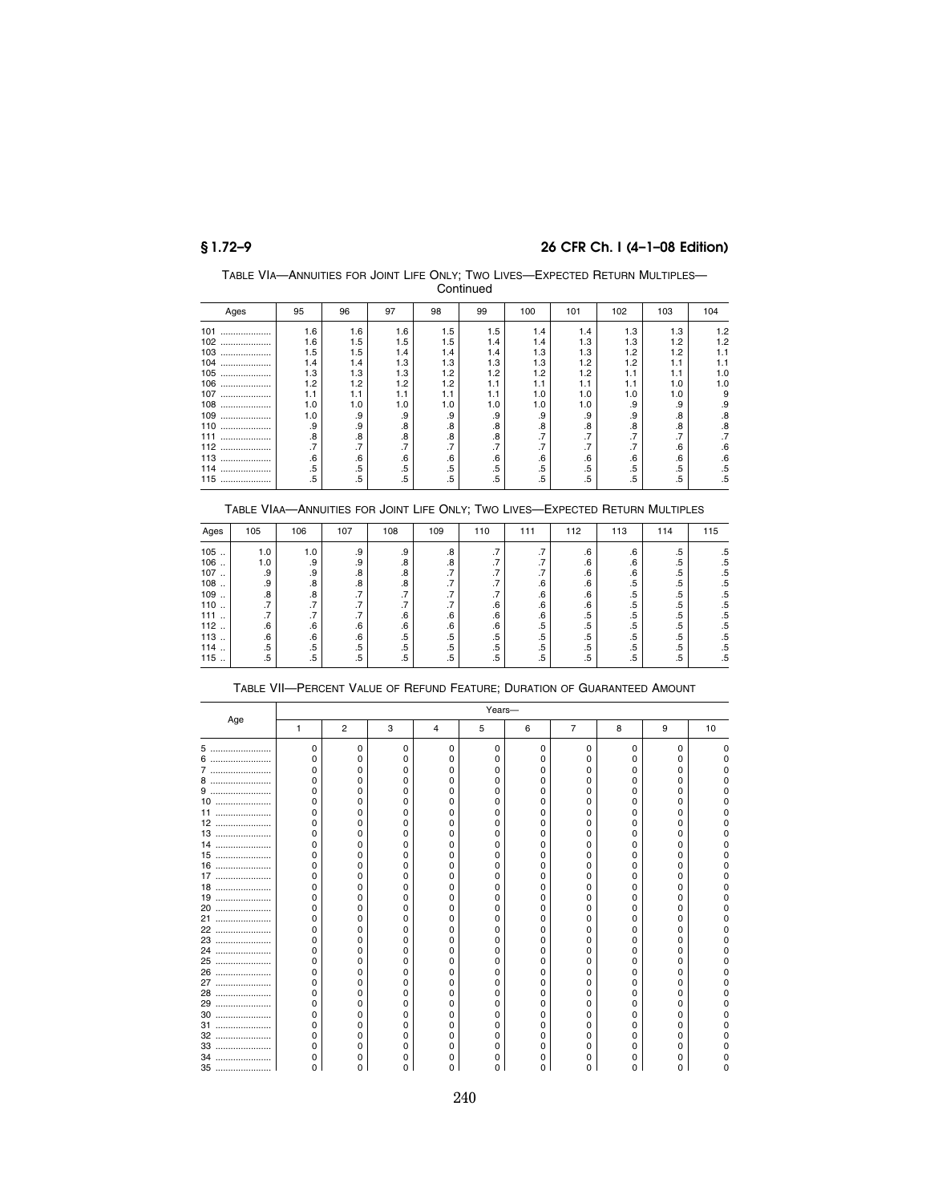TABLE VIA—ANNUITIES FOR JOINT LIFE ONLY; TWO LIVES—EXPECTED RETURN MULTIPLES— **Continued** 

| Ages     | 95     | 96  | 97                    | 98  | 99  | 100 | 101 | 102                       | 103                  | 104 |
|----------|--------|-----|-----------------------|-----|-----|-----|-----|---------------------------|----------------------|-----|
| 101<br>. | 1.6    | 1.6 | 1.6                   | 1.5 | 1.5 | 1.4 | 1.4 | 1.3                       | 1.3                  | 1.2 |
| 102<br>  | 1.6    | 1.5 | 1.5                   | 1.5 | 1.4 | 1.4 | 1.3 | 1.3                       | 1.2                  | 1.2 |
| 103<br>  | 1.5    | 1.5 | 1.4                   | 1.4 | 1.4 | 1.3 | 1.3 | 1.2                       | 1.2                  | 1.1 |
| 104<br>  | 1.4    | 1.4 | 1.3                   | 1.3 | 1.3 | 1.3 | 1.2 | 1.2                       | 1.1                  | 1.1 |
| 105<br>  | 1.3    | 1.3 | 1.3                   | 1.2 | 1.2 | 1.2 | 1.2 | 1.1                       | 1.1                  | 1.0 |
| 106<br>  | 1.2    | 1.2 | 1.2                   | 1.2 | 1.1 | 1.1 | 1.1 | 1.1                       | 1.0                  | 1.0 |
| 107<br>  | 1.1    | 1.1 | 1.1                   | 1.1 | 1.1 | 1.0 | 1.0 | 1.0                       | 1.0                  | 9   |
| 108<br>  | 1.0    | 1.0 | 1.0                   | 1.0 | 1.0 | 1.0 | 1.0 | .9                        | .9                   | .9  |
| 109<br>  | 1.0    | .9  | .9                    | .9  | .9  | .9  | .9  | .9                        | .8                   | .8  |
| 110<br>  | .9     | .9  | .8                    | .8  | .8  | .8  | .8  | .8                        | .8                   | .8  |
| 111<br>  | .8     | .8  | .8                    | .8  | .8  | .7  | .7  | $\cdot$                   | ⇁<br>$\cdot$ $\cdot$ | .7  |
| 112<br>  | .7     | .7  | $\overline{ }$<br>. 1 | ⇁   | .7  | .7  | .7  | $\overline{7}$<br>$\cdot$ | .6                   | .6  |
| 113<br>  | .6     | .6  | .6                    | .6  | .6  | .6  | .6  | .6                        | .6                   | .6  |
| 114<br>  | $.5\,$ | .5  | .5                    | .5  | .5  | .5  | .5  | .5                        | .5                   | .5  |
| 115<br>  | .5     | .5  | .5                    | .5  | .5  | .5  | .5  | .5                        | .5                   | .5  |

### TABLE VIAA—ANNUITIES FOR JOINT LIFE ONLY; TWO LIVES—EXPECTED RETURN MULTIPLES

| Ages | 105    | 106                       | 107                                 | 108          | 109     | 110                       | 111                                 | 112    | 113    | 114    | 115    |
|------|--------|---------------------------|-------------------------------------|--------------|---------|---------------------------|-------------------------------------|--------|--------|--------|--------|
| 105  | 1.0    | 1.0                       | .9                                  | .9           | .8      | ⇁<br>$\cdot$              | $\overline{\phantom{a}}$<br>$\cdot$ | .6     | .6     | .5     | .5     |
| 106  | 1.0    | .9                        | .9                                  | .8           | .8      | ⇁<br>$\cdot$              | $\overline{\phantom{a}}$<br>$\cdot$ | .6     | .6     | .5     | .5     |
| 107  | .9     | .9                        | .8                                  | .8           | $\cdot$ | ⇁<br>$\cdot$              | $\overline{ }$<br>$\cdot$           | .6     | .6     | $.5\,$ | .5     |
| 108  | .9     | .8                        | .8                                  | .8           | $\cdot$ | $\overline{ }$<br>$\cdot$ | .6                                  | .6     | .5     | $.5\,$ | .5     |
| 109  | .8     | .8                        | $\overline{\phantom{a}}$<br>$\cdot$ | ⇁<br>. 1     | $\cdot$ | ⇁<br>$\cdot$              | .6                                  | .6     | .5     | .5     | .5     |
| 110  | .7     | $\overline{7}$<br>$\cdot$ | $\overline{ }$<br>$\cdot$           | ⇁<br>$\cdot$ | $\cdot$ | .6                        | .6                                  | .6     | .5     | $.5\,$ | .5     |
| 111  | .7     | .7                        | .7                                  | .6           | .6      | .6                        | .6                                  | .5     | $.5\,$ | .5     | .5     |
| 112  | .6     | .6                        | .6                                  | .6           | .6      | .6                        | .5                                  | .5     | .5     | $.5\,$ | $.5\,$ |
| 113  | .6     | .6                        | .6                                  | $.5\,$       | .5      | $.5\,$                    | $.5\,$                              | $.5\,$ | .5     | .5     | .5     |
| 114  | $.5\,$ | $.5\,$                    | $.5\,$                              | .5           | $.5\,$  | $.5\,$                    | .5                                  | .5     | .5     | $.5\,$ | .5     |
| 115  | .5     | .5                        | .5                                  | .5           | .5      | $.5\,$                    | .5                                  | .5     | .5     | .5     | .5     |

|       |   |                |   |   | Years- |   |                |   |   |    |
|-------|---|----------------|---|---|--------|---|----------------|---|---|----|
| Age   | 1 | $\overline{2}$ | 3 | 4 | 5      | 6 | $\overline{7}$ | 8 | 9 | 10 |
| 5     | U | O              | 0 | 0 | U      | U | $\Omega$       | 0 | 0 |    |
| 6<br> |   |                | n | 0 |        |   |                | o |   |    |
| 7     | ი |                | n | 0 |        |   |                | o |   |    |
| 8<br> | Ω |                | 0 | 0 |        |   | Ω              | O |   |    |
| 9<br> | n |                | 0 | 0 |        |   | O              | o |   |    |
| 10    | ი |                | 0 | 0 |        |   | O              | 0 |   |    |
| 11    | ი |                | 0 | 0 |        |   | 0              | 0 |   |    |
| 12    | n |                | n | 0 |        |   | Ω              | o |   |    |
| 13    | ი |                | n | 0 |        |   |                | o |   |    |
| 14    | ი |                | n | 0 |        |   |                | o |   |    |
| 15    | Ω |                | n | 0 |        |   |                | o |   |    |
| 16    | ი |                | 0 | 0 |        |   |                | 0 |   |    |
| 17    | Ω |                | 0 | 0 |        |   |                | 0 |   |    |
| 18    |   |                | Ω | O |        |   |                | O |   |    |
| 19    | ი |                | 0 | 0 |        |   |                | o |   |    |
| 20    | ი |                | 0 | 0 |        |   |                | 0 |   |    |
| 21    | n |                | 0 | 0 |        |   | o              | o |   |    |
| 22    | ი |                | 0 | 0 |        |   | O              | o |   |    |
| 23    | ი |                | 0 | 0 |        |   | 0              | 0 |   |    |
| 24    | Ω |                | n | o |        |   | Ω              | o |   |    |
| 25    |   |                | Ω | 0 |        |   |                | o |   |    |
| 26    |   |                | 0 | 0 |        |   |                | o |   |    |
| 27    | n |                | 0 | 0 |        |   |                | 0 |   |    |
| 28    | n |                | n | 0 |        |   |                | 0 |   |    |
| 29    | n |                | n | 0 |        |   |                | o |   |    |
| 30    | Ω |                | n | 0 |        |   |                | 0 |   |    |
| 31    |   |                | Ω | O |        |   |                | o |   |    |
| 32    |   |                | Ω | 0 |        |   |                | o |   |    |
| 33    |   |                | n | 0 |        |   |                | 0 |   |    |
| 34    |   |                | Ο | 0 |        |   |                | O |   |    |
| 35    |   |                |   | O |        |   |                |   |   |    |

### TABLE VII—PERCENT VALUE OF REFUND FEATURE; DURATION OF GUARANTEED AMOUNT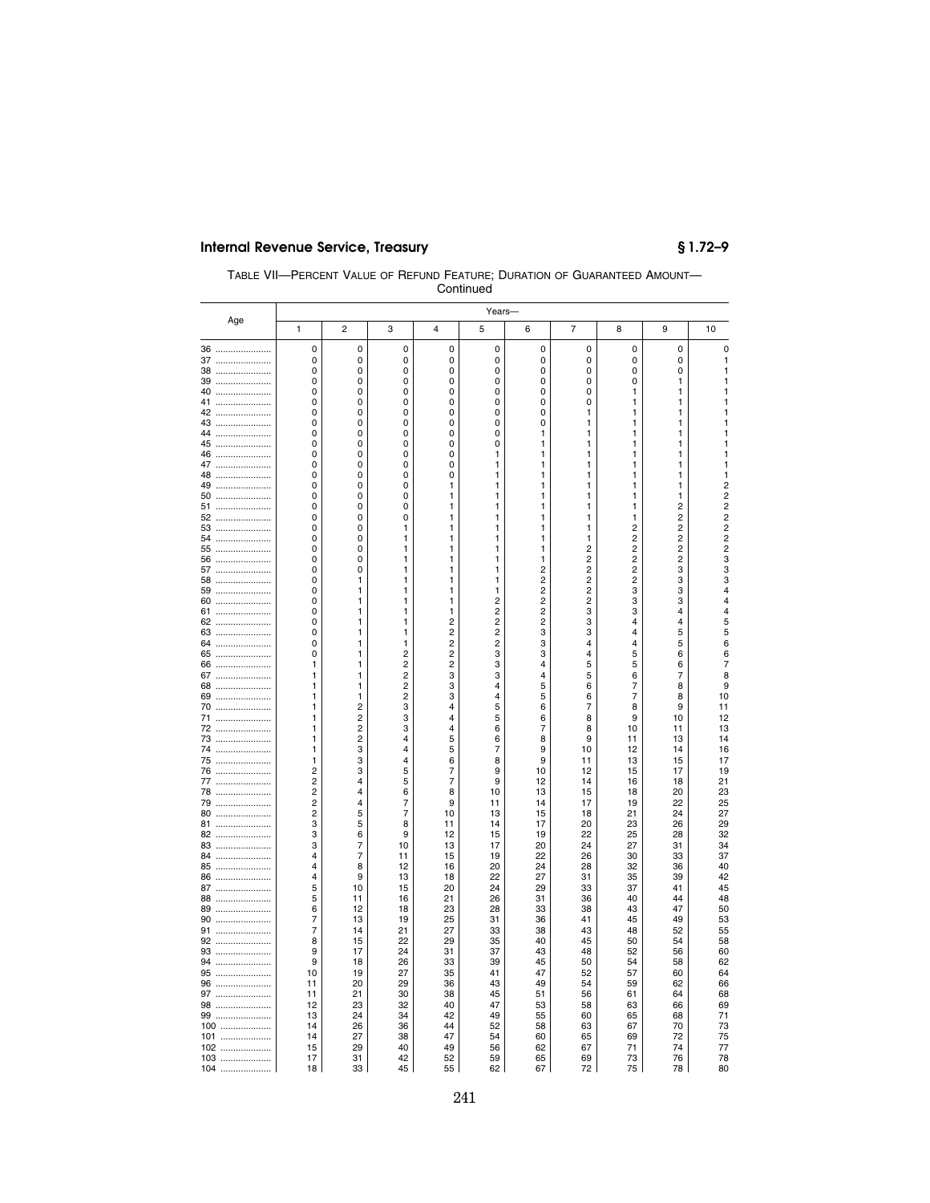| TABLE VII-PERCENT VALUE OF REFUND FEATURE: DURATION OF GUARANTEED AMOUNT- |  |
|---------------------------------------------------------------------------|--|
| Continued                                                                 |  |

|              |                |                                  |                |                | Years-         |                         |                              |                                                    |          |                                  |
|--------------|----------------|----------------------------------|----------------|----------------|----------------|-------------------------|------------------------------|----------------------------------------------------|----------|----------------------------------|
| Age          | $\mathbf{1}$   | $\overline{2}$                   | 3              | 4              | 5              | 6                       | $\overline{7}$               | 8                                                  | 9        | 10                               |
| 36           | 0              | 0                                | 0              | 0              | 0              | 0                       | 0                            | 0                                                  | 0        | 0                                |
| 37           | 0              | 0                                | 0              | 0              | 0              | 0                       | 0                            | 0                                                  | 0        | 1                                |
| 38           | 0              | 0                                | 0              | 0              | 0              | 0                       | 0                            | 0                                                  | 0        | 1                                |
| 39           | 0<br>0         | 0<br>0                           | 0<br>0         | 0<br>0         | 0<br>0         | 0<br>0                  | 0<br>0                       | 0<br>$\mathbf{1}$                                  | 1<br>1   | 1<br>1                           |
| 40           | 0              | 0                                | 0              | 0              | 0              | 0                       | 0                            | 1                                                  | 1        | 1                                |
| 41<br>42     | 0              | 0                                | 0              | 0              | 0              | 0                       | 1                            | 1                                                  | 1        | 1                                |
| 43           | 0              | 0                                | 0              | 0              | 0              | 0                       | 1                            | 1                                                  | 1        | 1                                |
| 44<br>       | 0              | 0                                | 0              | 0              | 0              | 1                       | 1                            | 1                                                  | 1        | 1                                |
| 45<br>       | 0              | 0                                | 0              | 0              | 0              | 1                       | 1                            | 1                                                  | 1        | 1                                |
| 46<br>       | 0              | 0                                | 0              | 0              | 1              | 1                       | 1                            | 1                                                  | 1        | 1                                |
| 47           | 0              | 0                                | 0              | 0              | 1              | 1                       | 1                            | 1                                                  | 1        | 1                                |
| 48<br>       | 0              | 0                                | 0              | 0              | 1              | 1                       | 1                            | 1                                                  | 1        | 1                                |
| 49<br>       | 0              | 0                                | 0              | 1              | 1              | 1                       | 1                            | 1                                                  | 1        | $\frac{2}{2}$                    |
| 50<br>       | 0              | 0                                | 0              | 1              | 1              | 1                       | 1                            | 1                                                  | 1        |                                  |
| 51<br>       | 0              | 0                                | 0              | 1              | 1              | 1                       | 1                            | 1                                                  | 2        | $\overline{c}$                   |
| 52<br>       | 0              | 0                                | 0              | 1              | 1              | 1                       | 1                            | 1                                                  | 2        | $\overline{c}$<br>$\overline{c}$ |
| 53           | 0              | 0                                | 1              | 1              | 1              | 1                       | 1                            | 2                                                  | 2<br>2   | $\overline{c}$                   |
| 54<br>55     | 0<br>0         | 0<br>0                           | 1<br>1         | 1<br>1         | 1<br>1         | 1<br>1                  | 1<br>$\overline{\mathbf{c}}$ | $\overline{\mathbf{c}}$<br>$\overline{\mathbf{c}}$ | 2        | $\overline{c}$                   |
| 56<br>       | 0              | 0                                | 1              | 1              | 1              | 1                       | $\overline{\mathbf{c}}$      | $\overline{2}$                                     | 2        | 3                                |
| 57<br>       | 0              | 0                                | 1              | 1              | 1              | 2                       | $\overline{c}$               | $\overline{2}$                                     | 3        | 3                                |
| 58           | 0              | 1                                | 1              | 1              | 1              | $\overline{\mathbf{c}}$ | $\overline{\mathbf{c}}$      | $\overline{\mathbf{c}}$                            | 3        | 3                                |
| 59           | 0              | 1                                | 1              | 1              | 1              | $\overline{c}$          | $\overline{c}$               | 3                                                  | 3        | 4                                |
| 60<br>       | 0              | 1                                | 1              | 1              | 2              | $\overline{2}$          | $\overline{c}$               | 3                                                  | 3        | 4                                |
| 61<br>       | 0              | 1                                | 1              | 1              | 2              | 2                       | 3                            | 3                                                  | 4        | 4                                |
| 62<br>       | 0              | 1                                | 1              | $\overline{2}$ | 2              | $\overline{2}$          | 3                            | $\overline{4}$                                     | 4        | 5                                |
| 63           | 0              | 1                                | 1              | $\overline{c}$ | $\overline{c}$ | 3                       | 3                            | $\overline{4}$                                     | 5        | 5                                |
| 64<br>       | 0              | 1                                | 1              | $\overline{c}$ | $\overline{c}$ | 3                       | 4                            | $\overline{4}$                                     | 5        | 6                                |
| 65<br>       | 0              | 1                                | $\overline{2}$ | 2              | 3              | 3                       | $\overline{4}$               | 5                                                  | 6        | 6                                |
| 66           | 1              | 1                                | $\overline{c}$ | 2              | 3              | 4                       | 5                            | 5                                                  | 6        | 7                                |
| 67<br>       | 1              | 1                                | $\overline{c}$ | 3              | 3              | 4                       | 5                            | 6                                                  | 7        | 8                                |
| 68<br>       | 1              | 1                                | $\overline{c}$ | 3              | $\overline{4}$ | 5                       | 6                            | 7                                                  | 8        | 9                                |
| 69           | 1              | 1<br>$\overline{2}$              | 2              | 3<br>4         | 4<br>5         | 5                       | 6<br>7                       | $\overline{7}$                                     | 8        | 10                               |
| 70<br><br>71 | 1<br>1         | $\overline{2}$                   | 3<br>3         | 4              | 5              | 6<br>6                  | 8                            | 8<br>9                                             | 9<br>10  | 11<br>12                         |
| 72<br>       | 1              | $\overline{2}$                   | 3              | 4              | 6              | $\overline{7}$          | 8                            | 10                                                 | 11       | 13                               |
| 73<br>       | 1              | $\overline{2}$                   | 4              | 5              | 6              | 8                       | 9                            | 11                                                 | 13       | 14                               |
| 74<br>       | 1              | 3                                | 4              | 5              | 7              | 9                       | 10                           | 12                                                 | 14       | 16                               |
| 75           | 1              | 3                                | 4              | 6              | 8              | 9                       | 11                           | 13                                                 | 15       | 17                               |
| 76<br>       | 2              | 3                                | 5              | 7              | 9              | 10                      | 12                           | 15                                                 | 17       | 19                               |
| 77           | 2              | 4                                | 5              | 7              | 9              | 12                      | 14                           | 16                                                 | 18       | 21                               |
| 78<br>       | 2              | 4                                | 6              | 8              | 10             | 13                      | 15                           | 18                                                 | 20       | 23                               |
| 79<br>       | $\overline{c}$ | 4                                | $\overline{7}$ | 9              | 11             | 14                      | 17                           | 19                                                 | 22       | 25                               |
| 80           | 2              | 5                                | 7              | 10             | 13             | 15                      | 18                           | 21                                                 | 24       | 27                               |
| 81           | 3              | 5                                | 8              | 11             | 14             | 17                      | 20                           | 23                                                 | 26       | 29                               |
| 82           | 3              | 6                                | 9              | 12             | 15             | 19                      | 22                           | 25                                                 | 28       | 32                               |
| 83<br>       | 3              | $\overline{7}$<br>$\overline{7}$ | 10<br>11       | 13             | 17             | 20                      | 24                           | 27                                                 | 31       | 34                               |
| 84<br>85     | 4<br>4         | 8                                | 12             | 15<br>16       | 19<br>20       | 22<br>24                | 26<br>28                     | 30<br>32                                           | 33<br>36 | 37<br>40                         |
| <br>86<br>   | $\overline{4}$ | 9                                | 13             | 18             | 22             | 27                      | 31                           | 35                                                 | 39       | 42                               |
| 87           | 5              | 10                               | 15             | 20             | 24             | 29                      | 33                           | 37                                                 | 41       | 45                               |
| 88           | 5              | 11                               | 16             | 21             | 26             | 31                      | 36                           | 40                                                 | 44       | 48                               |
| 89           | 6              | 12                               | 18             | 23             | 28             | 33                      | 38                           | 43                                                 | 47       | 50                               |
| 90           | 7              | 13                               | 19             | 25             | 31             | 36                      | 41                           | 45                                                 | 49       | 53                               |
| 91           | 7              | 14                               | 21             | 27             | 33             | 38                      | 43                           | 48                                                 | 52       | 55                               |
| 92           | 8              | 15                               | 22             | 29             | 35             | 40                      | 45                           | 50                                                 | 54       | 58                               |
| 93           | 9              | 17                               | 24             | 31             | 37             | 43                      | 48                           | 52                                                 | 56       | 60                               |
| 94           | 9              | 18                               | 26             | 33             | 39             | 45                      | 50                           | 54                                                 | 58       | 62                               |
| 95           | 10             | 19                               | 27             | 35             | 41             | 47                      | 52                           | 57                                                 | 60       | 64                               |
| 96           | 11             | 20                               | 29             | 36             | 43             | 49                      | 54                           | 59                                                 | 62       | 66                               |
| 97           | 11             | 21                               | 30             | 38             | 45             | 51                      | 56                           | 61                                                 | 64       | 68                               |
| 98           | 12             | 23                               | 32             | 40             | 47             | 53                      | 58                           | 63                                                 | 66       | 69                               |
| 99           | 13             | 24                               | 34             | 42             | 49             | 55                      | 60                           | 65                                                 | 68       | 71                               |
| 100          | 14             | 26                               | 36             | 44             | 52             | 58                      | 63                           | 67                                                 | 70       | 73                               |
| 101          | 14             | 27                               | 38             | 47             | 54             | 60                      | 65                           | 69                                                 | 72       | 75<br>77                         |
| 102<br>.     | 15             | 29                               | 40             | 49             | 56             | 62                      | 67                           | 71                                                 | 74       |                                  |
| 103<br>.     | 17             | 31                               | 42             | 52             | 59             | 65                      | 69                           | 73                                                 | 76       | 78                               |
| 104          | 18             | 33                               | 45             | 55             | 62             | 67                      | 72                           | 75                                                 | 78       | 80                               |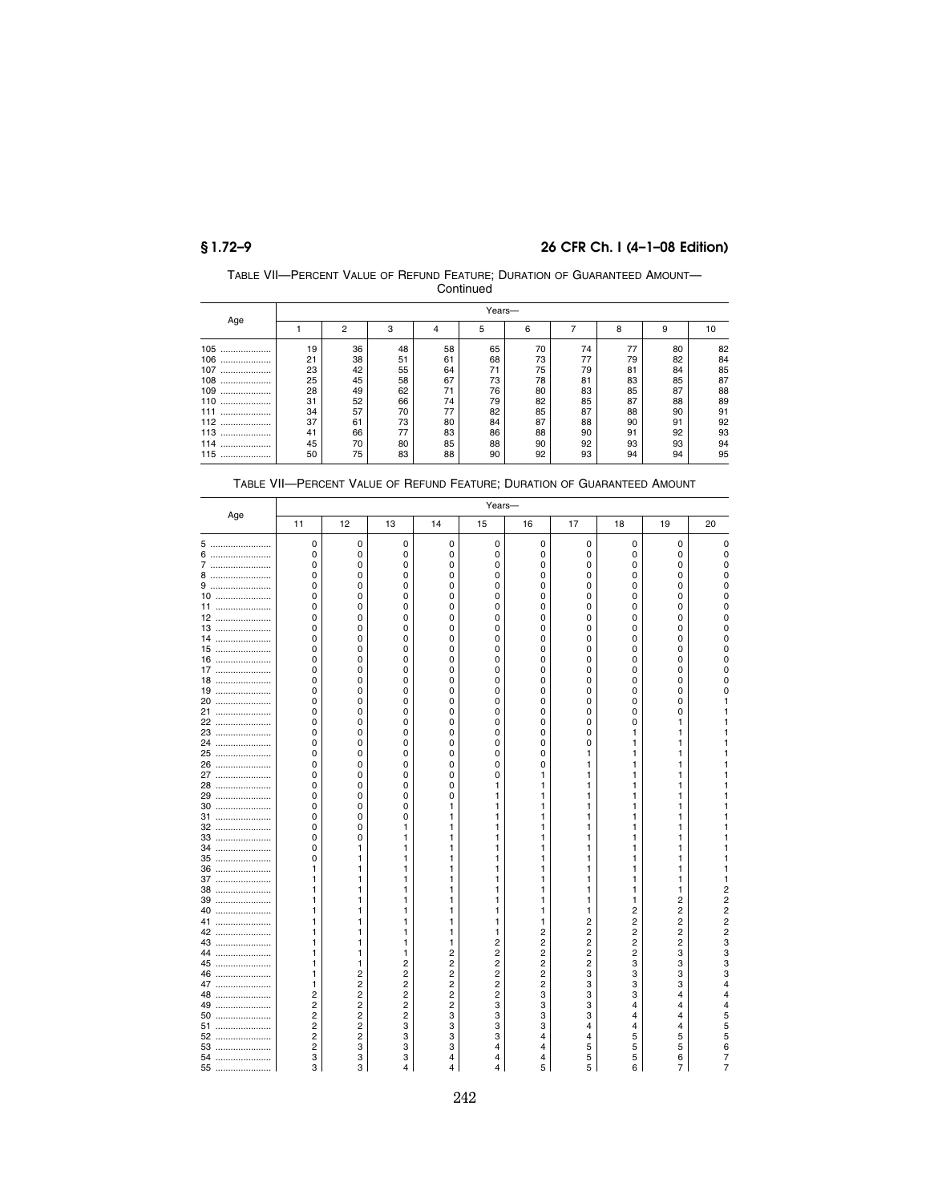| TABLE VII-PERCENT VALUE OF REFUND FEATURE: DURATION OF GUARANTEED AMOUNT- |  |
|---------------------------------------------------------------------------|--|
| Continued                                                                 |  |

|          |    | Years-         |    |    |    |    |    |    |    |    |  |  |
|----------|----|----------------|----|----|----|----|----|----|----|----|--|--|
| Age      |    | $\overline{2}$ | 3  | 4  | 5  | 6  |    | 8  | 9  | 10 |  |  |
| 105<br>  | 19 | 36             | 48 | 58 | 65 | 70 | 74 | 77 | 80 | 82 |  |  |
| 106<br>. | 21 | 38             | 51 | 61 | 68 | 73 | 77 | 79 | 82 | 84 |  |  |
| 107<br>  | 23 | 42             | 55 | 64 | 71 | 75 | 79 | 81 | 84 | 85 |  |  |
| 108<br>  | 25 | 45             | 58 | 67 | 73 | 78 | 81 | 83 | 85 | 87 |  |  |
| 109<br>  | 28 | 49             | 62 | 71 | 76 | 80 | 83 | 85 | 87 | 88 |  |  |
| 110<br>  | 31 | 52             | 66 | 74 | 79 | 82 | 85 | 87 | 88 | 89 |  |  |
| 111<br>  | 34 | 57             | 70 | 77 | 82 | 85 | 87 | 88 | 90 | 91 |  |  |
| 112<br>  | 37 | 61             | 73 | 80 | 84 | 87 | 88 | 90 | 91 | 92 |  |  |
| 113<br>  | 41 | 66             | 77 | 83 | 86 | 88 | 90 | 91 | 92 | 93 |  |  |
| 114<br>  | 45 | 70             | 80 | 85 | 88 | 90 | 92 | 93 | 93 | 94 |  |  |
| 115<br>  | 50 | 75             | 83 | 88 | 90 | 92 | 93 | 94 | 94 | 95 |  |  |

|      |                |                |                         |    | Years-         |                |                |                |                |                |
|------|----------------|----------------|-------------------------|----|----------------|----------------|----------------|----------------|----------------|----------------|
| Age  | 11             | 12             | 13                      | 14 | 15             | 16             | 17             | 18             | 19             | 20             |
| 5    | 0              | 0              | 0                       | 0  | 0              | 0              | 0              | 0              | $\mathbf 0$    | 0              |
| 6    | 0              | 0              | 0                       | 0  | 0              | 0              | 0              | 0              | 0              | 0              |
| 7    | 0              | 0              | 0                       | 0  | 0              | 0              | 0              | 0              | 0              | $\Omega$       |
| 8    | 0              | 0              | 0                       | 0  | 0              | 0              | 0              | 0              | 0              | 0              |
| 9    | 0              | 0              | 0                       | 0  | 0              | 0              | 0              | 0              | 0              | 0              |
| $10$ | 0              | 0              | 0                       | 0  | 0              | 0              | 0              | 0              | 0              | 0              |
| 11   | 0              | 0              | 0                       | 0  | 0              | 0              | 0              | 0              | 0              | 0              |
| 12   | 0              | 0              | 0                       | 0  | 0              | 0              | 0              | $\Omega$       | 0              | 0              |
| 13   | 0              | 0              | 0                       | 0  | 0              | 0              | 0              | 0              | 0              |                |
| 14   | 0              | 0              | 0                       | 0  | 0              | 0              | 0              | 0              | 0              | 0              |
| 15   | 0              | 0              | 0                       | 0  | 0              | 0              | 0              | $\Omega$       | 0              | 0              |
| 16   | 0              | 0              | 0                       | 0  | 0              | 0              | 0              | 0              | 0              | 0              |
| 17   | 0              | 0              | $\Omega$                | 0  | 0              | 0              | 0              | $\Omega$       | 0              |                |
| 18   | 0              | 0              | 0                       | 0  | 0              | 0              | 0              | 0              | 0              | $\overline{0}$ |
| 19   | 0              | 0              | 0                       | 0  | 0              | 0              | 0              | 0              | 0              | 0              |
| 20   | 0              | 0              | 0                       | 0  | 0              | 0              | 0              | 0              | 0              |                |
| 21   | 0              | 0              | 0                       | 0  | 0              | 0              | 0              | 0              | 0              |                |
| 22   | 0              | 0              | 0                       | 0  | 0              | 0              | 0              | 0              | 1              |                |
| 23   | 0              | 0              | 0                       | 0  | 0              | 0              | 0              | 1              | 1              |                |
| 24   | 0              | 0              | 0                       | 0  | 0              | 0              | 0              | 1              | 1              |                |
| 25   | 0              | 0              | 0                       | 0  | 0              | 0              | 1              | 1              | 1              |                |
| 26   | 0              | 0              | 0                       | 0  | 0              | 0              | 1              | 1              | 1              |                |
| 27   | 0              | 0              | 0                       | 0  | 0              | 1              | 1              | 1              | 1              |                |
| 28   | 0              | 0              | 0                       | 0  | 1              | 1              | 1              | 1              | 1              |                |
| 29   | 0              | 0              | 0                       | 0  | 1              | 1              | 1              | 1              | 1              |                |
| 30   | 0              | 0              | 0                       | 1  | 1              | 1              | 1              | 1              | 1              |                |
| 31   | 0              | 0              | 0                       | 1  | 1              | 1              | 1              | 1              | 1              |                |
| 32   | 0              | 0              | 1                       | 1  | 1              | 1              | 1              | 1              | 1              |                |
| 33   | 0              | 0              | 1                       | 1  | 1              | 1              | 1              | 1              | 1              |                |
| 34   | 0              | 1              | 1                       | 1  | 1              | 1              | 1              | 1              | 1              |                |
| 35   | 0              | 1              | 1                       | 1  | 1              | 1              | 1              | 1              | 1              |                |
| 36   | 1              | 1              | 1                       | 1  | 1              | 1              | 1              | 1              | 1              |                |
| 37   | 1              | 1              | 1                       | 1  | 1              | 1              | 1              | 1              | 1              |                |
| 38   | 1              | 1              | 1                       | 1  | 1              | 1              | 1              | 1              | 1              | $\overline{c}$ |
| 39   | 1              | 1              | 1                       | 1  | 1              | 1              | 1              | 1              | 2              | 2              |
| 40   | 1              | 1              | 1                       | 1  | 1              | 1              | 1              | 2              | 2              | $\overline{c}$ |
| 41   | 1              | 1              | 1                       | 1  | 1              | 1              | 2              | $\overline{c}$ | 2              | 2              |
| 42   | 1              | 1              | 1                       | 1  | 1              | $\overline{2}$ | $\overline{2}$ | $\overline{2}$ | $\overline{2}$ | $\overline{2}$ |
| 43   | 1              | 1              | 1                       | 1  | 2              | $\overline{c}$ | 2              | $\overline{2}$ | 2              | 3              |
| 44   | 1              | 1              | 1                       | 2  | 2              | $\overline{c}$ | $\overline{c}$ | $\overline{2}$ | 3              | 3              |
| 45   | 1              | 1              | 2                       | 2  | 2              | 2              | 2              | 3              | 3              | 3              |
| 46   | 1              | 2              | $\overline{\mathbf{c}}$ | 2  | $\overline{2}$ | $\overline{c}$ | 3              | 3              | 3              | 3              |
| 47   | 1              | 2              | $\overline{c}$          | 2  | 2              | 2              | 3              | 3              | 3              | 4              |
| 48   | 2              | 2              | $\overline{c}$          | 2  | 2              | 3              | 3              | 3              | 4              | 4              |
| 49   | 2              | 2              | $\overline{c}$          | 2  | 3              | 3              | 3              | 4              | 4              | 4              |
| 50   | 2              | 2              | 2                       | 3  | 3              | 3              | 3              | $\overline{4}$ | 4              | 5              |
| 51   | 2              | 2              | 3                       | 3  | 3              | 3              | 4              | 4              | 4              | 5              |
| 52   | $\overline{2}$ | $\overline{2}$ | 3                       | 3  | 3              | 4              | 4              | 5              | 5              | 5              |
| 53   | 2              | 3              | 3                       | 3  | 4              | 4              | 5              | 5              | 5              | 6              |
| 54   | 3              | 3              | 3                       | 4  | 4              | 4              | 5              | 5              | 6              | $\overline{7}$ |
| 55   | 3              | 3              | 4                       | 4  | 4              | 5              | 5              | 6              | 7              | 7              |

TABLE VII—PERCENT VALUE OF REFUND FEATURE; DURATION OF GUARANTEED AMOUNT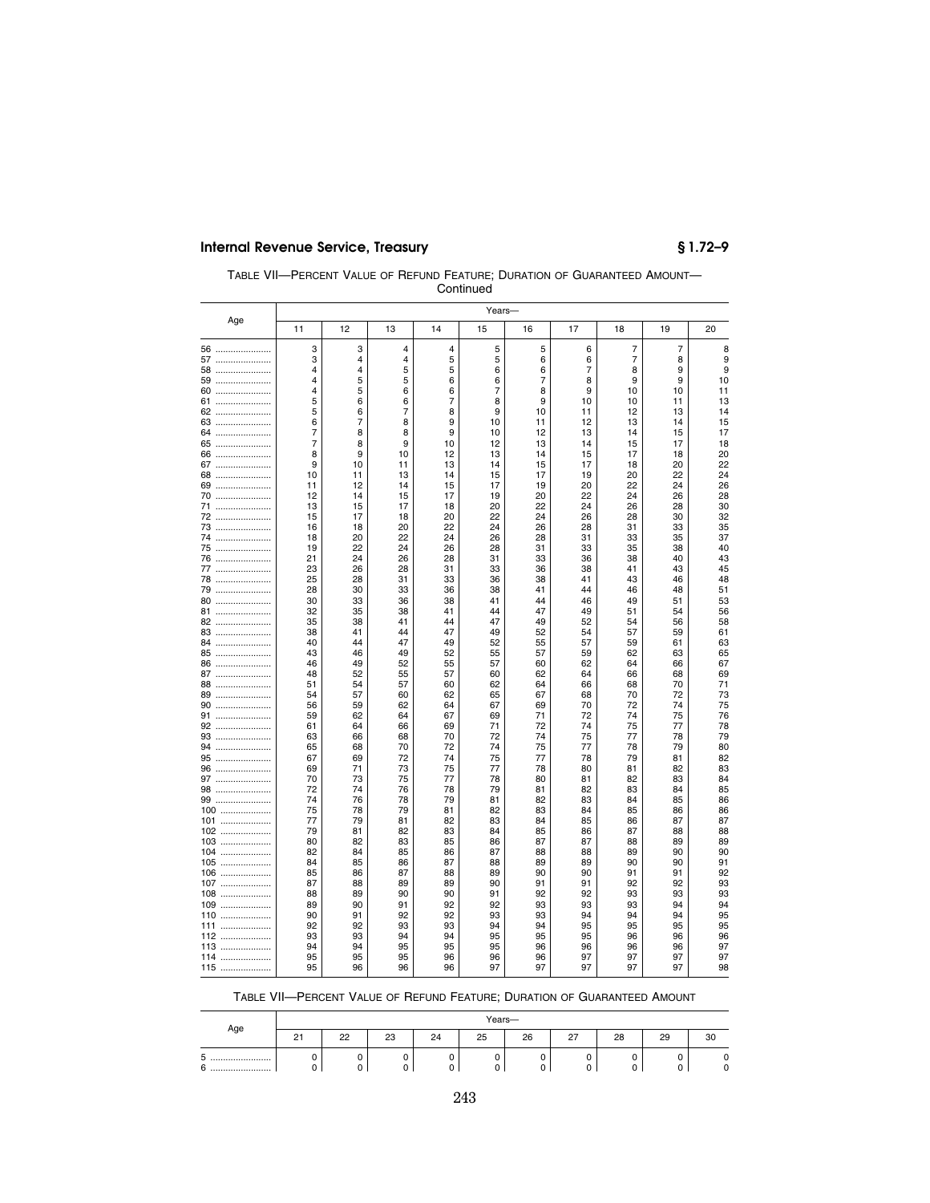| TABLE VII-PERCENT VALUE OF REFUND FEATURE: DURATION OF GUARANTEED AMOUNT- |  |
|---------------------------------------------------------------------------|--|
| Continued                                                                 |  |

|            |                     |          |                |          | Years-   |                |                  |          |                |          |
|------------|---------------------|----------|----------------|----------|----------|----------------|------------------|----------|----------------|----------|
| Age        | 11                  | 12       | 13             | 14       | 15       | 16             | 17               | 18       | 19             | 20       |
| 56         | 3                   | 3        | 4              | 4        | 5        | 5              | 6                | 7        | $\overline{7}$ | 8        |
| 57         | 3                   | 4        | 4              | 5        | 5        | 6              | 6                | 7        | 8              | 9        |
| 58         | 4                   | 4        | 5              | 5        | 6        | 6              | 7                | 8        | 9              | 9        |
| 59         | 4                   | 5        | 5              | 6        | 6        | $\overline{7}$ | 8                | 9        | 9              | 10       |
| 60         | 4                   | 5        | 6              | 6        | 7        | 8              | $\boldsymbol{9}$ | 10       | 10             | 11       |
| 61         | 5                   | 6        | 6              | 7        | 8        | 9              | 10               | 10       | 11             | 13       |
| 62         | 5                   | 6        | $\overline{7}$ | 8        | 9        | 10             | 11               | 12       | 13             | 14       |
| 63         | 6                   | 7        | 8              | 9        | 10       | 11             | 12               | 13       | 14             | 15       |
| 64         | 7<br>$\overline{7}$ | 8        | 8<br>9         | 9        | 10       | 12<br>13       | 13<br>14         | 14<br>15 | 15<br>17       | 17       |
| 65         | 8                   | 8<br>9   | 10             | 10<br>12 | 12<br>13 | 14             | 15               | 17       | 18             | 18<br>20 |
| 66<br>67   | 9                   | 10       | 11             | 13       | 14       | 15             | 17               | 18       | 20             | 22       |
| 68         | 10                  | 11       | 13             | 14       | 15       | 17             | 19               | 20       | 22             | 24       |
| 69         | 11                  | 12       | 14             | 15       | 17       | 19             | 20               | 22       | 24             | 26       |
| 70         | 12                  | 14       | 15             | 17       | 19       | 20             | 22               | 24       | 26             | 28       |
| 71         | 13                  | 15       | 17             | 18       | 20       | 22             | 24               | 26       | 28             | 30       |
| 72         | 15                  | 17       | 18             | 20       | 22       | 24             | 26               | 28       | 30             | 32       |
| 73         | 16                  | 18       | 20             | 22       | 24       | 26             | 28               | 31       | 33             | 35       |
| 74         | 18                  | 20       | 22             | 24       | 26       | 28             | 31               | 33       | 35             | 37       |
| 75         | 19                  | 22       | 24             | 26       | 28       | 31             | 33               | 35       | 38             | 40       |
| 76         | 21                  | 24       | 26             | 28       | 31       | 33             | 36               | 38       | 40             | 43       |
| 77         | 23                  | 26       | 28             | 31       | 33       | 36             | 38               | 41       | 43             | 45       |
| 78         | 25                  | 28       | 31             | 33       | 36       | 38             | 41               | 43       | 46             | 48       |
| 79         | 28                  | 30<br>33 | 33             | 36<br>38 | 38<br>41 | 41<br>44       | 44<br>46         | 46<br>49 | 48             | 51       |
| 80<br>81   | 30<br>32            | 35       | 36<br>38       | 41       | 44       | 47             | 49               | 51       | 51<br>54       | 53<br>56 |
| 82         | 35                  | 38       | 41             | 44       | 47       | 49             | 52               | 54       | 56             | 58       |
| 83         | 38                  | 41       | 44             | 47       | 49       | 52             | 54               | 57       | 59             | 61       |
| 84         | 40                  | 44       | 47             | 49       | 52       | 55             | 57               | 59       | 61             | 63       |
| 85         | 43                  | 46       | 49             | 52       | 55       | 57             | 59               | 62       | 63             | 65       |
| 86         | 46                  | 49       | 52             | 55       | 57       | 60             | 62               | 64       | 66             | 67       |
| 87         | 48                  | 52       | 55             | 57       | 60       | 62             | 64               | 66       | 68             | 69       |
| 88         | 51                  | 54       | 57             | 60       | 62       | 64             | 66               | 68       | 70             | 71       |
| 89         | 54                  | 57       | 60             | 62       | 65       | 67             | 68               | 70       | 72             | 73       |
| 90<br>91   | 56<br>59            | 59<br>62 | 62<br>64       | 64<br>67 | 67<br>69 | 69<br>71       | 70<br>72         | 72<br>74 | 74             | 75<br>76 |
| 92         | 61                  | 64       | 66             | 69       | 71       | 72             | 74               | 75       | 75<br>77       | 78       |
| 93         | 63                  | 66       | 68             | 70       | 72       | 74             | 75               | 77       | 78             | 79       |
| 94         | 65                  | 68       | 70             | 72       | 74       | 75             | 77               | 78       | 79             | 80       |
| 95         | 67                  | 69       | 72             | 74       | 75       | 77             | 78               | 79       | 81             | 82       |
| 96         | 69                  | 71       | 73             | 75       | 77       | 78             | 80               | 81       | 82             | 83       |
| 97         | 70                  | 73       | 75             | 77       | 78       | 80             | 81               | 82       | 83             | 84       |
| 98         | 72                  | 74       | 76             | 78       | 79       | 81             | 82               | 83       | 84             | 85       |
| 99         | 74                  | 76       | 78             | 79       | 81       | 82             | 83               | 84       | 85             | 86       |
| 100        | 75                  | 78       | 79             | 81       | 82       | 83             | 84               | 85       | 86             | 86       |
| 101        | 77<br>79            | 79<br>81 | 81             | 82<br>83 | 83<br>84 | 84             | 85               | 86       | 87             | 87       |
| 102<br>103 | 80                  | 82       | 82<br>83       | 85       | 86       | 85<br>87       | 86<br>87         | 87<br>88 | 88<br>89       | 88<br>89 |
| 104        | 82                  | 84       | 85             | 86       | 87       | 88             | 88               | 89       | 90             | 90       |
| 105        | 84                  | 85       | 86             | 87       | 88       | 89             | 89               | 90       | 90             | 91       |
| 106        | 85                  | 86       | 87             | 88       | 89       | 90             | 90               | 91       | 91             | 92       |
| 107        | 87                  | 88       | 89             | 89       | 90       | 91             | 91               | 92       | 92             | 93       |
| 108        | 88                  | 89       | 90             | 90       | 91       | 92             | 92               | 93       | 93             | 93       |
| 109        | 89                  | 90       | 91             | 92       | 92       | 93             | 93               | 93       | 94             | 94       |
| 110        | 90                  | 91       | 92             | 92       | 93       | 93             | 94               | 94       | 94             | 95       |
| 111        | 92                  | 92       | 93             | 93       | 94       | 94             | 95               | 95       | 95             | 95       |
| 112        | 93                  | 93       | 94             | 94       | 95       | 95             | 95               | 96       | 96             | 96       |
| 113        | 94<br>95            | 94<br>95 | 95<br>95       | 95<br>96 | 95<br>96 | 96<br>96       | 96<br>97         | 96<br>97 | 96<br>97       | 97<br>97 |
| 114<br>115 | 95                  | 96       | 96             | 96       | 97       | 97             | 97               | 97       | 97             | 98       |
|            |                     |          |                |          |          |                |                  |          |                |          |

| TABLE VII-PERCENT VALUE OF REFUND FEATURE: DURATION OF GUARANTEED AMOUNT |  |  |  |  |
|--------------------------------------------------------------------------|--|--|--|--|
|--------------------------------------------------------------------------|--|--|--|--|

|                |                        | Years- |              |    |    |    |              |    |    |    |  |
|----------------|------------------------|--------|--------------|----|----|----|--------------|----|----|----|--|
| Age            | $\sim$<br>$\epsilon$ 1 | 22     | $\sim$<br>دے | 24 | 25 | 26 | $\sim$<br>21 | 28 | 29 | 30 |  |
| ◡<br><br>6<br> |                        |        |              |    | 0  |    |              |    | ັ  | υ  |  |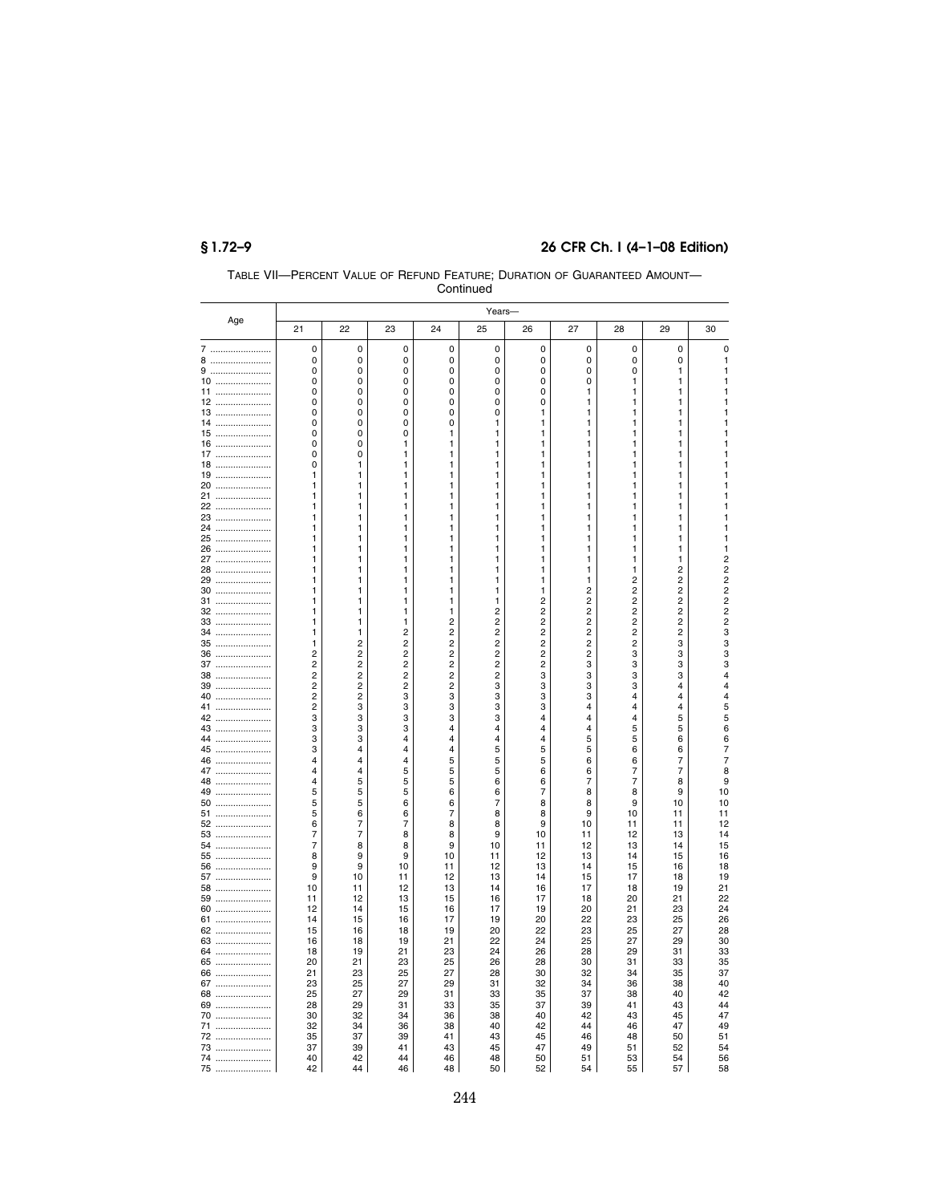|              |                                           |                                  |                                           |                                           | ovininu        |                         |                              |                                           |                                           |                                  |
|--------------|-------------------------------------------|----------------------------------|-------------------------------------------|-------------------------------------------|----------------|-------------------------|------------------------------|-------------------------------------------|-------------------------------------------|----------------------------------|
| Age          |                                           |                                  |                                           |                                           | Years-         |                         |                              |                                           |                                           |                                  |
|              | 21                                        | 22                               | 23                                        | 24                                        | 25             | 26                      | 27                           | 28                                        | 29                                        | 30                               |
| 7<br>.       | 0                                         | 0                                | 0                                         | 0                                         | 0              | 0                       | 0                            | 0                                         | 0                                         | $\pmb{0}$                        |
| 8            | 0                                         | 0                                | 0                                         | 0                                         | 0              | 0                       | 0                            | 0                                         | 0                                         | $\mathbf{1}$                     |
| 9<br>        | 0                                         | 0                                | 0                                         | 0                                         | 0              | 0                       | 0                            | 0                                         | 1                                         | 1                                |
| 10<br>11<br> | 0<br>0                                    | 0<br>0                           | 0<br>0                                    | 0<br>0                                    | 0<br>0         | 0<br>0                  | 0<br>1                       | 1<br>1                                    | 1<br>1                                    | 1<br>1                           |
| 12           | 0                                         | 0                                | 0                                         | 0                                         | 0              | 0                       | 1                            | 1                                         | 1                                         | 1                                |
| 13<br>       | 0                                         | 0                                | 0                                         | $\mathbf 0$                               | $\mathbf 0$    | 1                       | 1                            | 1                                         | 1                                         | 1                                |
| 14           | 0                                         | 0                                | 0                                         | 0                                         | 1              | 1                       | 1                            | 1                                         | 1                                         | 1                                |
| 15           | 0                                         | 0                                | 0                                         | 1                                         | 1              | 1                       | 1                            | 1                                         | 1                                         | 1                                |
| 16<br>       | 0                                         | 0                                | 1                                         | 1                                         | 1              | 1                       | 1                            | 1                                         | 1                                         | 1                                |
| 17<br>18<br> | $\Omega$<br>0                             | 0<br>1                           | 1<br>1                                    | 1<br>1                                    | 1<br>1         | 1<br>1                  | 1<br>1                       | 1<br>1                                    | 1<br>1                                    | 1<br>1                           |
| 19<br>       | 1                                         | 1                                | 1                                         | 1                                         | 1              | 1                       | 1                            | 1                                         | 1                                         | 1                                |
| 20           | 1                                         | 1                                | 1                                         | 1                                         | 1              | 1                       | 1                            | 1                                         | 1                                         | 1                                |
| 21           | 1                                         | 1                                | 1                                         | 1                                         | 1              | 1                       | 1                            | 1                                         | 1                                         | 1                                |
| 22           | 1                                         | 1                                | 1                                         | 1                                         | 1              | 1                       | 1                            | 1                                         | 1                                         | 1                                |
| 23<br>       | 1                                         | 1                                | 1                                         | 1                                         | 1              | 1                       | 1                            | 1                                         | 1                                         | 1                                |
| 24<br>25     | 1<br>1                                    | 1<br>1                           | 1<br>1                                    | 1<br>1                                    | 1<br>1         | 1<br>1                  | 1<br>1                       | 1<br>1                                    | 1<br>1                                    | 1<br>1                           |
| <br>26<br>   | 1                                         | 1                                | 1                                         | 1                                         | 1              | 1                       | 1                            | 1                                         | 1                                         | 1                                |
| 27<br>       | 1                                         | 1                                | 1                                         | 1                                         | 1              | 1                       | 1                            | 1                                         | 1                                         | $\overline{c}$                   |
| 28<br>       | 1                                         | 1                                | 1                                         | 1                                         | 1              | 1                       | 1                            | 1                                         | $\overline{2}$                            | $\overline{c}$                   |
| 29           | 1                                         | 1                                | 1                                         | 1                                         | 1              | 1                       | 1                            | $\overline{\mathbf{c}}$                   | $\overline{\mathbf{c}}$                   | $\overline{c}$                   |
| 30<br>       | 1<br>1                                    | 1                                | 1                                         | 1                                         | 1<br>1         | 1                       | $\overline{c}$               | $\overline{c}$<br>$\overline{\mathbf{c}}$ | $\overline{c}$<br>$\overline{\mathbf{c}}$ | $\overline{c}$<br>$\overline{c}$ |
| 31<br>32     | 1                                         | 1<br>1                           | 1<br>1                                    | 1<br>1                                    | $\overline{c}$ | 2<br>$\overline{c}$     | 2<br>$\overline{\mathbf{c}}$ | $\overline{c}$                            | $\overline{\mathbf{c}}$                   | $\overline{c}$                   |
| 33           | 1                                         | 1                                | 1                                         | $\overline{c}$                            | $\overline{c}$ | 2                       | 2                            | $\overline{c}$                            | $\overline{c}$                            | $\overline{c}$                   |
| 34           | 1                                         | 1                                | 2                                         | $\overline{c}$                            | $\overline{c}$ | $\overline{\mathbf{c}}$ | 2                            | $\overline{\mathbf{c}}$                   | $\overline{c}$                            | 3                                |
| 35<br>       | 1                                         | $\overline{c}$                   | $\overline{c}$                            | $\overline{c}$                            | $\overline{c}$ | $\overline{c}$          | $\overline{c}$               | $\overline{c}$                            | 3                                         | 3                                |
| 36           | $\overline{c}$                            | $\overline{c}$                   | $\overline{\mathbf{c}}$                   | $\overline{c}$                            | $\overline{c}$ | $\overline{\mathbf{c}}$ | $\overline{c}$               | 3                                         | 3                                         | 3                                |
| 37<br>       | $\overline{c}$                            | $\overline{2}$<br>$\overline{c}$ | $\overline{c}$<br>$\overline{\mathbf{c}}$ | $\overline{2}$<br>$\overline{\mathbf{c}}$ | $\overline{c}$ | $\overline{2}$          | 3                            | 3                                         | 3                                         | 3<br>$\overline{\mathbf{4}}$     |
| 38<br>39<br> | $\overline{\mathbf{c}}$<br>$\overline{2}$ | $\overline{2}$                   | $\overline{c}$                            | $\overline{\mathbf{c}}$                   | 2<br>3         | 3<br>3                  | 3<br>3                       | 3<br>3                                    | 3<br>4                                    | $\overline{\mathbf{4}}$          |
| 40           | $\overline{2}$                            | 2                                | 3                                         | 3                                         | 3              | 3                       | 3                            | $\overline{4}$                            | 4                                         | 4                                |
| 41           | $\overline{c}$                            | 3                                | 3                                         | 3                                         | 3              | 3                       | 4                            | 4                                         | 4                                         | 5                                |
| 42<br>       | 3                                         | 3                                | 3                                         | 3                                         | 3              | 4                       | $\overline{4}$               | $\overline{4}$                            | 5                                         | 5                                |
| 43           | 3                                         | 3                                | 3                                         | 4                                         | 4              | 4                       | 4                            | 5                                         | 5                                         | 6                                |
| 44<br><br>45 | 3<br>3                                    | 3<br>4                           | 4<br>4                                    | 4<br>4                                    | 4<br>5         | 4<br>5                  | 5<br>5                       | 5<br>6                                    | 6<br>6                                    | 6<br>7                           |
| <br>46       | $\overline{4}$                            | 4                                | 4                                         | 5                                         | 5              | 5                       | 6                            | 6                                         | 7                                         | $\overline{7}$                   |
| 47<br>       | 4                                         | 4                                | 5                                         | 5                                         | 5              | 6                       | 6                            | 7                                         | 7                                         | 8                                |
| 48           | 4                                         | 5                                | 5                                         | 5                                         | 6              | 6                       | 7                            | 7                                         | 8                                         | 9                                |
| 49<br>       | 5                                         | 5                                | 5                                         | 6                                         | 6              | 7                       | 8                            | 8                                         | 9                                         | 10                               |
| 50           | 5                                         | 5                                | 6                                         | 6                                         | 7              | 8                       | 8                            | 9                                         | 10                                        | 10                               |
| 51           | 5                                         | 6                                | 6                                         | 7                                         | 8              | 8                       | 9                            | 10                                        | 11                                        | 11                               |
| 52<br>53<br> | 6<br>7                                    | 7<br>$\overline{7}$              | 7<br>8                                    | 8<br>8                                    | 8<br>9         | 9<br>10                 | 10<br>11                     | 11<br>12                                  | 11<br>13                                  | 12<br>14                         |
| 54           | $\overline{7}$                            | 8                                | 8                                         | 9                                         | 10             | 11                      | 12                           | 13                                        | 14                                        | 15                               |
| 55           | 8                                         | 9                                | 9                                         | 10                                        | 11             | 12                      | 13                           | 14                                        | 15                                        | 16                               |
| 56           | 9                                         | 9                                | 10                                        | 11                                        | 12             | 13                      | 14                           | 15                                        | 16                                        | 18                               |
| 57           | 9                                         | 10                               | 11                                        | 12                                        | 13             | 14                      | 15                           | 17                                        | 18                                        | 19                               |
| 58<br>       | 10                                        | 11                               | 12                                        | 13                                        | 14             | 16                      | 17                           | 18<br>20                                  | 19                                        | 21<br>22                         |
| 59<br>60     | 11<br>12                                  | 12<br>14                         | 13<br>15                                  | 15<br>16                                  | 16<br>17       | 17<br>19                | 18<br>20                     | 21                                        | 21<br>23                                  | 24                               |
| 61           | 14                                        | 15                               | 16                                        | 17                                        | 19             | 20                      | 22                           | 23                                        | 25                                        | 26                               |
| 62           | 15                                        | 16                               | 18                                        | 19                                        | 20             | 22                      | 23                           | 25                                        | 27                                        | 28                               |
| 63           | 16                                        | 18                               | 19                                        | 21                                        | 22             | 24                      | 25                           | 27                                        | 29                                        | 30                               |
| 64           | 18                                        | 19                               | 21                                        | 23                                        | 24             | 26                      | 28                           | 29                                        | 31                                        | 33                               |
| 65           | 20                                        | 21                               | 23                                        | 25                                        | 26             | 28                      | 30                           | 31                                        | 33                                        | 35                               |
| 66           | 21<br>23                                  | 23<br>25                         | 25<br>27                                  | 27<br>29                                  | 28             | 30<br>32                | 32<br>34                     | 34<br>36                                  | 35                                        | 37<br>40                         |
| 67<br>68     | 25                                        | 27                               | 29                                        | 31                                        | 31<br>33       | 35                      | 37                           | 38                                        | 38<br>40                                  | 42                               |
| 69           | 28                                        | 29                               | 31                                        | 33                                        | 35             | 37                      | 39                           | 41                                        | 43                                        | 44                               |
| 70           | 30                                        | 32                               | 34                                        | 36                                        | 38             | 40                      | 42                           | 43                                        | 45                                        | 47                               |
| 71           | 32                                        | 34                               | 36                                        | 38                                        | 40             | 42                      | 44                           | 46                                        | 47                                        | 49                               |
| 72           | 35                                        | 37                               | 39                                        | 41                                        | 43             | 45                      | 46                           | 48                                        | 50                                        | 51                               |
| 73<br>74     | 37<br>40                                  | 39<br>42                         | 41<br>44                                  | 43<br>46                                  | 45<br>48       | 47<br>50                | 49<br>51                     | 51<br>53                                  | 52<br>54                                  | 54<br>56                         |
| 75           | 42                                        | 44                               | 46                                        | 48                                        | 50             | 52                      | 54                           | 55                                        | 57                                        | 58                               |
|              |                                           |                                  |                                           |                                           |                |                         |                              |                                           |                                           |                                  |

TABLE VII—PERCENT VALUE OF REFUND FEATURE; DURATION OF GUARANTEED AMOUNT— Continued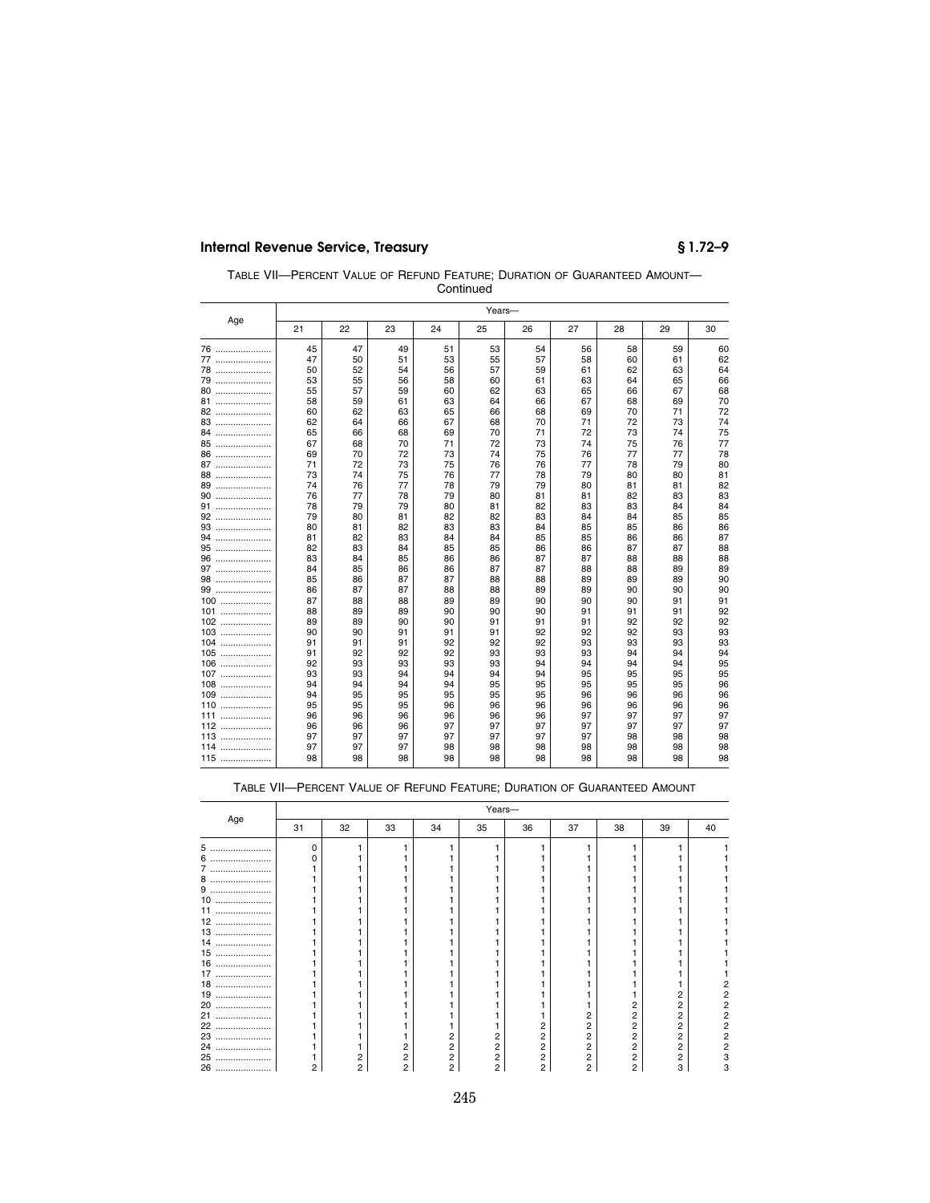| TABLE VII-PERCENT VALUE OF REFUND FEATURE: DURATION OF GUARANTEED AMOUNT- |  |
|---------------------------------------------------------------------------|--|
| Continued                                                                 |  |

| 22<br>30<br>21<br>23<br>24<br>25<br>26<br>27<br>28<br>29<br>45<br>47<br>49<br>51<br>56<br>58<br>76<br>53<br>54<br>59<br>77<br>47<br>50<br>51<br>53<br>55<br>57<br>58<br>60<br>61<br>78<br>52<br>59<br>50<br>54<br>56<br>57<br>61<br>62<br>63<br>53<br>55<br>56<br>58<br>63<br>60<br>61<br>64<br>65<br>80<br>57<br>63<br>55<br>59<br>60<br>62<br>65<br>66<br>67<br>81<br>59<br>63<br>66<br>67<br>58<br>61<br>64<br>68<br>69<br>82<br>62<br>63<br>60<br>65<br>66<br>68<br>69<br>70<br>71<br>83<br>70<br>71<br>62<br>64<br>66<br>67<br>72<br>73<br>68<br>84<br>65<br>66<br>68<br>71<br>72<br>69<br>70<br>73<br>74<br>85<br>68<br>70<br>71<br>72<br>73<br>74<br>75<br>67<br>76<br>78<br>86<br>69<br>70<br>72<br>73<br>75<br>76<br>77<br>77<br>74<br>87<br>71<br>72<br>73<br>75<br>76<br>76<br>77<br>78<br>79<br>88<br>73<br>74<br>75<br>76<br>78<br>79<br>80<br>77<br>80<br>82<br>89<br>74<br>76<br>77<br>78<br>79<br>80<br>79<br>81<br>81<br>90<br>76<br>77<br>78<br>79<br>80<br>81<br>81<br>82<br>83<br>91<br>79<br>82<br>83<br>84<br>78<br>79<br>80<br>81<br>83<br>84<br>85<br>92<br>80<br>81<br>83<br>79<br>82<br>82<br>84<br>84<br>85<br>93<br>82<br>83<br>86<br>80<br>81<br>83<br>84<br>85<br>85<br>86<br>94<br>83<br>85<br>85<br>87<br>81<br>82<br>84<br>84<br>86<br>86<br>95<br>83<br>88<br>82<br>84<br>85<br>85<br>86<br>86<br>87<br>87<br>96<br>88<br>83<br>84<br>85<br>87<br>87<br>88<br>86<br>86<br>88<br>97<br>89<br>85<br>84<br>86<br>86<br>87<br>87<br>88<br>88<br>89<br>98<br>90<br>86<br>87<br>88<br>85<br>87<br>88<br>89<br>89<br>89<br>90<br>99<br>86<br>87<br>87<br>88<br>88<br>89<br>89<br>90<br>90<br>91<br>100<br>87<br>88<br>88<br>89<br>89<br>90<br>90<br>90<br>91<br>92<br>101<br>88<br>89<br>89<br>90<br>90<br>90<br>91<br>91<br>91<br>92<br>89<br>89<br>90<br>91<br>91<br>91<br>$102$<br>90<br>92<br>92<br>93<br>90<br>92<br>92<br>103<br>90<br>91<br>91<br>91<br>92<br>93<br>93<br>92<br>92<br>93<br>104<br>91<br>91<br>91<br>92<br>93<br>93<br>94<br>92<br>92<br>93<br>105<br>91<br>92<br>93<br>93<br>94<br>94<br>95<br>93<br>106<br>92<br>93<br>93<br>93<br>94<br>94<br>94<br>94<br>95<br>93<br>93<br>94<br>95<br>95<br>95<br>107<br>94<br>94<br>94<br>95<br>96<br>108<br>94<br>94<br>94<br>94<br>95<br>95<br>95<br>95<br>95<br>96<br>109<br>95<br>95<br>95<br>95<br>96<br>96<br>96<br>94<br>95<br>95<br>96<br>96<br>96<br>110<br>95<br>96<br>96<br>96<br>96<br>111<br>96<br>96<br>97<br>96<br>96<br>96<br>97<br>97<br>97<br>96<br>97<br>112<br>96<br>96<br>96<br>97<br>97<br>97<br>97<br>97<br>97<br>97<br>98<br>113<br>97<br>97<br>97<br>97<br>97<br>97<br>98<br>98<br>97<br>97<br>97<br>98<br>98<br>114<br>98<br>98<br>98<br>98<br>98<br>98<br>98<br>115<br>98<br>98<br>98<br>98<br>98<br>98<br>98<br>98 |     | Years- |  |  |  |  |  |  |  |  |    |
|----------------------------------------------------------------------------------------------------------------------------------------------------------------------------------------------------------------------------------------------------------------------------------------------------------------------------------------------------------------------------------------------------------------------------------------------------------------------------------------------------------------------------------------------------------------------------------------------------------------------------------------------------------------------------------------------------------------------------------------------------------------------------------------------------------------------------------------------------------------------------------------------------------------------------------------------------------------------------------------------------------------------------------------------------------------------------------------------------------------------------------------------------------------------------------------------------------------------------------------------------------------------------------------------------------------------------------------------------------------------------------------------------------------------------------------------------------------------------------------------------------------------------------------------------------------------------------------------------------------------------------------------------------------------------------------------------------------------------------------------------------------------------------------------------------------------------------------------------------------------------------------------------------------------------------------------------------------------------------------------------------------------------------------------------------------------------------------------------------------------------------------------------------------------------------------------------------------------------------------------------------------------------------------------------------------------------------------------------------------------------------------------------------------------------------------------------------------------------------------------------------------------------------------------------------------------------------------------------------------------------------------------------------------------------------------------------------------------------------------|-----|--------|--|--|--|--|--|--|--|--|----|
|                                                                                                                                                                                                                                                                                                                                                                                                                                                                                                                                                                                                                                                                                                                                                                                                                                                                                                                                                                                                                                                                                                                                                                                                                                                                                                                                                                                                                                                                                                                                                                                                                                                                                                                                                                                                                                                                                                                                                                                                                                                                                                                                                                                                                                                                                                                                                                                                                                                                                                                                                                                                                                                                                                                                        | Age |        |  |  |  |  |  |  |  |  |    |
|                                                                                                                                                                                                                                                                                                                                                                                                                                                                                                                                                                                                                                                                                                                                                                                                                                                                                                                                                                                                                                                                                                                                                                                                                                                                                                                                                                                                                                                                                                                                                                                                                                                                                                                                                                                                                                                                                                                                                                                                                                                                                                                                                                                                                                                                                                                                                                                                                                                                                                                                                                                                                                                                                                                                        |     |        |  |  |  |  |  |  |  |  | 60 |
|                                                                                                                                                                                                                                                                                                                                                                                                                                                                                                                                                                                                                                                                                                                                                                                                                                                                                                                                                                                                                                                                                                                                                                                                                                                                                                                                                                                                                                                                                                                                                                                                                                                                                                                                                                                                                                                                                                                                                                                                                                                                                                                                                                                                                                                                                                                                                                                                                                                                                                                                                                                                                                                                                                                                        |     |        |  |  |  |  |  |  |  |  | 62 |
|                                                                                                                                                                                                                                                                                                                                                                                                                                                                                                                                                                                                                                                                                                                                                                                                                                                                                                                                                                                                                                                                                                                                                                                                                                                                                                                                                                                                                                                                                                                                                                                                                                                                                                                                                                                                                                                                                                                                                                                                                                                                                                                                                                                                                                                                                                                                                                                                                                                                                                                                                                                                                                                                                                                                        |     |        |  |  |  |  |  |  |  |  | 64 |
|                                                                                                                                                                                                                                                                                                                                                                                                                                                                                                                                                                                                                                                                                                                                                                                                                                                                                                                                                                                                                                                                                                                                                                                                                                                                                                                                                                                                                                                                                                                                                                                                                                                                                                                                                                                                                                                                                                                                                                                                                                                                                                                                                                                                                                                                                                                                                                                                                                                                                                                                                                                                                                                                                                                                        |     |        |  |  |  |  |  |  |  |  | 66 |
|                                                                                                                                                                                                                                                                                                                                                                                                                                                                                                                                                                                                                                                                                                                                                                                                                                                                                                                                                                                                                                                                                                                                                                                                                                                                                                                                                                                                                                                                                                                                                                                                                                                                                                                                                                                                                                                                                                                                                                                                                                                                                                                                                                                                                                                                                                                                                                                                                                                                                                                                                                                                                                                                                                                                        |     |        |  |  |  |  |  |  |  |  | 68 |
|                                                                                                                                                                                                                                                                                                                                                                                                                                                                                                                                                                                                                                                                                                                                                                                                                                                                                                                                                                                                                                                                                                                                                                                                                                                                                                                                                                                                                                                                                                                                                                                                                                                                                                                                                                                                                                                                                                                                                                                                                                                                                                                                                                                                                                                                                                                                                                                                                                                                                                                                                                                                                                                                                                                                        |     |        |  |  |  |  |  |  |  |  | 70 |
|                                                                                                                                                                                                                                                                                                                                                                                                                                                                                                                                                                                                                                                                                                                                                                                                                                                                                                                                                                                                                                                                                                                                                                                                                                                                                                                                                                                                                                                                                                                                                                                                                                                                                                                                                                                                                                                                                                                                                                                                                                                                                                                                                                                                                                                                                                                                                                                                                                                                                                                                                                                                                                                                                                                                        |     |        |  |  |  |  |  |  |  |  | 72 |
|                                                                                                                                                                                                                                                                                                                                                                                                                                                                                                                                                                                                                                                                                                                                                                                                                                                                                                                                                                                                                                                                                                                                                                                                                                                                                                                                                                                                                                                                                                                                                                                                                                                                                                                                                                                                                                                                                                                                                                                                                                                                                                                                                                                                                                                                                                                                                                                                                                                                                                                                                                                                                                                                                                                                        |     |        |  |  |  |  |  |  |  |  | 74 |
|                                                                                                                                                                                                                                                                                                                                                                                                                                                                                                                                                                                                                                                                                                                                                                                                                                                                                                                                                                                                                                                                                                                                                                                                                                                                                                                                                                                                                                                                                                                                                                                                                                                                                                                                                                                                                                                                                                                                                                                                                                                                                                                                                                                                                                                                                                                                                                                                                                                                                                                                                                                                                                                                                                                                        |     |        |  |  |  |  |  |  |  |  | 75 |
|                                                                                                                                                                                                                                                                                                                                                                                                                                                                                                                                                                                                                                                                                                                                                                                                                                                                                                                                                                                                                                                                                                                                                                                                                                                                                                                                                                                                                                                                                                                                                                                                                                                                                                                                                                                                                                                                                                                                                                                                                                                                                                                                                                                                                                                                                                                                                                                                                                                                                                                                                                                                                                                                                                                                        |     |        |  |  |  |  |  |  |  |  | 77 |
|                                                                                                                                                                                                                                                                                                                                                                                                                                                                                                                                                                                                                                                                                                                                                                                                                                                                                                                                                                                                                                                                                                                                                                                                                                                                                                                                                                                                                                                                                                                                                                                                                                                                                                                                                                                                                                                                                                                                                                                                                                                                                                                                                                                                                                                                                                                                                                                                                                                                                                                                                                                                                                                                                                                                        |     |        |  |  |  |  |  |  |  |  |    |
|                                                                                                                                                                                                                                                                                                                                                                                                                                                                                                                                                                                                                                                                                                                                                                                                                                                                                                                                                                                                                                                                                                                                                                                                                                                                                                                                                                                                                                                                                                                                                                                                                                                                                                                                                                                                                                                                                                                                                                                                                                                                                                                                                                                                                                                                                                                                                                                                                                                                                                                                                                                                                                                                                                                                        |     |        |  |  |  |  |  |  |  |  | 80 |
|                                                                                                                                                                                                                                                                                                                                                                                                                                                                                                                                                                                                                                                                                                                                                                                                                                                                                                                                                                                                                                                                                                                                                                                                                                                                                                                                                                                                                                                                                                                                                                                                                                                                                                                                                                                                                                                                                                                                                                                                                                                                                                                                                                                                                                                                                                                                                                                                                                                                                                                                                                                                                                                                                                                                        |     |        |  |  |  |  |  |  |  |  | 81 |
|                                                                                                                                                                                                                                                                                                                                                                                                                                                                                                                                                                                                                                                                                                                                                                                                                                                                                                                                                                                                                                                                                                                                                                                                                                                                                                                                                                                                                                                                                                                                                                                                                                                                                                                                                                                                                                                                                                                                                                                                                                                                                                                                                                                                                                                                                                                                                                                                                                                                                                                                                                                                                                                                                                                                        |     |        |  |  |  |  |  |  |  |  |    |
|                                                                                                                                                                                                                                                                                                                                                                                                                                                                                                                                                                                                                                                                                                                                                                                                                                                                                                                                                                                                                                                                                                                                                                                                                                                                                                                                                                                                                                                                                                                                                                                                                                                                                                                                                                                                                                                                                                                                                                                                                                                                                                                                                                                                                                                                                                                                                                                                                                                                                                                                                                                                                                                                                                                                        |     |        |  |  |  |  |  |  |  |  | 83 |
|                                                                                                                                                                                                                                                                                                                                                                                                                                                                                                                                                                                                                                                                                                                                                                                                                                                                                                                                                                                                                                                                                                                                                                                                                                                                                                                                                                                                                                                                                                                                                                                                                                                                                                                                                                                                                                                                                                                                                                                                                                                                                                                                                                                                                                                                                                                                                                                                                                                                                                                                                                                                                                                                                                                                        |     |        |  |  |  |  |  |  |  |  |    |
|                                                                                                                                                                                                                                                                                                                                                                                                                                                                                                                                                                                                                                                                                                                                                                                                                                                                                                                                                                                                                                                                                                                                                                                                                                                                                                                                                                                                                                                                                                                                                                                                                                                                                                                                                                                                                                                                                                                                                                                                                                                                                                                                                                                                                                                                                                                                                                                                                                                                                                                                                                                                                                                                                                                                        |     |        |  |  |  |  |  |  |  |  |    |
|                                                                                                                                                                                                                                                                                                                                                                                                                                                                                                                                                                                                                                                                                                                                                                                                                                                                                                                                                                                                                                                                                                                                                                                                                                                                                                                                                                                                                                                                                                                                                                                                                                                                                                                                                                                                                                                                                                                                                                                                                                                                                                                                                                                                                                                                                                                                                                                                                                                                                                                                                                                                                                                                                                                                        |     |        |  |  |  |  |  |  |  |  |    |
|                                                                                                                                                                                                                                                                                                                                                                                                                                                                                                                                                                                                                                                                                                                                                                                                                                                                                                                                                                                                                                                                                                                                                                                                                                                                                                                                                                                                                                                                                                                                                                                                                                                                                                                                                                                                                                                                                                                                                                                                                                                                                                                                                                                                                                                                                                                                                                                                                                                                                                                                                                                                                                                                                                                                        |     |        |  |  |  |  |  |  |  |  |    |
|                                                                                                                                                                                                                                                                                                                                                                                                                                                                                                                                                                                                                                                                                                                                                                                                                                                                                                                                                                                                                                                                                                                                                                                                                                                                                                                                                                                                                                                                                                                                                                                                                                                                                                                                                                                                                                                                                                                                                                                                                                                                                                                                                                                                                                                                                                                                                                                                                                                                                                                                                                                                                                                                                                                                        |     |        |  |  |  |  |  |  |  |  |    |
|                                                                                                                                                                                                                                                                                                                                                                                                                                                                                                                                                                                                                                                                                                                                                                                                                                                                                                                                                                                                                                                                                                                                                                                                                                                                                                                                                                                                                                                                                                                                                                                                                                                                                                                                                                                                                                                                                                                                                                                                                                                                                                                                                                                                                                                                                                                                                                                                                                                                                                                                                                                                                                                                                                                                        |     |        |  |  |  |  |  |  |  |  |    |
|                                                                                                                                                                                                                                                                                                                                                                                                                                                                                                                                                                                                                                                                                                                                                                                                                                                                                                                                                                                                                                                                                                                                                                                                                                                                                                                                                                                                                                                                                                                                                                                                                                                                                                                                                                                                                                                                                                                                                                                                                                                                                                                                                                                                                                                                                                                                                                                                                                                                                                                                                                                                                                                                                                                                        |     |        |  |  |  |  |  |  |  |  |    |
|                                                                                                                                                                                                                                                                                                                                                                                                                                                                                                                                                                                                                                                                                                                                                                                                                                                                                                                                                                                                                                                                                                                                                                                                                                                                                                                                                                                                                                                                                                                                                                                                                                                                                                                                                                                                                                                                                                                                                                                                                                                                                                                                                                                                                                                                                                                                                                                                                                                                                                                                                                                                                                                                                                                                        |     |        |  |  |  |  |  |  |  |  |    |
|                                                                                                                                                                                                                                                                                                                                                                                                                                                                                                                                                                                                                                                                                                                                                                                                                                                                                                                                                                                                                                                                                                                                                                                                                                                                                                                                                                                                                                                                                                                                                                                                                                                                                                                                                                                                                                                                                                                                                                                                                                                                                                                                                                                                                                                                                                                                                                                                                                                                                                                                                                                                                                                                                                                                        |     |        |  |  |  |  |  |  |  |  |    |
|                                                                                                                                                                                                                                                                                                                                                                                                                                                                                                                                                                                                                                                                                                                                                                                                                                                                                                                                                                                                                                                                                                                                                                                                                                                                                                                                                                                                                                                                                                                                                                                                                                                                                                                                                                                                                                                                                                                                                                                                                                                                                                                                                                                                                                                                                                                                                                                                                                                                                                                                                                                                                                                                                                                                        |     |        |  |  |  |  |  |  |  |  |    |
|                                                                                                                                                                                                                                                                                                                                                                                                                                                                                                                                                                                                                                                                                                                                                                                                                                                                                                                                                                                                                                                                                                                                                                                                                                                                                                                                                                                                                                                                                                                                                                                                                                                                                                                                                                                                                                                                                                                                                                                                                                                                                                                                                                                                                                                                                                                                                                                                                                                                                                                                                                                                                                                                                                                                        |     |        |  |  |  |  |  |  |  |  |    |
|                                                                                                                                                                                                                                                                                                                                                                                                                                                                                                                                                                                                                                                                                                                                                                                                                                                                                                                                                                                                                                                                                                                                                                                                                                                                                                                                                                                                                                                                                                                                                                                                                                                                                                                                                                                                                                                                                                                                                                                                                                                                                                                                                                                                                                                                                                                                                                                                                                                                                                                                                                                                                                                                                                                                        |     |        |  |  |  |  |  |  |  |  |    |
|                                                                                                                                                                                                                                                                                                                                                                                                                                                                                                                                                                                                                                                                                                                                                                                                                                                                                                                                                                                                                                                                                                                                                                                                                                                                                                                                                                                                                                                                                                                                                                                                                                                                                                                                                                                                                                                                                                                                                                                                                                                                                                                                                                                                                                                                                                                                                                                                                                                                                                                                                                                                                                                                                                                                        |     |        |  |  |  |  |  |  |  |  |    |
|                                                                                                                                                                                                                                                                                                                                                                                                                                                                                                                                                                                                                                                                                                                                                                                                                                                                                                                                                                                                                                                                                                                                                                                                                                                                                                                                                                                                                                                                                                                                                                                                                                                                                                                                                                                                                                                                                                                                                                                                                                                                                                                                                                                                                                                                                                                                                                                                                                                                                                                                                                                                                                                                                                                                        |     |        |  |  |  |  |  |  |  |  |    |
|                                                                                                                                                                                                                                                                                                                                                                                                                                                                                                                                                                                                                                                                                                                                                                                                                                                                                                                                                                                                                                                                                                                                                                                                                                                                                                                                                                                                                                                                                                                                                                                                                                                                                                                                                                                                                                                                                                                                                                                                                                                                                                                                                                                                                                                                                                                                                                                                                                                                                                                                                                                                                                                                                                                                        |     |        |  |  |  |  |  |  |  |  |    |
|                                                                                                                                                                                                                                                                                                                                                                                                                                                                                                                                                                                                                                                                                                                                                                                                                                                                                                                                                                                                                                                                                                                                                                                                                                                                                                                                                                                                                                                                                                                                                                                                                                                                                                                                                                                                                                                                                                                                                                                                                                                                                                                                                                                                                                                                                                                                                                                                                                                                                                                                                                                                                                                                                                                                        |     |        |  |  |  |  |  |  |  |  |    |
|                                                                                                                                                                                                                                                                                                                                                                                                                                                                                                                                                                                                                                                                                                                                                                                                                                                                                                                                                                                                                                                                                                                                                                                                                                                                                                                                                                                                                                                                                                                                                                                                                                                                                                                                                                                                                                                                                                                                                                                                                                                                                                                                                                                                                                                                                                                                                                                                                                                                                                                                                                                                                                                                                                                                        |     |        |  |  |  |  |  |  |  |  |    |
|                                                                                                                                                                                                                                                                                                                                                                                                                                                                                                                                                                                                                                                                                                                                                                                                                                                                                                                                                                                                                                                                                                                                                                                                                                                                                                                                                                                                                                                                                                                                                                                                                                                                                                                                                                                                                                                                                                                                                                                                                                                                                                                                                                                                                                                                                                                                                                                                                                                                                                                                                                                                                                                                                                                                        |     |        |  |  |  |  |  |  |  |  |    |
|                                                                                                                                                                                                                                                                                                                                                                                                                                                                                                                                                                                                                                                                                                                                                                                                                                                                                                                                                                                                                                                                                                                                                                                                                                                                                                                                                                                                                                                                                                                                                                                                                                                                                                                                                                                                                                                                                                                                                                                                                                                                                                                                                                                                                                                                                                                                                                                                                                                                                                                                                                                                                                                                                                                                        |     |        |  |  |  |  |  |  |  |  |    |
|                                                                                                                                                                                                                                                                                                                                                                                                                                                                                                                                                                                                                                                                                                                                                                                                                                                                                                                                                                                                                                                                                                                                                                                                                                                                                                                                                                                                                                                                                                                                                                                                                                                                                                                                                                                                                                                                                                                                                                                                                                                                                                                                                                                                                                                                                                                                                                                                                                                                                                                                                                                                                                                                                                                                        |     |        |  |  |  |  |  |  |  |  |    |
|                                                                                                                                                                                                                                                                                                                                                                                                                                                                                                                                                                                                                                                                                                                                                                                                                                                                                                                                                                                                                                                                                                                                                                                                                                                                                                                                                                                                                                                                                                                                                                                                                                                                                                                                                                                                                                                                                                                                                                                                                                                                                                                                                                                                                                                                                                                                                                                                                                                                                                                                                                                                                                                                                                                                        |     |        |  |  |  |  |  |  |  |  |    |
|                                                                                                                                                                                                                                                                                                                                                                                                                                                                                                                                                                                                                                                                                                                                                                                                                                                                                                                                                                                                                                                                                                                                                                                                                                                                                                                                                                                                                                                                                                                                                                                                                                                                                                                                                                                                                                                                                                                                                                                                                                                                                                                                                                                                                                                                                                                                                                                                                                                                                                                                                                                                                                                                                                                                        |     |        |  |  |  |  |  |  |  |  |    |
|                                                                                                                                                                                                                                                                                                                                                                                                                                                                                                                                                                                                                                                                                                                                                                                                                                                                                                                                                                                                                                                                                                                                                                                                                                                                                                                                                                                                                                                                                                                                                                                                                                                                                                                                                                                                                                                                                                                                                                                                                                                                                                                                                                                                                                                                                                                                                                                                                                                                                                                                                                                                                                                                                                                                        |     |        |  |  |  |  |  |  |  |  |    |
|                                                                                                                                                                                                                                                                                                                                                                                                                                                                                                                                                                                                                                                                                                                                                                                                                                                                                                                                                                                                                                                                                                                                                                                                                                                                                                                                                                                                                                                                                                                                                                                                                                                                                                                                                                                                                                                                                                                                                                                                                                                                                                                                                                                                                                                                                                                                                                                                                                                                                                                                                                                                                                                                                                                                        |     |        |  |  |  |  |  |  |  |  |    |
|                                                                                                                                                                                                                                                                                                                                                                                                                                                                                                                                                                                                                                                                                                                                                                                                                                                                                                                                                                                                                                                                                                                                                                                                                                                                                                                                                                                                                                                                                                                                                                                                                                                                                                                                                                                                                                                                                                                                                                                                                                                                                                                                                                                                                                                                                                                                                                                                                                                                                                                                                                                                                                                                                                                                        |     |        |  |  |  |  |  |  |  |  |    |
|                                                                                                                                                                                                                                                                                                                                                                                                                                                                                                                                                                                                                                                                                                                                                                                                                                                                                                                                                                                                                                                                                                                                                                                                                                                                                                                                                                                                                                                                                                                                                                                                                                                                                                                                                                                                                                                                                                                                                                                                                                                                                                                                                                                                                                                                                                                                                                                                                                                                                                                                                                                                                                                                                                                                        |     |        |  |  |  |  |  |  |  |  |    |

### TABLE VII—PERCENT VALUE OF REFUND FEATURE; DURATION OF GUARANTEED AMOUNT

|                   | Years- |    |    |    |    |    |    |                |    |    |  |  |
|-------------------|--------|----|----|----|----|----|----|----------------|----|----|--|--|
| Age               | 31     | 32 | 33 | 34 | 35 | 36 | 37 | 38             | 39 | 40 |  |  |
| 5<br>             |        |    |    |    |    |    |    |                |    |    |  |  |
| 6<br>.            |        |    |    |    |    |    |    |                |    |    |  |  |
|                   |        |    |    |    |    |    |    |                |    |    |  |  |
| 8<br>             |        |    |    |    |    |    |    |                |    |    |  |  |
| 9<br><br>$\cdots$ |        |    |    |    |    |    |    |                |    |    |  |  |
| 10<br>            |        |    |    |    |    |    |    |                |    |    |  |  |
|                   |        |    |    |    |    |    |    |                |    |    |  |  |
| 12<br>            |        |    |    |    |    |    |    |                |    |    |  |  |
| 13<br>.           |        |    |    |    |    |    |    |                |    |    |  |  |
| 14<br>            |        |    |    |    |    |    |    |                |    |    |  |  |
| 15<br>            |        |    |    |    |    |    |    |                |    |    |  |  |
| 16<br>            |        |    |    |    |    |    |    |                |    |    |  |  |
| .                 |        |    |    |    |    |    |    |                |    |    |  |  |
| 18<br>            |        |    |    |    |    |    |    |                |    |    |  |  |
| 19<br>.           |        |    |    |    |    |    |    |                |    |    |  |  |
| 20<br>            |        |    |    |    |    |    |    | 2              |    |    |  |  |
| 21<br>.           |        |    |    |    |    |    |    | 2              |    |    |  |  |
| 22<br>            |        |    |    |    |    |    |    | 2              |    |    |  |  |
| 23<br>            |        |    |    |    |    | 2  |    | 2              |    |    |  |  |
| 24<br>            |        |    |    |    |    | 2  |    | $\overline{2}$ |    |    |  |  |
| 25<br>            |        |    |    |    | 2  | 2  |    | $\overline{2}$ |    |    |  |  |
| 26                |        |    | 2  | 2  | 2  | 2  | ŋ  | 2              | з  |    |  |  |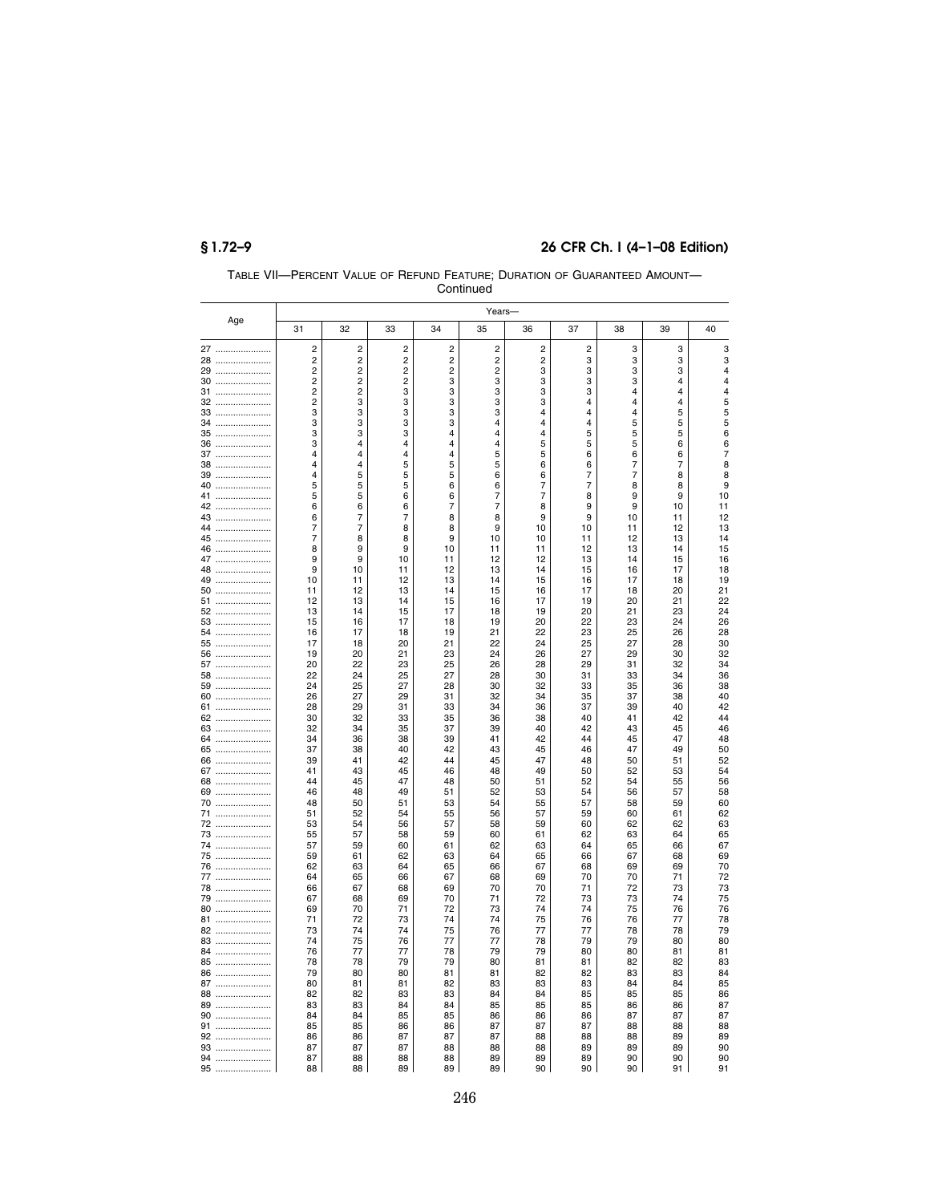|          |                         |                |                |                         | Continued      |          |          |          |          |          |  |  |
|----------|-------------------------|----------------|----------------|-------------------------|----------------|----------|----------|----------|----------|----------|--|--|
|          | Years-                  |                |                |                         |                |          |          |          |          |          |  |  |
| Age      | 31                      | 32             | 33             | 34                      | 35             | 36       | 37       | 38       | 39       | 40       |  |  |
|          | 2                       | 2              | 2              | 2                       | 2              | 2        | 2        | 3        | 3        | 3        |  |  |
| 27<br>28 | $\overline{c}$          | $\overline{c}$ | $\overline{2}$ | $\overline{c}$          | $\overline{2}$ | 2        | 3        | 3        | 3        | 3        |  |  |
| 29       | $\overline{\mathbf{c}}$ | 2              | $\overline{c}$ | $\overline{\mathbf{c}}$ | 2              | 3        | 3        | 3        | 3        | 4        |  |  |
| 30       | $\overline{c}$          | 2              | $\overline{2}$ | 3                       | 3              | 3        | 3        | 3        | 4        | 4        |  |  |
| 31       | $\overline{\mathbf{c}}$ | $\overline{c}$ | 3              | 3                       | 3              | 3        | 3        | 4        | 4        | 4        |  |  |
| 32       | $\overline{c}$          | 3              | 3              | 3                       | 3              | 3        | 4        | 4        | 4        | 5        |  |  |
| 33       | 3<br>3                  | 3<br>3         | 3<br>3         | 3<br>3                  | 3<br>4         | 4<br>4   | 4<br>4   | 4<br>5   | 5<br>5   | 5<br>5   |  |  |
| 34<br>35 | 3                       | 3              | 3              | 4                       | 4              | 4        | 5        | 5        | 5        | 6        |  |  |
| 36       | 3                       | 4              | 4              | 4                       | $\overline{4}$ | 5        | 5        | 5        | 6        | 6        |  |  |
| 37       | 4                       | 4              | 4              | 4                       | 5              | 5        | 6        | 6        | 6        | 7        |  |  |
| 38       | $\overline{4}$          | $\overline{4}$ | 5              | 5                       | 5              | 6        | 6        | 7        | 7        | 8        |  |  |
| 39       | 4                       | 5              | 5              | 5                       | 6              | 6        | 7        | 7        | 8        | 8        |  |  |
| 40       | 5<br>5                  | 5<br>5         | 5<br>6         | 6<br>6                  | 6<br>7         | 7<br>7   | 7<br>8   | 8<br>9   | 8<br>9   | 9<br>10  |  |  |
| 41<br>42 | 6                       | 6              | 6              | 7                       | $\overline{7}$ | 8        | 9        | 9        | 10       | 11       |  |  |
| 43       | 6                       | 7              | 7              | 8                       | 8              | 9        | 9        | 10       | 11       | 12       |  |  |
| 44       | 7                       | 7              | 8              | 8                       | 9              | 10       | 10       | 11       | 12       | 13       |  |  |
| 45       | $\overline{7}$          | 8              | 8              | 9                       | 10             | 10       | 11       | 12       | 13       | 14       |  |  |
| 46       | R                       | 9              | 9              | 10                      | 11             | 11       | 12       | 13       | 14       | 15       |  |  |
| 47       | 9<br>9                  | 9<br>10        | 10<br>11       | 11<br>12                | 12<br>13       | 12<br>14 | 13<br>15 | 14<br>16 | 15<br>17 | 16<br>18 |  |  |
| 48<br>49 | 10                      | 11             | 12             | 13                      | 14             | 15       | 16       | 17       | 18       | 19       |  |  |
| 50       | 11                      | 12             | 13             | 14                      | 15             | 16       | 17       | 18       | 20       | 21       |  |  |
| 51       | 12                      | 13             | 14             | 15                      | 16             | 17       | 19       | 20       | 21       | 22       |  |  |
| 52       | 13                      | 14             | 15             | 17                      | 18             | 19       | 20       | 21       | 23       | 24       |  |  |
| 53       | 15                      | 16             | 17             | 18                      | 19             | 20       | 22       | 23       | 24       | 26       |  |  |
| 54       | 16<br>17                | 17<br>18       | 18<br>20       | 19<br>21                | 21<br>22       | 22<br>24 | 23<br>25 | 25<br>27 | 26<br>28 | 28<br>30 |  |  |
| 55<br>56 | 19                      | 20             | 21             | 23                      | 24             | 26       | 27       | 29       | 30       | 32       |  |  |
| 57       | 20                      | 22             | 23             | 25                      | 26             | 28       | 29       | 31       | 32       | 34       |  |  |
| $58$     | 22                      | 24             | 25             | 27                      | 28             | 30       | 31       | 33       | 34       | 36       |  |  |
| $59$     | 24                      | 25             | 27             | 28                      | 30             | 32       | 33       | 35       | 36       | 38       |  |  |
| 60       | 26                      | 27             | 29             | 31                      | 32             | 34       | 35       | 37       | 38       | 40       |  |  |
| 61       | 28<br>30                | 29             | 31<br>33       | 33                      | 34<br>36       | 36<br>38 | 37<br>40 | 39<br>41 | 40       | 42<br>44 |  |  |
| 62<br>63 | 32                      | 32<br>34       | 35             | 35<br>37                | 39             | 40       | 42       | 43       | 42<br>45 | 46       |  |  |
| 64       | 34                      | 36             | 38             | 39                      | 41             | 42       | 44       | 45       | 47       | 48       |  |  |
| 65       | 37                      | 38             | 40             | 42                      | 43             | 45       | 46       | 47       | 49       | 50       |  |  |
| 66       | 39                      | 41             | 42             | 44                      | 45             | 47       | 48       | 50       | 51       | 52       |  |  |
| 67       | 41                      | 43             | 45             | 46                      | 48             | 49       | 50       | 52       | 53       | 54       |  |  |
| 68       | 44                      | 45             | 47             | 48                      | 50             | 51       | 52       | 54       | 55       | 56       |  |  |
| 69<br>70 | 46<br>48                | 48<br>50       | 49<br>51       | 51<br>53                | 52<br>54       | 53<br>55 | 54<br>57 | 56<br>58 | 57<br>59 | 58<br>60 |  |  |
| 71       | 51                      | 52             | 54             | 55                      | 56             | 57       | 59       | 60       | 61       | 62       |  |  |
| 72       | 53                      | 54             | 56             | 57                      | 58             | 59       | 60       | 62       | 62       | 63       |  |  |
| 73       | 55                      | 57             | 58             | 59                      | 60             | 61       | 62       | 63       | 64       | 65       |  |  |
| 74       | 57                      | 59             | 60             | 61                      | 62             | 63       | 64       | 65       | 66       | 67       |  |  |
| 75       | 59                      | 61             | 62             | 63                      | 64             | 65       | 66       | 67<br>69 | 68       | 69       |  |  |
| 76<br>77 | 62<br>64                | 63<br>65       | 64<br>66       | 65<br>67                | 66<br>68       | 67<br>69 | 68<br>70 | 70       | 69<br>71 | 70<br>72 |  |  |
| 78       | 66                      | 67             | 68             | 69                      | 70             | 70       | 71       | 72       | 73       | 73       |  |  |
| 79       | 67                      | 68             | 69             | 70                      | 71             | 72       | 73       | 73       | 74       | 75       |  |  |
| 80       | 69                      | 70             | 71             | 72                      | 73             | 74       | 74       | 75       | 76       | 76       |  |  |
| 81       | 71                      | 72             | 73             | 74                      | 74             | 75       | 76       | 76       | 77       | 78       |  |  |
| 82       | 73                      | 74             | 74             | 75                      | 76             | 77       | 77       | 78       | 78       | 79       |  |  |
| 83       | 74<br>76                | 75             | 76<br>77       | 77                      | 77<br>79       | 78<br>79 | 79<br>80 | 79<br>80 | 80       | 80       |  |  |
| 84<br>85 | 78                      | 77<br>78       | 79             | 78<br>79                | 80             | 81       | 81       | 82       | 81<br>82 | 81<br>83 |  |  |
| 86       | 79                      | 80             | 80             | 81                      | 81             | 82       | 82       | 83       | 83       | 84       |  |  |
| 87       | 80                      | 81             | 81             | 82                      | 83             | 83       | 83       | 84       | 84       | 85       |  |  |
| 88       | 82                      | 82             | 83             | 83                      | 84             | 84       | 85       | 85       | 85       | 86       |  |  |
| 89       | 83                      | 83             | 84             | 84                      | 85             | 85       | 85       | 86       | 86       | 87       |  |  |
| 90       | 84                      | 84             | 85             | 85                      | 86             | 86       | 86       | 87       | 87       | 87       |  |  |
| 91       | 85                      | 85             | 86             | 86<br>87                | 87             | 87       | 87       | 88       | 88       | 88<br>89 |  |  |
| 92<br>93 | 86<br>87                | 86<br>87       | 87<br>87       | 88                      | 87<br>88       | 88<br>88 | 88<br>89 | 88<br>89 | 89<br>89 | 90       |  |  |
| 94       | 87                      | 88             | 88             | 88                      | 89             | 89       | 89       | 90       | 90       | 90       |  |  |
| 95       | 88                      | 88             | 89             | 89                      | 89             | 90       | 90       | 90       | 91       | 91       |  |  |

TABLE VII—PERCENT VALUE OF REFUND FEATURE; DURATION OF GUARANTEED AMOUNT—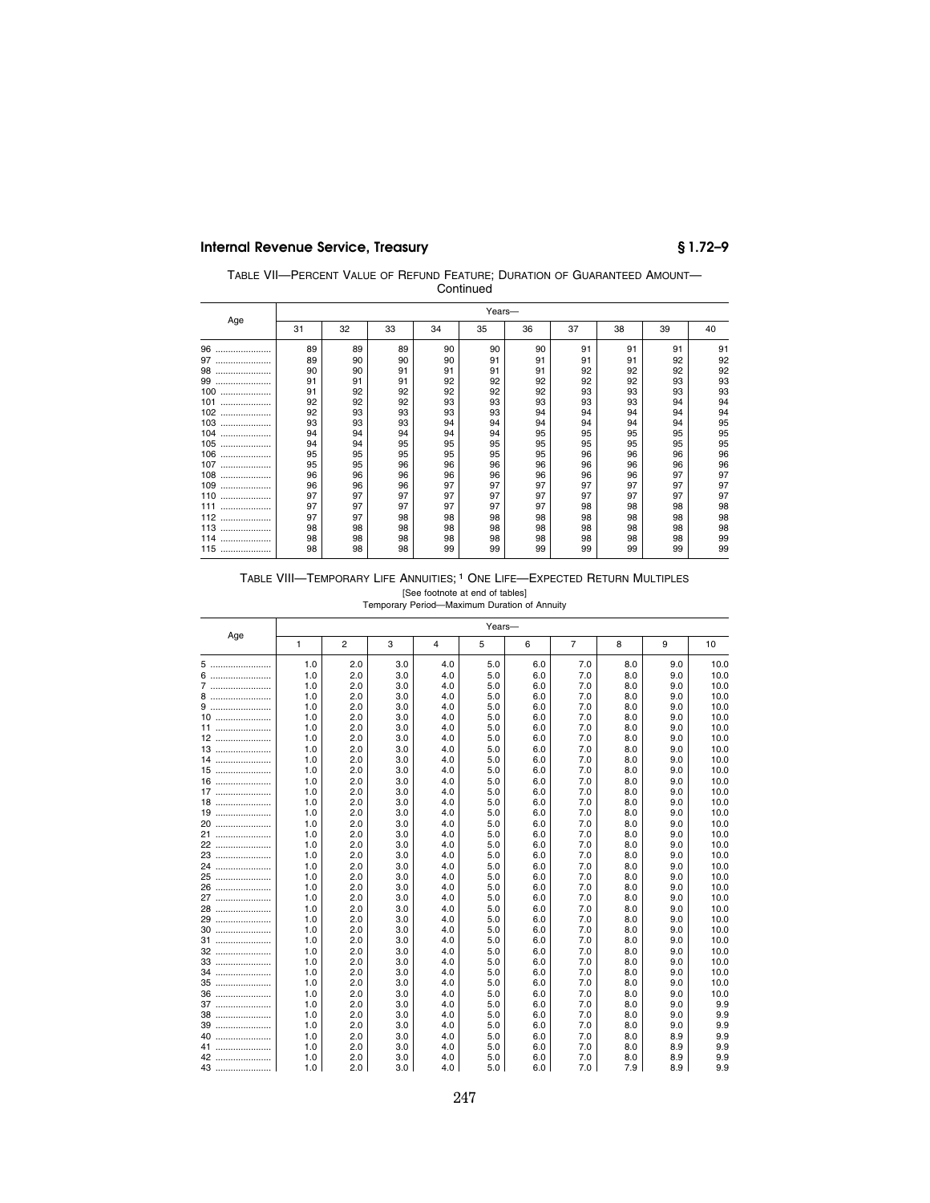| TABLE VII-PERCENT VALUE OF REFUND FEATURE: DURATION OF GUARANTEED AMOUNT- |
|---------------------------------------------------------------------------|
| Continued                                                                 |

|         | Years- |    |    |    |    |    |    |    |    |    |  |  |
|---------|--------|----|----|----|----|----|----|----|----|----|--|--|
| Age     | 31     | 32 | 33 | 34 | 35 | 36 | 37 | 38 | 39 | 40 |  |  |
| 96<br>  | 89     | 89 | 89 | 90 | 90 | 90 | 91 | 91 | 91 | 91 |  |  |
| 97<br>  | 89     | 90 | 90 | 90 | 91 | 91 | 91 | 91 | 92 | 92 |  |  |
| 98<br>  | 90     | 90 | 91 | 91 | 91 | 91 | 92 | 92 | 92 | 92 |  |  |
| 99<br>  | 91     | 91 | 91 | 92 | 92 | 92 | 92 | 92 | 93 | 93 |  |  |
| 100<br> | 91     | 92 | 92 | 92 | 92 | 92 | 93 | 93 | 93 | 93 |  |  |
| 101<br> | 92     | 92 | 92 | 93 | 93 | 93 | 93 | 93 | 94 | 94 |  |  |
| 102<br> | 92     | 93 | 93 | 93 | 93 | 94 | 94 | 94 | 94 | 94 |  |  |
| 103<br> | 93     | 93 | 93 | 94 | 94 | 94 | 94 | 94 | 94 | 95 |  |  |
| 104<br> | 94     | 94 | 94 | 94 | 94 | 95 | 95 | 95 | 95 | 95 |  |  |
| 105<br> | 94     | 94 | 95 | 95 | 95 | 95 | 95 | 95 | 95 | 95 |  |  |
| 106<br> | 95     | 95 | 95 | 95 | 95 | 95 | 96 | 96 | 96 | 96 |  |  |
| 107<br> | 95     | 95 | 96 | 96 | 96 | 96 | 96 | 96 | 96 | 96 |  |  |
| 108<br> | 96     | 96 | 96 | 96 | 96 | 96 | 96 | 96 | 97 | 97 |  |  |
| 109<br> | 96     | 96 | 96 | 97 | 97 | 97 | 97 | 97 | 97 | 97 |  |  |
| 110<br> | 97     | 97 | 97 | 97 | 97 | 97 | 97 | 97 | 97 | 97 |  |  |
| 111<br> | 97     | 97 | 97 | 97 | 97 | 97 | 98 | 98 | 98 | 98 |  |  |
| 112<br> | 97     | 97 | 98 | 98 | 98 | 98 | 98 | 98 | 98 | 98 |  |  |
| 113<br> | 98     | 98 | 98 | 98 | 98 | 98 | 98 | 98 | 98 | 98 |  |  |
| 114<br> | 98     | 98 | 98 | 98 | 98 | 98 | 98 | 98 | 98 | 99 |  |  |
| 115<br> | 98     | 98 | 98 | 99 | 99 | 99 | 99 | 99 | 99 | 99 |  |  |

# TABLE VIII—TEMPORARY LIFE ANNUITIES; 1 ONE LIFE—EXPECTED RETURN MULTIPLES

[See footnote at end of tables] Temporary Period—Maximum Duration of Annuity

|      | Years- |                |     |     |     |     |                |     |     |      |  |  |
|------|--------|----------------|-----|-----|-----|-----|----------------|-----|-----|------|--|--|
| Age  | 1      | $\overline{2}$ | 3   | 4   | 5   | 6   | $\overline{7}$ | 8   | 9   | 10   |  |  |
| 5    | 1.0    | 2.0            | 3.0 | 4.0 | 5.0 | 6.0 | 7.0            | 8.0 | 9.0 | 10.0 |  |  |
| 6    | 1.0    | 2.0            | 3.0 | 4.0 | 5.0 | 6.0 | 7.0            | 8.0 | 9.0 | 10.0 |  |  |
| 7    | 1.0    | 2.0            | 3.0 | 4.0 | 5.0 | 6.0 | 7.0            | 8.0 | 9.0 | 10.0 |  |  |
| 8    | 1.0    | 2.0            | 3.0 | 4.0 | 5.0 | 6.0 | 7.0            | 8.0 | 9.0 | 10.0 |  |  |
| 9    | 1.0    | 2.0            | 3.0 | 4.0 | 5.0 | 6.0 | 7.0            | 8.0 | 9.0 | 10.0 |  |  |
| 10   | 1.0    | 2.0            | 3.0 | 4.0 | 5.0 | 6.0 | 7.0            | 8.0 | 9.0 | 10.0 |  |  |
| 11   | 1.0    | 2.0            | 3.0 | 4.0 | 5.0 | 6.0 | 7.0            | 8.0 | 9.0 | 10.0 |  |  |
| 12   | 1.0    | 2.0            | 3.0 | 4.0 | 5.0 | 6.0 | 7.0            | 8.0 | 9.0 | 10.0 |  |  |
| 13   | 1.0    | 2.0            | 3.0 | 4.0 | 5.0 | 6.0 | 7.0            | 8.0 | 9.0 | 10.0 |  |  |
| 14   | 1.0    | 2.0            | 3.0 | 4.0 | 5.0 | 6.0 | 7.0            | 8.0 | 9.0 | 10.0 |  |  |
| $15$ | 1.0    | 2.0            | 3.0 | 4.0 | 5.0 | 6.0 | 7.0            | 8.0 | 9.0 | 10.0 |  |  |
| 16   | 1.0    | 2.0            | 3.0 | 4.0 | 5.0 | 6.0 | 7.0            | 8.0 | 9.0 | 10.0 |  |  |
| 17   | 1.0    | 2.0            | 3.0 | 4.0 | 5.0 | 6.0 | 7.0            | 8.0 | 9.0 | 10.0 |  |  |
| 18   | 1.0    | 2.0            | 3.0 | 4.0 | 5.0 | 6.0 | 7.0            | 8.0 | 9.0 | 10.0 |  |  |
| 19   | 1.0    | 2.0            | 3.0 | 4.0 | 5.0 | 6.0 | 7.0            | 8.0 | 9.0 | 10.0 |  |  |
| 20   | 1.0    | 2.0            | 3.0 | 4.0 | 5.0 | 6.0 | 7.0            | 8.0 | 9.0 | 10.0 |  |  |
| 21   | 1.0    | 2.0            | 3.0 | 4.0 | 5.0 | 6.0 | 7.0            | 8.0 | 9.0 | 10.0 |  |  |
| 22   | 1.0    | 2.0            | 3.0 | 4.0 | 5.0 | 6.0 | 7.0            | 8.0 | 9.0 | 10.0 |  |  |
| 23   | 1.0    | 2.0            | 3.0 | 4.0 | 5.0 | 6.0 | 7.0            | 8.0 | 9.0 | 10.0 |  |  |
| 24   | 1.0    | 2.0            | 3.0 | 4.0 | 5.0 | 6.0 | 7.0            | 8.0 | 9.0 | 10.0 |  |  |
| 25   | 1.0    | 2.0            | 3.0 | 4.0 | 5.0 | 6.0 | 7.0            | 8.0 | 9.0 | 10.0 |  |  |
| 26   | 1.0    | 2.0            | 3.0 | 4.0 | 5.0 | 6.0 | 7.0            | 8.0 | 9.0 | 10.0 |  |  |
| 27   | 1.0    | 2.0            | 3.0 | 4.0 | 5.0 | 6.0 | 7.0            | 8.0 | 9.0 | 10.0 |  |  |
| 28   | 1.0    | 2.0            | 3.0 | 4.0 | 5.0 | 6.0 | 7.0            | 8.0 | 9.0 | 10.0 |  |  |
| 29   | 1.0    | 2.0            | 3.0 | 4.0 | 5.0 | 6.0 | 7.0            | 8.0 | 9.0 | 10.0 |  |  |
| 30   | 1.0    | 2.0            | 3.0 | 4.0 | 5.0 | 6.0 | 7.0            | 8.0 | 9.0 | 10.0 |  |  |
| 31   | 1.0    | 2.0            | 3.0 | 4.0 | 5.0 | 6.0 | 7.0            | 8.0 | 9.0 | 10.0 |  |  |
| 32   | 1.0    | 2.0            | 3.0 | 4.0 | 5.0 | 6.0 | 7.0            | 8.0 | 9.0 | 10.0 |  |  |
| 33   | 1.0    | 2.0            | 3.0 | 4.0 | 5.0 | 6.0 | 7.0            | 8.0 | 9.0 | 10.0 |  |  |
| 34   | 1.0    | 2.0            | 3.0 | 4.0 | 5.0 | 6.0 | 7.0            | 8.0 | 9.0 | 10.0 |  |  |
| 35   | 1.0    | 2.0            | 3.0 | 4.0 | 5.0 | 6.0 | 7.0            | 8.0 | 9.0 | 10.0 |  |  |
| $36$ | 1.0    | 2.0            | 3.0 | 4.0 | 5.0 | 6.0 | 7.0            | 8.0 | 9.0 | 10.0 |  |  |
| 37   | 1.0    | 2.0            | 3.0 | 4.0 | 5.0 | 6.0 | 7.0            | 8.0 | 9.0 | 9.9  |  |  |
| 38   | 1.0    | 2.0            | 3.0 | 4.0 | 5.0 | 6.0 | 7.0            | 8.0 | 9.0 | 9.9  |  |  |
| 39   | 1.0    | 2.0            | 3.0 | 4.0 | 5.0 | 6.0 | 7.0            | 8.0 | 9.0 | 9.9  |  |  |
| 40   | 1.0    | 2.0            | 3.0 | 4.0 | 5.0 | 6.0 | 7.0            | 8.0 | 8.9 | 9.9  |  |  |
| 41   | 1.0    | 2.0            | 3.0 | 4.0 | 5.0 | 6.0 | 7.0            | 8.0 | 8.9 | 9.9  |  |  |
| 42   | 1.0    | 2.0            | 3.0 | 4.0 | 5.0 | 6.0 | 7.0            | 8.0 | 8.9 | 9.9  |  |  |
| 43   | 1.0    | 2.0            | 3.0 | 4.0 | 5.0 | 6.0 | 7.0            | 7.9 | 8.9 | 9.9  |  |  |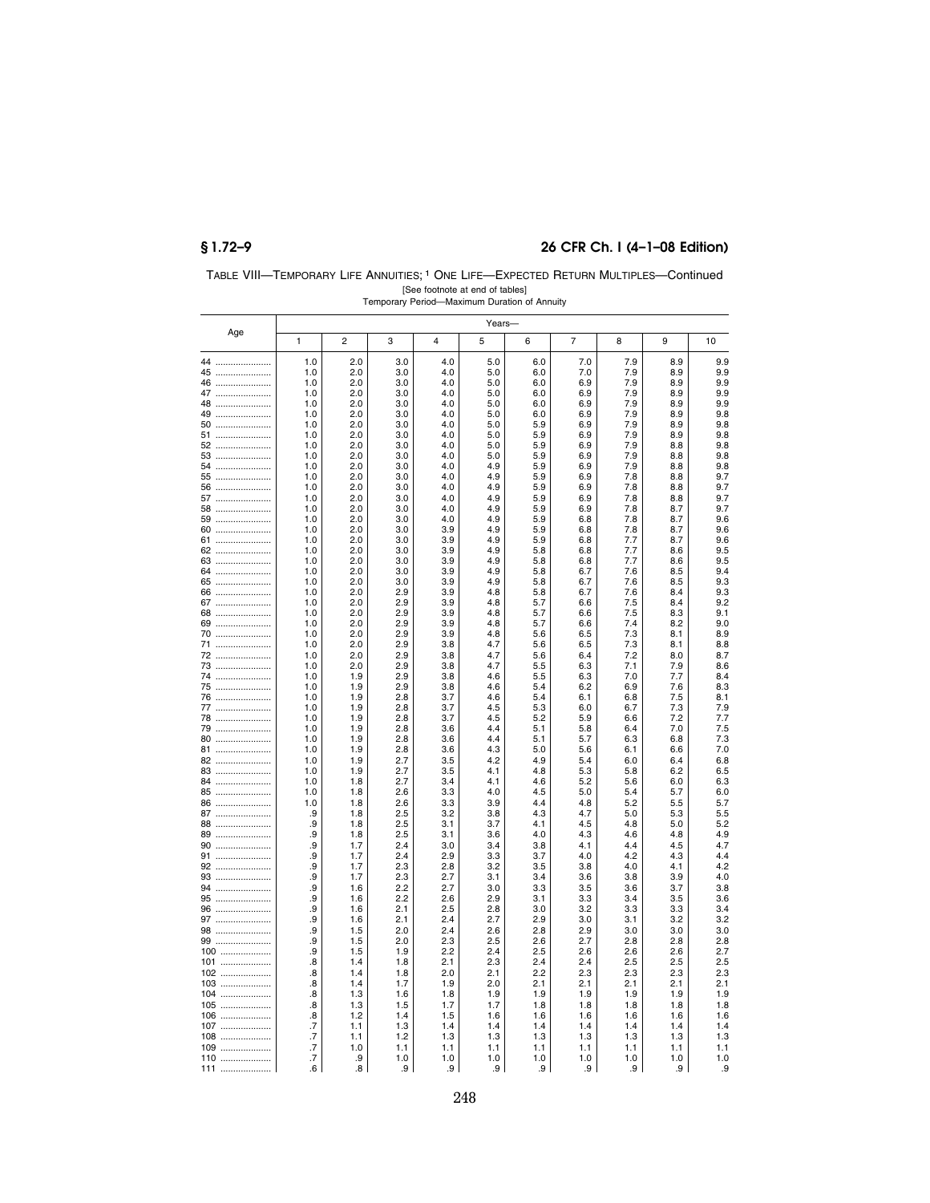## **§ 1.72–9 26 CFR Ch. I (4–1–08 Edition)**

| TABLE VIII-TEMPORARY LIFE ANNUITIES: <sup>1</sup> ONE LIFE-EXPECTED RETURN MULTIPLES-Continued |
|------------------------------------------------------------------------------------------------|
| [See footnote at end of tables]                                                                |
| Temporary Period-Maximum Duration of Annuity                                                   |

|            |                         |                |            |            | Years-     |            |                |            |            |            |
|------------|-------------------------|----------------|------------|------------|------------|------------|----------------|------------|------------|------------|
| Age        | 1                       | $\overline{2}$ | 3          | 4          | 5          | 6          | $\overline{7}$ | 8          | 9          | 10         |
| 44         | 1.0                     | 2.0            | 3.0        | 4.0        | 5.0        | 6.0        | 7.0            | 7.9        | 8.9        | 9.9        |
| 45         | 1.0                     | 2.0            | 3.0        | 4.0        | 5.0        | 6.0        | 7.0            | 7.9        | 8.9        | 9.9        |
| 46         | 1.0                     | 2.0            | 3.0        | 4.0        | 5.0        | 6.0        | 6.9            | 7.9        | 8.9        | 9.9        |
| 47         | 1.0<br>1.0              | 2.0<br>2.0     | 3.0<br>3.0 | 4.0<br>4.0 | 5.0<br>5.0 | 6.0<br>6.0 | 6.9<br>6.9     | 7.9<br>7.9 | 8.9<br>8.9 | 9.9<br>9.9 |
| 48<br>49   | 1.0                     | 2.0            | 3.0        | 4.0        | 5.0        | 6.0        | 6.9            | 7.9        | 8.9        | 9.8        |
| 50         | 1.0                     | 2.0            | 3.0        | 4.0        | 5.0        | 5.9        | 6.9            | 7.9        | 8.9        | 9.8        |
| 51         | 1.0                     | 2.0            | 3.0        | 4.0        | 5.0        | 5.9        | 6.9            | 7.9        | 8.9        | 9.8        |
| 52         | 1.0                     | 2.0            | 3.0        | 4.0        | 5.0        | 5.9        | 6.9            | 7.9        | 8.8        | 9.8        |
| 53         | 1.0                     | 2.0            | 3.0        | 4.0        | 5.0        | 5.9        | 6.9            | 7.9        | 8.8        | 9.8        |
| 54<br>55   | 1.0<br>1.0              | 2.0<br>2.0     | 3.0<br>3.0 | 4.0<br>4.0 | 4.9<br>4.9 | 5.9<br>5.9 | 6.9<br>6.9     | 7.9<br>7.8 | 8.8<br>8.8 | 9.8<br>9.7 |
| 56         | 1.0                     | 2.0            | 3.0        | 4.0        | 4.9        | 5.9        | 6.9            | 7.8        | 8.8        | 9.7        |
| 57         | 1.0                     | 2.0            | 3.0        | 4.0        | 4.9        | 5.9        | 6.9            | 7.8        | 8.8        | 9.7        |
| 58         | 1.0                     | 2.0            | 3.0        | 4.0        | 4.9        | 5.9        | 6.9            | 7.8        | 8.7        | 9.7        |
| 59         | 1.0                     | 2.0            | 3.0        | 4.0        | 4.9        | 5.9        | 6.8            | 7.8        | 8.7        | 9.6        |
| 60         | 1.0                     | 2.0            | 3.0        | 3.9        | 4.9        | 5.9        | 6.8            | 7.8        | 8.7        | 9.6        |
| 61<br>62   | 1.0<br>1.0              | 2.0<br>2.0     | 3.0<br>3.0 | 3.9<br>3.9 | 4.9<br>4.9 | 5.9<br>5.8 | 6.8<br>6.8     | 7.7<br>7.7 | 8.7<br>8.6 | 9.6<br>9.5 |
| 63         | 1.0                     | 2.0            | 3.0        | 3.9        | 4.9        | 5.8        | 6.8            | 7.7        | 8.6        | 9.5        |
| 64         | 1.0                     | 2.0            | 3.0        | 3.9        | 4.9        | 5.8        | 6.7            | 7.6        | 8.5        | 9.4        |
| 65         | 1.0                     | 2.0            | 3.0        | 3.9        | 4.9        | 5.8        | 6.7            | 7.6        | 8.5        | 9.3        |
| 66         | 1.0                     | 2.0            | 2.9        | 3.9        | 4.8        | 5.8        | 6.7            | 7.6        | 8.4        | 9.3        |
| 67         | 1.0                     | 2.0            | 2.9<br>2.9 | 3.9<br>3.9 | 4.8        | 5.7        | 6.6            | 7.5<br>7.5 | 8.4        | 9.2<br>9.1 |
| 68<br>69   | 1.0<br>1.0              | 2.0<br>2.0     | 2.9        | 3.9        | 4.8<br>4.8 | 5.7<br>5.7 | 6.6<br>6.6     | 7.4        | 8.3<br>8.2 | 9.0        |
| 70         | 1.0                     | 2.0            | 2.9        | 3.9        | 4.8        | 5.6        | 6.5            | 7.3        | 8.1        | 8.9        |
| 71         | 1.0                     | 2.0            | 2.9        | 3.8        | 4.7        | 5.6        | 6.5            | 7.3        | 8.1        | 8.8        |
| 72         | 1.0                     | 2.0            | 2.9        | 3.8        | 4.7        | 5.6        | 6.4            | 7.2        | 8.0        | 8.7        |
| 73         | 1.0                     | 2.0            | 2.9        | 3.8        | 4.7        | 5.5        | 6.3            | 7.1        | 7.9        | 8.6        |
| 74<br>75   | 1.0<br>1.0              | 1.9<br>1.9     | 2.9<br>2.9 | 3.8<br>3.8 | 4.6<br>4.6 | 5.5<br>5.4 | 6.3<br>6.2     | 7.0<br>6.9 | 7.7<br>7.6 | 8.4<br>8.3 |
| 76         | 1.0                     | 1.9            | 2.8        | 3.7        | 4.6        | 5.4        | 6.1            | 6.8        | 7.5        | 8.1        |
| 77         | 1.0                     | 1.9            | 2.8        | 3.7        | 4.5        | 5.3        | 6.0            | 6.7        | 7.3        | 7.9        |
| 78         | 1.0                     | 1.9            | 2.8        | 3.7        | 4.5        | 5.2        | 5.9            | 6.6        | 7.2        | 7.7        |
| 79         | 1.0                     | 1.9            | 2.8        | 3.6        | 4.4        | 5.1        | 5.8            | 6.4        | 7.0        | 7.5        |
| 80         | 1.0                     | 1.9            | 2.8        | 3.6        | 4.4        | 5.1        | 5.7            | 6.3        | 6.8        | 7.3        |
| 81<br>82   | 1.0<br>1.0              | 1.9<br>1.9     | 2.8<br>2.7 | 3.6<br>3.5 | 4.3<br>4.2 | 5.0<br>4.9 | 5.6<br>5.4     | 6.1<br>6.0 | 6.6<br>6.4 | 7.0<br>6.8 |
| 83         | 1.0                     | 1.9            | 2.7        | 3.5        | 4.1        | 4.8        | 5.3            | 5.8        | 6.2        | 6.5        |
| 84         | 1.0                     | 1.8            | 2.7        | 3.4        | 4.1        | 4.6        | 5.2            | 5.6        | 6.0        | 6.3        |
| 85         | 1.0                     | 1.8            | 2.6        | 3.3        | 4.0        | 4.5        | 5.0            | 5.4        | 5.7        | 6.0        |
| 86         | 1.0                     | 1.8            | 2.6        | 3.3        | 3.9        | 4.4        | 4.8            | 5.2        | 5.5        | 5.7        |
| 87<br>88   | .9<br>.9                | 1.8<br>1.8     | 2.5<br>2.5 | 3.2<br>3.1 | 3.8<br>3.7 | 4.3<br>4.1 | 4.7<br>4.5     | 5.0<br>4.8 | 5.3<br>5.0 | 5.5<br>5.2 |
| 89         | .9                      | 1.8            | 2.5        | 3.1        | 3.6        | 4.0        | 4.3            | 4.6        | 4.8        | 4.9        |
| 90         | .9                      | 1.7            | 2.4        | 3.0        | 3.4        | 3.8        | 4.1            | 4.4        | 4.5        | 4.7        |
| 91         | .9                      | 1.7            | 2.4        | 2.9        | 3.3        | 3.7        | 4.0            | 4.2        | 4.3        | 4.4        |
| 92         | .9                      | 1.7            | 2.3        | 2.8        | 3.2        | 3.5        | 3.8            | 4.0        | 4.1        | 4.2        |
| 93         | .9                      | 1.7            | 2.3        | 2.7        | 3.1        | 3.4        | 3.6            | 3.8        | 3.9        | 4.0        |
| 94<br>95   | .9<br>.9                | 1.6<br>1.6     | 2.2<br>2.2 | 2.7<br>2.6 | 3.0<br>2.9 | 3.3<br>3.1 | 3.5<br>3.3     | 3.6<br>3.4 | 3.7<br>3.5 | 3.8<br>3.6 |
| 96         | .9                      | 1.6            | 2.1        | 2.5        | 2.8        | 3.0        | 3.2            | 3.3        | 3.3        | 3.4        |
| 97         | .9                      | 1.6            | 2.1        | 2.4        | 2.7        | 2.9        | 3.0            | 3.1        | 3.2        | 3.2        |
| 98         | .9                      | 1.5            | 2.0        | 2.4        | 2.6        | 2.8        | 2.9            | 3.0        | 3.0        | 3.0        |
| 99         | .9                      | 1.5            | 2.0        | 2.3        | 2.5        | 2.6        | 2.7            | 2.8        | 2.8        | 2.8        |
| 100        | .9                      | 1.5            | 1.9        | 2.2        | 2.4        | 2.5        | 2.6            | 2.6        | 2.6        | 2.7        |
| 101<br>102 | .8<br>$\boldsymbol{.8}$ | 1.4<br>1.4     | 1.8<br>1.8 | 2.1<br>2.0 | 2.3<br>2.1 | 2.4<br>2.2 | 2.4<br>2.3     | 2.5<br>2.3 | 2.5<br>2.3 | 2.5<br>2.3 |
| 103        | $\boldsymbol{.8}$       | 1.4            | 1.7        | 1.9        | 2.0        | 2.1        | 2.1            | 2.1        | 2.1        | 2.1        |
| 104        | .8                      | 1.3            | 1.6        | 1.8        | 1.9        | 1.9        | 1.9            | 1.9        | 1.9        | 1.9        |
| 105        | .8                      | 1.3            | 1.5        | 1.7        | 1.7        | 1.8        | 1.8            | 1.8        | 1.8        | 1.8        |
| 106        | .8                      | 1.2            | 1.4        | 1.5        | 1.6        | 1.6        | 1.6            | 1.6        | 1.6        | 1.6        |
| 107        | .7                      | 1.1            | 1.3        | 1.4        | 1.4        | 1.4        | 1.4            | 1.4        | 1.4        | 1.4        |
| 108        | .7<br>$\cdot$ 7         | 1.1<br>1.0     | 1.2<br>1.1 | 1.3<br>1.1 | 1.3<br>1.1 | 1.3<br>1.1 | 1.3<br>1.1     | 1.3<br>1.1 | 1.3<br>1.1 | 1.3<br>1.1 |
| 109<br>110 | .7                      | .9             | 1.0        | 1.0        | 1.0        | 1.0        | 1.0            | 1.0        | 1.0        | 1.0        |
| 111        | .6                      | .8             | .9         | .9         | .9         | .9         | .9             | .9         | .9         | .9         |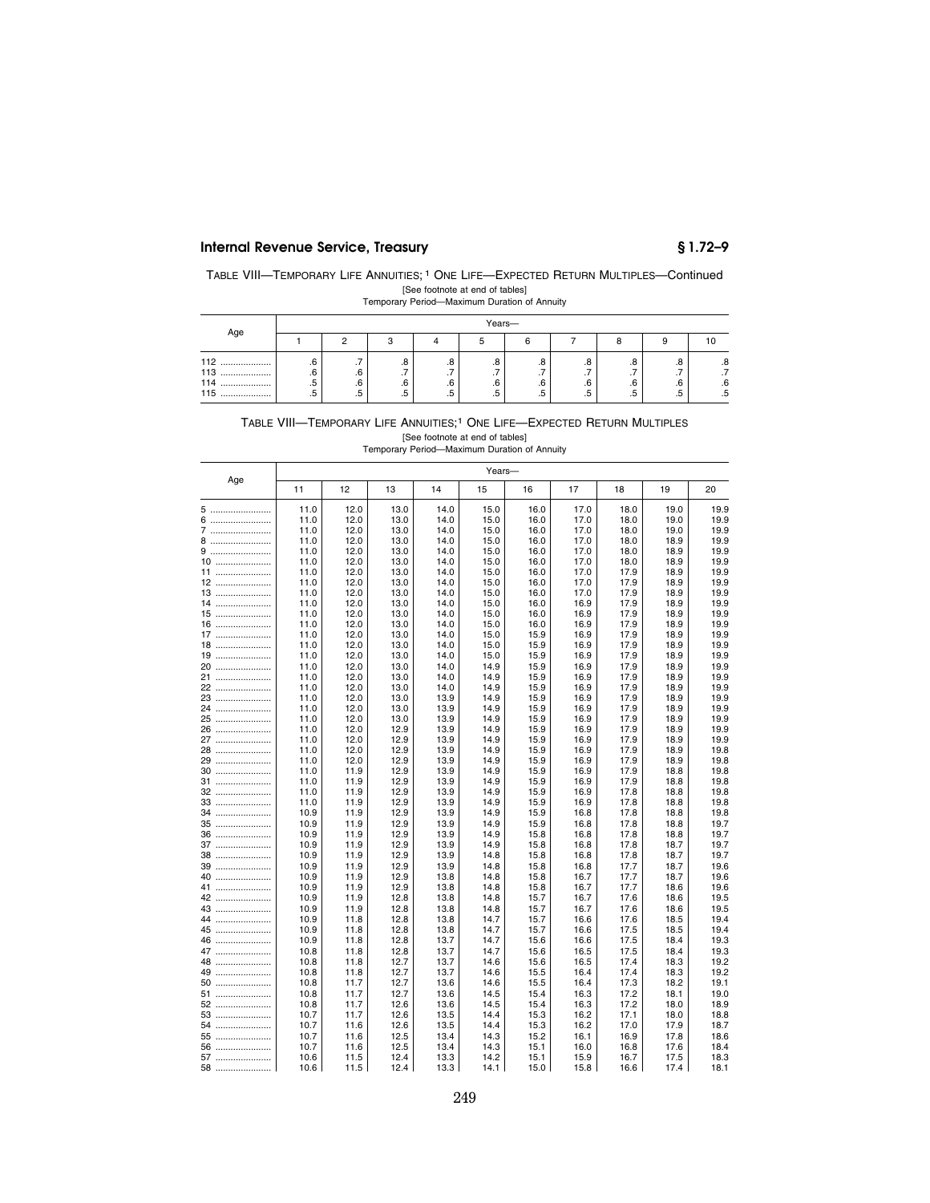## **Internal Revenue Service, Treasury § 1.72–9**

| TABLE VIII—TEMPORARY LIFE ANNUITIES; <sup>1</sup> ONE LIFE—EXPECTED RETURN MULTIPLES—Continued |                                 |  |  |
|------------------------------------------------------------------------------------------------|---------------------------------|--|--|
|                                                                                                | [See footnote at end of tables] |  |  |

|  | Temporary Period-Maximum Duration of Annuity |  |  |
|--|----------------------------------------------|--|--|
|--|----------------------------------------------|--|--|

|                    |          | Years-    |                       |          |                       |                       |         |          |           |                       |  |  |
|--------------------|----------|-----------|-----------------------|----------|-----------------------|-----------------------|---------|----------|-----------|-----------------------|--|--|
| Age                |          |           |                       |          |                       |                       |         |          |           |                       |  |  |
| 112<br><br>113<br> | .6<br>.6 | . .<br>.6 | ه.<br>$\cdot$ $\cdot$ | .o<br>   | .8<br>$\cdot$ $\cdot$ | .8<br>$\cdot$ $\cdot$ | ۰.<br>  | . ب      | ه.<br>. . | ه.<br>$\cdot$ $\cdot$ |  |  |
| 114<br><br>115<br> | .5<br>.5 | .6<br>.b  | .6<br>.5              | .6<br>ں. | .6<br>.5              | .6<br>.5              | .b<br>ن | .6<br>ں. | .6<br>ن   | .6<br>.5              |  |  |

# TABLE VIII—TEMPORARY LIFE ANNUITIES;1 ONE LIFE—EXPECTED RETURN MULTIPLES [See footnote at end of tables] Temporary Period—Maximum Duration of Annuity

|          |              |              |              |              | Years-       |              |              |              |              |              |
|----------|--------------|--------------|--------------|--------------|--------------|--------------|--------------|--------------|--------------|--------------|
| Age      | 11           | 12           | 13           | 14           | 15           | 16           | 17           | 18           | 19           | 20           |
| 5        | 11.0         | 12.0         | 13.0         | 14.0         | 15.0         | 16.0         | 17.0         | 18.0         | 19.0         | 19.9         |
| 6        | 11.0         | 12.0         | 13.0         | 14.0         | 15.0         | 16.0         | 17.0         | 18.0         | 19.0         | 19.9         |
| 7        | 11.0         | 12.0         | 13.0         | 14.0         | 15.0         | 16.0         | 17.0         | 18.0         | 19.0         | 19.9         |
| 8        | 11.0         | 12.0         | 13.0         | 14.0         | 15.0         | 16.0         | 17.0         | 18.0         | 18.9         | 19.9         |
| 9        | 11.0         | 12.0         | 13.0         | 14.0         | 15.0         | 16.0         | 17.0         | 18.0         | 18.9         | 19.9         |
| 10       | 11.0         | 12.0         | 13.0         | 14.0         | 15.0         | 16.0         | 17.0         | 18.0         | 18.9         | 19.9         |
| 11       | 11.0         | 12.0         | 13.0         | 14.0         | 15.0         | 16.0         | 17.0         | 17.9         | 18.9         | 19.9         |
| 12       | 11.0         | 12.0         | 13.0         | 14.0         | 15.0         | 16.0         | 17.0         | 17.9         | 18.9         | 19.9         |
| 13       | 11.0         | 12.0         | 13.0         | 14.0         | 15.0         | 16.0         | 17.0         | 17.9         | 18.9         | 19.9         |
| 14       | 11.0         | 12.0         | 13.0         | 14.0         | 15.0         | 16.0         | 16.9         | 17.9         | 18.9         | 19.9         |
| $15$     | 11.0         | 12.0         | 13.0         | 14.0         | 15.0         | 16.0         | 16.9         | 17.9         | 18.9         | 19.9         |
| $16$     | 11.0         | 12.0         | 13.0         | 14.0         | 15.0         | 16.0         | 16.9         | 17.9         | 18.9         | 19.9         |
| $17$     | 11.0         | 12.0         | 13.0         | 14.0         | 15.0         | 15.9         | 16.9         | 17.9         | 18.9         | 19.9         |
| 18       | 11.0         | 12.0         | 13.0         | 14.0         | 15.0         | 15.9         | 16.9         | 17.9         | 18.9         | 19.9         |
| 19       | 11.0         | 12.0         | 13.0         | 14.0         | 15.0         | 15.9         | 16.9         | 17.9         | 18.9         | 19.9         |
| 20       | 11.0         | 12.0         | 13.0         | 14.0         | 14.9         | 15.9         | 16.9         | 17.9         | 18.9         | 19.9         |
| 21       | 11.0         | 12.0<br>12.0 | 13.0         | 14.0         | 14.9         | 15.9         | 16.9         | 17.9         | 18.9         | 19.9<br>19.9 |
| 22<br>23 | 11.0<br>11.0 | 12.0         | 13.0<br>13.0 | 14.0<br>13.9 | 14.9<br>14.9 | 15.9<br>15.9 | 16.9<br>16.9 | 17.9<br>17.9 | 18.9<br>18.9 | 19.9         |
| 24       | 11.0         | 12.0         | 13.0         | 13.9         | 14.9         | 15.9         | 16.9         | 17.9         | 18.9         | 19.9         |
| 25       | 11.0         | 12.0         | 13.0         | 13.9         | 14.9         | 15.9         | 16.9         | 17.9         | 18.9         | 19.9         |
| 26       | 11.0         | 12.0         | 12.9         | 13.9         | 14.9         | 15.9         | 16.9         | 17.9         | 18.9         | 19.9         |
| 27       | 11.0         | 12.0         | 12.9         | 13.9         | 14.9         | 15.9         | 16.9         | 17.9         | 18.9         | 19.9         |
| 28       | 11.0         | 12.0         | 12.9         | 13.9         | 14.9         | 15.9         | 16.9         | 17.9         | 18.9         | 19.8         |
| 29       | 11.0         | 12.0         | 12.9         | 13.9         | 14.9         | 15.9         | 16.9         | 17.9         | 18.9         | 19.8         |
| 30       | 11.0         | 11.9         | 12.9         | 13.9         | 14.9         | 15.9         | 16.9         | 17.9         | 18.8         | 19.8         |
| 31       | 11.0         | 11.9         | 12.9         | 13.9         | 14.9         | 15.9         | 16.9         | 17.9         | 18.8         | 19.8         |
| 32       | 11.0         | 11.9         | 12.9         | 13.9         | 14.9         | 15.9         | 16.9         | 17.8         | 18.8         | 19.8         |
| 33       | 11.0         | 11.9         | 12.9         | 13.9         | 14.9         | 15.9         | 16.9         | 17.8         | 18.8         | 19.8         |
| 34       | 10.9         | 11.9         | 12.9         | 13.9         | 14.9         | 15.9         | 16.8         | 17.8         | 18.8         | 19.8         |
| 35       | 10.9         | 11.9         | 12.9         | 13.9         | 14.9         | 15.9         | 16.8         | 17.8         | 18.8         | 19.7         |
| 36       | 10.9         | 11.9         | 12.9         | 13.9         | 14.9         | 15.8         | 16.8         | 17.8         | 18.8         | 19.7         |
| 37       | 10.9         | 11.9         | 12.9         | 13.9         | 14.9         | 15.8         | 16.8         | 17.8         | 18.7         | 19.7         |
| 38<br>39 | 10.9<br>10.9 | 11.9<br>11.9 | 12.9<br>12.9 | 13.9<br>13.9 | 14.8<br>14.8 | 15.8<br>15.8 | 16.8<br>16.8 | 17.8<br>17.7 | 18.7         | 19.7         |
| 40       | 10.9         | 11.9         | 12.9         | 13.8         | 14.8         | 15.8         | 16.7         | 17.7         | 18.7<br>18.7 | 19.6<br>19.6 |
| 41       | 10.9         | 11.9         | 12.9         | 13.8         | 14.8         | 15.8         | 16.7         | 17.7         | 18.6         | 19.6         |
| 42       | 10.9         | 11.9         | 12.8         | 13.8         | 14.8         | 15.7         | 16.7         | 17.6         | 18.6         | 19.5         |
| 43       | 10.9         | 11.9         | 12.8         | 13.8         | 14.8         | 15.7         | 16.7         | 17.6         | 18.6         | 19.5         |
| 44       | 10.9         | 11.8         | 12.8         | 13.8         | 14.7         | 15.7         | 16.6         | 17.6         | 18.5         | 19.4         |
| 45       | 10.9         | 11.8         | 12.8         | 13.8         | 14.7         | 15.7         | 16.6         | 17.5         | 18.5         | 19.4         |
| 46       | 10.9         | 11.8         | 12.8         | 13.7         | 14.7         | 15.6         | 16.6         | 17.5         | 18.4         | 19.3         |
| 47       | 10.8         | 11.8         | 12.8         | 13.7         | 14.7         | 15.6         | 16.5         | 17.5         | 18.4         | 19.3         |
| 48       | 10.8         | 11.8         | 12.7         | 13.7         | 14.6         | 15.6         | 16.5         | 17.4         | 18.3         | 19.2         |
| 49       | 10.8         | 11.8         | 12.7         | 13.7         | 14.6         | 15.5         | 16.4         | 17.4         | 18.3         | 19.2         |
| 50       | 10.8         | 11.7         | 12.7         | 13.6         | 14.6         | 15.5         | 16.4         | 17.3         | 18.2         | 19.1         |
| 51       | 10.8         | 11.7         | 12.7         | 13.6         | 14.5         | 15.4         | 16.3         | 17.2         | 18.1         | 19.0         |
| 52       | 10.8         | 11.7         | 12.6         | 13.6         | 14.5         | 15.4         | 16.3         | 17.2         | 18.0         | 18.9         |
| 53       | 10.7         | 11.7         | 12.6         | 13.5         | 14.4         | 15.3         | 16.2         | 17.1         | 18.0         | 18.8         |
| 54       | 10.7         | 11.6         | 12.6         | 13.5         | 14.4         | 15.3         | 16.2         | 17.0         | 17.9         | 18.7         |
| 55       | 10.7         | 11.6         | 12.5         | 13.4         | 14.3         | 15.2         | 16.1         | 16.9         | 17.8         | 18.6         |
| 56       | 10.7         | 11.6         | 12.5         | 13.4         | 14.3         | 15.1         | 16.0         | 16.8         | 17.6         | 18.4         |
| 57       | 10.6         | 11.5         | 12.4         | 13.3         | 14.2         | 15.1         | 15.9         | 16.7         | 17.5         | 18.3         |
| 58       | 10.6         | 11.5         | 12.4         | 13.3         | 14.1         | 15.0         | 15.8         | 16.6         | 17.4         | 18.1         |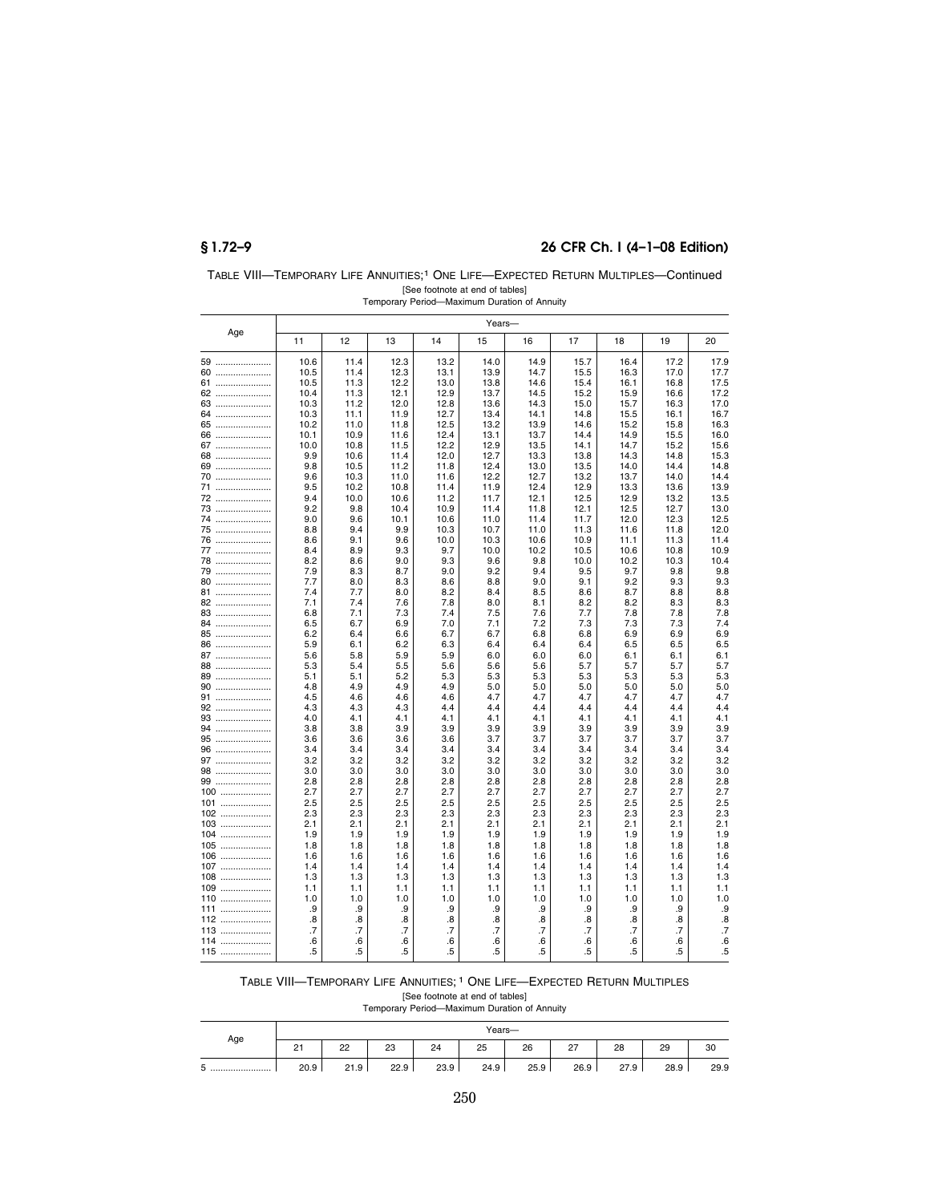## **§ 1.72–9 26 CFR Ch. I (4–1–08 Edition)**

| TABLE VIII-TEMPORARY LIFE ANNUITIES: <sup>1</sup> ONE LIFE-EXPECTED RETURN MULTIPLES-Continued |
|------------------------------------------------------------------------------------------------|
| [See footnote at end of tables]                                                                |
| Temporary Period-Maximum Duration of Annuity                                                   |

|     |      |      |      |      | Years- |      |      |      |      |                   |
|-----|------|------|------|------|--------|------|------|------|------|-------------------|
| Age | 11   | 12   | 13   | 14   | 15     | 16   | 17   | 18   | 19   | 20                |
| 59  | 10.6 | 11.4 | 12.3 | 13.2 | 14.0   | 14.9 | 15.7 | 16.4 | 17.2 | 17.9              |
| 60  | 10.5 | 11.4 | 12.3 | 13.1 | 13.9   | 14.7 | 15.5 | 16.3 | 17.0 | 17.7              |
| 61  | 10.5 | 11.3 | 12.2 | 13.0 | 13.8   | 14.6 | 15.4 | 16.1 | 16.8 | 17.5              |
| 62  | 10.4 | 11.3 | 12.1 | 12.9 | 13.7   | 14.5 | 15.2 | 15.9 | 16.6 | 17.2              |
| 63  | 10.3 | 11.2 | 12.0 | 12.8 | 13.6   | 14.3 | 15.0 | 15.7 | 16.3 | 17.0              |
| 64  | 10.3 | 11.1 | 11.9 | 12.7 | 13.4   | 14.1 | 14.8 | 15.5 | 16.1 | 16.7              |
| 65  | 10.2 | 11.0 | 11.8 | 12.5 | 13.2   | 13.9 | 14.6 | 15.2 | 15.8 | 16.3              |
| 66  | 10.1 | 10.9 | 11.6 | 12.4 | 13.1   | 13.7 | 14.4 | 14.9 | 15.5 | 16.0              |
| 67  | 10.0 | 10.8 | 11.5 | 12.2 | 12.9   | 13.5 | 14.1 | 14.7 | 15.2 | 15.6              |
| 68  | 9.9  | 10.6 | 11.4 | 12.0 | 12.7   | 13.3 | 13.8 | 14.3 | 14.8 | 15.3              |
| 69  | 9.8  | 10.5 | 11.2 | 11.8 | 12.4   | 13.0 | 13.5 | 14.0 | 14.4 | 14.8              |
| 70  | 9.6  | 10.3 | 11.0 | 11.6 | 12.2   | 12.7 | 13.2 | 13.7 | 14.0 | 14.4              |
| 71  | 9.5  | 10.2 | 10.8 | 11.4 | 11.9   | 12.4 | 12.9 | 13.3 | 13.6 | 13.9              |
| 72  | 9.4  | 10.0 | 10.6 | 11.2 | 11.7   | 12.1 | 12.5 | 12.9 | 13.2 | 13.5              |
| 73  | 9.2  | 9.8  | 10.4 | 10.9 | 11.4   | 11.8 | 12.1 | 12.5 | 12.7 | 13.0              |
| 74  | 9.0  | 9.6  | 10.1 | 10.6 | 11.0   | 11.4 | 11.7 | 12.0 | 12.3 | 12.5              |
| 75  | 8.8  | 9.4  | 9.9  | 10.3 | 10.7   | 11.0 | 11.3 | 11.6 | 11.8 | 12.0              |
| 76  | 8.6  | 9.1  | 9.6  | 10.0 | 10.3   | 10.6 | 10.9 | 11.1 | 11.3 | 11.4              |
| 77  | 8.4  | 8.9  | 9.3  | 9.7  | 10.0   | 10.2 | 10.5 | 10.6 | 10.8 | 10.9              |
| 78  | 8.2  | 8.6  | 9.0  | 9.3  | 9.6    | 9.8  | 10.0 | 10.2 | 10.3 | 10.4              |
| 79  | 7.9  | 8.3  | 8.7  | 9.0  | 9.2    | 9.4  | 9.5  | 9.7  | 9.8  | 9.8               |
| 80  | 7.7  | 8.0  | 8.3  | 8.6  | 8.8    | 9.0  | 9.1  | 9.2  | 9.3  | 9.3               |
| 81  | 7.4  | 7.7  | 8.0  | 8.2  | 8.4    | 8.5  | 8.6  | 8.7  | 8.8  | 8.8               |
| 82  | 7.1  | 7.4  | 7.6  | 7.8  | 8.0    | 8.1  | 8.2  | 8.2  | 8.3  | 8.3               |
| 83  | 6.8  | 7.1  | 7.3  | 7.4  | 7.5    | 7.6  | 7.7  | 7.8  | 7.8  | 7.8               |
| 84  | 6.5  | 6.7  | 6.9  | 7.0  | 7.1    | 7.2  | 7.3  | 7.3  | 7.3  | 7.4               |
| 85  | 6.2  | 6.4  | 6.6  | 6.7  | 6.7    | 6.8  | 6.8  | 6.9  | 6.9  | 6.9               |
| 86  | 5.9  | 6.1  | 6.2  | 6.3  | 6.4    | 6.4  | 6.4  | 6.5  | 6.5  | 6.5               |
| 87  | 5.6  | 5.8  | 5.9  | 5.9  | 6.0    | 6.0  | 6.0  | 6.1  | 6.1  | 6.1               |
| 88  | 5.3  | 5.4  | 5.5  | 5.6  | 5.6    | 5.6  | 5.7  | 5.7  | 5.7  | 5.7               |
| 89  | 5.1  | 5.1  | 5.2  | 5.3  | 5.3    | 5.3  | 5.3  | 5.3  | 5.3  | 5.3               |
| 90  | 4.8  | 4.9  | 4.9  | 4.9  | 5.0    | 5.0  | 5.0  | 5.0  | 5.0  | 5.0               |
| 91  | 4.5  | 4.6  | 4.6  | 4.6  | 4.7    | 4.7  | 4.7  | 4.7  | 4.7  | 4.7               |
| 92  | 4.3  | 4.3  | 4.3  | 4.4  | 4.4    | 4.4  | 4.4  | 4.4  | 4.4  | 4.4               |
| 93  | 4.0  | 4.1  | 4.1  | 4.1  | 4.1    | 4.1  | 4.1  | 4.1  | 4.1  | 4.1               |
| 94  | 3.8  | 3.8  | 3.9  | 3.9  | 3.9    | 3.9  | 3.9  | 3.9  | 3.9  | 3.9               |
| 95  | 3.6  | 3.6  | 3.6  | 3.6  | 3.7    | 3.7  | 3.7  | 3.7  | 3.7  | 3.7               |
| 96  | 3.4  | 3.4  | 3.4  | 3.4  | 3.4    | 3.4  | 3.4  | 3.4  | 3.4  | 3.4               |
| 97  | 3.2  | 3.2  | 3.2  | 3.2  | 3.2    | 3.2  | 3.2  | 3.2  | 3.2  | 3.2               |
| 98  | 3.0  | 3.0  | 3.0  | 3.0  | 3.0    | 3.0  | 3.0  | 3.0  | 3.0  | 3.0               |
| 99  | 2.8  | 2.8  | 2.8  | 2.8  | 2.8    | 2.8  | 2.8  | 2.8  | 2.8  | 2.8               |
| 100 | 2.7  | 2.7  | 2.7  | 2.7  | 2.7    | 2.7  | 2.7  | 2.7  | 2.7  | 2.7               |
| 101 | 2.5  | 2.5  | 2.5  | 2.5  | 2.5    | 2.5  | 2.5  | 2.5  | 2.5  | 2.5               |
| 102 | 2.3  | 2.3  | 2.3  | 2.3  | 2.3    | 2.3  | 2.3  | 2.3  | 2.3  | 2.3               |
| 103 | 2.1  | 2.1  | 2.1  | 2.1  | 2.1    | 2.1  | 2.1  | 2.1  | 2.1  | 2.1               |
| 104 | 1.9  | 1.9  | 1.9  | 1.9  | 1.9    | 1.9  | 1.9  | 1.9  | 1.9  | 1.9               |
| 105 | 1.8  | 1.8  | 1.8  | 1.8  | 1.8    | 1.8  | 1.8  | 1.8  | 1.8  | 1.8               |
| 106 | 1.6  | 1.6  | 1.6  | 1.6  | 1.6    | 1.6  | 1.6  | 1.6  | 1.6  | 1.6               |
| 107 | 1.4  | 1.4  | 1.4  | 1.4  | 1.4    | 1.4  | 1.4  | 1.4  | 1.4  | 1.4               |
| 108 | 1.3  | 1.3  | 1.3  | 1.3  | 1.3    | 1.3  | 1.3  | 1.3  | 1.3  | 1.3               |
| 109 | 1.1  | 1.1  | 1.1  | 1.1  | 1.1    | 1.1  | 1.1  | 1.1  | 1.1  | 1.1               |
| 110 | 1.0  | 1.0  | 1.0  | 1.0  | 1.0    | 1.0  | 1.0  | 1.0  | 1.0  | 1.0               |
| 111 | .9   | .9   | .9   | .9   | .9     | .9   | .9   | .9   | .9   | .9                |
| 112 | .8   | .8   | .8   | 8.   | .8     | .8   | .8   | .8   | .8   | $\boldsymbol{.8}$ |
| 113 | .7   | .7   | .7   | .7   | .7     | .7   | .7   | .7   | .7   | $\overline{.7}$   |
| 114 | .6   | .6   | .6   | .6   | .6     | .6   | .6   | .6   | .6   | .6                |
| 115 | .5   | .5   | .5   | .5   | .5     | .5   | .5   | .5   | .5   | .5                |

# TABLE VIII—TEMPORARY LIFE ANNUITIES; 1 ONE LIFE—EXPECTED RETURN MULTIPLES [See footnote at end of tables] Temporary Period—Maximum Duration of Annuity

|                 | Years-              |      |      |      |      |      |               |      |      |      |
|-----------------|---------------------|------|------|------|------|------|---------------|------|------|------|
| Age             | 2 <sub>1</sub><br>– | 22   | 23   | 24   | 25   | 26   | $\sim$<br>، ے | 28   | 29   | 30   |
| -<br>ь<br>ັ<br> | 20.9                | 21.9 | 22.9 | 23.9 | 24.9 | 25.9 | 26.9          | 27.9 | 28.9 | 29.9 |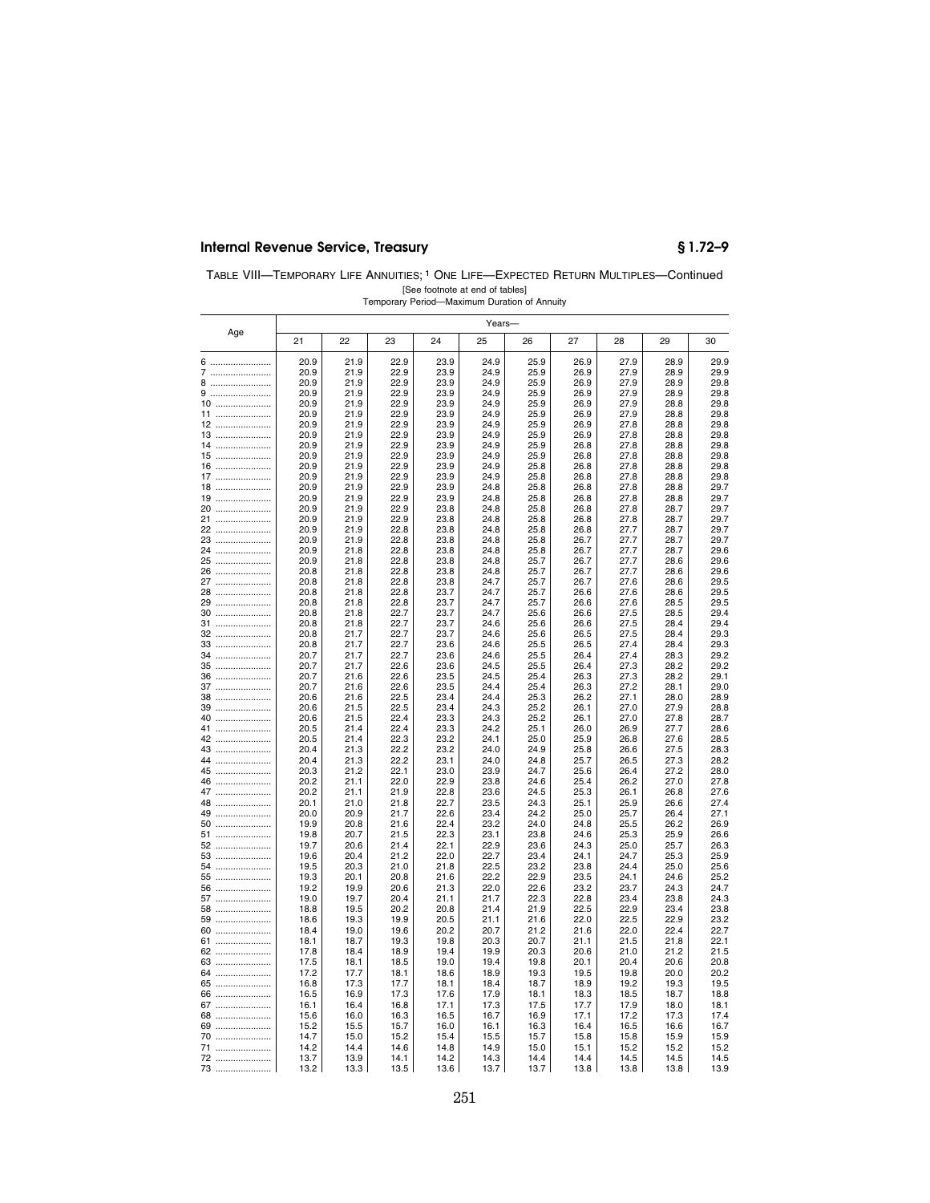## **Internal Revenue Service, Treasury § 1.72–9**

| TABLE VIII—TEMPORARY LIFE ANNUITIES: <sup>1</sup> ONE LIFE—EXPECTED RETURN MULTIPLES—Continued |
|------------------------------------------------------------------------------------------------|
| [See footnote at end of tables]                                                                |
| Temporary Period-Maximum Duration of Annuity                                                   |

|          |              |              |              |              | Years-       |              |              |              |              |              |
|----------|--------------|--------------|--------------|--------------|--------------|--------------|--------------|--------------|--------------|--------------|
| Age      | 21           | 22           | 23           | 24           | 25           | 26           | 27           | 28           | 29           | 30           |
| 6        | 20.9         | 21.9         | 22.9         | 23.9         | 24.9         | 25.9         | 26.9         | 27.9         | 28.9         | 29.9         |
| 7        | 20.9         | 21.9         | 22.9         | 23.9         | 24.9         | 25.9         | 26.9         | 27.9         | 28.9         | 29.9         |
| 8        | 20.9         | 21.9         | 22.9         | 23.9         | 24.9         | 25.9         | 26.9         | 27.9         | 28.9         | 29.8         |
| 9<br>10  | 20.9<br>20.9 | 21.9<br>21.9 | 22.9<br>22.9 | 23.9<br>23.9 | 24.9<br>24.9 | 25.9<br>25.9 | 26.9<br>26.9 | 27.9<br>27.9 | 28.9<br>28.8 | 29.8<br>29.8 |
| 11       | 20.9         | 21.9         | 22.9         | 23.9         | 24.9         | 25.9         | 26.9         | 27.9         | 28.8         | 29.8         |
| 12       | 20.9         | 21.9         | 22.9         | 23.9         | 24.9         | 25.9         | 26.9         | 27.8         | 28.8         | 29.8         |
| 13       | 20.9         | 21.9         | 22.9         | 23.9         | 24.9         | 25.9         | 26.9         | 27.8         | 28.8         | 29.8         |
| 14       | 20.9         | 21.9         | 22.9         | 23.9         | 24.9         | 25.9         | 26.8         | 27.8         | 28.8         | 29.8         |
| 15<br>16 | 20.9<br>20.9 | 21.9<br>21.9 | 22.9<br>22.9 | 23.9<br>23.9 | 24.9<br>24.9 | 25.9<br>25.8 | 26.8         | 27.8<br>27.8 | 28.8<br>28.8 | 29.8<br>29.8 |
| 17       | 20.9         | 21.9         | 22.9         | 23.9         | 24.9         | 25.8         | 26.8<br>26.8 | 27.8         | 28.8         | 29.8         |
| 18       | 20.9         | 21.9         | 22.9         | 23.9         | 24.8         | 25.8         | 26.8         | 27.8         | 28.8         | 29.7         |
| 19       | 20.9         | 21.9         | 22.9         | 23.9         | 24.8         | 25.8         | 26.8         | 27.8         | 28.8         | 29.7         |
| 20       | 20.9         | 21.9         | 22.9         | 23.8         | 24.8         | 25.8         | 26.8         | 27.8         | 28.7         | 29.7         |
| 21       | 20.9<br>20.9 | 21.9<br>21.9 | 22.9<br>22.8 | 23.8<br>23.8 | 24.8<br>24.8 | 25.8<br>25.8 | 26.8<br>26.8 | 27.8<br>27.7 | 28.7<br>28.7 | 29.7<br>29.7 |
| 22<br>23 | 20.9         | 21.9         | 22.8         | 23.8         | 24.8         | 25.8         | 26.7         | 27.7         | 28.7         | 29.7         |
| 24       | 20.9         | 21.8         | 22.8         | 23.8         | 24.8         | 25.8         | 26.7         | 27.7         | 28.7         | 29.6         |
| 25       | 20.9         | 21.8         | 22.8         | 23.8         | 24.8         | 25.7         | 26.7         | 27.7         | 28.6         | 29.6         |
| 26       | 20.8         | 21.8         | 22.8         | 23.8         | 24.8         | 25.7         | 26.7         | 27.7         | 28.6         | 29.6         |
| 27       | 20.8<br>20.8 | 21.8         | 22.8<br>22.8 | 23.8<br>23.7 | 24.7<br>24.7 | 25.7<br>25.7 | 26.7         | 27.6<br>27.6 | 28.6         | 29.5         |
| 28<br>29 | 20.8         | 21.8<br>21.8 | 22.8         | 23.7         | 24.7         | 25.7         | 26.6<br>26.6 | 27.6         | 28.6<br>28.5 | 29.5<br>29.5 |
| 30       | 20.8         | 21.8         | 22.7         | 23.7         | 24.7         | 25.6         | 26.6         | 27.5         | 28.5         | 29.4         |
| 31       | 20.8         | 21.8         | 22.7         | 23.7         | 24.6         | 25.6         | 26.6         | 27.5         | 28.4         | 29.4         |
| 32       | 20.8         | 21.7         | 22.7         | 23.7         | 24.6         | 25.6         | 26.5         | 27.5         | 28.4         | 29.3         |
| 33<br>34 | 20.8<br>20.7 | 21.7<br>21.7 | 22.7<br>22.7 | 23.6<br>23.6 | 24.6<br>24.6 | 25.5<br>25.5 | 26.5<br>26.4 | 27.4<br>27.4 | 28.4<br>28.3 | 29.3<br>29.2 |
| 35       | 20.7         | 21.7         | 22.6         | 23.6         | 24.5         | 25.5         | 26.4         | 27.3         | 28.2         | 29.2         |
| 36       | 20.7         | 21.6         | 22.6         | 23.5         | 24.5         | 25.4         | 26.3         | 27.3         | 28.2         | 29.1         |
| 37       | 20.7         | 21.6         | 22.6         | 23.5         | 24.4         | 25.4         | 26.3         | 27.2         | 28.1         | 29.0         |
| 38<br>39 | 20.6<br>20.6 | 21.6<br>21.5 | 22.5<br>22.5 | 23.4<br>23.4 | 24.4<br>24.3 | 25.3<br>25.2 | 26.2<br>26.1 | 27.1<br>27.0 | 28.0<br>27.9 | 28.9<br>28.8 |
| 40       | 20.6         | 21.5         | 22.4         | 23.3         | 24.3         | 25.2         | 26.1         | 27.0         | 27.8         | 28.7         |
| 41       | 20.5         | 21.4         | 22.4         | 23.3         | 24.2         | 25.1         | 26.0         | 26.9         | 27.7         | 28.6         |
| 42       | 20.5         | 21.4         | 22.3         | 23.2         | 24.1         | 25.0         | 25.9         | 26.8         | 27.6         | 28.5         |
| 43       | 20.4         | 21.3         | 22.2         | 23.2         | 24.0         | 24.9         | 25.8         | 26.6         | 27.5         | 28.3         |
| 44<br>45 | 20.4<br>20.3 | 21.3<br>21.2 | 22.2<br>22.1 | 23.1<br>23.0 | 24.0<br>23.9 | 24.8<br>24.7 | 25.7<br>25.6 | 26.5<br>26.4 | 27.3<br>27.2 | 28.2<br>28.0 |
| 46       | 20.2         | 21.1         | 22.0         | 22.9         | 23.8         | 24.6         | 25.4         | 26.2         | 27.0         | 27.8         |
| 47       | 20.2         | 21.1         | 21.9         | 22.8         | 23.6         | 24.5         | 25.3         | 26.1         | 26.8         | 27.6         |
| 48       | 20.1         | 21.0         | 21.8         | 22.7         | 23.5         | 24.3         | 25.1         | 25.9         | 26.6         | 27.4         |
| 49       | 20.0<br>19.9 | 20.9<br>20.8 | 21.7<br>21.6 | 22.6<br>22.4 | 23.4<br>23.2 | 24.2<br>24.0 | 25.0<br>24.8 | 25.7<br>25.5 | 26.4<br>26.2 | 27.1         |
| 50<br>51 | 19.8         | 20.7         | 21.5         | 22.3         | 23.1         | 23.8         | 24.6         | 25.3         | 25.9         | 26.9<br>26.6 |
| 52       | 19.7         | 20.6         | 21.4         | 22.1         | 22.9         | 23.6         | 24.3         | 25.0         | 25.7         | 26.3         |
| 53       | 19.6         | 20.4         | 21.2         | 22.0         | 22.7         | 23.4         | 24.1         | 24.7         | 25.3         | 25.9         |
| 54       | 19.5         | 20.3         | 21.0         | 21.8         | 22.5         | 23.2         | 23.8         | 24.4         | 25.0         | 25.6         |
| 55<br>56 | 19.3<br>19.2 | 20.1<br>19.9 | 20.8<br>20.6 | 21.6<br>21.3 | 22.2<br>22.0 | 22.9<br>22.6 | 23.5<br>23.2 | 24.1<br>23.7 | 24.6<br>24.3 | 25.2<br>24.7 |
| 57       | 19.0         | 19.7         | 20.4         | 21.1         | 21.7         | 22.3         | 22.8         | 23.4         | 23.8         | 24.3         |
| 58       | 18.8         | 19.5         | 20.2         | 20.8         | 21.4         | 21.9         | 22.5         | 22.9         | 23.4         | 23.8         |
| 59       | 18.6         | 19.3         | 19.9         | 20.5         | 21.1         | 21.6         | 22.0         | 22.5         | 22.9         | 23.2         |
| 60       | 18.4         | 19.0         | 19.6         | 20.2         | 20.7         | 21.2         | 21.6         | 22.0         | 22.4         | 22.7         |
| 61<br>62 | 18.1<br>17.8 | 18.7<br>18.4 | 19.3<br>18.9 | 19.8<br>19.4 | 20.3<br>19.9 | 20.7<br>20.3 | 21.1<br>20.6 | 21.5<br>21.0 | 21.8<br>21.2 | 22.1<br>21.5 |
| 63       | 17.5         | 18.1         | 18.5         | 19.0         | 19.4         | 19.8         | 20.1         | 20.4         | 20.6         | 20.8         |
| 64       | 17.2         | 17.7         | 18.1         | 18.6         | 18.9         | 19.3         | 19.5         | 19.8         | 20.0         | 20.2         |
| 65       | 16.8         | 17.3         | 17.7         | 18.1         | 18.4         | 18.7         | 18.9         | 19.2         | 19.3         | 19.5         |
| 66       | 16.5         | 16.9         | 17.3         | 17.6         | 17.9         | 18.1         | 18.3         | 18.5         | 18.7         | 18.8         |
| 67<br>68 | 16.1<br>15.6 | 16.4<br>16.0 | 16.8<br>16.3 | 17.1<br>16.5 | 17.3<br>16.7 | 17.5<br>16.9 | 17.7<br>17.1 | 17.9<br>17.2 | 18.0<br>17.3 | 18.1<br>17.4 |
| 69       | 15.2         | 15.5         | 15.7         | 16.0         | 16.1         | 16.3         | 16.4         | 16.5         | 16.6         | 16.7         |
| 70       | 14.7         | 15.0         | 15.2         | 15.4         | 15.5         | 15.7         | 15.8         | 15.8         | 15.9         | 15.9         |
| 71       | 14.2         | 14.4         | 14.6         | 14.8         | 14.9         | 15.0         | 15.1         | 15.2         | 15.2         | 15.2         |
| 72       | 13.7         | 13.9         | 14.1         | 14.2         | 14.3         | 14.4         | 14.4         | 14.5         | 14.5         | 14.5         |
| 73<br>   | 13.2         | 13.3         | 13.5         | 13.6         | 13.7         | 13.7         | 13.8         | 13.8         | 13.8         | 13.9         |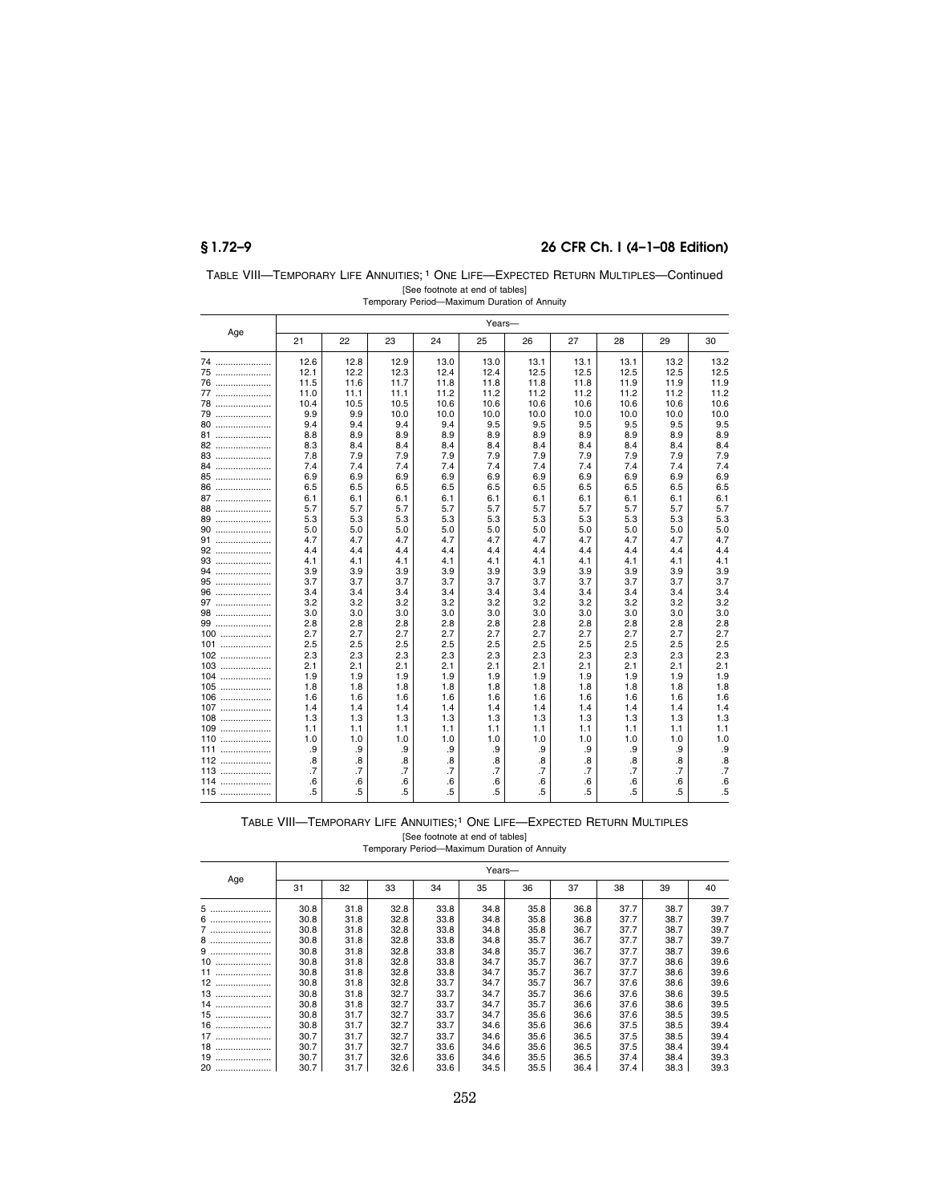## **§ 1.72–9 26 CFR Ch. I (4–1–08 Edition)**

| TABLE VIII—TEMPORARY LIFE ANNUITIES: <sup>1</sup> ONE LIFE—EXPECTED RETURN MULTIPLES—Continued |
|------------------------------------------------------------------------------------------------|
| [See footnote at end of tables]                                                                |
| Temporary Period-Maximum Duration of Annuity                                                   |

|              |                 | Years-     |            |            |            |                 |            |            |            |                 |  |
|--------------|-----------------|------------|------------|------------|------------|-----------------|------------|------------|------------|-----------------|--|
| Age          | 21              | 22         | 23         | 24         | 25         | 26              | 27         | 28         | 29         | 30              |  |
| 74           | 12.6            | 12.8       | 12.9       | 13.0       | 13.0       | 13.1            | 13.1       | 13.1       | 13.2       | 13.2            |  |
| 75           | 12.1            | 12.2       | 12.3       | 12.4       | 12.4       | 12.5            | 12.5       | 12.5       | 12.5       | 12.5            |  |
| 76           | 11.5            | 11.6       | 11.7       | 11.8       | 11.8       | 11.8            | 11.8       | 11.9       | 11.9       | 11.9            |  |
| 77           | 11.0            | 11.1       | 11.1       | 11.2       | 11.2       | 11.2            | 11.2       | 11.2       | 11.2       | 11.2            |  |
| 78           | 10.4            | 10.5       | 10.5       | 10.6       | 10.6       | 10.6            | 10.6       | 10.6       | 10.6       | 10.6            |  |
| 79           | 9.9             | 9.9        | 10.0       | 10.0       | 10.0       | 10.0            | 10.0       | 10.0       | 10.0       | 10.0            |  |
| 80           | 9.4             | 9.4        | 9.4        | 9.4        | 9.5        | 9.5             | 9.5        | 9.5        | 9.5        | 9.5             |  |
| 81           | 8.8             | 8.9        | 8.9        | 8.9        | 8.9        | 8.9             | 8.9        | 8.9        | 8.9        | 8.9             |  |
| 82           | 8.3             | 8.4        | 8.4        | 8.4        | 8.4        | 8.4             | 8.4        | 8.4        | 8.4        | 8.4             |  |
| 83           | 7.8             | 7.9        | 7.9        | 7.9        | 7.9        | 7.9             | 7.9        | 7.9        | 7.9        | 7.9             |  |
| 84           | 7.4             | 7.4        | 7.4        | 7.4        | 7.4        | 7.4             | 7.4        | 7.4        | 7.4        | 7.4             |  |
| 85           | 6.9             | 6.9        | 6.9        | 6.9        | 6.9        | 6.9             | 6.9        | 6.9        | 6.9        | 6.9             |  |
| 86           | 6.5             | 6.5        | 6.5        | 6.5        | 6.5        | 6.5             | 6.5        | 6.5        | 6.5        | 6.5             |  |
| 87           | 6.1             | 6.1        | 6.1        | 6.1        | 6.1        | 6.1             | 6.1        | 6.1        | 6.1        | 6.1             |  |
| 88           | 5.7             | 5.7        | 5.7        | 5.7        | 5.7        | 5.7             | 5.7        | 5.7        | 5.7        | 5.7             |  |
| 89           | 5.3             | 5.3        | 5.3        | 5.3        | 5.3        | 5.3             | 5.3        | 5.3        | 5.3        | 5.3             |  |
| 90           | 5.0             | 5.0        | 5.0        | 5.0        | 5.0        | 5.0             | 5.0        | 5.0        | 5.0        | 5.0             |  |
| 91           | 4.7             | 4.7        | 4.7        | 4.7        | 4.7        | 4.7             | 4.7        | 4.7        | 4.7        | 4.7             |  |
| 92           | 4.4             | 4.4        | 4.4        | 4.4        | 4.4        | 4.4             | 4.4        | 4.4        | 4.4        | 4.4             |  |
|              | 4.1             | 4.1        | 4.1        | 4.1        | 4.1        | 4.1             | 4.1        | 4.1        | 4.1        | 4.1             |  |
| 94           | 3.9             | 3.9        | 3.9        | 3.9        | 3.9        | 3.9             | 3.9        | 3.9        | 3.9        | 3.9             |  |
| 95           | 3.7             | 3.7        | 3.7        | 3.7        | 3.7        | 3.7             | 3.7        | 3.7        | 3.7        | 3.7             |  |
| 96           | 3.4             | 3.4        | 3.4        | 3.4        | 3.4        | 3.4             | 3.4        | 3.4        | 3.4        | 3.4             |  |
| 97           | 3.2             | 3.2        | 3.2        | 3.2        | 3.2        | 3.2             | 3.2        | 3.2        | 3.2        | 3.2             |  |
| 98           | 3.0             | 3.0        | 3.0        | 3.0        | 3.0        | 3.0             | 3.0        | 3.0        | 3.0        | 3.0             |  |
| 99           | 2.8             | 2.8        | 2.8        | 2.8        | 2.8        | 2.8             | 2.8        | 2.8        | 2.8        | 2.8             |  |
| 100          | 2.7             | 2.7        | 2.7        | 2.7        | 2.7        | 2.7             | 2.7        | 2.7        | 2.7        | 2.7             |  |
| $101$        | 2.5             | 2.5        | 2.5        | 2.5        | 2.5        | 2.5             | 2.5        | 2.5        | 2.5        | 2.5             |  |
| $102$        | 2.3             | 2.3        | 2.3        | 2.3        | 2.3        | 2.3             | 2.3        | 2.3        | 2.3        | 2.3             |  |
| 103          | 2.1             | 2.1        | 2.1        | 2.1        | 2.1        | 2.1             | 2.1        | 2.1        | 2.1        | 2.1             |  |
| 104<br>$105$ | 1.9             | 1.9        | 1.9        | 1.9        | 1.9        | 1.9             | 1.9        | 1.9        | 1.9        | 1.9             |  |
|              | 1.8             | 1.8<br>1.6 | 1.8<br>1.6 | 1.8        | 1.8        | 1.8             | 1.8<br>1.6 | 1.8        | 1.8        | 1.8<br>1.6      |  |
| 106<br>107   | 1.6             |            |            | 1.6        | 1.6        | 1.6             |            | 1.6        | 1.6        | 1.4             |  |
|              | 1.4<br>1.3      | 1.4<br>1.3 | 1.4<br>1.3 | 1.4<br>1.3 | 1.4<br>1.3 | 1.4<br>1.3      | 1.4<br>1.3 | 1.4<br>1.3 | 1.4<br>1.3 | 1.3             |  |
| 108<br>$109$ | 1.1             | 1.1        | 1.1        | 1.1        | 1.1        | 1.1             | 1.1        | 1.1        | 1.1        | 1.1             |  |
| 110          | 1.0             | 1.0        | 1.0        | 1.0        | 1.0        | 1.0             | 1.0        | 1.0        | 1.0        | 1.0             |  |
| 111<br>.     | .9              | .9         | .9         | .9         | .9         | .9              | .9         | .9         | .9         | .9              |  |
|              | .8              | .8         | .8         | .8         | .8         | .8              | .8         | .8         | .8         | .8              |  |
| 112<br>113   | $\overline{.7}$ | .7         | .7         | .7         | .7         | $\overline{.7}$ | .7         | .7         | .7         | $\overline{.7}$ |  |
| 114          | .6              | .6         | .6         | .6         | .6         | .6              |            | .6         |            | .6              |  |
| $115$        | .5              | .5         | .5         | .5         | .5         | .5              | .6<br>.5   | .5         | .6<br>.5   | .5              |  |
|              |                 |            |            |            |            |                 |            |            |            |                 |  |

### TABLE VIII—TEMPORARY LIFE ANNUITIES;1 ONE LIFE—EXPECTED RETURN MULTIPLES

[See footnote at end of tables] Temporary Period—Maximum Duration of Annuity

| nporary Period—Maximum Duration of Annu |  |  |  |
|-----------------------------------------|--|--|--|
|                                         |  |  |  |

|        | Years- |      |      |      |      |      |      |      |      |      |  |
|--------|--------|------|------|------|------|------|------|------|------|------|--|
| Age    | 31     | 32   | 33   | 34   | 35   | 36   | 37   | 38   | 39   | 40   |  |
| 5<br>. | 30.8   | 31.8 | 32.8 | 33.8 | 34.8 | 35.8 | 36.8 | 37.7 | 38.7 | 39.7 |  |
| 6<br>  | 30.8   | 31.8 | 32.8 | 33.8 | 34.8 | 35.8 | 36.8 | 37.7 | 38.7 | 39.7 |  |
| 7      | 30.8   | 31.8 | 32.8 | 33.8 | 34.8 | 35.8 | 36.7 | 37.7 | 38.7 | 39.7 |  |
| 8      | 30.8   | 31.8 | 32.8 | 33.8 | 34.8 | 35.7 | 36.7 | 37.7 | 38.7 | 39.7 |  |
| 9      | 30.8   | 31.8 | 32.8 | 33.8 | 34.8 | 35.7 | 36.7 | 37.7 | 38.7 | 39.6 |  |
| 10<br> | 30.8   | 31.8 | 32.8 | 33.8 | 34.7 | 35.7 | 36.7 | 37.7 | 38.6 | 39.6 |  |
| 11     | 30.8   | 31.8 | 32.8 | 33.8 | 34.7 | 35.7 | 36.7 | 37.7 | 38.6 | 39.6 |  |
| 12     | 30.8   | 31.8 | 32.8 | 33.7 | 34.7 | 35.7 | 36.7 | 37.6 | 38.6 | 39.6 |  |
| $13$   | 30.8   | 31.8 | 32.7 | 33.7 | 34.7 | 35.7 | 36.6 | 37.6 | 38.6 | 39.5 |  |
| 14     | 30.8   | 31.8 | 32.7 | 33.7 | 34.7 | 35.7 | 36.6 | 37.6 | 38.6 | 39.5 |  |
| $15$   | 30.8   | 31.7 | 32.7 | 33.7 | 34.7 | 35.6 | 36.6 | 37.6 | 38.5 | 39.5 |  |
| $16$   | 30.8   | 31.7 | 32.7 | 33.7 | 34.6 | 35.6 | 36.6 | 37.5 | 38.5 | 39.4 |  |
| 17     | 30.7   | 31.7 | 32.7 | 33.7 | 34.6 | 35.6 | 36.5 | 37.5 | 38.5 | 39.4 |  |
| 18<br> | 30.7   | 31.7 | 32.7 | 33.6 | 34.6 | 35.6 | 36.5 | 37.5 | 38.4 | 39.4 |  |
| 19     | 30.7   | 31.7 | 32.6 | 33.6 | 34.6 | 35.5 | 36.5 | 37.4 | 38.4 | 39.3 |  |
| 20<br> | 30.7   | 31.7 | 32.6 | 33.6 | 34.5 | 35.5 | 36.4 | 37.4 | 38.3 | 39.3 |  |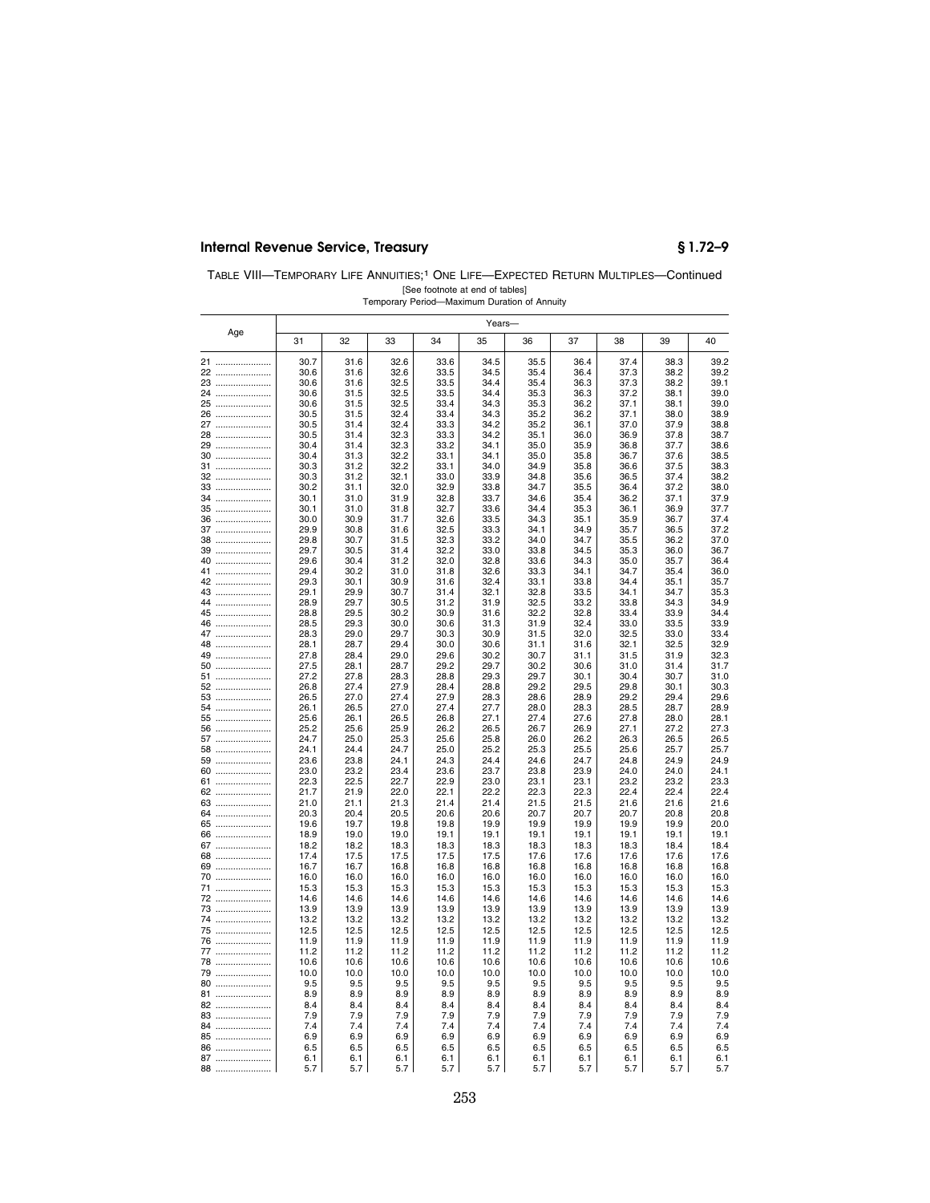## **Internal Revenue Service, Treasury § 1.72–9**

| TABLE VIII—TEMPORARY LIFE ANNUITIES: <sup>1</sup> ONE LIFE—EXPECTED RETURN MULTIPLES—Continued |  |
|------------------------------------------------------------------------------------------------|--|
| [See footnote at end of tables]                                                                |  |
| Temporary Period—Maximum Duration of Annuity                                                   |  |

|          | Years-       |              |              |              |              |              |              |              |              |              |  |
|----------|--------------|--------------|--------------|--------------|--------------|--------------|--------------|--------------|--------------|--------------|--|
| Age      | 31           | 32           | 33           | 34           | 35           | 36           | 37           | 38           | 39           | 40           |  |
| 21       | 30.7         | 31.6         | 32.6         | 33.6         | 34.5         | 35.5         | 36.4         | 37.4         | 38.3         | 39.2         |  |
| 22       | 30.6         | 31.6         | 32.6         | 33.5         | 34.5         | 35.4         | 36.4         | 37.3         | 38.2         | 39.2         |  |
| 23       | 30.6         | 31.6         | 32.5         | 33.5         | 34.4         | 35.4         | 36.3         | 37.3         | 38.2         | 39.1         |  |
| 24<br>25 | 30.6<br>30.6 | 31.5<br>31.5 | 32.5<br>32.5 | 33.5<br>33.4 | 34.4<br>34.3 | 35.3<br>35.3 | 36.3<br>36.2 | 37.2<br>37.1 | 38.1<br>38.1 | 39.0<br>39.0 |  |
| 26       | 30.5         | 31.5         | 32.4         | 33.4         | 34.3         | 35.2         | 36.2         | 37.1         | 38.0         | 38.9         |  |
| 27       | 30.5         | 31.4         | 32.4         | 33.3         | 34.2         | 35.2         | 36.1         | 37.0         | 37.9         | 38.8         |  |
| 28       | 30.5         | 31.4         | 32.3         | 33.3         | 34.2         | 35.1         | 36.0         | 36.9         | 37.8         | 38.7         |  |
| 29       | 30.4         | 31.4         | 32.3         | 33.2         | 34.1         | 35.0         | 35.9         | 36.8         | 37.7         | 38.6         |  |
| 30<br>31 | 30.4<br>30.3 | 31.3<br>31.2 | 32.2<br>32.2 | 33.1<br>33.1 | 34.1<br>34.0 | 35.0<br>34.9 | 35.8         | 36.7<br>36.6 | 37.6<br>37.5 | 38.5<br>38.3 |  |
| 32       | 30.3         | 31.2         | 32.1         | 33.0         | 33.9         | 34.8         | 35.8<br>35.6 | 36.5         | 37.4         | 38.2         |  |
| 33       | 30.2         | 31.1         | 32.0         | 32.9         | 33.8         | 34.7         | 35.5         | 36.4         | 37.2         | 38.0         |  |
| 34       | 30.1         | 31.0         | 31.9         | 32.8         | 33.7         | 34.6         | 35.4         | 36.2         | 37.1         | 37.9         |  |
| 35       | 30.1         | 31.0         | 31.8         | 32.7         | 33.6         | 34.4         | 35.3         | 36.1         | 36.9         | 37.7         |  |
| 36       | 30.0<br>29.9 | 30.9<br>30.8 | 31.7<br>31.6 | 32.6<br>32.5 | 33.5         | 34.3<br>34.1 | 35.1<br>34.9 | 35.9         | 36.7         | 37.4<br>37.2 |  |
| 37<br>38 | 29.8         | 30.7         | 31.5         | 32.3         | 33.3<br>33.2 | 34.0         | 34.7         | 35.7<br>35.5 | 36.5<br>36.2 | 37.0         |  |
| 39       | 29.7         | 30.5         | 31.4         | 32.2         | 33.0         | 33.8         | 34.5         | 35.3         | 36.0         | 36.7         |  |
| 40       | 29.6         | 30.4         | 31.2         | 32.0         | 32.8         | 33.6         | 34.3         | 35.0         | 35.7         | 36.4         |  |
| 41       | 29.4         | 30.2         | 31.0         | 31.8         | 32.6         | 33.3         | 34.1         | 34.7         | 35.4         | 36.0         |  |
| 42       | 29.3         | 30.1         | 30.9         | 31.6         | 32.4         | 33.1         | 33.8         | 34.4         | 35.1         | 35.7         |  |
| 43<br>44 | 29.1<br>28.9 | 29.9<br>29.7 | 30.7<br>30.5 | 31.4<br>31.2 | 32.1<br>31.9 | 32.8<br>32.5 | 33.5<br>33.2 | 34.1<br>33.8 | 34.7<br>34.3 | 35.3<br>34.9 |  |
| 45       | 28.8         | 29.5         | 30.2         | 30.9         | 31.6         | 32.2         | 32.8         | 33.4         | 33.9         | 34.4         |  |
| 46       | 28.5         | 29.3         | 30.0         | 30.6         | 31.3         | 31.9         | 32.4         | 33.0         | 33.5         | 33.9         |  |
| 47       | 28.3         | 29.0         | 29.7         | 30.3         | 30.9         | 31.5         | 32.0         | 32.5         | 33.0         | 33.4         |  |
| 48<br>49 | 28.1<br>27.8 | 28.7<br>28.4 | 29.4<br>29.0 | 30.0<br>29.6 | 30.6<br>30.2 | 31.1<br>30.7 | 31.6<br>31.1 | 32.1<br>31.5 | 32.5<br>31.9 | 32.9<br>32.3 |  |
| 50       | 27.5         | 28.1         | 28.7         | 29.2         | 29.7         | 30.2         | 30.6         | 31.0         | 31.4         | 31.7         |  |
| 51       | 27.2         | 27.8         | 28.3         | 28.8         | 29.3         | 29.7         | 30.1         | 30.4         | 30.7         | 31.0         |  |
| 52       | 26.8         | 27.4         | 27.9         | 28.4         | 28.8         | 29.2         | 29.5         | 29.8         | 30.1         | 30.3         |  |
| 53       | 26.5         | 27.0<br>26.5 | 27.4<br>27.0 | 27.9<br>27.4 | 28.3<br>27.7 | 28.6<br>28.0 | 28.9         | 29.2<br>28.5 | 29.4<br>28.7 | 29.6         |  |
| 54<br>55 | 26.1<br>25.6 | 26.1         | 26.5         | 26.8         | 27.1         | 27.4         | 28.3<br>27.6 | 27.8         | 28.0         | 28.9<br>28.1 |  |
| 56       | 25.2         | 25.6         | 25.9         | 26.2         | 26.5         | 26.7         | 26.9         | 27.1         | 27.2         | 27.3         |  |
| 57       | 24.7         | 25.0         | 25.3         | 25.6         | 25.8         | 26.0         | 26.2         | 26.3         | 26.5         | 26.5         |  |
| 58       | 24.1         | 24.4         | 24.7         | 25.0         | 25.2         | 25.3         | 25.5         | 25.6         | 25.7         | 25.7         |  |
| 59<br>60 | 23.6<br>23.0 | 23.8<br>23.2 | 24.1<br>23.4 | 24.3<br>23.6 | 24.4<br>23.7 | 24.6<br>23.8 | 24.7<br>23.9 | 24.8<br>24.0 | 24.9<br>24.0 | 24.9<br>24.1 |  |
| 61       | 22.3         | 22.5         | 22.7         | 22.9         | 23.0         | 23.1         | 23.1         | 23.2         | 23.2         | 23.3         |  |
| 62       | 21.7         | 21.9         | 22.0         | 22.1         | 22.2         | 22.3         | 22.3         | 22.4         | 22.4         | 22.4         |  |
| 63       | 21.0         | 21.1         | 21.3         | 21.4         | 21.4         | 21.5         | 21.5         | 21.6         | 21.6         | 21.6         |  |
| 64       | 20.3         | 20.4         | 20.5         | 20.6         | 20.6         | 20.7         | 20.7         | 20.7         | 20.8         | 20.8         |  |
| 65<br>66 | 19.6<br>18.9 | 19.7<br>19.0 | 19.8<br>19.0 | 19.8<br>19.1 | 19.9<br>19.1 | 19.9<br>19.1 | 19.9<br>19.1 | 19.9<br>19.1 | 19.9<br>19.1 | 20.0<br>19.1 |  |
| 67       | 18.2         | 18.2         | 18.3         | 18.3         | 18.3         | 18.3         | 18.3         | 18.3         | 18.4         | 18.4         |  |
| 68       | 17.4         | 17.5         | 17.5         | 17.5         | 17.5         | 17.6         | 17.6         | 17.6         | 17.6         | 17.6         |  |
| 69       | 16.7         | 16.7         | 16.8         | 16.8         | 16.8         | 16.8         | 16.8         | 16.8         | 16.8         | 16.8         |  |
| 70       | 16.0         | 16.0         | 16.0         | 16.0         | 16.0         | 16.0         | 16.0         | 16.0         | 16.0         | 16.0         |  |
| 71<br>72 | 15.3<br>14.6 | 15.3<br>14.6 | 15.3<br>14.6 | 15.3<br>14.6 | 15.3<br>14.6 | 15.3<br>14.6 | 15.3<br>14.6 | 15.3<br>14.6 | 15.3<br>14.6 | 15.3<br>14.6 |  |
| 73       | 13.9         | 13.9         | 13.9         | 13.9         | 13.9         | 13.9         | 13.9         | 13.9         | 13.9         | 13.9         |  |
| 74       | 13.2         | 13.2         | 13.2         | 13.2         | 13.2         | 13.2         | 13.2         | 13.2         | 13.2         | 13.2         |  |
| 75       | 12.5         | 12.5         | 12.5         | 12.5         | 12.5         | 12.5         | 12.5         | 12.5         | 12.5         | 12.5         |  |
| 76       | 11.9         | 11.9         | 11.9         | 11.9         | 11.9         | 11.9         | 11.9         | 11.9         | 11.9         | 11.9         |  |
| 77<br>78 | 11.2<br>10.6 | 11.2<br>10.6 | 11.2<br>10.6 | 11.2<br>10.6 | 11.2<br>10.6 | 11.2<br>10.6 | 11.2<br>10.6 | 11.2<br>10.6 | 11.2<br>10.6 | 11.2<br>10.6 |  |
| 79       | 10.0         | 10.0         | 10.0         | 10.0         | 10.0         | 10.0         | 10.0         | 10.0         | 10.0         | 10.0         |  |
| 80       | 9.5          | 9.5          | 9.5          | 9.5          | 9.5          | 9.5          | 9.5          | 9.5          | 9.5          | 9.5          |  |
| 81       | 8.9          | 8.9          | 8.9          | 8.9          | 8.9          | 8.9          | 8.9          | 8.9          | 8.9          | 8.9          |  |
| 82       | 8.4          | 8.4          | 8.4          | 8.4          | 8.4          | 8.4          | 8.4          | 8.4          | 8.4          | 8.4          |  |
| 83       | 7.9<br>7.4   | 7.9<br>7.4   | 7.9<br>7.4   | 7.9<br>7.4   | 7.9<br>7.4   | 7.9<br>7.4   | 7.9<br>7.4   | 7.9<br>7.4   | 7.9<br>7.4   | 7.9          |  |
| 84<br>85 | 6.9          | 6.9          | 6.9          | 6.9          | 6.9          | 6.9          | 6.9          | 6.9          | 6.9          | 7.4<br>6.9   |  |
| 86       | 6.5          | 6.5          | 6.5          | 6.5          | 6.5          | 6.5          | 6.5          | 6.5          | 6.5          | 6.5          |  |
| 87       | 6.1          | 6.1          | 6.1          | 6.1          | 6.1          | 6.1          | 6.1          | 6.1          | 6.1          | 6.1          |  |
| 88       | 5.7          | 5.7          | 5.7          | 5.7          | 5.7          | 5.7          | 5.7          | 5.7          | 5.7          | 5.7          |  |